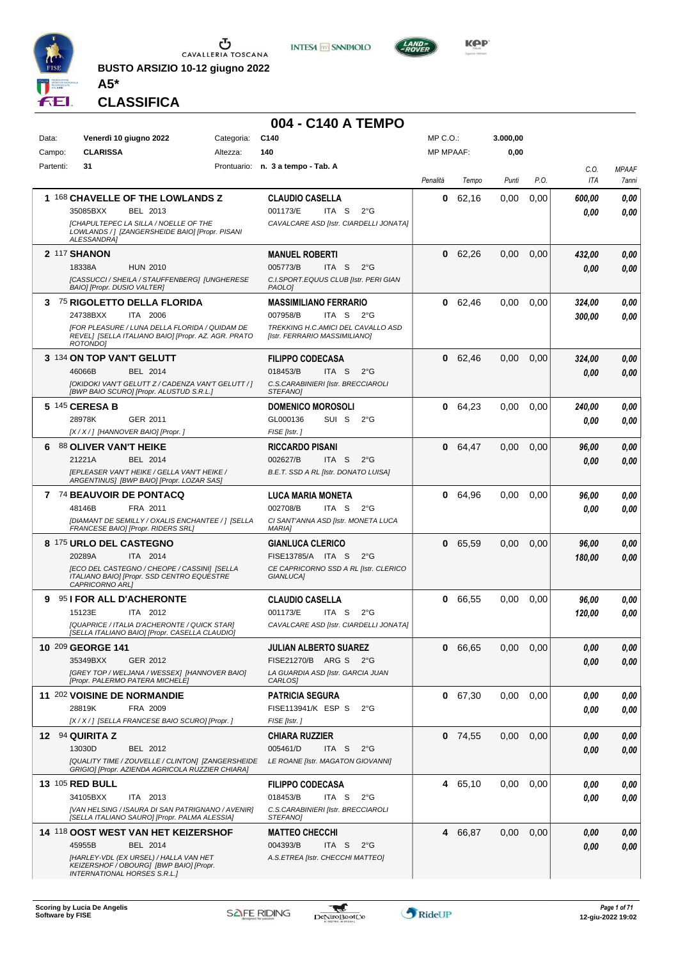

**BUSTO ARSIZIO 10-12 giugno 2022 A5\***



**004 - C140 A TEMPO**



**KOP** 

#### **CLASSIFICA**

| Data:     | Venerdì 10 giugno 2022                                                                                | Categoria: | C <sub>140</sub>                                                    | $MP C. O.$ :     |           | 3.000,00 |      |            |              |
|-----------|-------------------------------------------------------------------------------------------------------|------------|---------------------------------------------------------------------|------------------|-----------|----------|------|------------|--------------|
| Campo:    | <b>CLARISSA</b>                                                                                       | Altezza:   | 140                                                                 | <b>MP MPAAF:</b> |           | 0,00     |      |            |              |
| Partenti: | 31                                                                                                    |            | Prontuario: n. 3 a tempo - Tab. A                                   |                  |           |          |      | C.O.       | <b>MPAAF</b> |
|           |                                                                                                       |            |                                                                     | Penalità         | Tempo     | Punti    | P.O. | <b>ITA</b> | 7anni        |
|           | 1 168 CHAVELLE OF THE LOWLANDS Z                                                                      |            | <b>CLAUDIO CASELLA</b>                                              | 0                | 62,16     | 0,00     | 0,00 | 600,00     | 0,00         |
|           | BEL 2013<br>35085BXX                                                                                  |            | 001173/E<br>ITA <sub>S</sub><br>$2^{\circ}$ G                       |                  |           |          |      | 0,00       | 0,00         |
|           | <b>ICHAPULTEPEC LA SILLA / NOELLE OF THE</b>                                                          |            | CAVALCARE ASD [Istr. CIARDELLI JONATA]                              |                  |           |          |      |            |              |
|           | LOWLANDS / ] [ZANGERSHEIDE BAIO] [Propr. PISANI<br>ALESSANDRA]                                        |            |                                                                     |                  |           |          |      |            |              |
|           | 2 117 SHANON                                                                                          |            | <b>MANUEL ROBERTI</b>                                               |                  | 0 62,26   | 0,00     | 0,00 | 432,00     | 0,00         |
|           | 18338A<br><b>HUN 2010</b>                                                                             |            | 005773/B<br>ITA S<br>$2^{\circ}$ G                                  |                  |           |          |      | 0,00       | 0.00         |
|           | [CASSUCCI / SHEILA / STAUFFENBERG] [UNGHERESE                                                         |            | C.I.SPORT.EQUUS CLUB [Istr. PERI GIAN                               |                  |           |          |      |            |              |
|           | BAIO] [Propr. DUSIO VALTER]                                                                           |            | PAOLO]                                                              |                  |           |          |      |            |              |
|           | 3 75 RIGOLETTO DELLA FLORIDA                                                                          |            | <b>MASSIMILIANO FERRARIO</b>                                        |                  | 0 62,46   | 0,00     | 0,00 | 324,00     | 0,00         |
|           | 24738BXX<br>ITA 2006                                                                                  |            | ITA <sub>S</sub><br>007958/B<br>$2^{\circ}G$                        |                  |           |          |      | 300,00     | 0.00         |
|           | [FOR PLEASURE / LUNA DELLA FLORIDA / QUIDAM DE<br>REVEL] [SELLA ITALIANO BAIO] [Propr. AZ. AGR. PRATO |            | TREKKING H.C.AMICI DEL CAVALLO ASD<br>[Istr. FERRARIO MASSIMILIANO] |                  |           |          |      |            |              |
|           | ROTONDO1                                                                                              |            |                                                                     |                  |           |          |      |            |              |
|           | 3 134 ON TOP VAN'T GELUTT                                                                             |            | <b>FILIPPO CODECASA</b>                                             |                  | 0 62,46   | 0.00     | 0,00 | 324,00     | 0,00         |
|           | 46066B<br>BEL 2014                                                                                    |            | 018453/B<br>ITA S<br>$2^{\circ}$ G                                  |                  |           |          |      | 0,00       | 0,00         |
|           | [OKIDOKI VAN'T GELUTT Z / CADENZA VAN'T GELUTT / ]<br>[BWP BAIO SCURO] [Propr. ALUSTUD S.R.L.]        |            | C.S.CARABINIERI [Istr. BRECCIAROLI<br>STEFANO]                      |                  |           |          |      |            |              |
|           | 5 145 CERESA B                                                                                        |            | <b>DOMENICO MOROSOLI</b>                                            |                  | 0.64,23   | 0,00     | 0,00 | 240,00     | 0,00         |
|           | 28978K<br>GER 2011                                                                                    |            | SUI S<br>GL000136<br>$2^{\circ}$ G                                  |                  |           |          |      | 0,00       | 0.00         |
|           | [X / X / ] [HANNOVER BAIO] [Propr. ]                                                                  |            | FISE [Istr.]                                                        |                  |           |          |      |            |              |
|           | 88 OLIVER VAN'T HEIKE                                                                                 |            | <b>RICCARDO PISANI</b>                                              | 0                | 64,47     | 0,00     | 0,00 | 96,00      | 0,00         |
|           | 21221A<br>BEL 2014                                                                                    |            | 002627/B<br>ITA S<br>$2^{\circ}$ G                                  |                  |           |          |      | 0.00       | 0,00         |
|           | <b>IEPLEASER VAN'T HEIKE / GELLA VAN'T HEIKE /</b>                                                    |            | B.E.T. SSD A RL [Istr. DONATO LUISA]                                |                  |           |          |      |            |              |
|           | ARGENTINUS] [BWP BAIO] [Propr. LOZAR SAS]                                                             |            |                                                                     |                  |           |          |      |            |              |
|           | 7 74 BEAUVOIR DE PONTACQ                                                                              |            | <b>LUCA MARIA MONETA</b>                                            |                  | 0 64.96   | 0.00     | 0,00 | 96,00      | 0,00         |
|           | 48146B<br>FRA 2011                                                                                    |            | 002708/B<br>ITA S<br>$2^{\circ}$ G                                  |                  |           |          |      | 0,00       | 0.00         |
|           | [DIAMANT DE SEMILLY / OXALIS ENCHANTEE / ] [SELLA<br>FRANCESE BAIO] [Propr. RIDERS SRL]               |            | CI SANT'ANNA ASD [Istr. MONETA LUCA<br><b>MARIAI</b>                |                  |           |          |      |            |              |
|           | 8 175 URLO DEL CASTEGNO                                                                               |            | <b>GIANLUCA CLERICO</b>                                             | $\mathbf 0$      | 65,59     | 0,00     | 0,00 | 96,00      | 0,00         |
|           | 20289A<br>ITA 2014                                                                                    |            | FISE13785/A ITA S<br>$2^{\circ}$ G                                  |                  |           |          |      | 180,00     | 0,00         |
|           | [ECO DEL CASTEGNO / CHEOPE / CASSINI] [SELLA<br>ITALIANO BAIO] [Propr. SSD CENTRO EQUESTRE            |            | CE CAPRICORNO SSD A RL [Istr. CLERICO                               |                  |           |          |      |            |              |
|           | CAPRICORNO ARL]                                                                                       |            | GIANLUCA]                                                           |                  |           |          |      |            |              |
| 9.        | 95   FOR ALL D'ACHERONTE                                                                              |            | <b>CLAUDIO CASELLA</b>                                              | 0                | 66,55     | 0,00     | 0,00 | 96,00      | 0,00         |
|           | 15123E<br>ITA 2012                                                                                    |            | 001173/E<br>ITA <sub>S</sub><br>$2^{\circ}$ G                       |                  |           |          |      | 120,00     | 0.00         |
|           | [QUAPRICE / ITALIA D'ACHERONTE / QUICK STAR]<br>[SELLA ITALIANO BAIO] [Propr. CASELLA CLAUDIO]        |            | CAVALCARE ASD [Istr. CIARDELLI JONATA]                              |                  |           |          |      |            |              |
|           |                                                                                                       |            |                                                                     |                  |           |          |      |            |              |
|           | 10 209 GEORGE 141<br>35349BXX<br>GER 2012                                                             |            | JULIAN ALBERTO SUAREZ<br>FISE21270/B ARG S<br>$2^{\circ}G$          |                  | 0 66,65   | 0,00     | 0,00 | 0,00       | 0,00         |
|           | [GREY TOP / WELJANA / WESSEX] [HANNOVER BAIO]                                                         |            | LA GUARDIA ASD [Istr. GARCIA JUAN                                   |                  |           |          |      | 0,00       | 0,00         |
|           | [Propr. PALERMO PATERA MICHELE]                                                                       |            | CARLOS]                                                             |                  |           |          |      |            |              |
|           | 11 202 VOISINE DE NORMANDIE                                                                           |            | <b>PATRICIA SEGURA</b>                                              |                  | 0 67,30   | 0,00     | 0,00 | 0,00       | 0,00         |
|           | 28819K<br>FRA 2009                                                                                    |            | FISE113941/K ESP S<br>$2^{\circ}$ G                                 |                  |           |          |      | 0,00       | 0,00         |
|           | [X / X / ] [SELLA FRANCESE BAIO SCURO] [Propr. ]                                                      |            | FISE [Istr.]                                                        |                  |           |          |      |            |              |
|           | 12 94 QUIRITA Z                                                                                       |            | <b>CHIARA RUZZIER</b>                                               |                  | $0$ 74,55 | 0.00     | 0,00 | 0,00       | 0,00         |
|           | 13030D<br>BEL 2012                                                                                    |            | 005461/D<br>$2^{\circ}$ G<br>ITA <sub>S</sub>                       |                  |           |          |      | 0,00       | 0,00         |
|           | [QUALITY TIME / ZOUVELLE / CLINTON] [ZANGERSHEIDE<br>GRIGIO] [Propr. AZIENDA AGRICOLA RUZZIER CHIARA] |            | LE ROANE [Istr. MAGATON GIOVANNI]                                   |                  |           |          |      |            |              |
|           | <b>13 105 RED BULL</b>                                                                                |            | <b>FILIPPO CODECASA</b>                                             |                  | 4 65,10   | 0,00     | 0,00 | 0,00       | 0,00         |
|           | 34105BXX<br>ITA 2013                                                                                  |            | 018453/B<br>ITA S<br>$2^{\circ}$ G                                  |                  |           |          |      | 0,00       | 0,00         |
|           | [VAN HELSING / ISAURA DI SAN PATRIGNANO / AVENIR]                                                     |            | C.S.CARABINIERI [Istr. BRECCIAROLI                                  |                  |           |          |      |            |              |
|           | [SELLA ITALIANO SAURO] [Propr. PALMA ALESSIA]                                                         |            | STEFANO]                                                            |                  |           |          |      |            |              |
|           | 14 118 OOST WEST VAN HET KEIZERSHOF                                                                   |            | <b>MATTEO CHECCHI</b>                                               |                  | 4 66,87   | 0,00     | 0,00 | 0,00       | 0,00         |
|           | BEL 2014<br>45955B                                                                                    |            | 004393/B<br>ITA S<br>$2^{\circ}G$                                   |                  |           |          |      | 0,00       | 0,00         |
|           | [HARLEY-VDL (EX URSEL) / HALLA VAN HET<br>KEIZERSHOF / OBOURG] [BWP BAIO] [Propr.                     |            | A.S.ETREA [Istr. CHECCHI MATTEO]                                    |                  |           |          |      |            |              |
|           | <b>INTERNATIONAL HORSES S.R.L.]</b>                                                                   |            |                                                                     |                  |           |          |      |            |              |

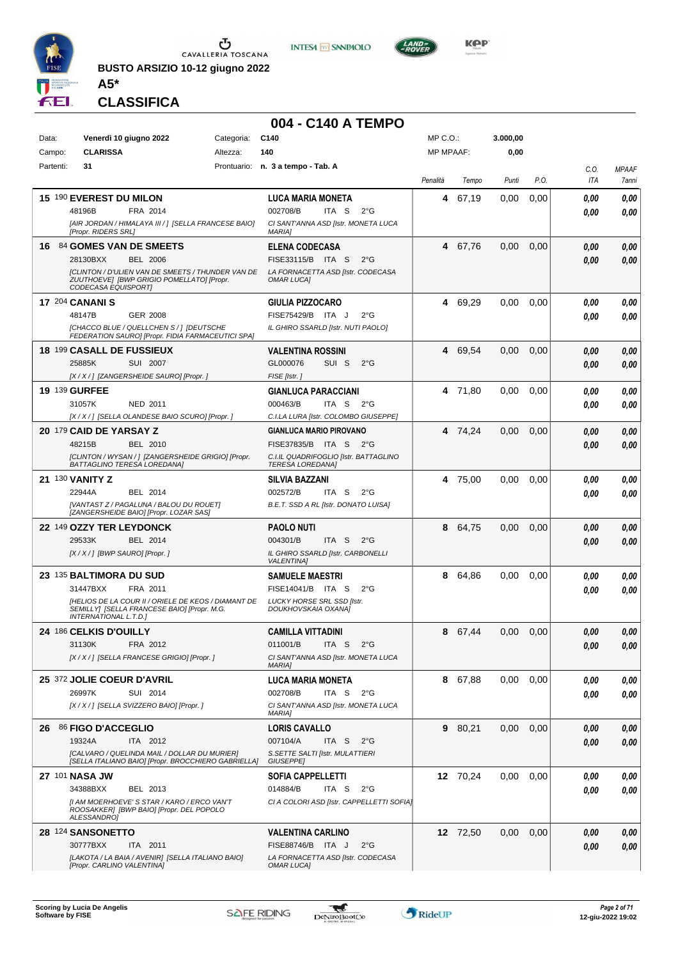

**BUSTO ARSIZIO 10-12 giugno 2022**





**A5\* CLASSIFICA**

|                      |                                                                                                                                    |            | 004 - C140 A TEMPO                                                        |                  |          |          |      |              |                       |
|----------------------|------------------------------------------------------------------------------------------------------------------------------------|------------|---------------------------------------------------------------------------|------------------|----------|----------|------|--------------|-----------------------|
| Data:                | Venerdì 10 giugno 2022                                                                                                             | Categoria: | C <sub>140</sub>                                                          | MP C.O.:         |          | 3.000,00 |      |              |                       |
| Campo:               | <b>CLARISSA</b>                                                                                                                    | Altezza:   | 140                                                                       | <b>MP MPAAF:</b> |          | 0,00     |      |              |                       |
| Partenti:            | 31                                                                                                                                 |            | Prontuario: n. 3 a tempo - Tab. A                                         | Penalità         | Tempo    | Punti    | P.O. | C.O.<br>ITA  | <b>MPAAF</b><br>7anni |
|                      | 15 190 EVEREST DU MILON                                                                                                            |            | <b>LUCA MARIA MONETA</b>                                                  | 4                | 67,19    | 0,00     | 0,00 | 0.00         | 0,00                  |
|                      | 48196B<br>FRA 2014                                                                                                                 |            | 002708/B<br>ITA S<br>$2^{\circ}G$                                         |                  |          |          |      | 0.00         | 0.00                  |
|                      | [AIR JORDAN / HIMALAYA III / ] [SELLA FRANCESE BAIO]<br>[Propr. RIDERS SRL]                                                        |            | CI SANT'ANNA ASD [Istr. MONETA LUCA<br><b>MARIAI</b>                      |                  |          |          |      |              |                       |
|                      | 16 84 GOMES VAN DE SMEETS                                                                                                          |            | <b>ELENA CODECASA</b>                                                     | 4                | 67,76    | 0,00     | 0,00 | 0,00         | 0,00                  |
|                      | 28130BXX<br><b>BEL 2006</b><br>[CLINTON / D'ULIEN VAN DE SMEETS / THUNDER VAN DE                                                   |            | FISE33115/B ITA S<br>$2^{\circ}$ G<br>LA FORNACETTA ASD [Istr. CODECASA   |                  |          |          |      | 0.00         | 0,00                  |
|                      | ZUUTHOEVE] [BWP GRIGIO POMELLATO] [Propr.<br>CODECASA EQUISPORT]                                                                   |            | <b>OMAR LUCAI</b>                                                         |                  |          |          |      |              |                       |
|                      | <b>17 204 CANANI S</b>                                                                                                             |            | <b>GIULIA PIZZOCARO</b>                                                   | 4                | 69,29    | 0,00     | 0,00 | 0,00         | 0,00                  |
|                      | 48147B<br>GER 2008                                                                                                                 |            | FISE75429/B ITA J<br>$2^{\circ}G$                                         |                  |          |          |      | 0.00         | 0.00                  |
|                      | [CHACCO BLUE / QUELLCHEN S / ] [DEUTSCHE<br>FEDERATION SAURO] [Propr. FIDIA FARMACEUTICI SPA]                                      |            | IL GHIRO SSARLD [Istr. NUTI PAOLO]                                        |                  |          |          |      |              |                       |
|                      | <b>18 199 CASALL DE FUSSIEUX</b>                                                                                                   |            | <b>VALENTINA ROSSINI</b>                                                  | 4                | 69,54    | 0,00     | 0,00 | 0.00         | 0,00                  |
|                      | 25885K<br>SUI 2007                                                                                                                 |            | GL000076<br>SUI S<br>$2^{\circ}$ G                                        |                  |          |          |      | 0.00         | 0,00                  |
|                      | [X / X / ] [ZANGERSHEIDE SAURO] [Propr. ]                                                                                          |            | FISE [Istr.]                                                              |                  |          |          |      |              |                       |
| <b>19 139 GURFEE</b> |                                                                                                                                    |            | <b>GIANLUCA PARACCIANI</b>                                                |                  | 4 71,80  | 0.00     | 0.00 | 0.00         | 0,00                  |
|                      | 31057K<br><b>NED 2011</b><br>[X / X / 1 [SELLA OLANDESE BAIO SCURO] [Propr. ]                                                      |            | 000463/B<br>ITA S<br>$2^{\circ}G$<br>C.I.LA LURA [Istr. COLOMBO GIUSEPPE] |                  |          |          |      | 0.00         | 0.00                  |
|                      | 20 179 CAID DE YARSAY Z                                                                                                            |            | <b>GIANLUCA MARIO PIROVANO</b>                                            |                  | 4 74,24  | 0.00     | 0,00 |              |                       |
|                      | 48215B<br><b>BEL 2010</b>                                                                                                          |            | FISE37835/B ITA S 2°G                                                     |                  |          |          |      | 0,00<br>0.00 | 0,00<br>0,00          |
|                      | [CLINTON / WYSAN / ] [ZANGERSHEIDE GRIGIO] [Propr.<br><b>BATTAGLINO TERESA LOREDANA]</b>                                           |            | C.I.IL QUADRIFOGLIO [Istr. BATTAGLINO<br><b>TERESA LOREDANA</b>           |                  |          |          |      |              |                       |
|                      | <b>21 130 VANITY Z</b>                                                                                                             |            | <b>SILVIA BAZZANI</b>                                                     | 4                | 75,00    | 0.00     | 0.00 | 0.00         | 0,00                  |
|                      | 22944A<br>BEL 2014                                                                                                                 |            | 002572/B<br>ITA S<br>$2^{\circ}G$                                         |                  |          |          |      | 0.00         | 0.00                  |
|                      | [VANTAST Z / PAGALUNA / BALOU DU ROUET]<br>[ZANGERSHEIDE BAIO] [Propr. LOZAR SAS]                                                  |            | B.E.T. SSD A RL [Istr. DONATO LUISA]                                      |                  |          |          |      |              |                       |
|                      | 22 149 OZZY TER LEYDONCK                                                                                                           |            | <b>PAOLO NUTI</b>                                                         | 8                | 64,75    | 0,00     | 0,00 | 0.00         | 0,00                  |
|                      | 29533K<br>BEL 2014                                                                                                                 |            | 004301/B<br>ITA S<br>$2^{\circ}G$                                         |                  |          |          |      | 0.00         | 0,00                  |
|                      | [X / X / ] [BWP SAURO] [Propr. ]                                                                                                   |            | IL GHIRO SSARLD [Istr. CARBONELLI<br><b>VALENTINA</b>                     |                  |          |          |      |              |                       |
|                      | 23 135 BALTIMORA DU SUD                                                                                                            |            | <b>SAMUELE MAESTRI</b>                                                    | 8                | 64,86    | 0,00     | 0,00 | 0,00         | 0,00                  |
|                      | 31447BXX<br>FRA 2011                                                                                                               |            | FISE14041/B ITA S<br>$2^{\circ}G$<br><b>LUCKY HORSE SRL SSD [Istr.</b>    |                  |          |          |      | 0.00         | 0,00                  |
|                      | [HELIOS DE LA COUR II / ORIELE DE KEOS / DIAMANT DE<br>SEMILLY] [SELLA FRANCESE BAIO] [Propr. M.G.<br><b>INTERNATIONAL L.T.D.1</b> |            | DOUKHOVSKAIA OXANAJ                                                       |                  |          |          |      |              |                       |
|                      | <b>24 186 CELKIS D'OUILLY</b>                                                                                                      |            | <b>CAMILLA VITTADINI</b>                                                  |                  | 8 67,44  | 0,00     | 0,00 | 0,00         | 0,00                  |
|                      | 31130K<br>FRA 2012                                                                                                                 |            | 011001/B<br>ITA S<br>$2^{\circ}$ G                                        |                  |          |          |      | 0,00         | 0,00                  |
|                      | [X / X / ] [SELLA FRANCESE GRIGIO] [Propr. ]                                                                                       |            | CI SANT'ANNA ASD [Istr. MONETA LUCA<br><b>MARIAI</b>                      |                  |          |          |      |              |                       |
|                      | 25 372 JOLIE COEUR D'AVRIL                                                                                                         |            | <b>LUCA MARIA MONETA</b>                                                  |                  | 8 67,88  | 0.00     | 0.00 | 0,00         | 0,00                  |
|                      | 26997K<br>SUI 2014                                                                                                                 |            | 002708/B<br>ITA S<br>$2^{\circ}$ G                                        |                  |          |          |      | 0.00         | 0,00                  |
|                      | [X / X / ] [SELLA SVIZZERO BAIO] [Propr. ]                                                                                         |            | CI SANT'ANNA ASD [Istr. MONETA LUCA<br><b>MARIAI</b>                      |                  |          |          |      |              |                       |
|                      | 26 86 FIGO D'ACCEGLIO                                                                                                              |            | <b>LORIS CAVALLO</b>                                                      |                  | 9 80,21  | $0.00\,$ | 0.00 | 0.00         | 0,00                  |
|                      | 19324A<br>ITA 2012<br>[CALVARO / QUELINDA MAIL / DOLLAR DU MURIER]                                                                 |            | 007104/A<br>ITA S<br>$2^{\circ}$ G<br>S. SETTE SALTI [Istr. MULATTIERI    |                  |          |          |      | 0.00         | 0,00                  |
|                      | [SELLA ITALIANO BAIO] [Propr. BROCCHIERO GABRIELLA]                                                                                |            | GIUSEPPE]                                                                 |                  |          |          |      |              |                       |
|                      | 27 101 NASA JW<br>34388BXX<br>BEL 2013                                                                                             |            | <b>SOFIA CAPPELLETTI</b><br>014884/B<br>ITA S<br>$2^{\circ}$ G            |                  | 12 70,24 | 0.00     | 0.00 | 0.00         | 0,00                  |
|                      | [I AM MOERHOEVE'S STAR / KARO / ERCO VAN'T<br>ROOSAKKER] [BWP BAIO] [Propr. DEL POPOLO<br>ALESSANDRO]                              |            | CI A COLORI ASD [Istr. CAPPELLETTI SOFIA]                                 |                  |          |          |      | 0.00         | 0,00                  |
|                      | 28 124 SANSONETTO                                                                                                                  |            | <b>VALENTINA CARLINO</b>                                                  |                  | 12 72,50 | 0,00     | 0,00 | 0.00         | 0,00                  |
|                      | 30777BXX<br>ITA 2011                                                                                                               |            | FISE88746/B ITA J<br>$2^{\circ}$ G                                        |                  |          |          |      | 0.00         | 0,00                  |
|                      | [LAKOTA / LA BAIA / AVENIR] [SELLA ITALIANO BAIO]                                                                                  |            | LA FORNACETTA ASD [Istr. CODECASA                                         |                  |          |          |      |              |                       |

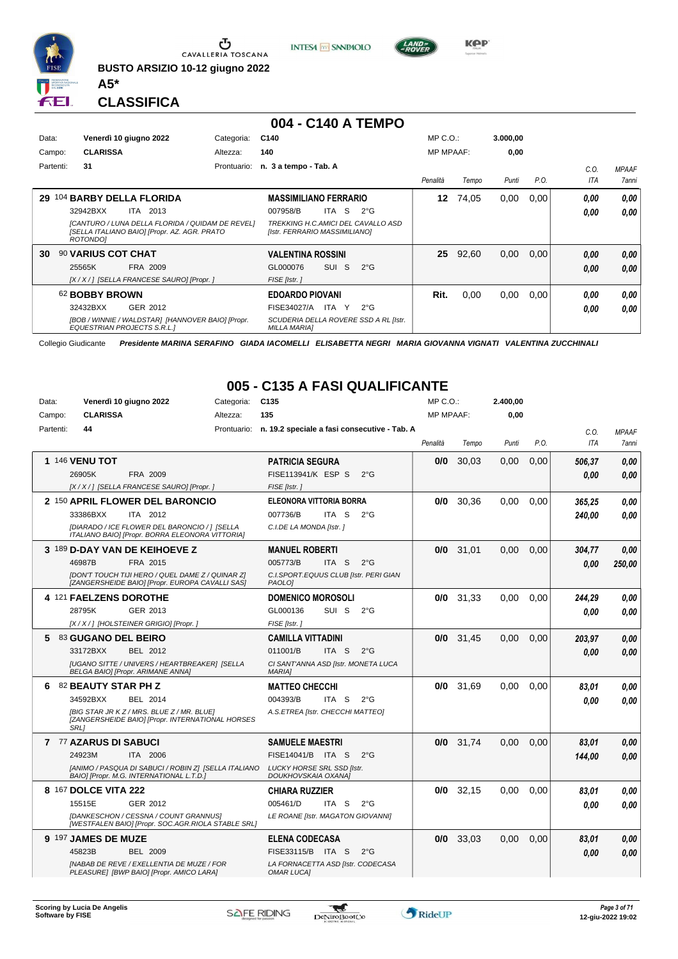

Ⴠ CAVALLERIA TOSCANA

**BUSTO ARSIZIO 10-12 giugno 2022 A5\***



#### **004 - C140 A TEMPO**

**INTESA M** SANPAOLO

| Data:     |                           | Venerdì 10 giugno 2022                                                                           | Categoria:  | C140                                                                |            |    |              | $MP C. O.$ :     |       | 3.000.00 |      |      |              |
|-----------|---------------------------|--------------------------------------------------------------------------------------------------|-------------|---------------------------------------------------------------------|------------|----|--------------|------------------|-------|----------|------|------|--------------|
| Campo:    | <b>CLARISSA</b>           |                                                                                                  | Altezza:    | 140                                                                 |            |    |              | <b>MP MPAAF:</b> |       | 0,00     |      |      |              |
| Partenti: | 31                        |                                                                                                  | Prontuario: | n. 3 a tempo - Tab. A                                               |            |    |              |                  |       |          |      | C.O. | <b>MPAAF</b> |
|           |                           |                                                                                                  |             |                                                                     |            |    |              | Penalità         | Tempo | Punti    | P.O. | ITA  | 7anni        |
| 29        |                           | 104 BARBY DELLA FLORIDA                                                                          |             | <b>MASSIMILIANO FERRARIO</b>                                        |            |    |              | 12               | 74.05 | 0,00     | 0.00 | 0,00 | 0.00         |
|           | 32942BXX                  | <b>ITA 2013</b>                                                                                  |             | 007958/B                                                            | ITA I      | -S | $2^{\circ}G$ |                  |       |          |      | 0,00 | 0.00         |
|           | ROTONDO]                  | [CANTURO / LUNA DELLA FLORIDA / QUIDAM DE REVEL]<br>[SELLA ITALIANO BAIO] [Propr. AZ. AGR. PRATO |             | TREKKING H.C.AMICI DEL CAVALLO ASD<br>[Istr. FERRARIO MASSIMILIANO] |            |    |              |                  |       |          |      |      |              |
| 30        | <b>90 VARIUS COT CHAT</b> |                                                                                                  |             | <b>VALENTINA ROSSINI</b>                                            |            |    |              | 25               | 92,60 | 0,00     | 0,00 | 0,00 | 0,00         |
|           | 25565K                    | FRA 2009                                                                                         |             | GL000076                                                            | <b>SUI</b> | -S | $2^{\circ}G$ |                  |       |          |      | 0,00 | 0.00         |
|           |                           | [X / X / ] [SELLA FRANCESE SAURO] [Propr. ]                                                      |             | FISE [Istr.]                                                        |            |    |              |                  |       |          |      |      |              |
|           | 62 BOBBY BROWN            |                                                                                                  |             | <b>EDOARDO PIOVANI</b>                                              |            |    |              | Rit.             | 0,00  | 0,00     | 0,00 | 0.00 | 0,00         |
|           | 32432BXX                  | GER 2012                                                                                         |             | FISE34027/A                                                         | ITA        | Y. | $2^{\circ}G$ |                  |       |          |      | 0,00 | 0.00         |
|           |                           | [BOB / WINNIE / WALDSTAR] [HANNOVER BAIO] [Propr.<br>EQUESTRIAN PROJECTS S.R.L.1                 |             | SCUDERIA DELLA ROVERE SSD A RL [Istr.<br><b>MILLA MARIA]</b>        |            |    |              |                  |       |          |      |      |              |

Collegio Giudicante *Presidente MARINA SERAFINO GIADA IACOMELLI ELISABETTA NEGRI MARIA GIOVANNA VIGNATI VALENTINA ZUCCHINALI*

#### **005 - C135 A FASI QUALIFICANTE**

| Data:<br>Campo: | <b>CLARISSA</b>                                | Venerdì 10 giugno 2022                                                                                                                           | Categoria:<br>Altezza: | C <sub>135</sub><br>135                                                                                                           | $MP C. O.$ :<br><b>MP MPAAF:</b> |             | 2.400,00<br>0,00 |      |                  |                       |
|-----------------|------------------------------------------------|--------------------------------------------------------------------------------------------------------------------------------------------------|------------------------|-----------------------------------------------------------------------------------------------------------------------------------|----------------------------------|-------------|------------------|------|------------------|-----------------------|
| Partenti:       | 44                                             |                                                                                                                                                  |                        | Prontuario: n. 19.2 speciale a fasi consecutive - Tab. A                                                                          | Penalità                         | Tempo       | Punti            | P.O. | C.0.<br>ITA      | <b>MPAAF</b><br>7anni |
|                 | 1 146 VENU TOT<br>26905K                       | FRA 2009<br>[X / X / ] [SELLA FRANCESE SAURO] [Propr. ]                                                                                          |                        | <b>PATRICIA SEGURA</b><br>FISE113941/K ESP S<br>$2^{\circ}$ G<br>FISE [Istr.]                                                     | 0/0                              | 30,03       | 0,00             | 0,00 | 506,37<br>0.00   | 0,00<br>0.00          |
|                 | 33386BXX                                       | 2 150 APRIL FLOWER DEL BARONCIO<br>ITA 2012<br>[DIARADO / ICE FLOWER DEL BARONCIO / ] [SELLA<br>ITALIANO BAIO] [Propr. BORRA ELEONORA VITTORIA]  |                        | <b>ELEONORA VITTORIA BORRA</b><br>007736/B<br>ITA S<br>$2^{\circ}$ G<br>C.I.DE LA MONDA [Istr.]                                   | 0/0                              | 30.36       | 0.00             | 0.00 | 365,25<br>240,00 | 0,00<br>0.00          |
|                 | 46987B                                         | 3 189 D-DAY VAN DE KEIHOEVE Z<br>FRA 2015<br>[DON'T TOUCH TIJI HERO / QUEL DAME Z / QUINAR Z]<br>[ZANGERSHEIDE BAIO] [Propr. EUROPA CAVALLI SAS] |                        | <b>MANUEL ROBERTI</b><br>005773/B<br>ITA S<br>$2^{\circ}G$<br>C.I.SPORT.EQUUS CLUB [Istr. PERI GIAN<br>PAOLO <sub>1</sub>         | 0/0                              | 31,01       | 0,00             | 0,00 | 304,77<br>0.00   | 0.00<br>250,00        |
|                 | 4 121 FAELZENS DOROTHE<br>28795K               | GER 2013<br>[X / X / ] [HOLSTEINER GRIGIO] [Propr. ]                                                                                             |                        | <b>DOMENICO MOROSOLI</b><br>SUI S<br>GL000136<br>$2^{\circ}$ G<br>FISE [Istr.]                                                    | 0/0                              | 31,33       | 0.00             | 0.00 | 244.29<br>0.00   | 0.00<br>0.00          |
| 5               | 83 GUGANO DEL BEIRO<br>33172BXX                | BEL 2012<br>[UGANO SITTE / UNIVERS / HEARTBREAKER] [SELLA<br>BELGA BAIO] [Propr. ARIMANE ANNA]                                                   |                        | <b>CAMILLA VITTADINI</b><br>011001/B<br>ITA <sub>S</sub><br>$2^{\circ}$ G<br>CI SANT'ANNA ASD [Istr. MONETA LUCA<br><b>MARIA]</b> |                                  | $0/0$ 31,45 | 0.00             | 0.00 | 203,97<br>0.00   | 0,00<br>0.00          |
| 6               | 82 BEAUTY STAR PH Z<br>34592BXX<br><b>SRL1</b> | BEL 2014<br>[BIG STAR JR KZ / MRS. BLUE Z / MR. BLUE]<br>[ZANGERSHEIDE BAIO] [Propr. INTERNATIONAL HORSES                                        |                        | <b>MATTEO CHECCHI</b><br>004393/B<br>ITA S<br>$2^{\circ}G$<br>A.S.ETREA [Istr. CHECCHI MATTEO]                                    |                                  | $0/0$ 31,69 | 0,00             | 0,00 | 83,01<br>0.00    | 0,00<br>0.00          |
|                 | 7 77 AZARUS DI SABUCI<br>24923M                | ITA 2006<br>[ANIMO / PASQUA DI SABUCI / ROBIN Z] [SELLA ITALIANO<br>BAIO] [Propr. M.G. INTERNATIONAL L.T.D.]                                     |                        | <b>SAMUELE MAESTRI</b><br>FISE14041/B ITA S<br>$2^{\circ}$ G<br><b>LUCKY HORSE SRL SSD [Istr.</b><br>DOUKHOVSKAIA OXANA]          | 0/0                              | 31,74       | 0.00             | 0.00 | 83,01<br>144,00  | 0,00<br>0.00          |
|                 | 8 167 DOLCE VITA 222<br>15515E                 | GER 2012<br>[DANKESCHON / CESSNA / COUNT GRANNUS]<br>[WESTFALEN BAIO] [Propr. SOC.AGR.RIOLA STABLE SRL]                                          |                        | <b>CHIARA RUZZIER</b><br>005461/D<br>$2^{\circ}$ G<br>ITA S<br>LE ROANE [Istr. MAGATON GIOVANNI]                                  | 0/0                              | 32,15       | 0.00             | 0.00 | 83,01<br>0.00    | 0.00<br>0.00          |
|                 | 9 197 JAMES DE MUZE<br>45823B                  | <b>BEL 2009</b><br><b>[NABAB DE REVE / EXELLENTIA DE MUZE / FOR</b><br>PLEASURE] [BWP BAIO] [Propr. AMICO LARA]                                  |                        | <b>ELENA CODECASA</b><br>FISE33115/B ITA S<br>$2^{\circ}G$<br>LA FORNACETTA ASD [Istr. CODECASA<br>OMAR LUCA]                     | 0/0                              | 33,03       | 0,00             | 0.00 | 83,01<br>0.00    | 0,00<br>0.00          |



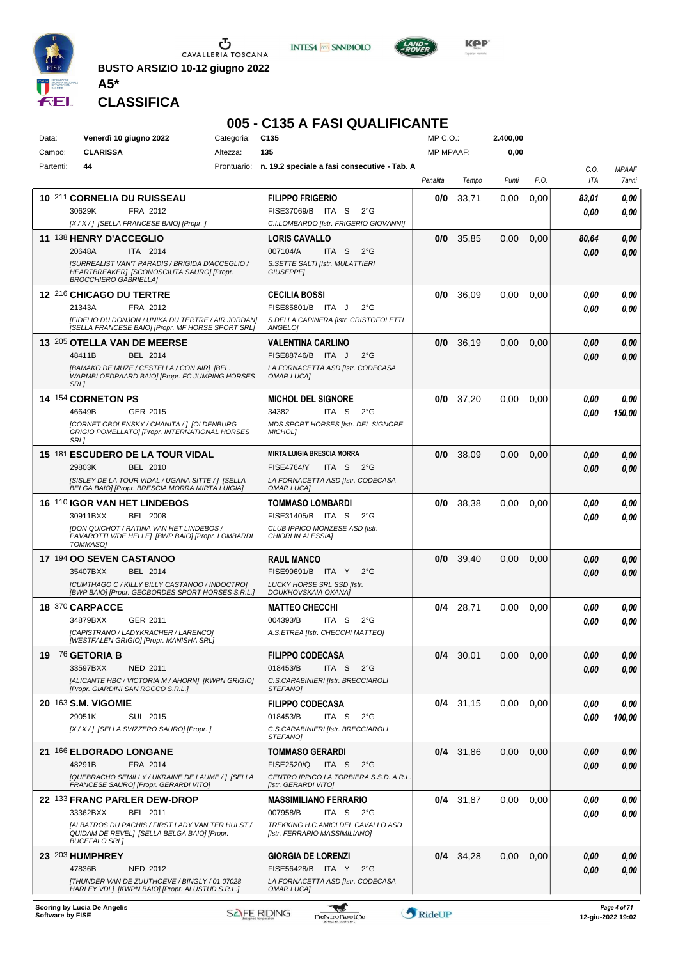

**BUSTO ARSIZIO 10-12 giugno 2022 A5\***





**Kep** 

#### **CLASSIFICA**

#### **005 - C135 A FASI QUALIFICANTE**

| Data:<br>Campo: | Venerdì 10 giugno 2022<br><b>CLARISSA</b>                                                                                                                  | Categoria: C135<br>Altezza: | 135                                                                                                  | MP C. O.<br><b>MP MPAAF:</b> |             | 2.400,00<br>0,00 |      |            |              |
|-----------------|------------------------------------------------------------------------------------------------------------------------------------------------------------|-----------------------------|------------------------------------------------------------------------------------------------------|------------------------------|-------------|------------------|------|------------|--------------|
| Partenti:       | 44                                                                                                                                                         |                             | Prontuario: n. 19.2 speciale a fasi consecutive - Tab. A                                             |                              |             |                  |      | C.O.       | <b>MPAAF</b> |
|                 |                                                                                                                                                            |                             |                                                                                                      | Penalità                     | Tempo       | Punti            | P.O. | <b>ITA</b> | 7anni        |
|                 | 10 211 CORNELIA DU RUISSEAU                                                                                                                                |                             | <b>FILIPPO FRIGERIO</b>                                                                              | 0/0                          | 33,71       | 0,00             | 0,00 | 83,01      | 0.00         |
|                 | 30629K<br>FRA 2012                                                                                                                                         |                             | FISE37069/B<br>ITA S<br>$2^{\circ}G$                                                                 |                              |             |                  |      | 0.00       | 0.00         |
|                 | [X / X / ] [SELLA FRANCESE BAIO] [Propr. ]                                                                                                                 |                             | C.I.LOMBARDO [Istr. FRIGERIO GIOVANNI]                                                               |                              |             |                  |      |            |              |
|                 | 11 138 HENRY D'ACCEGLIO                                                                                                                                    |                             | <b>LORIS CAVALLO</b>                                                                                 | 0/0                          | 35,85       | 0,00             | 0,00 | 80,64      | 0,00         |
|                 | 20648A<br>ITA 2014<br><b>[SURREALIST VAN'T PARADIS / BRIGIDA D'ACCEGLIO /</b><br>HEARTBREAKER] [SCONOSCIUTA SAURO] [Propr.<br><b>BROCCHIERO GABRIELLAI</b> |                             | 007104/A<br>ITA <sub>S</sub><br>$2^{\circ}G$<br>S. SETTE SALTI [Istr. MULATTIERI<br><b>GIUSEPPEI</b> |                              |             |                  |      | 0.00       | 0.00         |
|                 | 12 216 CHICAGO DU TERTRE                                                                                                                                   |                             | <b>CECILIA BOSSI</b>                                                                                 | 0/0                          | 36,09       | 0.00             | 0,00 | 0.00       | 0,00         |
|                 | 21343A<br>FRA 2012                                                                                                                                         |                             | FISE85801/B ITA J<br>$2^{\circ}$ G                                                                   |                              |             |                  |      | 0.00       | 0.00         |
|                 | [FIDELIO DU DONJON / UNIKA DU TERTRE / AIR JORDAN]<br>[SELLA FRANCESE BAIO] [Propr. MF HORSE SPORT SRL]                                                    |                             | S.DELLA CAPINERA [Istr. CRISTOFOLETTI<br><b>ANGELOI</b>                                              |                              |             |                  |      |            |              |
|                 | 13 205 OTELLA VAN DE MEERSE                                                                                                                                |                             | <b>VALENTINA CARLINO</b>                                                                             | 0/0                          | 36,19       | 0,00             | 0,00 | 0.00       | 0,00         |
|                 | 48411B<br>BEL 2014                                                                                                                                         |                             | <b>FISE88746/B</b><br>ITA J<br>$2^{\circ}$ G                                                         |                              |             |                  |      | 0.00       | 0,00         |
|                 | [BAMAKO DE MUZE / CESTELLA / CON AIR] [BEL.<br>WARMBLOEDPAARD BAIO] [Propr. FC JUMPING HORSES<br>SRL1                                                      |                             | LA FORNACETTA ASD [Istr. CODECASA<br><b>OMAR LUCA]</b>                                               |                              |             |                  |      |            |              |
|                 | 14 154 CORNETON PS                                                                                                                                         |                             | <b>MICHOL DEL SIGNORE</b>                                                                            | 0/0                          | 37,20       | 0.00             | 0,00 | 0.00       | 0,00         |
|                 | 46649B<br>GER 2015                                                                                                                                         |                             | 34382<br>ITA S<br>$2^{\circ}G$                                                                       |                              |             |                  |      | 0.00       | 150,00       |
|                 | [CORNET OBOLENSKY / CHANITA / ] [OLDENBURG<br>GRIGIO POMELLATOJ [Propr. INTERNATIONAL HORSES<br>SRL1                                                       |                             | MDS SPORT HORSES [Istr. DEL SIGNORE<br><b>MICHOLI</b>                                                |                              |             |                  |      |            |              |
|                 | 15 181 ESCUDERO DE LA TOUR VIDAL                                                                                                                           |                             | <b>MIRTA LUIGIA BRESCIA MORRA</b>                                                                    | 0/0                          | 38,09       | 0,00             | 0,00 | 0.00       | 0,00         |
|                 | 29803K<br>BEL 2010                                                                                                                                         |                             | <b>FISE4764/Y</b><br>ITA S<br>$2^{\circ}G$                                                           |                              |             |                  |      | 0.00       | 0,00         |
|                 | [SISLEY DE LA TOUR VIDAL / UGANA SITTE / ] [SELLA<br>BELGA BAIO] [Propr. BRESCIA MORRA MIRTA LUIGIA]                                                       |                             | LA FORNACETTA ASD [Istr. CODECASA<br><b>OMAR LUCAI</b>                                               |                              |             |                  |      |            |              |
|                 | 16 110 IGOR VAN HET LINDEBOS                                                                                                                               |                             | <b>TOMMASO LOMBARDI</b>                                                                              | 0/0                          | 38,38       | 0.00             | 0,00 | 0.00       | 0,00         |
|                 | 30911BXX<br><b>BEL 2008</b>                                                                                                                                |                             | FISE31405/B ITA S<br>$2^{\circ}$ G                                                                   |                              |             |                  |      | 0.00       | 0.00         |
|                 | [DON QUICHOT / RATINA VAN HET LINDEBOS /<br>PAVAROTTI V/DE HELLE] [BWP BAIO] [Propr. LOMBARDI<br>TOMMASO]                                                  |                             | CLUB IPPICO MONZESE ASD [Istr.<br>CHIORLIN ALESSIA]                                                  |                              |             |                  |      |            |              |
|                 | 17 194 OO SEVEN CASTANOO                                                                                                                                   |                             | <b>RAUL MANCO</b>                                                                                    | 0/0                          | 39,40       | 0,00             | 0,00 | 0.00       | 0,00         |
|                 | 35407BXX<br>BEL 2014                                                                                                                                       |                             | FISE99691/B ITA Y<br>$2^{\circ}$ G                                                                   |                              |             |                  |      | 0.00       | 0.00         |
|                 | [CUMTHAGO C / KILLY BILLY CASTANOO / INDOCTRO]<br>[BWP BAIO] [Propr. GEOBORDES SPORT HORSES S.R.L.]                                                        |                             | LUCKY HORSE SRL SSD [Istr.<br>DOUKHOVSKAIA OXANA]                                                    |                              |             |                  |      |            |              |
|                 | 18 370 CARPACCE                                                                                                                                            |                             | <b>MATTEO CHECCHI</b>                                                                                | 0/4                          | 28,71       | 0.00             | 0,00 | 0,00       | 0,00         |
|                 | 34879BXX<br>GER 2011                                                                                                                                       |                             | 004393/B<br>ITA <sub>S</sub><br>$2^{\circ}$ G                                                        |                              |             |                  |      | 0.00       | 0.00         |
|                 | [CAPISTRANO / LADYKRACHER / LARENCO]<br>[WESTFALEN GRIGIO] [Propr. MANISHA SRL]                                                                            |                             | A.S.ETREA [Istr. CHECCHI MATTEO]                                                                     |                              |             |                  |      |            |              |
|                 | 19 76 GETORIA B                                                                                                                                            |                             | <b>FILIPPO CODECASA</b>                                                                              |                              | $0/4$ 30,01 | 0,00             | 0,00 | 0,00       | 0,00         |
|                 | 33597BXX<br>NED 2011                                                                                                                                       |                             | 018453/B<br>ITA S<br>$2^{\circ}$ G                                                                   |                              |             |                  |      | 0.00       | 0,00         |
|                 | [ALICANTE HBC / VICTORIA M / AHORN] [KWPN GRIGIO]<br>[Propr. GIARDINI SAN ROCCO S.R.L.]                                                                    |                             | C.S.CARABINIERI [Istr. BRECCIAROLI<br>STEFANO]                                                       |                              |             |                  |      |            |              |
|                 | 20 163 S.M. VIGOMIE                                                                                                                                        |                             | <b>FILIPPO CODECASA</b>                                                                              |                              | $0/4$ 31,15 | 0,00             | 0,00 | 0.00       | 0,00         |
|                 | 29051K<br>SUI 2015                                                                                                                                         |                             | 018453/B<br>ITA <sub>S</sub><br>$2^{\circ}$ G                                                        |                              |             |                  |      | 0.00       | 100,00       |
|                 | [X / X / ] [SELLA SVIZZERO SAURO] [Propr. ]                                                                                                                |                             | C.S.CARABINIERI [Istr. BRECCIAROLI<br>STEFANO]                                                       |                              |             |                  |      |            |              |
|                 | 21 166 ELDORADO LONGANE                                                                                                                                    |                             | <b>TOMMASO GERARDI</b>                                                                               |                              | $0/4$ 31,86 | 0.00             | 0,00 | 0.00       | 0,00         |
|                 | 48291B<br>FRA 2014                                                                                                                                         |                             | FISE2520/Q<br>ITA S<br>$2^{\circ}$ G                                                                 |                              |             |                  |      | 0.00       | 0,00         |
|                 | [QUEBRACHO SEMILLY / UKRAINE DE LAUME / ] [SELLA<br>FRANCESE SAURO] [Propr. GERARDI VITO]                                                                  |                             | CENTRO IPPICO LA TORBIERA S.S.D. A R.L.<br>[Istr. GERARDI VITO]                                      |                              |             |                  |      |            |              |
|                 | 22 133 FRANC PARLER DEW-DROP                                                                                                                               |                             | <b>MASSIMILIANO FERRARIO</b>                                                                         |                              | $0/4$ 31,87 | 0,00             | 0,00 | 0.00       | 0,00         |
|                 | 33362BXX<br>BEL 2011                                                                                                                                       |                             | 007958/B<br>ITA S<br>2°G                                                                             |                              |             |                  |      | 0.00       | 0,00         |
|                 | [ALBATROS DU PACHIS / FIRST LADY VAN TER HULST /<br>QUIDAM DE REVELJ [SELLA BELGA BAIO] [Propr.<br><b>BUCEFALO SRL1</b>                                    |                             | TREKKING H.C.AMICI DEL CAVALLO ASD<br>[Istr. FERRARIO MASSIMILIANO]                                  |                              |             |                  |      |            |              |
|                 | 23 203 HUMPHREY                                                                                                                                            |                             | <b>GIORGIA DE LORENZI</b>                                                                            |                              | $0/4$ 34,28 | 0,00             | 0,00 | 0.00       | 0,00         |
|                 | 47836B<br>NED 2012                                                                                                                                         |                             | <b>FISE56428/B</b><br>ITA Y<br>$2^{\circ}G$                                                          |                              |             |                  |      | 0,00       | 0,00         |
|                 | [THUNDER VAN DE ZUUTHOEVE / BINGLY / 01.07028<br>HARLEY VDL] [KWPN BAIO] [Propr. ALUSTUD S.R.L.]                                                           |                             | LA FORNACETTA ASD [Istr. CODECASA<br><b>OMAR LUCAI</b>                                               |                              |             |                  |      |            |              |
|                 |                                                                                                                                                            |                             |                                                                                                      |                              |             |                  |      |            |              |

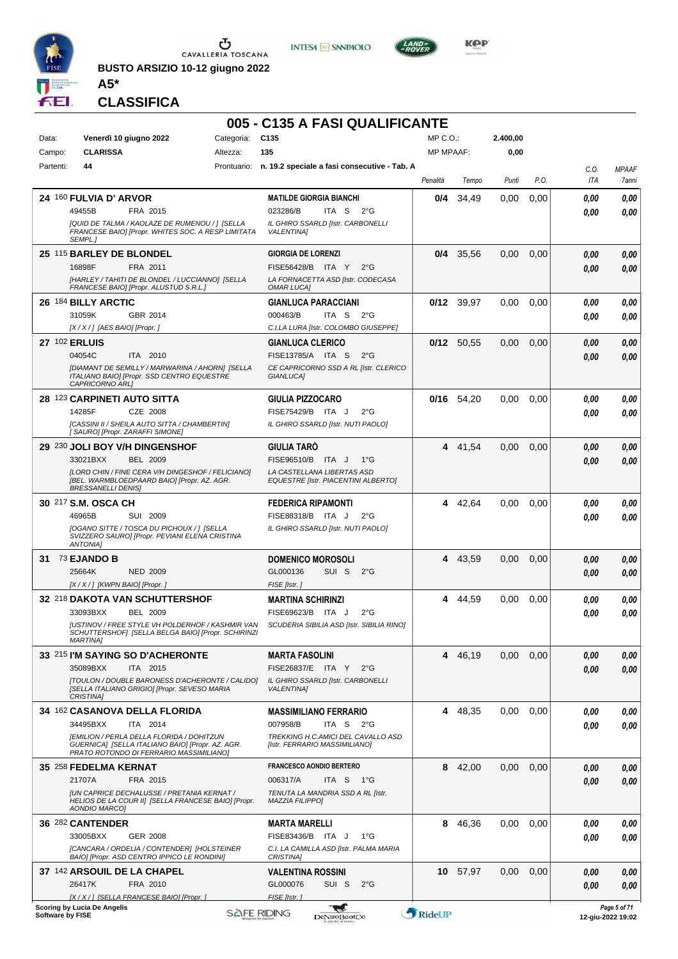

 $\mathop{\mathbf{U}}_{\mathop{\mathbf{CAVALLERIA\ to SCANA}}}$ 

**BUSTO ARSIZIO 10-12 giugno 2022 A5\***





**KOP** 

**CLASSIFICA**

### **005 - C135 A FASI QUALIFICANTE**

| Data:            | Venerdì 10 giugno 2022                                                                                                                   | Categoria: | C <sub>135</sub>                                                     | MP C.O.:         |              | 2.400,00 |      |             |                                   |
|------------------|------------------------------------------------------------------------------------------------------------------------------------------|------------|----------------------------------------------------------------------|------------------|--------------|----------|------|-------------|-----------------------------------|
| Campo:           | <b>CLARISSA</b>                                                                                                                          | Altezza:   | 135                                                                  | <b>MP MPAAF:</b> |              | 0,00     |      |             |                                   |
| Partenti:        | 44                                                                                                                                       |            | Prontuario: n. 19.2 speciale a fasi consecutive - Tab. A             | Penalità         | Tempo        | Punti    | P.O. | C.0.<br>ITA | <b>MPAAF</b><br>7anni             |
|                  | 24 160 FULVIA D' ARVOR                                                                                                                   |            | <b>MATILDE GIORGIA BIANCHI</b>                                       | 0/4              | 34,49        | 0,00     | 0,00 | 0.00        | 0,00                              |
|                  | 49455B<br>FRA 2015                                                                                                                       |            | 023286/B<br>ITA S $2^{\circ}$ G                                      |                  |              |          |      |             |                                   |
|                  | [QUID DE TALMA / KAOLAZE DE RUMENOU / ] [SELLA                                                                                           |            | IL GHIRO SSARLD [Istr. CARBONELLI                                    |                  |              |          |      | 0.00        | 0.00                              |
|                  | FRANCESE BAIO] [Propr. WHITES SOC. A RESP LIMITATA<br>SEMPL.1                                                                            |            | <b>VALENTINAI</b>                                                    |                  |              |          |      |             |                                   |
|                  | 25 115 BARLEY DE BLONDEL                                                                                                                 |            | <b>GIORGIA DE LORENZI</b>                                            | 0/4              | 35.56        | 0,00     | 0,00 | 0,00        | 0,00                              |
|                  | 16898F<br>FRA 2011                                                                                                                       |            | FISE56428/B ITA Y<br>$2^{\circ}$ G                                   |                  |              |          |      | 0,00        | 0,00                              |
|                  | [HARLEY / TAHITI DE BLONDEL / LUCCIANNO] [SELLA<br>FRANCESE BAIO] [Propr. ALUSTUD S.R.L.]                                                |            | LA FORNACETTA ASD [Istr. CODECASA<br><b>OMAR LUCAI</b>               |                  |              |          |      |             |                                   |
|                  | 26 184 BILLY ARCTIC                                                                                                                      |            | <b>GIANLUCA PARACCIANI</b>                                           |                  | $0/12$ 39,97 | 0,00     | 0,00 | 0.00        | 0,00                              |
|                  | 31059K<br>GBR 2014                                                                                                                       |            | ITA S<br>000463/B<br>$2^{\circ}$ G                                   |                  |              |          |      | 0.00        | 0.00                              |
|                  | [X / X / ] [AES BAIO] [Propr. ]                                                                                                          |            | C.I.LA LURA [Istr. COLOMBO GIUSEPPE]                                 |                  |              |          |      |             |                                   |
|                  | 27 102 ERLUIS                                                                                                                            |            | <b>GIANLUCA CLERICO</b>                                              |                  | $0/12$ 50,55 | 0,00     | 0,00 | 0,00        | 0,00                              |
|                  | 04054C<br>ITA 2010                                                                                                                       |            | FISE13785/A ITA S<br>$2^{\circ}$ G                                   |                  |              |          |      | 0,00        | 0,00                              |
|                  | [DIAMANT DE SEMILLY / MARWARINA / AHORN] [SELLA                                                                                          |            | CE CAPRICORNO SSD A RL [Istr. CLERICO                                |                  |              |          |      |             |                                   |
|                  | ITALIANO BAIO] [Propr. SSD CENTRO EQUESTRE<br>CAPRICORNO ARL]                                                                            |            | GIANLUCA1                                                            |                  |              |          |      |             |                                   |
|                  | <b>28 123 CARPINETI AUTO SITTA</b>                                                                                                       |            | <b>GIULIA PIZZOCARO</b>                                              | 0/16             | 54,20        | 0,00     | 0,00 | 0.00        | 0,00                              |
|                  | 14285F<br>CZE 2008                                                                                                                       |            | FISE75429/B ITA J<br>$2^{\circ}G$                                    |                  |              |          |      | 0.00        | 0.00                              |
|                  | [CASSINI II / SHEILA AUTO SITTA / CHAMBERTIN]<br>[ SAURO] [Propr. ZARAFFI SIMONE]                                                        |            | IL GHIRO SSARLD [Istr. NUTI PAOLO]                                   |                  |              |          |      |             |                                   |
|                  | 29 230 JOLI BOY V/H DINGENSHOF                                                                                                           |            | <b>GIULIA TARO</b>                                                   | 4                | 41,54        | 0,00     | 0,00 | 0,00        | 0,00                              |
|                  | <b>BEL 2009</b><br>33021BXX                                                                                                              |            | FISE96510/B ITA J<br>$1^{\circ}G$                                    |                  |              |          |      | 0.00        | 0.00                              |
|                  | [LORD CHIN / FINE CERA V/H DINGESHOF / FELICIANO]                                                                                        |            | LA CASTELLANA LIBERTAS ASD                                           |                  |              |          |      |             |                                   |
|                  | IBEL. WARMBLOEDPAARD BAIO] [Propr. AZ. AGR.<br><b>BRESSANELLI DENIS]</b>                                                                 |            | <b>EQUESTRE [Istr. PIACENTINI ALBERTO]</b>                           |                  |              |          |      |             |                                   |
|                  | 30 217 S.M. OSCA CH                                                                                                                      |            | <b>FEDERICA RIPAMONTI</b>                                            | 4                | 42,64        | 0,00     | 0,00 | 0.00        | 0,00                              |
|                  | 46965B<br>SUI 2009                                                                                                                       |            | FISE88318/B ITA J<br>$2^{\circ}G$                                    |                  |              |          |      | 0.00        | 0.00                              |
|                  | [OGANO SITTE / TOSCA DU PICHOUX / 1 [SELLA<br>SVIZZERO SAURO] [Propr. PEVIANI ELENA CRISTINA<br><b>ANTONIA]</b>                          |            | IL GHIRO SSARLD [Istr. NUTI PAOLO]                                   |                  |              |          |      |             |                                   |
|                  |                                                                                                                                          |            |                                                                      |                  |              |          |      |             |                                   |
|                  | 31 73 EJANDO B                                                                                                                           |            | <b>DOMENICO MOROSOLI</b>                                             | 4                | 43,59        | 0,00     | 0,00 | 0,00        | 0,00                              |
|                  | 25664K<br><b>NED 2009</b>                                                                                                                |            | GL000136<br>SUI S<br>$2^{\circ}$ G                                   |                  |              |          |      | 0,00        | 0.00                              |
|                  | [X / X / ] [KWPN BAIO] [Propr. ]                                                                                                         |            | FISE [Istr.]                                                         |                  |              |          |      |             |                                   |
|                  | 32 218 DAKOTA VAN SCHUTTERSHOF                                                                                                           |            | <b>MARTINA SCHIRINZI</b>                                             | 4                | 44,59        | 0.00     | 0,00 | 0.00        | 0,00                              |
|                  | 33093BXX<br><b>BEL 2009</b>                                                                                                              |            | FISE69623/B ITA J<br>$2^{\circ}G$                                    |                  |              |          |      | 0.00        | 0.00                              |
|                  | [USTINOV / FREE STYLE VH POLDERHOF / KASHMIR VAN<br>SCHUTTERSHOF] [SELLA BELGA BAIO] [Propr. SCHIRINZI                                   |            | SCUDERIA SIBILIA ASD [Istr. SIBILIA RINO]                            |                  |              |          |      |             |                                   |
|                  | <b>MARTINA</b>                                                                                                                           |            |                                                                      |                  |              |          |      |             |                                   |
|                  | 33 215 I'M SAYING SO D'ACHERONTE                                                                                                         |            | <b>MARTA FASOLINI</b>                                                | 4                | 46,19        | 0,00     | 0,00 | 0,00        | 0,00                              |
|                  | 35089BXX<br>ITA 2015                                                                                                                     |            | FISE26837/E ITA Y<br>$2^{\circ}$ G                                   |                  |              |          |      | 0.00        | 0,00                              |
|                  | [TOULON / DOUBLE BARONESS D'ACHERONTE / CALIDO]                                                                                          |            | IL GHIRO SSARLD [Istr. CARBONELLI                                    |                  |              |          |      |             |                                   |
|                  | [SELLA ITALIANO GRIGIO] [Propr. SEVESO MARIA<br>CRISTINA]                                                                                |            | <b>VALENTINA]</b>                                                    |                  |              |          |      |             |                                   |
|                  |                                                                                                                                          |            |                                                                      | 4                |              |          |      |             |                                   |
|                  | 34 162 CASANOVA DELLA FLORIDA                                                                                                            |            | <b>MASSIMILIANO FERRARIO</b>                                         |                  | 48,35        | 0,00     | 0,00 | 0.00        | 0,00                              |
|                  | 34495BXX<br>ITA 2014                                                                                                                     |            | 007958/B<br>ITA S $2^{\circ}G$<br>TREKKING H.C.AMICI DEL CAVALLO ASD |                  |              |          |      | 0.00        | 0,00                              |
|                  | [EMILION / PERLA DELLA FLORIDA / DOHITZUN<br>GUERNICA] [SELLA ITALIANO BAIO] [Propr. AZ. AGR.<br>PRATO ROTONDO DI FERRARIO MASSIMILIANO] |            | [Istr. FERRARIO MASSIMILIANO]                                        |                  |              |          |      |             |                                   |
|                  | 35 258 FEDELMA KERNAT                                                                                                                    |            | <b>FRANCESCO AONDIO BERTERO</b>                                      | 8                | 42,00        | 0,00     | 0,00 | 0.00        | 0,00                              |
|                  | 21707A<br>FRA 2015                                                                                                                       |            | 006317/A<br>ITA S<br>1°G                                             |                  |              |          |      | 0.00        | 0,00                              |
|                  | <b>JUN CAPRICE DECHALUSSE / PRETANIA KERNAT /</b>                                                                                        |            | TENUTA LA MANDRIA SSD A RL [Istr.                                    |                  |              |          |      |             |                                   |
|                  | HELIOS DE LA COUR II] [SELLA FRANCESE BAIO] [Propr.                                                                                      |            | MAZZIA FILIPPO]                                                      |                  |              |          |      |             |                                   |
|                  | AONDIO MARCO]                                                                                                                            |            |                                                                      |                  |              |          |      |             |                                   |
|                  | 36 282 CANTENDER                                                                                                                         |            | <b>MARTA MARELLI</b>                                                 | 8                | 46,36        | 0,00     | 0,00 | 0.00        | 0,00                              |
|                  | 33005BXX<br><b>GER 2008</b>                                                                                                              |            | FISE83436/B ITA J<br>1°G                                             |                  |              |          |      | 0.00        | 0.00                              |
|                  | [CANCARA / ORDELIA / CONTENDER] [HOLSTEINER<br>BAIO] [Propr. ASD CENTRO IPPICO LE RONDINI]                                               |            | C.I. LA CAMILLA ASD [Istr. PALMA MARIA<br>CRISTINA]                  |                  |              |          |      |             |                                   |
|                  | 37 142 ARSOUIL DE LA CHAPEL                                                                                                              |            | <b>VALENTINA ROSSINI</b>                                             |                  | 10 57,97     | 0,00     | 0,00 | 0,00        | 0,00                              |
|                  | 26417K<br>FRA 2010                                                                                                                       |            | GL000076<br>SUI S<br>$2^{\circ}$ G                                   |                  |              |          |      | 0,00        | 0.00                              |
|                  | [X / X / ] [SELLA FRANCESE BAIO] [Propr. ]                                                                                               |            | FISE [Istr.]                                                         |                  |              |          |      |             |                                   |
| Software by FISE | <b>Scoring by Lucia De Angelis</b>                                                                                                       |            | للمحامل<br><b>SAFE RIDING</b><br>DeNiroBootCo                        | RideUP           |              |          |      |             | Page 5 of 71<br>12-giu-2022 19:02 |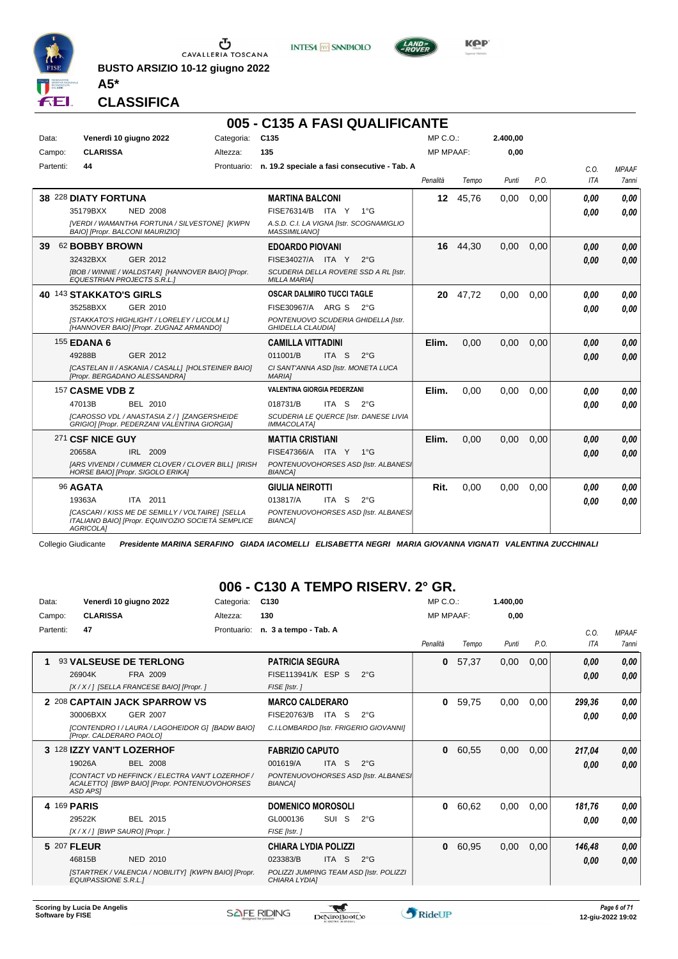

**BUSTO ARSIZIO 10-12 giugno 2022 A5\***





**Kep** 

**CLASSIFICA**

#### **005 - C135 A FASI QUALIFICANTE**

| Data:     |                         | Venerdì 10 giugno 2022                                                                                 | Categoria:  | C <sub>135</sub>                                                 |       |               | MP C. O.         |       | 2.400,00 |      |      |              |
|-----------|-------------------------|--------------------------------------------------------------------------------------------------------|-------------|------------------------------------------------------------------|-------|---------------|------------------|-------|----------|------|------|--------------|
| Campo:    | <b>CLARISSA</b>         |                                                                                                        | Altezza:    | 135                                                              |       |               | <b>MP MPAAF:</b> |       | 0,00     |      |      |              |
| Partenti: | 44                      |                                                                                                        | Prontuario: | n. 19.2 speciale a fasi consecutive - Tab. A                     |       |               |                  |       |          |      | C.0. | <b>MPAAF</b> |
|           |                         |                                                                                                        |             |                                                                  |       |               | Penalità         | Tempo | Punti    | P.O. | ITA  | 7anni        |
|           | 38 228 DIATY FORTUNA    |                                                                                                        |             | <b>MARTINA BALCONI</b>                                           |       |               | 12 <sup>1</sup>  | 45.76 | 0,00     | 0.00 | 0,00 | 0.00         |
|           | 35179BXX                | <b>NED 2008</b>                                                                                        |             | FISE76314/B ITA Y                                                |       | $1^{\circ}$ G |                  |       |          |      | 0.00 | 0.00         |
|           |                         | [VERDI / WAMANTHA FORTUNA / SILVESTONE] [KWPN<br>BAIO] [Propr. BALCONI MAURIZIO]                       |             | A.S.D. C.I. LA VIGNA [Istr. SCOGNAMIGLIO<br><b>MASSIMILIANO1</b> |       |               |                  |       |          |      |      |              |
| 39        | 62 BOBBY BROWN          |                                                                                                        |             | <b>EDOARDO PIOVANI</b>                                           |       |               | 16               | 44,30 | 0,00     | 0,00 | 0,00 | 0,00         |
|           | 32432BXX                | GER 2012                                                                                               |             | FISE34027/A ITA Y                                                |       | $2^{\circ}G$  |                  |       |          |      | 0.00 | 0.00         |
|           |                         | [BOB / WINNIE / WALDSTAR] [HANNOVER BAIO] [Propr.<br><b>EQUESTRIAN PROJECTS S.R.L.]</b>                |             | SCUDERIA DELLA ROVERE SSD A RL [Istr.<br><b>MILLA MARIA1</b>     |       |               |                  |       |          |      |      |              |
|           | 40 143 STAKKATO'S GIRLS |                                                                                                        |             | <b>OSCAR DALMIRO TUCCI TAGLE</b>                                 |       |               | 20               | 47.72 | 0.00     | 0.00 | 0.00 | 0.00         |
|           | 35258BXX                | GER 2010                                                                                               |             | FISE30967/A ARG S                                                |       | $2^{\circ}G$  |                  |       |          |      | 0.00 | 0,00         |
|           |                         | [STAKKATO'S HIGHLIGHT / LORELEY / LICOLM L]<br>[HANNOVER BAIO] [Propr. ZUGNAZ ARMANDO]                 |             | PONTENUOVO SCUDERIA GHIDELLA [Istr.<br><b>GHIDELLA CLAUDIA1</b>  |       |               |                  |       |          |      |      |              |
|           | <b>155 EDANA 6</b>      |                                                                                                        |             | <b>CAMILLA VITTADINI</b>                                         |       |               | Elim.            | 0.00  | 0,00     | 0.00 | 0,00 | 0,00         |
|           | 49288B                  | GER 2012                                                                                               |             | 011001/B                                                         | ITA S | $2^{\circ}G$  |                  |       |          |      | 0,00 | 0,00         |
|           |                         | [CASTELAN II / ASKANIA / CASALL] [HOLSTEINER BAIO]<br>[Propr. BERGADANO ALESSANDRA]                    |             | CI SANT'ANNA ASD [Istr. MONETA LUCA<br><b>MARIAI</b>             |       |               |                  |       |          |      |      |              |
|           | 157 CASME VDB Z         |                                                                                                        |             | <b>VALENTINA GIORGIA PEDERZANI</b>                               |       |               | Elim.            | 0.00  | 0,00     | 0.00 | 0.00 | 0.00         |
|           | 47013B                  | BEL 2010                                                                                               |             | 018731/B                                                         | ITA S | $2^{\circ}$ G |                  |       |          |      | 0.00 | 0.00         |
|           |                         | [CAROSSO VDL / ANASTASIA Z/] [ZANGERSHEIDE<br>GRIGIO] [Propr. PEDERZANI VALENTINA GIORGIA]             |             | SCUDERIA LE QUERCE [Istr. DANESE LIVIA<br><b>IMMACOLATA1</b>     |       |               |                  |       |          |      |      |              |
|           | 271 CSF NICE GUY        |                                                                                                        |             | <b>MATTIA CRISTIANI</b>                                          |       |               | Elim.            | 0,00  | 0,00     | 0,00 | 0.00 | 0.00         |
|           | 20658A                  | IRL 2009                                                                                               |             | FISE47366/A ITA Y                                                |       | $1^{\circ}G$  |                  |       |          |      | 0.00 | 0.00         |
|           |                         | [ARS VIVENDI / CUMMER CLOVER / CLOVER BILL] [IRISH<br>HORSE BAIO] [Propr. SIGOLO ERIKA]                |             | PONTENUOVOHORSES ASD [Istr. ALBANES]<br><b>BIANCA1</b>           |       |               |                  |       |          |      |      |              |
|           | 96 AGATA                |                                                                                                        |             | <b>GIULIA NEIROTTI</b>                                           |       |               | Rit.             | 0.00  | 0,00     | 0.00 | 0,00 | 0.00         |
|           | 19363A                  | ITA 2011                                                                                               |             | 013817/A                                                         | ITA S | $2^{\circ}$ G |                  |       |          |      | 0,00 | 0.00         |
|           | AGRICOLA]               | [CASCARI / KISS ME DE SEMILLY / VOLTAIRE] [SELLA<br>ITALIANO BAIOI [Propr. EQUIN'OZIO SOCIETÀ SEMPLICE |             | PONTENUOVOHORSES ASD [Istr. ALBANES]<br><b>BIANCA1</b>           |       |               |                  |       |          |      |      |              |

Collegio Giudicante *Presidente MARINA SERAFINO GIADA IACOMELLI ELISABETTA NEGRI MARIA GIOVANNA VIGNATI VALENTINA ZUCCHINALI*

#### **006 - C130 A TEMPO RISERV. 2° GR.**

| Data:       | Venerdì 10 giugno 2022                                                                                                     | Categoria:  | C <sub>130</sub>                       |           |                                         | $MP C. O.$ :     |         | 1.400,00 |      |        |              |
|-------------|----------------------------------------------------------------------------------------------------------------------------|-------------|----------------------------------------|-----------|-----------------------------------------|------------------|---------|----------|------|--------|--------------|
| Campo:      | <b>CLARISSA</b>                                                                                                            | Altezza:    | 130                                    |           |                                         | <b>MP MPAAF:</b> |         | 0.00     |      |        |              |
| Partenti:   | 47                                                                                                                         | Prontuario: | n. 3 a tempo - Tab. A                  |           |                                         |                  |         |          |      | C.0.   | <b>MPAAF</b> |
|             |                                                                                                                            |             |                                        |           |                                         | Penalità         | Tempo   | Punti    | P.O. | ITA    | <b>7anni</b> |
|             | 93 VALSEUSE DE TERLONG                                                                                                     |             | <b>PATRICIA SEGURA</b>                 |           |                                         | 0                | 57,37   | 0,00     | 0,00 | 0,00   | 0,00         |
|             | FRA 2009<br>26904K                                                                                                         |             | FISE113941/K ESP S                     |           | $2^{\circ}$ G                           |                  |         |          |      | 0,00   | 0,00         |
|             | [X / X / ] [SELLA FRANCESE BAIO] [Propr. ]                                                                                 |             | FISE [Istr.]                           |           |                                         |                  |         |          |      |        |              |
|             | 2 208 CAPTAIN JACK SPARROW VS                                                                                              |             | <b>MARCO CALDERARO</b>                 |           |                                         | 0                | 59,75   | 0,00     | 0,00 | 299,36 | 0,00         |
|             | <b>GER 2007</b><br>30006BXX                                                                                                |             | FISE20763/B                            | ITA<br>-S | $2^{\circ}$ G                           |                  |         |          |      | 0.00   | 0,00         |
|             | [CONTENDRO I / LAURA / LAGOHEIDOR G] [BADW BAIO]<br>[Propr. CALDERARO PAOLO]                                               |             | C.I.LOMBARDO [Istr. FRIGERIO GIOVANNI] |           |                                         |                  |         |          |      |        |              |
|             | 3 128 IZZY VAN'T LOZERHOF                                                                                                  |             | <b>FABRIZIO CAPUTO</b>                 |           |                                         |                  | 0 60,55 | 0,00     | 0,00 | 217,04 | 0,00         |
|             | 19026A<br><b>BEL 2008</b>                                                                                                  |             | 001619/A                               | ITA S     | $2^{\circ}$ G                           |                  |         |          |      | 0,00   | 0,00         |
|             | <b>ICONTACT VD HEFFINCK / ELECTRA VAN'T LOZERHOF /</b><br>ACALETTO] [BWP BAIO] [Propr. PONTENUOVOHORSES<br><b>ASD APSI</b> |             | <b>BIANCA1</b>                         |           | PONTENUOVOHORSES ASD [Istr. ALBANES]    |                  |         |          |      |        |              |
| 4 169 PARIS |                                                                                                                            |             | <b>DOMENICO MOROSOLI</b>               |           |                                         | $\mathbf{0}$     | 60,62   | 0,00     | 0,00 | 181,76 | 0,00         |
|             | 29522K<br>BEL 2015                                                                                                         |             | GL000136                               | SUI S     | $2^{\circ}G$                            |                  |         |          |      | 0.00   | 0.00         |
|             | [X / X / ] [BWP SAURO] [Propr. ]                                                                                           |             | FISE [Istr.]                           |           |                                         |                  |         |          |      |        |              |
| 5 207 FLEUR |                                                                                                                            |             | <b>CHIARA LYDIA POLIZZI</b>            |           |                                         | 0                | 60,95   | 0,00     | 0,00 | 146,48 | 0,00         |
|             | 46815B<br><b>NED 2010</b>                                                                                                  |             | 023383/B                               | ITA S     | $2^{\circ}$ G                           |                  |         |          |      | 0,00   | 0,00         |
|             | [STARTREK / VALENCIA / NOBILITY] [KWPN BAIO] [Propr.<br><b>EQUIPASSIONE S.R.L.1</b>                                        |             | CHIARA LYDIA]                          |           | POLIZZI JUMPING TEAM ASD [Istr. POLIZZI |                  |         |          |      |        |              |

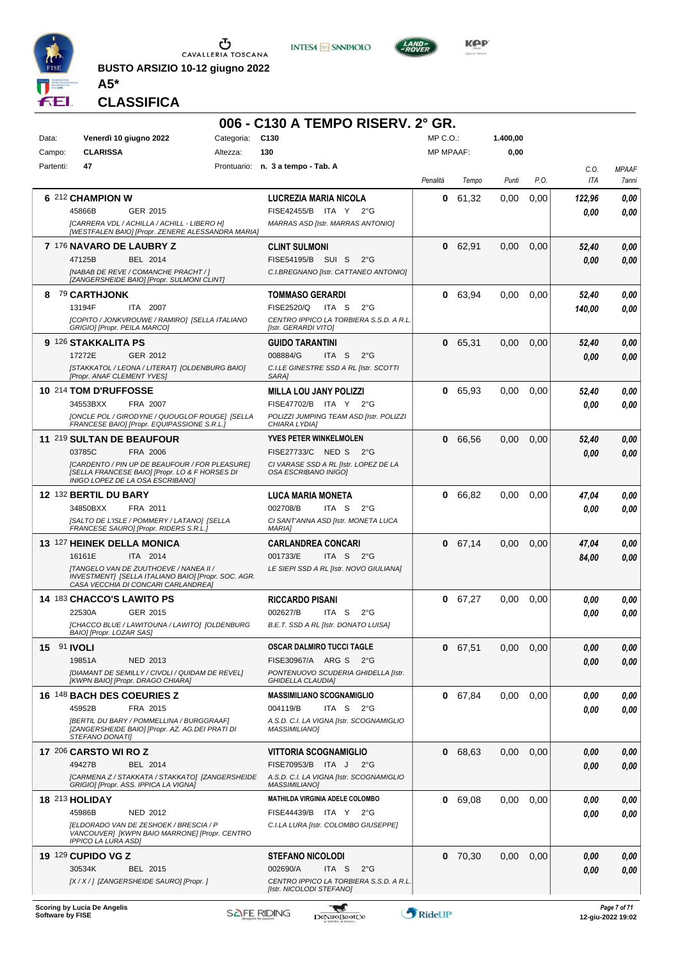

**BUSTO ARSIZIO 10-12 giugno 2022 A5\***





**KOP** 

**CLASSIFICA**

|                    |                                                                                                                                      |            | 006 - C130 A TEMPO RISERV. 2° GR.                                         |                  |           |          |      |                    |                       |
|--------------------|--------------------------------------------------------------------------------------------------------------------------------------|------------|---------------------------------------------------------------------------|------------------|-----------|----------|------|--------------------|-----------------------|
| Data:              | Venerdì 10 giugno 2022                                                                                                               | Categoria: | C130                                                                      | $MP C. O.$ :     |           | 1.400,00 |      |                    |                       |
| Campo:             | <b>CLARISSA</b>                                                                                                                      | Altezza:   | 130                                                                       | <b>MP MPAAF:</b> |           | 0,00     |      |                    |                       |
| Partenti:          | 47                                                                                                                                   |            | Prontuario: n. 3 a tempo - Tab. A                                         |                  | Tempo     |          | P.O. | C.O.<br><b>ITA</b> | <b>MPAAF</b><br>7anni |
|                    |                                                                                                                                      |            |                                                                           | Penalità         |           | Punti    |      |                    |                       |
|                    | 6 212 CHAMPION W                                                                                                                     |            | LUCREZIA MARIA NICOLA                                                     | 0                | 61,32     | 0,00     | 0,00 | 122,96             | 0,00                  |
|                    | 45866B<br>GER 2015<br>[CARRERA VDL / ACHILLA / ACHILL - LIBERO H]                                                                    |            | FISE42455/B ITA Y<br>$2^{\circ}$ G<br>MARRAS ASD [Istr. MARRAS ANTONIO]   |                  |           |          |      | 0.00               | 0.00                  |
|                    | [WESTFALEN BAIO] [Propr. ZENERE ALESSANDRA MARIA]                                                                                    |            |                                                                           |                  |           |          |      |                    |                       |
|                    | 7 176 NAVARO DE LAUBRY Z                                                                                                             |            | <b>CLINT SULMONI</b>                                                      | 0                | 62,91     | 0.00     | 0,00 | 52,40              | 0,00                  |
|                    | BEL 2014<br>47125B                                                                                                                   |            | FISE54195/B SUI S<br>$2^{\circ}G$                                         |                  |           |          |      | 0.00               | 0.00                  |
|                    | [NABAB DE REVE / COMANCHE PRACHT / ]<br>[ZANGERSHEIDE BAIO] [Propr. SULMONI CLINT]                                                   |            | C.I.BREGNANO [Istr. CATTANEO ANTONIO]                                     |                  |           |          |      |                    |                       |
|                    | 8 79 CARTHJONK                                                                                                                       |            | <b>TOMMASO GERARDI</b>                                                    | 0                | 63,94     | 0,00     | 0,00 | 52,40              | 0,00                  |
|                    | 13194F<br>ITA 2007                                                                                                                   |            | FISE2520/Q<br>ITA S<br>$2^{\circ}G$                                       |                  |           |          |      | 140,00             | 0.00                  |
|                    | [COPITO / JONKVROUWE / RAMIRO] [SELLA ITALIANO<br>GRIGIO] [Propr. PEILA MARCO]                                                       |            | CENTRO IPPICO LA TORBIERA S.S.D. A R.L.<br>[Istr. GERARDI VITO]           |                  |           |          |      |                    |                       |
|                    | 9 126 STAKKALITA PS                                                                                                                  |            | <b>GUIDO TARANTINI</b>                                                    |                  | 0 65,31   | 0,00     | 0,00 | 52,40              | 0,00                  |
|                    | 17272E<br>GER 2012                                                                                                                   |            | 008884/G<br>ITA S<br>$2^{\circ}G$                                         |                  |           |          |      | 0.00               | 0.00                  |
|                    | [STAKKATOL / LEONA / LITERAT] [OLDENBURG BAIO]<br>[Propr. ANAF CLEMENT YVES]                                                         |            | C.I.LE GINESTRE SSD A RL [Istr. SCOTTI<br>SARA1                           |                  |           |          |      |                    |                       |
|                    | 10 214 TOM D'RUFFOSSE                                                                                                                |            | <b>MILLA LOU JANY POLIZZI</b>                                             | 0                | 65,93     | 0,00     | 0,00 | 52,40              | 0,00                  |
|                    | 34553BXX<br>FRA 2007                                                                                                                 |            | FISE47702/B ITA Y<br>$2^{\circ}G$                                         |                  |           |          |      | 0.00               | 0.00                  |
|                    | [ONCLE POL / GIRODYNE / QUOUGLOF ROUGE] [SELLA<br>FRANCESE BAIO] [Propr. EQUIPASSIONE S.R.L.]                                        |            | POLIZZI JUMPING TEAM ASD [Istr. POLIZZI<br>CHIARA LYDIA]                  |                  |           |          |      |                    |                       |
|                    | 11 219 SULTAN DE BEAUFOUR                                                                                                            |            | <b>YVES PETER WINKELMOLEN</b>                                             | 0                | 66,56     | 0,00     | 0,00 | 52,40              | 0,00                  |
|                    | 03785C<br>FRA 2006                                                                                                                   |            | FISE27733/C NED S<br>$2^{\circ}G$                                         |                  |           |          |      | 0.00               | 0,00                  |
|                    | [CARDENTO / PIN UP DE BEAUFOUR / FOR PLEASURE]<br>[SELLA FRANCESE BAIO] [Propr. LO & F HORSES DI                                     |            | CI VARASE SSD A RL [Istr. LOPEZ DE LA<br><b>OSA ESCRIBANO INIGOI</b>      |                  |           |          |      |                    |                       |
|                    | INIGO LOPEZ DE LA OSA ESCRIBANO]                                                                                                     |            |                                                                           |                  |           |          |      |                    |                       |
|                    | 12 132 BERTIL DU BARY                                                                                                                |            | <b>LUCA MARIA MONETA</b>                                                  | 0                | 66,82     | 0,00     | 0,00 | 47,04              | 0,00                  |
|                    | 34850BXX<br>FRA 2011<br>[SALTO DE L'ISLE / POMMERY / LATANO] [SELLA                                                                  |            | 002708/B<br>ITA S<br>$2^{\circ}$ G<br>CI SANT'ANNA ASD [Istr. MONETA LUCA |                  |           |          |      | 0.00               | 0.00                  |
|                    | FRANCESE SAURO] [Propr. RIDERS S.R.L.]                                                                                               |            | <b>MARIAI</b>                                                             |                  |           |          |      |                    |                       |
|                    | 13 127 HEINEK DELLA MONICA                                                                                                           |            | <b>CARLANDREA CONCARI</b>                                                 |                  | 0 67,14   | 0.00     | 0,00 | 47,04              | 0,00                  |
|                    | ITA 2014<br>16161E                                                                                                                   |            | 001733/E<br>ITA S $2^{\circ}$ G                                           |                  |           |          |      | 84,00              | 0,00                  |
|                    | [TANGELO VAN DE ZUUTHOEVE / NANEA II /<br>INVESTMENT] [SELLA ITALIANO BAIO] [Propr. SOC. AGR.<br>CASA VECCHIA DI CONCARI CARLANDREAI |            | LE SIEPI SSD A RL [Istr. NOVO GIULIANA]                                   |                  |           |          |      |                    |                       |
|                    | <b>14 183 CHACCO'S LAWITO PS</b>                                                                                                     |            | <b>RICCARDO PISANI</b>                                                    |                  | 0 67,27   | 0,00     | 0,00 | 0,00               | 0,00                  |
|                    | 22530A<br>GER 2015                                                                                                                   |            | 002627/B<br>ITA S<br>$2^{\circ}$ G                                        |                  |           |          |      | 0.00               | 0,00                  |
|                    | [CHACCO BLUE / LAWITOUNA / LAWITO] [OLDENBURG<br>BAIO] [Propr. LOZAR SAS]                                                            |            | B.E.T. SSD A RL [Istr. DONATO LUISA]                                      |                  |           |          |      |                    |                       |
| 15 91 <b>IVOLI</b> |                                                                                                                                      |            | <b>OSCAR DALMIRO TUCCI TAGLE</b>                                          |                  | 0 67,51   | 0.00     | 0,00 | 0,00               | 0,00                  |
|                    | NED 2013<br>19851A                                                                                                                   |            | FISE30967/A ARG S 2°G                                                     |                  |           |          |      | 0.00               | 0,00                  |
|                    | [DIAMANT DE SEMILLY / CIVOLI / QUIDAM DE REVEL]                                                                                      |            | PONTENUOVO SCUDERIA GHIDELLA [Istr.                                       |                  |           |          |      |                    |                       |
|                    | [KWPN BAIO] [Propr. DRAGO CHIARA]<br>16 148 BACH DES COEURIES Z                                                                      |            | <b>GHIDELLA CLAUDIA1</b><br><b>MASSIMILIANO SCOGNAMIGLIO</b>              |                  |           |          |      |                    |                       |
|                    | 45952B<br>FRA 2015                                                                                                                   |            | 004119/B<br>ITA S<br>$2^{\circ}G$                                         |                  | 0 67,84   | 0,00     | 0.00 | 0.00<br>0.00       | 0,00<br>0,00          |
|                    | [BERTIL DU BARY / POMMELLINA / BURGGRAAF]                                                                                            |            | A.S.D. C.I. LA VIGNA [Istr. SCOGNAMIGLIO                                  |                  |           |          |      |                    |                       |
|                    | [ZANGERSHEIDE BAIO] [Propr. AZ. AG.DEI PRATI DI<br>STEFANO DONATIJ                                                                   |            | <b>MASSIMILIANO]</b>                                                      |                  |           |          |      |                    |                       |
|                    | <b>17 206 CARSTO WI RO Z</b>                                                                                                         |            | <b>VITTORIA SCOGNAMIGLIO</b>                                              |                  | 0 68,63   | 0.00     | 0,00 | 0,00               | 0,00                  |
|                    | 49427B<br>BEL 2014                                                                                                                   |            | FISE70953/B ITA J<br>$2^{\circ}G$                                         |                  |           |          |      | 0.00               | 0.00                  |
|                    | [CARMENA Z / STAKKATA / STAKKATO] [ZANGERSHEIDE<br>GRIGIO] [Propr. ASS. IPPICA LA VIGNA]                                             |            | A.S.D. C.I. LA VIGNA [Istr. SCOGNAMIGLIO<br><b>MASSIMILIANO]</b>          |                  |           |          |      |                    |                       |
|                    | 18 213 HOLIDAY                                                                                                                       |            | <b>MATHILDA VIRGINIA ADELE COLOMBO</b>                                    | 0                | 69,08     | 0,00     | 0,00 | 0.00               | 0,00                  |
|                    | 45986B<br>NED 2012                                                                                                                   |            | FISE44439/B ITA Y 2°G                                                     |                  |           |          |      | 0.00               | 0.00                  |
|                    | <b>[ELDORADO VAN DE ZESHOEK / BRESCIA / P</b><br>VANCOUVER] [KWPN BAIO MARRONE] [Propr. CENTRO<br><b>IPPICO LA LURA ASDI</b>         |            | C.I.LA LURA [Istr. COLOMBO GIUSEPPE]                                      |                  |           |          |      |                    |                       |
|                    | 19 129 CUPIDO VG Z                                                                                                                   |            | <b>STEFANO NICOLODI</b>                                                   |                  | $0$ 70,30 | 0.00     | 0,00 | 0,00               | 0,00                  |
|                    | 30534K<br>BEL 2015                                                                                                                   |            | 002690/A<br>ITA S<br>$2^{\circ}G$                                         |                  |           |          |      | 0.00               | 0,00                  |
|                    | [X / X / ] [ZANGERSHEIDE SAURO] [Propr. ]                                                                                            |            | CENTRO IPPICO LA TORBIERA S.S.D. A R.L.<br>[Istr. NICOLODI STEFANO]       |                  |           |          |      |                    |                       |
|                    |                                                                                                                                      |            |                                                                           |                  |           |          |      |                    |                       |

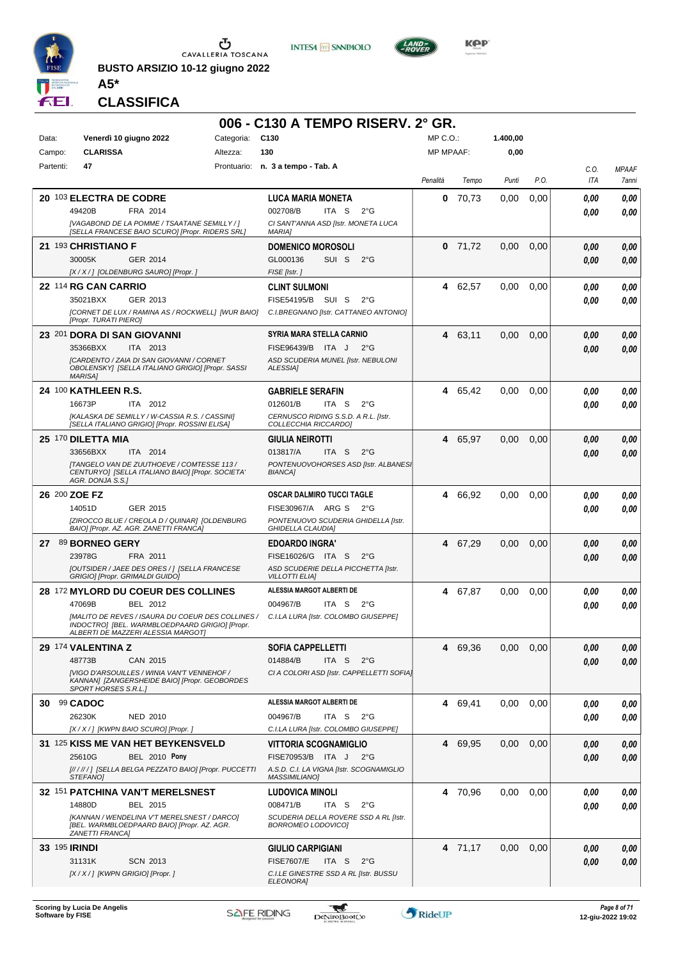

**BUSTO ARSIZIO 10-12 giugno 2022 A5\***





**KOP** 

#### **CLASSIFICA**

|                                                                                                                                           | 006 - C130 A TEMPO RISERV. 2° GR.                                          |                  |         |          |      |              |                       |
|-------------------------------------------------------------------------------------------------------------------------------------------|----------------------------------------------------------------------------|------------------|---------|----------|------|--------------|-----------------------|
| Venerdì 10 giugno 2022<br>Categoria: C130<br>Data:                                                                                        |                                                                            | MP C. O.         |         | 1.400,00 |      |              |                       |
| <b>CLARISSA</b><br>Campo:<br>Altezza:                                                                                                     | 130                                                                        | <b>MP MPAAF:</b> |         | 0,00     |      |              |                       |
| Partenti:<br>47                                                                                                                           | Prontuario: n. 3 a tempo - Tab. A                                          | Penalità         | Tempo   | Punti    | P.O. | C.O.<br>ITA  | <b>MPAAF</b><br>7anni |
| 20 103 ELECTRA DE CODRE                                                                                                                   | <b>LUCA MARIA MONETA</b>                                                   | 0                | 70,73   | 0,00     | 0,00 | 0.00         | 0,00                  |
| 49420B<br>FRA 2014                                                                                                                        | 002708/B<br>ITA S<br>$2^{\circ}$ G                                         |                  |         |          |      | 0.00         | 0.00                  |
| [VAGABOND DE LA POMME / TSAATANE SEMILLY / ]<br>[SELLA FRANCESE BAIO SCURO] [Propr. RIDERS SRL]                                           | CI SANT'ANNA ASD [Istr. MONETA LUCA<br><b>MARIA]</b>                       |                  |         |          |      |              |                       |
| 21 193 CHRISTIANO F                                                                                                                       | <b>DOMENICO MOROSOLI</b>                                                   | 0                | 71,72   | 0,00     | 0,00 | 0.00         | 0,00                  |
| 30005K<br>GER 2014                                                                                                                        | GL000136<br>SUI S<br>$2^{\circ}$ G                                         |                  |         |          |      | 0.00         | 0,00                  |
| [X / X / ] [OLDENBURG SAURO] [Propr. ]                                                                                                    | FISE [Istr.]                                                               |                  |         |          |      |              |                       |
| 22 114 RG CAN CARRIO<br>35021BXX<br>GER 2013                                                                                              | <b>CLINT SULMONI</b><br>FISE54195/B SUI S<br>$2^{\circ}G$                  | 4                | 62,57   | 0,00     | 0,00 | 0.00<br>0.00 | 0,00<br>0.00          |
| [CORNET DE LUX / RAMINA AS / ROCKWELL] [WUR BAIO]<br>[Propr. TURATI PIERO]                                                                | C.I.BREGNANO [Istr. CATTANEO ANTONIO]                                      |                  |         |          |      |              |                       |
| 23 201 DORA DI SAN GIOVANNI                                                                                                               | SYRIA MARA STELLA CARNIO                                                   | 4                | 63,11   | 0.00     | 0.00 | 0.00         | 0,00                  |
| 35366BXX<br>ITA 2013                                                                                                                      | FISE96439/B ITA J<br>$2^{\circ}G$                                          |                  |         |          |      | 0.00         | 0.00                  |
| <b>ICARDENTO / ZAIA DI SAN GIOVANNI / CORNET</b><br>OBOLENSKY] [SELLA ITALIANO GRIGIO] [Propr. SASSI<br><b>MARISA1</b>                    | ASD SCUDERIA MUNEL [Istr. NEBULONI<br>ALESSIA]                             |                  |         |          |      |              |                       |
| 24 100 KATHLEEN R.S.                                                                                                                      | <b>GABRIELE SERAFIN</b>                                                    |                  | 4 65,42 | 0.00     | 0.00 | 0,00         | 0,00                  |
| 16673P<br>ITA 2012                                                                                                                        | 012601/B<br>ITA S<br>$2^{\circ}$ G                                         |                  |         |          |      | 0.00         | 0.00                  |
| [KALASKA DE SEMILLY / W-CASSIA R.S. / CASSINI]<br>[SELLA ITALIANO GRIGIO] [Propr. ROSSINI ELISA]                                          | CERNUSCO RIDING S.S.D. A R.L. [Istr.<br>COLLECCHIA RICCARDO]               |                  |         |          |      |              |                       |
| 25 170 DILETTA MIA                                                                                                                        | <b>GIULIA NEIROTTI</b>                                                     |                  | 4 65,97 | 0,00     | 0.00 | 0.00         | 0,00                  |
| 33656BXX<br>ITA 2014                                                                                                                      | 013817/A<br>ITA S<br>$2^{\circ}$ G                                         |                  |         |          |      | 0.00         | 0.00                  |
| <b>[TANGELO VAN DE ZUUTHOEVE / COMTESSE 113 /</b><br>CENTURYO] [SELLA ITALIANO BAIO] [Propr. SOCIETA'<br>AGR. DONJA S.S.1                 | PONTENUOVOHORSES ASD [Istr. ALBANES]<br><b>BIANCA]</b>                     |                  |         |          |      |              |                       |
| 26 200 ZOE FZ                                                                                                                             | <b>OSCAR DALMIRO TUCCI TAGLE</b>                                           | 4                | 66,92   | 0.00     | 0.00 | 0.00         | 0,00                  |
| 14051D<br>GER 2015                                                                                                                        | FISE30967/A ARG S<br>$2^{\circ}G$                                          |                  |         |          |      | 0.00         | 0.00                  |
| [ZIROCCO BLUE / CREOLA D / QUINAR] [OLDENBURG<br>BAIO] [Propr. AZ. AGR. ZANETTI FRANCA]                                                   | PONTENUOVO SCUDERIA GHIDELLA [Istr.<br>GHIDELLA CLAUDIA]                   |                  |         |          |      |              |                       |
| 89 BORNEO GERY<br>27                                                                                                                      | <b>EDOARDO INGRA'</b>                                                      |                  | 4 67,29 | 0.00     | 0.00 | 0.00         | 0,00                  |
| 23978G<br>FRA 2011                                                                                                                        | FISE16026/G ITA S<br>$2^{\circ}$ G                                         |                  |         |          |      | 0.00         | 0.00                  |
| <b>[OUTSIDER / JAEE DES ORES / ] [SELLA FRANCESE</b><br>GRIGIO] [Propr. GRIMALDI GUIDO]                                                   | ASD SCUDERIE DELLA PICCHETTA [Istr.<br><b>VILLOTTI ELIAI</b>               |                  |         |          |      |              |                       |
| 28 172 MYLORD DU COEUR DES COLLINES                                                                                                       | ALESSIA MARGOT ALBERTI DE                                                  | 4                | 67,87   | 0,00     | 0,00 | 0.00         | 0,00                  |
| 47069B<br>BEL 2012                                                                                                                        | 004967/B<br>ITA S<br>$2^{\circ}G$                                          |                  |         |          |      | 0.00         | 0.00                  |
| [MALITO DE REVES / ISAURA DU COEUR DES COLLINES /<br>INDOCTRO] [BEL. WARMBLOEDPAARD GRIGIO] [Propr.<br>ALBERTI DE MAZZERI ALESSIA MARGOTI | C.I.LA LURA [Istr. COLOMBO GIUSEPPE]                                       |                  |         |          |      |              |                       |
| 29 174 VALENTINA Z                                                                                                                        | <b>SOFIA CAPPELLETTI</b>                                                   |                  | 4 69,36 | 0.00     | 0,00 | 0,00         | 0,00                  |
| 48773B<br>CAN 2015                                                                                                                        | 014884/B<br>ITA S<br>$2^{\circ}$ G                                         |                  |         |          |      | 0.00         | 0,00                  |
| [VIGO D'ARSOUILLES / WINIA VAN'T VENNEHOF /<br>KANNAN] [ZANGERSHEIDE BAIO] [Propr. GEOBORDES<br><b>SPORT HORSES S.R.L.1</b>               | CI A COLORI ASD [Istr. CAPPELLETTI SOFIA]                                  |                  |         |          |      |              |                       |
| 30 99 CADOC                                                                                                                               | ALESSIA MARGOT ALBERTI DE                                                  |                  | 4 69,41 | 0,00     | 0,00 | 0,00         | 0,00                  |
| 26230K<br>NED 2010                                                                                                                        | 004967/B<br>ITA S $2^{\circ}G$                                             |                  |         |          |      | 0.00         | 0,00                  |
| [X / X / ] [KWPN BAIO SCURO] [Propr. ]                                                                                                    | C.I.LA LURA [Istr. COLOMBO GIUSEPPE]                                       |                  |         |          |      |              |                       |
| 31 125 KISS ME VAN HET BEYKENSVELD<br>25610G<br><b>BEL 2010 Pony</b>                                                                      | <b>VITTORIA SCOGNAMIGLIO</b><br>FISE70953/B ITA J 2°G                      |                  | 4 69,95 | 0,00     | 0,00 | 0.00         | 0,00                  |
| [//////] [SELLA BELGA PEZZATO BAIO] [Propr. PUCCETTI                                                                                      | A.S.D. C.I. LA VIGNA [Istr. SCOGNAMIGLIO                                   |                  |         |          |      | 0.00         | 0.00                  |
| STEFANO]                                                                                                                                  | <b>MASSIMILIANO]</b>                                                       |                  |         |          |      |              |                       |
| 32 151 PATCHINA VAN'T MERELSNEST                                                                                                          | <b>LUDOVICA MINOLI</b>                                                     |                  | 4 70,96 | 0,00     | 0.00 | 0.00         | 0,00                  |
| 14880D<br>BEL 2015<br>[KANNAN / WENDELINA V'T MERELSNEST / DARCO]                                                                         | 008471/B<br>ITA S<br>$2^{\circ}G$<br>SCUDERIA DELLA ROVERE SSD A RL [Istr. |                  |         |          |      | 0.00         | 0,00                  |
| [BEL. WARMBLOEDPAARD BAIO] [Propr. AZ. AGR.<br>ZANETTI FRANCA]                                                                            | <b>BORROMEO LODOVICO]</b>                                                  |                  |         |          |      |              |                       |
| 33 195 <b>IRINDI</b>                                                                                                                      | <b>GIULIO CARPIGIANI</b>                                                   |                  | 4 71,17 | 0,00     | 0,00 | 0,00         | 0,00                  |
| 31131K<br><b>SCN 2013</b>                                                                                                                 | <b>FISE7607/E</b><br>ITA S<br>$2^{\circ}$ G                                |                  |         |          |      | 0,00         | 0,00                  |
| $[X/X']$ [KWPN GRIGIO] [Propr. ]                                                                                                          | C.I.LE GINESTRE SSD A RL [Istr. BUSSU<br>ELEONORA]                         |                  |         |          |      |              |                       |

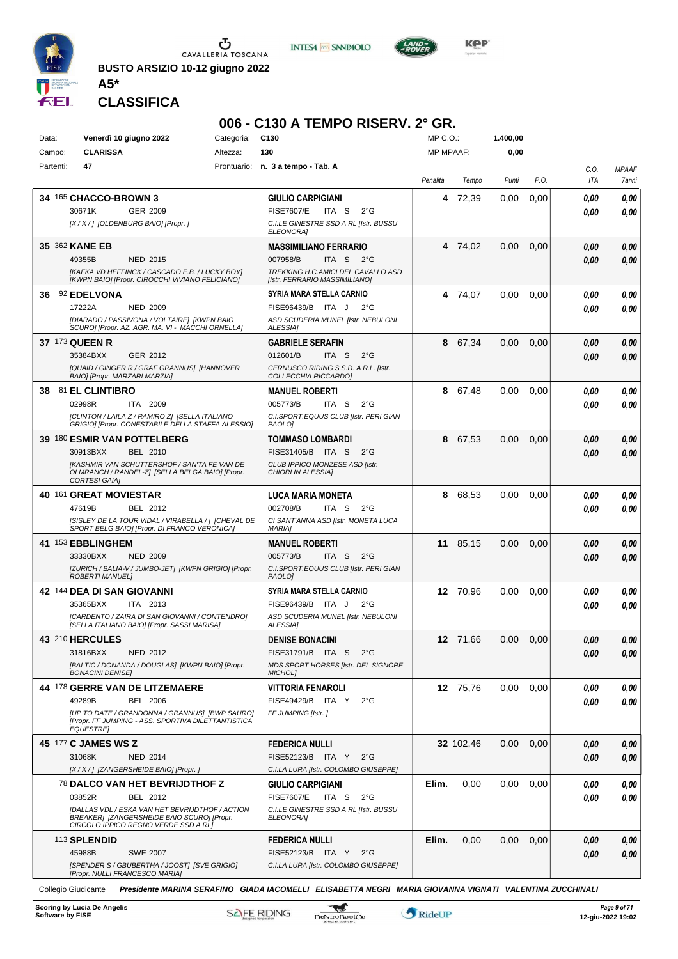

**BUSTO ARSIZIO 10-12 giugno 2022 A5\***





**Kep** 

**CLASSIFICA**

| Venerdì 10 giugno 2022<br>MP C.O.:<br>1.400,00<br>Data:<br>Categoria:<br>C <sub>130</sub><br><b>CLARISSA</b><br><b>MP MPAAF:</b><br>0,00<br>Campo:<br>Altezza:<br>130<br>Partenti:<br>47<br>Prontuario: n. 3 a tempo - Tab. A<br>C.O.<br><b>MPAAF</b><br>P.O.<br>ITA<br>Penalità<br>Punti<br>7anni<br>Tempo<br>34 165 CHACCO-BROWN 3<br><b>GIULIO CARPIGIANI</b><br>72,39<br>0,00<br>0,00<br>0,00<br>4<br>0,00<br>30671K<br>GER 2009<br><b>FISE7607/E</b><br>ITA S<br>$2^{\circ}$ G<br>0,00<br>0.00<br>[X / X / ] [OLDENBURG BAIO] [Propr. ]<br>C.I.LE GINESTRE SSD A RL [Istr. BUSSU<br><b>ELEONORA]</b><br>35 362 KANE EB<br><b>MASSIMILIANO FERRARIO</b><br>4 74.02<br>0,00<br>0,00<br>0,00<br>0,00<br>49355B<br>007958/B<br>ITA S<br><b>NED 2015</b><br>$2^{\circ}G$<br>0,00<br>0,00<br>TREKKING H.C.AMICI DEL CAVALLO ASD<br>[KAFKA VD HEFFINCK / CASCADO E.B. / LUCKY BOY]<br>[KWPN BAIO] [Propr. CIROCCHI VIVIANO FELICIANO]<br>[Istr. FERRARIO MASSIMILIANO]<br>92 EDELVONA<br>SYRIA MARA STELLA CARNIO<br>4 74,07<br>0,00<br>0,00<br>0,00<br>36.<br>0,00<br>17222A<br><b>NED 2009</b><br>FISE96439/B ITA J<br>$2^{\circ}$ G<br>0,00<br>0.00<br>[DIARADO / PASSIVONA / VOLTAIRE] [KWPN BAIO<br>ASD SCUDERIA MUNEL [Istr. NEBULONI<br>SCURO] [Propr. AZ. AGR. MA. VI - MACCHI ORNELLA]<br>ALESSIA]<br>37 173 QUEEN R<br><b>GABRIELE SERAFIN</b><br>0,00<br>0,00<br>0,00<br>8<br>67,34<br>0,00<br>35384BXX<br>012601/B<br>ITA S<br>GER 2012<br>$2^{\circ}G$<br>0,00<br>0,00<br>[QUAID / GINGER R / GRAF GRANNUS] [HANNOVER<br>CERNUSCO RIDING S.S.D. A R.L. [Istr.<br>BAIO] [Propr. MARZARI MARZIA]<br>COLLECCHIA RICCARDO]<br>0,00<br>0,00<br>81 EL CLINTIBRO<br>67,48<br>0,00<br>38<br><b>MANUEL ROBERTI</b><br>8.<br>0,00<br>02998R<br>ITA 2009<br>005773/B<br>ITA S<br>$2^{\circ}$ G<br>0,00<br>0,00<br>C.I.SPORT.EQUUS CLUB [Istr. PERI GIAN<br>[CLINTON / LAILA Z / RAMIRO Z] [SELLA ITALIANO<br>GRIGIO] [Propr. CONESTABILE DELLA STAFFA ALESSIO]<br>PAOLO <sub>1</sub><br><b>39 180 ESMIR VAN POTTELBERG</b><br>8<br>67,53<br>0,00<br>0,00<br><b>TOMMASO LOMBARDI</b><br>0,00<br>0,00<br>30913BXX<br>FISE31405/B ITA S<br><b>BEL 2010</b><br>$2^{\circ}$ G<br>0,00<br>0,00<br><b>IKASHMIR VAN SCHUTTERSHOF / SAN'TA FE VAN DE</b><br>CLUB IPPICO MONZESE ASD [Istr.<br>OLMRANCH / RANDEL-Z] [SELLA BELGA BAIO] [Propr.<br><b>CHIORLIN ALESSIA1</b><br><b>CORTESI GAIA]</b><br>40 161 GREAT MOVIESTAR<br>$\it 0,00$<br>LUCA MARIA MONETA<br>8<br>68,53<br>0,00<br>0,00<br>0,00<br>47619B<br>BEL 2012<br>002708/B<br>ITA S<br>$2^{\circ}$ G<br>0.00<br>0,00<br>[SISLEY DE LA TOUR VIDAL / VIRABELLA / ] [CHEVAL DE<br>CI SANT'ANNA ASD [Istr. MONETA LUCA<br>SPORT BELG BAIO] [Propr. DI FRANCO VERONICA]<br><b>MARIA1</b><br>41 153 EBBLINGHEM<br><b>MANUEL ROBERTI</b><br>11 85,15<br>0,00<br>0,00<br>0,00<br>0,00<br>33330BXX<br><b>NED 2009</b><br>005773/B<br>ITA S<br>$2^{\circ}$ G<br>0.00<br>0,00<br>[ZURICH / BALIA-V / JUMBO-JET] [KWPN GRIGIO] [Propr.<br>C.I.SPORT.EQUUS CLUB [Istr. PERI GIAN<br><b>ROBERTI MANUELI</b><br>PAOLO]<br>42 144 DEA DI SAN GIOVANNI<br>SYRIA MARA STELLA CARNIO<br>12 70,96<br>0.00<br>0,00<br>0,00<br>0,00<br>35365BXX<br>ITA 2013<br>FISE96439/B ITA J<br>$2^{\circ}$ G<br>0.00<br>0,00<br>[CARDENTO / ZAIRA DI SAN GIOVANNI / CONTENDRO]<br>ASD SCUDERIA MUNEL [Istr. NEBULONI<br>[SELLA ITALIANO BAIO] [Propr. SASSI MARISA]<br>ALESSIA]<br>43 210 HERCULES<br>12 71,66<br>0,00<br>0,00<br><b>DENISE BONACINI</b><br>0,00<br>0,00<br>31816BXX<br><b>NED 2012</b><br>FISE31791/B ITA S<br>$2^{\circ}$ G<br>0,00<br>0,00<br>[BALTIC / DONANDA / DOUGLAS] [KWPN BAIO] [Propr.<br>MDS SPORT HORSES [Istr. DEL SIGNORE<br><b>BONACINI DENISEI</b><br>MICHOL]<br>44 178 GERRE VAN DE LITZEMAERE<br><b>VITTORIA FENAROLI</b><br>12 75,76<br>0,00<br>0,00<br>0,00<br>0.00<br>49289B<br><b>BEL 2006</b><br>FISE49429/B ITA Y<br>$2^{\circ}$ G<br>0,00<br>0,00<br>[UP TO DATE / GRANDONNA / GRANNUS] [BWP SAURO]<br>FF JUMPING [Istr.]<br>[Propr. FF JUMPING - ASS. SPORTIVA DILETTANTISTICA<br><b>EQUESTRE]</b><br>45 177 C JAMES WS Z<br>32 102,46<br>0,00<br>0,00<br><b>FEDERICA NULLI</b><br>0,00<br>0,00<br>31068K<br><b>NED 2014</b><br>FISE52123/B ITA Y<br>$2^{\circ}$ G<br>0,00<br>0,00<br>[X / X / ] [ZANGERSHEIDE BAIO] [Propr.]<br>C.I.LA LURA [Istr. COLOMBO GIUSEPPE]<br>Elim.<br>0,00<br>0,00<br>0,00<br><b>78 DALCO VAN HET BEVRIJDTHOF Z</b><br><b>GIULIO CARPIGIANI</b><br>0,00<br>0,00<br>03852R<br>BEL 2012<br><b>FISE7607/E</b><br>ITA S<br>$2^{\circ}$ G<br>0,00<br>0,00<br>[DALLAS VDL / ESKA VAN HET BEVRIJDTHOF / ACTION<br>C.I.LE GINESTRE SSD A RL [Istr. BUSSU<br>BREAKER] [ZANGERSHEIDE BAIO SCURO] [Propr.<br>ELEONORA]<br>CIRCOLO IPPICO REGNO VERDE SSD A RL]<br>113 SPLENDID<br><b>FEDERICA NULLI</b><br>Elim.<br>0,00<br>0,00<br>0,00<br>0,00<br>0,00<br>45988B<br><b>SWE 2007</b><br>FISE52123/B ITA Y<br>$2^{\circ}$ G<br>0,00<br>0,00<br>[SPENDER S / GBUBERTHA / JOOST] [SVE GRIGIO]<br>C.I.LA LURA [Istr. COLOMBO GIUSEPPE]<br>[Propr. NULLI FRANCESCO MARIA] |  | 006 - C130 A TEMPO RISERV, 2° GR. |  |  |  |
|-----------------------------------------------------------------------------------------------------------------------------------------------------------------------------------------------------------------------------------------------------------------------------------------------------------------------------------------------------------------------------------------------------------------------------------------------------------------------------------------------------------------------------------------------------------------------------------------------------------------------------------------------------------------------------------------------------------------------------------------------------------------------------------------------------------------------------------------------------------------------------------------------------------------------------------------------------------------------------------------------------------------------------------------------------------------------------------------------------------------------------------------------------------------------------------------------------------------------------------------------------------------------------------------------------------------------------------------------------------------------------------------------------------------------------------------------------------------------------------------------------------------------------------------------------------------------------------------------------------------------------------------------------------------------------------------------------------------------------------------------------------------------------------------------------------------------------------------------------------------------------------------------------------------------------------------------------------------------------------------------------------------------------------------------------------------------------------------------------------------------------------------------------------------------------------------------------------------------------------------------------------------------------------------------------------------------------------------------------------------------------------------------------------------------------------------------------------------------------------------------------------------------------------------------------------------------------------------------------------------------------------------------------------------------------------------------------------------------------------------------------------------------------------------------------------------------------------------------------------------------------------------------------------------------------------------------------------------------------------------------------------------------------------------------------------------------------------------------------------------------------------------------------------------------------------------------------------------------------------------------------------------------------------------------------------------------------------------------------------------------------------------------------------------------------------------------------------------------------------------------------------------------------------------------------------------------------------------------------------------------------------------------------------------------------------------------------------------------------------------------------------------------------------------------------------------------------------------------------------------------------------------------------------------------------------------------------------------------------------------------------------------------------------------------------------------------------------------------------------------------------------------------------------------------------------------------------------------------------------------------------------------------------------------------------------------------------------------------------------------------------------------------------------------------------------------------------------------------------------------------------------------------------------------------------------------------------------------------------------------------------------------------------------------------------------------------------------------------------------------------------------------------------------------------------------------------------------------------------------------------------------------------------------------------------------------------------------------------------------------------------------------------------------------------------|--|-----------------------------------|--|--|--|
|                                                                                                                                                                                                                                                                                                                                                                                                                                                                                                                                                                                                                                                                                                                                                                                                                                                                                                                                                                                                                                                                                                                                                                                                                                                                                                                                                                                                                                                                                                                                                                                                                                                                                                                                                                                                                                                                                                                                                                                                                                                                                                                                                                                                                                                                                                                                                                                                                                                                                                                                                                                                                                                                                                                                                                                                                                                                                                                                                                                                                                                                                                                                                                                                                                                                                                                                                                                                                                                                                                                                                                                                                                                                                                                                                                                                                                                                                                                                                                                                                                                                                                                                                                                                                                                                                                                                                                                                                                                                                                                                                                                                                                                                                                                                                                                                                                                                                                                                                                                                                                                     |  |                                   |  |  |  |
|                                                                                                                                                                                                                                                                                                                                                                                                                                                                                                                                                                                                                                                                                                                                                                                                                                                                                                                                                                                                                                                                                                                                                                                                                                                                                                                                                                                                                                                                                                                                                                                                                                                                                                                                                                                                                                                                                                                                                                                                                                                                                                                                                                                                                                                                                                                                                                                                                                                                                                                                                                                                                                                                                                                                                                                                                                                                                                                                                                                                                                                                                                                                                                                                                                                                                                                                                                                                                                                                                                                                                                                                                                                                                                                                                                                                                                                                                                                                                                                                                                                                                                                                                                                                                                                                                                                                                                                                                                                                                                                                                                                                                                                                                                                                                                                                                                                                                                                                                                                                                                                     |  |                                   |  |  |  |
|                                                                                                                                                                                                                                                                                                                                                                                                                                                                                                                                                                                                                                                                                                                                                                                                                                                                                                                                                                                                                                                                                                                                                                                                                                                                                                                                                                                                                                                                                                                                                                                                                                                                                                                                                                                                                                                                                                                                                                                                                                                                                                                                                                                                                                                                                                                                                                                                                                                                                                                                                                                                                                                                                                                                                                                                                                                                                                                                                                                                                                                                                                                                                                                                                                                                                                                                                                                                                                                                                                                                                                                                                                                                                                                                                                                                                                                                                                                                                                                                                                                                                                                                                                                                                                                                                                                                                                                                                                                                                                                                                                                                                                                                                                                                                                                                                                                                                                                                                                                                                                                     |  |                                   |  |  |  |
|                                                                                                                                                                                                                                                                                                                                                                                                                                                                                                                                                                                                                                                                                                                                                                                                                                                                                                                                                                                                                                                                                                                                                                                                                                                                                                                                                                                                                                                                                                                                                                                                                                                                                                                                                                                                                                                                                                                                                                                                                                                                                                                                                                                                                                                                                                                                                                                                                                                                                                                                                                                                                                                                                                                                                                                                                                                                                                                                                                                                                                                                                                                                                                                                                                                                                                                                                                                                                                                                                                                                                                                                                                                                                                                                                                                                                                                                                                                                                                                                                                                                                                                                                                                                                                                                                                                                                                                                                                                                                                                                                                                                                                                                                                                                                                                                                                                                                                                                                                                                                                                     |  |                                   |  |  |  |
|                                                                                                                                                                                                                                                                                                                                                                                                                                                                                                                                                                                                                                                                                                                                                                                                                                                                                                                                                                                                                                                                                                                                                                                                                                                                                                                                                                                                                                                                                                                                                                                                                                                                                                                                                                                                                                                                                                                                                                                                                                                                                                                                                                                                                                                                                                                                                                                                                                                                                                                                                                                                                                                                                                                                                                                                                                                                                                                                                                                                                                                                                                                                                                                                                                                                                                                                                                                                                                                                                                                                                                                                                                                                                                                                                                                                                                                                                                                                                                                                                                                                                                                                                                                                                                                                                                                                                                                                                                                                                                                                                                                                                                                                                                                                                                                                                                                                                                                                                                                                                                                     |  |                                   |  |  |  |
|                                                                                                                                                                                                                                                                                                                                                                                                                                                                                                                                                                                                                                                                                                                                                                                                                                                                                                                                                                                                                                                                                                                                                                                                                                                                                                                                                                                                                                                                                                                                                                                                                                                                                                                                                                                                                                                                                                                                                                                                                                                                                                                                                                                                                                                                                                                                                                                                                                                                                                                                                                                                                                                                                                                                                                                                                                                                                                                                                                                                                                                                                                                                                                                                                                                                                                                                                                                                                                                                                                                                                                                                                                                                                                                                                                                                                                                                                                                                                                                                                                                                                                                                                                                                                                                                                                                                                                                                                                                                                                                                                                                                                                                                                                                                                                                                                                                                                                                                                                                                                                                     |  |                                   |  |  |  |
|                                                                                                                                                                                                                                                                                                                                                                                                                                                                                                                                                                                                                                                                                                                                                                                                                                                                                                                                                                                                                                                                                                                                                                                                                                                                                                                                                                                                                                                                                                                                                                                                                                                                                                                                                                                                                                                                                                                                                                                                                                                                                                                                                                                                                                                                                                                                                                                                                                                                                                                                                                                                                                                                                                                                                                                                                                                                                                                                                                                                                                                                                                                                                                                                                                                                                                                                                                                                                                                                                                                                                                                                                                                                                                                                                                                                                                                                                                                                                                                                                                                                                                                                                                                                                                                                                                                                                                                                                                                                                                                                                                                                                                                                                                                                                                                                                                                                                                                                                                                                                                                     |  |                                   |  |  |  |
|                                                                                                                                                                                                                                                                                                                                                                                                                                                                                                                                                                                                                                                                                                                                                                                                                                                                                                                                                                                                                                                                                                                                                                                                                                                                                                                                                                                                                                                                                                                                                                                                                                                                                                                                                                                                                                                                                                                                                                                                                                                                                                                                                                                                                                                                                                                                                                                                                                                                                                                                                                                                                                                                                                                                                                                                                                                                                                                                                                                                                                                                                                                                                                                                                                                                                                                                                                                                                                                                                                                                                                                                                                                                                                                                                                                                                                                                                                                                                                                                                                                                                                                                                                                                                                                                                                                                                                                                                                                                                                                                                                                                                                                                                                                                                                                                                                                                                                                                                                                                                                                     |  |                                   |  |  |  |
|                                                                                                                                                                                                                                                                                                                                                                                                                                                                                                                                                                                                                                                                                                                                                                                                                                                                                                                                                                                                                                                                                                                                                                                                                                                                                                                                                                                                                                                                                                                                                                                                                                                                                                                                                                                                                                                                                                                                                                                                                                                                                                                                                                                                                                                                                                                                                                                                                                                                                                                                                                                                                                                                                                                                                                                                                                                                                                                                                                                                                                                                                                                                                                                                                                                                                                                                                                                                                                                                                                                                                                                                                                                                                                                                                                                                                                                                                                                                                                                                                                                                                                                                                                                                                                                                                                                                                                                                                                                                                                                                                                                                                                                                                                                                                                                                                                                                                                                                                                                                                                                     |  |                                   |  |  |  |
|                                                                                                                                                                                                                                                                                                                                                                                                                                                                                                                                                                                                                                                                                                                                                                                                                                                                                                                                                                                                                                                                                                                                                                                                                                                                                                                                                                                                                                                                                                                                                                                                                                                                                                                                                                                                                                                                                                                                                                                                                                                                                                                                                                                                                                                                                                                                                                                                                                                                                                                                                                                                                                                                                                                                                                                                                                                                                                                                                                                                                                                                                                                                                                                                                                                                                                                                                                                                                                                                                                                                                                                                                                                                                                                                                                                                                                                                                                                                                                                                                                                                                                                                                                                                                                                                                                                                                                                                                                                                                                                                                                                                                                                                                                                                                                                                                                                                                                                                                                                                                                                     |  |                                   |  |  |  |
|                                                                                                                                                                                                                                                                                                                                                                                                                                                                                                                                                                                                                                                                                                                                                                                                                                                                                                                                                                                                                                                                                                                                                                                                                                                                                                                                                                                                                                                                                                                                                                                                                                                                                                                                                                                                                                                                                                                                                                                                                                                                                                                                                                                                                                                                                                                                                                                                                                                                                                                                                                                                                                                                                                                                                                                                                                                                                                                                                                                                                                                                                                                                                                                                                                                                                                                                                                                                                                                                                                                                                                                                                                                                                                                                                                                                                                                                                                                                                                                                                                                                                                                                                                                                                                                                                                                                                                                                                                                                                                                                                                                                                                                                                                                                                                                                                                                                                                                                                                                                                                                     |  |                                   |  |  |  |
|                                                                                                                                                                                                                                                                                                                                                                                                                                                                                                                                                                                                                                                                                                                                                                                                                                                                                                                                                                                                                                                                                                                                                                                                                                                                                                                                                                                                                                                                                                                                                                                                                                                                                                                                                                                                                                                                                                                                                                                                                                                                                                                                                                                                                                                                                                                                                                                                                                                                                                                                                                                                                                                                                                                                                                                                                                                                                                                                                                                                                                                                                                                                                                                                                                                                                                                                                                                                                                                                                                                                                                                                                                                                                                                                                                                                                                                                                                                                                                                                                                                                                                                                                                                                                                                                                                                                                                                                                                                                                                                                                                                                                                                                                                                                                                                                                                                                                                                                                                                                                                                     |  |                                   |  |  |  |
|                                                                                                                                                                                                                                                                                                                                                                                                                                                                                                                                                                                                                                                                                                                                                                                                                                                                                                                                                                                                                                                                                                                                                                                                                                                                                                                                                                                                                                                                                                                                                                                                                                                                                                                                                                                                                                                                                                                                                                                                                                                                                                                                                                                                                                                                                                                                                                                                                                                                                                                                                                                                                                                                                                                                                                                                                                                                                                                                                                                                                                                                                                                                                                                                                                                                                                                                                                                                                                                                                                                                                                                                                                                                                                                                                                                                                                                                                                                                                                                                                                                                                                                                                                                                                                                                                                                                                                                                                                                                                                                                                                                                                                                                                                                                                                                                                                                                                                                                                                                                                                                     |  |                                   |  |  |  |
|                                                                                                                                                                                                                                                                                                                                                                                                                                                                                                                                                                                                                                                                                                                                                                                                                                                                                                                                                                                                                                                                                                                                                                                                                                                                                                                                                                                                                                                                                                                                                                                                                                                                                                                                                                                                                                                                                                                                                                                                                                                                                                                                                                                                                                                                                                                                                                                                                                                                                                                                                                                                                                                                                                                                                                                                                                                                                                                                                                                                                                                                                                                                                                                                                                                                                                                                                                                                                                                                                                                                                                                                                                                                                                                                                                                                                                                                                                                                                                                                                                                                                                                                                                                                                                                                                                                                                                                                                                                                                                                                                                                                                                                                                                                                                                                                                                                                                                                                                                                                                                                     |  |                                   |  |  |  |
|                                                                                                                                                                                                                                                                                                                                                                                                                                                                                                                                                                                                                                                                                                                                                                                                                                                                                                                                                                                                                                                                                                                                                                                                                                                                                                                                                                                                                                                                                                                                                                                                                                                                                                                                                                                                                                                                                                                                                                                                                                                                                                                                                                                                                                                                                                                                                                                                                                                                                                                                                                                                                                                                                                                                                                                                                                                                                                                                                                                                                                                                                                                                                                                                                                                                                                                                                                                                                                                                                                                                                                                                                                                                                                                                                                                                                                                                                                                                                                                                                                                                                                                                                                                                                                                                                                                                                                                                                                                                                                                                                                                                                                                                                                                                                                                                                                                                                                                                                                                                                                                     |  |                                   |  |  |  |
|                                                                                                                                                                                                                                                                                                                                                                                                                                                                                                                                                                                                                                                                                                                                                                                                                                                                                                                                                                                                                                                                                                                                                                                                                                                                                                                                                                                                                                                                                                                                                                                                                                                                                                                                                                                                                                                                                                                                                                                                                                                                                                                                                                                                                                                                                                                                                                                                                                                                                                                                                                                                                                                                                                                                                                                                                                                                                                                                                                                                                                                                                                                                                                                                                                                                                                                                                                                                                                                                                                                                                                                                                                                                                                                                                                                                                                                                                                                                                                                                                                                                                                                                                                                                                                                                                                                                                                                                                                                                                                                                                                                                                                                                                                                                                                                                                                                                                                                                                                                                                                                     |  |                                   |  |  |  |
|                                                                                                                                                                                                                                                                                                                                                                                                                                                                                                                                                                                                                                                                                                                                                                                                                                                                                                                                                                                                                                                                                                                                                                                                                                                                                                                                                                                                                                                                                                                                                                                                                                                                                                                                                                                                                                                                                                                                                                                                                                                                                                                                                                                                                                                                                                                                                                                                                                                                                                                                                                                                                                                                                                                                                                                                                                                                                                                                                                                                                                                                                                                                                                                                                                                                                                                                                                                                                                                                                                                                                                                                                                                                                                                                                                                                                                                                                                                                                                                                                                                                                                                                                                                                                                                                                                                                                                                                                                                                                                                                                                                                                                                                                                                                                                                                                                                                                                                                                                                                                                                     |  |                                   |  |  |  |
|                                                                                                                                                                                                                                                                                                                                                                                                                                                                                                                                                                                                                                                                                                                                                                                                                                                                                                                                                                                                                                                                                                                                                                                                                                                                                                                                                                                                                                                                                                                                                                                                                                                                                                                                                                                                                                                                                                                                                                                                                                                                                                                                                                                                                                                                                                                                                                                                                                                                                                                                                                                                                                                                                                                                                                                                                                                                                                                                                                                                                                                                                                                                                                                                                                                                                                                                                                                                                                                                                                                                                                                                                                                                                                                                                                                                                                                                                                                                                                                                                                                                                                                                                                                                                                                                                                                                                                                                                                                                                                                                                                                                                                                                                                                                                                                                                                                                                                                                                                                                                                                     |  |                                   |  |  |  |
|                                                                                                                                                                                                                                                                                                                                                                                                                                                                                                                                                                                                                                                                                                                                                                                                                                                                                                                                                                                                                                                                                                                                                                                                                                                                                                                                                                                                                                                                                                                                                                                                                                                                                                                                                                                                                                                                                                                                                                                                                                                                                                                                                                                                                                                                                                                                                                                                                                                                                                                                                                                                                                                                                                                                                                                                                                                                                                                                                                                                                                                                                                                                                                                                                                                                                                                                                                                                                                                                                                                                                                                                                                                                                                                                                                                                                                                                                                                                                                                                                                                                                                                                                                                                                                                                                                                                                                                                                                                                                                                                                                                                                                                                                                                                                                                                                                                                                                                                                                                                                                                     |  |                                   |  |  |  |
|                                                                                                                                                                                                                                                                                                                                                                                                                                                                                                                                                                                                                                                                                                                                                                                                                                                                                                                                                                                                                                                                                                                                                                                                                                                                                                                                                                                                                                                                                                                                                                                                                                                                                                                                                                                                                                                                                                                                                                                                                                                                                                                                                                                                                                                                                                                                                                                                                                                                                                                                                                                                                                                                                                                                                                                                                                                                                                                                                                                                                                                                                                                                                                                                                                                                                                                                                                                                                                                                                                                                                                                                                                                                                                                                                                                                                                                                                                                                                                                                                                                                                                                                                                                                                                                                                                                                                                                                                                                                                                                                                                                                                                                                                                                                                                                                                                                                                                                                                                                                                                                     |  |                                   |  |  |  |
|                                                                                                                                                                                                                                                                                                                                                                                                                                                                                                                                                                                                                                                                                                                                                                                                                                                                                                                                                                                                                                                                                                                                                                                                                                                                                                                                                                                                                                                                                                                                                                                                                                                                                                                                                                                                                                                                                                                                                                                                                                                                                                                                                                                                                                                                                                                                                                                                                                                                                                                                                                                                                                                                                                                                                                                                                                                                                                                                                                                                                                                                                                                                                                                                                                                                                                                                                                                                                                                                                                                                                                                                                                                                                                                                                                                                                                                                                                                                                                                                                                                                                                                                                                                                                                                                                                                                                                                                                                                                                                                                                                                                                                                                                                                                                                                                                                                                                                                                                                                                                                                     |  |                                   |  |  |  |
|                                                                                                                                                                                                                                                                                                                                                                                                                                                                                                                                                                                                                                                                                                                                                                                                                                                                                                                                                                                                                                                                                                                                                                                                                                                                                                                                                                                                                                                                                                                                                                                                                                                                                                                                                                                                                                                                                                                                                                                                                                                                                                                                                                                                                                                                                                                                                                                                                                                                                                                                                                                                                                                                                                                                                                                                                                                                                                                                                                                                                                                                                                                                                                                                                                                                                                                                                                                                                                                                                                                                                                                                                                                                                                                                                                                                                                                                                                                                                                                                                                                                                                                                                                                                                                                                                                                                                                                                                                                                                                                                                                                                                                                                                                                                                                                                                                                                                                                                                                                                                                                     |  |                                   |  |  |  |
|                                                                                                                                                                                                                                                                                                                                                                                                                                                                                                                                                                                                                                                                                                                                                                                                                                                                                                                                                                                                                                                                                                                                                                                                                                                                                                                                                                                                                                                                                                                                                                                                                                                                                                                                                                                                                                                                                                                                                                                                                                                                                                                                                                                                                                                                                                                                                                                                                                                                                                                                                                                                                                                                                                                                                                                                                                                                                                                                                                                                                                                                                                                                                                                                                                                                                                                                                                                                                                                                                                                                                                                                                                                                                                                                                                                                                                                                                                                                                                                                                                                                                                                                                                                                                                                                                                                                                                                                                                                                                                                                                                                                                                                                                                                                                                                                                                                                                                                                                                                                                                                     |  |                                   |  |  |  |
|                                                                                                                                                                                                                                                                                                                                                                                                                                                                                                                                                                                                                                                                                                                                                                                                                                                                                                                                                                                                                                                                                                                                                                                                                                                                                                                                                                                                                                                                                                                                                                                                                                                                                                                                                                                                                                                                                                                                                                                                                                                                                                                                                                                                                                                                                                                                                                                                                                                                                                                                                                                                                                                                                                                                                                                                                                                                                                                                                                                                                                                                                                                                                                                                                                                                                                                                                                                                                                                                                                                                                                                                                                                                                                                                                                                                                                                                                                                                                                                                                                                                                                                                                                                                                                                                                                                                                                                                                                                                                                                                                                                                                                                                                                                                                                                                                                                                                                                                                                                                                                                     |  |                                   |  |  |  |
|                                                                                                                                                                                                                                                                                                                                                                                                                                                                                                                                                                                                                                                                                                                                                                                                                                                                                                                                                                                                                                                                                                                                                                                                                                                                                                                                                                                                                                                                                                                                                                                                                                                                                                                                                                                                                                                                                                                                                                                                                                                                                                                                                                                                                                                                                                                                                                                                                                                                                                                                                                                                                                                                                                                                                                                                                                                                                                                                                                                                                                                                                                                                                                                                                                                                                                                                                                                                                                                                                                                                                                                                                                                                                                                                                                                                                                                                                                                                                                                                                                                                                                                                                                                                                                                                                                                                                                                                                                                                                                                                                                                                                                                                                                                                                                                                                                                                                                                                                                                                                                                     |  |                                   |  |  |  |
|                                                                                                                                                                                                                                                                                                                                                                                                                                                                                                                                                                                                                                                                                                                                                                                                                                                                                                                                                                                                                                                                                                                                                                                                                                                                                                                                                                                                                                                                                                                                                                                                                                                                                                                                                                                                                                                                                                                                                                                                                                                                                                                                                                                                                                                                                                                                                                                                                                                                                                                                                                                                                                                                                                                                                                                                                                                                                                                                                                                                                                                                                                                                                                                                                                                                                                                                                                                                                                                                                                                                                                                                                                                                                                                                                                                                                                                                                                                                                                                                                                                                                                                                                                                                                                                                                                                                                                                                                                                                                                                                                                                                                                                                                                                                                                                                                                                                                                                                                                                                                                                     |  |                                   |  |  |  |
|                                                                                                                                                                                                                                                                                                                                                                                                                                                                                                                                                                                                                                                                                                                                                                                                                                                                                                                                                                                                                                                                                                                                                                                                                                                                                                                                                                                                                                                                                                                                                                                                                                                                                                                                                                                                                                                                                                                                                                                                                                                                                                                                                                                                                                                                                                                                                                                                                                                                                                                                                                                                                                                                                                                                                                                                                                                                                                                                                                                                                                                                                                                                                                                                                                                                                                                                                                                                                                                                                                                                                                                                                                                                                                                                                                                                                                                                                                                                                                                                                                                                                                                                                                                                                                                                                                                                                                                                                                                                                                                                                                                                                                                                                                                                                                                                                                                                                                                                                                                                                                                     |  |                                   |  |  |  |
|                                                                                                                                                                                                                                                                                                                                                                                                                                                                                                                                                                                                                                                                                                                                                                                                                                                                                                                                                                                                                                                                                                                                                                                                                                                                                                                                                                                                                                                                                                                                                                                                                                                                                                                                                                                                                                                                                                                                                                                                                                                                                                                                                                                                                                                                                                                                                                                                                                                                                                                                                                                                                                                                                                                                                                                                                                                                                                                                                                                                                                                                                                                                                                                                                                                                                                                                                                                                                                                                                                                                                                                                                                                                                                                                                                                                                                                                                                                                                                                                                                                                                                                                                                                                                                                                                                                                                                                                                                                                                                                                                                                                                                                                                                                                                                                                                                                                                                                                                                                                                                                     |  |                                   |  |  |  |
|                                                                                                                                                                                                                                                                                                                                                                                                                                                                                                                                                                                                                                                                                                                                                                                                                                                                                                                                                                                                                                                                                                                                                                                                                                                                                                                                                                                                                                                                                                                                                                                                                                                                                                                                                                                                                                                                                                                                                                                                                                                                                                                                                                                                                                                                                                                                                                                                                                                                                                                                                                                                                                                                                                                                                                                                                                                                                                                                                                                                                                                                                                                                                                                                                                                                                                                                                                                                                                                                                                                                                                                                                                                                                                                                                                                                                                                                                                                                                                                                                                                                                                                                                                                                                                                                                                                                                                                                                                                                                                                                                                                                                                                                                                                                                                                                                                                                                                                                                                                                                                                     |  |                                   |  |  |  |
|                                                                                                                                                                                                                                                                                                                                                                                                                                                                                                                                                                                                                                                                                                                                                                                                                                                                                                                                                                                                                                                                                                                                                                                                                                                                                                                                                                                                                                                                                                                                                                                                                                                                                                                                                                                                                                                                                                                                                                                                                                                                                                                                                                                                                                                                                                                                                                                                                                                                                                                                                                                                                                                                                                                                                                                                                                                                                                                                                                                                                                                                                                                                                                                                                                                                                                                                                                                                                                                                                                                                                                                                                                                                                                                                                                                                                                                                                                                                                                                                                                                                                                                                                                                                                                                                                                                                                                                                                                                                                                                                                                                                                                                                                                                                                                                                                                                                                                                                                                                                                                                     |  |                                   |  |  |  |
|                                                                                                                                                                                                                                                                                                                                                                                                                                                                                                                                                                                                                                                                                                                                                                                                                                                                                                                                                                                                                                                                                                                                                                                                                                                                                                                                                                                                                                                                                                                                                                                                                                                                                                                                                                                                                                                                                                                                                                                                                                                                                                                                                                                                                                                                                                                                                                                                                                                                                                                                                                                                                                                                                                                                                                                                                                                                                                                                                                                                                                                                                                                                                                                                                                                                                                                                                                                                                                                                                                                                                                                                                                                                                                                                                                                                                                                                                                                                                                                                                                                                                                                                                                                                                                                                                                                                                                                                                                                                                                                                                                                                                                                                                                                                                                                                                                                                                                                                                                                                                                                     |  |                                   |  |  |  |
|                                                                                                                                                                                                                                                                                                                                                                                                                                                                                                                                                                                                                                                                                                                                                                                                                                                                                                                                                                                                                                                                                                                                                                                                                                                                                                                                                                                                                                                                                                                                                                                                                                                                                                                                                                                                                                                                                                                                                                                                                                                                                                                                                                                                                                                                                                                                                                                                                                                                                                                                                                                                                                                                                                                                                                                                                                                                                                                                                                                                                                                                                                                                                                                                                                                                                                                                                                                                                                                                                                                                                                                                                                                                                                                                                                                                                                                                                                                                                                                                                                                                                                                                                                                                                                                                                                                                                                                                                                                                                                                                                                                                                                                                                                                                                                                                                                                                                                                                                                                                                                                     |  |                                   |  |  |  |
|                                                                                                                                                                                                                                                                                                                                                                                                                                                                                                                                                                                                                                                                                                                                                                                                                                                                                                                                                                                                                                                                                                                                                                                                                                                                                                                                                                                                                                                                                                                                                                                                                                                                                                                                                                                                                                                                                                                                                                                                                                                                                                                                                                                                                                                                                                                                                                                                                                                                                                                                                                                                                                                                                                                                                                                                                                                                                                                                                                                                                                                                                                                                                                                                                                                                                                                                                                                                                                                                                                                                                                                                                                                                                                                                                                                                                                                                                                                                                                                                                                                                                                                                                                                                                                                                                                                                                                                                                                                                                                                                                                                                                                                                                                                                                                                                                                                                                                                                                                                                                                                     |  |                                   |  |  |  |
|                                                                                                                                                                                                                                                                                                                                                                                                                                                                                                                                                                                                                                                                                                                                                                                                                                                                                                                                                                                                                                                                                                                                                                                                                                                                                                                                                                                                                                                                                                                                                                                                                                                                                                                                                                                                                                                                                                                                                                                                                                                                                                                                                                                                                                                                                                                                                                                                                                                                                                                                                                                                                                                                                                                                                                                                                                                                                                                                                                                                                                                                                                                                                                                                                                                                                                                                                                                                                                                                                                                                                                                                                                                                                                                                                                                                                                                                                                                                                                                                                                                                                                                                                                                                                                                                                                                                                                                                                                                                                                                                                                                                                                                                                                                                                                                                                                                                                                                                                                                                                                                     |  |                                   |  |  |  |
|                                                                                                                                                                                                                                                                                                                                                                                                                                                                                                                                                                                                                                                                                                                                                                                                                                                                                                                                                                                                                                                                                                                                                                                                                                                                                                                                                                                                                                                                                                                                                                                                                                                                                                                                                                                                                                                                                                                                                                                                                                                                                                                                                                                                                                                                                                                                                                                                                                                                                                                                                                                                                                                                                                                                                                                                                                                                                                                                                                                                                                                                                                                                                                                                                                                                                                                                                                                                                                                                                                                                                                                                                                                                                                                                                                                                                                                                                                                                                                                                                                                                                                                                                                                                                                                                                                                                                                                                                                                                                                                                                                                                                                                                                                                                                                                                                                                                                                                                                                                                                                                     |  |                                   |  |  |  |
|                                                                                                                                                                                                                                                                                                                                                                                                                                                                                                                                                                                                                                                                                                                                                                                                                                                                                                                                                                                                                                                                                                                                                                                                                                                                                                                                                                                                                                                                                                                                                                                                                                                                                                                                                                                                                                                                                                                                                                                                                                                                                                                                                                                                                                                                                                                                                                                                                                                                                                                                                                                                                                                                                                                                                                                                                                                                                                                                                                                                                                                                                                                                                                                                                                                                                                                                                                                                                                                                                                                                                                                                                                                                                                                                                                                                                                                                                                                                                                                                                                                                                                                                                                                                                                                                                                                                                                                                                                                                                                                                                                                                                                                                                                                                                                                                                                                                                                                                                                                                                                                     |  |                                   |  |  |  |
|                                                                                                                                                                                                                                                                                                                                                                                                                                                                                                                                                                                                                                                                                                                                                                                                                                                                                                                                                                                                                                                                                                                                                                                                                                                                                                                                                                                                                                                                                                                                                                                                                                                                                                                                                                                                                                                                                                                                                                                                                                                                                                                                                                                                                                                                                                                                                                                                                                                                                                                                                                                                                                                                                                                                                                                                                                                                                                                                                                                                                                                                                                                                                                                                                                                                                                                                                                                                                                                                                                                                                                                                                                                                                                                                                                                                                                                                                                                                                                                                                                                                                                                                                                                                                                                                                                                                                                                                                                                                                                                                                                                                                                                                                                                                                                                                                                                                                                                                                                                                                                                     |  |                                   |  |  |  |
|                                                                                                                                                                                                                                                                                                                                                                                                                                                                                                                                                                                                                                                                                                                                                                                                                                                                                                                                                                                                                                                                                                                                                                                                                                                                                                                                                                                                                                                                                                                                                                                                                                                                                                                                                                                                                                                                                                                                                                                                                                                                                                                                                                                                                                                                                                                                                                                                                                                                                                                                                                                                                                                                                                                                                                                                                                                                                                                                                                                                                                                                                                                                                                                                                                                                                                                                                                                                                                                                                                                                                                                                                                                                                                                                                                                                                                                                                                                                                                                                                                                                                                                                                                                                                                                                                                                                                                                                                                                                                                                                                                                                                                                                                                                                                                                                                                                                                                                                                                                                                                                     |  |                                   |  |  |  |
|                                                                                                                                                                                                                                                                                                                                                                                                                                                                                                                                                                                                                                                                                                                                                                                                                                                                                                                                                                                                                                                                                                                                                                                                                                                                                                                                                                                                                                                                                                                                                                                                                                                                                                                                                                                                                                                                                                                                                                                                                                                                                                                                                                                                                                                                                                                                                                                                                                                                                                                                                                                                                                                                                                                                                                                                                                                                                                                                                                                                                                                                                                                                                                                                                                                                                                                                                                                                                                                                                                                                                                                                                                                                                                                                                                                                                                                                                                                                                                                                                                                                                                                                                                                                                                                                                                                                                                                                                                                                                                                                                                                                                                                                                                                                                                                                                                                                                                                                                                                                                                                     |  |                                   |  |  |  |
|                                                                                                                                                                                                                                                                                                                                                                                                                                                                                                                                                                                                                                                                                                                                                                                                                                                                                                                                                                                                                                                                                                                                                                                                                                                                                                                                                                                                                                                                                                                                                                                                                                                                                                                                                                                                                                                                                                                                                                                                                                                                                                                                                                                                                                                                                                                                                                                                                                                                                                                                                                                                                                                                                                                                                                                                                                                                                                                                                                                                                                                                                                                                                                                                                                                                                                                                                                                                                                                                                                                                                                                                                                                                                                                                                                                                                                                                                                                                                                                                                                                                                                                                                                                                                                                                                                                                                                                                                                                                                                                                                                                                                                                                                                                                                                                                                                                                                                                                                                                                                                                     |  |                                   |  |  |  |
|                                                                                                                                                                                                                                                                                                                                                                                                                                                                                                                                                                                                                                                                                                                                                                                                                                                                                                                                                                                                                                                                                                                                                                                                                                                                                                                                                                                                                                                                                                                                                                                                                                                                                                                                                                                                                                                                                                                                                                                                                                                                                                                                                                                                                                                                                                                                                                                                                                                                                                                                                                                                                                                                                                                                                                                                                                                                                                                                                                                                                                                                                                                                                                                                                                                                                                                                                                                                                                                                                                                                                                                                                                                                                                                                                                                                                                                                                                                                                                                                                                                                                                                                                                                                                                                                                                                                                                                                                                                                                                                                                                                                                                                                                                                                                                                                                                                                                                                                                                                                                                                     |  |                                   |  |  |  |
|                                                                                                                                                                                                                                                                                                                                                                                                                                                                                                                                                                                                                                                                                                                                                                                                                                                                                                                                                                                                                                                                                                                                                                                                                                                                                                                                                                                                                                                                                                                                                                                                                                                                                                                                                                                                                                                                                                                                                                                                                                                                                                                                                                                                                                                                                                                                                                                                                                                                                                                                                                                                                                                                                                                                                                                                                                                                                                                                                                                                                                                                                                                                                                                                                                                                                                                                                                                                                                                                                                                                                                                                                                                                                                                                                                                                                                                                                                                                                                                                                                                                                                                                                                                                                                                                                                                                                                                                                                                                                                                                                                                                                                                                                                                                                                                                                                                                                                                                                                                                                                                     |  |                                   |  |  |  |
|                                                                                                                                                                                                                                                                                                                                                                                                                                                                                                                                                                                                                                                                                                                                                                                                                                                                                                                                                                                                                                                                                                                                                                                                                                                                                                                                                                                                                                                                                                                                                                                                                                                                                                                                                                                                                                                                                                                                                                                                                                                                                                                                                                                                                                                                                                                                                                                                                                                                                                                                                                                                                                                                                                                                                                                                                                                                                                                                                                                                                                                                                                                                                                                                                                                                                                                                                                                                                                                                                                                                                                                                                                                                                                                                                                                                                                                                                                                                                                                                                                                                                                                                                                                                                                                                                                                                                                                                                                                                                                                                                                                                                                                                                                                                                                                                                                                                                                                                                                                                                                                     |  |                                   |  |  |  |
|                                                                                                                                                                                                                                                                                                                                                                                                                                                                                                                                                                                                                                                                                                                                                                                                                                                                                                                                                                                                                                                                                                                                                                                                                                                                                                                                                                                                                                                                                                                                                                                                                                                                                                                                                                                                                                                                                                                                                                                                                                                                                                                                                                                                                                                                                                                                                                                                                                                                                                                                                                                                                                                                                                                                                                                                                                                                                                                                                                                                                                                                                                                                                                                                                                                                                                                                                                                                                                                                                                                                                                                                                                                                                                                                                                                                                                                                                                                                                                                                                                                                                                                                                                                                                                                                                                                                                                                                                                                                                                                                                                                                                                                                                                                                                                                                                                                                                                                                                                                                                                                     |  |                                   |  |  |  |
|                                                                                                                                                                                                                                                                                                                                                                                                                                                                                                                                                                                                                                                                                                                                                                                                                                                                                                                                                                                                                                                                                                                                                                                                                                                                                                                                                                                                                                                                                                                                                                                                                                                                                                                                                                                                                                                                                                                                                                                                                                                                                                                                                                                                                                                                                                                                                                                                                                                                                                                                                                                                                                                                                                                                                                                                                                                                                                                                                                                                                                                                                                                                                                                                                                                                                                                                                                                                                                                                                                                                                                                                                                                                                                                                                                                                                                                                                                                                                                                                                                                                                                                                                                                                                                                                                                                                                                                                                                                                                                                                                                                                                                                                                                                                                                                                                                                                                                                                                                                                                                                     |  |                                   |  |  |  |
|                                                                                                                                                                                                                                                                                                                                                                                                                                                                                                                                                                                                                                                                                                                                                                                                                                                                                                                                                                                                                                                                                                                                                                                                                                                                                                                                                                                                                                                                                                                                                                                                                                                                                                                                                                                                                                                                                                                                                                                                                                                                                                                                                                                                                                                                                                                                                                                                                                                                                                                                                                                                                                                                                                                                                                                                                                                                                                                                                                                                                                                                                                                                                                                                                                                                                                                                                                                                                                                                                                                                                                                                                                                                                                                                                                                                                                                                                                                                                                                                                                                                                                                                                                                                                                                                                                                                                                                                                                                                                                                                                                                                                                                                                                                                                                                                                                                                                                                                                                                                                                                     |  |                                   |  |  |  |
|                                                                                                                                                                                                                                                                                                                                                                                                                                                                                                                                                                                                                                                                                                                                                                                                                                                                                                                                                                                                                                                                                                                                                                                                                                                                                                                                                                                                                                                                                                                                                                                                                                                                                                                                                                                                                                                                                                                                                                                                                                                                                                                                                                                                                                                                                                                                                                                                                                                                                                                                                                                                                                                                                                                                                                                                                                                                                                                                                                                                                                                                                                                                                                                                                                                                                                                                                                                                                                                                                                                                                                                                                                                                                                                                                                                                                                                                                                                                                                                                                                                                                                                                                                                                                                                                                                                                                                                                                                                                                                                                                                                                                                                                                                                                                                                                                                                                                                                                                                                                                                                     |  |                                   |  |  |  |
|                                                                                                                                                                                                                                                                                                                                                                                                                                                                                                                                                                                                                                                                                                                                                                                                                                                                                                                                                                                                                                                                                                                                                                                                                                                                                                                                                                                                                                                                                                                                                                                                                                                                                                                                                                                                                                                                                                                                                                                                                                                                                                                                                                                                                                                                                                                                                                                                                                                                                                                                                                                                                                                                                                                                                                                                                                                                                                                                                                                                                                                                                                                                                                                                                                                                                                                                                                                                                                                                                                                                                                                                                                                                                                                                                                                                                                                                                                                                                                                                                                                                                                                                                                                                                                                                                                                                                                                                                                                                                                                                                                                                                                                                                                                                                                                                                                                                                                                                                                                                                                                     |  |                                   |  |  |  |
|                                                                                                                                                                                                                                                                                                                                                                                                                                                                                                                                                                                                                                                                                                                                                                                                                                                                                                                                                                                                                                                                                                                                                                                                                                                                                                                                                                                                                                                                                                                                                                                                                                                                                                                                                                                                                                                                                                                                                                                                                                                                                                                                                                                                                                                                                                                                                                                                                                                                                                                                                                                                                                                                                                                                                                                                                                                                                                                                                                                                                                                                                                                                                                                                                                                                                                                                                                                                                                                                                                                                                                                                                                                                                                                                                                                                                                                                                                                                                                                                                                                                                                                                                                                                                                                                                                                                                                                                                                                                                                                                                                                                                                                                                                                                                                                                                                                                                                                                                                                                                                                     |  |                                   |  |  |  |
|                                                                                                                                                                                                                                                                                                                                                                                                                                                                                                                                                                                                                                                                                                                                                                                                                                                                                                                                                                                                                                                                                                                                                                                                                                                                                                                                                                                                                                                                                                                                                                                                                                                                                                                                                                                                                                                                                                                                                                                                                                                                                                                                                                                                                                                                                                                                                                                                                                                                                                                                                                                                                                                                                                                                                                                                                                                                                                                                                                                                                                                                                                                                                                                                                                                                                                                                                                                                                                                                                                                                                                                                                                                                                                                                                                                                                                                                                                                                                                                                                                                                                                                                                                                                                                                                                                                                                                                                                                                                                                                                                                                                                                                                                                                                                                                                                                                                                                                                                                                                                                                     |  |                                   |  |  |  |
|                                                                                                                                                                                                                                                                                                                                                                                                                                                                                                                                                                                                                                                                                                                                                                                                                                                                                                                                                                                                                                                                                                                                                                                                                                                                                                                                                                                                                                                                                                                                                                                                                                                                                                                                                                                                                                                                                                                                                                                                                                                                                                                                                                                                                                                                                                                                                                                                                                                                                                                                                                                                                                                                                                                                                                                                                                                                                                                                                                                                                                                                                                                                                                                                                                                                                                                                                                                                                                                                                                                                                                                                                                                                                                                                                                                                                                                                                                                                                                                                                                                                                                                                                                                                                                                                                                                                                                                                                                                                                                                                                                                                                                                                                                                                                                                                                                                                                                                                                                                                                                                     |  |                                   |  |  |  |
|                                                                                                                                                                                                                                                                                                                                                                                                                                                                                                                                                                                                                                                                                                                                                                                                                                                                                                                                                                                                                                                                                                                                                                                                                                                                                                                                                                                                                                                                                                                                                                                                                                                                                                                                                                                                                                                                                                                                                                                                                                                                                                                                                                                                                                                                                                                                                                                                                                                                                                                                                                                                                                                                                                                                                                                                                                                                                                                                                                                                                                                                                                                                                                                                                                                                                                                                                                                                                                                                                                                                                                                                                                                                                                                                                                                                                                                                                                                                                                                                                                                                                                                                                                                                                                                                                                                                                                                                                                                                                                                                                                                                                                                                                                                                                                                                                                                                                                                                                                                                                                                     |  |                                   |  |  |  |
|                                                                                                                                                                                                                                                                                                                                                                                                                                                                                                                                                                                                                                                                                                                                                                                                                                                                                                                                                                                                                                                                                                                                                                                                                                                                                                                                                                                                                                                                                                                                                                                                                                                                                                                                                                                                                                                                                                                                                                                                                                                                                                                                                                                                                                                                                                                                                                                                                                                                                                                                                                                                                                                                                                                                                                                                                                                                                                                                                                                                                                                                                                                                                                                                                                                                                                                                                                                                                                                                                                                                                                                                                                                                                                                                                                                                                                                                                                                                                                                                                                                                                                                                                                                                                                                                                                                                                                                                                                                                                                                                                                                                                                                                                                                                                                                                                                                                                                                                                                                                                                                     |  |                                   |  |  |  |
|                                                                                                                                                                                                                                                                                                                                                                                                                                                                                                                                                                                                                                                                                                                                                                                                                                                                                                                                                                                                                                                                                                                                                                                                                                                                                                                                                                                                                                                                                                                                                                                                                                                                                                                                                                                                                                                                                                                                                                                                                                                                                                                                                                                                                                                                                                                                                                                                                                                                                                                                                                                                                                                                                                                                                                                                                                                                                                                                                                                                                                                                                                                                                                                                                                                                                                                                                                                                                                                                                                                                                                                                                                                                                                                                                                                                                                                                                                                                                                                                                                                                                                                                                                                                                                                                                                                                                                                                                                                                                                                                                                                                                                                                                                                                                                                                                                                                                                                                                                                                                                                     |  |                                   |  |  |  |
|                                                                                                                                                                                                                                                                                                                                                                                                                                                                                                                                                                                                                                                                                                                                                                                                                                                                                                                                                                                                                                                                                                                                                                                                                                                                                                                                                                                                                                                                                                                                                                                                                                                                                                                                                                                                                                                                                                                                                                                                                                                                                                                                                                                                                                                                                                                                                                                                                                                                                                                                                                                                                                                                                                                                                                                                                                                                                                                                                                                                                                                                                                                                                                                                                                                                                                                                                                                                                                                                                                                                                                                                                                                                                                                                                                                                                                                                                                                                                                                                                                                                                                                                                                                                                                                                                                                                                                                                                                                                                                                                                                                                                                                                                                                                                                                                                                                                                                                                                                                                                                                     |  |                                   |  |  |  |

Collegio Giudicante *Presidente MARINA SERAFINO GIADA IACOMELLI ELISABETTA NEGRI MARIA GIOVANNA VIGNATI VALENTINA ZUCCHINALI*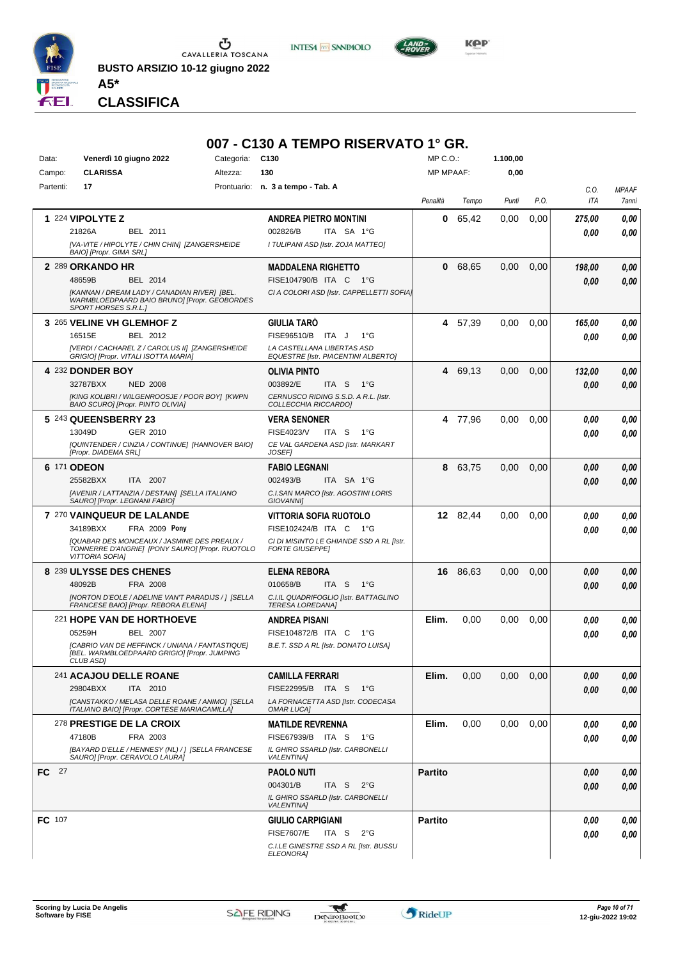

**INTESA M** SNNPAOLO



*Presidente MARINA SERAFINO GIADA IACOMELLI ELISABETTA NEGRI MARIA GIOVANNA VIGNATI VALENTINA ZUCCHINALI* **CLASSIFICA**

**A5\***

#### **007 - C130 A TEMPO RISERVATO 1° GR.**

| Data:         | Venerdì 10 giugno 2022                   |                                                                                                   | Categoria: | C <sub>130</sub>                                                 | MP C.O.:         |          | 1.100,00 |      |        |              |
|---------------|------------------------------------------|---------------------------------------------------------------------------------------------------|------------|------------------------------------------------------------------|------------------|----------|----------|------|--------|--------------|
| Campo:        | <b>CLARISSA</b>                          |                                                                                                   | Altezza:   | 130                                                              | <b>MP MPAAF:</b> |          | 0,00     |      |        |              |
| Partenti:     | 17                                       |                                                                                                   |            | Prontuario: n. 3 a tempo - Tab. A                                |                  |          |          |      | C.O.   | <b>MPAAF</b> |
|               |                                          |                                                                                                   |            |                                                                  | Penalità         | Tempo    | Punti    | P.O. | ITA    | 7anni        |
|               | 1 224 VIPOLYTE Z                         |                                                                                                   |            | <b>ANDREA PIETRO MONTINI</b>                                     | 0                | 65,42    | 0,00     | 0,00 | 275.00 | 0,00         |
|               | 21826A                                   | BEL 2011                                                                                          |            | 002826/B<br>ITA SA 1°G                                           |                  |          |          |      | 0.00   | 0.00         |
|               |                                          | [VA-VITE / HIPOLYTE / CHIN CHIN] [ZANGERSHEIDE                                                    |            | I TULIPANI ASD [Istr. ZOJA MATTEO]                               |                  |          |          |      |        |              |
|               | BAIO] [Propr. GIMA SRL]                  |                                                                                                   |            |                                                                  |                  |          |          |      |        |              |
|               | 2 289 ORKANDO HR                         |                                                                                                   |            | <b>MADDALENA RIGHETTO</b>                                        | 0                | 68,65    | 0,00     | 0,00 | 198,00 | 0,00         |
|               | 48659B                                   | BEL 2014                                                                                          |            | FISE104790/B ITA C 1°G                                           |                  |          |          |      | 0.00   | 0,00         |
|               | SPORT HORSES S.R.L.]                     | [KANNAN / DREAM LADY / CANADIAN RIVER] [BEL.<br>WARMBLOEDPAARD BAIO BRUNO] [Propr. GEOBORDES      |            | CI A COLORI ASD [Istr. CAPPELLETTI SOFIA]                        |                  |          |          |      |        |              |
|               | 3 265 VELINE VH GLEMHOF Z                |                                                                                                   |            | <b>GIULIA TARÓ</b>                                               | 4                | 57,39    | 0.00     | 0,00 | 165,00 | 0,00         |
|               | 16515E                                   | BEL 2012                                                                                          |            | FISE96510/B ITA J<br>$1^{\circ}G$                                |                  |          |          |      | 0.00   | 0,00         |
|               |                                          | [VERDI / CACHAREL Z / CAROLUS II] [ZANGERSHEIDE                                                   |            | LA CASTELLANA LIBERTAS ASD                                       |                  |          |          |      |        |              |
|               | GRIGIO] [Propr. VITALI ISOTTA MARIA]     |                                                                                                   |            | <b>EQUESTRE [Istr. PIACENTINI ALBERTO]</b>                       |                  |          |          |      |        |              |
|               | <b>4 232 DONDER BOY</b>                  |                                                                                                   |            | <b>OLIVIA PINTO</b>                                              |                  | 4 69,13  | 0,00     | 0,00 | 132,00 | 0,00         |
|               | 32787BXX                                 | <b>NED 2008</b>                                                                                   |            | 003892/E<br>ITA S<br>$1^{\circ}G$                                |                  |          |          |      | 0,00   | 0,00         |
|               | <b>BAIO SCUROI [Propr. PINTO OLIVIA]</b> | [KING KOLIBRI / WILGENROOSJE / POOR BOY] [KWPN                                                    |            | CERNUSCO RIDING S.S.D. A R.L. [Istr.<br>COLLECCHIA RICCARDOI     |                  |          |          |      |        |              |
|               | 5 243 QUEENSBERRY 23                     |                                                                                                   |            | <b>VERA SENONER</b>                                              |                  | 4 77,96  | 0.00     | 0,00 | 0,00   | 0,00         |
|               | 13049D                                   | GER 2010                                                                                          |            | FISE4023/V<br>ITA S<br>$1^{\circ}G$                              |                  |          |          |      | 0.00   | 0.00         |
|               |                                          | [QUINTENDER / CINZIA / CONTINUE] [HANNOVER BAIO]                                                  |            | CE VAL GARDENA ASD [Istr. MARKART                                |                  |          |          |      |        |              |
|               | [Propr. DIADEMA SRL]                     |                                                                                                   |            | <b>JOSEF</b>                                                     |                  |          |          |      |        |              |
|               | 6 171 ODEON                              |                                                                                                   |            | <b>FABIO LEGNANI</b>                                             |                  | 8 63,75  | 0,00     | 0,00 | 0,00   | 0,00         |
|               | 25582BXX                                 | ITA 2007                                                                                          |            | 002493/B<br>ITA SA 1°G                                           |                  |          |          |      | 0.00   | 0,00         |
|               | SAURO] [Propr. LEGNANI FABIO]            | [AVENIR / LATTANZIA / DESTAIN] [SELLA ITALIANO                                                    |            | C.I.SAN MARCO [Istr. AGOSTINI LORIS<br><b>GIOVANNII</b>          |                  |          |          |      |        |              |
|               | <b>7 270 VAINQUEUR DE LALANDE</b>        |                                                                                                   |            | VITTORIA SOFIA RUOTOLO                                           |                  | 12 82,44 | $0.00\,$ | 0,00 | 0.00   | 0,00         |
|               | 34189BXX                                 | FRA 2009 Pony                                                                                     |            | FISE102424/B ITA C 1°G                                           |                  |          |          |      | 0.00   | 0.00         |
|               |                                          | [QUABAR DES MONCEAUX / JASMINE DES PREAUX /                                                       |            | CI DI MISINTO LE GHIANDE SSD A RL [Istr.                         |                  |          |          |      |        |              |
|               | <b>VITTORIA SOFIA]</b>                   | TONNERRE D'ANGRIE] [PONY SAURO] [Propr. RUOTOLO                                                   |            | <b>FORTE GIUSEPPE]</b>                                           |                  |          |          |      |        |              |
|               | 8 239 ULYSSE DES CHENES                  |                                                                                                   |            | <b>ELENA REBORA</b>                                              |                  | 16 86,63 | 0,00     | 0,00 | 0.00   | 0,00         |
|               | 48092B                                   | FRA 2008                                                                                          |            | 010658/B<br>ITA S<br>1°G                                         |                  |          |          |      | 0.00   | 0.00         |
|               |                                          | <b>INORTON D'EOLE / ADELINE VAN'T PARADIJS / 1 [SELLA</b><br>FRANCESE BAIO] [Propr. REBORA ELENA] |            | C.I.IL QUADRIFOGLIO [Istr. BATTAGLINO<br><b>TERESA LOREDANA]</b> |                  |          |          |      |        |              |
|               | 221 HOPE VAN DE HORTHOEVE                |                                                                                                   |            | <b>ANDREA PISANI</b>                                             | Elim.            | 0,00     | 0,00     | 0,00 | 0.00   | 0,00         |
|               | 05259H                                   | <b>BEL 2007</b>                                                                                   |            | FISE104872/B ITA C<br>1°G                                        |                  |          |          |      | 0.00   | 0.00         |
|               |                                          | [CABRIO VAN DE HEFFINCK / UNIANA / FANTASTIQUE]                                                   |            | B.E.T. SSD A RL [Istr. DONATO LUISA]                             |                  |          |          |      |        |              |
|               | CLUB ASD]                                | [BEL. WARMBLOEDPAARD GRIGIO] [Propr. JUMPING                                                      |            |                                                                  |                  |          |          |      |        |              |
|               | <sup>241</sup> ACAJOU DELLE ROANE        |                                                                                                   |            | <b>CAMILLA FERRARI</b>                                           | Elim.            | 0,00     | 0,00     | 0,00 | 0,00   | 0,00         |
|               | 29804BXX                                 | ITA 2010                                                                                          |            | FISE22995/B ITA S<br>− 1°G                                       |                  |          |          |      | 0.00   | 0,00         |
|               |                                          | [CANSTAKKO / MELASA DELLE ROANE / ANIMO] [SELLA<br>ITALIANO BAIO] [Propr. CORTESE MARIACAMILLA]   |            | LA FORNACETTA ASD [Istr. CODECASA<br><b>OMAR LUCA]</b>           |                  |          |          |      |        |              |
|               | <b>278 PRESTIGE DE LA CROIX</b>          |                                                                                                   |            | <b>MATILDE REVRENNA</b>                                          | Elim.            | 0,00     | 0.00     | 0,00 | 0.00   | 0,00         |
|               | 47180B                                   | FRA 2003                                                                                          |            | FISE67939/B ITA S<br>− 1°G                                       |                  |          |          |      | 0.00   | 0,00         |
|               | SAURO] [Propr. CERAVOLO LAURA]           | [BAYARD D'ELLE / HENNESY (NL) / 1 [SELLA FRANCESE                                                 |            | IL GHIRO SSARLD [Istr. CARBONELLI                                |                  |          |          |      |        |              |
| FC 27         |                                          |                                                                                                   |            | <b>VALENTINAI</b><br><b>PAOLO NUTI</b>                           | <b>Partito</b>   |          |          |      |        |              |
|               |                                          |                                                                                                   |            | 004301/B<br>ITA S $2^{\circ}G$                                   |                  |          |          |      | 0,00   | 0,00         |
|               |                                          |                                                                                                   |            | IL GHIRO SSARLD [Istr. CARBONELLI                                |                  |          |          |      | 0.00   | 0,00         |
|               |                                          |                                                                                                   |            | <b>VALENTINA1</b>                                                |                  |          |          |      |        |              |
| <b>FC</b> 107 |                                          |                                                                                                   |            | <b>GIULIO CARPIGIANI</b>                                         | <b>Partito</b>   |          |          |      | 0,00   | 0,00         |
|               |                                          |                                                                                                   |            | <b>FISE7607/E</b><br>ITA S<br>$2^{\circ}$ G                      |                  |          |          |      | 0.00   | 0,00         |
|               |                                          |                                                                                                   |            | C.I.LE GINESTRE SSD A RL [Istr. BUSSU<br><b>ELEONORA]</b>        |                  |          |          |      |        |              |

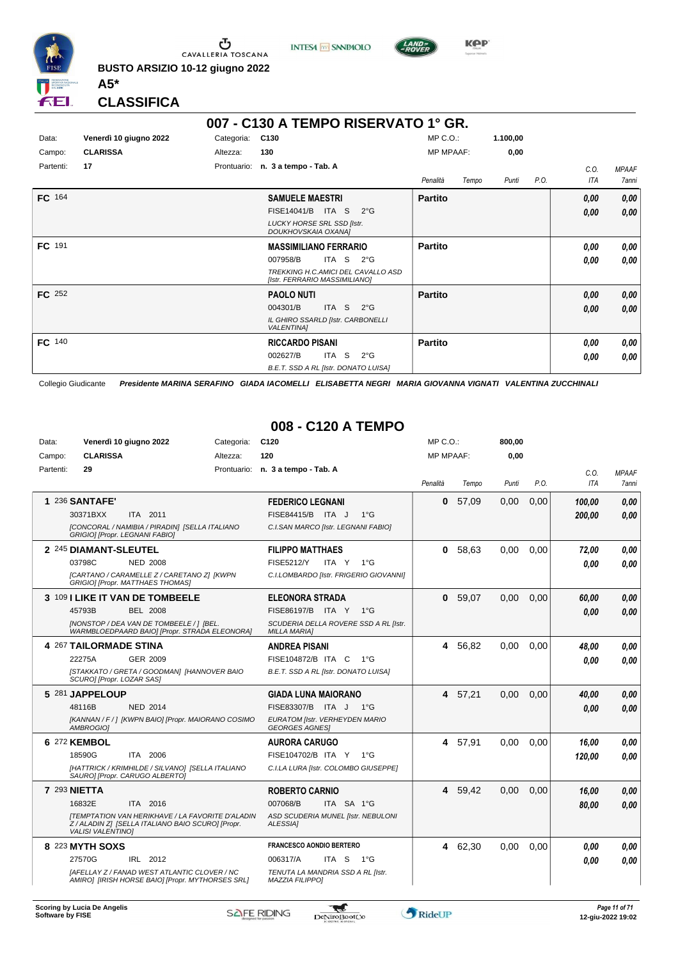

**INTESA M** SANPAOLO



**KPP** 

**CLASSIFICA**

**A5\***

|           | 007 - C130 A TEMPO RISERVATO 1° GR. |             |                                                                     |                  |       |          |      |      |              |  |  |
|-----------|-------------------------------------|-------------|---------------------------------------------------------------------|------------------|-------|----------|------|------|--------------|--|--|
| Data:     | Venerdì 10 giugno 2022              | Categoria:  | C130                                                                | $MP C. O.$ :     |       | 1.100,00 |      |      |              |  |  |
| Campo:    | <b>CLARISSA</b>                     | Altezza:    | 130                                                                 | <b>MP MPAAF:</b> |       | 0,00     |      |      |              |  |  |
| Partenti: | 17                                  | Prontuario: | n. 3 a tempo - Tab. A                                               |                  |       |          |      | C.O. | <b>MPAAF</b> |  |  |
|           |                                     |             |                                                                     | Penalità         | Tempo | Punti    | P.O. | ITA  | 7anni        |  |  |
| FC 164    |                                     |             | <b>SAMUELE MAESTRI</b>                                              | <b>Partito</b>   |       |          |      | 0,00 | 0,00         |  |  |
|           |                                     |             | FISE14041/B ITA S<br>$2^{\circ}G$                                   |                  |       |          |      | 0,00 | 0,00         |  |  |
|           |                                     |             | <b>LUCKY HORSE SRL SSD [Istr.</b><br>DOUKHOVSKAIA OXANA]            |                  |       |          |      |      |              |  |  |
| FC 191    |                                     |             | <b>MASSIMILIANO FERRARIO</b>                                        | <b>Partito</b>   |       |          |      | 0.00 | 0,00         |  |  |
|           |                                     |             | ITA S<br>007958/B<br>$2^{\circ}G$                                   |                  |       |          |      | 0.00 | 0,00         |  |  |
|           |                                     |             | TREKKING H.C.AMICI DEL CAVALLO ASD<br>[Istr. FERRARIO MASSIMILIANO] |                  |       |          |      |      |              |  |  |
| FC 252    |                                     |             | <b>PAOLO NUTI</b>                                                   | <b>Partito</b>   |       |          |      | 0,00 | 0,00         |  |  |
|           |                                     |             | ITA S<br>004301/B<br>$2^{\circ}G$                                   |                  |       |          |      | 0,00 | 0,00         |  |  |
|           |                                     |             | IL GHIRO SSARLD [Istr. CARBONELLI<br><b>VALENTINA1</b>              |                  |       |          |      |      |              |  |  |
| FC 140    |                                     |             | <b>RICCARDO PISANI</b>                                              | <b>Partito</b>   |       |          |      | 0.00 | 0,00         |  |  |
|           |                                     |             | ITA S<br>002627/B<br>$2^{\circ}$ G                                  |                  |       |          |      | 0,00 | 0,00         |  |  |
|           |                                     |             | B.E.T. SSD A RL [Istr. DONATO LUISA]                                |                  |       |          |      |      |              |  |  |

Collegio Giudicante *Presidente MARINA SERAFINO GIADA IACOMELLI ELISABETTA NEGRI MARIA GIOVANNA VIGNATI VALENTINA ZUCCHINALI*

#### **008 - C120 A TEMPO**

| Data:     | Venerdì 10 giugno 2022                                                                                                                   | Categoria: | C <sub>120</sub>                                             | MP C. O.         |         | 800,00 |      |            |              |
|-----------|------------------------------------------------------------------------------------------------------------------------------------------|------------|--------------------------------------------------------------|------------------|---------|--------|------|------------|--------------|
| Campo:    | <b>CLARISSA</b>                                                                                                                          | Altezza:   | 120                                                          | <b>MP MPAAF:</b> |         | 0,00   |      |            |              |
| Partenti: | 29                                                                                                                                       |            | Prontuario: n. 3 a tempo - Tab. A                            |                  |         |        |      | C.O.       | <b>MPAAF</b> |
|           |                                                                                                                                          |            |                                                              | Penalità         | Tempo   | Punti  | P.O. | <b>ITA</b> | 7anni        |
|           | 1 236 SANTAFE'                                                                                                                           |            | <b>FEDERICO LEGNANI</b>                                      | $\mathbf{0}$     | 57,09   | 0,00   | 0,00 | 100.00     | 0.00         |
|           | 30371BXX<br>ITA 2011                                                                                                                     |            | FISE84415/B ITA J<br>$1^{\circ}$ G                           |                  |         |        |      | 200.00     | 0.00         |
|           | [CONCORAL / NAMIBIA / PIRADIN] [SELLA ITALIANO<br>GRIGIO] [Propr. LEGNANI FABIO]                                                         |            | C.I.SAN MARCO [Istr. LEGNANI FABIO]                          |                  |         |        |      |            |              |
|           | 2 245 DIAMANT-SLEUTEL                                                                                                                    |            | <b>FILIPPO MATTHAES</b>                                      | 0                | 58,63   | 0,00   | 0,00 | 72,00      | 0.00         |
|           | 03798C<br><b>NED 2008</b>                                                                                                                |            | <b>FISE5212/Y</b><br>ITA Y $1^{\circ}G$                      |                  |         |        |      | 0.00       | 0.00         |
|           | [CARTANO / CARAMELLE Z / CARETANO Z] [KWPN<br>GRIGIO] [Propr. MATTHAES THOMAS]                                                           |            | C.I.LOMBARDO [Istr. FRIGERIO GIOVANNI]                       |                  |         |        |      |            |              |
|           | 3 109 I LIKE IT VAN DE TOMBEELE                                                                                                          |            | <b>ELEONORA STRADA</b>                                       | $\bf{0}$         | 59,07   | 0,00   | 0,00 | 60,00      | 0,00         |
|           | 45793B<br>BEL 2008                                                                                                                       |            | FISE86197/B ITA Y 1°G                                        |                  |         |        |      | 0.00       | 0.00         |
|           | [NONSTOP / DEA VAN DE TOMBEELE / ] [BEL.<br>WARMBLOEDPAARD BAIO] [Propr. STRADA ELEONORA]                                                |            | SCUDERIA DELLA ROVERE SSD A RL [Istr.<br><b>MILLA MARIA1</b> |                  |         |        |      |            |              |
|           | 4 267 TAILORMADE STINA                                                                                                                   |            | <b>ANDREA PISANI</b>                                         | 4                | 56,82   | 0.00   | 0.00 | 48,00      | 0.00         |
|           | GER 2009<br>22275A                                                                                                                       |            | FISE104872/B ITA C<br>$1^{\circ}G$                           |                  |         |        |      | 0.00       | 0.00         |
|           | [STAKKATO / GRETA / GOODMAN] [HANNOVER BAIO<br>SCURO] [Propr. LOZAR SAS]                                                                 |            | B.E.T. SSD A RL [Istr. DONATO LUISA]                         |                  |         |        |      |            |              |
|           | 5 281 JAPPELOUP                                                                                                                          |            | <b>GIADA LUNA MAIORANO</b>                                   |                  | 4 57.21 | 0.00   | 0.00 | 40,00      | 0.00         |
|           | 48116B<br><b>NED 2014</b>                                                                                                                |            | FISE83307/B ITA J<br>$1^{\circ}G$                            |                  |         |        |      | 0.00       | 0.00         |
|           | [KANNAN / F / ] [KWPN BAIO] [Propr. MAIORANO COSIMO<br>AMBROGIO]                                                                         |            | EURATOM [Istr. VERHEYDEN MARIO<br><b>GEORGES AGNES!</b>      |                  |         |        |      |            |              |
|           | 6 272 KEMBOL                                                                                                                             |            | <b>AURORA CARUGO</b>                                         |                  | 4 57,91 | 0,00   | 0,00 | 16,00      | 0.00         |
|           | ITA 2006<br>18590G                                                                                                                       |            | FISE104702/B ITA Y<br>$1^{\circ}G$                           |                  |         |        |      | 120,00     | 0.00         |
|           | [HATTRICK / KRIMHILDE / SILVANO] [SELLA ITALIANO<br>SAURO] [Propr. CARUGO ALBERTO]                                                       |            | C.I.LA LURA [Istr. COLOMBO GIUSEPPE]                         |                  |         |        |      |            |              |
|           | <b>7 293 NIETTA</b>                                                                                                                      |            | <b>ROBERTO CARNIO</b>                                        |                  | 4 59,42 | 0,00   | 0,00 | 16,00      | 0,00         |
|           | 16832E<br>ITA 2016                                                                                                                       |            | 007068/B<br>ITA SA 1°G                                       |                  |         |        |      | 80,00      | 0.00         |
|           | <b>[TEMPTATION VAN HERIKHAVE / LA FAVORITE D'ALADIN</b><br>Z / ALADIN Z] [SELLA ITALIANO BAIO SCURO] [Propr.<br><b>VALISI VALENTINO]</b> |            | ASD SCUDERIA MUNEL [Istr. NEBULONI<br><b>ALESSIA1</b>        |                  |         |        |      |            |              |
|           | 8 223 MYTH SOXS                                                                                                                          |            | <b>FRANCESCO AONDIO BERTERO</b>                              |                  | 4 62,30 | 0,00   | 0.00 | 0.00       | 0.00         |
|           | 27570G<br>IRL 2012                                                                                                                       |            | 006317/A<br>ITA S<br>$1^{\circ}G$                            |                  |         |        |      | 0.00       | 0.00         |
|           | <b>IAFELLAY Z / FANAD WEST ATLANTIC CLOVER / NC</b><br>AMIRO] [IRISH HORSE BAIO] [Propr. MYTHORSES SRL]                                  |            | TENUTA LA MANDRIA SSD A RL [Istr.<br>MAZZIA FILIPPO]         |                  |         |        |      |            |              |

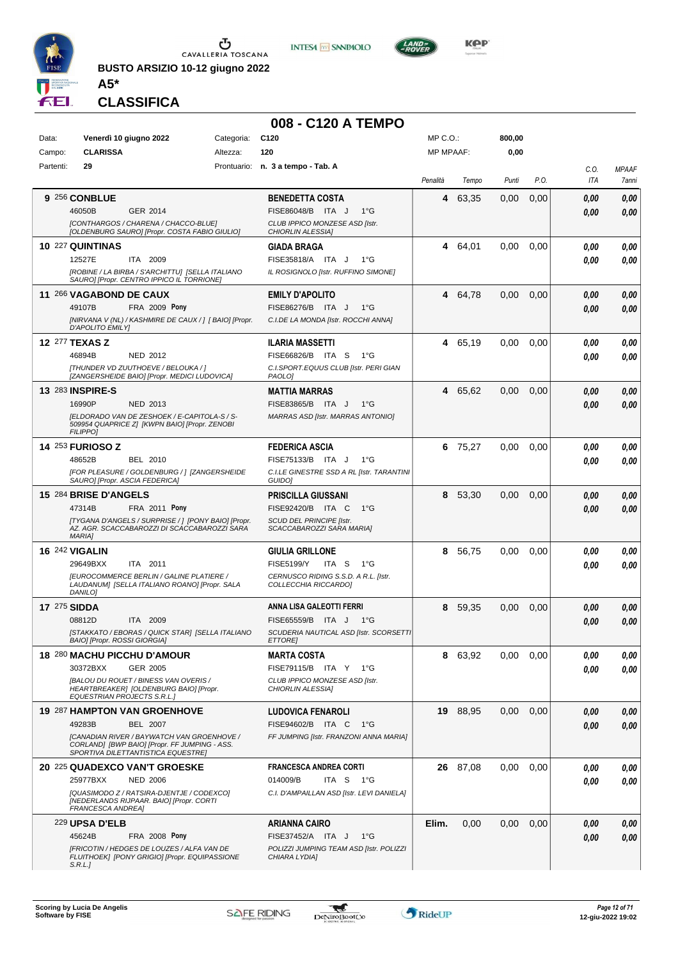

**BUSTO ARSIZIO 10-12 giugno 2022**





**CLASSIFICA**

**A5\***

# **008 - C120 A TEMPO**

| Data:               |                              | Venerdì 10 giugno 2022                                                                              | Categoria: | C <sub>120</sub>                                                    | MP C.O.:         |          | 800,00 |      |            |              |
|---------------------|------------------------------|-----------------------------------------------------------------------------------------------------|------------|---------------------------------------------------------------------|------------------|----------|--------|------|------------|--------------|
| Campo:              | <b>CLARISSA</b>              |                                                                                                     | Altezza:   | 120                                                                 | <b>MP MPAAF:</b> |          | 0,00   |      |            |              |
| Partenti:           | 29                           |                                                                                                     |            | Prontuario: n. 3 a tempo - Tab. A                                   |                  |          |        |      | C.O.       | <b>MPAAF</b> |
|                     |                              |                                                                                                     |            |                                                                     | Penalità         | Tempo    | Punti  | P.O. | <b>ITA</b> | 7anni        |
|                     | 9 256 CONBLUE                |                                                                                                     |            | <b>BENEDETTA COSTA</b>                                              | 4                | 63,35    | 0,00   | 0,00 | 0,00       | 0,00         |
|                     | 46050B                       | GER 2014                                                                                            |            | FISE86048/B ITA J<br>$1^{\circ}G$<br>CLUB IPPICO MONZESE ASD [Istr. |                  |          |        |      | 0.00       | 0,00         |
|                     |                              | [CONTHARGOS / CHARENA / CHACCO-BLUE]<br>[OLDENBURG SAURO] [Propr. COSTA FABIO GIULIO]               |            | CHIORLIN ALESSIA]                                                   |                  |          |        |      |            |              |
|                     | 10 227 QUINTINAS             |                                                                                                     |            | <b>GIADA BRAGA</b>                                                  | 4                | 64,01    | 0,00   | 0,00 | 0.00       | 0,00         |
|                     | 12527E                       | ITA 2009                                                                                            |            | $1^{\circ}G$<br>FISE35818/A ITA J                                   |                  |          |        |      | 0.00       | 0.00         |
|                     |                              | IROBINE / LA BIRBA / S'ARCHITTU] [SELLA ITALIANO<br>SAURO] [Propr. CENTRO IPPICO IL TORRIONE]       |            | IL ROSIGNOLO [Istr. RUFFINO SIMONE]                                 |                  |          |        |      |            |              |
|                     | 11 266 VAGABOND DE CAUX      |                                                                                                     |            | <b>EMILY D'APOLITO</b>                                              |                  | 4 64,78  | 0,00   | 0,00 | 0,00       | 0,00         |
|                     | 49107B                       | FRA 2009 Pony                                                                                       |            | FISE86276/B ITA J<br>$1^{\circ}G$                                   |                  |          |        |      | 0.00       | 0.00         |
|                     | D'APOLITO EMILY]             | [NIRVANA V (NL) / KASHMIRE DE CAUX / ] [ BAIO] [Propr.                                              |            | C.I.DE LA MONDA [Istr. ROCCHI ANNA]                                 |                  |          |        |      |            |              |
|                     | <b>12 277 TEXAS Z</b>        |                                                                                                     |            | <b>ILARIA MASSETTI</b>                                              |                  | 4 65,19  | 0.00   | 0,00 | 0.00       | 0,00         |
|                     | 46894B                       | <b>NED 2012</b>                                                                                     |            | FISE66826/B ITA S<br>1°G                                            |                  |          |        |      | 0.00       | 0.00         |
|                     |                              | [THUNDER VD ZUUTHOEVE / BELOUKA / ]<br>[ZANGERSHEIDE BAIO] [Propr. MEDICI LUDOVICA]                 |            | C.I.SPORT.EQUUS CLUB [Istr. PERI GIAN                               |                  |          |        |      |            |              |
|                     | 13 283 INSPIRE-S             |                                                                                                     |            | PAOLO]<br><b>MATTIA MARRAS</b>                                      |                  | 4 65.62  | 0,00   | 0,00 | 0.00       | 0,00         |
|                     | 16990P                       | <b>NED 2013</b>                                                                                     |            | FISE83865/B ITA J<br>$1^{\circ}G$                                   |                  |          |        |      | 0.00       | 0,00         |
|                     |                              | IELDORADO VAN DE ZESHOEK / E-CAPITOLA-S / S-                                                        |            | MARRAS ASD [Istr. MARRAS ANTONIO]                                   |                  |          |        |      |            |              |
|                     | <b>FILIPPO]</b>              | 509954 QUAPRICE Z] [KWPN BAIO] [Propr. ZENOBI                                                       |            |                                                                     |                  |          |        |      |            |              |
|                     | <b>14 253 FURIOSO Z</b>      |                                                                                                     |            | <b>FEDERICA ASCIA</b>                                               | 6                | 75,27    | 0,00   | 0,00 | 0.00       | 0,00         |
|                     | 48652B                       | <b>BEL 2010</b>                                                                                     |            | FISE75133/B ITA J<br>$1^{\circ}$ G                                  |                  |          |        |      | 0.00       | 0.00         |
|                     |                              | [FOR PLEASURE / GOLDENBURG / ] [ZANGERSHEIDE<br>SAURO] [Propr. ASCIA FEDERICA]                      |            | C.I.LE GINESTRE SSD A RL [Istr. TARANTINI<br>GUIDO]                 |                  |          |        |      |            |              |
|                     | 15 284 BRISE D'ANGELS        |                                                                                                     |            | <b>PRISCILLA GIUSSANI</b>                                           | 8                | 53,30    | 0,00   | 0,00 | 0,00       | 0,00         |
|                     | 47314B                       | FRA 2011 Pony                                                                                       |            | FISE92420/B ITA C<br>$1^{\circ}G$                                   |                  |          |        |      | 0.00       | 0.00         |
|                     |                              | [TYGANA D'ANGELS / SURPRISE / ] [PONY BAIO] [Propr.<br>AZ. AGR. SCACCABAROZZI DI SCACCABAROZZI SARA |            | SCUD DEL PRINCIPE [Istr.<br>SCACCABAROZZI SARA MARIA]               |                  |          |        |      |            |              |
|                     | <b>MARIA]</b>                |                                                                                                     |            |                                                                     |                  |          |        |      |            |              |
|                     | <b>16 242 VIGALIN</b>        |                                                                                                     |            | <b>GIULIA GRILLONE</b>                                              | 8                | 56,75    | 0,00   | 0,00 | 0.00       | 0,00         |
|                     | 29649BXX                     | ITA 2011<br><b>IEUROCOMMERCE BERLIN / GALINE PLATIERE /</b>                                         |            | <b>FISE5199/Y</b><br>ITA S<br>$1^{\circ}G$                          |                  |          |        |      | 0.00       | 0.00         |
|                     | DANILO]                      | LAUDANUM] [SELLA ITALIANO ROANO] [Propr. SALA                                                       |            | CERNUSCO RIDING S.S.D. A R.L. [Istr.<br>COLLECCHIA RICCARDO]        |                  |          |        |      |            |              |
| <b>17 275 SIDDA</b> |                              |                                                                                                     |            | ANNA LISA GALEOTTI FERRI                                            | 8                | 59,35    | 0,00   | 0,00 | 0,00       | 0,00         |
|                     | 08812D                       | ITA 2009                                                                                            |            | FISE65559/B<br>ITA J<br>$1^{\circ}G$                                |                  |          |        |      | 0.00       | 0.00         |
|                     | BAIO] [Propr. ROSSI GIORGIA] | [STAKKATO / EBORAS / QUICK STAR] [SELLA ITALIANO                                                    |            | SCUDERIA NAUTICAL ASD [Istr. SCORSETTI<br><i>ETTOREI</i>            |                  |          |        |      |            |              |
|                     |                              | 18 280 MACHU PICCHU D'AMOUR                                                                         |            | <b>MARTA COSTA</b>                                                  |                  | 8 63,92  | 0,00   | 0.00 | 0,00       | 0,00         |
|                     | 30372BXX                     | GER 2005                                                                                            |            | FISE79115/B ITA Y 1°G                                               |                  |          |        |      | 0,00       | 0,00         |
|                     |                              | [BALOU DU ROUET / BINESS VAN OVERIS /                                                               |            | CLUB IPPICO MONZESE ASD [Istr.                                      |                  |          |        |      |            |              |
|                     | EQUESTRIAN PROJECTS S.R.L.]  | HEARTBREAKER] [OLDENBURG BAIO] [Propr.                                                              |            | CHIORLIN ALESSIA]                                                   |                  |          |        |      |            |              |
|                     |                              | 19 287 HAMPTON VAN GROENHOVE                                                                        |            | <b>LUDOVICA FENAROLI</b>                                            |                  | 19 88,95 | 0,00   | 0,00 | 0.00       | 0,00         |
|                     | 49283B                       | <b>BEL 2007</b>                                                                                     |            | FISE94602/B ITA C<br>1°G                                            |                  |          |        |      | 0.00       | 0,00         |
|                     |                              | <b>[CANADIAN RIVER / BAYWATCH VAN GROENHOVE /</b><br>CORLAND] [BWP BAIO] [Propr. FF JUMPING - ASS.  |            | FF JUMPING [Istr. FRANZONI ANNA MARIA]                              |                  |          |        |      |            |              |
|                     |                              | SPORTIVA DILETTANTISTICA EQUESTREJ                                                                  |            |                                                                     |                  |          |        |      |            |              |
|                     | 25977BXX                     | 20 225 QUADEXCO VAN'T GROESKE<br><b>NED 2006</b>                                                    |            | <b>FRANCESCA ANDREA CORTI</b><br>014009/B<br>ITA S 1°G              |                  | 26 87,08 | 0,00   | 0,00 | 0.00       | 0,00<br>0.00 |
|                     |                              | [QUASIMODO Z / RATSIRA-DJENTJE / CODEXCO]                                                           |            | C.I. D'AMPAILLAN ASD [Istr. LEVI DANIELA]                           |                  |          |        |      | 0.00       |              |
|                     | FRANCESCA ANDREA]            | [NEDERLANDS RIJPAAR. BAIO] [Propr. CORTI                                                            |            |                                                                     |                  |          |        |      |            |              |
|                     | 229 UPSA D'ELB               |                                                                                                     |            | ARIANNA CAIRO                                                       | Elim.            | 0,00     | 0,00   | 0,00 | 0,00       | 0,00         |
|                     | 45624B                       | <b>FRA 2008 Pony</b>                                                                                |            | FISE37452/A ITA J<br>$1^{\circ}G$                                   |                  |          |        |      | 0,00       | 0,00         |
|                     |                              | [FRICOTIN / HEDGES DE LOUZES / ALFA VAN DE<br>FLUITHOEK] [PONY GRIGIO] [Propr. EQUIPASSIONE         |            | POLIZZI JUMPING TEAM ASD [Istr. POLIZZI<br>CHIARA LYDIA]            |                  |          |        |      |            |              |
|                     | S.R.L.                       |                                                                                                     |            |                                                                     |                  |          |        |      |            |              |

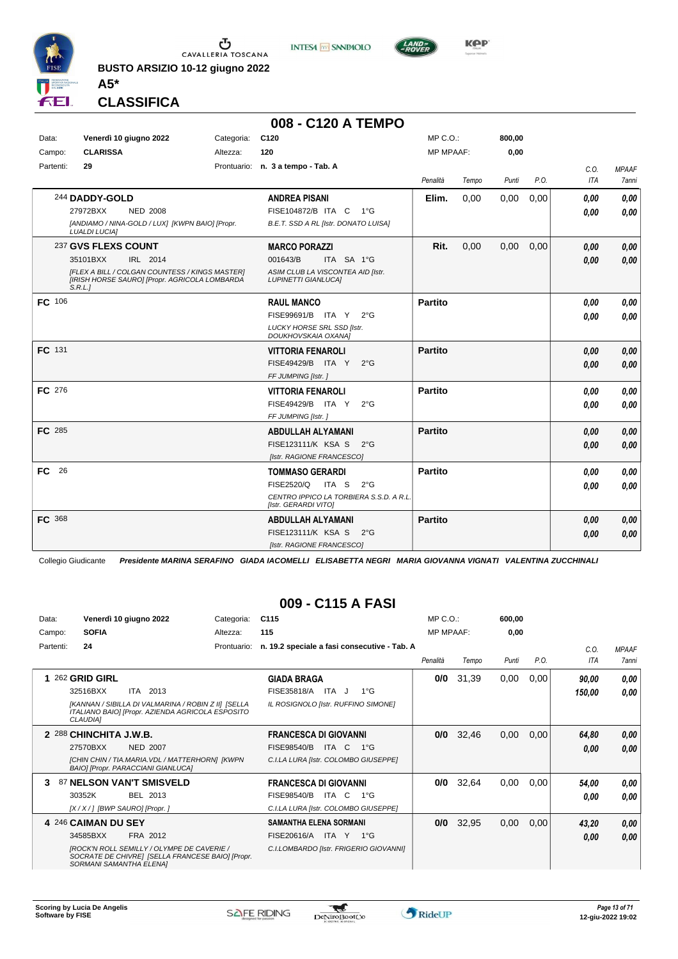

**BUSTO ARSIZIO 10-12 giugno 2022 A5\***



**CLASSIFICA**

|           |                                                                                                           |            | 008 - C120 A TEMPO                                              |                |       |        |      |      |              |
|-----------|-----------------------------------------------------------------------------------------------------------|------------|-----------------------------------------------------------------|----------------|-------|--------|------|------|--------------|
| Data:     | Venerdì 10 giugno 2022                                                                                    | Categoria: | C <sub>120</sub>                                                | MP C.O.:       |       | 800,00 |      |      |              |
| Campo:    | <b>CLARISSA</b>                                                                                           | Altezza:   | 120                                                             | MP MPAAF:      |       | 0,00   |      |      |              |
| Partenti: | 29                                                                                                        |            | Prontuario: n. 3 a tempo - Tab. A                               |                |       |        |      | C.0. | <b>MPAAF</b> |
|           |                                                                                                           |            |                                                                 | Penalità       | Tempo | Punti  | P.O. | ITA  | 7anni        |
|           | 244 DADDY-GOLD                                                                                            |            | <b>ANDREA PISANI</b>                                            | Elim.          | 0,00  | 0,00   | 0,00 | 0.00 | 0,00         |
|           | 27972BXX<br><b>NED 2008</b>                                                                               |            | FISE104872/B ITA C<br>1°G                                       |                |       |        |      | 0.00 | 0.00         |
|           | [ANDIAMO / NINA-GOLD / LUX] [KWPN BAIO] [Propr.<br><b>LUALDI LUCIA]</b>                                   |            | B.E.T. SSD A RL [Istr. DONATO LUISA]                            |                |       |        |      |      |              |
|           | 237 GVS FLEXS COUNT                                                                                       |            | <b>MARCO PORAZZI</b>                                            | Rit.           | 0,00  | 0,00   | 0,00 | 0.00 | 0,00         |
|           | 35101BXX<br>IRL 2014                                                                                      |            | 001643/B<br>ITA SA 1°G                                          |                |       |        |      | 0.00 | 0.00         |
|           | [FLEX A BILL / COLGAN COUNTESS / KINGS MASTER]<br>[IRISH HORSE SAURO] [Propr. AGRICOLA LOMBARDA<br>S.R.L. |            | ASIM CLUB LA VISCONTEA AID [Istr.<br><b>LUPINETTI GIANLUCAI</b> |                |       |        |      |      |              |
| FC 106    |                                                                                                           |            | <b>RAUL MANCO</b>                                               | <b>Partito</b> |       |        |      | 0.00 | 0,00         |
|           |                                                                                                           |            | FISE99691/B ITA Y<br>$2^{\circ}G$                               |                |       |        |      | 0.00 | 0.00         |
|           |                                                                                                           |            | <b>LUCKY HORSE SRL SSD [Istr.</b><br>DOUKHOVSKAIA OXANA]        |                |       |        |      |      |              |
| FC 131    |                                                                                                           |            | <b>VITTORIA FENAROLI</b>                                        | <b>Partito</b> |       |        |      | 0.00 | 0,00         |
|           |                                                                                                           |            | FISE49429/B ITA Y<br>$2^{\circ}G$                               |                |       |        |      | 0.00 | 0,00         |
|           |                                                                                                           |            | FF JUMPING [Istr.]                                              |                |       |        |      |      |              |
| FC 276    |                                                                                                           |            | <b>VITTORIA FENAROLI</b>                                        | <b>Partito</b> |       |        |      | 0.00 | 0,00         |
|           |                                                                                                           |            | FISE49429/B ITA Y<br>$2^{\circ}G$                               |                |       |        |      | 0.00 | 0.00         |
|           |                                                                                                           |            | FF JUMPING [Istr.]                                              |                |       |        |      |      |              |
| FC 285    |                                                                                                           |            | <b>ABDULLAH ALYAMANI</b>                                        | <b>Partito</b> |       |        |      | 0.00 | 0,00         |
|           |                                                                                                           |            | FISE123111/K KSA S<br>$2^{\circ}G$                              |                |       |        |      | 0.00 | 0,00         |
|           |                                                                                                           |            | [Istr. RAGIONE FRANCESCO]                                       |                |       |        |      |      |              |
| FC 26     |                                                                                                           |            | <b>TOMMASO GERARDI</b>                                          | <b>Partito</b> |       |        |      | 0.00 | 0,00         |
|           |                                                                                                           |            | <b>FISE2520/Q</b><br>ITA S<br>$2^{\circ}G$                      |                |       |        |      | 0.00 | 0.00         |
|           |                                                                                                           |            | CENTRO IPPICO LA TORBIERA S.S.D. A R.L.<br>[Istr. GERARDI VITO] |                |       |        |      |      |              |
| FC 368    |                                                                                                           |            | ABDULLAH ALYAMANI                                               | <b>Partito</b> |       |        |      | 0.00 | 0,00         |
|           |                                                                                                           |            | FISE123111/K KSA S<br>$2^{\circ}$ G                             |                |       |        |      | 0.00 | 0.00         |
|           |                                                                                                           |            | [Istr. RAGIONE FRANCESCO]                                       |                |       |        |      |      |              |

Collegio Giudicante *Presidente MARINA SERAFINO GIADA IACOMELLI ELISABETTA NEGRI MARIA GIOVANNA VIGNATI VALENTINA ZUCCHINALI*

#### **009 - C115 A FASI**

| Data:     | Venerdì 10 giugno 2022                                                                                                           | Categoria:  | C <sub>115</sub>                             | $MP C. O.$ :     |       | 600,00 |      |            |              |
|-----------|----------------------------------------------------------------------------------------------------------------------------------|-------------|----------------------------------------------|------------------|-------|--------|------|------------|--------------|
| Campo:    | <b>SOFIA</b>                                                                                                                     | Altezza:    | 115                                          | <b>MP MPAAF:</b> |       | 0,00   |      |            |              |
| Partenti: | 24                                                                                                                               | Prontuario: | n. 19.2 speciale a fasi consecutive - Tab. A |                  |       |        |      | C.O.       | <b>MPAAF</b> |
|           |                                                                                                                                  |             |                                              | Penalità         | Tempo | Punti  | P.O. | <b>ITA</b> | 7anni        |
|           | 1 262 GRID GIRL                                                                                                                  |             | <b>GIADA BRAGA</b>                           | 0/0              | 31,39 | 0,00   | 0,00 | 90,00      | 0,00         |
|           | 32516BXX<br>ITA 2013                                                                                                             |             | ITA J<br>FISE35818/A<br>$1^{\circ}$ G        |                  |       |        |      | 150,00     | 0.00         |
|           | [KANNAN / SIBILLA DI VALMARINA / ROBIN Z II] [SELLA<br>ITALIANO BAIO] [Propr. AZIENDA AGRICOLA ESPOSITO<br><b>CLAUDIA1</b>       |             | IL ROSIGNOLO [Istr. RUFFINO SIMONE]          |                  |       |        |      |            |              |
|           | 2 288 CHINCHITA J.W.B.                                                                                                           |             | <b>FRANCESCA DI GIOVANNI</b>                 | 0/0              | 32,46 | 0,00   | 0,00 | 64,80      | 0,00         |
|           | <b>NED 2007</b><br>27570BXX                                                                                                      |             | <b>FISE98540/B</b><br>ITA C<br>$1^{\circ}G$  |                  |       |        |      | 0,00       | 0,00         |
|           | [CHIN CHIN / TIA.MARIA. VDL / MATTERHORN] [KWPN<br><b>BAIO] [Propr. PARACCIANI GIANLUCA]</b>                                     |             | C.I.LA LURA [Istr. COLOMBO GIUSEPPE]         |                  |       |        |      |            |              |
| 3         | 87 NELSON VAN'T SMISVELD                                                                                                         |             | <b>FRANCESCA DI GIOVANNI</b>                 | 0/0              | 32,64 | 0,00   | 0,00 | 54,00      | 0,00         |
|           | 30352K<br>BEL 2013                                                                                                               |             | FISE98540/B<br>ITA C<br>$1^{\circ}G$         |                  |       |        |      | 0.00       | 0.00         |
|           | [X / X / ] [BWP SAURO] [Propr. ]                                                                                                 |             | C.I.LA LURA [Istr. COLOMBO GIUSEPPE]         |                  |       |        |      |            |              |
|           | 4 246 CAIMAN DU SEY                                                                                                              |             | <b>SAMANTHA ELENA SORMANI</b>                | 0/0              | 32,95 | 0,00   | 0,00 | 43,20      | 0,00         |
|           | 34585BXX<br>FRA 2012                                                                                                             |             | FISE20616/A<br>ITA Y 1°G                     |                  |       |        |      | 0.00       | 0,00         |
|           | <b>IROCK'N ROLL SEMILLY / OLYMPE DE CAVERIE /</b><br>SOCRATE DE CHIVREI [SELLA FRANCESE BAIO] [Propr.<br>SORMANI SAMANTHA ELENA] |             | C.I.LOMBARDO [Istr. FRIGERIO GIOVANNI]       |                  |       |        |      |            |              |

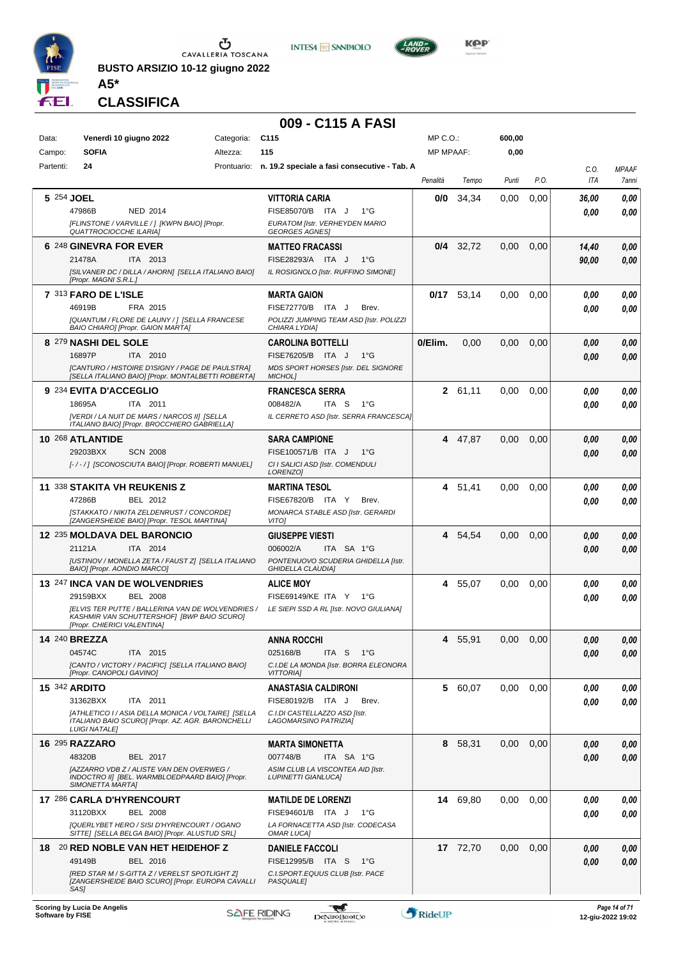

**BUSTO ARSIZIO 10-12 giugno 2022 A5\***



 $L$ AND

**CLASSIFICA**

#### **009 - C115 A FASI**

| Data:                | Venerdì 10 giugno 2022                                                                                   | Categoria: | C <sub>115</sub>                                                            | MP C.O.:         |              | 600,00 |      |                    |                              |
|----------------------|----------------------------------------------------------------------------------------------------------|------------|-----------------------------------------------------------------------------|------------------|--------------|--------|------|--------------------|------------------------------|
| Campo:               | <b>SOFIA</b>                                                                                             | Altezza:   | 115                                                                         | <b>MP MPAAF:</b> |              | 0,00   |      |                    |                              |
| Partenti:            | 24                                                                                                       |            | Prontuario: n. 19.2 speciale a fasi consecutive - Tab. A                    | Penalità         | Tempo        | Punti  | P.O. | C.O.<br><b>ITA</b> | <b>MPAAF</b><br><b>7anni</b> |
|                      |                                                                                                          |            |                                                                             |                  |              |        |      |                    |                              |
| 5 254 JOEL           | 47986B<br>NED 2014                                                                                       |            | <b>VITTORIA CARIA</b><br>FISE85070/B ITA J<br>$1^{\circ}G$                  | 0/0              | 34,34        | 0.00   | 0,00 | 36,00<br>0.00      | 0,00<br>0.00                 |
|                      | [FLINSTONE / VARVILLE / ] [KWPN BAIO] [Propr.                                                            |            | EURATOM [Istr. VERHEYDEN MARIO                                              |                  |              |        |      |                    |                              |
|                      | <b>QUATTROCIOCCHE ILARIA]</b>                                                                            |            | <b>GEORGES AGNES</b>                                                        |                  |              |        |      |                    |                              |
|                      | 6 248 GINEVRA FOR EVER<br>21478A<br>ITA 2013                                                             |            | <b>MATTEO FRACASSI</b><br>FISE28293/A ITA J<br>$1^{\circ}G$                 |                  | $0/4$ 32,72  | 0,00   | 0,00 | 14,40              | 0,00                         |
|                      | [SILVANER DC / DILLA / AHORN] [SELLA ITALIANO BAIO]                                                      |            | IL ROSIGNOLO [Istr. RUFFINO SIMONE]                                         |                  |              |        |      | 90,00              | 0,00                         |
|                      | [Propr. MAGNI S.R.L.]                                                                                    |            |                                                                             |                  |              |        |      |                    |                              |
|                      | 7 313 FARO DE L'ISLE<br>46919B<br>FRA 2015                                                               |            | <b>MARTA GAION</b><br>FISE72770/B ITA J<br>Brev.                            |                  | $0/17$ 53,14 | 0.00   | 0,00 | 0,00               | 0,00                         |
|                      | [QUANTUM / FLORE DE LAUNY / ] [SELLA FRANCESE                                                            |            | POLIZZI JUMPING TEAM ASD [Istr. POLIZZI                                     |                  |              |        |      | 0.00               | 0,00                         |
|                      | BAIO CHIARO] [Propr. GAION MARTA]                                                                        |            | CHIARA LYDIA]                                                               |                  |              |        |      |                    |                              |
|                      | 8 279 NASHI DEL SOLE<br>ITA 2010                                                                         |            | <b>CAROLINA BOTTELLI</b><br>FISE76205/B ITA J                               | 0/Elim.          | 0,00         | 0,00   | 0,00 | 0,00               | 0,00                         |
|                      | 16897P<br>[CANTURO / HISTOIRE D'ISIGNY / PAGE DE PAULSTRA]                                               |            | $1^{\circ}G$<br>MDS SPORT HORSES [Istr. DEL SIGNORE                         |                  |              |        |      | 0.00               | 0,00                         |
|                      | [SELLA ITALIANO BAIO] [Propr. MONTALBETTI ROBERTA]                                                       |            | MICHOL]                                                                     |                  |              |        |      |                    |                              |
|                      | 9 234 EVITA D'ACCEGLIO                                                                                   |            | <b>FRANCESCA SERRA</b>                                                      |                  | 2 61,11      | 0,00   | 0,00 | 0.00               | 0,00                         |
|                      | 18695A<br>ITA 2011<br>[VERDI / LA NUIT DE MARS / NARCOS II] [SELLA                                       |            | 008482/A<br>ITA S<br>$1^{\circ}G$<br>IL CERRETO ASD [Istr. SERRA FRANCESCA] |                  |              |        |      | 0.00               | 0.00                         |
|                      | ITALIANO BAIO] [Propr. BROCCHIERO GABRIELLA]                                                             |            |                                                                             |                  |              |        |      |                    |                              |
|                      | 10 268 ATLANTIDE                                                                                         |            | <b>SARA CAMPIONE</b>                                                        | 4                | 47,87        | 0,00   | 0,00 | 0.00               | 0,00                         |
|                      | 29203BXX<br><b>SCN 2008</b><br>[-/-/] [SCONOSCIUTA BAIO] [Propr. ROBERTI MANUEL]                         |            | FISE100571/B ITA J<br>$1^{\circ}G$<br>CI I SALICI ASD [Istr. COMENDULI      |                  |              |        |      | 0.00               | 0.00                         |
|                      |                                                                                                          |            | LORENZO]                                                                    |                  |              |        |      |                    |                              |
|                      | 11 338 STAKITA VH REUKENIS Z                                                                             |            | <b>MARTINA TESOL</b>                                                        |                  | 4 51,41      | 0,00   | 0,00 | 0.00               | 0,00                         |
|                      | 47286B<br>BEL 2012<br>[STAKKATO / NIKITA ZELDENRUST / CONCORDE]                                          |            | FISE67820/B ITA Y<br>Brev.<br>MONARCA STABLE ASD [Istr. GERARDI             |                  |              |        |      | 0.00               | 0.00                         |
|                      | [ZANGERSHEIDE BAIO] [Propr. TESOL MARTINA]                                                               |            | <b>VITOI</b>                                                                |                  |              |        |      |                    |                              |
|                      | 12 235 MOLDAVA DEL BARONCIO                                                                              |            | <b>GIUSEPPE VIESTI</b>                                                      | 4                | 54,54        | 0,00   | 0,00 | 0.00               | 0,00                         |
|                      | ITA 2014<br>21121A<br>[USTINOV / MONELLA ZETA / FAUST Z] [SELLA ITALIANO                                 |            | 006002/A<br>ITA SA 1°G<br>PONTENUOVO SCUDERIA GHIDELLA [Istr.               |                  |              |        |      | 0.00               | 0.00                         |
|                      | BAIO] [Propr. AONDIO MARCO]                                                                              |            | <b>GHIDELLA CLAUDIA]</b>                                                    |                  |              |        |      |                    |                              |
|                      | 13 247 INCA VAN DE WOLVENDRIES                                                                           |            | <b>ALICE MOY</b>                                                            | 4                | 55,07        | 0,00   | 0,00 | 0.00               | 0,00                         |
|                      | 29159BXX<br><b>BEL 2008</b><br><b>JELVIS TER PUTTE / BALLERINA VAN DE WOLVENDRIES /</b>                  |            | FISE69149/KE ITA Y<br>1°G<br>LE SIEPI SSD A RL [Istr. NOVO GIULIANA]        |                  |              |        |      | 0.00               | 0.00                         |
|                      | KASHMIR VAN SCHUTTERSHOFI IBWP BAIO SCUROI<br>[Propr. CHIERICI VALENTINA]                                |            |                                                                             |                  |              |        |      |                    |                              |
| 14 240 BREZZA        |                                                                                                          |            | <b>ANNA ROCCHI</b>                                                          | 4                | 55,91        | 0.00   | 0.00 | 0.00               | 0,00                         |
|                      | 04574C<br>ITA 2015                                                                                       |            | 025168/B<br>ITA S<br>− 1°G                                                  |                  |              |        |      | 0,00               | 0,00                         |
|                      | [CANTO / VICTORY / PACIFIC] [SELLA ITALIANO BAIO]<br>[Propr. CANOPOLI GAVINO]                            |            | C.I.DE LA MONDA [Istr. BORRA ELEONORA<br><b>VITTORIAI</b>                   |                  |              |        |      |                    |                              |
| <b>15 342 ARDITO</b> |                                                                                                          |            | <b>ANASTASIA CALDIRONI</b>                                                  |                  | 5 60,07      | 0,00   | 0,00 | 0.00               | 0,00                         |
|                      | 31362BXX<br>ITA 2011                                                                                     |            | FISE80192/B ITA J<br>Brev.                                                  |                  |              |        |      | 0.00               | 0,00                         |
|                      | [ATHLETICO I / ASIA DELLA MONICA / VOLTAIRE] [SELLA<br>ITALIANO BAIO SCUROI [Propr. AZ. AGR. BARONCHELLI |            | C.I.DI CASTELLAZZO ASD [Istr.                                               |                  |              |        |      |                    |                              |
|                      | <b>LUIGI NATALEI</b>                                                                                     |            | LAGOMARSINO PATRIZIA]                                                       |                  |              |        |      |                    |                              |
|                      | <b>16 295 RAZZARO</b>                                                                                    |            | <b>MARTA SIMONETTA</b>                                                      |                  | 8 58,31      | 0,00   | 0,00 | 0.00               | 0,00                         |
|                      | 48320B<br>BEL 2017                                                                                       |            | 007748/B<br>ITA SA 1°G                                                      |                  |              |        |      | 0.00               | 0,00                         |
|                      | [AZZARRO VDB Z / ALISTE VAN DEN OVERWEG /<br>INDOCTRO II] [BEL. WARMBLOEDPAARD BAIO] [Propr.             |            | ASIM CLUB LA VISCONTEA AID [Istr.<br><b>LUPINETTI GIANLUCA]</b>             |                  |              |        |      |                    |                              |
|                      | SIMONETTA MARTA]<br>17 286 CARLA D'HYRENCOURT                                                            |            | <b>MATILDE DE LORENZI</b>                                                   |                  | 14 69,80     | 0,00   | 0.00 | 0.00               | 0,00                         |
|                      | 31120BXX<br><b>BEL 2008</b>                                                                              |            | FISE94601/B ITA J<br>$1^{\circ}G$                                           |                  |              |        |      | 0.00               | 0,00                         |
|                      | [QUERLYBET HERO / SISI D'HYRENCOURT / OGANO                                                              |            | LA FORNACETTA ASD [Istr. CODECASA                                           |                  |              |        |      |                    |                              |
|                      | SITTE] [SELLA BELGA BAIO] [Propr. ALUSTUD SRL]<br>18 20 RED NOBLE VAN HET HEIDEHOF Z                     |            | <b>OMAR LUCA]</b><br><b>DANIELE FACCOLI</b>                                 |                  | 17 72,70     | 0,00   | 0,00 |                    |                              |
|                      | 49149B<br>BEL 2016                                                                                       |            | FISE12995/B ITA S<br>1°G                                                    |                  |              |        |      | 0,00<br>0.00       | 0,00<br>0,00                 |
|                      | [RED STAR M / S-GITTA Z / VERELST SPOTLIGHT Z]                                                           |            | C.I.SPORT.EQUUS CLUB [Istr. PACE                                            |                  |              |        |      |                    |                              |
|                      | [ZANGERSHEIDE BAIO SCURO] [Propr. EUROPA CAVALLI<br>SAS]                                                 |            | <b>PASQUALE</b>                                                             |                  |              |        |      |                    |                              |
|                      |                                                                                                          |            |                                                                             |                  |              |        |      |                    |                              |

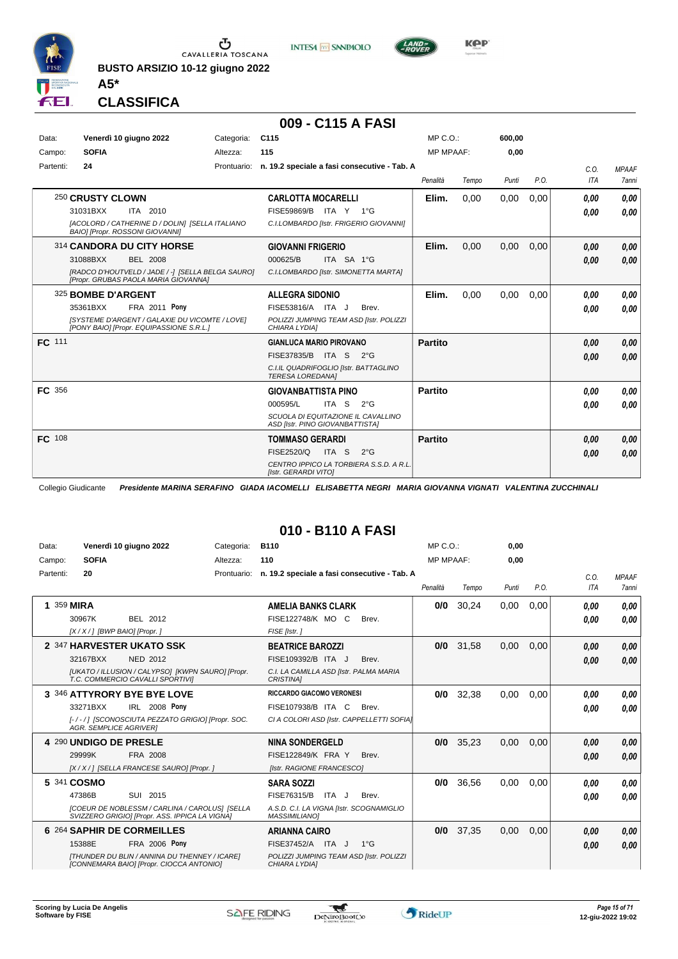

**BUSTO ARSIZIO 10-12 giugno 2022**





**CLASSIFICA**

**A5\***

#### **009 - C115 A FASI**

| Data:         | Venerdì 10 giugno 2022                   | Categoria:                                        | C <sub>115</sub>                                                      | MP C. O.         |       | 600,00 |      |      |              |
|---------------|------------------------------------------|---------------------------------------------------|-----------------------------------------------------------------------|------------------|-------|--------|------|------|--------------|
| Campo:        | <b>SOFIA</b>                             | Altezza:                                          | 115                                                                   | <b>MP MPAAF:</b> |       | 0,00   |      |      |              |
| Partenti:     | 24                                       |                                                   | Prontuario: n. 19.2 speciale a fasi consecutive - Tab. A              |                  |       |        |      | C.0  | <b>MPAAF</b> |
|               |                                          |                                                   |                                                                       | Penalità         | Tempo | Punti  | P.O. | ITA  | <b>7anni</b> |
|               | 250 CRUSTY CLOWN                         |                                                   | <b>CARLOTTA MOCARELLI</b>                                             | Elim.            | 0,00  | 0,00   | 0,00 | 0,00 | 0,00         |
|               | 31031BXX<br>ITA 2010                     |                                                   | FISE59869/B ITA Y<br>$1^{\circ}G$                                     |                  |       |        |      | 0,00 | 0.00         |
|               | <b>BAIOI [Propr. ROSSONI GIOVANNI]</b>   | [ACOLORD / CATHERINE D / DOLIN] [SELLA ITALIANO   | C.I.LOMBARDO [Istr. FRIGERIO GIOVANNI]                                |                  |       |        |      |      |              |
|               | 314 CANDORA DU CITY HORSE                |                                                   | <b>GIOVANNI FRIGERIO</b>                                              | Elim.            | 0.00  | 0,00   | 0,00 | 0,00 | 0,00         |
|               | 31088BXX<br><b>BEL 2008</b>              |                                                   | 000625/B<br>ITA SA 1°G                                                |                  |       |        |      | 0,00 | 0,00         |
|               | [Propr. GRUBAS PAOLA MARIA GIOVANNA]     | [RADCO D'HOUTVELD / JADE / -] [SELLA BELGA SAURO] | C.I.LOMBARDO [Istr. SIMONETTA MARTA]                                  |                  |       |        |      |      |              |
|               | 325 BOMBE D'ARGENT                       |                                                   | <b>ALLEGRA SIDONIO</b>                                                | Elim.            | 0,00  | 0,00   | 0.00 | 0.00 | 0.00         |
|               | 35361BXX                                 | <b>FRA 2011 Pony</b>                              | FISE53816/A ITA J<br>Brev.                                            |                  |       |        |      | 0,00 | 0,00         |
|               | [PONY BAIO] [Propr. EQUIPASSIONE S.R.L.] | [SYSTEME D'ARGENT / GALAXIE DU VICOMTE / LOVE]    | POLIZZI JUMPING TEAM ASD [Istr. POLIZZI<br>CHIARA LYDIA]              |                  |       |        |      |      |              |
| <b>FC</b> 111 |                                          |                                                   | <b>GIANLUCA MARIO PIROVANO</b>                                        | <b>Partito</b>   |       |        |      | 0,00 | 0,00         |
|               |                                          |                                                   | FISE37835/B ITA S<br>$2^{\circ}G$                                     |                  |       |        |      | 0,00 | 0,00         |
|               |                                          |                                                   | C.I.IL QUADRIFOGLIO [Istr. BATTAGLINO<br><b>TERESA LOREDANA1</b>      |                  |       |        |      |      |              |
| FC 356        |                                          |                                                   | <b>GIOVANBATTISTA PINO</b>                                            | <b>Partito</b>   |       |        |      | 0,00 | 0,00         |
|               |                                          |                                                   | 000595/L<br>ITA <sub>S</sub><br>$2^{\circ}G$                          |                  |       |        |      | 0,00 | 0.00         |
|               |                                          |                                                   | SCUOLA DI EQUITAZIONE IL CAVALLINO<br>ASD [Istr. PINO GIOVANBATTISTA] |                  |       |        |      |      |              |
| FC 108        |                                          |                                                   | <b>TOMMASO GERARDI</b>                                                | <b>Partito</b>   |       |        |      | 0.00 | 0,00         |
|               |                                          |                                                   | <b>FISE2520/Q</b><br>ITA S<br>$2^{\circ}$ G                           |                  |       |        |      | 0,00 | 0,00         |
|               |                                          |                                                   | CENTRO IPPICO LA TORBIERA S.S.D. A R.L.<br>[Istr. GERARDI VITO]       |                  |       |        |      |      |              |

Collegio Giudicante *Presidente MARINA SERAFINO GIADA IACOMELLI ELISABETTA NEGRI MARIA GIOVANNA VIGNATI VALENTINA ZUCCHINALI*

#### **010 - B110 A FASI**

| Data:<br>Campo: | Venerdì 10 giugno 2022<br><b>SOFIA</b>                                                                                                                           | Categoria:<br>Altezza: | <b>B110</b><br>110                                                                                                     | MP C. O.<br><b>MP MPAAF:</b> |       | 0,00<br>0.00 |      |                    |                              |
|-----------------|------------------------------------------------------------------------------------------------------------------------------------------------------------------|------------------------|------------------------------------------------------------------------------------------------------------------------|------------------------------|-------|--------------|------|--------------------|------------------------------|
| Partenti:       | 20                                                                                                                                                               | Prontuario:            | n. 19.2 speciale a fasi consecutive - Tab. A                                                                           | Penalità                     | Tempo | Punti        | P.O. | C.0.<br><b>ITA</b> | <b>MPAAF</b><br><b>7anni</b> |
|                 | 1 359 MIRA<br>30967K<br>BEL 2012<br>$[X/X/]$ [BWP BAIO] [Propr.]                                                                                                 |                        | <b>AMELIA BANKS CLARK</b><br>FISE122748/K MO C<br>Brev.<br>FISE [Istr.]                                                | 0/0                          | 30.24 | 0,00         | 0.00 | 0.00<br>0,00       | 0.00<br>0.00                 |
|                 | 2 347 HARVESTER UKATO SSK<br>32167BXX<br><b>NED 2012</b><br>[UKATO / ILLUSION / CALYPSO] [KWPN SAURO] [Propr.<br>T.C. COMMERCIO CAVALLI SPORTIVII                |                        | <b>BEATRICE BAROZZI</b><br>FISE109392/B ITA J<br>Brev.<br>C.I. LA CAMILLA ASD [Istr. PALMA MARIA<br><b>CRISTINAI</b>   | 0/0                          | 31.58 | 0.00         | 0.00 | 0,00<br>0,00       | 0,00<br>0.00                 |
|                 | 3 346 ATTYRORY BYE BYE LOVE<br>IRL 2008 Pony<br>33271BXX<br>[-/-/] [SCONOSCIUTA PEZZATO GRIGIO] [Propr. SOC.<br><b>AGR. SEMPLICE AGRIVER1</b>                    |                        | <b>RICCARDO GIACOMO VERONESI</b><br>FISE107938/B ITA C<br>Brev.<br>CI A COLORI ASD [Istr. CAPPELLETTI SOFIA]           | 0/0                          | 32,38 | 0.00         | 0.00 | 0,00<br>0.00       | 0.00<br>0.00                 |
|                 | 4 290 UNDIGO DE PRESLE<br>29999K<br>FRA 2008<br>[X / X / ] [SELLA FRANCESE SAURO] [Propr. ]                                                                      |                        | <b>NINA SONDERGELD</b><br><b>FISE122849/K FRA Y</b><br>Brev.<br>[Istr. RAGIONE FRANCESCO]                              | 0/0                          | 35,23 | 0,00         | 0,00 | 0,00<br>0.00       | 0,00<br>0.00                 |
|                 | 5 341 COSMO<br>SUI 2015<br>47386B<br>[COEUR DE NOBLESSM / CARLINA / CAROLUS] [SELLA<br>SVIZZERO GRIGIO] [Propr. ASS. IPPICA LA VIGNA]                            |                        | <b>SARA SOZZI</b><br>FISE76315/B<br>ITA J<br>Brev.<br>A.S.D. C.I. LA VIGNA [Istr. SCOGNAMIGLIO<br><b>MASSIMILIANO]</b> | 0/0                          | 36,56 | 0,00         | 0,00 | 0.00<br>0.00       | 0.00<br>0.00                 |
|                 | 6 264 SAPHIR DE CORMEILLES<br><b>FRA 2006 Pony</b><br>15388E<br><b>ITHUNDER DU BLIN / ANNINA DU THENNEY / ICAREI</b><br>[CONNEMARA BAIO] [Propr. CIOCCA ANTONIO] |                        | <b>ARIANNA CAIRO</b><br>FISE37452/A ITA J<br>$1^{\circ}$ G<br>POLIZZI JUMPING TEAM ASD [Istr. POLIZZI<br>CHIARA LYDIA] | 0/0                          | 37,35 | 0,00         | 0,00 | 0.00<br>0.00       | 0.00<br>0.00                 |

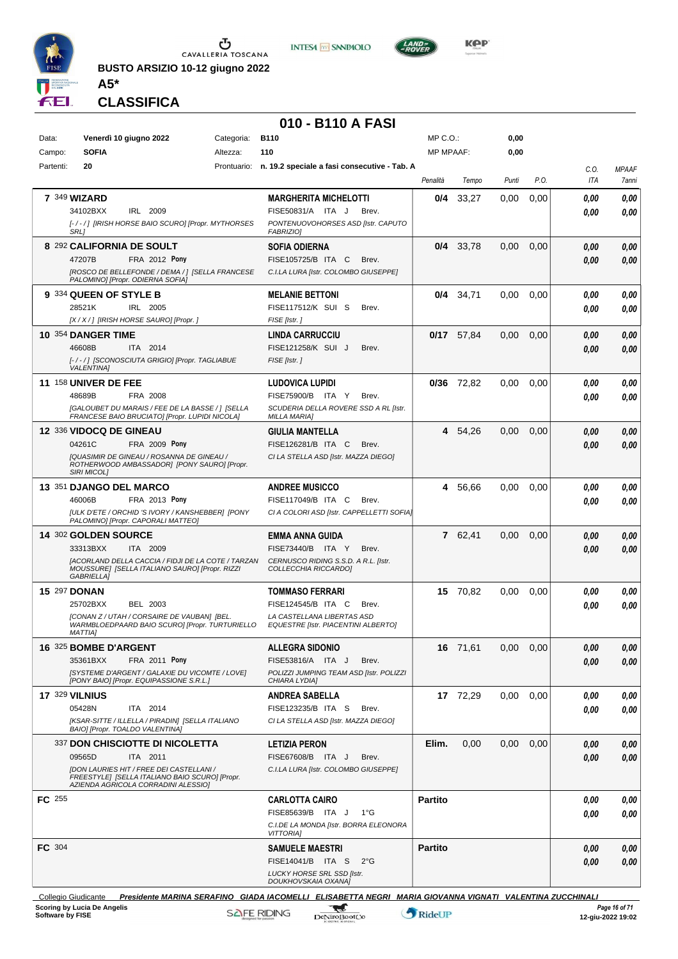

**INTESA M** SANPAOLO



**Kep** 

**CLASSIFICA**

**A5\***

#### **010 - B110 A FASI**

| Data:               | Venerdì 10 giugno 2022                                                                                                    | Categoria: | <b>B110</b>                                                              | $MP C. O.$ :     |              | 0,00  |               |                    |                       |
|---------------------|---------------------------------------------------------------------------------------------------------------------------|------------|--------------------------------------------------------------------------|------------------|--------------|-------|---------------|--------------------|-----------------------|
| Campo:<br>Partenti: | <b>SOFIA</b><br>20                                                                                                        | Altezza:   | 110<br>Prontuario: n. 19.2 speciale a fasi consecutive - Tab. A          | <b>MP MPAAF:</b> |              | 0,00  |               |                    |                       |
|                     |                                                                                                                           |            |                                                                          | Penalità         | Tempo        | Punti | P.O.          | C.0.<br><b>ITA</b> | <b>MPAAF</b><br>7anni |
|                     | <b>7 349 WIZARD</b>                                                                                                       |            | <b>MARGHERITA MICHELOTTI</b>                                             | 0/4              | 33,27        | 0.00  | 0,00          | 0,00               | 0,00                  |
|                     | IRL 2009<br>34102BXX                                                                                                      |            | FISE50831/A ITA J<br>Brev.                                               |                  |              |       |               | 0.00               | 0,00                  |
|                     | [-/-/] [IRISH HORSE BAIO SCURO] [Propr. MYTHORSES<br><b>SRL1</b>                                                          |            | PONTENUOVOHORSES ASD [Istr. CAPUTO<br><b>FABRIZIO)</b>                   |                  |              |       |               |                    |                       |
|                     | 8 292 CALIFORNIA DE SOULT                                                                                                 |            | <b>SOFIA ODIERNA</b>                                                     | 0/4              | 33,78        | 0,00  | 0,00          | 0.00               | 0,00                  |
|                     | 47207B<br>FRA 2012 Pony                                                                                                   |            | FISE105725/B ITA C<br>Brev.                                              |                  |              |       |               | 0.00               | 0,00                  |
|                     | [ROSCO DE BELLEFONDE / DEMA / ] [SELLA FRANCESE<br>PALOMINO] [Propr. ODIERNA SOFIA]                                       |            | C.I.LA LURA [Istr. COLOMBO GIUSEPPE]                                     |                  |              |       |               |                    |                       |
|                     | 9 334 QUEEN OF STYLE B                                                                                                    |            | <b>MELANIE BETTONI</b>                                                   | 0/4              | 34,71        | 0.00  | 0,00          | 0.00               | 0,00                  |
|                     | 28521K<br>IRL 2005                                                                                                        |            | FISE117512/K SUI S<br>Brev.                                              |                  |              |       |               | 0.00               | 0.00                  |
|                     | [X / X / ] [IRISH HORSE SAURO] [Propr. ]                                                                                  |            | FISE [Istr.]                                                             |                  |              |       |               |                    |                       |
|                     | 10 354 DANGER TIME<br>46608B<br>ITA 2014                                                                                  |            | <b>LINDA CARRUCCIU</b><br>FISE121258/K SUI J<br>Brev.                    |                  | $0/17$ 57,84 | 0,00  | 0,00          | 0.00<br>0.00       | 0,00<br>0,00          |
|                     | [-/-/] [SCONOSCIUTA GRIGIO] [Propr. TAGLIABUE                                                                             |            | FISE [Istr.]                                                             |                  |              |       |               |                    |                       |
|                     | <b>VALENTINA]</b><br><b>11 158 UNIVER DE FEE</b>                                                                          |            |                                                                          |                  |              |       |               |                    |                       |
|                     | FRA 2008<br>48689B                                                                                                        |            | <b>LUDOVICA LUPIDI</b><br>FISE75900/B ITA Y<br>Brev.                     |                  | $0/36$ 72,82 | 0,00  | 0,00          | 0.00<br>0.00       | 0,00<br>0,00          |
|                     | [GALOUBET DU MARAIS / FEE DE LA BASSE / 1 [SELLA                                                                          |            | SCUDERIA DELLA ROVERE SSD A RL [Istr.                                    |                  |              |       |               |                    |                       |
|                     | FRANCESE BAIO BRUCIATO] [Propr. LUPIDI NICOLA]                                                                            |            | <b>MILLA MARIA]</b>                                                      |                  |              |       |               |                    |                       |
|                     | 12 336 VIDOCQ DE GINEAU<br>04261C<br>FRA 2009 Pony                                                                        |            | <b>GIULIA MANTELLA</b><br>FISE126281/B ITA C<br>Brev.                    |                  | 4 54,26      | 0,00  | 0,00          | 0.00               | 0,00                  |
|                     | [QUASIMIR DE GINEAU / ROSANNA DE GINEAU /                                                                                 |            | CI LA STELLA ASD [Istr. MAZZA DIEGO]                                     |                  |              |       |               | 0.00               | 0,00                  |
|                     | ROTHERWOOD AMBASSADOR] [PONY SAURO] [Propr.<br><b>SIRI MICOLI</b>                                                         |            |                                                                          |                  |              |       |               |                    |                       |
|                     | 13 351 DJANGO DEL MARCO                                                                                                   |            | <b>ANDREE MUSICCO</b>                                                    | 4                | 56,66        | 0,00  | 0,00          | 0.00               | 0,00                  |
|                     | 46006B<br>FRA 2013 Pony                                                                                                   |            | FISE117049/B ITA C<br>Brev.                                              |                  |              |       |               | 0.00               | 0.00                  |
|                     | [ULK D'ETE / ORCHID 'S IVORY / KANSHEBBER] [PONY<br>PALOMINO] [Propr. CAPORALI MATTEO]                                    |            | CI A COLORI ASD [Istr. CAPPELLETTI SOFIA]                                |                  |              |       |               |                    |                       |
|                     | 14 302 GOLDEN SOURCE                                                                                                      |            | EMMA ANNA GUIDA                                                          |                  | 7 62,41      | 0,00  | 0,00          | 0.00               | 0,00                  |
|                     | 33313BXX<br>ITA 2009                                                                                                      |            | FISE73440/B ITA Y<br>Brev.                                               |                  |              |       |               | 0.00               | 0.00                  |
|                     | [ACORLAND DELLA CACCIA / FIDJI DE LA COTE / TARZAN<br>MOUSSURE] [SELLA ITALIANO SAURO] [Propr. RIZZI<br><b>GABRIELLA1</b> |            | CERNUSCO RIDING S.S.D. A R.L. [Istr.<br>COLLECCHIA RICCARDO]             |                  |              |       |               |                    |                       |
|                     | 15 297 DONAN                                                                                                              |            | <b>TOMMASO FERRARI</b>                                                   |                  | 15 70,82     | 0,00  | 0,00          | 0.00               | 0,00                  |
|                     | BEL 2003<br>25702BXX                                                                                                      |            | FISE124545/B ITA C<br>Brev.                                              |                  |              |       |               | 0.00               | 0.00                  |
|                     | [CONAN Z / UTAH / CORSAIRE DE VAUBAN] [BEL.<br>WARMBLOEDPAARD BAIO SCURO] [Propr. TURTURIELLO                             |            | LA CASTELLANA LIBERTAS ASD<br><b>EQUESTRE [Istr. PIACENTINI ALBERTO]</b> |                  |              |       |               |                    |                       |
|                     | <b>MATTIAI</b>                                                                                                            |            |                                                                          |                  |              |       |               |                    |                       |
|                     | 16 325 BOMBE D'ARGENT<br><b>FRA 2011 Pony</b><br>35361BXX                                                                 |            | <b>ALLEGRA SIDONIO</b><br>FISE53816/A ITA J<br>Brev.                     |                  | 16 71,61     |       | $0,00$ $0,00$ | 0,00               | 0,00                  |
|                     | [SYSTEME D'ARGENT / GALAXIE DU VICOMTE / LOVE]                                                                            |            | POLIZZI JUMPING TEAM ASD [Istr. POLIZZI                                  |                  |              |       |               | 0.00               | 0,00                  |
|                     | [PONY BAIO] [Propr. EQUIPASSIONE S.R.L.]                                                                                  |            | CHIARA LYDIA]                                                            |                  |              |       |               |                    |                       |
|                     | <b>17 329 VILNIUS</b>                                                                                                     |            | <b>ANDREA SABELLA</b>                                                    |                  | 17 72,29     | 0,00  | 0,00          | 0.00               | 0,00                  |
|                     | 05428N<br>ITA 2014<br>[KSAR-SITTE / ILLELLA / PIRADIN] [SELLA ITALIANO                                                    |            | FISE123235/B ITA S<br>Brev.<br>CI LA STELLA ASD [Istr. MAZZA DIEGO]      |                  |              |       |               | 0.00               | 0,00                  |
|                     | BAIO] [Propr. TOALDO VALENTINA]                                                                                           |            |                                                                          |                  |              |       |               |                    |                       |
|                     | 337 DON CHISCIOTTE DI NICOLETTA                                                                                           |            | <b>LETIZIA PERON</b>                                                     | Elim.            | 0,00         | 0,00  | 0,00          | 0.00               | 0,00                  |
|                     | 09565D<br>ITA 2011<br><b>IDON LAURIES HIT / FREE DEI CASTELLANI /</b>                                                     |            | FISE67608/B ITA J<br>Brev.<br>C.I.LA LURA [Istr. COLOMBO GIUSEPPE]       |                  |              |       |               | 0.00               | 0,00                  |
|                     | FREESTYLE] [SELLA ITALIANO BAIO SCURO] [Propr.<br>AZIENDA AGRICOLA CORRADINI ALESSIO]                                     |            |                                                                          |                  |              |       |               |                    |                       |
| FC 255              |                                                                                                                           |            | <b>CARLOTTA CAIRO</b>                                                    | <b>Partito</b>   |              |       |               | 0,00               | 0,00                  |
|                     |                                                                                                                           |            | FISE85639/B ITA J<br>$1^{\circ}G$                                        |                  |              |       |               | 0.00               | 0,00                  |
|                     |                                                                                                                           |            | C.I.DE LA MONDA [Istr. BORRA ELEONORA<br><b>VITTORIAI</b>                |                  |              |       |               |                    |                       |
| FC 304              |                                                                                                                           |            | <b>SAMUELE MAESTRI</b>                                                   | <b>Partito</b>   |              |       |               | 0.00               | 0,00                  |
|                     |                                                                                                                           |            | FISE14041/B ITA S<br>$2^{\circ}$ G                                       |                  |              |       |               | 0,00               | 0,00                  |
|                     |                                                                                                                           |            | LUCKY HORSE SRL SSD [Istr.<br>DOUKHOVSKAIA OXANAJ                        |                  |              |       |               |                    |                       |
|                     |                                                                                                                           |            |                                                                          |                  |              |       |               |                    |                       |

Collegio Giudicante *Presidente MARINA SERAFINO GIADA IACOMELLI ELISABETTA NEGRI MARIA GIOVANNA VIGNATI VALENTINA ZUCCHINALI* **Scoring by Lucia De Angelis Software by FISE 12-giu-2022 19:02**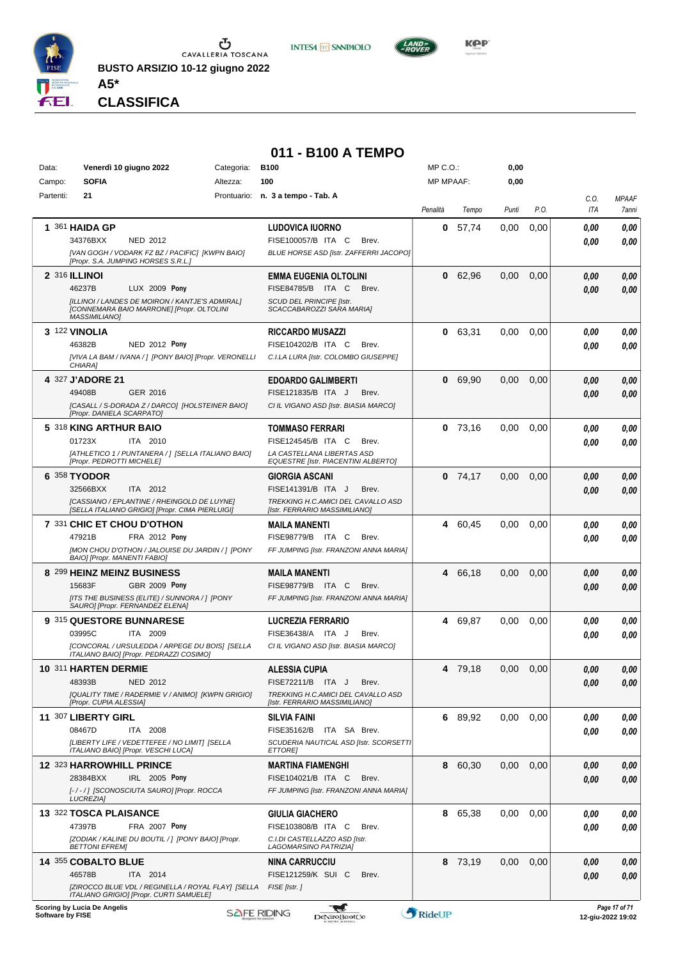

**INTESA M** SANPAOLO



**CLASSIFICA**

**A5\***

#### **011 - B100 A TEMPO**

| Data:            | Venerdì 10 giugno 2022                                                                         | Categoria:                                                      | <b>B100</b>                                                         | MP C.O.:         |           | 0,00  |      |                    |                                    |
|------------------|------------------------------------------------------------------------------------------------|-----------------------------------------------------------------|---------------------------------------------------------------------|------------------|-----------|-------|------|--------------------|------------------------------------|
| Campo:           | <b>SOFIA</b>                                                                                   | Altezza:                                                        | 100                                                                 | <b>MP MPAAF:</b> |           | 0,00  |      |                    |                                    |
| Partenti:        | 21                                                                                             |                                                                 | Prontuario: n. 3 a tempo - Tab. A                                   | Penalità         | Tempo     | Punti | P.O. | C.O.<br><b>ITA</b> | <b>MPAAF</b><br>7anni              |
|                  | 1 361 HAIDA GP                                                                                 |                                                                 | <b>LUDOVICA IUORNO</b>                                              | 0                | 57,74     | 0.00  | 0,00 | 0,00               | 0,00                               |
|                  | 34376BXX<br><b>NED 2012</b>                                                                    |                                                                 | FISE100057/B ITA C<br>Brev.                                         |                  |           |       |      | 0.00               | 0.00                               |
|                  | [Propr. S.A. JUMPING HORSES S.R.L.]                                                            | [VAN GOGH / VODARK FZ BZ / PACIFIC] [KWPN BAIO]                 | BLUE HORSE ASD [Istr. ZAFFERRI JACOPO]                              |                  |           |       |      |                    |                                    |
|                  | 2 316 ILLINOI                                                                                  |                                                                 | <b>EMMA EUGENIA OLTOLINI</b>                                        | 0                | 62,96     | 0,00  | 0,00 | 0.00               | 0,00                               |
|                  | 46237B                                                                                         | LUX 2009 Pony                                                   | FISE84785/B ITA C<br>Brev.                                          |                  |           |       |      | 0.00               | 0,00                               |
|                  | [CONNEMARA BAIO MARRONE] [Propr. OLTOLINI<br><b>MASSIMILIANO1</b>                              | [ILLINOI / LANDES DE MOIRON / KANTJE'S ADMIRAL]                 | SCUD DEL PRINCIPE [Istr.<br>SCACCABAROZZI SARA MARIA]               |                  |           |       |      |                    |                                    |
|                  | 3 122 VINOLIA                                                                                  |                                                                 | <b>RICCARDO MUSAZZI</b>                                             | 0                | 63,31     | 0,00  | 0,00 | 0,00               | 0,00                               |
|                  | 46382B                                                                                         | NED 2012 Pony                                                   | FISE104202/B ITA C<br>Brev.                                         |                  |           |       |      | 0,00               | 0,00                               |
|                  | CHIARA]                                                                                        | [VIVA LA BAM / IVANA / ] [PONY BAIO] [Propr. VERONELLI          | C.I.LA LURA [Istr. COLOMBO GIUSEPPE]                                |                  |           |       |      |                    |                                    |
|                  | 4 327 J'ADORE 21                                                                               |                                                                 | <b>EDOARDO GALIMBERTI</b>                                           | 0                | 69,90     | 0,00  | 0,00 | 0,00               | 0,00                               |
|                  | 49408B<br>GER 2016                                                                             |                                                                 | FISE121835/B ITA J<br>Brev.                                         |                  |           |       |      | 0.00               | 0,00                               |
|                  | [Propr. DANIELA SCARPATO]                                                                      | [CASALL / S-DORADA Z / DARCO] [HOLSTEINER BAIO]                 | CI IL VIGANO ASD [Istr. BIASIA MARCO]                               |                  |           |       |      |                    |                                    |
|                  | 5 318 KING ARTHUR BAIO                                                                         |                                                                 | <b>TOMMASO FERRARI</b>                                              |                  | $0$ 73.16 | 0,00  | 0,00 | 0,00               | 0,00                               |
|                  | 01723X<br>ITA 2010                                                                             |                                                                 | FISE124545/B ITA C<br>Brev.                                         |                  |           |       |      | 0.00               | 0.00                               |
|                  | [Propr. PEDROTTI MICHELE]                                                                      | [ATHLETICO 1 / PUNTANERA / ] [SELLA ITALIANO BAIO]              | LA CASTELLANA LIBERTAS ASD<br>EQUESTRE [Istr. PIACENTINI ALBERTO]   |                  |           |       |      |                    |                                    |
|                  | 6 358 TYODOR                                                                                   |                                                                 | <b>GIORGIA ASCANI</b>                                               | 0                | 74,17     | 0,00  | 0,00 | 0.00               | 0,00                               |
|                  | 32566BXX<br>ITA 2012                                                                           |                                                                 | FISE141391/B ITA J<br>Brev.                                         |                  |           |       |      | 0.00               | 0,00                               |
|                  | [CASSIANO / EPLANTINE / RHEINGOLD DE LUYNE]<br>[SELLA ITALIANO GRIGIO] [Propr. CIMA PIERLUIGI] |                                                                 | TREKKING H.C.AMICI DEL CAVALLO ASD<br>[Istr. FERRARIO MASSIMILIANO] |                  |           |       |      |                    |                                    |
|                  | 7 331 CHIC ET CHOU D'OTHON                                                                     |                                                                 | <b>MAILA MANENTI</b>                                                |                  | 4 60,45   | 0,00  | 0,00 | 0,00               | 0,00                               |
|                  | 47921B                                                                                         | FRA 2012 Pony                                                   | FISE98779/B ITA C<br>Brev.                                          |                  |           |       |      | 0.00               | 0.00                               |
|                  |                                                                                                | [MON CHOU D'OTHON / JALOUISE DU JARDIN / ] [PONY                | FF JUMPING [Istr. FRANZONI ANNA MARIA]                              |                  |           |       |      |                    |                                    |
|                  | BAIO] [Propr. MANENTI FABIO]                                                                   |                                                                 |                                                                     |                  |           |       |      |                    |                                    |
|                  | 8 299 HEINZ MEINZ BUSINESS<br>15683F                                                           | GBR 2009 Pony                                                   | <b>MAILA MANENTI</b><br>FISE98779/B ITA C<br>Brev.                  | 4                | 66.18     | 0,00  | 0,00 | 0,00               | 0,00                               |
|                  | [ITS THE BUSINESS (ELITE) / SUNNORA / ] [PONY                                                  |                                                                 | FF JUMPING [Istr. FRANZONI ANNA MARIA]                              |                  |           |       |      | 0.00               | 0,00                               |
|                  | SAURO] [Propr. FERNANDEZ ELENA]                                                                |                                                                 |                                                                     |                  |           |       |      |                    |                                    |
|                  | 9 315 QUESTORE BUNNARESE                                                                       |                                                                 | <b>LUCREZIA FERRARIO</b>                                            | 4                | 69,87     | 0,00  | 0,00 | 0.00               | 0,00                               |
|                  | 03995C<br>ITA 2009                                                                             | [CONCORAL / URSULEDDA / ARPEGE DU BOIS] [SELLA                  | FISE36438/A ITA J<br>Brev.<br>CI IL VIGANO ASD [Istr. BIASIA MARCO] |                  |           |       |      | 0.00               | 0.00                               |
|                  | ITALIANO BAIO] [Propr. PEDRAZZI COSIMO]                                                        |                                                                 |                                                                     |                  |           |       |      |                    |                                    |
|                  | 10 311 HARTEN DERMIE                                                                           |                                                                 | <b>ALESSIA CUPIA</b>                                                |                  | 4 79.18   | 0,00  | 0.00 | 0.00               | 0.00                               |
|                  | 48393B<br>NED 2012                                                                             |                                                                 | FISE72211/B ITA J<br>Brev.                                          |                  |           |       |      | 0,00               | 0.00                               |
|                  | [Propr. CUPIA ALESSIA]                                                                         | [QUALITY TIME / RADERMIE V / ANIMO] [KWPN GRIGIO]               | TREKKING H.C.AMICI DEL CAVALLO ASD<br>[Istr. FERRARIO MASSIMILIANO] |                  |           |       |      |                    |                                    |
|                  | 11 307 LIBERTY GIRL                                                                            |                                                                 | <b>SILVIA FAINI</b>                                                 |                  | 6 89,92   | 0,00  | 0,00 | 0.00               | 0,00                               |
|                  | 08467D<br>ITA 2008                                                                             |                                                                 | FISE35162/B ITA SA Brev.                                            |                  |           |       |      | 0,00               | 0.00                               |
|                  | [LIBERTY LIFE / VEDETTEFEE / NO LIMIT] [SELLA<br>ITALIANO BAIO] [Propr. VESCHI LUCA]           |                                                                 | SCUDERIA NAUTICAL ASD [Istr. SCORSETTI<br><b>ETTORE</b>             |                  |           |       |      |                    |                                    |
|                  | 12 323 HARROWHILL PRINCE                                                                       |                                                                 | <b>MARTINA FIAMENGHI</b>                                            |                  | 8 60,30   | 0,00  | 0,00 | 0,00               | 0,00                               |
|                  | 28384BXX                                                                                       | IRL 2005 Pony                                                   | FISE104021/B ITA C<br>Brev.                                         |                  |           |       |      | 0,00               | 0,00                               |
|                  | [-/-/] [SCONOSCIUTA SAURO] [Propr. ROCCA<br><b>LUCREZIAI</b>                                   |                                                                 | FF JUMPING [Istr. FRANZONI ANNA MARIA]                              |                  |           |       |      |                    |                                    |
|                  | 13 322 TOSCA PLAISANCE                                                                         |                                                                 | <b>GIULIA GIACHERO</b>                                              |                  | 8 65,38   | 0.00  | 0.00 | 0.00               | 0,00                               |
|                  | 47397B                                                                                         | <b>FRA 2007 Pony</b>                                            | FISE103808/B ITA C<br>Brev.                                         |                  |           |       |      | 0,00               | 0,00                               |
|                  | <b>BETTONI EFREMI</b>                                                                          | [ZODIAK / KALINE DU BOUTIL / ] [PONY BAIO] [Propr.              | C.I.DI CASTELLAZZO ASD [Istr.<br>LAGOMARSINO PATRIZIA]              |                  |           |       |      |                    |                                    |
|                  | 14 355 COBALTO BLUE                                                                            |                                                                 | NINA CARRUCCIU                                                      |                  | 8 73,19   | 0,00  | 0,00 | 0.00               | 0,00                               |
|                  | 46578B<br>ITA 2014                                                                             |                                                                 | FISE121259/K SUI C<br>Brev.                                         |                  |           |       |      | 0.00               | 0.00                               |
|                  | ITALIANO GRIGIO] [Propr. CURTI SAMUELE]                                                        | [ZIROCCO BLUE VDL / REGINELLA / ROYAL FLAY] [SELLA FISE [Istr.] |                                                                     |                  |           |       |      |                    |                                    |
| Software by FISE | <b>Scoring by Lucia De Angelis</b>                                                             |                                                                 | ₩<br><b>SAFE RIDING</b><br>DeNiroBootCo                             | RideUP           |           |       |      |                    | Page 17 of 71<br>12-giu-2022 19:02 |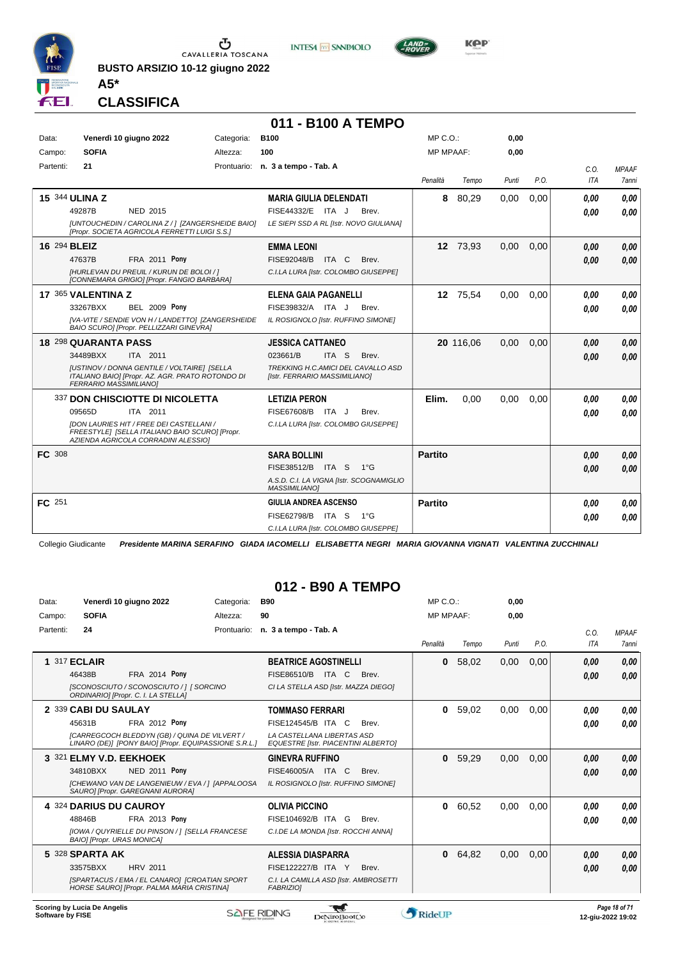

CAVALLERIA TOSCANA

**BUSTO ARSIZIO 10-12 giugno 2022**





**A5\* CLASSIFICA**

#### **011 - B100 A TEMPO** Data: Venerdì 10 giugno 2022 Gategoria: B100 Prontuario: **n. 3 a tempo - Tab. A** Campo: **SOFIA** Partenti: **21** Altezza: **100** MP C.O.: MP MPAAF: **0,00 0,00** *Penalità Tempo Punti P.O. C.O. ITA MPAAF 7anni* **15** 344 **ULINA Z** NED 2015 **MARIA GIULIA DELENDATI** *[UNTOUCHEDIN / CAROLINA Z / ] [ZANGERSHEIDE BAIO] [Propr. SOCIETA AGRICOLA FERRETTI LUIGI S.S.] LE SIEPI SSD A RL [Istr. NOVO GIULIANA]* 49287B NED 2015 FISE44332/E ITA J Brev. *0,00 0,00* **8** 80,29 0,00 0,00 *0,00 0,00 0,00* **16** 294 **BLEIZ FRA 2011 Pony EMMA LEONI** *[HURLEVAN DU PREUIL / KURUN DE BOLOI / ] [CONNEMARA GRIGIO] [Propr. FANGIO BARBARA] C.I.LA LURA [Istr. COLOMBO GIUSEPPE]* ITA C Brev. 47637B FISE92048/B *0,00* **Pony 12** 73,93 0,00 0,00 *0,00 0,00 0,00* **17** 365 **VALENTINA Z BEL 2009 Pony ELENA GAIA PAGANELLI** *[VA-VITE / SENDIE VON H / LANDETTO] [ZANGERSHEIDE BAIO SCURO] [Propr. PELLIZZARI GINEVRA] IL ROSIGNOLO [Istr. RUFFINO SIMONE]* ITA J Brev. 33267BXX FISE39832/A *0,00* **Pony 12** 75,54 0,00 0,00 *0,00 0,00 0,00* **18** 298 **QUARANTA PASS** ITA 2011 **JESSICA CATTANEO** *[USTINOV / DONNA GENTILE / VOLTAIRE] [SELLA ITALIANO BAIO] [Propr. AZ. AGR. PRATO ROTONDO DI FERRARIO MASSIMILIANO] TREKKING H.C.AMICI DEL CAVALLO ASD [Istr. FERRARIO MASSIMILIANO]* ITA S Brev. **20** 116,06 0,00 0,00 *0,00 0,00 0,00* 34489BXX ITA 2011 023661/B ITA S Brev. <mark> 0,00 0,00</mark> 337 **DON CHISCIOTTE DI NICOLETTA** ITA 2011 **LETIZIA PERON** *[DON LAURIES HIT / FREE DEI CASTELLANI / FREESTYLE] [SELLA ITALIANO BAIO SCURO] [Propr. AZIENDA AGRICOLA CORRADINI ALESSIO] C.I.LA LURA [Istr. COLOMBO GIUSEPPE]* 09565D ITA 2011 FISE67608/B ITA J Brev. **0,00 0,00 Elim.** 0,00 0,00 0,00 *0,00 0,00 0,00* **FC** 308 **SARA BOLLINI** *A.S.D. C.I. LA VIGNA [Istr. SCOGNAMIGLIO MASSIMILIANO]* ITA S 1°G FISE38512/B *0,00* **Partito** *0,00 0,00 0,00* **FC** 251 **GIULIA ANDREA ASCENSO** *C.I.LA LURA [Istr. COLOMBO GIUSEPPE]* ITA S 1°G FISE62798/B *0,00* **Partito** *0,00 0,00 0,00*

Collegio Giudicante *Presidente MARINA SERAFINO GIADA IACOMELLI ELISABETTA NEGRI MARIA GIOVANNA VIGNATI VALENTINA ZUCCHINALI*

#### **012 - B90 A TEMPO**

| Data:     | Venerdì 10 giugno 2022                                                                                 | Categoria: | B90                                                                      | MP C. O.     |       | 0,00  |      |      |              |
|-----------|--------------------------------------------------------------------------------------------------------|------------|--------------------------------------------------------------------------|--------------|-------|-------|------|------|--------------|
| Campo:    | <b>SOFIA</b>                                                                                           | Altezza:   | 90                                                                       | MP MPAAF:    |       | 0.00  |      |      |              |
| Partenti: | 24                                                                                                     |            | Prontuario: n. 3 a tempo - Tab. A                                        |              |       |       |      | C.0. | <b>MPAAF</b> |
|           |                                                                                                        |            |                                                                          | Penalità     | Tempo | Punti | P.O. | ITA  | <b>7anni</b> |
|           | <b>1 317 ECLAIR</b>                                                                                    |            | <b>BEATRICE AGOSTINELLI</b>                                              | 0            | 58,02 | 0,00  | 0,00 | 0,00 | 0,00         |
|           | <b>FRA 2014 Pony</b><br>46438B                                                                         |            | FISE86510/B<br>ITA C<br>Brev.                                            |              |       |       |      | 0,00 | 0,00         |
|           | [SCONOSCIUTO / SCONOSCIUTO / ] [ SORCINO<br>ORDINARIO] [Propr. C. I. LA STELLA]                        |            | CI LA STELLA ASD [Istr. MAZZA DIEGO]                                     |              |       |       |      |      |              |
|           | 2 339 CABI DU SAULAY                                                                                   |            | <b>TOMMASO FERRARI</b>                                                   | 0            | 59,02 | 0,00  | 0,00 | 0,00 | 0,00         |
|           | FRA 2012 Pony<br>45631B                                                                                |            | FISE124545/B ITA C<br>Brev.                                              |              |       |       |      | 0.00 | 0,00         |
|           | [CARREGCOCH BLEDDYN (GB) / QUINA DE VILVERT /<br>LINARO (DE)] [PONY BAIO] [Propr. EQUIPASSIONE S.R.L.] |            | LA CASTELLANA LIBERTAS ASD<br><b>EQUESTRE [Istr. PIACENTINI ALBERTO]</b> |              |       |       |      |      |              |
|           | 3 321 ELMY V.D. EEKHOEK                                                                                |            | <b>GINEVRA RUFFINO</b>                                                   | 0            | 59,29 | 0,00  | 0,00 | 0,00 | 0,00         |
|           | 34810BXX<br><b>NED 2011 Pony</b>                                                                       |            | FISE46005/A ITA C<br>Brev.                                               |              |       |       |      | 0,00 | 0,00         |
|           | [CHEWANO VAN DE LANGENIEUW / EVA / ] [APPALOOSA<br>SAURO] [Propr. GAREGNANI AURORA]                    |            | IL ROSIGNOLO [Istr. RUFFINO SIMONE]                                      |              |       |       |      |      |              |
|           | 4 324 DARIUS DU CAUROY                                                                                 |            | <b>OLIVIA PICCINO</b>                                                    | 0            | 60,52 | 0,00  | 0.00 | 0.00 | 0,00         |
|           | FRA 2013 Pony<br>48846B                                                                                |            | FISE104692/B ITA G<br>Brev.                                              |              |       |       |      | 0.00 | 0.00         |
|           | [IOWA / QUYRIELLE DU PINSON / ] [SELLA FRANCESE<br><b>BAIOI [Propr. URAS MONICA]</b>                   |            | C.I.DE LA MONDA [Istr. ROCCHI ANNA]                                      |              |       |       |      |      |              |
|           | 5 328 SPARTA AK                                                                                        |            | ALESSIA DIASPARRA                                                        | $\mathbf{0}$ | 64.82 | 0,00  | 0.00 | 0.00 | 0,00         |
|           | <b>HRV 2011</b><br>33575BXX                                                                            |            | FISE122227/B ITA Y<br>Brev.                                              |              |       |       |      | 0,00 | 0,00         |
|           | [SPARTACUS / EMA / EL CANARO] [CROATIAN SPORT<br>HORSE SAURO] [Propr. PALMA MARIA CRISTINA]            |            | C.I. LA CAMILLA ASD [Istr. AMBROSETTI<br><b>FABRIZIOI</b>                |              |       |       |      |      |              |
|           |                                                                                                        |            |                                                                          |              |       |       |      |      |              |

**Scoring by Lucia De Angelis**

**Software by FISE 12-giu-2022 19:02 12-giu-2022 19:02 12-giu-2022 19:02** 

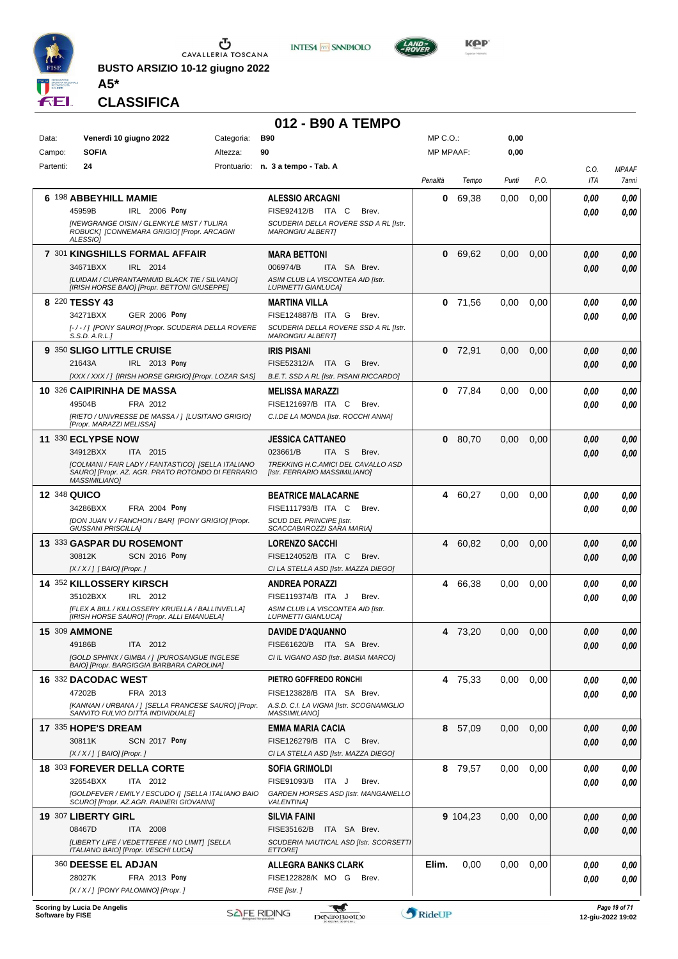

**BUSTO ARSIZIO 10-12 giugno 2022**





**CLASSIFICA**

**A5\***

#### **012 - B90 A TEMPO**

| Data:               | Venerdì 10 giugno 2022                                                                                  | Categoria: | <b>B90</b>                                                          | MP C.O.:         |           | 0,00  |      |              |                                    |
|---------------------|---------------------------------------------------------------------------------------------------------|------------|---------------------------------------------------------------------|------------------|-----------|-------|------|--------------|------------------------------------|
| Campo:              | <b>SOFIA</b>                                                                                            | Altezza:   | 90                                                                  | <b>MP MPAAF:</b> |           | 0,00  |      |              |                                    |
| Partenti:           | 24                                                                                                      |            | Prontuario: n. 3 a tempo - Tab. A                                   | Penalità         | Tempo     | Punti | P.O. | C.O.<br>ITA  | <b>MPAAF</b><br>7anni              |
|                     | 6 198 ABBEYHILL MAMIE                                                                                   |            |                                                                     |                  |           |       |      |              |                                    |
|                     | IRL 2006 Pony<br>45959B                                                                                 |            | <b>ALESSIO ARCAGNI</b><br>FISE92412/B ITA C<br>Brev.                | 0                | 69,38     | 0.00  | 0,00 | 0.00<br>0.00 | 0,00<br>0.00                       |
|                     | <b>INEWGRANGE OISIN / GLENKYLE MIST / TULIRA</b>                                                        |            | SCUDERIA DELLA ROVERE SSD A RL [Istr.                               |                  |           |       |      |              |                                    |
|                     | ROBUCK] [CONNEMARA GRIGIO] [Propr. ARCAGNI<br>ALESSIOI                                                  |            | <b>MARONGIU ALBERT]</b>                                             |                  |           |       |      |              |                                    |
|                     | 7 301 KINGSHILLS FORMAL AFFAIR                                                                          |            | <b>MARA BETTONI</b>                                                 |                  | 0 69,62   | 0,00  | 0,00 | 0.00         | 0,00                               |
|                     | 34671BXX<br>IRL 2014                                                                                    |            | 006974/B<br>ITA SA Brev.                                            |                  |           |       |      | 0.00         | 0.00                               |
|                     | [LUIDAM / CURRANTARMUID BLACK TIE / SILVANO]<br>[IRISH HORSE BAIO] [Propr. BETTONI GIUSEPPE]            |            | ASIM CLUB LA VISCONTEA AID [Istr.<br><b>LUPINETTI GIANLUCAI</b>     |                  |           |       |      |              |                                    |
|                     | 8 220 TESSY 43                                                                                          |            | MARTINA VILLA                                                       |                  | $0$ 71,56 | 0,00  | 0,00 | 0.00         | 0,00                               |
|                     | 34271BXX<br><b>GER 2006 Pony</b>                                                                        |            | FISE124887/B ITA G<br>Brev.                                         |                  |           |       |      | 0.00         | 0.00                               |
|                     | [-/-/] [PONY SAURO] [Propr. SCUDERIA DELLA ROVERE<br>S.S.D. A.R.L.]                                     |            | SCUDERIA DELLA ROVERE SSD A RL [Istr.<br><b>MARONGIU ALBERT]</b>    |                  |           |       |      |              |                                    |
|                     | 9 350 SLIGO LITTLE CRUISE                                                                               |            | <b>IRIS PISANI</b>                                                  |                  | $0$ 72,91 | 0,00  | 0,00 | 0.00         | 0,00                               |
|                     | 21643A<br>IRL 2013 Pony                                                                                 |            | FISE52312/A<br>ITA G<br>Brev.                                       |                  |           |       |      | 0.00         | 0.00                               |
|                     | [XXX / XXX / ] [IRISH HORSE GRIGIO] [Propr. LOZAR SAS]                                                  |            | B.E.T. SSD A RL [Istr. PISANI RICCARDO]                             |                  |           |       |      |              |                                    |
|                     | 10 326 CAIPIRINHA DE MASSA                                                                              |            | <b>MELISSA MARAZZI</b>                                              |                  | $0$ 77,84 | 0,00  | 0,00 | 0.00         | 0,00                               |
|                     | 49504B<br>FRA 2012<br>[RIETO / UNIVRESSE DE MASSA / ] [LUSITANO GRIGIO]                                 |            | FISE121697/B ITA C<br>Brev.<br>C.I.DE LA MONDA [Istr. ROCCHI ANNA]  |                  |           |       |      | 0.00         | 0.00                               |
|                     | [Propr. MARAZZI MELISSA]                                                                                |            |                                                                     |                  |           |       |      |              |                                    |
|                     | 11 330 ECLYPSE NOW                                                                                      |            | <b>JESSICA CATTANEO</b>                                             | 0                | 80,70     | 0,00  | 0,00 | 0.00         | 0,00                               |
|                     | 34912BXX<br>ITA 2015                                                                                    |            | 023661/B<br>ITA S<br>Brev.                                          |                  |           |       |      | 0.00         | 0.00                               |
|                     | [COLMANI / FAIR LADY / FANTASTICO] [SELLA ITALIANO<br>SAURO] [Propr. AZ. AGR. PRATO ROTONDO DI FERRARIO |            | TREKKING H.C.AMICI DEL CAVALLO ASD<br>[Istr. FERRARIO MASSIMILIANO] |                  |           |       |      |              |                                    |
|                     | <b>MASSIMILIANO1</b>                                                                                    |            |                                                                     |                  |           |       |      |              |                                    |
| <b>12 348 QUICO</b> | 34286BXX<br><b>FRA 2004 Pony</b>                                                                        |            | <b>BEATRICE MALACARNE</b><br>FISE111793/B ITA C<br>Brev.            |                  | 4 60,27   | 0,00  | 0,00 | 0.00         | 0,00                               |
|                     | [DON JUAN V / FANCHON / BAR] [PONY GRIGIO] [Propr.                                                      |            | SCUD DEL PRINCIPE [Istr.                                            |                  |           |       |      | 0.00         | 0.00                               |
|                     | <b>GIUSSANI PRISCILLA]</b>                                                                              |            | SCACCABAROZZI SARA MARIA]                                           |                  |           |       |      |              |                                    |
|                     | 13 333 GASPAR DU ROSEMONT                                                                               |            | <b>LORENZO SACCHI</b>                                               |                  | 4 60,82   | 0,00  | 0,00 | 0.00         | 0,00                               |
|                     | <b>SCN 2016 Pony</b><br>30812K<br>[X / X / ] [ BAIO] [Propr. ]                                          |            | FISE124052/B ITA C<br>Brev.<br>CI LA STELLA ASD [Istr. MAZZA DIEGO] |                  |           |       |      | 0.00         | 0.00                               |
|                     | 14 352 KILLOSSERY KIRSCH                                                                                |            | <b>ANDREA PORAZZI</b>                                               | 4                | 66,38     | 0.00  | 0,00 | 0.00         | 0,00                               |
|                     | 35102BXX<br>IRL 2012                                                                                    |            | FISE119374/B ITA J<br>Brev.                                         |                  |           |       |      | 0.00         | 0.00                               |
|                     | [FLEX A BILL / KILLOSSERY KRUELLA / BALLINVELLA]                                                        |            | ASIM CLUB LA VISCONTEA AID [Istr.                                   |                  |           |       |      |              |                                    |
|                     | [IRISH HORSE SAURO] [Propr. ALLI EMANUELA]<br><b>15 309 AMMONE</b>                                      |            | <b>LUPINETTI GIANLUCA]</b><br><b>DAVIDE D'AQUANNO</b>               |                  | 4 73,20   | 0,00  | 0,00 | 0.00         | 0.00                               |
|                     | 49186B<br>ITA 2012                                                                                      |            | FISE61620/B ITA SA Brev.                                            |                  |           |       |      | 0,00         | 0,00                               |
|                     | [GOLD SPHINX / GIMBA / 1 [PUROSANGUE INGLESE                                                            |            | CI IL VIGANO ASD [Istr. BIASIA MARCO]                               |                  |           |       |      |              |                                    |
|                     | BAIO] [Propr. BARGIGGIA BARBARA CAROLINA]<br>16 332 DACODAC WEST                                        |            | PIETRO GOFFREDO RONCHI                                              |                  | 4 75,33   | 0,00  | 0,00 |              |                                    |
|                     | 47202B<br>FRA 2013                                                                                      |            | FISE123828/B ITA SA Brev.                                           |                  |           |       |      | 0.00<br>0.00 | 0,00<br>0.00                       |
|                     | [KANNAN / URBANA / ] [SELLA FRANCESE SAURO] [Propr.                                                     |            | A.S.D. C.I. LA VIGNA [Istr. SCOGNAMIGLIO                            |                  |           |       |      |              |                                    |
|                     | SANVITO FULVIO DITTA INDIVIDUALE]                                                                       |            | <b>MASSIMILIANO]</b>                                                |                  |           |       |      |              |                                    |
|                     | 17 335 HOPE'S DREAM<br>30811K<br>SCN 2017 Pony                                                          |            | <b>EMMA MARIA CACIA</b><br>FISE126279/B ITA C<br>Brev.              |                  | 8 57,09   | 0.00  | 0,00 | 0.00         | 0.00<br>0.00                       |
|                     | [X / X / ] [ BAIO] [Propr. ]                                                                            |            | CI LA STELLA ASD [Istr. MAZZA DIEGO]                                |                  |           |       |      | 0.00         |                                    |
|                     | <b>18 303 FOREVER DELLA CORTE</b>                                                                       |            | <b>SOFIA GRIMOLDI</b>                                               |                  | 8 79,57   | 0,00  | 0,00 | 0.00         | 0,00                               |
|                     | 32654BXX<br>ITA 2012                                                                                    |            | FISE91093/B ITA J<br>Brev.                                          |                  |           |       |      | 0.00         | 0,00                               |
|                     | [GOLDFEVER / EMILY / ESCUDO I] [SELLA ITALIANO BAIO<br>SCURO] [Propr. AZ.AGR. RAINERI GIOVANNI]         |            | GARDEN HORSES ASD [Istr. MANGANIELLO<br><b>VALENTINAI</b>           |                  |           |       |      |              |                                    |
|                     | 19 307 LIBERTY GIRL                                                                                     |            | <b>SILVIA FAINI</b>                                                 |                  | 9 104,23  | 0,00  | 0,00 | 0.00         | 0,00                               |
|                     | ITA 2008<br>08467D                                                                                      |            | FISE35162/B<br>ITA SA Brev.                                         |                  |           |       |      | 0.00         | 0.00                               |
|                     | [LIBERTY LIFE / VEDETTEFEE / NO LIMIT] [SELLA<br>ITALIANO BAIO] [Propr. VESCHI LUCA]                    |            | SCUDERIA NAUTICAL ASD [Istr. SCORSETTI<br><b>ETTORE]</b>            |                  |           |       |      |              |                                    |
|                     | <b>360 DEESSE EL ADJAN</b>                                                                              |            | <b>ALLEGRA BANKS CLARK</b>                                          | Elim.            | 0,00      | 0,00  | 0,00 | 0.00         | 0.00                               |
|                     | 28027K<br>FRA 2013 Pony                                                                                 |            | FISE122828/K MO G<br>Brev.                                          |                  |           |       |      | 0.00         | 0.00                               |
|                     | [X / X / ] [PONY PALOMINO] [Propr. ]                                                                    |            | FISE [Istr.]                                                        |                  |           |       |      |              |                                    |
| Software by FISE    | Scoring by Lucia De Angelis                                                                             |            | <b>SAFE RIDING</b><br><b>DeNiroBootCo</b>                           | RideUP           |           |       |      |              | Page 19 of 71<br>12-giu-2022 19:02 |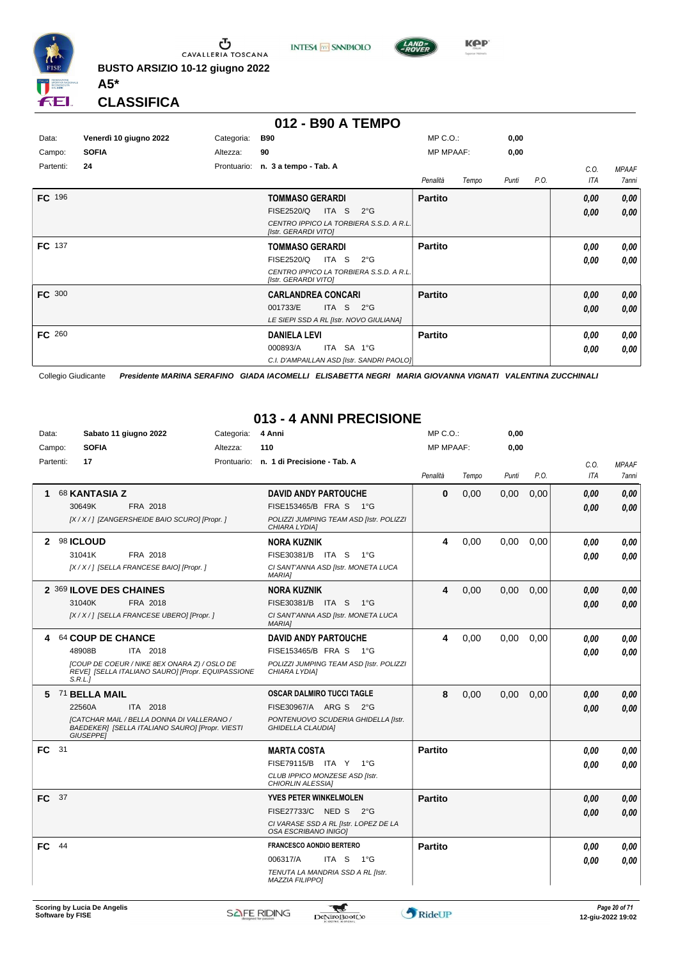

**INTESA** M SANPAOLO



**Kep** 

**CLASSIFICA**

**A5\***

#### **012 - B90 A TEMPO**

| Data:     | Venerdì 10 giugno 2022 | Categoria:  | <b>B90</b>                                                      | $MP C. O.$ :   |       | 0,00  |      |      |              |
|-----------|------------------------|-------------|-----------------------------------------------------------------|----------------|-------|-------|------|------|--------------|
| Campo:    | <b>SOFIA</b>           | Altezza:    | 90                                                              | MP MPAAF:      |       | 0,00  |      |      |              |
| Partenti: | 24                     | Prontuario: | n. 3 a tempo - Tab. A                                           |                |       |       |      | C.0. | <b>MPAAF</b> |
|           |                        |             |                                                                 | Penalità       | Tempo | Punti | P.O. | ITA  | 7anni        |
| FC 196    |                        |             | <b>TOMMASO GERARDI</b>                                          | <b>Partito</b> |       |       |      | 0,00 | 0,00         |
|           |                        |             | FISE2520/Q<br>ITA S<br>$2^{\circ}G$                             |                |       |       |      | 0,00 | 0,00         |
|           |                        |             | CENTRO IPPICO LA TORBIERA S.S.D. A R.L.<br>[Istr. GERARDI VITO] |                |       |       |      |      |              |
| FC 137    |                        |             | <b>TOMMASO GERARDI</b>                                          | <b>Partito</b> |       |       |      | 0.00 | 0,00         |
|           |                        |             | FISE2520/Q<br>ITA S<br>$2^{\circ}$ G                            |                |       |       |      | 0.00 | 0,00         |
|           |                        |             | CENTRO IPPICO LA TORBIERA S.S.D. A R.L.<br>[Istr. GERARDI VITO] |                |       |       |      |      |              |
| FC 300    |                        |             | <b>CARLANDREA CONCARI</b>                                       | <b>Partito</b> |       |       |      | 0,00 | 0,00         |
|           |                        |             | 001733/E<br>ITA S<br>$2^{\circ}G$                               |                |       |       |      | 0,00 | 0,00         |
|           |                        |             | LE SIEPI SSD A RL [Istr. NOVO GIULIANA]                         |                |       |       |      |      |              |
| FC 260    |                        |             | <b>DANIELA LEVI</b>                                             | <b>Partito</b> |       |       |      | 0,00 | 0,00         |
|           |                        |             | ITA SA 1°G<br>000893/A                                          |                |       |       |      | 0,00 | 0,00         |
|           |                        |             | C.I. D'AMPAILLAN ASD [Istr. SANDRI PAOLO]                       |                |       |       |      |      |              |

Collegio Giudicante *Presidente MARINA SERAFINO GIADA IACOMELLI ELISABETTA NEGRI MARIA GIOVANNA VIGNATI VALENTINA ZUCCHINALI*

#### **013 - 4 ANNI PRECISIONE**

| Data:  |           | Sabato 11 giugno 2022                                                                                                    | Categoria: | 4 Anni                                                          | $MP C. O.$ :     |       | 0,00  |      |            |              |
|--------|-----------|--------------------------------------------------------------------------------------------------------------------------|------------|-----------------------------------------------------------------|------------------|-------|-------|------|------------|--------------|
| Campo: |           | <b>SOFIA</b>                                                                                                             | Altezza:   | 110                                                             | <b>MP MPAAF:</b> |       | 0,00  |      |            |              |
|        | Partenti: | 17                                                                                                                       |            | Prontuario: n. 1 di Precisione - Tab. A                         |                  |       |       |      | C.O.       | <b>MPAAF</b> |
|        |           |                                                                                                                          |            |                                                                 | Penalità         | Tempo | Punti | P.O. | <b>ITA</b> | 7anni        |
| 1      |           | 68 KANTASIA Z                                                                                                            |            | <b>DAVID ANDY PARTOUCHE</b>                                     | 0                | 0,00  | 0,00  | 0,00 | 0,00       | 0,00         |
|        |           | 30649K<br>FRA 2018                                                                                                       |            | FISE153465/B FRA S 1°G                                          |                  |       |       |      | 0.00       | 0,00         |
|        |           | [X / X / ] [ZANGERSHEIDE BAIO SCURO] [Propr. ]                                                                           |            | POLIZZI JUMPING TEAM ASD [Istr. POLIZZI<br>CHIARA LYDIA]        |                  |       |       |      |            |              |
| 2      |           | 98 ICLOUD                                                                                                                |            | <b>NORA KUZNIK</b>                                              | 4                | 0,00  | 0,00  | 0,00 | 0.00       | 0.00         |
|        |           | 31041K<br>FRA 2018                                                                                                       |            | FISE30381/B ITA S<br>1°G                                        |                  |       |       |      | 0.00       | 0.00         |
|        |           | [X / X / ] [SELLA FRANCESE BAIO] [Propr. ]                                                                               |            | CI SANT'ANNA ASD [Istr. MONETA LUCA<br>MARIA]                   |                  |       |       |      |            |              |
|        |           | 2 369 ILOVE DES CHAINES                                                                                                  |            | <b>NORA KUZNIK</b>                                              | 4                | 0,00  | 0,00  | 0,00 | 0,00       | 0.00         |
|        |           | 31040K<br>FRA 2018                                                                                                       |            | FISE30381/B ITA S<br>$-1^{\circ}$ G                             |                  |       |       |      | 0,00       | 0.00         |
|        |           | [X / X / ] [SELLA FRANCESE UBERO] [Propr. ]                                                                              |            | CI SANT'ANNA ASD [Istr. MONETA LUCA<br><b>MARIA1</b>            |                  |       |       |      |            |              |
| 4      |           | 64 COUP DE CHANCE                                                                                                        |            | <b>DAVID ANDY PARTOUCHE</b>                                     | 4                | 0,00  | 0,00  | 0,00 | 0.00       | 0.00         |
|        |           | 48908B<br>ITA 2018                                                                                                       |            | FISE153465/B FRA S<br>$1^{\circ}G$                              |                  |       |       |      | 0.00       | 0.00         |
|        |           | [COUP DE COEUR / NIKE 8EX ONARA Z) / OSLO DE<br>REVEI [SELLA ITALIANO SAURO] [Propr. EQUIPASSIONE<br>S.R.L.              |            | POLIZZI JUMPING TEAM ASD [Istr. POLIZZI<br>CHIARA LYDIA]        |                  |       |       |      |            |              |
|        |           | 5 71 BELLA MAIL                                                                                                          |            | <b>OSCAR DALMIRO TUCCI TAGLE</b>                                | 8                | 0,00  | 0,00  | 0,00 | 0.00       | 0.00         |
|        |           | ITA 2018<br>22560A                                                                                                       |            | FISE30967/A ARG S 2°G                                           |                  |       |       |      | 0.00       | 0.00         |
|        |           | <b>[CATCHAR MAIL / BELLA DONNA DI VALLERANO /</b><br>BAEDEKER] [SELLA ITALIANO SAURO] [Propr. VIESTI<br><b>GIUSEPPEI</b> |            | PONTENUOVO SCUDERIA GHIDELLA [Istr.<br><b>GHIDELLA CLAUDIA1</b> |                  |       |       |      |            |              |
| FC 31  |           |                                                                                                                          |            | <b>MARTA COSTA</b>                                              | <b>Partito</b>   |       |       |      | 0.00       | 0.00         |
|        |           |                                                                                                                          |            | FISE79115/B ITA Y 1°G                                           |                  |       |       |      | 0.00       | 0.00         |
|        |           |                                                                                                                          |            | CLUB IPPICO MONZESE ASD [Istr.<br>CHIORLIN ALESSIA]             |                  |       |       |      |            |              |
| FC 37  |           |                                                                                                                          |            | <b>YVES PETER WINKELMOLEN</b>                                   | <b>Partito</b>   |       |       |      | 0,00       | 0,00         |
|        |           |                                                                                                                          |            | FISE27733/C NED S<br>$2^{\circ}$ G                              |                  |       |       |      | 0.00       | 0.00         |
|        |           |                                                                                                                          |            | CI VARASE SSD A RL [Istr. LOPEZ DE LA<br>OSA ESCRIBANO INIGOI   |                  |       |       |      |            |              |
| FC     | 44        |                                                                                                                          |            | <b>FRANCESCO AONDIO BERTERO</b>                                 | <b>Partito</b>   |       |       |      | 0.00       | 0.00         |
|        |           |                                                                                                                          |            | 006317/A<br>ITA S<br>$1^{\circ}G$                               |                  |       |       |      | 0.00       | 0.00         |
|        |           |                                                                                                                          |            | TENUTA LA MANDRIA SSD A RL [Istr.<br><b>MAZZIA FILIPPO]</b>     |                  |       |       |      |            |              |

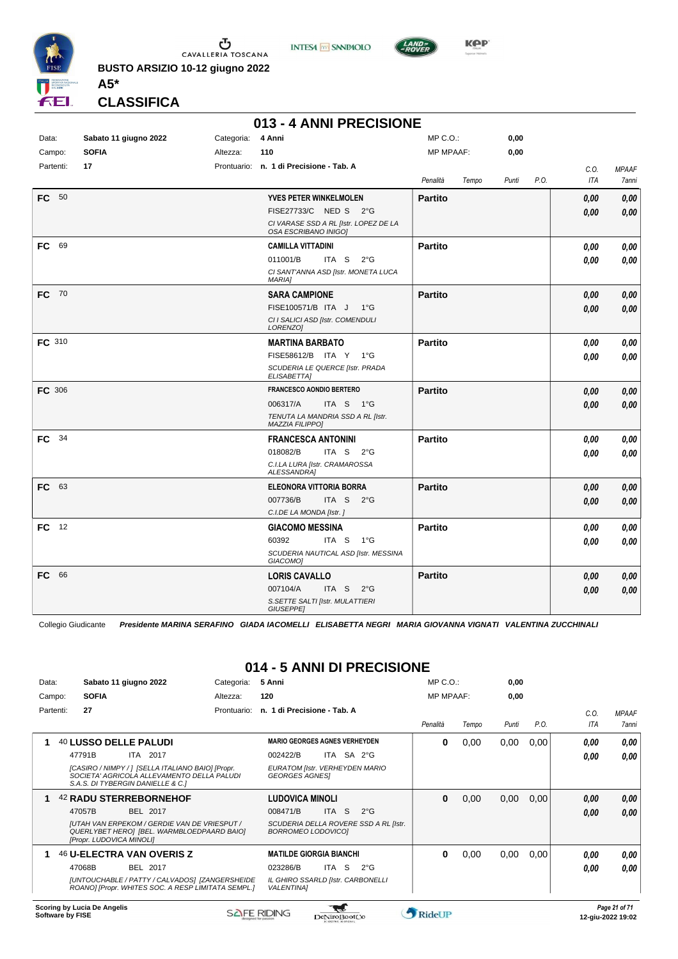

**INTESA** M SANPAOLO



**Kep** 

**CLASSIFICA**

**A5\***

#### **013 - 4 ANNI PRECISIONE**

| Data:         | Sabato 11 giugno 2022 | Categoria: | 4 Anni                                                        | MP C.O.:         |       | 0,00  |      |            |              |
|---------------|-----------------------|------------|---------------------------------------------------------------|------------------|-------|-------|------|------------|--------------|
| Campo:        | <b>SOFIA</b>          | Altezza:   | 110                                                           | <b>MP MPAAF:</b> |       | 0,00  |      |            |              |
| Partenti:     | 17                    |            | Prontuario: n. 1 di Precisione - Tab. A                       |                  |       |       |      | C.O.       | <b>MPAAF</b> |
|               |                       |            |                                                               | Penalità         | Tempo | Punti | P.O. | <b>ITA</b> | 7anni        |
| FC 50         |                       |            | YVES PETER WINKELMOLEN                                        | <b>Partito</b>   |       |       |      | 0,00       | 0,00         |
|               |                       |            | FISE27733/C NED S 2°G                                         |                  |       |       |      | 0.00       | 0.00         |
|               |                       |            | CI VARASE SSD A RL [Istr. LOPEZ DE LA<br>OSA ESCRIBANO INIGO] |                  |       |       |      |            |              |
| FC 69         |                       |            | <b>CAMILLA VITTADINI</b>                                      | <b>Partito</b>   |       |       |      | 0,00       | 0,00         |
|               |                       |            | 011001/B<br>ITA S<br>$2^{\circ}G$                             |                  |       |       |      | 0.00       | 0.00         |
|               |                       |            | CI SANT'ANNA ASD [Istr. MONETA LUCA<br><b>MARIAI</b>          |                  |       |       |      |            |              |
| FC 70         |                       |            | <b>SARA CAMPIONE</b>                                          | <b>Partito</b>   |       |       |      | 0.00       | 0,00         |
|               |                       |            | FISE100571/B ITA J<br>1°G                                     |                  |       |       |      | 0,00       | 0,00         |
|               |                       |            | CI I SALICI ASD [Istr. COMENDULI<br>LORENZO]                  |                  |       |       |      |            |              |
| FC 310        |                       |            | <b>MARTINA BARBATO</b>                                        | <b>Partito</b>   |       |       |      | 0.00       | 0,00         |
|               |                       |            | FISE58612/B ITA Y<br>$1^{\circ}G$                             |                  |       |       |      | 0.00       | 0,00         |
|               |                       |            | SCUDERIA LE QUERCE [Istr. PRADA<br>ELISABETTA]                |                  |       |       |      |            |              |
| <b>FC 306</b> |                       |            | <b>FRANCESCO AONDIO BERTERO</b>                               | <b>Partito</b>   |       |       |      | 0,00       | 0,00         |
|               |                       |            | 006317/A<br>ITA S 1°G                                         |                  |       |       |      | 0,00       | 0,00         |
|               |                       |            | TENUTA LA MANDRIA SSD A RL [Istr.<br>MAZZIA FILIPPO]          |                  |       |       |      |            |              |
| FC 34         |                       |            | <b>FRANCESCA ANTONINI</b>                                     | <b>Partito</b>   |       |       |      | 0.00       | 0,00         |
|               |                       |            | 018082/B<br>ITA S $2^{\circ}G$                                |                  |       |       |      | 0.00       | 0.00         |
|               |                       |            | C.I.LA LURA [Istr. CRAMAROSSA<br><b>ALESSANDRA1</b>           |                  |       |       |      |            |              |
| FC 63         |                       |            | <b>ELEONORA VITTORIA BORRA</b>                                | <b>Partito</b>   |       |       |      | 0,00       | 0,00         |
|               |                       |            | 007736/B<br>ITA S $2^{\circ}$ G                               |                  |       |       |      | 0.00       | 0.00         |
|               |                       |            | C.I.DE LA MONDA [Istr. ]                                      |                  |       |       |      |            |              |
| FC 12         |                       |            | <b>GIACOMO MESSINA</b>                                        | <b>Partito</b>   |       |       |      | 0,00       | 0,00         |
|               |                       |            | 60392<br>ITA S<br>$1^{\circ}G$                                |                  |       |       |      | 0.00       | 0.00         |
|               |                       |            | SCUDERIA NAUTICAL ASD [Istr. MESSINA<br>GIACOMO1              |                  |       |       |      |            |              |
| FC.<br>66     |                       |            | <b>LORIS CAVALLO</b>                                          | <b>Partito</b>   |       |       |      | 0,00       | 0,00         |
|               |                       |            | 007104/A<br>ITA S<br>$2^{\circ}$ G                            |                  |       |       |      | 0.00       | 0.00         |
|               |                       |            | S. SETTE SALTI [Istr. MULATTIERI<br>GIUSEPPE]                 |                  |       |       |      |            |              |

Collegio Giudicante *Presidente MARINA SERAFINO GIADA IACOMELLI ELISABETTA NEGRI MARIA GIOVANNA VIGNATI VALENTINA ZUCCHINALI*

#### **014 - 5 ANNI DI PRECISIONE**

| Data:     | Sabato 11 giugno 2022                                                                                                                | Categoria:  | 5 Anni                                                  |                  |                                       | $MP C. O.$ :     |       | 0,00  |      |      |              |
|-----------|--------------------------------------------------------------------------------------------------------------------------------------|-------------|---------------------------------------------------------|------------------|---------------------------------------|------------------|-------|-------|------|------|--------------|
| Campo:    | <b>SOFIA</b>                                                                                                                         | Altezza:    | 120                                                     |                  |                                       | <b>MP MPAAF:</b> |       | 0,00  |      |      |              |
| Partenti: | 27                                                                                                                                   | Prontuario: | n. 1 di Precisione - Tab. A                             |                  |                                       |                  |       |       |      | C.O. | <b>MPAAF</b> |
|           |                                                                                                                                      |             |                                                         |                  |                                       | Penalità         | Tempo | Punti | P.O. | ITA  | 7anni        |
|           | 40 LUSSO DELLE PALUDI                                                                                                                |             | <b>MARIO GEORGES AGNES VERHEYDEN</b>                    |                  |                                       | 0                | 0,00  | 0,00  | 0,00 | 0.00 | 0,00         |
|           | 47791B<br><b>ITA 2017</b>                                                                                                            |             | 002422/B                                                | ITA SA 2°G       |                                       |                  |       |       |      | 0.00 | 0.00         |
|           | [CASIRO / NIMPY / ] [SELLA ITALIANO BAIO] [Propr.<br>SOCIETA' AGRICOLA ALLEVAMENTO DELLA PALUDI<br>S.A.S. DI TYBERGIN DANIELLE & C.] |             | EURATOM [Istr. VERHEYDEN MARIO<br><b>GEORGES AGNES!</b> |                  |                                       |                  |       |       |      |      |              |
|           | <b>42 RADU STERREBORNEHOF</b>                                                                                                        |             | <b>LUDOVICA MINOLI</b>                                  |                  |                                       | 0                | 0,00  | 0,00  | 0,00 | 0,00 | 0,00         |
|           | 47057B<br>BEL 2017                                                                                                                   |             | 008471/B                                                | <b>ITA</b><br>S. | $2^{\circ}G$                          |                  |       |       |      | 0,00 | 0.00         |
|           | <b>JUTAH VAN ERPEKOM / GERDIE VAN DE VRIESPUT /</b><br>QUERLYBET HEROI [BEL. WARMBLOEDPAARD BAIO]<br>[Propr. LUDOVICA MINOLI]        |             | BORROMEO LODOVICO]                                      |                  | SCUDERIA DELLA ROVERE SSD A RL [Istr. |                  |       |       |      |      |              |
|           | <b>46 U-ELECTRA VAN OVERIS Z</b>                                                                                                     |             | <b>MATILDE GIORGIA BIANCHI</b>                          |                  |                                       | 0                | 0,00  | 0,00  | 0,00 | 0.00 | 0.00         |
|           | 47068B<br>BEL 2017                                                                                                                   |             | 023286/B                                                | ITA S            | $2^{\circ}$ G                         |                  |       |       |      | 0,00 | 0.00         |
|           | [UNTOUCHABLE / PATTY / CALVADOS] [ZANGERSHEIDE<br>ROANO] [Propr. WHITES SOC. A RESP LIMITATA SEMPL.]                                 |             | IL GHIRO SSARLD [Istr. CARBONELLI<br><b>VALENTINA1</b>  |                  |                                       |                  |       |       |      |      |              |
|           |                                                                                                                                      |             |                                                         | $-$              |                                       |                  |       |       |      |      |              |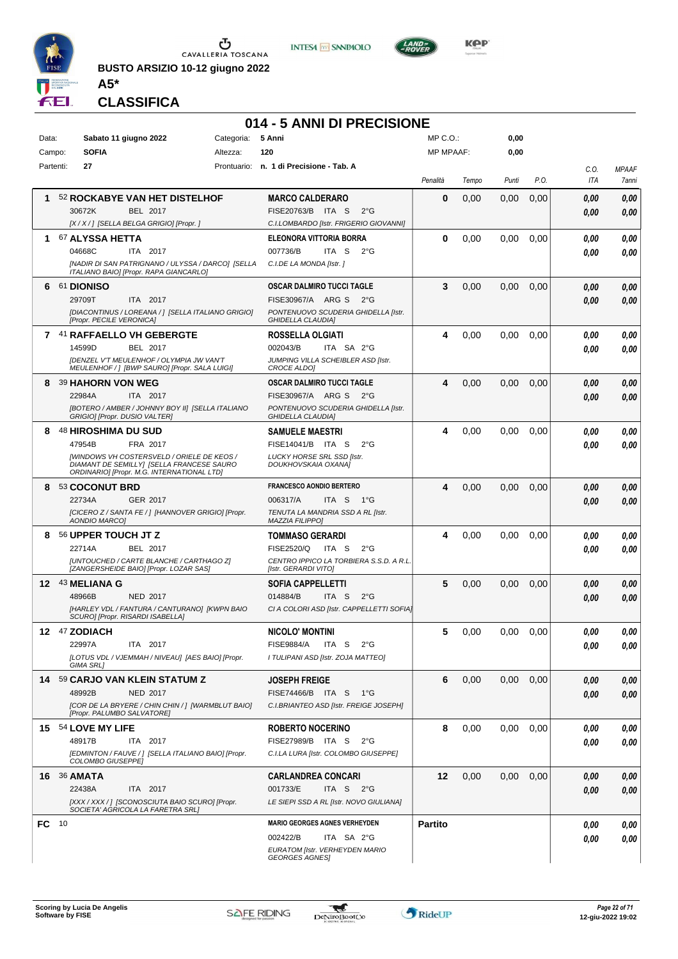

**BUSTO ARSIZIO 10-12 giugno 2022 A5\***





**CLASSIFICA**

### **014 - 5 ANNI DI PRECISIONE**

| Data:     | Sabato 11 giugno 2022                                                                                                                                                              | 5 Anni<br>Categoria:                    |                                                                                                                   |               | MP C.O.:         |       | 0,00  |      |              |                                     |
|-----------|------------------------------------------------------------------------------------------------------------------------------------------------------------------------------------|-----------------------------------------|-------------------------------------------------------------------------------------------------------------------|---------------|------------------|-------|-------|------|--------------|-------------------------------------|
| Campo:    | <b>SOFIA</b>                                                                                                                                                                       | 120<br>Altezza:                         |                                                                                                                   |               | <b>MP MPAAF:</b> |       | 0,00  |      |              |                                     |
| Partenti: | 27                                                                                                                                                                                 | Prontuario: n. 1 di Precisione - Tab. A |                                                                                                                   |               | Penalità         | Tempo | Punti | P.O. | C.O.<br>ITA  | <b>MPAAF</b><br><i><b>7anni</b></i> |
| 1         | 52 ROCKABYE VAN HET DISTELHOF<br>BEL 2017<br>30672K<br>[X / X / ] [SELLA BELGA GRIGIO] [Propr. ]                                                                                   |                                         | <b>MARCO CALDERARO</b><br>FISE20763/B ITA S<br>C.I.LOMBARDO [Istr. FRIGERIO GIOVANNI]                             | $2^{\circ}$ G | 0                | 0,00  | 0,00  | 0,00 | 0.00<br>0.00 | 0,00<br>0,00                        |
| 1.        | 67 ALYSSA HETTA<br>04668C<br>ITA 2017<br>[NADIR DI SAN PATRIGNANO / ULYSSA / DARCO] [SELLA<br>ITALIANO BAIO] [Propr. RAPA GIANCARLO]                                               | 007736/B                                | ELEONORA VITTORIA BORRA<br>ITA S<br>C.I.DE LA MONDA [Istr.]                                                       | $2^{\circ}G$  | 0                | 0,00  | 0,00  | 0,00 | 0.00<br>0.00 | 0,00<br>0.00                        |
|           | 6 61 DIONISO<br>29709T<br>ITA 2017<br>[DIACONTINUS / LOREANA / ] [SELLA ITALIANO GRIGIO]<br>[Propr. PECILE VERONICA]                                                               |                                         | OSCAR DALMIRO TUCCI TAGLE<br>FISE30967/A ARG S<br>PONTENUOVO SCUDERIA GHIDELLA [Istr.<br>GHIDELLA CLAUDIA]        | $2^{\circ}G$  | 3                | 0,00  | 0.00  | 0,00 | 0.00<br>0.00 | 0,00<br>0,00                        |
|           | 7 41 RAFFAELLO VH GEBERGTE<br>14599D<br>BEL 2017<br><b>IDENZEL V'T MEULENHOF / OLYMPIA JW VAN'T</b><br>MEULENHOF / ] [BWP SAURO] [Propr. SALA LUIGI]                               | 002043/B                                | <b>ROSSELLA OLGIATI</b><br>ITA SA 2°G<br>JUMPING VILLA SCHEIBLER ASD [Istr.<br>CROCE ALDO]                        |               | 4                | 0,00  | 0,00  | 0,00 | 0.00<br>0.00 | 0,00<br>0.00                        |
| 8         | <b>39 HAHORN VON WEG</b><br>22984A<br>ITA 2017<br>[BOTERO / AMBER / JOHNNY BOY II] [SELLA ITALIANO<br>GRIGIO] [Propr. DUSIO VALTER]                                                |                                         | OSCAR DALMIRO TUCCI TAGLE<br>FISE30967/A ARG S<br>PONTENUOVO SCUDERIA GHIDELLA [Istr.<br><b>GHIDELLA CLAUDIA]</b> | $2^{\circ}G$  | 4                | 0,00  | 0.00  | 0,00 | 0.00<br>0.00 | 0,00<br>0,00                        |
| 8         | 48 HIROSHIMA DU SUD<br>47954B<br>FRA 2017<br>[WINDOWS VH COSTERSVELD / ORIELE DE KEOS /<br>DIAMANT DE SEMILLY] [SELLA FRANCESE SAURO<br>ORDINARIO] [Propr. M.G. INTERNATIONAL LTD] |                                         | <b>SAMUELE MAESTRI</b><br>FISE14041/B ITA S<br>LUCKY HORSE SRL SSD [Istr.<br>DOUKHOVSKAIA OXANA]                  | $2^{\circ}$ G | 4                | 0,00  | 0.00  | 0,00 | 0.00<br>0.00 | 0,00<br>0.00                        |
|           | 8 53 COCONUT BRD<br>22734A<br>GER 2017<br>[CICERO Z / SANTA FE / ] [HANNOVER GRIGIO] [Propr.<br>AONDIO MARCO]                                                                      | 006317/A                                | <b>FRANCESCO AONDIO BERTERO</b><br>ITA S<br>TENUTA LA MANDRIA SSD A RL [Istr.<br><b>MAZZIA FILIPPO]</b>           | 1°G           | 4                | 0,00  | 0,00  | 0,00 | 0.00<br>0.00 | 0,00<br>0,00                        |
| 8         | 56 UPPER TOUCH JT Z<br>22714A<br>BEL 2017<br>[UNTOUCHED / CARTE BLANCHE / CARTHAGO Z]<br>[ZANGERSHEIDE BAIO] [Propr. LOZAR SAS]                                                    |                                         | <b>TOMMASO GERARDI</b><br>FISE2520/Q<br>ITA S<br>CENTRO IPPICO LA TORBIERA S.S.D. A R.L.<br>[Istr. GERARDI VITO]  | $2^{\circ}G$  | 4                | 0,00  | 0.00  | 0,00 | 0.00<br>0.00 | 0,00<br>0.00                        |
|           | 12 43 MELIANA G<br>48966B<br><b>NED 2017</b><br>[HARLEY VDL / FANTURA / CANTURANO] [KWPN BAIO<br>SCURO] [Propr. RISARDI ISABELLA]                                                  | 014884/B                                | <b>SOFIA CAPPELLETTI</b><br>ITA S<br>CI A COLORI ASD [Istr. CAPPELLETTI SOFIA]                                    | $2^{\circ}G$  | 5                | 0,00  | 0,00  | 0,00 | 0.00<br>0.00 | 0,00<br>0.00                        |
| 12        | <sup>47</sup> ZODIACH<br>22997A<br>ITA 2017<br>[LOTUS VDL / VJEMMAH / NIVEAU] [AES BAIO] [Propr.<br>GIMA SRL]                                                                      |                                         | <b>NICOLO' MONTINI</b><br><b>FISE9884/A</b><br>ITA S $2^{\circ}G$<br>I TULIPANI ASD [Istr. ZOJA MATTEO]           |               | 5                | 0,00  | 0.00  | 0,00 | 0.00<br>0,00 | 0.00<br>0,00                        |
|           | 14 59 CARJO VAN KLEIN STATUM Z<br>48992B<br>NED 2017<br>[COR DE LA BRYERE / CHIN CHIN / ] [WARMBLUT BAIO]<br>[Propr. PALUMBO SALVATORE]                                            |                                         | <b>JOSEPH FREIGE</b><br>FISE74466/B ITA S 1°G<br>C.I.BRIANTEO ASD [Istr. FREIGE JOSEPH]                           |               | 6                | 0,00  | 0.00  | 0,00 | 0.00<br>0,00 | 0,00<br>0,00                        |
|           | 15 54 LOVE MY LIFE<br>48917B<br>ITA 2017<br>[EDMINTON / FAUVE / ] [SELLA ITALIANO BAIO] [Propr.<br>COLOMBO GIUSEPPE]                                                               |                                         | <b>ROBERTO NOCERINO</b><br>FISE27989/B ITA S<br>C.I.LA LURA [Istr. COLOMBO GIUSEPPE]                              | $2^{\circ}G$  | 8                | 0,00  | 0,00  | 0,00 | 0.00<br>0.00 | 0,00<br>0,00                        |
|           | 16 36 AMATA<br>22438A<br>ITA 2017<br>[XXX / XXX /] [SCONOSCIUTA BAIO SCURO] [Propr.<br>SOCIETA' AGRICOLA LA FARETRA SRL]                                                           | 001733/E                                | <b>CARLANDREA CONCARI</b><br>ITA <sub>S</sub><br>LE SIEPI SSD A RL [Istr. NOVO GIULIANA]                          | $2^{\circ}G$  | 12               | 0,00  | 0.00  | 0,00 | 0,00<br>0.00 | 0,00<br>0,00                        |
| FC        | - 10                                                                                                                                                                               | 002422/B                                | <b>MARIO GEORGES AGNES VERHEYDEN</b><br>ITA SA 2°G<br>EURATOM [Istr. VERHEYDEN MARIO<br>GEORGES AGNES]            |               | <b>Partito</b>   |       |       |      | 0,00<br>0,00 | 0,00<br>0,00                        |

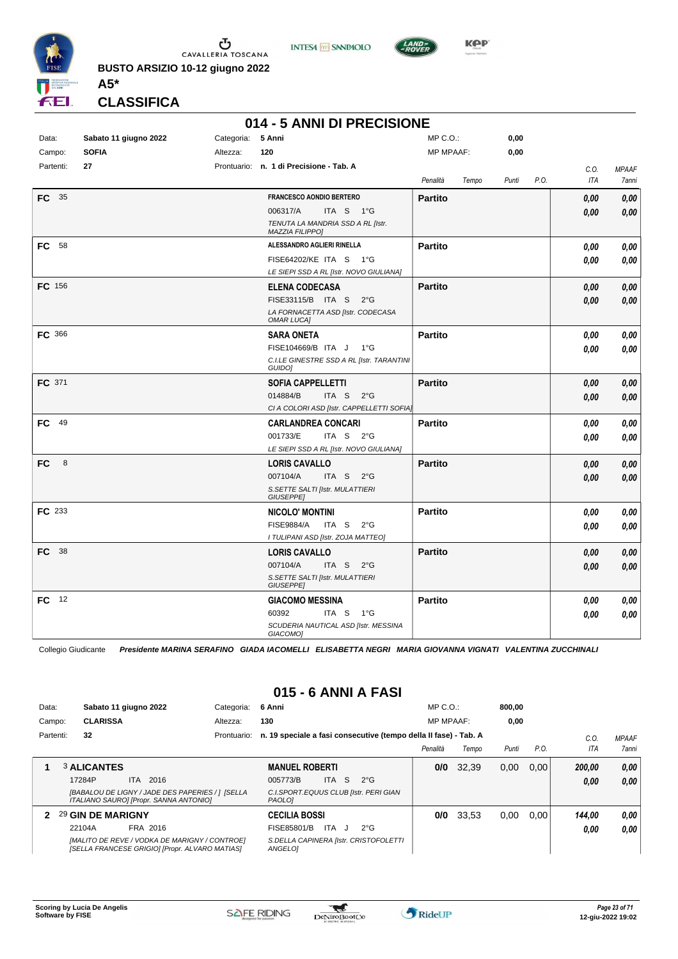

**INTESA M** SANPAOLO



**Kep** 

**CLASSIFICA**

**A5\***

#### **014 - 5 ANNI DI PRECISIONE**

| Data:     | Sabato 11 giugno 2022 | Categoria: | 5 Anni                                                 | MP C.O.:         |       | 0,00  |      |      |              |
|-----------|-----------------------|------------|--------------------------------------------------------|------------------|-------|-------|------|------|--------------|
| Campo:    | <b>SOFIA</b>          | Altezza:   | 120                                                    | <b>MP MPAAF:</b> |       | 0,00  |      |      |              |
| Partenti: | 27                    |            | Prontuario: n. 1 di Precisione - Tab. A                |                  |       |       |      | C.O. | <b>MPAAF</b> |
|           |                       |            |                                                        | Penalità         | Tempo | Punti | P.O. | ITA  | 7anni        |
| FC 35     |                       |            | <b>FRANCESCO AONDIO BERTERO</b>                        | <b>Partito</b>   |       |       |      | 0,00 | 0,00         |
|           |                       |            | 006317/A<br>ITA S 1°G                                  |                  |       |       |      | 0,00 | 0,00         |
|           |                       |            | TENUTA LA MANDRIA SSD A RL [Istr.                      |                  |       |       |      |      |              |
|           |                       |            | MAZZIA FILIPPO]                                        |                  |       |       |      |      |              |
| FC 58     |                       |            | ALESSANDRO AGLIERI RINELLA                             | <b>Partito</b>   |       |       |      | 0,00 | 0,00         |
|           |                       |            | FISE64202/KE ITA S 1°G                                 |                  |       |       |      | 0,00 | 0,00         |
|           |                       |            | LE SIEPI SSD A RL [Istr. NOVO GIULIANA]                |                  |       |       |      |      |              |
| FC 156    |                       |            | <b>ELENA CODECASA</b>                                  | <b>Partito</b>   |       |       |      | 0,00 | 0,00         |
|           |                       |            | FISE33115/B ITA S<br>$2^{\circ}$ G                     |                  |       |       |      | 0,00 | 0,00         |
|           |                       |            | LA FORNACETTA ASD [Istr. CODECASA<br><b>OMAR LUCA]</b> |                  |       |       |      |      |              |
| FC 366    |                       |            | <b>SARA ONETA</b>                                      | <b>Partito</b>   |       |       |      | 0.00 | 0,00         |
|           |                       |            | FISE104669/B ITA J<br>1°G                              |                  |       |       |      | 0.00 | 0,00         |
|           |                       |            | C.I.LE GINESTRE SSD A RL [Istr. TARANTINI<br>GUIDO]    |                  |       |       |      |      |              |
| FC 371    |                       |            | <b>SOFIA CAPPELLETTI</b>                               | <b>Partito</b>   |       |       |      | 0,00 | 0,00         |
|           |                       |            | 014884/B<br>ITA S<br>$2^{\circ}$ G                     |                  |       |       |      | 0,00 | 0,00         |
|           |                       |            | CI A COLORI ASD [Istr. CAPPELLETTI SOFIA]              |                  |       |       |      |      |              |
| FC 49     |                       |            | <b>CARLANDREA CONCARI</b>                              | <b>Partito</b>   |       |       |      | 0.00 | 0,00         |
|           |                       |            | 001733/E<br>ITA S 2°G                                  |                  |       |       |      | 0,00 | 0,00         |
|           |                       |            | LE SIEPI SSD A RL [Istr. NOVO GIULIANA]                |                  |       |       |      |      |              |
| 8<br>FC.  |                       |            | <b>LORIS CAVALLO</b>                                   | <b>Partito</b>   |       |       |      | 0,00 | 0,00         |
|           |                       |            | 007104/A<br>ITA S $2^{\circ}G$                         |                  |       |       |      | 0,00 | 0,00         |
|           |                       |            | S. SETTE SALTI [Istr. MULATTIERI<br>GIUSEPPE]          |                  |       |       |      |      |              |
| FC 233    |                       |            | <b>NICOLO' MONTINI</b>                                 | <b>Partito</b>   |       |       |      | 0,00 | 0,00         |
|           |                       |            | <b>FISE9884/A</b><br>ITA S<br>$2^{\circ}$ G            |                  |       |       |      | 0,00 | 0,00         |
|           |                       |            | I TULIPANI ASD [Istr. ZOJA MATTEO]                     |                  |       |       |      |      |              |
| FC 38     |                       |            | <b>LORIS CAVALLO</b>                                   | <b>Partito</b>   |       |       |      | 0,00 | 0,00         |
|           |                       |            | 007104/A<br>ITA S $2^{\circ}G$                         |                  |       |       |      | 0,00 | 0,00         |
|           |                       |            | S.SETTE SALTI [Istr. MULATTIERI<br><b>GIUSEPPE]</b>    |                  |       |       |      |      |              |
| FC 12     |                       |            | <b>GIACOMO MESSINA</b>                                 | <b>Partito</b>   |       |       |      | 0.00 | 0,00         |
|           |                       |            | 60392<br>ITA S<br>1°G                                  |                  |       |       |      | 0,00 | 0,00         |
|           |                       |            | SCUDERIA NAUTICAL ASD [Istr. MESSINA<br>GIACOMO]       |                  |       |       |      |      |              |

Collegio Giudicante *Presidente MARINA SERAFINO GIADA IACOMELLI ELISABETTA NEGRI MARIA GIOVANNA VIGNATI VALENTINA ZUCCHINALI*

#### **015 - 6 ANNI A FASI**

| Data:<br>Campo: | <b>CLARISSA</b>    | Sabato 11 giugno 2022                                                                           | Categoria:<br>Altezza: | 6 Anni<br>130                                                    |            |               | $MP C. O.$ :<br><b>MP MPAAF:</b> |       | 800.00<br>0,00 |      |                   |              |
|-----------------|--------------------|-------------------------------------------------------------------------------------------------|------------------------|------------------------------------------------------------------|------------|---------------|----------------------------------|-------|----------------|------|-------------------|--------------|
| Partenti:       | 32                 |                                                                                                 | Prontuario:            | n. 19 speciale a fasi consecutive (tempo della II fase) - Tab. A |            |               |                                  |       |                |      | C.O<br><b>ITA</b> | <b>MPAAF</b> |
|                 |                    |                                                                                                 |                        |                                                                  |            |               | Penalità                         | Tempo | Punti          | P.O. |                   | <b>7anni</b> |
|                 | <b>3 ALICANTES</b> |                                                                                                 |                        | <b>MANUEL ROBERTI</b>                                            |            |               | 0/0                              | 32.39 | 0,00           | 0.00 | 200.00            | 0.00         |
|                 | 17284P             | ITA 2016                                                                                        |                        | 005773/B                                                         | ITA S      | $2^{\circ}$ G |                                  |       |                |      | 0.00              | 0.00         |
|                 |                    | [BABALOU DE LIGNY / JADE DES PAPERIES / 1 [SELLA<br>ITALIANO SAURO] [Propr. SANNA ANTONIO]      |                        | C.I.SPORT.EQUUS CLUB [Istr. PERI GIAN<br><b>PAOLOI</b>           |            |               |                                  |       |                |      |                   |              |
| 2               | 29 GIN DE MARIGNY  |                                                                                                 |                        | <b>CECILIA BOSSI</b>                                             |            |               | 0/0                              | 33.53 | 0.00           | 0.00 | 144,00            | 0.00         |
|                 | 22104A             | FRA 2016                                                                                        |                        | FISE85801/B                                                      | ITA<br>- 1 | $2^{\circ}G$  |                                  |       |                |      | 0.00              | 0.00         |
|                 |                    | [MALITO DE REVE / VODKA DE MARIGNY / CONTROE]<br>[SELLA FRANCESE GRIGIO] [Propr. ALVARO MATIAS] |                        | S.DELLA CAPINERA [Istr. CRISTOFOLETTI<br><b>ANGELOI</b>          |            |               |                                  |       |                |      |                   |              |

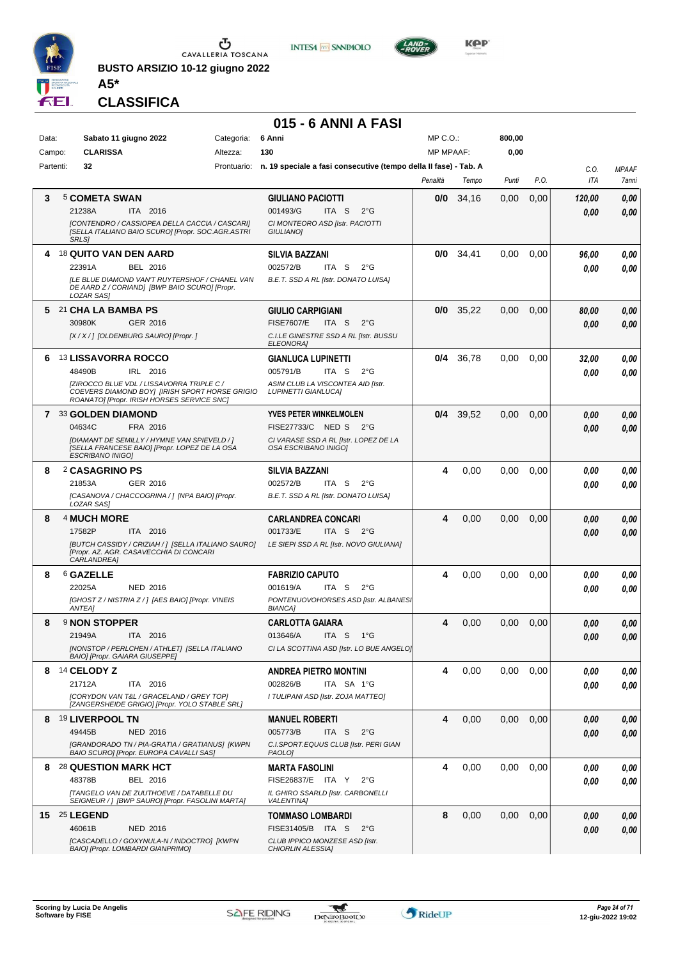

**BUSTO ARSIZIO 10-12 giugno 2022**





**CLASSIFICA**

**A5\***

#### **015 - 6 ANNI A FASI**

| <b>CLARISSA</b><br><b>MP MPAAF:</b><br>0,00<br>Altezza:<br>130<br>Campo:<br>Partenti:<br>32<br>Prontuario: n. 19 speciale a fasi consecutive (tempo della II fase) - Tab. A<br>C.O.<br><b>MPAAF</b><br>P.O.<br>ITA<br>Penalità<br>Tempo<br>Punti<br>7anni<br><b>5 COMETA SWAN</b><br>0,00<br>0,00<br>3<br><b>GIULIANO PACIOTTI</b><br>0/0<br>34,16<br>0,00<br>120,00<br>21238A<br>ITA 2016<br>001493/G<br>ITA S<br>$2^{\circ}$ G<br>0,00<br>0,00<br>[CONTENDRO / CASSIOPEA DELLA CACCIA / CASCARI]<br>CI MONTEORO ASD [Istr. PACIOTTI<br>[SELLA ITALIANO BAIO SCURO] [Propr. SOC.AGR.ASTRI<br>GIULIANO]<br><b>SRLS1</b><br><b>18 QUITO VAN DEN AARD</b><br>0/0<br>34,41<br>0,00<br>0,00<br><b>SILVIA BAZZANI</b><br>96,00<br>0,00<br>BEL 2016<br>002572/B<br>ITA S<br>$2^{\circ}$ G<br>22391A<br>0.00<br>0.00<br><b>ILE BLUE DIAMOND VAN'T RUYTERSHOF / CHANEL VAN</b><br>B.E.T. SSD A RL [Istr. DONATO LUISA]<br>DE AARD Z / CORIAND] [BWP BAIO SCURO] [Propr.<br>LOZAR SAS]<br>21 CHA LA BAMBA PS<br><b>GIULIO CARPIGIANI</b><br>35,22<br>0,00<br>0,00<br>0/0<br>0,00<br>80,00<br>5.<br><b>FISE7607/E</b><br>30980K<br>GER 2016<br>ITA S<br>$2^{\circ}G$<br>0.00<br>0,00<br>[X / X / ] [OLDENBURG SAURO] [Propr. ]<br>C.I.LE GINESTRE SSD A RL [Istr. BUSSU<br><b>ELEONORAI</b><br><b>13 LISSAVORRA ROCCO</b><br>36,78<br>0,00<br><b>GIANLUCA LUPINETTI</b><br>0/4<br>0.00<br>0,00<br>6<br>32,00<br>ITA S<br>$2^{\circ}$ G<br>48490B<br>IRL 2016<br>005791/B<br>0.00<br>0,00<br>[ZIROCCO BLUE VDL / LISSAVORRA TRIPLE C /<br>ASIM CLUB LA VISCONTEA AID [Istr.<br>COEVERS DIAMOND BOYI [IRISH SPORT HORSE GRIGIO<br><b>LUPINETTI GIANLUCA]</b><br>ROANATO] [Propr. IRISH HORSES SERVICE SNC]<br>7 33 GOLDEN DIAMOND<br><b>YVES PETER WINKELMOLEN</b><br>39,52<br>0,00<br>0.00<br>0,00<br>0/4<br>0,00<br>FISE27733/C NED S<br>04634C<br>FRA 2016<br>$2^{\circ}G$<br>0.00<br>0,00<br>[DIAMANT DE SEMILLY / HYMNE VAN SPIEVELD / ]<br>CI VARASE SSD A RL [Istr. LOPEZ DE LA<br>OSA ESCRIBANO INIGOI<br>[SELLA FRANCESE BAIO] [Propr. LOPEZ DE LA OSA<br><b>ESCRIBANO INIGO)</b><br>2 CASAGRINO PS<br>4<br>0,00<br>0,00<br>8<br><b>SILVIA BAZZANI</b><br>0.00<br>0,00<br>0.00<br>21853A<br>GER 2016<br>002572/B<br>ITA S<br>$2^{\circ}$ G<br>0.00<br>0,00<br>[CASANOVA / CHACCOGRINA / ] [NPA BAIO] [Propr.<br>B.E.T. SSD A RL [Istr. DONATO LUISA]<br>LOZAR SAS]<br>4 MUCH MORE<br><b>CARLANDREA CONCARI</b><br>4<br>0,00<br>0,00<br>0,00<br>8<br>0.00<br>0,00<br>17582P<br>ITA 2016<br>001733/E<br>ITA S $2^{\circ}G$<br>0.00<br>0,00<br>[BUTCH CASSIDY / CRIZIAH / ] [SELLA ITALIANO SAURO]<br>LE SIEPI SSD A RL [Istr. NOVO GIULIANA] |
|-----------------------------------------------------------------------------------------------------------------------------------------------------------------------------------------------------------------------------------------------------------------------------------------------------------------------------------------------------------------------------------------------------------------------------------------------------------------------------------------------------------------------------------------------------------------------------------------------------------------------------------------------------------------------------------------------------------------------------------------------------------------------------------------------------------------------------------------------------------------------------------------------------------------------------------------------------------------------------------------------------------------------------------------------------------------------------------------------------------------------------------------------------------------------------------------------------------------------------------------------------------------------------------------------------------------------------------------------------------------------------------------------------------------------------------------------------------------------------------------------------------------------------------------------------------------------------------------------------------------------------------------------------------------------------------------------------------------------------------------------------------------------------------------------------------------------------------------------------------------------------------------------------------------------------------------------------------------------------------------------------------------------------------------------------------------------------------------------------------------------------------------------------------------------------------------------------------------------------------------------------------------------------------------------------------------------------------------------------------------------------------------------------------------------------------------------------------------------------------------------------------------------------------------------------------------------------------------------------------------------------------------|
|                                                                                                                                                                                                                                                                                                                                                                                                                                                                                                                                                                                                                                                                                                                                                                                                                                                                                                                                                                                                                                                                                                                                                                                                                                                                                                                                                                                                                                                                                                                                                                                                                                                                                                                                                                                                                                                                                                                                                                                                                                                                                                                                                                                                                                                                                                                                                                                                                                                                                                                                                                                                                                         |
|                                                                                                                                                                                                                                                                                                                                                                                                                                                                                                                                                                                                                                                                                                                                                                                                                                                                                                                                                                                                                                                                                                                                                                                                                                                                                                                                                                                                                                                                                                                                                                                                                                                                                                                                                                                                                                                                                                                                                                                                                                                                                                                                                                                                                                                                                                                                                                                                                                                                                                                                                                                                                                         |
|                                                                                                                                                                                                                                                                                                                                                                                                                                                                                                                                                                                                                                                                                                                                                                                                                                                                                                                                                                                                                                                                                                                                                                                                                                                                                                                                                                                                                                                                                                                                                                                                                                                                                                                                                                                                                                                                                                                                                                                                                                                                                                                                                                                                                                                                                                                                                                                                                                                                                                                                                                                                                                         |
|                                                                                                                                                                                                                                                                                                                                                                                                                                                                                                                                                                                                                                                                                                                                                                                                                                                                                                                                                                                                                                                                                                                                                                                                                                                                                                                                                                                                                                                                                                                                                                                                                                                                                                                                                                                                                                                                                                                                                                                                                                                                                                                                                                                                                                                                                                                                                                                                                                                                                                                                                                                                                                         |
|                                                                                                                                                                                                                                                                                                                                                                                                                                                                                                                                                                                                                                                                                                                                                                                                                                                                                                                                                                                                                                                                                                                                                                                                                                                                                                                                                                                                                                                                                                                                                                                                                                                                                                                                                                                                                                                                                                                                                                                                                                                                                                                                                                                                                                                                                                                                                                                                                                                                                                                                                                                                                                         |
|                                                                                                                                                                                                                                                                                                                                                                                                                                                                                                                                                                                                                                                                                                                                                                                                                                                                                                                                                                                                                                                                                                                                                                                                                                                                                                                                                                                                                                                                                                                                                                                                                                                                                                                                                                                                                                                                                                                                                                                                                                                                                                                                                                                                                                                                                                                                                                                                                                                                                                                                                                                                                                         |
|                                                                                                                                                                                                                                                                                                                                                                                                                                                                                                                                                                                                                                                                                                                                                                                                                                                                                                                                                                                                                                                                                                                                                                                                                                                                                                                                                                                                                                                                                                                                                                                                                                                                                                                                                                                                                                                                                                                                                                                                                                                                                                                                                                                                                                                                                                                                                                                                                                                                                                                                                                                                                                         |
|                                                                                                                                                                                                                                                                                                                                                                                                                                                                                                                                                                                                                                                                                                                                                                                                                                                                                                                                                                                                                                                                                                                                                                                                                                                                                                                                                                                                                                                                                                                                                                                                                                                                                                                                                                                                                                                                                                                                                                                                                                                                                                                                                                                                                                                                                                                                                                                                                                                                                                                                                                                                                                         |
|                                                                                                                                                                                                                                                                                                                                                                                                                                                                                                                                                                                                                                                                                                                                                                                                                                                                                                                                                                                                                                                                                                                                                                                                                                                                                                                                                                                                                                                                                                                                                                                                                                                                                                                                                                                                                                                                                                                                                                                                                                                                                                                                                                                                                                                                                                                                                                                                                                                                                                                                                                                                                                         |
|                                                                                                                                                                                                                                                                                                                                                                                                                                                                                                                                                                                                                                                                                                                                                                                                                                                                                                                                                                                                                                                                                                                                                                                                                                                                                                                                                                                                                                                                                                                                                                                                                                                                                                                                                                                                                                                                                                                                                                                                                                                                                                                                                                                                                                                                                                                                                                                                                                                                                                                                                                                                                                         |
|                                                                                                                                                                                                                                                                                                                                                                                                                                                                                                                                                                                                                                                                                                                                                                                                                                                                                                                                                                                                                                                                                                                                                                                                                                                                                                                                                                                                                                                                                                                                                                                                                                                                                                                                                                                                                                                                                                                                                                                                                                                                                                                                                                                                                                                                                                                                                                                                                                                                                                                                                                                                                                         |
|                                                                                                                                                                                                                                                                                                                                                                                                                                                                                                                                                                                                                                                                                                                                                                                                                                                                                                                                                                                                                                                                                                                                                                                                                                                                                                                                                                                                                                                                                                                                                                                                                                                                                                                                                                                                                                                                                                                                                                                                                                                                                                                                                                                                                                                                                                                                                                                                                                                                                                                                                                                                                                         |
|                                                                                                                                                                                                                                                                                                                                                                                                                                                                                                                                                                                                                                                                                                                                                                                                                                                                                                                                                                                                                                                                                                                                                                                                                                                                                                                                                                                                                                                                                                                                                                                                                                                                                                                                                                                                                                                                                                                                                                                                                                                                                                                                                                                                                                                                                                                                                                                                                                                                                                                                                                                                                                         |
|                                                                                                                                                                                                                                                                                                                                                                                                                                                                                                                                                                                                                                                                                                                                                                                                                                                                                                                                                                                                                                                                                                                                                                                                                                                                                                                                                                                                                                                                                                                                                                                                                                                                                                                                                                                                                                                                                                                                                                                                                                                                                                                                                                                                                                                                                                                                                                                                                                                                                                                                                                                                                                         |
|                                                                                                                                                                                                                                                                                                                                                                                                                                                                                                                                                                                                                                                                                                                                                                                                                                                                                                                                                                                                                                                                                                                                                                                                                                                                                                                                                                                                                                                                                                                                                                                                                                                                                                                                                                                                                                                                                                                                                                                                                                                                                                                                                                                                                                                                                                                                                                                                                                                                                                                                                                                                                                         |
|                                                                                                                                                                                                                                                                                                                                                                                                                                                                                                                                                                                                                                                                                                                                                                                                                                                                                                                                                                                                                                                                                                                                                                                                                                                                                                                                                                                                                                                                                                                                                                                                                                                                                                                                                                                                                                                                                                                                                                                                                                                                                                                                                                                                                                                                                                                                                                                                                                                                                                                                                                                                                                         |
|                                                                                                                                                                                                                                                                                                                                                                                                                                                                                                                                                                                                                                                                                                                                                                                                                                                                                                                                                                                                                                                                                                                                                                                                                                                                                                                                                                                                                                                                                                                                                                                                                                                                                                                                                                                                                                                                                                                                                                                                                                                                                                                                                                                                                                                                                                                                                                                                                                                                                                                                                                                                                                         |
|                                                                                                                                                                                                                                                                                                                                                                                                                                                                                                                                                                                                                                                                                                                                                                                                                                                                                                                                                                                                                                                                                                                                                                                                                                                                                                                                                                                                                                                                                                                                                                                                                                                                                                                                                                                                                                                                                                                                                                                                                                                                                                                                                                                                                                                                                                                                                                                                                                                                                                                                                                                                                                         |
|                                                                                                                                                                                                                                                                                                                                                                                                                                                                                                                                                                                                                                                                                                                                                                                                                                                                                                                                                                                                                                                                                                                                                                                                                                                                                                                                                                                                                                                                                                                                                                                                                                                                                                                                                                                                                                                                                                                                                                                                                                                                                                                                                                                                                                                                                                                                                                                                                                                                                                                                                                                                                                         |
|                                                                                                                                                                                                                                                                                                                                                                                                                                                                                                                                                                                                                                                                                                                                                                                                                                                                                                                                                                                                                                                                                                                                                                                                                                                                                                                                                                                                                                                                                                                                                                                                                                                                                                                                                                                                                                                                                                                                                                                                                                                                                                                                                                                                                                                                                                                                                                                                                                                                                                                                                                                                                                         |
|                                                                                                                                                                                                                                                                                                                                                                                                                                                                                                                                                                                                                                                                                                                                                                                                                                                                                                                                                                                                                                                                                                                                                                                                                                                                                                                                                                                                                                                                                                                                                                                                                                                                                                                                                                                                                                                                                                                                                                                                                                                                                                                                                                                                                                                                                                                                                                                                                                                                                                                                                                                                                                         |
|                                                                                                                                                                                                                                                                                                                                                                                                                                                                                                                                                                                                                                                                                                                                                                                                                                                                                                                                                                                                                                                                                                                                                                                                                                                                                                                                                                                                                                                                                                                                                                                                                                                                                                                                                                                                                                                                                                                                                                                                                                                                                                                                                                                                                                                                                                                                                                                                                                                                                                                                                                                                                                         |
|                                                                                                                                                                                                                                                                                                                                                                                                                                                                                                                                                                                                                                                                                                                                                                                                                                                                                                                                                                                                                                                                                                                                                                                                                                                                                                                                                                                                                                                                                                                                                                                                                                                                                                                                                                                                                                                                                                                                                                                                                                                                                                                                                                                                                                                                                                                                                                                                                                                                                                                                                                                                                                         |
|                                                                                                                                                                                                                                                                                                                                                                                                                                                                                                                                                                                                                                                                                                                                                                                                                                                                                                                                                                                                                                                                                                                                                                                                                                                                                                                                                                                                                                                                                                                                                                                                                                                                                                                                                                                                                                                                                                                                                                                                                                                                                                                                                                                                                                                                                                                                                                                                                                                                                                                                                                                                                                         |
|                                                                                                                                                                                                                                                                                                                                                                                                                                                                                                                                                                                                                                                                                                                                                                                                                                                                                                                                                                                                                                                                                                                                                                                                                                                                                                                                                                                                                                                                                                                                                                                                                                                                                                                                                                                                                                                                                                                                                                                                                                                                                                                                                                                                                                                                                                                                                                                                                                                                                                                                                                                                                                         |
|                                                                                                                                                                                                                                                                                                                                                                                                                                                                                                                                                                                                                                                                                                                                                                                                                                                                                                                                                                                                                                                                                                                                                                                                                                                                                                                                                                                                                                                                                                                                                                                                                                                                                                                                                                                                                                                                                                                                                                                                                                                                                                                                                                                                                                                                                                                                                                                                                                                                                                                                                                                                                                         |
|                                                                                                                                                                                                                                                                                                                                                                                                                                                                                                                                                                                                                                                                                                                                                                                                                                                                                                                                                                                                                                                                                                                                                                                                                                                                                                                                                                                                                                                                                                                                                                                                                                                                                                                                                                                                                                                                                                                                                                                                                                                                                                                                                                                                                                                                                                                                                                                                                                                                                                                                                                                                                                         |
| [Propr. AZ. AGR. CASAVECCHIA DI CONCARI                                                                                                                                                                                                                                                                                                                                                                                                                                                                                                                                                                                                                                                                                                                                                                                                                                                                                                                                                                                                                                                                                                                                                                                                                                                                                                                                                                                                                                                                                                                                                                                                                                                                                                                                                                                                                                                                                                                                                                                                                                                                                                                                                                                                                                                                                                                                                                                                                                                                                                                                                                                                 |
| CARLANDREA]                                                                                                                                                                                                                                                                                                                                                                                                                                                                                                                                                                                                                                                                                                                                                                                                                                                                                                                                                                                                                                                                                                                                                                                                                                                                                                                                                                                                                                                                                                                                                                                                                                                                                                                                                                                                                                                                                                                                                                                                                                                                                                                                                                                                                                                                                                                                                                                                                                                                                                                                                                                                                             |
| <sup>6</sup> GAZELLE<br>8<br><b>FABRIZIO CAPUTO</b><br>4<br>0,00<br>0.00<br>0.00<br>0,00<br>0.00                                                                                                                                                                                                                                                                                                                                                                                                                                                                                                                                                                                                                                                                                                                                                                                                                                                                                                                                                                                                                                                                                                                                                                                                                                                                                                                                                                                                                                                                                                                                                                                                                                                                                                                                                                                                                                                                                                                                                                                                                                                                                                                                                                                                                                                                                                                                                                                                                                                                                                                                        |
| 22025A<br><b>NED 2016</b><br>001619/A<br>ITA S<br>$2^{\circ}$ G<br>0.00<br>0.00                                                                                                                                                                                                                                                                                                                                                                                                                                                                                                                                                                                                                                                                                                                                                                                                                                                                                                                                                                                                                                                                                                                                                                                                                                                                                                                                                                                                                                                                                                                                                                                                                                                                                                                                                                                                                                                                                                                                                                                                                                                                                                                                                                                                                                                                                                                                                                                                                                                                                                                                                         |
| [GHOST Z / NISTRIA Z / ] [AES BAIO] [Propr. VINEIS<br>PONTENUOVOHORSES ASD [Istr. ALBANESI<br><b>ANTEAI</b><br><b>BIANCA1</b>                                                                                                                                                                                                                                                                                                                                                                                                                                                                                                                                                                                                                                                                                                                                                                                                                                                                                                                                                                                                                                                                                                                                                                                                                                                                                                                                                                                                                                                                                                                                                                                                                                                                                                                                                                                                                                                                                                                                                                                                                                                                                                                                                                                                                                                                                                                                                                                                                                                                                                           |
| <b>9 NON STOPPER</b><br><b>CARLOTTA GAIARA</b><br>0,00<br>0,00<br>0,00<br>8<br>4<br>0,00<br>0,00                                                                                                                                                                                                                                                                                                                                                                                                                                                                                                                                                                                                                                                                                                                                                                                                                                                                                                                                                                                                                                                                                                                                                                                                                                                                                                                                                                                                                                                                                                                                                                                                                                                                                                                                                                                                                                                                                                                                                                                                                                                                                                                                                                                                                                                                                                                                                                                                                                                                                                                                        |
| 013646/A<br>ITA S<br>$1^{\circ}G$<br>21949A<br>ITA 2016<br>0.00<br>0.00                                                                                                                                                                                                                                                                                                                                                                                                                                                                                                                                                                                                                                                                                                                                                                                                                                                                                                                                                                                                                                                                                                                                                                                                                                                                                                                                                                                                                                                                                                                                                                                                                                                                                                                                                                                                                                                                                                                                                                                                                                                                                                                                                                                                                                                                                                                                                                                                                                                                                                                                                                 |
| [NONSTOP / PERLCHEN / ATHLET] [SELLA ITALIANO<br>CI LA SCOTTINA ASD [Istr. LO BUE ANGELO]<br>BAIO] [Propr. GAIARA GIUSEPPE]                                                                                                                                                                                                                                                                                                                                                                                                                                                                                                                                                                                                                                                                                                                                                                                                                                                                                                                                                                                                                                                                                                                                                                                                                                                                                                                                                                                                                                                                                                                                                                                                                                                                                                                                                                                                                                                                                                                                                                                                                                                                                                                                                                                                                                                                                                                                                                                                                                                                                                             |
| 8 14 CELODY Z<br><b>ANDREA PIETRO MONTINI</b><br>4<br>0,00<br>0,00<br>0,00<br>0.00<br>0,00                                                                                                                                                                                                                                                                                                                                                                                                                                                                                                                                                                                                                                                                                                                                                                                                                                                                                                                                                                                                                                                                                                                                                                                                                                                                                                                                                                                                                                                                                                                                                                                                                                                                                                                                                                                                                                                                                                                                                                                                                                                                                                                                                                                                                                                                                                                                                                                                                                                                                                                                              |
| 21712A<br>ITA 2016<br>002826/B<br>ITA SA 1°G<br>0,00<br>0.00                                                                                                                                                                                                                                                                                                                                                                                                                                                                                                                                                                                                                                                                                                                                                                                                                                                                                                                                                                                                                                                                                                                                                                                                                                                                                                                                                                                                                                                                                                                                                                                                                                                                                                                                                                                                                                                                                                                                                                                                                                                                                                                                                                                                                                                                                                                                                                                                                                                                                                                                                                            |
| [CORYDON VAN T&L / GRACELAND / GREY TOP]<br>I TULIPANI ASD [Istr. ZOJA MATTEO]                                                                                                                                                                                                                                                                                                                                                                                                                                                                                                                                                                                                                                                                                                                                                                                                                                                                                                                                                                                                                                                                                                                                                                                                                                                                                                                                                                                                                                                                                                                                                                                                                                                                                                                                                                                                                                                                                                                                                                                                                                                                                                                                                                                                                                                                                                                                                                                                                                                                                                                                                          |
| [ZANGERSHEIDE GRIGIO] [Propr. YOLO STABLE SRL]                                                                                                                                                                                                                                                                                                                                                                                                                                                                                                                                                                                                                                                                                                                                                                                                                                                                                                                                                                                                                                                                                                                                                                                                                                                                                                                                                                                                                                                                                                                                                                                                                                                                                                                                                                                                                                                                                                                                                                                                                                                                                                                                                                                                                                                                                                                                                                                                                                                                                                                                                                                          |
| 4<br>8 19 LIVERPOOL TN<br>0,00<br>0,00<br>0,00<br><b>MANUEL ROBERTI</b><br>0,00<br>0,00                                                                                                                                                                                                                                                                                                                                                                                                                                                                                                                                                                                                                                                                                                                                                                                                                                                                                                                                                                                                                                                                                                                                                                                                                                                                                                                                                                                                                                                                                                                                                                                                                                                                                                                                                                                                                                                                                                                                                                                                                                                                                                                                                                                                                                                                                                                                                                                                                                                                                                                                                 |
| 49445B<br><b>NED 2016</b><br>005773/B<br>ITA S<br>$2^{\circ}G$<br>0.00<br>0,00<br>IGRANDORADO TN / PIA-GRATIA / GRATIANUS] [KWPN<br>C.I.SPORT.EQUUS CLUB [Istr. PERI GIAN                                                                                                                                                                                                                                                                                                                                                                                                                                                                                                                                                                                                                                                                                                                                                                                                                                                                                                                                                                                                                                                                                                                                                                                                                                                                                                                                                                                                                                                                                                                                                                                                                                                                                                                                                                                                                                                                                                                                                                                                                                                                                                                                                                                                                                                                                                                                                                                                                                                               |
| BAIO SCURO] [Propr. EUROPA CAVALLI SAS]<br>PAOLO]                                                                                                                                                                                                                                                                                                                                                                                                                                                                                                                                                                                                                                                                                                                                                                                                                                                                                                                                                                                                                                                                                                                                                                                                                                                                                                                                                                                                                                                                                                                                                                                                                                                                                                                                                                                                                                                                                                                                                                                                                                                                                                                                                                                                                                                                                                                                                                                                                                                                                                                                                                                       |
| 8 28 QUESTION MARK HCT<br>0,00<br>0,00<br>0,00<br>4<br><b>MARTA FASOLINI</b><br>0.00<br>0,00                                                                                                                                                                                                                                                                                                                                                                                                                                                                                                                                                                                                                                                                                                                                                                                                                                                                                                                                                                                                                                                                                                                                                                                                                                                                                                                                                                                                                                                                                                                                                                                                                                                                                                                                                                                                                                                                                                                                                                                                                                                                                                                                                                                                                                                                                                                                                                                                                                                                                                                                            |
| 48378B<br>BEL 2016<br>FISE26837/E ITA Y<br>$2^{\circ}G$<br>0,00<br>0.00                                                                                                                                                                                                                                                                                                                                                                                                                                                                                                                                                                                                                                                                                                                                                                                                                                                                                                                                                                                                                                                                                                                                                                                                                                                                                                                                                                                                                                                                                                                                                                                                                                                                                                                                                                                                                                                                                                                                                                                                                                                                                                                                                                                                                                                                                                                                                                                                                                                                                                                                                                 |
| <b>[TANGELO VAN DE ZUUTHOEVE / DATABELLE DU</b><br>IL GHIRO SSARLD [Istr. CARBONELLI<br>SEIGNEUR /   [BWP SAURO] [Propr. FASOLINI MARTA]<br><b>VALENTINA]</b>                                                                                                                                                                                                                                                                                                                                                                                                                                                                                                                                                                                                                                                                                                                                                                                                                                                                                                                                                                                                                                                                                                                                                                                                                                                                                                                                                                                                                                                                                                                                                                                                                                                                                                                                                                                                                                                                                                                                                                                                                                                                                                                                                                                                                                                                                                                                                                                                                                                                           |
| <b>15 25 LEGEND</b><br>8<br>0,00<br>0,00<br>0,00<br><b>TOMMASO LOMBARDI</b><br>0,00<br>0,00                                                                                                                                                                                                                                                                                                                                                                                                                                                                                                                                                                                                                                                                                                                                                                                                                                                                                                                                                                                                                                                                                                                                                                                                                                                                                                                                                                                                                                                                                                                                                                                                                                                                                                                                                                                                                                                                                                                                                                                                                                                                                                                                                                                                                                                                                                                                                                                                                                                                                                                                             |
| 46061B<br><b>NED 2016</b><br>FISE31405/B ITA S<br>$2^{\circ}$ G<br>0,00<br>0,00                                                                                                                                                                                                                                                                                                                                                                                                                                                                                                                                                                                                                                                                                                                                                                                                                                                                                                                                                                                                                                                                                                                                                                                                                                                                                                                                                                                                                                                                                                                                                                                                                                                                                                                                                                                                                                                                                                                                                                                                                                                                                                                                                                                                                                                                                                                                                                                                                                                                                                                                                         |
| [CASCADELLO / GOXYNULA-N / INDOCTRO] [KWPN<br>CLUB IPPICO MONZESE ASD [Istr.<br>BAIO] [Propr. LOMBARDI GIANPRIMO]<br>CHIORLIN ALESSIA]                                                                                                                                                                                                                                                                                                                                                                                                                                                                                                                                                                                                                                                                                                                                                                                                                                                                                                                                                                                                                                                                                                                                                                                                                                                                                                                                                                                                                                                                                                                                                                                                                                                                                                                                                                                                                                                                                                                                                                                                                                                                                                                                                                                                                                                                                                                                                                                                                                                                                                  |



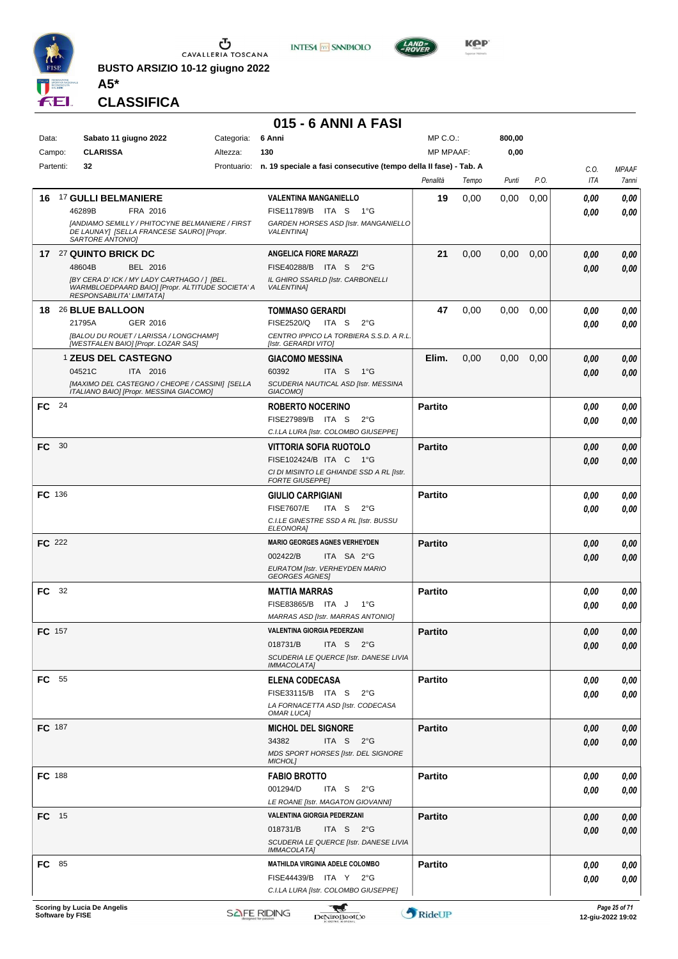

**BUSTO ARSIZIO 10-12 giugno 2022 A5\***





**KOP** 

**CLASSIFICA**

#### **015 - 6 ANNI A FASI**

| Data:         | Sabato 11 giugno 2022                                                                                                         | Categoria: | 6 Anni                                                                       | MP C.O.:         |       | 800,00 |      |      |              |
|---------------|-------------------------------------------------------------------------------------------------------------------------------|------------|------------------------------------------------------------------------------|------------------|-------|--------|------|------|--------------|
| Campo:        | <b>CLARISSA</b>                                                                                                               | Altezza:   | 130                                                                          | <b>MP MPAAF:</b> |       | 0,00   |      |      |              |
| Partenti:     | 32                                                                                                                            |            | Prontuario: n. 19 speciale a fasi consecutive (tempo della II fase) - Tab. A |                  |       |        |      | C.O. | <b>MPAAF</b> |
|               |                                                                                                                               |            |                                                                              | Penalità         | Tempo | Punti  | P.O. | ITA  | 7anni        |
| 16            | <b>17 GULLI BELMANIERE</b>                                                                                                    |            | <b>VALENTINA MANGANIELLO</b>                                                 | 19               | 0,00  | 0.00   | 0,00 | 0.00 | 0,00         |
|               | 46289B<br>FRA 2016                                                                                                            |            | FISE11789/B ITA S<br>1°G                                                     |                  |       |        |      | 0.00 | 0.00         |
|               | [ANDIAMO SEMILLY / PHITOCYNE BELMANIERE / FIRST<br>DE LAUNAY] [SELLA FRANCESE SAURO] [Propr.<br>SARTORE ANTONIO]              |            | GARDEN HORSES ASD [Istr. MANGANIELLO<br><b>VALENTINA]</b>                    |                  |       |        |      |      |              |
|               | 17 27 QUINTO BRICK DC                                                                                                         |            | <b>ANGELICA FIORE MARAZZI</b>                                                | 21               | 0,00  | 0.00   | 0,00 | 0.00 | 0,00         |
|               | 48604B<br>BEL 2016                                                                                                            |            | FISE40288/B ITA S 2°G                                                        |                  |       |        |      | 0.00 | 0,00         |
|               | [BY CERA D' ICK / MY LADY CARTHAGO / ] [BEL.<br>WARMBLOEDPAARD BAIO] [Propr. ALTITUDE SOCIETA' A<br>RESPONSABILITA' LIMITATA] |            | IL GHIRO SSARLD [Istr. CARBONELLI<br><b>VALENTINA1</b>                       |                  |       |        |      |      |              |
| 18            | 26 BLUE BALLOON                                                                                                               |            | <b>TOMMASO GERARDI</b>                                                       | 47               | 0,00  | 0.00   | 0,00 | 0.00 | 0,00         |
|               | 21795A<br>GER 2016                                                                                                            |            | FISE2520/Q<br>ITA S<br>$2^{\circ}G$                                          |                  |       |        |      | 0.00 | 0,00         |
|               | [BALOU DU ROUET / LARISSA / LONGCHAMP]<br>[WESTFALEN BAIO] [Propr. LOZAR SAS]                                                 |            | CENTRO IPPICO LA TORBIERA S.S.D. A R.L.<br>[Istr. GERARDI VITO]              |                  |       |        |      |      |              |
|               | <b>1 ZEUS DEL CASTEGNO</b>                                                                                                    |            | <b>GIACOMO MESSINA</b>                                                       | Elim.            | 0,00  | 0.00   | 0,00 | 0.00 | 0,00         |
|               | 04521C<br>ITA 2016                                                                                                            |            | 60392<br>ITA S 1°G                                                           |                  |       |        |      | 0.00 | 0.00         |
|               | [MAXIMO DEL CASTEGNO / CHEOPE / CASSINI] [SELLA<br>ITALIANO BAIO] [Propr. MESSINA GIACOMO]                                    |            | SCUDERIA NAUTICAL ASD [Istr. MESSINA<br><b>GIACOMO1</b>                      |                  |       |        |      |      |              |
| FC 24         |                                                                                                                               |            | <b>ROBERTO NOCERINO</b>                                                      | <b>Partito</b>   |       |        |      | 0.00 | 0,00         |
|               |                                                                                                                               |            | FISE27989/B ITA S<br>$2^{\circ}G$                                            |                  |       |        |      | 0.00 | 0.00         |
|               |                                                                                                                               |            | C.I.LA LURA [Istr. COLOMBO GIUSEPPE]                                         |                  |       |        |      |      |              |
| 30<br>FC      |                                                                                                                               |            | <b>VITTORIA SOFIA RUOTOLO</b>                                                | <b>Partito</b>   |       |        |      | 0.00 | 0,00         |
|               |                                                                                                                               |            | FISE102424/B ITA C 1°G                                                       |                  |       |        |      | 0.00 | 0.00         |
|               |                                                                                                                               |            | CI DI MISINTO LE GHIANDE SSD A RL [Istr.<br><b>FORTE GIUSEPPE]</b>           |                  |       |        |      |      |              |
| <b>FC</b> 136 |                                                                                                                               |            | <b>GIULIO CARPIGIANI</b>                                                     | <b>Partito</b>   |       |        |      | 0.00 | 0,00         |
|               |                                                                                                                               |            | <b>FISE7607/E</b><br>ITA S<br>$2^{\circ}G$                                   |                  |       |        |      | 0.00 | 0.00         |
|               |                                                                                                                               |            | C.I.LE GINESTRE SSD A RL [Istr. BUSSU<br>ELEONORA]                           |                  |       |        |      |      |              |
| <b>FC</b> 222 |                                                                                                                               |            | <b>MARIO GEORGES AGNES VERHEYDEN</b>                                         | <b>Partito</b>   |       |        |      | 0.00 | 0,00         |
|               |                                                                                                                               |            | 002422/B<br>ITA SA 2°G                                                       |                  |       |        |      | 0.00 | 0.00         |
|               |                                                                                                                               |            | EURATOM [Istr. VERHEYDEN MARIO<br><b>GEORGES AGNES</b>                       |                  |       |        |      |      |              |
| <b>FC</b> 32  |                                                                                                                               |            | <b>MATTIA MARRAS</b>                                                         | <b>Partito</b>   |       |        |      | 0.00 | 0,00         |
|               |                                                                                                                               |            | FISE83865/B ITA J<br>1°G                                                     |                  |       |        |      | 0.00 | 0.00         |
|               |                                                                                                                               |            | <b>MARRAS ASD [Istr. MARRAS ANTONIO]</b>                                     |                  |       |        |      |      |              |
| <b>FC</b> 157 |                                                                                                                               |            | <b>VALENTINA GIORGIA PEDERZANI</b>                                           | <b>Partito</b>   |       |        |      | 0.00 | 0.00         |
|               |                                                                                                                               |            | ITA S 2°G<br>018731/B                                                        |                  |       |        |      | 0,00 | 0,00         |
|               |                                                                                                                               |            | SCUDERIA LE QUERCE [Istr. DANESE LIVIA<br><b>IMMACOLATA]</b>                 |                  |       |        |      |      |              |
| <b>FC</b> 55  |                                                                                                                               |            | <b>ELENA CODECASA</b>                                                        | <b>Partito</b>   |       |        |      | 0,00 | 0,00         |
|               |                                                                                                                               |            | FISE33115/B ITA S 2°G                                                        |                  |       |        |      | 0.00 | 0,00         |
|               |                                                                                                                               |            | LA FORNACETTA ASD [Istr. CODECASA<br>OMAR LUCA]                              |                  |       |        |      |      |              |
| FC 187        |                                                                                                                               |            | <b>MICHOL DEL SIGNORE</b>                                                    | <b>Partito</b>   |       |        |      | 0,00 | 0,00         |
|               |                                                                                                                               |            | 34382<br>ITA S $2^{\circ}G$                                                  |                  |       |        |      | 0.00 | 0,00         |
|               |                                                                                                                               |            | MDS SPORT HORSES [Istr. DEL SIGNORE<br>MICHOL]                               |                  |       |        |      |      |              |
| FC 188        |                                                                                                                               |            | <b>FABIO BROTTO</b>                                                          | <b>Partito</b>   |       |        |      | 0.00 | 0,00         |
|               |                                                                                                                               |            | 001294/D<br>ITA S $2^{\circ}G$                                               |                  |       |        |      | 0.00 | 0,00         |
|               |                                                                                                                               |            | LE ROANE [Istr. MAGATON GIOVANNI]                                            |                  |       |        |      |      |              |
| $FC$ 15       |                                                                                                                               |            | VALENTINA GIORGIA PEDERZANI                                                  | <b>Partito</b>   |       |        |      | 0,00 | 0,00         |
|               |                                                                                                                               |            | 018731/B<br>ITA S $2^{\circ}G$                                               |                  |       |        |      | 0.00 | 0,00         |
|               |                                                                                                                               |            | SCUDERIA LE QUERCE [Istr. DANESE LIVIA<br><b>IMMACOLATA]</b>                 |                  |       |        |      |      |              |
| <b>FC</b> 85  |                                                                                                                               |            | MATHILDA VIRGINIA ADELE COLOMBO                                              | <b>Partito</b>   |       |        |      | 0.00 | 0,00         |
|               |                                                                                                                               |            | FISE44439/B ITA Y 2°G                                                        |                  |       |        |      | 0.00 | 0,00         |
|               |                                                                                                                               |            | C.I.LA LURA [Istr. COLOMBO GIUSEPPE]                                         |                  |       |        |      |      |              |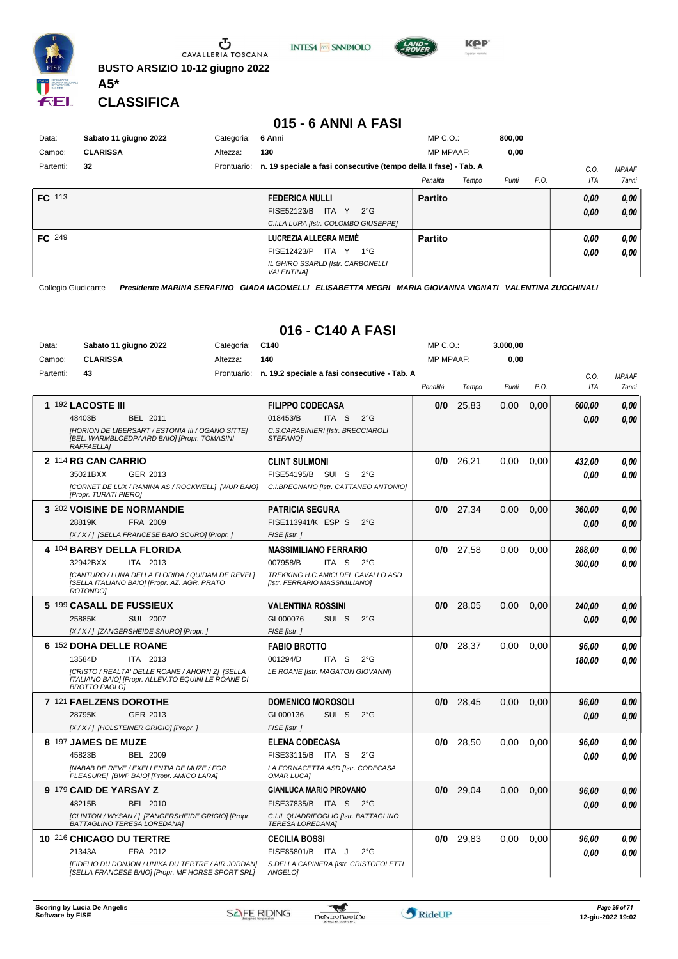

Ⴠ CAVALLERIA TOSCANA **BUSTO ARSIZIO 10-12 giugno 2022**





**KPP** 

**CLASSIFICA**

**A5\***

#### **015 - 6 ANNI A FASI**

| Data:         | Sabato 11 giugno 2022 | Categoria:  | 6 Anni                                                           | $MP C. O.$ :     |       | 800,00 |      |      |              |
|---------------|-----------------------|-------------|------------------------------------------------------------------|------------------|-------|--------|------|------|--------------|
| Campo:        | <b>CLARISSA</b>       | Altezza:    | 130                                                              | <b>MP MPAAF:</b> |       | 0,00   |      |      |              |
| Partenti:     | 32                    | Prontuario: | n. 19 speciale a fasi consecutive (tempo della II fase) - Tab. A |                  |       |        |      | C.0  | <b>MPAAF</b> |
|               |                       |             |                                                                  | Penalità         | Tempo | Punti  | P.O. | ITA  | <b>7anni</b> |
| <b>FC</b> 113 |                       |             | <b>FEDERICA NULLI</b>                                            | <b>Partito</b>   |       |        |      | 0,00 | 0,00         |
|               |                       |             | ITA Y $2^{\circ}G$<br>FISE52123/B                                |                  |       |        |      | 0,00 | 0,00         |
|               |                       |             | C.I.LA LURA [Istr. COLOMBO GIUSEPPE]                             |                  |       |        |      |      |              |
| FC 249        |                       |             | LUCREZIA ALLEGRA MEMÈ                                            | <b>Partito</b>   |       |        |      | 0.00 | 0,00         |
|               |                       |             | FISE12423/P<br>ITA Y<br>1°G                                      |                  |       |        |      | 0.00 | 0.00         |
|               |                       |             | IL GHIRO SSARLD [Istr. CARBONELLI<br><b>VALENTINA1</b>           |                  |       |        |      |      |              |

Collegio Giudicante *Presidente MARINA SERAFINO GIADA IACOMELLI ELISABETTA NEGRI MARIA GIOVANNA VIGNATI VALENTINA ZUCCHINALI*

#### **016 - C140 A FASI**

| Data:     | Sabato 11 giugno 2022                                                                                                         | Categoria: | C140                                                                | MP C.O.:         |             | 3.000,00 |      |            |              |
|-----------|-------------------------------------------------------------------------------------------------------------------------------|------------|---------------------------------------------------------------------|------------------|-------------|----------|------|------------|--------------|
| Campo:    | <b>CLARISSA</b>                                                                                                               | Altezza:   | 140                                                                 | <b>MP MPAAF:</b> |             | 0,00     |      |            |              |
| Partenti: | 43                                                                                                                            |            | Prontuario: n. 19.2 speciale a fasi consecutive - Tab. A            |                  |             |          |      | C.O.       | <b>MPAAF</b> |
|           |                                                                                                                               |            |                                                                     | Penalità         | Tempo       | Punti    | P.O. | <b>ITA</b> | 7anni        |
|           | 1 192 LACOSTE III                                                                                                             |            | <b>FILIPPO CODECASA</b>                                             | 0/0              | 25,83       | 0,00     | 0,00 | 600,00     | 0,00         |
|           | 48403B<br>BEL 2011                                                                                                            |            | 018453/B<br>ITA <sub>S</sub><br>$2^{\circ}$ G                       |                  |             |          |      | 0.00       | 0.00         |
|           | [HORION DE LIBERSART / ESTONIA III / OGANO SITTE]<br>[BEL. WARMBLOEDPAARD BAIO] [Propr. TOMASINI<br><b>RAFFAELLA1</b>         |            | C.S.CARABINIERI [Istr. BRECCIAROLI<br><b>STEFANOI</b>               |                  |             |          |      |            |              |
|           | 2 114 RG CAN CARRIO                                                                                                           |            | <b>CLINT SULMONI</b>                                                | 0/0              | 26,21       | 0.00     | 0.00 | 432,00     | 0.00         |
|           | 35021BXX<br>GER 2013                                                                                                          |            | FISE54195/B<br>SUI S<br>$2^{\circ}$ G                               |                  |             |          |      | 0.00       | 0.00         |
|           | [CORNET DE LUX / RAMINA AS / ROCKWELL] [WUR BAIO]<br>[Propr. TURATI PIERO]                                                    |            | C.I.BREGNANO [Istr. CATTANEO ANTONIO]                               |                  |             |          |      |            |              |
|           | 3 202 VOISINE DE NORMANDIE                                                                                                    |            | <b>PATRICIA SEGURA</b>                                              |                  | $0/0$ 27,34 | 0.00     | 0,00 | 360,00     | 0.00         |
|           | 28819K<br>FRA 2009                                                                                                            |            | FISE113941/K ESP S<br>$2^{\circ}$ G                                 |                  |             |          |      | 0.00       | 0.00         |
|           | [X / X / ] [SELLA FRANCESE BAIO SCURO] [Propr. ]                                                                              |            | FISE [Istr.]                                                        |                  |             |          |      |            |              |
|           | 4 104 BARBY DELLA FLORIDA                                                                                                     |            | <b>MASSIMILIANO FERRARIO</b>                                        |                  | $0/0$ 27,58 | 0.00     | 0.00 | 288.00     | 0,00         |
|           | 32942BXX<br>ITA 2013                                                                                                          |            | 007958/B<br>ITA <sub>S</sub><br>$2^{\circ}$ G                       |                  |             |          |      | 300.00     | 0.00         |
|           | [CANTURO / LUNA DELLA FLORIDA / QUIDAM DE REVEL]<br>[SELLA ITALIANO BAIO] [Propr. AZ. AGR. PRATO<br>ROTONDO1                  |            | TREKKING H.C.AMICI DEL CAVALLO ASD<br>[Istr. FERRARIO MASSIMILIANO] |                  |             |          |      |            |              |
|           | 5 199 CASALL DE FUSSIEUX                                                                                                      |            | <b>VALENTINA ROSSINI</b>                                            | 0/0              | 28,05       | 0.00     | 0,00 | 240,00     | 0,00         |
|           | 25885K<br>SUI 2007                                                                                                            |            | GL000076<br>SUI <sub>S</sub><br>$2^{\circ}$ G                       |                  |             |          |      | 0.00       | 0.00         |
|           | [X / X / ] [ZANGERSHEIDE SAURO] [Propr. ]                                                                                     |            | FISE [Istr.]                                                        |                  |             |          |      |            |              |
|           | 6 152 DOHA DELLE ROANE                                                                                                        |            | <b>FABIO BROTTO</b>                                                 | 0/0              | 28,37       | 0,00     | 0.00 | 96,00      | 0.00         |
|           | 13584D<br>ITA 2013                                                                                                            |            | 001294/D<br>ITA S<br>$2^{\circ}$ G                                  |                  |             |          |      | 180,00     | 0.00         |
|           | [CRISTO / REALTA' DELLE ROANE / AHORN Z] [SELLA<br>ITALIANO BAIO] [Propr. ALLEV.TO EQUINI LE ROANE DI<br><b>BROTTO PAOLOI</b> |            | LE ROANE [Istr. MAGATON GIOVANNI]                                   |                  |             |          |      |            |              |
|           | 7 121 FAELZENS DOROTHE                                                                                                        |            | <b>DOMENICO MOROSOLI</b>                                            | 0/0              | 28,45       | 0.00     | 0,00 | 96,00      | 0.00         |
|           | 28795K<br>GER 2013                                                                                                            |            | GL000136<br>SUI S<br>$2^{\circ}$ G                                  |                  |             |          |      | 0.00       | 0.00         |
|           | [X / X / ] [HOLSTEINER GRIGIO] [Propr. ]                                                                                      |            | FISE [Istr.]                                                        |                  |             |          |      |            |              |
|           | 8 197 JAMES DE MUZE                                                                                                           |            | <b>ELENA CODECASA</b>                                               | 0/0              | 28,50       | 0.00     | 0,00 | 96,00      | 0.00         |
|           | 45823B<br>BEL 2009                                                                                                            |            | FISE33115/B<br>ITA S<br>$2^{\circ}$ G                               |                  |             |          |      | 0.00       | 0.00         |
|           | [NABAB DE REVE / EXELLENTIA DE MUZE / FOR<br>PLEASURE] [BWP BAIO] [Propr. AMICO LARA]                                         |            | LA FORNACETTA ASD [Istr. CODECASA<br>OMAR LUCA]                     |                  |             |          |      |            |              |
|           | 9 179 CAID DE YARSAY Z                                                                                                        |            | <b>GIANLUCA MARIO PIROVANO</b>                                      | 0/0              | 29,04       | 0,00     | 0,00 | 96,00      | 0,00         |
|           | BEL 2010<br>48215B                                                                                                            |            | FISE37835/B ITA S<br>$2^{\circ}$ G                                  |                  |             |          |      | 0.00       | 0.00         |
|           | [CLINTON / WYSAN / ] [ZANGERSHEIDE GRIGIO] [Propr.<br>BATTAGLINO TERESA LOREDANA]                                             |            | C.I.IL QUADRIFOGLIO [Istr. BATTAGLINO<br><b>TERESA LOREDANA]</b>    |                  |             |          |      |            |              |
|           | 10 216 CHICAGO DU TERTRE                                                                                                      |            | <b>CECILIA BOSSI</b>                                                | 0/0              | 29,83       | 0,00     | 0,00 | 96,00      | 0,00         |
|           | 21343A<br>FRA 2012                                                                                                            |            | FISE85801/B ITA J<br>$2^{\circ}G$                                   |                  |             |          |      | 0.00       | 0.00         |
|           | [FIDELIO DU DONJON / UNIKA DU TERTRE / AIR JORDAN]<br>[SELLA FRANCESE BAIO] [Propr. MF HORSE SPORT SRL]                       |            | S.DELLA CAPINERA [Istr. CRISTOFOLETTI<br>ANGELOI                    |                  |             |          |      |            |              |

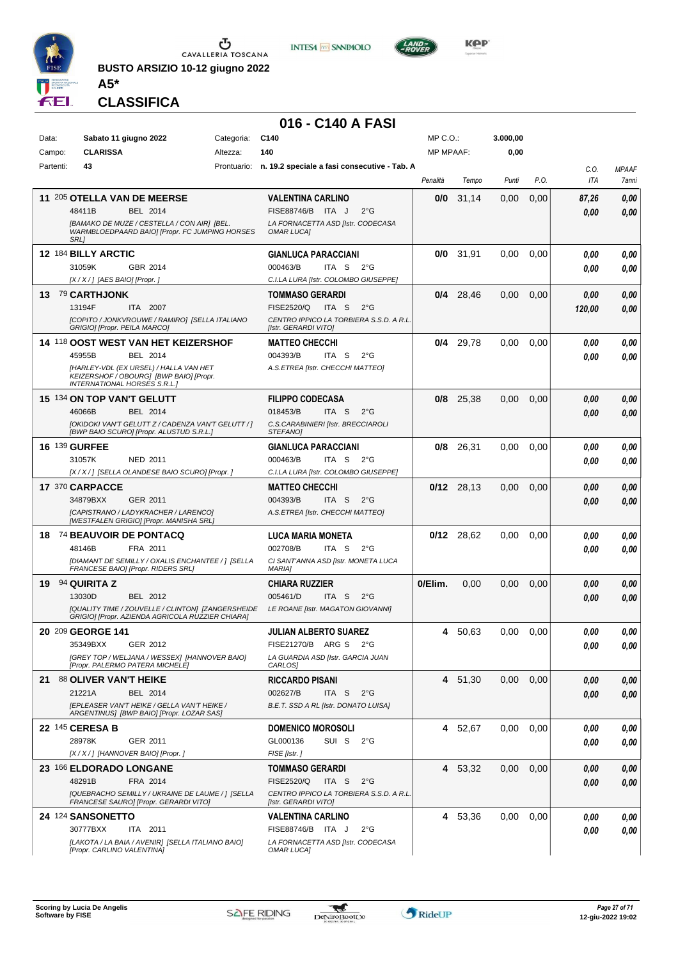

**BUSTO ARSIZIO 10-12 giugno 2022 A5\***





**CLASSIFICA**

#### **016 - C140 A FASI**

| Data:<br>Campo: | Sabato 11 giugno 2022<br><b>CLARISSA</b>                                                                                                                                                     | Categoria:<br>Altezza: | C140<br>140                                                                                                                              | $MP C. O.$ :<br><b>MP MPAAF:</b> |              | 3.000,00<br>0,00 |      |                |                       |
|-----------------|----------------------------------------------------------------------------------------------------------------------------------------------------------------------------------------------|------------------------|------------------------------------------------------------------------------------------------------------------------------------------|----------------------------------|--------------|------------------|------|----------------|-----------------------|
| Partenti:       | 43                                                                                                                                                                                           |                        | Prontuario: n. 19.2 speciale a fasi consecutive - Tab. A                                                                                 |                                  |              |                  |      |                |                       |
|                 |                                                                                                                                                                                              |                        |                                                                                                                                          | Penalità                         | Tempo        | Punti            | P.O. | C.O.<br>ITA    | <b>MPAAF</b><br>7anni |
|                 | 11 205 OTELLA VAN DE MEERSE<br>48411B<br>BEL 2014<br>[BAMAKO DE MUZE / CESTELLA / CON AIR] [BEL.<br>WARMBLOEDPAARD BAIO] [Propr. FC JUMPING HORSES<br><b>SRL1</b>                            |                        | <b>VALENTINA CARLINO</b><br>FISE88746/B ITA J<br>$2^{\circ}$ G<br>LA FORNACETTA ASD [Istr. CODECASA<br><b>OMAR LUCA]</b>                 | 0/0                              | 31,14        | 0,00             | 0,00 | 87,26<br>0,00  | 0,00<br>0,00          |
|                 | 12 184 BILLY ARCTIC<br>31059K<br>GBR 2014<br>[X / X / ] [AES BAIO] [Propr. ]                                                                                                                 |                        | <b>GIANLUCA PARACCIANI</b><br>ITA S<br>000463/B<br>$2^{\circ}G$<br>C.I.LA LURA [Istr. COLOMBO GIUSEPPE]                                  | 0/0                              | 31,91        | 0.00             | 0,00 | 0.00<br>0.00   | 0,00<br>0,00          |
| 13.             | <sup>79</sup> CARTHJONK<br>13194F<br>ITA 2007<br>[COPITO / JONKVROUWE / RAMIRO] [SELLA ITALIANO<br>GRIGIO] [Propr. PEILA MARCO]                                                              |                        | <b>TOMMASO GERARDI</b><br><b>FISE2520/Q</b><br>ITA S<br>$2^{\circ}$ G<br>CENTRO IPPICO LA TORBIERA S.S.D. A R.L.<br>[Istr. GERARDI VITO] | 0/4                              | 28,46        | 0,00             | 0,00 | 0,00<br>120,00 | 0,00<br>0.00          |
|                 | <b>14 118 OOST WEST VAN HET KEIZERSHOF</b><br>45955B<br>BEL 2014<br>[HARLEY-VDL (EX URSEL) / HALLA VAN HET<br>KEIZERSHOF / OBOURG] [BWP BAIO] [Propr.<br><b>INTERNATIONAL HORSES S.R.L.1</b> |                        | <b>MATTEO CHECCHI</b><br>004393/B<br>ITA S<br>$2^{\circ}G$<br>A.S.ETREA [Istr. CHECCHI MATTEO]                                           | 0/4                              | 29,78        | 0.00             | 0,00 | 0.00<br>0.00   | 0,00<br>0.00          |
|                 | 15 134 ON TOP VAN'T GELUTT<br>46066B<br>BEL 2014<br>[OKIDOKI VAN'T GELUTT Z / CADENZA VAN'T GELUTT / ]<br>[BWP BAIO SCURO] [Propr. ALUSTUD S.R.L.]                                           |                        | <b>FILIPPO CODECASA</b><br>018453/B<br>ITA S<br>$2^{\circ}G$<br>C.S.CARABINIERI [Istr. BRECCIAROLI<br><b>STEFANOI</b>                    | 0/8                              | 25,38        | 0,00             | 0,00 | 0,00<br>0,00   | 0,00<br>0,00          |
|                 | 16 139 GURFEE<br>31057K<br>NED 2011<br>[X / X / ] [SELLA OLANDESE BAIO SCURO] [Propr. ]                                                                                                      |                        | <b>GIANLUCA PARACCIANI</b><br>000463/B<br>ITA S<br>$2^{\circ}G$<br>C.I.LA LURA [Istr. COLOMBO GIUSEPPE]                                  | 0/8                              | 26,31        | 0.00             | 0,00 | 0.00<br>0.00   | 0,00<br>0.00          |
|                 | 17 370 CARPACCE<br>34879BXX<br>GER 2011<br>[CAPISTRANO / LADYKRACHER / LARENCO]<br>[WESTFALEN GRIGIO] [Propr. MANISHA SRL]                                                                   |                        | <b>MATTEO CHECCHI</b><br>004393/B<br>$2^{\circ}$ G<br>ITA S<br>A.S.ETREA [Istr. CHECCHI MATTEO]                                          |                                  | $0/12$ 28,13 | 0,00             | 0,00 | 0,00<br>0,00   | 0,00<br>0,00          |
| 18              | 74 BEAUVOIR DE PONTACQ<br>48146B<br>FRA 2011<br>[DIAMANT DE SEMILLY / OXALIS ENCHANTEE / ] [SELLA<br>FRANCESE BAIO] [Propr. RIDERS SRL]                                                      |                        | LUCA MARIA MONETA<br>002708/B<br>ITA S<br>$2^{\circ}G$<br>CI SANT'ANNA ASD [Istr. MONETA LUCA<br><b>MARIA]</b>                           | 0/12                             | 28,62        | 0.00             | 0,00 | 0.00<br>0.00   | 0,00<br>0.00          |
| 19              | 94 QUIRITA Z<br>13030D<br>BEL 2012<br>[QUALITY TIME / ZOUVELLE / CLINTON] [ZANGERSHEIDE<br>GRIGIO] [Propr. AZIENDA AGRICOLA RUZZIER CHIARA]                                                  |                        | <b>CHIARA RUZZIER</b><br>ITA S<br>005461/D<br>$2^{\circ}G$<br>LE ROANE [Istr. MAGATON GIOVANNI]                                          | 0/Elim.                          | 0,00         | 0,00             | 0,00 | 0,00<br>0,00   | 0,00<br>0.00          |
|                 | 20 209 GEORGE 141<br>35349BXX<br>GER 2012<br>[GREY TOP / WELJANA / WESSEX] [HANNOVER BAIO]<br>[Propr. PALERMO PATERA MICHELE]                                                                |                        | <b>JULIAN ALBERTO SUAREZ</b><br>FISE21270/B ARG S 2°G<br>LA GUARDIA ASD [Istr. GARCIA JUAN<br>CARLOS]                                    | 4                                | 50,63        | 0.00             | 0,00 | 0.00<br>0,00   | 0.00<br>0,00          |
| 21              | 88 OLIVER VAN'T HEIKE<br>21221A<br>BEL 2014<br><b>IEPLEASER VAN'T HEIKE / GELLA VAN'T HEIKE /</b><br>ARGENTINUS] [BWP BAIO] [Propr. LOZAR SAS]                                               |                        | <b>RICCARDO PISANI</b><br>002627/B<br>ITA S<br>$2^{\circ}G$<br>B.E.T. SSD A RL [Istr. DONATO LUISA]                                      | 4                                | 51,30        | 0,00             | 0,00 | 0.00<br>0,00   | 0,00<br>0,00          |
|                 | 22 145 CERESA B<br>28978K<br>GER 2011<br>[X / X / ] [HANNOVER BAIO] [Propr. ]                                                                                                                |                        | <b>DOMENICO MOROSOLI</b><br>GL000136<br>SUI S<br>$2^{\circ}G$<br>FISE [Istr.]                                                            | 4                                | 52,67        | 0,00             | 0,00 | 0.00<br>0.00   | 0,00<br>0,00          |
|                 | 23 166 ELDORADO LONGANE<br>48291B<br>FRA 2014<br>[QUEBRACHO SEMILLY / UKRAINE DE LAUME / ] [SELLA<br>FRANCESE SAURO] [Propr. GERARDI VITO]                                                   |                        | <b>TOMMASO GERARDI</b><br><b>FISE2520/Q</b><br>ITA S<br>$2^{\circ}$ G<br>CENTRO IPPICO LA TORBIERA S.S.D. A R.L.<br>[Istr. GERARDI VITO] | 4                                | 53,32        | 0,00             | 0,00 | 0,00<br>0,00   | 0,00<br>0,00          |
|                 | 24 124 SANSONETTO<br>30777BXX<br>ITA 2011<br>[LAKOTA / LA BAIA / AVENIR] [SELLA ITALIANO BAIO]<br>[Propr. CARLINO VALENTINA]                                                                 |                        | <b>VALENTINA CARLINO</b><br>FISE88746/B ITA J<br>$2^{\circ}$ G<br>LA FORNACETTA ASD [Istr. CODECASA<br><b>OMAR LUCA]</b>                 | 4                                | 53,36        | 0,00             | 0,00 | 0.00<br>0.00   | 0,00<br>0,00          |

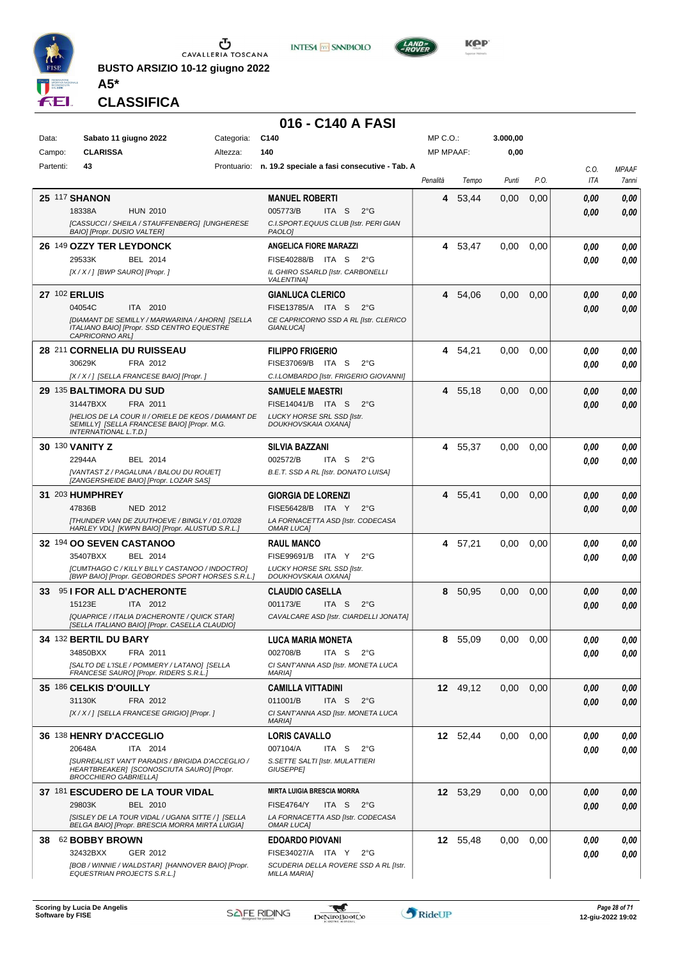

**BUSTO ARSIZIO 10-12 giugno 2022**





**CLASSIFICA**

**A5\***

#### **016 - C140 A FASI**

| Data:     | Sabato 11 giugno 2022                                                                                                         | Categoria: | C <sub>140</sub>                                         | MP C.O.:         |          | 3.000,00      |      |              |                                     |
|-----------|-------------------------------------------------------------------------------------------------------------------------------|------------|----------------------------------------------------------|------------------|----------|---------------|------|--------------|-------------------------------------|
| Campo:    | <b>CLARISSA</b>                                                                                                               | Altezza:   | 140                                                      | <b>MP MPAAF:</b> |          | 0,00          |      |              |                                     |
| Partenti: | 43                                                                                                                            |            | Prontuario: n. 19.2 speciale a fasi consecutive - Tab. A | Penalità         | Tempo    | Punti         | P.O. | C.O.<br>ITA  | <b>MPAAF</b><br><i><b>7anni</b></i> |
|           | <b>25 117 SHANON</b>                                                                                                          |            | <b>MANUEL ROBERTI</b>                                    | 4                | 53,44    | 0,00          | 0,00 | 0.00         | 0,00                                |
|           | 18338A<br><b>HUN 2010</b>                                                                                                     |            | 005773/B<br>ITA S<br>$2^{\circ}G$                        |                  |          |               |      | 0.00         | 0,00                                |
|           | [CASSUCCI / SHEILA / STAUFFENBERG] [UNGHERESE<br>BAIO] [Propr. DUSIO VALTER]                                                  |            | C.I.SPORT.EQUUS CLUB [Istr. PERI GIAN<br>PAOLOI          |                  |          |               |      |              |                                     |
|           | 26 149 OZZY TER LEYDONCK                                                                                                      |            | <b>ANGELICA FIORE MARAZZI</b>                            |                  | 4 53,47  | 0,00          | 0,00 | 0.00         | 0,00                                |
|           | 29533K<br>BEL 2014                                                                                                            |            | FISE40288/B ITA S<br>$2^{\circ}$ G                       |                  |          |               |      | 0.00         | 0.00                                |
|           | [X / X / ] [BWP SAURO] [Propr. ]                                                                                              |            | IL GHIRO SSARLD [Istr. CARBONELLI                        |                  |          |               |      |              |                                     |
|           | <b>27 102 ERLUIS</b>                                                                                                          |            | <b>VALENTINA1</b><br><b>GIANLUCA CLERICO</b>             |                  | 4 54,06  | 0,00          | 0,00 |              | 0,00                                |
|           | 04054C<br>ITA 2010                                                                                                            |            | FISE13785/A ITA S<br>$2^{\circ}G$                        |                  |          |               |      | 0.00<br>0.00 | 0,00                                |
|           | [DIAMANT DE SEMILLY / MARWARINA / AHORN] [SELLA                                                                               |            | CE CAPRICORNO SSD A RL [Istr. CLERICO                    |                  |          |               |      |              |                                     |
|           | ITALIANO BAIO] [Propr. SSD CENTRO EQUESTRE<br>CAPRICORNO ARL]                                                                 |            | GIANLUCA]                                                |                  |          |               |      |              |                                     |
|           | <b>28 211 CORNELIA DU RUISSEAU</b>                                                                                            |            | <b>FILIPPO FRIGERIO</b>                                  |                  | 4 54,21  | 0,00          | 0,00 | 0.00         | 0,00                                |
|           | 30629K<br>FRA 2012                                                                                                            |            | FISE37069/B ITA S<br>$2^{\circ}$ G                       |                  |          |               |      | 0.00         | 0,00                                |
|           | [X / X / ] [SELLA FRANCESE BAIO] [Propr. ]                                                                                    |            | C.I.LOMBARDO [Istr. FRIGERIO GIOVANNI]                   |                  |          |               |      |              |                                     |
|           | 29 135 BALTIMORA DU SUD                                                                                                       |            | <b>SAMUELE MAESTRI</b>                                   | 4                | 55,18    | 0,00          | 0,00 | 0.00         | 0,00                                |
|           | 31447BXX<br>FRA 2011                                                                                                          |            | FISE14041/B ITA S<br>$2^{\circ}$ G                       |                  |          |               |      | 0.00         | 0,00                                |
|           | [HELIOS DE LA COUR II / ORIELE DE KEOS / DIAMANT DE<br>SEMILLY] [SELLA FRANCESE BAIO] [Propr. M.G.                            |            | LUCKY HORSE SRL SSD [Istr.<br>DOUKHOVSKAIA OXANA]        |                  |          |               |      |              |                                     |
|           | <b>INTERNATIONAL L.T.D.1</b>                                                                                                  |            |                                                          |                  |          |               |      |              |                                     |
|           | <b>30 130 VANITY Z</b>                                                                                                        |            | <b>SILVIA BAZZANI</b>                                    | 4                | 55.37    | 0.00          | 0,00 | 0.00         | 0,00                                |
|           | 22944A<br>BEL 2014                                                                                                            |            | 002572/B<br>ITA S<br>$2^{\circ}$ G                       |                  |          |               |      | 0.00         | 0.00                                |
|           | [VANTAST Z / PAGALUNA / BALOU DU ROUET]<br>[ZANGERSHEIDE BAIO] [Propr. LOZAR SAS]                                             |            | B.E.T. SSD A RL [Istr. DONATO LUISA]                     |                  |          |               |      |              |                                     |
|           | 31 203 HUMPHREY                                                                                                               |            | <b>GIORGIA DE LORENZI</b>                                | 4                | 55,41    | 0,00          | 0,00 | 0.00         | 0,00                                |
|           | 47836B<br><b>NED 2012</b>                                                                                                     |            | FISE56428/B ITA Y<br>$2^{\circ}G$                        |                  |          |               |      | 0.00         | 0,00                                |
|           | [THUNDER VAN DE ZUUTHOEVE / BINGLY / 01.07028<br>HARLEY VDLJ [KWPN BAIO] [Propr. ALUSTUD S.R.L.]                              |            | LA FORNACETTA ASD [Istr. CODECASA<br><b>OMAR LUCA]</b>   |                  |          |               |      |              |                                     |
|           | 32 194 OO SEVEN CASTANOO                                                                                                      |            | <b>RAUL MANCO</b>                                        |                  | 4 57,21  | 0,00          | 0,00 | 0.00         | 0,00                                |
|           | 35407BXX<br>BEL 2014                                                                                                          |            | FISE99691/B ITA Y<br>$2^{\circ}G$                        |                  |          |               |      | 0.00         | 0.00                                |
|           | [CUMTHAGO C / KILLY BILLY CASTANOO / INDOCTRO]<br>[BWP BAIO] [Propr. GEOBORDES SPORT HORSES S.R.L.]                           |            | LUCKY HORSE SRL SSD [Istr.<br>DOUKHOVSKAIA OXANA]        |                  |          |               |      |              |                                     |
| 33        | 95   FOR ALL D'ACHERONTE                                                                                                      |            | <b>CLAUDIO CASELLA</b>                                   | 8                | 50,95    | 0,00          | 0,00 | 0.00         | 0,00                                |
|           | 15123E<br>ITA 2012                                                                                                            |            | 001173/E<br>ITA S<br>$2^{\circ}G$                        |                  |          |               |      | 0.00         | 0,00                                |
|           | [QUAPRICE / ITALIA D'ACHERONTE / QUICK STAR]<br>[SELLA ITALIANO BAIO] [Propr. CASELLA CLAUDIO]                                |            | CAVALCARE ASD [Istr. CIARDELLI JONATA]                   |                  |          |               |      |              |                                     |
|           | 34 132 BERTIL DU BARY                                                                                                         |            | <b>LUCA MARIA MONETA</b>                                 | 8                | 55,09    | $0,00$ $0,00$ |      | 0,00         | 0,00                                |
|           | 34850BXX<br>FRA 2011                                                                                                          |            | 002708/B<br>ITA S<br>$2^{\circ}$ G                       |                  |          |               |      | 0.00         | 0,00                                |
|           | [SALTO DE L'ISLE / POMMERY / LATANO] [SELLA                                                                                   |            | CI SANT'ANNA ASD [Istr. MONETA LUCA                      |                  |          |               |      |              |                                     |
|           | FRANCESE SAURO] [Propr. RIDERS S.R.L.]<br>35 186 CELKIS D'OUILLY                                                              |            | <b>MARIA1</b><br><b>CAMILLA VITTADINI</b>                |                  | 12 49,12 | 0,00          | 0,00 | 0.00         | 0,00                                |
|           | 31130K<br>FRA 2012                                                                                                            |            | 011001/B<br>ITA S<br>$2^{\circ}$ G                       |                  |          |               |      | 0.00         | 0,00                                |
|           | [X / X / ] [SELLA FRANCESE GRIGIO] [Propr. ]                                                                                  |            | CI SANT'ANNA ASD [Istr. MONETA LUCA<br><b>MARIA]</b>     |                  |          |               |      |              |                                     |
|           | 36 138 HENRY D'ACCEGLIO                                                                                                       |            | <b>LORIS CAVALLO</b>                                     |                  | 12 52,44 | $0.00\,$      | 0,00 | 0.00         | 0,00                                |
|           | ITA 2014<br>20648A                                                                                                            |            | ITA S<br>007104/A<br>$2^{\circ}G$                        |                  |          |               |      | 0,00         | 0,00                                |
|           | [SURREALIST VAN'T PARADIS / BRIGIDA D'ACCEGLIO /<br>HEARTBREAKER] [SCONOSCIUTA SAURO] [Propr.<br><b>BROCCHIERO GABRIELLA1</b> |            | S.SETTE SALTI [Istr. MULATTIERI<br>GIUSEPPE]             |                  |          |               |      |              |                                     |
|           | 37 181 ESCUDERO DE LA TOUR VIDAL                                                                                              |            | <b>MIRTA LUIGIA BRESCIA MORRA</b>                        |                  | 12 53,29 | $0.00\,$      | 0.00 | 0.00         | 0,00                                |
|           | 29803K<br>BEL 2010                                                                                                            |            | <b>FISE4764/Y</b><br>ITA S<br>2°G                        |                  |          |               |      | 0.00         | 0,00                                |
|           | [SISLEY DE LA TOUR VIDAL / UGANA SITTE / ] [SELLA<br>BELGA BAIO] [Propr. BRESCIA MORRA MIRTA LUIGIA]                          |            | LA FORNACETTA ASD [Istr. CODECASA<br><b>OMAR LUCA]</b>   |                  |          |               |      |              |                                     |
|           | 38 62 BOBBY BROWN                                                                                                             |            | <b>EDOARDO PIOVANI</b>                                   |                  | 12 55,48 | 0.00          | 0,00 | 0.00         | 0,00                                |
|           | 32432BXX<br>GER 2012                                                                                                          |            | FISE34027/A ITA Y<br>$2^{\circ}$ G                       |                  |          |               |      | 0.00         | 0,00                                |
|           | [BOB / WINNIE / WALDSTAR] [HANNOVER BAIO] [Propr.                                                                             |            | SCUDERIA DELLA ROVERE SSD A RL [Istr.                    |                  |          |               |      |              |                                     |
|           | EQUESTRIAN PROJECTS S.R.L.J                                                                                                   |            | MILLA MARIA]                                             |                  |          |               |      |              |                                     |

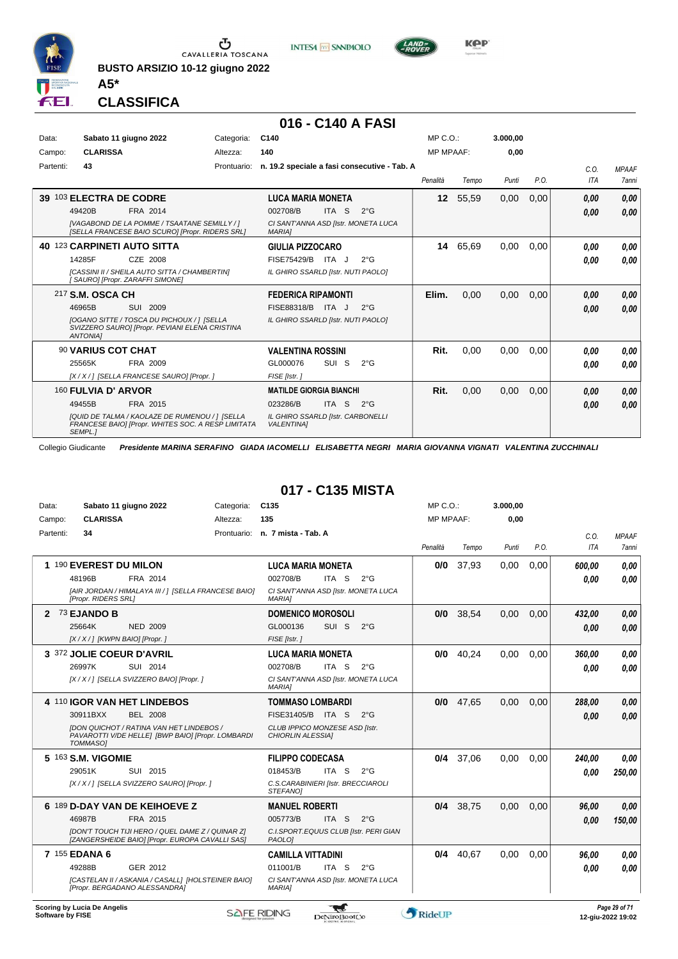

**BUSTO ARSIZIO 10-12 giugno 2022**





**Kep** 

#### **CLASSIFICA**

**A5\***

#### **016 - C140 A FASI**

| Data:     | Sabato 11 giugno 2022                                                                                                  | Categoria:  | C140                                                   |                  |               | $MP C. O.$ :     |       | 3.000.00 |      |      |              |
|-----------|------------------------------------------------------------------------------------------------------------------------|-------------|--------------------------------------------------------|------------------|---------------|------------------|-------|----------|------|------|--------------|
| Campo:    | <b>CLARISSA</b>                                                                                                        | Altezza:    | 140                                                    |                  |               | <b>MP MPAAF:</b> |       | 0,00     |      |      |              |
| Partenti: | 43                                                                                                                     | Prontuario: | n. 19.2 speciale a fasi consecutive - Tab. A           |                  |               |                  |       |          |      | C.0. | <b>MPAAF</b> |
|           |                                                                                                                        |             |                                                        |                  |               | Penalità         | Tempo | Punti    | P.O. | ITA  | 7anni        |
| 39        | 103 ELECTRA DE CODRE                                                                                                   |             | <b>LUCA MARIA MONETA</b>                               |                  |               | 12 <sup>1</sup>  | 55,59 | 0,00     | 0,00 | 0.00 | 0,00         |
|           | 49420B<br>FRA 2014                                                                                                     |             | 002708/B                                               | ITA S            | $2^{\circ}$ G |                  |       |          |      | 0,00 | 0,00         |
|           | [VAGABOND DE LA POMME / TSAATANE SEMILLY / ]<br>[SELLA FRANCESE BAIO SCURO] [Propr. RIDERS SRL]                        |             | CI SANT'ANNA ASD [Istr. MONETA LUCA<br><b>MARIAI</b>   |                  |               |                  |       |          |      |      |              |
| 40.       | 123 CARPINETI AUTO SITTA                                                                                               |             | <b>GIULIA PIZZOCARO</b>                                |                  |               | 14               | 65,69 | 0.00     | 0,00 | 0.00 | 0,00         |
|           | 14285F<br>CZE 2008                                                                                                     |             | FISE75429/B ITA J                                      |                  | $2^{\circ}$ G |                  |       |          |      | 0.00 | 0.00         |
|           | [CASSINI II / SHEILA AUTO SITTA / CHAMBERTIN]<br>[SAURO] [Propr. ZARAFFI SIMONE]                                       |             | IL GHIRO SSARLD [Istr. NUTI PAOLO]                     |                  |               |                  |       |          |      |      |              |
|           | 217 S.M. OSCA CH                                                                                                       |             | <b>FEDERICA RIPAMONTI</b>                              |                  |               | Elim.            | 0,00  | 0,00     | 0,00 | 0.00 | 0,00         |
|           | 46965B<br>SUI 2009                                                                                                     |             | FISE88318/B                                            | ITA J            | $2^{\circ}$ G |                  |       |          |      | 0,00 | 0,00         |
|           | <b>IOGANO SITTE / TOSCA DU PICHOUX / 1 ISELLA</b><br>SVIZZERO SAURO] [Propr. PEVIANI ELENA CRISTINA<br><b>ANTONIAI</b> |             | IL GHIRO SSARLD [Istr. NUTI PAOLO]                     |                  |               |                  |       |          |      |      |              |
|           | 90 VARIUS COT CHAT                                                                                                     |             | <b>VALENTINA ROSSINI</b>                               |                  |               | Rit.             | 0,00  | 0.00     | 0,00 | 0.00 | 0.00         |
|           | 25565K<br>FRA 2009                                                                                                     |             | GL000076                                               | SUI <sub>S</sub> | $2^{\circ}$ G |                  |       |          |      | 0.00 | 0.00         |
|           | [X / X / ] [SELLA FRANCESE SAURO] [Propr. ]                                                                            |             | FISE [Istr.]                                           |                  |               |                  |       |          |      |      |              |
|           | 160 FULVIA D' ARVOR                                                                                                    |             | <b>MATILDE GIORGIA BIANCHI</b>                         |                  |               | Rit.             | 0,00  | 0,00     | 0,00 | 0.00 | 0,00         |
|           | 49455B<br>FRA 2015                                                                                                     |             | 023286/B                                               | <b>ITA</b><br>-S | $2^{\circ}$ G |                  |       |          |      | 0,00 | 0,00         |
|           | [QUID DE TALMA / KAOLAZE DE RUMENOU / ] [SELLA<br>FRANCESE BAIO] [Propr. WHITES SOC. A RESP LIMITATA<br>SEMPL.]        |             | IL GHIRO SSARLD [Istr. CARBONELLI<br><b>VALENTINA1</b> |                  |               |                  |       |          |      |      |              |

Collegio Giudicante *Presidente MARINA SERAFINO GIADA IACOMELLI ELISABETTA NEGRI MARIA GIOVANNA VIGNATI VALENTINA ZUCCHINALI*

#### **017 - C135 MISTA**

| Data:            | Sabato 11 giugno 2022                                                                                                   | Categoria: | C <sub>135</sub>                                     | $MP C. O.$ :     |           | 3.000,00 |      |            |                                    |
|------------------|-------------------------------------------------------------------------------------------------------------------------|------------|------------------------------------------------------|------------------|-----------|----------|------|------------|------------------------------------|
| Campo:           | <b>CLARISSA</b>                                                                                                         | Altezza:   | 135                                                  | <b>MP MPAAF:</b> |           | 0,00     |      |            |                                    |
| Partenti:        | 34                                                                                                                      |            | Prontuario: n. 7 mista - Tab. A                      |                  |           |          |      | C.O.       | <b>MPAAF</b>                       |
|                  |                                                                                                                         |            |                                                      | Penalità         | Tempo     | Punti    | P.O. | <b>ITA</b> | 7anni                              |
|                  | 1 190 EVEREST DU MILON                                                                                                  |            | <b>LUCA MARIA MONETA</b>                             | 0/0              | 37,93     | 0.00     | 0.00 | 600.00     | 0.00                               |
|                  | 48196B<br>FRA 2014                                                                                                      |            | 002708/B<br>ITA S<br>$2^{\circ}$ G                   |                  |           |          |      | 0.00       | 0.00                               |
|                  | [AIR JORDAN / HIMALAYA III / 1 [SELLA FRANCESE BAIO]<br>[Propr. RIDERS SRL]                                             |            | CI SANT'ANNA ASD [Istr. MONETA LUCA<br><b>MARIA1</b> |                  |           |          |      |            |                                    |
| 2                | 73 EJANDO B                                                                                                             |            | <b>DOMENICO MOROSOLI</b>                             | 0/0              | 38,54     | 0.00     | 0.00 | 432,00     | 0.00                               |
|                  | 25664K<br><b>NED 2009</b>                                                                                               |            | SUI <sub>S</sub><br>GL000136<br>$2^{\circ}G$         |                  |           |          |      | 0.00       | 0.00                               |
|                  | $[X/X/$ ] [KWPN BAIO] [Propr.]                                                                                          |            | FISE [Istr.]                                         |                  |           |          |      |            |                                    |
|                  | 3 372 JOLIE COEUR D'AVRIL                                                                                               |            | <b>LUCA MARIA MONETA</b>                             | 0/0              | 40,24     | 0,00     | 0.00 | 360,00     | 0.00                               |
|                  | 26997K<br>SUI 2014                                                                                                      |            | 002708/B<br>ITA S<br>$2^{\circ}$ G                   |                  |           |          |      | 0.00       | 0.00                               |
|                  | [X / X / ] [SELLA SVIZZERO BAIO] [Propr. ]                                                                              |            | CI SANT'ANNA ASD [Istr. MONETA LUCA<br><b>MARIA1</b> |                  |           |          |      |            |                                    |
|                  | 4 110 IGOR VAN HET LINDEBOS                                                                                             |            | <b>TOMMASO LOMBARDI</b>                              | 0/0              | 47,65     | 0,00     | 0.00 | 288,00     | 0,00                               |
|                  | 30911BXX<br><b>BEL 2008</b>                                                                                             |            | FISE31405/B ITA S<br>$2^{\circ}G$                    |                  |           |          |      | 0.00       | 0,00                               |
|                  | <b>IDON QUICHOT / RATINA VAN HET LINDEBOS /</b><br>PAVAROTTI V/DE HELLE] [BWP BAIO] [Propr. LOMBARDI<br><b>TOMMASOI</b> |            | CLUB IPPICO MONZESE ASD [Istr.<br>CHIORLIN ALESSIA]  |                  |           |          |      |            |                                    |
|                  | 5 163 S.M. VIGOMIE                                                                                                      |            | <b>FILIPPO CODECASA</b>                              | 0/4              | 37,06     | 0,00     | 0,00 | 240,00     | 0.00                               |
|                  | 29051K<br>SUI 2015                                                                                                      |            | 018453/B<br>ITA S<br>$2^{\circ}$ G                   |                  |           |          |      | 0.00       | 250,00                             |
|                  | [X / X / ] [SELLA SVIZZERO SAURO] [Propr. ]                                                                             |            | C.S.CARABINIERI [Istr. BRECCIAROLI<br>STEFANOI       |                  |           |          |      |            |                                    |
|                  | 6 189 D-DAY VAN DE KEIHOEVE Z                                                                                           |            | <b>MANUEL ROBERTI</b>                                |                  | 0/4 38,75 | 0,00     | 0,00 | 96.00      | 0.00                               |
|                  | 46987B<br>FRA 2015                                                                                                      |            | 005773/B<br>ITA <sub>S</sub><br>$2^{\circ}$ G        |                  |           |          |      | 0.00       | 150,00                             |
|                  | [DON'T TOUCH TIJI HERO / QUEL DAME Z / QUINAR Z]<br>[ZANGERSHEIDE BAIO] [Propr. EUROPA CAVALLI SAS]                     |            | C.I.SPORT.EQUUS CLUB [Istr. PERI GIAN<br>PAOLO1      |                  |           |          |      |            |                                    |
|                  | 7 155 EDANA 6                                                                                                           |            | <b>CAMILLA VITTADINI</b>                             | 0/4              | 40,67     | 0.00     | 0.00 | 96,00      | 0.00                               |
|                  | 49288B<br>GER 2012                                                                                                      |            | 011001/B<br>ITA S<br>$2^{\circ}$ G                   |                  |           |          |      | 0.00       | 0.00                               |
|                  | [CASTELAN II / ASKANIA / CASALL] [HOLSTEINER BAIO]<br>[Propr. BERGADANO ALESSANDRA]                                     |            | CI SANT'ANNA ASD [Istr. MONETA LUCA<br><b>MARIAI</b> |                  |           |          |      |            |                                    |
| Software by FISE | Scoring by Lucia De Angelis                                                                                             |            | <b>SAFE RIDING</b><br>DeNiroBootCo                   | RideUP           |           |          |      |            | Page 29 of 71<br>12-giu-2022 19:02 |

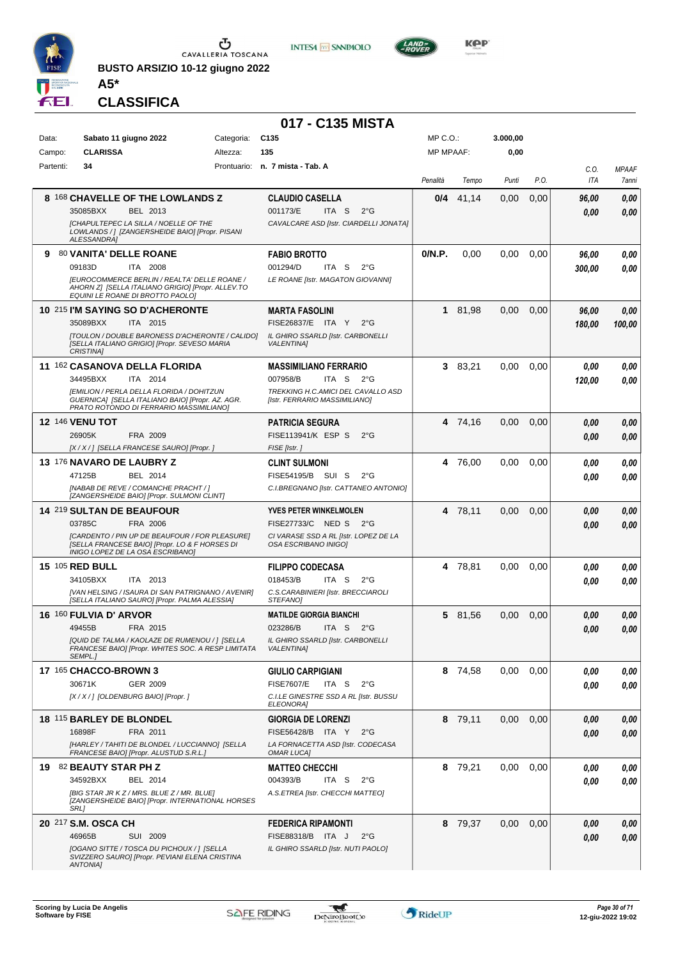

**BUSTO ARSIZIO 10-12 giugno 2022 A5\***





**KOP** 

#### **CLASSIFICA**

|           |                                                                                                                                          |            | 017 - C135 MISTA                                                         |                  |         |          |      |             |                       |
|-----------|------------------------------------------------------------------------------------------------------------------------------------------|------------|--------------------------------------------------------------------------|------------------|---------|----------|------|-------------|-----------------------|
| Data:     | Sabato 11 giugno 2022                                                                                                                    | Categoria: | C <sub>135</sub>                                                         | $MP C. O.$ :     |         | 3.000,00 |      |             |                       |
| Campo:    | <b>CLARISSA</b>                                                                                                                          | Altezza:   | 135                                                                      | <b>MP MPAAF:</b> |         | 0,00     |      |             |                       |
| Partenti: | 34                                                                                                                                       |            | Prontuario: n. 7 mista - Tab. A                                          | Penalità         | Tempo   | Punti    | P.O. | C.O.<br>ITA | <b>MPAAF</b><br>7anni |
|           | 8 168 CHAVELLE OF THE LOWLANDS Z                                                                                                         |            | <b>CLAUDIO CASELLA</b>                                                   | 0/4              | 41,14   | 0,00     | 0,00 | 96,00       | 0,00                  |
|           | 35085BXX<br>BEL 2013                                                                                                                     |            | ITA <sub>S</sub><br>001173/E<br>$2^{\circ}$ G                            |                  |         |          |      | 0.00        | 0,00                  |
|           | <b>ICHAPULTEPEC LA SILLA / NOELLE OF THE</b><br>LOWLANDS / ] [ZANGERSHEIDE BAIO] [Propr. PISANI<br>ALESSANDRA]                           |            | CAVALCARE ASD [Istr. CIARDELLI JONATA]                                   |                  |         |          |      |             |                       |
| 9.        | 80 VANITA' DELLE ROANE                                                                                                                   |            | <b>FABIO BROTTO</b>                                                      | 0/N.P.           | 0,00    | 0,00     | 0.00 | 96,00       | 0,00                  |
|           | 09183D<br>ITA 2008                                                                                                                       |            | 001294/D<br>ITA <sub>S</sub><br>$2^{\circ}$ G                            |                  |         |          |      | 300,00      | 0,00                  |
|           | [EUROCOMMERCE BERLIN / REALTA' DELLE ROANE /<br>AHORN Z] [SELLA ITALIANO GRIGIO] [Propr. ALLEV.TO<br>EQUINI LE ROANE DI BROTTO PAOLO]    |            | LE ROANE [Istr. MAGATON GIOVANNI]                                        |                  |         |          |      |             |                       |
|           | 10 215 I'M SAYING SO D'ACHERONTE                                                                                                         |            | <b>MARTA FASOLINI</b>                                                    | 1                | 81,98   | 0.00     | 0,00 | 96,00       | 0,00                  |
|           | 35089BXX<br>ITA 2015<br>[TOULON / DOUBLE BARONESS D'ACHERONTE / CALIDO]                                                                  |            | FISE26837/E ITA Y<br>$2^{\circ}$ G                                       |                  |         |          |      | 180,00      | 100,00                |
|           | [SELLA ITALIANO GRIGIO] [Propr. SEVESO MARIA<br><b>CRISTINA1</b>                                                                         |            | IL GHIRO SSARLD [Istr. CARBONELLI<br><b>VALENTINA1</b>                   |                  |         |          |      |             |                       |
|           | 11 162 CASANOVA DELLA FLORIDA                                                                                                            |            | <b>MASSIMILIANO FERRARIO</b>                                             |                  | 3 83,21 | 0.00     | 0.00 | 0.00        | 0,00                  |
|           | 34495BXX<br>ITA 2014                                                                                                                     |            | 007958/B<br>ITA S<br>$2^{\circ}G$                                        |                  |         |          |      | 120,00      | 0.00                  |
|           | [EMILION / PERLA DELLA FLORIDA / DOHITZUN<br>GUERNICA] [SELLA ITALIANO BAIO] [Propr. AZ. AGR.<br>PRATO ROTONDO DI FERRARIO MASSIMILIANO] |            | TREKKING H.C.AMICI DEL CAVALLO ASD<br>[Istr. FERRARIO MASSIMILIANO]      |                  |         |          |      |             |                       |
|           | <b>12 146 VENU TOT</b>                                                                                                                   |            | <b>PATRICIA SEGURA</b>                                                   |                  | 4 74,16 | 0,00     | 0,00 | 0,00        | 0,00                  |
|           | 26905K<br>FRA 2009                                                                                                                       |            | FISE113941/K ESP S<br>$2^{\circ}$ G                                      |                  |         |          |      | 0,00        | 0,00                  |
|           | [X / X / ] [SELLA FRANCESE SAURO] [Propr. ]                                                                                              |            | FISE [Istr.]                                                             |                  |         |          |      |             |                       |
|           | 13 176 NAVARO DE LAUBRY Z<br>47125B<br>BEL 2014                                                                                          |            | <b>CLINT SULMONI</b><br>FISE54195/B SUI S<br>$2^{\circ}$ G               |                  | 4 76,00 | 0.00     | 0.00 | 0.00        | 0,00                  |
|           | [NABAB DE REVE / COMANCHE PRACHT / ]                                                                                                     |            | C.I.BREGNANO [Istr. CATTANEO ANTONIO]                                    |                  |         |          |      | 0,00        | 0,00                  |
|           | [ZANGERSHEIDE BAIO] [Propr. SULMONI CLINT]                                                                                               |            |                                                                          |                  |         |          |      |             |                       |
|           | <b>14 219 SULTAN DE BEAUFOUR</b><br>03785C                                                                                               |            | <b>YVES PETER WINKELMOLEN</b><br>FISE27733/C NED S<br>2°G                |                  | 4 78,11 | 0,00     | 0,00 | 0,00        | 0,00                  |
|           | FRA 2006<br>[CARDENTO / PIN UP DE BEAUFOUR / FOR PLEASURE]                                                                               |            | CI VARASE SSD A RL [Istr. LOPEZ DE LA                                    |                  |         |          |      | 0,00        | 0,00                  |
|           | [SELLA FRANCESE BAIO] [Propr. LO & F HORSES DI<br>INIGO LOPEZ DE LA OSA ESCRIBANOI                                                       |            | OSA ESCRIBANO INIGOJ                                                     |                  |         |          |      |             |                       |
|           | <b>15 105 RED BULL</b>                                                                                                                   |            | <b>FILIPPO CODECASA</b>                                                  |                  | 4 78,81 | 0.00     | 0,00 | 0.00        | 0,00                  |
|           | 34105BXX<br>ITA 2013<br>[VAN HELSING / ISAURA DI SAN PATRIGNANO / AVENIR]                                                                |            | 018453/B<br>ITA S<br>$2^{\circ}$ G<br>C.S.CARABINIERI [Istr. BRECCIAROLI |                  |         |          |      | 0.00        | 0.00                  |
|           | [SELLA ITALIANO SAURO] [Propr. PALMA ALESSIA]                                                                                            |            | STEFANO]                                                                 |                  |         |          |      |             |                       |
|           | 16 160 FULVIA D' ARVOR<br>49455B<br>FRA 2015                                                                                             |            | <b>MATILDE GIORGIA BIANCHI</b><br>023286/B<br>ITA S $2^{\circ}G$         |                  | 5 81,56 | 0,00     | 0,00 | 0.00        | 0,00                  |
|           | [QUID DE TALMA / KAOLAZE DE RUMENOU / ] [SELLA                                                                                           |            | IL GHIRO SSARLD [Istr. CARBONELLI                                        |                  |         |          |      | 0,00        | 0,00                  |
|           | FRANCESE BAIO] [Propr. WHITES SOC. A RESP LIMITATA<br>SEMPL.1                                                                            |            | <b>VALENTINAI</b>                                                        |                  |         |          |      |             |                       |
|           | 17 165 CHACCO-BROWN 3                                                                                                                    |            | <b>GIULIO CARPIGIANI</b>                                                 |                  | 8 74,58 | 0,00     | 0,00 | 0,00        | 0,00                  |
|           | 30671K<br>GER 2009                                                                                                                       |            | <b>FISE7607/E</b><br>ITA S<br>$2^{\circ}$ G                              |                  |         |          |      | 0,00        | 0,00                  |
|           | [X / X / ] [OLDENBURG BAIO] [Propr. ]                                                                                                    |            | C.I.LE GINESTRE SSD A RL [Istr. BUSSU<br><b>ELEONORA1</b>                |                  |         |          |      |             |                       |
|           | 18 115 BARLEY DE BLONDEL                                                                                                                 |            | <b>GIORGIA DE LORENZI</b>                                                |                  | 8 79.11 | 0,00     | 0,00 | 0,00        | 0,00                  |
|           | 16898F<br>FRA 2011                                                                                                                       |            | FISE56428/B ITA Y<br>$2^{\circ}$ G                                       |                  |         |          |      | 0,00        | 0,00                  |
|           | [HARLEY / TAHITI DE BLONDEL / LUCCIANNO] [SELLA<br>FRANCESE BAIO] [Propr. ALUSTUD S.R.L.]                                                |            | LA FORNACETTA ASD [Istr. CODECASA<br><b>OMAR LUCAI</b>                   |                  |         |          |      |             |                       |
|           | 19 82 BEAUTY STAR PH Z                                                                                                                   |            | <b>MATTEO CHECCHI</b>                                                    |                  | 8 79,21 | 0,00     | 0,00 | 0,00        | 0,00                  |
|           | 34592BXX<br>BEL 2014                                                                                                                     |            | 004393/B<br>ITA S<br>$2^{\circ}G$                                        |                  |         |          |      | 0.00        | 0,00                  |
|           | [BIG STAR JR KZ / MRS. BLUE Z / MR. BLUE]<br>[ZANGERSHEIDE BAIO] [Propr. INTERNATIONAL HORSES<br><b>SRL1</b>                             |            | A.S.ETREA [Istr. CHECCHI MATTEO]                                         |                  |         |          |      |             |                       |
|           | 20 217 S.M. OSCA CH                                                                                                                      |            | <b>FEDERICA RIPAMONTI</b>                                                |                  | 8 79,37 | 0,00     | 0,00 | 0,00        | 0,00                  |
|           | 46965B<br>SUI 2009                                                                                                                       |            | FISE88318/B ITA J<br>$2^{\circ}$ G                                       |                  |         |          |      | 0.00        | 0,00                  |
|           | [OGANO SITTE / TOSCA DU PICHOUX / ] [SELLA<br>SVIZZERO SAURO] [Propr. PEVIANI ELENA CRISTINA                                             |            | IL GHIRO SSARLD [Istr. NUTI PAOLO]                                       |                  |         |          |      |             |                       |
|           | <b>ANTONIA]</b>                                                                                                                          |            |                                                                          |                  |         |          |      |             |                       |

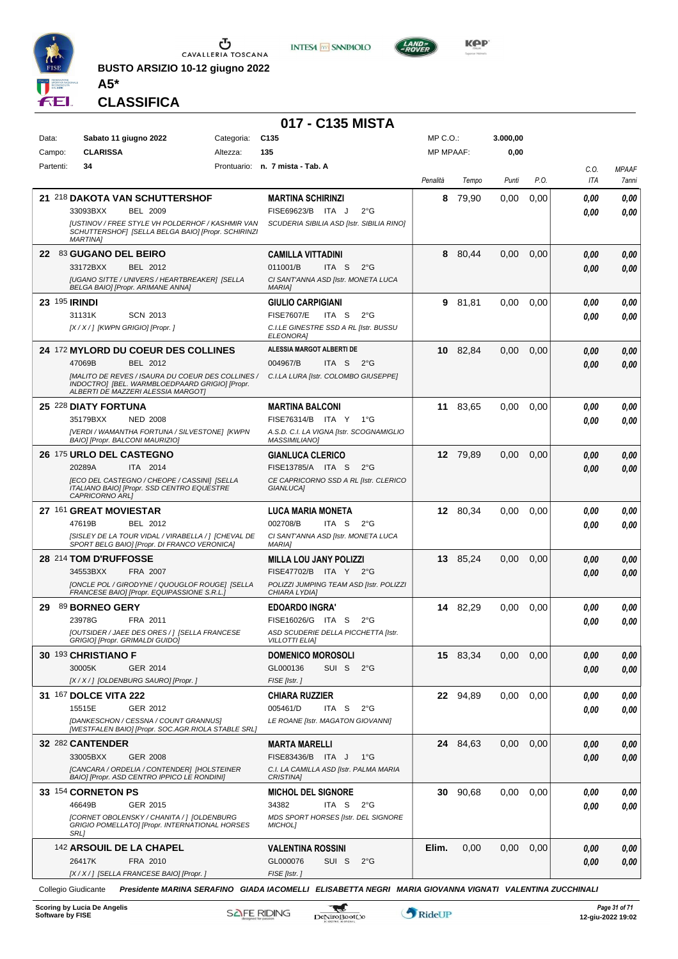

**BUSTO ARSIZIO 10-12 giugno 2022 A5\***





**Kep** 

**CLASSIFICA**

|                     |                                                                                                                                           |            | 017 - C135 MISTA                                                                |                  |          |          |      |      |              |
|---------------------|-------------------------------------------------------------------------------------------------------------------------------------------|------------|---------------------------------------------------------------------------------|------------------|----------|----------|------|------|--------------|
| Data:               | Sabato 11 giugno 2022                                                                                                                     | Categoria: | C <sub>135</sub>                                                                | MP C.O.:         |          | 3.000,00 |      |      |              |
| Campo:              | <b>CLARISSA</b>                                                                                                                           | Altezza:   | 135                                                                             | <b>MP MPAAF:</b> |          | 0,00     |      |      |              |
| Partenti:           | 34                                                                                                                                        |            | Prontuario: n. 7 mista - Tab. A                                                 |                  |          |          |      | C.O. | <b>MPAAF</b> |
|                     |                                                                                                                                           |            |                                                                                 | Penalità         | Tempo    | Punti    | P.O. | ITA  | 7anni        |
|                     | 21 218 DAKOTA VAN SCHUTTERSHOF                                                                                                            |            | <b>MARTINA SCHIRINZI</b>                                                        | 8                | 79,90    | 0.00     | 0,00 | 0.00 | 0,00         |
|                     | 33093BXX<br><b>BEL 2009</b><br><b>JUSTINOV / FREE STYLE VH POLDERHOF / KASHMIR VAN</b>                                                    |            | FISE69623/B ITA J<br>$2^{\circ}$ G<br>SCUDERIA SIBILIA ASD [Istr. SIBILIA RINO] |                  |          |          |      | 0.00 | 0,00         |
|                     | SCHUTTERSHOFI [SELLA BELGA BAIO] [Propr. SCHIRINZI<br><b>MARTINA1</b>                                                                     |            |                                                                                 |                  |          |          |      |      |              |
|                     | 22 83 GUGANO DEL BEIRO                                                                                                                    |            | <b>CAMILLA VITTADINI</b>                                                        |                  | 8 80,44  | 0,00     | 0,00 | 0.00 | 0,00         |
|                     | 33172BXX<br>BEL 2012                                                                                                                      |            | 011001/B<br>$2^{\circ}G$<br>ITA S                                               |                  |          |          |      | 0.00 | 0,00         |
|                     | [UGANO SITTE / UNIVERS / HEARTBREAKER] [SELLA<br>BELGA BAIO] [Propr. ARIMANE ANNA]                                                        |            | CI SANT'ANNA ASD [Istr. MONETA LUCA<br><b>MARIAI</b>                            |                  |          |          |      |      |              |
| 23 195 <b>RINDI</b> |                                                                                                                                           |            | <b>GIULIO CARPIGIANI</b>                                                        | 9                | 81,81    | 0,00     | 0,00 | 0.00 | 0,00         |
|                     | 31131K<br><b>SCN 2013</b>                                                                                                                 |            | <b>FISE7607/E</b><br>ITA S<br>$2^{\circ}G$                                      |                  |          |          |      | 0.00 | 0.00         |
|                     | [X / X / ] [KWPN GRIGIO] [Propr. ]                                                                                                        |            | C.I.LE GINESTRE SSD A RL [Istr. BUSSU<br><b>ELEONORAI</b>                       |                  |          |          |      |      |              |
|                     | 24 172 MYLORD DU COEUR DES COLLINES                                                                                                       |            | ALESSIA MARGOT ALBERTI DE                                                       |                  | 10 82,84 | 0.00     | 0.00 | 0.00 | 0,00         |
|                     | 47069B<br>BEL 2012                                                                                                                        |            | 004967/B<br>ITA S<br>$2^{\circ}G$                                               |                  |          |          |      | 0.00 | 0,00         |
|                     | [MALITO DE REVES / ISAURA DU COEUR DES COLLINES /<br>INDOCTRO] [BEL. WARMBLOEDPAARD GRIGIO] [Propr.<br>ALBERTI DE MAZZERI ALESSIA MARGOTI |            | C.I.LA LURA [Istr. COLOMBO GIUSEPPE]                                            |                  |          |          |      |      |              |
|                     | 25 228 DIATY FORTUNA                                                                                                                      |            | <b>MARTINA BALCONI</b>                                                          |                  | 11 83,65 | 0.00     | 0,00 | 0,00 | 0,00         |
|                     | <b>NED 2008</b><br>35179BXX                                                                                                               |            | FISE76314/B ITA Y<br>1°G                                                        |                  |          |          |      | 0.00 | 0.00         |
|                     | [VERDI / WAMANTHA FORTUNA / SILVESTONE] [KWPN<br>BAIO] [Propr. BALCONI MAURIZIO]                                                          |            | A.S.D. C.I. LA VIGNA [Istr. SCOGNAMIGLIO<br><b>MASSIMILIANO</b>                 |                  |          |          |      |      |              |
|                     | 26 175 URLO DEL CASTEGNO                                                                                                                  |            | <b>GIANLUCA CLERICO</b>                                                         |                  | 12 79.89 | 0,00     | 0.00 | 0,00 | 0,00         |
|                     | 20289A<br>ITA 2014                                                                                                                        |            | FISE13785/A ITA S<br>$2^{\circ}G$                                               |                  |          |          |      | 0.00 | 0.00         |
|                     | [ECO DEL CASTEGNO / CHEOPE / CASSINI] [SELLA<br>ITALIANO BAIO] [Propr. SSD CENTRO EQUESTRE<br>CAPRICORNO ARLI                             |            | CE CAPRICORNO SSD A RL [Istr. CLERICO<br>GIANLUCA]                              |                  |          |          |      |      |              |
|                     | 27 161 GREAT MOVIESTAR                                                                                                                    |            | <b>LUCA MARIA MONETA</b>                                                        |                  | 12 80,34 | 0,00     | 0,00 | 0.00 | 0,00         |
|                     | 47619B<br>BEL 2012                                                                                                                        |            | 002708/B<br>ITA S<br>$2^{\circ}G$                                               |                  |          |          |      | 0.00 | 0.00         |
|                     | [SISLEY DE LA TOUR VIDAL / VIRABELLA / ] [CHEVAL DE<br>SPORT BELG BAIO] [Propr. DI FRANCO VERONICA]                                       |            | CI SANT'ANNA ASD [Istr. MONETA LUCA<br><b>MARIAI</b>                            |                  |          |          |      |      |              |
|                     | 28 214 TOM D'RUFFOSSE                                                                                                                     |            | <b>MILLA LOU JANY POLIZZI</b>                                                   |                  | 13 85,24 | 0.00     | 0.00 | 0.00 | 0,00         |
|                     | 34553BXX<br>FRA 2007                                                                                                                      |            | FISE47702/B ITA Y 2°G                                                           |                  |          |          |      | 0.00 | 0.00         |
|                     | [ONCLE POL / GIRODYNE / QUOUGLOF ROUGE] [SELLA<br>FRANCESE BAIO] [Propr. EQUIPASSIONE S.R.L.]                                             |            | POLIZZI JUMPING TEAM ASD [Istr. POLIZZI<br>CHIARA LYDIA]                        |                  |          |          |      |      |              |
| 29                  | 89 BORNEO GERY                                                                                                                            |            | <b>EDOARDO INGRA'</b>                                                           |                  | 14 82,29 | 0.00     | 0,00 | 0.00 | 0.00         |
|                     | 23978G<br>FRA 2011                                                                                                                        |            | FISE16026/G ITA S<br>$2^{\circ}G$                                               |                  |          |          |      | 0.00 | 0.00         |
|                     | [OUTSIDER / JAEE DES ORES / 1 [SELLA FRANCESE<br><b>GRIGIO] [Propr. GRIMALDI GUIDO]</b>                                                   |            | ASD SCUDERIE DELLA PICCHETTA [Istr.<br><b>VILLOTTI ELIA]</b>                    |                  |          |          |      |      |              |
|                     | 30 193 CHRISTIANO F                                                                                                                       |            | <b>DOMENICO MOROSOLI</b>                                                        |                  | 15 83,34 | 0.00     | 0,00 | 0,00 | 0,00         |
|                     | 30005K<br>GER 2014                                                                                                                        |            | GL000136<br>SUI S<br>$2^{\circ}$ G                                              |                  |          |          |      | 0,00 | 0,00         |
|                     | [X / X / ] [OLDENBURG SAURO] [Propr. ]                                                                                                    |            | FISE [Istr.]                                                                    |                  |          |          |      |      |              |
|                     | 31 167 DOLCE VITA 222                                                                                                                     |            | <b>CHIARA RUZZIER</b>                                                           |                  | 22 94,89 | 0.00     | 0.00 | 0.00 | 0,00         |
|                     | 15515E<br>GER 2012                                                                                                                        |            | 005461/D<br>ITA S<br>2°G                                                        |                  |          |          |      | 0.00 | 0.00         |
|                     | [DANKESCHON / CESSNA / COUNT GRANNUS]<br>[WESTFALEN BAIO] [Propr. SOC.AGR.RIOLA STABLE SRL]                                               |            | LE ROANE [Istr. MAGATON GIOVANNI]                                               |                  |          |          |      |      |              |
|                     | 32 282 CANTENDER                                                                                                                          |            | <b>MARTA MARELLI</b>                                                            |                  | 24 84,63 | 0,00     | 0,00 | 0,00 | 0,00         |
|                     | 33005BXX<br><b>GER 2008</b>                                                                                                               |            | FISE83436/B ITA J<br>1°G                                                        |                  |          |          |      | 0,00 | 0,00         |
|                     | [CANCARA / ORDELIA / CONTENDER] [HOLSTEINER<br>BAIO] [Propr. ASD CENTRO IPPICO LE RONDINI]                                                |            | C.I. LA CAMILLA ASD [Istr. PALMA MARIA<br>CRISTINA]                             |                  |          |          |      |      |              |
|                     | 33 154 CORNETON PS                                                                                                                        |            | <b>MICHOL DEL SIGNORE</b>                                                       |                  | 30 90,68 | 0.00     | 0,00 | 0.00 | 0,00         |
|                     | 46649B<br>GER 2015                                                                                                                        |            | 34382<br>ITA S<br>$2^{\circ}G$                                                  |                  |          |          |      | 0.00 | 0,00         |
|                     | [CORNET OBOLENSKY / CHANITA / ] [OLDENBURG<br>GRIGIO POMELLATO] [Propr. INTERNATIONAL HORSES<br>SRL]                                      |            | MDS SPORT HORSES [Istr. DEL SIGNORE<br><b>MICHOLI</b>                           |                  |          |          |      |      |              |
|                     | 142 ARSOUIL DE LA CHAPEL                                                                                                                  |            | <b>VALENTINA ROSSINI</b>                                                        | Elim.            | 0,00     | 0,00     | 0,00 | 0.00 | 0,00         |
|                     | 26417K<br>FRA 2010                                                                                                                        |            | GL000076<br>SUI S<br>$2^{\circ}$ G                                              |                  |          |          |      | 0,00 | 0,00         |
|                     | [X / X / ] [SELLA FRANCESE BAIO] [Propr. ]                                                                                                |            | FISE [Istr.]                                                                    |                  |          |          |      |      |              |

Collegio Giudicante *Presidente MARINA SERAFINO GIADA IACOMELLI ELISABETTA NEGRI MARIA GIOVANNA VIGNATI VALENTINA ZUCCHINALI*

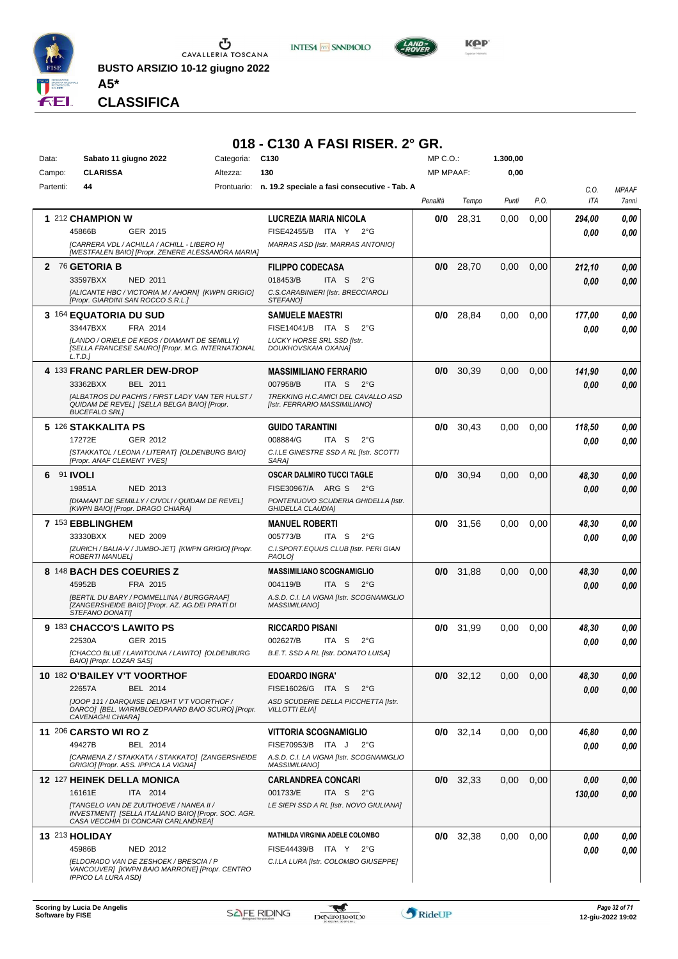

**INTESA M** SANPAOLO



*Presidente MARINA SERAFINO GIADA IACOMELLI ELISABETTA NEGRI MARIA GIOVANNA VIGNATI VALENTINA ZUCCHINALI* **CLASSIFICA**

**A5\***

#### **018 - C130 A FASI RISER. 2° GR.**

| Data:     | Sabato 11 giugno 2022                                                                                                 | Categoria: | C <sub>130</sub>                                                 | MP C.O.:         |             | 1.300,00 |      |            |              |
|-----------|-----------------------------------------------------------------------------------------------------------------------|------------|------------------------------------------------------------------|------------------|-------------|----------|------|------------|--------------|
| Campo:    | <b>CLARISSA</b>                                                                                                       | Altezza:   | 130                                                              | <b>MP MPAAF:</b> |             | 0,00     |      |            |              |
| Partenti: | 44                                                                                                                    |            | Prontuario: n. 19.2 speciale a fasi consecutive - Tab. A         |                  |             |          |      | C.O.       | <b>MPAAF</b> |
|           |                                                                                                                       |            |                                                                  | Penalità         | Tempo       | Punti    | P.O. | <b>ITA</b> | 7anni        |
|           | 1 212 CHAMPION W                                                                                                      |            | LUCREZIA MARIA NICOLA                                            | 0/0              | 28,31       | 0.00     | 0,00 | 294,00     | 0,00         |
|           | 45866B<br>GER 2015                                                                                                    |            | FISE42455/B ITA Y<br>$2^{\circ}G$                                |                  |             |          |      | 0.00       | 0.00         |
|           | [CARRERA VDL / ACHILLA / ACHILL - LIBERO H]<br>[WESTFALEN BAIO] [Propr. ZENERE ALESSANDRA MARIA]                      |            | MARRAS ASD [Istr. MARRAS ANTONIO]                                |                  |             |          |      |            |              |
|           | 2 76 GETORIA B                                                                                                        |            | <b>FILIPPO CODECASA</b>                                          | 0/0              | 28,70       | 0,00     | 0,00 | 212,10     | 0,00         |
|           | 33597BXX<br><b>NED 2011</b>                                                                                           |            | 018453/B<br>ITA <sub>S</sub><br>$2^{\circ}$ G                    |                  |             |          |      | 0.00       | 0.00         |
|           | [ALICANTE HBC / VICTORIA M / AHORN] [KWPN GRIGIO]                                                                     |            | C.S.CARABINIERI [Istr. BRECCIAROLI                               |                  |             |          |      |            |              |
|           | [Propr. GIARDINI SAN ROCCO S.R.L.]                                                                                    |            | STEFANO]                                                         |                  |             |          |      |            |              |
|           | 3 164 EQUATORIA DU SUD                                                                                                |            | <b>SAMUELE MAESTRI</b>                                           | 0/0              | 28,84       | 0.00     | 0.00 | 177,00     | 0,00         |
|           | 33447BXX<br>FRA 2014                                                                                                  |            | FISE14041/B ITA S<br>$2^{\circ}G$                                |                  |             |          |      | 0.00       | 0,00         |
|           | [LANDO / ORIELE DE KEOS / DIAMANT DE SEMILLY]<br>[SELLA FRANCESE SAURO] [Propr. M.G. INTERNATIONAL                    |            | LUCKY HORSE SRL SSD [Istr.<br>DOUKHOVSKAIA OXANA]                |                  |             |          |      |            |              |
|           | L.T.D.                                                                                                                |            |                                                                  |                  |             |          |      |            |              |
|           | 4 133 FRANC PARLER DEW-DROP                                                                                           |            | <b>MASSIMILIANO FERRARIO</b>                                     | 0/0              | 30,39       | 0,00     | 0,00 | 141,90     | 0,00         |
|           | 33362BXX<br><b>BEL 2011</b>                                                                                           |            | 007958/B<br>ITA S<br>$2^{\circ}G$                                |                  |             |          |      | 0.00       | 0.00         |
|           | [ALBATROS DU PACHIS / FIRST LADY VAN TER HULST /                                                                      |            | TREKKING H.C.AMICI DEL CAVALLO ASD                               |                  |             |          |      |            |              |
|           | QUIDAM DE REVEL] [SELLA BELGA BAIO] [Propr.<br><b>BUCEFALO SRL]</b>                                                   |            | [Istr. FERRARIO MASSIMILIANO]                                    |                  |             |          |      |            |              |
|           | 5 126 STAKKALITA PS                                                                                                   |            | <b>GUIDO TARANTINI</b>                                           | 0/0              | 30,43       | 0,00     | 0,00 | 118,50     | 0,00         |
|           | 17272E<br>GER 2012                                                                                                    |            | 008884/G<br>ITA S<br>$2^{\circ}$ G                               |                  |             |          |      | 0.00       | 0.00         |
|           | [STAKKATOL / LEONA / LITERAT] [OLDENBURG BAIO]<br>[Propr. ANAF CLEMENT YVES]                                          |            | C.I.LE GINESTRE SSD A RL [Istr. SCOTTI<br>SARA]                  |                  |             |          |      |            |              |
| 6.        | 91 <b>IVOLI</b>                                                                                                       |            | OSCAR DALMIRO TUCCI TAGLE                                        | 0/0              | 30,94       | 0.00     | 0,00 | 48,30      | 0,00         |
|           | 19851A<br>NED 2013                                                                                                    |            | FISE30967/A ARG S<br>$2^{\circ}G$                                |                  |             |          |      | 0.00       | 0.00         |
|           | [DIAMANT DE SEMILLY / CIVOLI / QUIDAM DE REVEL]                                                                       |            | PONTENUOVO SCUDERIA GHIDELLA [Istr.                              |                  |             |          |      |            |              |
|           | [KWPN BAIO] [Propr. DRAGO CHIARA]                                                                                     |            | <b>GHIDELLA CLAUDIA]</b>                                         |                  |             |          |      |            |              |
|           | 7 153 EBBLINGHEM                                                                                                      |            | <b>MANUEL ROBERTI</b>                                            | 0/0              | 31,56       | 0.00     | 0,00 | 48,30      | 0,00         |
|           | 33330BXX<br><b>NED 2009</b>                                                                                           |            | 005773/B<br>ITA S<br>$2^{\circ}G$                                |                  |             |          |      | 0.00       | 0.00         |
|           | [ZURICH / BALIA-V / JUMBO-JET] [KWPN GRIGIO] [Propr.<br>ROBERTI MANUEL]                                               |            | C.I.SPORT.EQUUS CLUB [Istr. PERI GIAN<br><b>PAOLO1</b>           |                  |             |          |      |            |              |
|           | 8 148 BACH DES COEURIES Z                                                                                             |            | <b>MASSIMILIANO SCOGNAMIGLIO</b>                                 | 0/0              | 31,88       | 0,00     | 0,00 | 48,30      | 0,00         |
|           | 45952B<br>FRA 2015                                                                                                    |            | 004119/B<br>ITA S<br>$2^{\circ}G$                                |                  |             |          |      | 0.00       | 0.00         |
|           | [BERTIL DU BARY / POMMELLINA / BURGGRAAF]<br>[ZANGERSHEIDE BAIO] [Propr. AZ. AG.DEI PRATI DI                          |            | A.S.D. C.I. LA VIGNA [Istr. SCOGNAMIGLIO<br><b>MASSIMILIANO1</b> |                  |             |          |      |            |              |
|           | STEFANO DONATI]                                                                                                       |            |                                                                  |                  |             |          |      |            |              |
|           | 9 183 CHACCO'S LAWITO PS                                                                                              |            | <b>RICCARDO PISANI</b>                                           | 0/0              | 31,99       | 0.00     | 0,00 | 48,30      | 0,00         |
|           | 22530A<br>GER 2015                                                                                                    |            | 002627/B<br>ITA S<br>$2^{\circ}G$                                |                  |             |          |      | 0.00       | 0.00         |
|           | [CHACCO BLUE / LAWITOUNA / LAWITO] [OLDENBURG<br>BAIO] [Propr. LOZAR SAS]                                             |            | B.E.T. SSD A RL [Istr. DONATO LUISA]                             |                  |             |          |      |            |              |
|           | 10 182 O'BAILEY V'T VOORTHOF                                                                                          |            | <b>EDOARDO INGRA'</b>                                            |                  | $0/0$ 32,12 | 0,00     | 0,00 | 48,30      | 0,00         |
|           | 22657A<br>BEL 2014                                                                                                    |            | FISE16026/G ITA S 2°G                                            |                  |             |          |      | 0,00       | 0,00         |
|           | [JOOP 111 / DARQUISE DELIGHT V'T VOORTHOF /<br>DARCO] [BEL. WARMBLOEDPAARD BAIO SCURO] [Propr.                        |            | ASD SCUDERIE DELLA PICCHETTA [Istr.<br><b>VILLOTTI ELIA]</b>     |                  |             |          |      |            |              |
|           | CAVENAGHI CHIARA]                                                                                                     |            |                                                                  |                  |             |          |      |            |              |
|           | <b>11 206 CARSTO WI RO Z</b>                                                                                          |            | <b>VITTORIA SCOGNAMIGLIO</b>                                     |                  | $0/0$ 32,14 | $0.00\,$ | 0.00 | 46,80      | 0,00         |
|           | 49427B<br>BEL 2014                                                                                                    |            | FISE70953/B ITA J<br>$2^{\circ}G$                                |                  |             |          |      | 0,00       | 0,00         |
|           | [CARMENA Z / STAKKATA / STAKKATO] [ZANGERSHEIDE<br>GRIGIO] [Propr. ASS. IPPICA LA VIGNA]                              |            | A.S.D. C.I. LA VIGNA [Istr. SCOGNAMIGLIO<br><i>MASSIMILIANO]</i> |                  |             |          |      |            |              |
|           | 12 127 HEINEK DELLA MONICA                                                                                            |            | <b>CARLANDREA CONCARI</b>                                        |                  | $0/0$ 32,33 | 0,00     | 0,00 | 0,00       | 0,00         |
|           | ITA 2014<br>16161E                                                                                                    |            | 001733/E<br>ITA S 2°G                                            |                  |             |          |      | 130,00     | 0,00         |
|           | [TANGELO VAN DE ZUUTHOEVE / NANEA II /<br>INVESTMENT] [SELLA ITALIANO BAIO] [Propr. SOC. AGR.                         |            | LE SIEPI SSD A RL [Istr. NOVO GIULIANA]                          |                  |             |          |      |            |              |
|           | CASA VECCHIA DI CONCARI CARLANDREA]                                                                                   |            |                                                                  |                  |             |          |      |            |              |
|           | 13 213 HOLIDAY                                                                                                        |            | <b>MATHILDA VIRGINIA ADELE COLOMBO</b>                           |                  | $0/0$ 32,38 | 0.00     | 0.00 | 0,00       | 0,00         |
|           | 45986B<br>NED 2012                                                                                                    |            | FISE44439/B ITA Y 2°G                                            |                  |             |          |      | 0.00       | 0.00         |
|           | [ELDORADO VAN DE ZESHOEK / BRESCIA / P<br>VANCOUVER] [KWPN BAIO MARRONE] [Propr. CENTRO<br><b>IPPICO LA LURA ASDI</b> |            | C.I.LA LURA [Istr. COLOMBO GIUSEPPE]                             |                  |             |          |      |            |              |

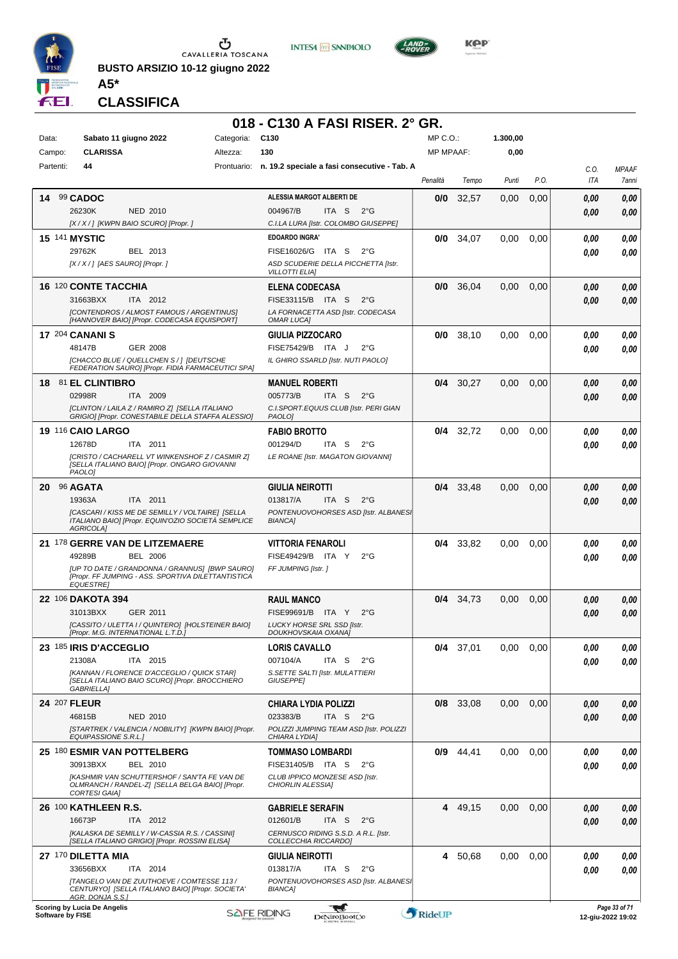

**BUSTO ARSIZIO 10-12 giugno 2022 A5\***





**KOP** 

#### **CLASSIFICA**

#### **018 - C130 A FASI RISER. 2° GR.**

| Data:                | Sabato 11 giugno 2022                                                                                                   | Categoria: | C <sub>130</sub>                                                                                  | MP C.O.:         |             | 1.300,00 |      |             |                       |
|----------------------|-------------------------------------------------------------------------------------------------------------------------|------------|---------------------------------------------------------------------------------------------------|------------------|-------------|----------|------|-------------|-----------------------|
| Campo:               | <b>CLARISSA</b>                                                                                                         | Altezza:   | 130                                                                                               | <b>MP MPAAF:</b> |             | 0,00     |      |             |                       |
| Partenti:            | 44                                                                                                                      |            | Prontuario: n. 19.2 speciale a fasi consecutive - Tab. A                                          | Penalità         | Tempo       | Punti    | P.O. | C.O.<br>ITA | <b>MPAAF</b><br>7anni |
| 14 99 CADOC          |                                                                                                                         |            | ALESSIA MARGOT ALBERTI DE                                                                         | 0/0              | 32,57       | 0.00     | 0,00 | 0.00        | 0,00                  |
|                      | 26230K<br><b>NED 2010</b>                                                                                               |            | 004967/B<br>ITA S<br>$2^{\circ}G$                                                                 |                  |             |          |      | 0,00        | 0,00                  |
|                      | [X / X / ] [KWPN BAIO SCURO] [Propr.]                                                                                   |            | C.I.LA LURA [Istr. COLOMBO GIUSEPPE]                                                              |                  |             |          |      |             |                       |
| <b>15 141 MYSTIC</b> |                                                                                                                         |            | <b>EDOARDO INGRA'</b>                                                                             | 0/0              | 34,07       | 0.00     | 0.00 | 0.00        | 0,00                  |
|                      | 29762K<br>BEL 2013<br>[X / X / ] [AES SAURO] [Propr. ]                                                                  |            | FISE16026/G ITA S<br>$2^{\circ}G$<br>ASD SCUDERIE DELLA PICCHETTA [Istr.<br><b>VILLOTTI ELIA]</b> |                  |             |          |      | 0.00        | 0,00                  |
|                      | <b>16 120 CONTE TACCHIA</b>                                                                                             |            | <b>ELENA CODECASA</b>                                                                             | 0/0              | 36,04       | 0,00     | 0,00 | 0,00        | 0,00                  |
|                      | 31663BXX<br>ITA 2012                                                                                                    |            | FISE33115/B ITA S<br>$2^{\circ}G$                                                                 |                  |             |          |      | 0,00        | 0,00                  |
|                      | [CONTENDROS / ALMOST FAMOUS / ARGENTINUS]<br>[HANNOVER BAIO] [Propr. CODECASA EQUISPORT]                                |            | LA FORNACETTA ASD [Istr. CODECASA<br><b>OMAR LUCA]</b>                                            |                  |             |          |      |             |                       |
|                      | <b>17 204 CANANI S</b>                                                                                                  |            | GIULIA PIZZOCARO                                                                                  | 0/0              | 38,10       | 0,00     | 0,00 | 0.00        | 0,00                  |
|                      | 48147B<br><b>GER 2008</b>                                                                                               |            | FISE75429/B ITA J<br>$2^{\circ}$ G                                                                |                  |             |          |      | 0.00        | 0,00                  |
|                      | [CHACCO BLUE / QUELLCHEN S / 1 [DEUTSCHE<br>FEDERATION SAURO] [Propr. FIDIA FARMACEUTICI SPA]                           |            | IL GHIRO SSARLD [Istr. NUTI PAOLO]                                                                |                  |             |          |      |             |                       |
|                      | 18 81 EL CLINTIBRO                                                                                                      |            | <b>MANUEL ROBERTI</b>                                                                             | 0/4              | 30,27       | 0,00     | 0,00 | 0,00        | 0,00                  |
|                      | ITA 2009<br>02998R                                                                                                      |            | 005773/B<br>ITA S<br>$2^{\circ}G$                                                                 |                  |             |          |      | 0.00        | 0,00                  |
|                      | [CLINTON / LAILA Z / RAMIRO Z] [SELLA ITALIANO                                                                          |            | C.I.SPORT.EQUUS CLUB [Istr. PERI GIAN                                                             |                  |             |          |      |             |                       |
|                      | GRIGIO] [Propr. CONESTABILE DELLA STAFFA ALESSIO]                                                                       |            | PAOLO]                                                                                            |                  |             |          |      |             |                       |
|                      | <b>19 116 CAIO LARGO</b>                                                                                                |            | <b>FABIO BROTTO</b>                                                                               | 0/4              | 32,72       | 0,00     | 0,00 | 0.00        | 0,00                  |
|                      | 12678D<br>ITA 2011                                                                                                      |            | 001294/D<br>ITA S<br>$2^{\circ}$ G                                                                |                  |             |          |      | 0.00        | 0,00                  |
|                      | [CRISTO / CACHARELL VT WINKENSHOF Z / CASMIR Z]<br>[SELLA ITALIANO BAIO] [Propr. ONGARO GIOVANNI<br>PAOLO1              |            | LE ROANE [Istr. MAGATON GIOVANNI]                                                                 |                  |             |          |      |             |                       |
|                      |                                                                                                                         |            |                                                                                                   | 0/4              |             |          |      |             |                       |
| 20                   | 96 AGATA<br>19363A<br>ITA 2011                                                                                          |            | <b>GIULIA NEIROTTI</b><br>013817/A<br>ITA S<br>$2^{\circ}$ G                                      |                  | 33,48       | 0,00     | 0,00 | 0.00        | 0,00                  |
|                      | ICASCARI / KISS ME DE SEMILLY / VOLTAIRE] [SELLA                                                                        |            | PONTENUOVOHORSES ASD [Istr. ALBANES]                                                              |                  |             |          |      | 0.00        | 0,00                  |
|                      | ITALIANO BAIO] [Propr. EQUIN'OZIO SOCIETÀ SEMPLICE<br><b>AGRICOLAI</b>                                                  |            | <b>BIANCA]</b>                                                                                    |                  |             |          |      |             |                       |
|                      | 21 178 GERRE VAN DE LITZEMAERE                                                                                          |            | <b>VITTORIA FENAROLI</b>                                                                          | 0/4              | 33,82       | 0,00     | 0.00 | 0,00        | 0,00                  |
|                      | <b>BEL 2006</b><br>49289B                                                                                               |            | FISE49429/B ITA Y<br>$2^{\circ}G$                                                                 |                  |             |          |      | 0.00        | 0,00                  |
|                      | [UP TO DATE / GRANDONNA / GRANNUS] [BWP SAURO]<br>[Propr. FF JUMPING - ASS. SPORTIVA DILETTANTISTICA<br><b>EQUESTRE</b> |            | FF JUMPING [Istr.]                                                                                |                  |             |          |      |             |                       |
|                      | 22 106 DAKOTA 394                                                                                                       |            | <b>RAUL MANCO</b>                                                                                 |                  | $0/4$ 34,73 | 0,00     | 0,00 | 0,00        | 0,00                  |
|                      | 31013BXX<br>GER 2011                                                                                                    |            | FISE99691/B ITA Y<br>$2^{\circ}$ G                                                                |                  |             |          |      | 0.00        | 0,00                  |
|                      | [CASSITO / ULETTA I / QUINTERO] [HOLSTEINER BAIO]<br>[Propr. M.G. INTERNATIONAL L.T.D.]                                 |            | LUCKY HORSE SRL SSD [Istr.                                                                        |                  |             |          |      |             |                       |
|                      | 23 185 IRIS D'ACCEGLIO                                                                                                  |            | DOUKHOVSKAIA OXANA]<br><b>LORIS CAVALLO</b>                                                       |                  | $0/4$ 37,01 | 0,00     | 0,00 | 0,00        | 0,00                  |
|                      | 21308A<br>ITA 2015                                                                                                      |            | 007104/A<br>ITA S<br>$2^{\circ}G$                                                                 |                  |             |          |      | 0.00        | 0,00                  |
|                      | [KANNAN / FLORENCE D'ACCEGLIO / QUICK STAR]                                                                             |            | S. SETTE SALTI [Istr. MULATTIERI                                                                  |                  |             |          |      |             |                       |
|                      | [SELLA ITALIANO BAIO SCURO] [Propr. BROCCHIERO<br><b>GABRIELLA1</b>                                                     |            | <b>GIUSEPPEI</b>                                                                                  |                  |             |          |      |             |                       |
| 24 207 FLEUR         |                                                                                                                         |            | CHIARA LYDIA POLIZZI                                                                              |                  | 0/8 33,08   | 0,00     | 0,00 | 0,00        | 0,00                  |
|                      | 46815B<br>NED 2010                                                                                                      |            | 023383/B<br>ITA S<br>$2^{\circ}G$                                                                 |                  |             |          |      | 0,00        | 0,00                  |
|                      | [STARTREK / VALENCIA / NOBILITY] [KWPN BAIO] [Propr.<br>EQUIPASSIONE S.R.L.]                                            |            | POLIZZI JUMPING TEAM ASD [Istr. POLIZZI<br>CHIARA LYDIA]                                          |                  |             |          |      |             |                       |
|                      | 25 180 ESMIR VAN POTTELBERG                                                                                             |            | <b>TOMMASO LOMBARDI</b>                                                                           | 0/9              | 44,41       | 0,00     | 0.00 | 0.00        | 0,00                  |
|                      | 30913BXX<br>BEL 2010                                                                                                    |            | FISE31405/B ITA S<br>$2^{\circ}$ G                                                                |                  |             |          |      | 0.00        | 0,00                  |
|                      | [KASHMIR VAN SCHUTTERSHOF / SAN'TA FE VAN DE<br>OLMRANCH / RANDEL-ZI [SELLA BELGA BAIO] [Propr.<br><b>CORTESI GAIA]</b> |            | CLUB IPPICO MONZESE ASD [Istr.<br>CHIORLIN ALESSIA]                                               |                  |             |          |      |             |                       |
|                      | 26 100 KATHLEEN R.S.                                                                                                    |            | <b>GABRIELE SERAFIN</b>                                                                           | 4                | 49,15       | 0,00     | 0,00 | 0,00        | 0,00                  |
|                      | 16673P<br>ITA 2012                                                                                                      |            | 012601/B<br>ITA S<br>$2^{\circ}G$                                                                 |                  |             |          |      | 0.00        | 0,00                  |
|                      | [KALASKA DE SEMILLY / W-CASSIA R.S. / CASSINI]<br>[SELLA ITALIANO GRIGIO] [Propr. ROSSINI ELISA]                        |            | CERNUSCO RIDING S.S.D. A R.L. [Istr.<br>COLLECCHIA RICCARDO]                                      |                  |             |          |      |             |                       |
|                      | 27 170 DILETTA MIA                                                                                                      |            | <b>GIULIA NEIROTTI</b>                                                                            | 4                | 50,68       | 0,00     | 0,00 | 0.00        | 0,00                  |
|                      | 33656BXX<br>ITA 2014                                                                                                    |            | 013817/A<br>ITA S<br>$2^{\circ}$ G                                                                |                  |             |          |      | 0.00        | 0,00                  |
|                      | [TANGELO VAN DE ZUUTHOEVE / COMTESSE 113 /<br>CENTURYO] [SELLA ITALIANO BAIO] [Propr. SOCIETA'                          |            | PONTENUOVOHORSES ASD [Istr. ALBANES]<br><b>BIANCA]</b>                                            |                  |             |          |      |             |                       |
|                      | AGR. DONJA S.S.1<br>Scoring by Lucia De Angelis                                                                         |            | - gull                                                                                            |                  |             |          |      |             | Page 33 of 71         |

**Scoring by Lucia De Angel**<br>Software by FISE **Software by FISE 12-giu-2022 19:02 12-giu-2022 19:02 12-giu-2022 19:02**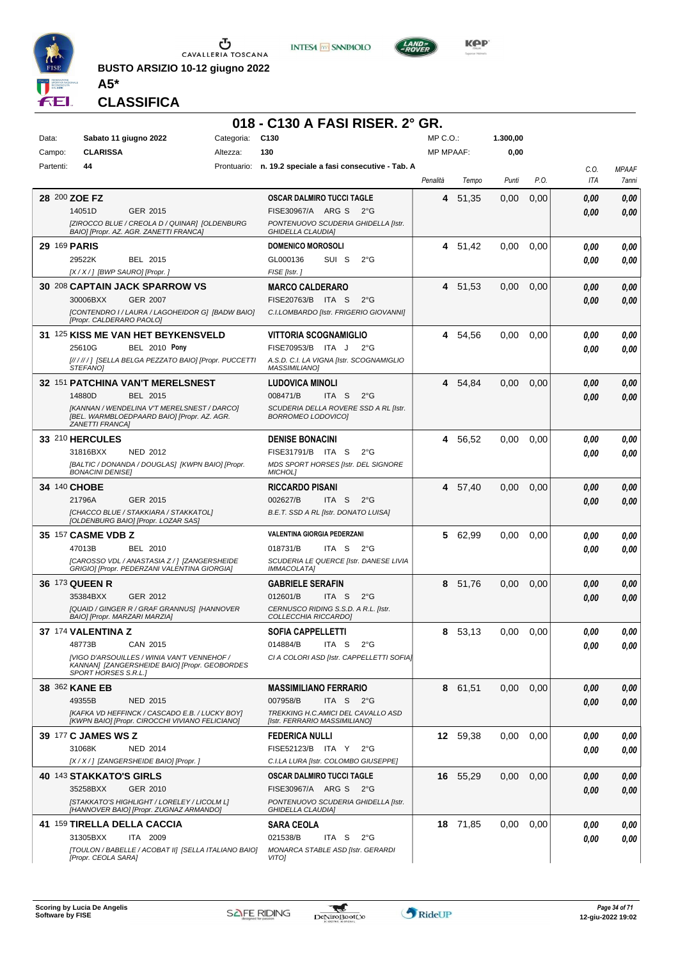

**BUSTO ARSIZIO 10-12 giugno 2022 A5\***





**Kep** 

**CLASSIFICA**

#### **018 - C130 A FASI RISER. 2° GR.**

| Data:<br>Campo:     | Sabato 11 giugno 2022<br><b>CLARISSA</b>                                                          | Categoria:<br>Altezza: | C <sub>130</sub><br>130                                             | MP C. O.<br><b>MP MPAAF:</b> |          | 1.300,00<br>0,00 |      |                    |                       |
|---------------------|---------------------------------------------------------------------------------------------------|------------------------|---------------------------------------------------------------------|------------------------------|----------|------------------|------|--------------------|-----------------------|
| Partenti:           | 44                                                                                                |                        | Prontuario: n. 19.2 speciale a fasi consecutive - Tab. A            |                              |          |                  |      |                    |                       |
|                     |                                                                                                   |                        |                                                                     | Penalità                     | Tempo    | Punti            | P.O. | C.O.<br><b>ITA</b> | <b>MPAAF</b><br>7anni |
| 28 200 ZOE FZ       |                                                                                                   |                        | OSCAR DALMIRO TUCCI TAGLE                                           | 4                            | 51,35    | 0,00             | 0,00 | 0.00               | 0,00                  |
|                     | 14051D<br>GER 2015                                                                                |                        | FISE30967/A ARG S<br>$2^{\circ}G$                                   |                              |          |                  |      | 0.00               | 0,00                  |
|                     | [ZIROCCO BLUE / CREOLA D / QUINAR] [OLDENBURG<br>BAIO] [Propr. AZ. AGR. ZANETTI FRANCA]           |                        | PONTENUOVO SCUDERIA GHIDELLA [Istr.<br><b>GHIDELLA CLAUDIA]</b>     |                              |          |                  |      |                    |                       |
| <b>29 169 PARIS</b> |                                                                                                   |                        | <b>DOMENICO MOROSOLI</b>                                            |                              | 4 51,42  | 0.00             | 0,00 | 0.00               | 0,00                  |
|                     | 29522K<br>BEL 2015                                                                                |                        | SUI S<br>$2^{\circ}$ G<br>GL000136                                  |                              |          |                  |      | 0,00               | 0.00                  |
|                     | [X / X / ] [BWP SAURO] [Propr.]                                                                   |                        | FISE [Istr.]                                                        |                              |          |                  |      |                    |                       |
|                     | <b>30 208 CAPTAIN JACK SPARROW VS</b>                                                             |                        | <b>MARCO CALDERARO</b>                                              | 4                            | 51.53    | 0,00             | 0,00 | 0.00               | 0,00                  |
|                     | 30006BXX<br><b>GER 2007</b>                                                                       |                        | FISE20763/B ITA S<br>$2^{\circ}$ G                                  |                              |          |                  |      | 0.00               | 0,00                  |
|                     | [CONTENDRO I / LAURA / LAGOHEIDOR G] [BADW BAIO]<br>[Propr. CALDERARO PAOLO]                      |                        | C.I.LOMBARDO [Istr. FRIGERIO GIOVANNI]                              |                              |          |                  |      |                    |                       |
|                     | 31 125 KISS ME VAN HET BEYKENSVELD                                                                |                        | VITTORIA SCOGNAMIGLIO                                               | 4                            | 54,56    | 0,00             | 0,00 | 0.00               | 0,00                  |
|                     | <b>BEL 2010 Pony</b><br>25610G                                                                    |                        | FISE70953/B ITA J<br>$2^{\circ}G$                                   |                              |          |                  |      | 0.00               | 0.00                  |
|                     | [//////] [SELLA BELGA PEZZATO BAIO] [Propr. PUCCETTI                                              |                        | A.S.D. C.I. LA VIGNA [Istr. SCOGNAMIGLIO                            |                              |          |                  |      |                    |                       |
|                     | <b>STEFANOI</b>                                                                                   |                        | <b>MASSIMILIANO]</b>                                                |                              |          |                  |      |                    |                       |
|                     | 32 151 PATCHINA VAN'T MERELSNEST<br>BEL 2015<br>14880D                                            |                        | LUDOVICA MINOLI<br>ITA S<br>$2^{\circ}$ G<br>008471/B               | 4                            | 54,84    | 0,00             | 0,00 | 0.00               | 0,00                  |
|                     | [KANNAN / WENDELINA V'T MERELSNEST / DARCO]                                                       |                        | SCUDERIA DELLA ROVERE SSD A RL [Istr.                               |                              |          |                  |      | 0.00               | 0.00                  |
|                     | [BEL. WARMBLOEDPAARD BAIO] [Propr. AZ. AGR.<br><b>ZANETTI FRANCAI</b>                             |                        | BORROMEO LODOVICO]                                                  |                              |          |                  |      |                    |                       |
|                     | 33 210 HERCULES                                                                                   |                        | <b>DENISE BONACINI</b>                                              | 4                            | 56,52    | 0,00             | 0,00 | 0.00               | 0,00                  |
|                     | 31816BXX<br><b>NED 2012</b>                                                                       |                        | FISE31791/B ITA S<br>$2^{\circ}G$                                   |                              |          |                  |      | 0.00               | 0.00                  |
|                     | [BALTIC / DONANDA / DOUGLAS] [KWPN BAIO] [Propr.<br><b>BONACINI DENISE]</b>                       |                        | MDS SPORT HORSES [Istr. DEL SIGNORE<br><b>MICHOLI</b>               |                              |          |                  |      |                    |                       |
| 34 140 CHOBE        |                                                                                                   |                        | <b>RICCARDO PISANI</b>                                              | 4                            | 57,40    | 0,00             | 0,00 | 0.00               | 0,00                  |
|                     | 21796A<br>GER 2015                                                                                |                        | 002627/B<br>ITA S<br>$2^{\circ}$ G                                  |                              |          |                  |      | 0.00               | 0.00                  |
|                     | [CHACCO BLUE / STAKKIARA / STAKKATOL]<br>[OLDENBURG BAIO] [Propr. LOZAR SAS]                      |                        | B.E.T. SSD A RL [Istr. DONATO LUISA]                                |                              |          |                  |      |                    |                       |
|                     | 35 157 CASME VDB Z                                                                                |                        | <b>VALENTINA GIORGIA PEDERZANI</b>                                  |                              | 5 62,99  | 0.00             | 0,00 | 0.00               | 0,00                  |
|                     | 47013B<br>BEL 2010                                                                                |                        | 018731/B<br>ITA S<br>$2^{\circ}G$                                   |                              |          |                  |      | 0.00               | 0.00                  |
|                     | [CAROSSO VDL / ANASTASIA Z/] [ZANGERSHEIDE<br>GRIGIO] [Propr. PEDERZANI VALENTINA GIORGIA]        |                        | SCUDERIA LE QUERCE [Istr. DANESE LIVIA<br><b>IMMACOLATA]</b>        |                              |          |                  |      |                    |                       |
|                     | 36 173 QUEEN R                                                                                    |                        | <b>GABRIELE SERAFIN</b>                                             | 8                            | 51,76    | 0,00             | 0,00 | 0.00               | 0,00                  |
|                     | 35384BXX<br>GER 2012                                                                              |                        | 012601/B<br>ITA S<br>$2^{\circ}$ G                                  |                              |          |                  |      | 0.00               | 0,00                  |
|                     | [QUAID / GINGER R / GRAF GRANNUS] [HANNOVER                                                       |                        | CERNUSCO RIDING S.S.D. A R.L. [Istr.                                |                              |          |                  |      |                    |                       |
|                     | BAIO] [Propr. MARZARI MARZIA]                                                                     |                        | COLLECCHIA RICCARDO]                                                |                              |          |                  |      |                    |                       |
|                     | 37 174 VALENTINA Z<br>48773B<br>CAN 2015                                                          |                        | <b>SOFIA CAPPELLETTI</b><br>014884/B<br>ITA S $2^{\circ}G$          | 8                            | 53,13    | 0,00             | 0,00 | 0.00               | 0.00                  |
|                     | [VIGO D'ARSOUILLES / WINIA VAN'T VENNEHOF /                                                       |                        | CI A COLORI ASD [Istr. CAPPELLETTI SOFIA]                           |                              |          |                  |      | 0,00               | 0.00                  |
|                     | KANNAN] [ZANGERSHEIDE BAIO] [Propr. GEOBORDES<br>SPORT HORSES S.R.L.]                             |                        |                                                                     |                              |          |                  |      |                    |                       |
|                     | 38 362 KANE EB                                                                                    |                        | <b>MASSIMILIANO FERRARIO</b>                                        |                              | 8 61,51  | 0,00             | 0,00 | 0,00               | 0,00                  |
|                     | 49355B<br><b>NED 2015</b>                                                                         |                        | 007958/B<br>ITA S<br>$2^{\circ}$ G                                  |                              |          |                  |      | 0,00               | 0,00                  |
|                     | [KAFKA VD HEFFINCK / CASCADO E.B. / LUCKY BOY]<br>[KWPN BAIO] [Propr. CIROCCHI VIVIANO FELICIANO] |                        | TREKKING H.C.AMICI DEL CAVALLO ASD<br>[Istr. FERRARIO MASSIMILIANO] |                              |          |                  |      |                    |                       |
|                     | 39 177 C JAMES WS Z                                                                               |                        | <b>FEDERICA NULLI</b>                                               |                              | 12 59,38 | 0,00             | 0.00 | 0,00               | 0,00                  |
|                     | 31068K<br><b>NED 2014</b>                                                                         |                        | FISE52123/B ITA Y<br>$2^{\circ}$ G                                  |                              |          |                  |      | 0.00               | 0.00                  |
|                     | [X / X / ] [ZANGERSHEIDE BAIO] [Propr. ]                                                          |                        | C.I.LA LURA [Istr. COLOMBO GIUSEPPE]                                |                              |          |                  |      |                    |                       |
|                     | 40 143 STAKKATO'S GIRLS                                                                           |                        | <b>OSCAR DALMIRO TUCCI TAGLE</b>                                    |                              | 16 55,29 | 0,00             | 0,00 | 0,00               | 0,00                  |
|                     | 35258BXX<br>GER 2010                                                                              |                        | FISE30967/A ARG S<br>$2^{\circ}G$                                   |                              |          |                  |      | 0,00               | 0,00                  |
|                     | [STAKKATO'S HIGHLIGHT / LORELEY / LICOLM L]<br>[HANNOVER BAIO] [Propr. ZUGNAZ ARMANDO]            |                        | PONTENUOVO SCUDERIA GHIDELLA [Istr.<br><b>GHIDELLA CLAUDIA]</b>     |                              |          |                  |      |                    |                       |
|                     | 41 159 TIRELLA DELLA CACCIA                                                                       |                        | <b>SARA CEOLA</b>                                                   |                              | 18 71,85 | 0,00             | 0.00 | 0,00               | 0,00                  |
|                     | 31305BXX<br>ITA 2009                                                                              |                        | 021538/B<br>ITA S<br>$2^{\circ}$ G                                  |                              |          |                  |      | 0,00               | 0,00                  |
|                     | [TOULON / BABELLE / ACOBAT II] [SELLA ITALIANO BAIO]                                              |                        | MONARCA STABLE ASD [Istr. GERARDI                                   |                              |          |                  |      |                    |                       |
|                     | [Propr. CEOLA SARA]                                                                               |                        | VITO]                                                               |                              |          |                  |      |                    |                       |

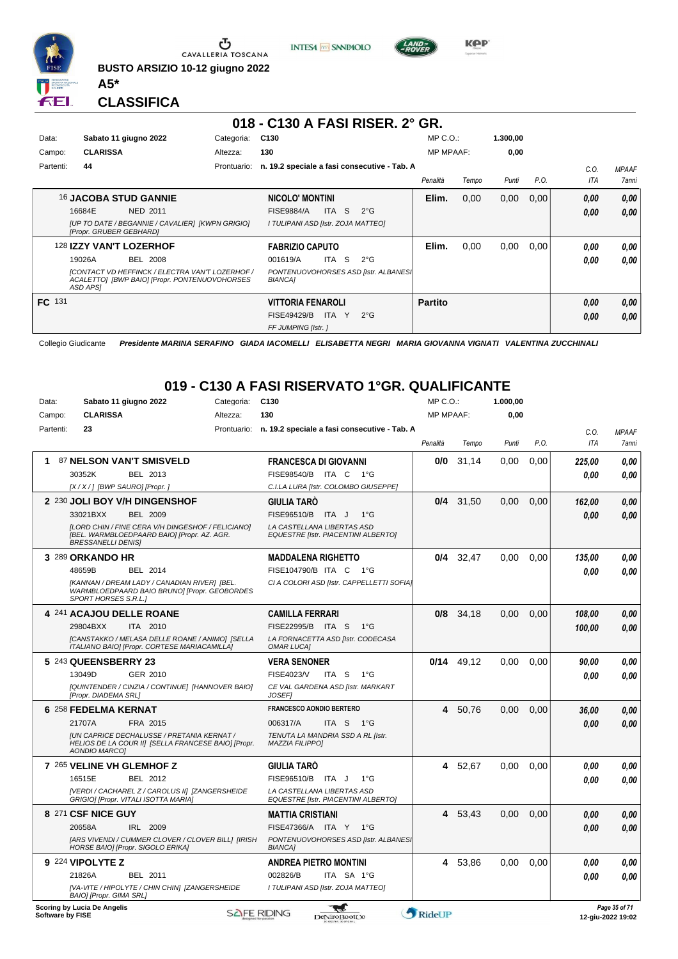

**BUSTO ARSIZIO 10-12 giugno 2022 A5\***





**KPP** 

**CLASSIFICA**

### **018 - C130 A FASI RISER. 2° GR.**

| Data:         | Sabato 11 giugno 2022                                                                                               | Categoria:  | C <sub>130</sub>                                       | $MP C. O.$ :     |       | 1.300,00 |      |      |              |
|---------------|---------------------------------------------------------------------------------------------------------------------|-------------|--------------------------------------------------------|------------------|-------|----------|------|------|--------------|
| Campo:        | <b>CLARISSA</b>                                                                                                     | Altezza:    | 130                                                    | <b>MP MPAAF:</b> |       | 0,00     |      |      |              |
| Partenti:     | 44                                                                                                                  | Prontuario: | n. 19.2 speciale a fasi consecutive - Tab. A           |                  |       |          |      | C.O. | <b>MPAAF</b> |
|               |                                                                                                                     |             |                                                        | Penalità         | Tempo | Punti    | P.O. | ITA  | 7anni        |
|               | <b>16 JACOBA STUD GANNIE</b>                                                                                        |             | <b>NICOLO' MONTINI</b>                                 | Elim.            | 0,00  | 0,00     | 0,00 | 0,00 | 0,00         |
|               | 16684E<br>NED 2011                                                                                                  |             | S.<br><b>FISE9884/A</b><br>ITA<br>$2^{\circ}G$         |                  |       |          |      | 0,00 | 0,00         |
|               | [UP TO DATE / BEGANNIE / CAVALIER] [KWPN GRIGIO]<br>[Propr. GRUBER GEBHARD]                                         |             | I TULIPANI ASD [Istr. ZOJA MATTEO]                     |                  |       |          |      |      |              |
|               | 128 IZZY VAN'T LOZERHOF                                                                                             |             | <b>FABRIZIO CAPUTO</b>                                 | Elim.            | 0,00  | 0.00     | 0,00 | 0.00 | 0,00         |
|               | 19026A<br><b>BEL 2008</b>                                                                                           |             | ITA S<br>$2^{\circ}$ G<br>001619/A                     |                  |       |          |      | 0.00 | 0.00         |
|               | <b>[CONTACT VD HEFFINCK / ELECTRA VAN'T LOZERHOF /</b><br>ACALETTO] [BWP BAIO] [Propr. PONTENUOVOHORSES<br>ASD APS1 |             | PONTENUOVOHORSES ASD [Istr. ALBANES]<br><b>BIANCA1</b> |                  |       |          |      |      |              |
| <b>FC</b> 131 |                                                                                                                     |             | <b>VITTORIA FENAROLI</b>                               | <b>Partito</b>   |       |          |      | 0,00 | 0,00         |
|               |                                                                                                                     |             | <b>FISE49429/B</b><br>ITA I<br>$2^{\circ}G$<br>Y       |                  |       |          |      | 0,00 | 0,00         |
|               |                                                                                                                     |             | FF JUMPING [Istr. ]                                    |                  |       |          |      |      |              |

Collegio Giudicante *Presidente MARINA SERAFINO GIADA IACOMELLI ELISABETTA NEGRI MARIA GIOVANNA VIGNATI VALENTINA ZUCCHINALI*

#### **019 - C130 A FASI RISERVATO 1°GR. QUALIFICANTE**

| Data:            | Sabato 11 giugno 2022                                                                                                            | Categoria: | C <sub>130</sub>                                                         | MP C.O.:         |              | 1.000,00 |      |            |                                    |
|------------------|----------------------------------------------------------------------------------------------------------------------------------|------------|--------------------------------------------------------------------------|------------------|--------------|----------|------|------------|------------------------------------|
| Campo:           | <b>CLARISSA</b>                                                                                                                  | Altezza:   | 130                                                                      | <b>MP MPAAF:</b> |              | 0,00     |      |            |                                    |
| Partenti:        | 23                                                                                                                               |            | Prontuario: n. 19.2 speciale a fasi consecutive - Tab. A                 |                  |              |          |      | C.0.       | <b>MPAAF</b>                       |
|                  |                                                                                                                                  |            |                                                                          | Penalità         | Tempo        | Punti    | P.O. | <b>ITA</b> | 7 anni                             |
| 1.               | 87 NELSON VAN'T SMISVELD                                                                                                         |            | <b>FRANCESCA DI GIOVANNI</b>                                             | 0/0              | 31.14        | 0.00     | 0.00 | 225.00     | 0.00                               |
|                  | 30352K<br>BEL 2013                                                                                                               |            | FISE98540/B ITA C 1°G                                                    |                  |              |          |      | 0.00       | 0.00                               |
|                  | [X / X / ] [BWP SAURO] [Propr. ]                                                                                                 |            | C.I.LA LURA [Istr. COLOMBO GIUSEPPE]                                     |                  |              |          |      |            |                                    |
|                  | 2 230 JOLI BOY V/H DINGENSHOF                                                                                                    |            | <b>GIULIA TARÓ</b>                                                       | 0/4              | 31,50        | 0,00     | 0,00 | 162,00     | 0.00                               |
|                  | 33021BXX<br><b>BEL 2009</b>                                                                                                      |            | FISE96510/B<br>ITA J<br>$1^{\circ}$ G                                    |                  |              |          |      | 0.00       | 0.00                               |
|                  | [LORD CHIN / FINE CERA V/H DINGESHOF / FELICIANO]<br>[BEL. WARMBLOEDPAARD BAIO] [Propr. AZ. AGR.<br><b>BRESSANELLI DENIS]</b>    |            | LA CASTELLANA LIBERTAS ASD<br><b>EQUESTRE [Istr. PIACENTINI ALBERTO]</b> |                  |              |          |      |            |                                    |
|                  | 3 289 ORKANDO HR                                                                                                                 |            | <b>MADDALENA RIGHETTO</b>                                                | 0/4              | 32,47        | 0,00     | 0,00 | 135,00     | 0.00                               |
|                  | 48659B<br>BEL 2014                                                                                                               |            | FISE104790/B ITA C<br>1°G                                                |                  |              |          |      | 0.00       | 0.00                               |
|                  | [KANNAN / DREAM LADY / CANADIAN RIVER] [BEL.<br>WARMBLOEDPAARD BAIO BRUNO] [Propr. GEOBORDES<br>SPORT HORSES S.R.L.]             |            | CI A COLORI ASD [Istr. CAPPELLETTI SOFIA]                                |                  |              |          |      |            |                                    |
|                  | 4 241 ACAJOU DELLE ROANE                                                                                                         |            | <b>CAMILLA FERRARI</b>                                                   | 0/8              | 34,18        | 0,00     | 0,00 | 108,00     | 0.00                               |
|                  | 29804BXX<br>ITA 2010                                                                                                             |            | FISE22995/B ITA S<br>$1^{\circ}G$                                        |                  |              |          |      | 100,00     | 0.00                               |
|                  | [CANSTAKKO / MELASA DELLE ROANE / ANIMO] [SELLA<br>ITALIANO BAIO] [Propr. CORTESE MARIACAMILLA]                                  |            | LA FORNACETTA ASD [Istr. CODECASA<br><b>OMAR LUCA]</b>                   |                  |              |          |      |            |                                    |
|                  | 5 243 QUEENSBERRY 23                                                                                                             |            | <b>VERA SENONER</b>                                                      |                  | $0/14$ 49.12 | 0.00     | 0,00 | 90,00      | 0.00                               |
|                  | 13049D<br>GER 2010                                                                                                               |            | <b>FISE4023/V</b><br>ITA S<br>$1^{\circ}$ G                              |                  |              |          |      | 0.00       | 0.00                               |
|                  | [QUINTENDER / CINZIA / CONTINUE] [HANNOVER BAIO]<br>[Propr. DIADEMA SRL]                                                         |            | CE VAL GARDENA ASD [Istr. MARKART<br><b>JOSEF</b>                        |                  |              |          |      |            |                                    |
|                  | 6 258 FEDELMA KERNAT                                                                                                             |            | <b>FRANCESCO AONDIO BERTERO</b>                                          | 4                | 50,76        | 0.00     | 0.00 | 36,00      | 0,00                               |
|                  | 21707A<br>FRA 2015                                                                                                               |            | 006317/A<br>ITA S 1°G                                                    |                  |              |          |      | 0.00       | 0.00                               |
|                  | <b>IUN CAPRICE DECHALUSSE / PRETANIA KERNAT /</b><br>HELIOS DE LA COUR II] [SELLA FRANCESE BAIO] [Propr.<br><b>AONDIO MARCO]</b> |            | TENUTA LA MANDRIA SSD A RL [Istr.<br><b>MAZZIA FILIPPOI</b>              |                  |              |          |      |            |                                    |
|                  | 7 265 VELINE VH GLEMHOF Z                                                                                                        |            | <b>GIULIA TARO</b>                                                       | 4                | 52,67        | 0.00     | 0.00 | 0.00       | 0,00                               |
|                  | 16515E<br>BEL 2012                                                                                                               |            | FISE96510/B<br>ITA J<br>$1^{\circ}$ G                                    |                  |              |          |      | 0.00       | 0.00                               |
|                  | [VERDI / CACHAREL Z / CAROLUS II] [ZANGERSHEIDE<br>GRIGIO] [Propr. VITALI ISOTTA MARIA]                                          |            | LA CASTELLANA LIBERTAS ASD<br><b>EQUESTRE [Istr. PIACENTINI ALBERTO]</b> |                  |              |          |      |            |                                    |
|                  | 8 271 CSF NICE GUY                                                                                                               |            | <b>MATTIA CRISTIANI</b>                                                  | 4                | 53,43        | 0,00     | 0,00 | 0.00       | 0,00                               |
|                  | 20658A<br>IRL 2009                                                                                                               |            | FISE47366/A ITA Y 1°G                                                    |                  |              |          |      | 0.00       | 0.00                               |
|                  | [ARS VIVENDI / CUMMER CLOVER / CLOVER BILL] [IRISH<br>HORSE BAIO] [Propr. SIGOLO ERIKA]                                          |            | PONTENUOVOHORSES ASD [Istr. ALBANES]<br><b>BIANCA1</b>                   |                  |              |          |      |            |                                    |
|                  | 9 224 VIPOLYTE Z                                                                                                                 |            | <b>ANDREA PIETRO MONTINI</b>                                             | 4                | 53.86        | 0.00     | 0.00 | 0.00       | 0,00                               |
|                  | 21826A<br><b>BEL 2011</b>                                                                                                        |            | 002826/B<br>ITA SA 1°G                                                   |                  |              |          |      | 0.00       | 0.00                               |
|                  | [VA-VITE / HIPOLYTE / CHIN CHIN] [ZANGERSHEIDE<br>BAIO] [Propr. GIMA SRL]                                                        |            | I TULIPANI ASD [Istr. ZOJA MATTEO]                                       |                  |              |          |      |            |                                    |
| Software by FISE | Scoring by Lucia De Angelis                                                                                                      |            | ₩<br><b>SAFE RIDING</b><br><b>DeNiroBootCo</b>                           | RideUP           |              |          |      |            | Page 35 of 71<br>12-giu-2022 19:02 |

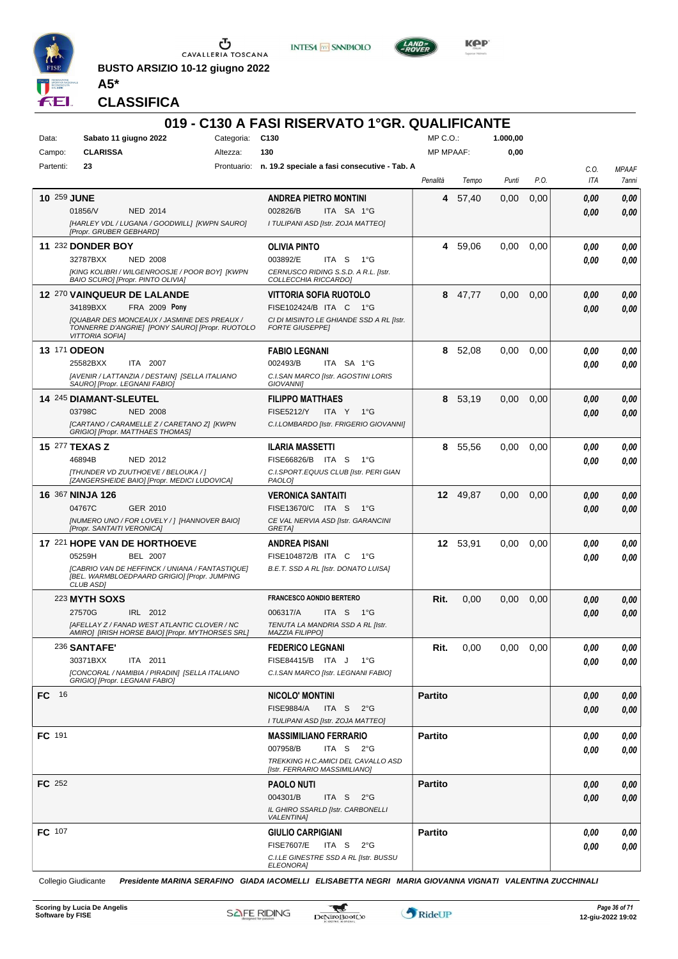

**BUSTO ARSIZIO 10-12 giugno 2022 A5\***





**Kep** 

**CLASSIFICA**

| Sabato 11 giugno 2022<br>Categoria: C130<br>MP C.O.:<br>1.000,00<br>Data:<br><b>CLARISSA</b><br>130<br><b>MP MPAAF:</b><br>Campo:<br>Altezza:<br>0,00<br>Partenti:<br>23<br>Prontuario: n. 19.2 speciale a fasi consecutive - Tab. A<br>C.O.<br><b>MPAAF</b><br>P.O.<br>ITA<br>Penalità<br>Tempo<br>Punti<br>7anni<br><b>10 259 JUNE</b><br>57,40<br>0,00<br>0,00<br><b>ANDREA PIETRO MONTINI</b><br>4<br>0,00<br>0,00<br>01856/V<br>002826/B<br>ITA SA 1°G<br>NED 2014<br>0.00<br>0,00<br>[HARLEY VDL / LUGANA / GOODWILL] [KWPN SAURO]<br>I TULIPANI ASD [Istr. ZOJA MATTEO]<br>[Propr. GRUBER GEBHARD]<br>11 232 DONDER BOY<br>59,06<br>0,00<br>0,00<br><b>OLIVIA PINTO</b><br>4<br>0.00<br>0,00<br>32787BXX<br><b>NED 2008</b><br>003892/E<br>ITA S<br>1°G<br>0.00<br>0.00<br>[KING KOLIBRI / WILGENROOSJE / POOR BOY] [KWPN<br>CERNUSCO RIDING S.S.D. A R.L. [Istr.<br>BAIO SCURO] [Propr. PINTO OLIVIA]<br>COLLECCHIA RICCARDO]<br>12 270 VAINQUEUR DE LALANDE<br>VITTORIA SOFIA RUOTOLO<br>47,77<br>0,00<br>0,00<br>8<br>0.00<br>0,00<br>34189BXX<br>FRA 2009 Pony<br>FISE102424/B ITA C 1°G<br>0.00<br>0,00<br><b>[QUABAR DES MONCEAUX / JASMINE DES PREAUX /</b><br>CI DI MISINTO LE GHIANDE SSD A RL [Istr.<br>TONNERRE D'ANGRIE] [PONY SAURO] [Propr. RUOTOLO<br><b>FORTE GIUSEPPE]</b><br><b>VITTORIA SOFIAI</b><br><b>13 171 ODEON</b><br>8 52,08<br>0,00<br>0,00<br><b>FABIO LEGNANI</b><br>0,00<br>0,00<br>25582BXX<br>ITA 2007<br>002493/B<br>ITA SA 1°G<br>0.00<br>0.00<br>[AVENIR / LATTANZIA / DESTAIN] [SELLA ITALIANO<br>C.I.SAN MARCO [Istr. AGOSTINI LORIS<br>SAURO] [Propr. LEGNANI FABIO]<br><b>GIOVANNII</b><br>8 53,19<br>0,00<br>0,00<br><b>14 245 DIAMANT-SLEUTEL</b><br><b>FILIPPO MATTHAES</b><br>0.00<br>0,00<br>03798C<br><b>FISE5212/Y</b><br>ITA Y<br><b>NED 2008</b><br>1°G<br>0,00<br>0.00<br>[CARTANO / CARAMELLE Z / CARETANO Z] [KWPN<br>C.I.LOMBARDO [Istr. FRIGERIO GIOVANNI]<br>GRIGIO] [Propr. MATTHAES THOMAS]<br>0.00<br><b>15 277 TEXAS Z</b><br><b>ILARIA MASSETTI</b><br>8 55,56<br>0,00<br>0,00<br>0.00<br>46894B<br>NED 2012<br>FISE66826/B ITA S<br>1°G<br>0.00<br>0.00<br>[THUNDER VD ZUUTHOEVE / BELOUKA / ]<br>C.I.SPORT.EQUUS CLUB [Istr. PERI GIAN<br>[ZANGERSHEIDE BAIO] [Propr. MEDICI LUDOVICA]<br>PAOLO]<br>16 367 NINJA 126<br>12 49,87<br>0,00<br>0.00<br>0.00<br><b>VERONICA SANTAITI</b><br>0.00<br>04767C<br>FISE13670/C ITA S<br>GER 2010<br>1°G<br>0,00<br>0.00<br>[NUMERO UNO / FOR LOVELY / ] [HANNOVER BAIO]<br>CE VAL NERVIA ASD [Istr. GARANCINI<br>[Propr. SANTAITI VERONICA]<br>GRETA]<br>17 221 HOPE VAN DE HORTHOEVE<br>12 53,91<br>0,00<br><b>ANDREA PISANI</b><br>0.00<br>0.00<br>0.00<br>05259H<br><b>BEL 2007</b><br>FISE104872/B ITA C<br>1°G<br>0.00<br>0.00<br>[CABRIO VAN DE HEFFINCK / UNIANA / FANTASTIQUE]<br>B.E.T. SSD A RL [Istr. DONATO LUISA]<br>[BEL. WARMBLOEDPAARD GRIGIO] [Propr. JUMPING<br>CLUB ASD]<br><b>FRANCESCO AONDIO BERTERO</b><br><b>223 MYTH SOXS</b><br>Rit.<br>0,00<br>0,00<br>0,00<br>0,00<br>0,00<br>27570G<br>IRL 2012<br>006317/A<br>ITA S 1°G<br>0.00<br>0.00<br>TENUTA LA MANDRIA SSD A RL [Istr.<br>[AFELLAY Z / FANAD WEST ATLANTIC CLOVER / NC<br>AMIRO] [IRISH HORSE BAIO] [Propr. MYTHORSES SRL]<br><b>MAZZIA FILIPPO]</b><br><b>236 SANTAFE'</b><br>Rit.<br>0,00<br>0,00<br>0,00<br>0,00<br>0,00<br><b>FEDERICO LEGNANI</b><br>FISE84415/B ITA J<br>30371BXX<br>ITA 2011<br>1°G<br>0.00<br>0,00<br>[CONCORAL / NAMIBIA / PIRADIN] [SELLA ITALIANO<br>C.I.SAN MARCO [Istr. LEGNANI FABIO]<br>GRIGIO] [Propr. LEGNANI FABIO]<br>FC 16<br><b>Partito</b><br><b>NICOLO' MONTINI</b><br>0,00<br>0,00<br><b>FISE9884/A</b><br>ITA S $2^{\circ}G$<br>0,00<br>0,00<br>I TULIPANI ASD [Istr. ZOJA MATTEO]<br>FC 191<br><b>Partito</b><br><b>MASSIMILIANO FERRARIO</b><br>0,00<br>0,00<br>007958/B<br>ITA S $2^{\circ}G$<br>0,00<br>0,00<br>TREKKING H.C.AMICI DEL CAVALLO ASD<br>[Istr. FERRARIO MASSIMILIANO]<br><b>FC</b> 252<br><b>Partito</b><br><b>PAOLO NUTI</b><br>0,00<br>0,00<br>004301/B<br>ITA S<br>$2^{\circ}$ G<br>0,00<br>0,00<br>IL GHIRO SSARLD [Istr. CARBONELLI<br><b>VALENTINA]</b><br><b>FC</b> 107<br><b>Partito</b><br><b>GIULIO CARPIGIANI</b><br>0,00<br>0,00<br><b>FISE7607/E</b><br>ITA S<br>$2^{\circ}$ G<br>0,00<br>0,00<br>C.I.LE GINESTRE SSD A RL [Istr. BUSSU<br><b>ELEONORA]</b> |  |  | 019 - C130 A FASI RISERVATO 1°GR. QUALIFICANTE |  |  |  |
|-------------------------------------------------------------------------------------------------------------------------------------------------------------------------------------------------------------------------------------------------------------------------------------------------------------------------------------------------------------------------------------------------------------------------------------------------------------------------------------------------------------------------------------------------------------------------------------------------------------------------------------------------------------------------------------------------------------------------------------------------------------------------------------------------------------------------------------------------------------------------------------------------------------------------------------------------------------------------------------------------------------------------------------------------------------------------------------------------------------------------------------------------------------------------------------------------------------------------------------------------------------------------------------------------------------------------------------------------------------------------------------------------------------------------------------------------------------------------------------------------------------------------------------------------------------------------------------------------------------------------------------------------------------------------------------------------------------------------------------------------------------------------------------------------------------------------------------------------------------------------------------------------------------------------------------------------------------------------------------------------------------------------------------------------------------------------------------------------------------------------------------------------------------------------------------------------------------------------------------------------------------------------------------------------------------------------------------------------------------------------------------------------------------------------------------------------------------------------------------------------------------------------------------------------------------------------------------------------------------------------------------------------------------------------------------------------------------------------------------------------------------------------------------------------------------------------------------------------------------------------------------------------------------------------------------------------------------------------------------------------------------------------------------------------------------------------------------------------------------------------------------------------------------------------------------------------------------------------------------------------------------------------------------------------------------------------------------------------------------------------------------------------------------------------------------------------------------------------------------------------------------------------------------------------------------------------------------------------------------------------------------------------------------------------------------------------------------------------------------------------------------------------------------------------------------------------------------------------------------------------------------------------------------------------------------------------------------------------------------------------------------------------------------------------------------------------------------------------------------------------------------------------------------------------------------------------------------------------------------------------------------------------------------------------------------------------------------|--|--|------------------------------------------------|--|--|--|
|                                                                                                                                                                                                                                                                                                                                                                                                                                                                                                                                                                                                                                                                                                                                                                                                                                                                                                                                                                                                                                                                                                                                                                                                                                                                                                                                                                                                                                                                                                                                                                                                                                                                                                                                                                                                                                                                                                                                                                                                                                                                                                                                                                                                                                                                                                                                                                                                                                                                                                                                                                                                                                                                                                                                                                                                                                                                                                                                                                                                                                                                                                                                                                                                                                                                                                                                                                                                                                                                                                                                                                                                                                                                                                                                                                                                                                                                                                                                                                                                                                                                                                                                                                                                                                                                                                                                     |  |  |                                                |  |  |  |
|                                                                                                                                                                                                                                                                                                                                                                                                                                                                                                                                                                                                                                                                                                                                                                                                                                                                                                                                                                                                                                                                                                                                                                                                                                                                                                                                                                                                                                                                                                                                                                                                                                                                                                                                                                                                                                                                                                                                                                                                                                                                                                                                                                                                                                                                                                                                                                                                                                                                                                                                                                                                                                                                                                                                                                                                                                                                                                                                                                                                                                                                                                                                                                                                                                                                                                                                                                                                                                                                                                                                                                                                                                                                                                                                                                                                                                                                                                                                                                                                                                                                                                                                                                                                                                                                                                                                     |  |  |                                                |  |  |  |
|                                                                                                                                                                                                                                                                                                                                                                                                                                                                                                                                                                                                                                                                                                                                                                                                                                                                                                                                                                                                                                                                                                                                                                                                                                                                                                                                                                                                                                                                                                                                                                                                                                                                                                                                                                                                                                                                                                                                                                                                                                                                                                                                                                                                                                                                                                                                                                                                                                                                                                                                                                                                                                                                                                                                                                                                                                                                                                                                                                                                                                                                                                                                                                                                                                                                                                                                                                                                                                                                                                                                                                                                                                                                                                                                                                                                                                                                                                                                                                                                                                                                                                                                                                                                                                                                                                                                     |  |  |                                                |  |  |  |
|                                                                                                                                                                                                                                                                                                                                                                                                                                                                                                                                                                                                                                                                                                                                                                                                                                                                                                                                                                                                                                                                                                                                                                                                                                                                                                                                                                                                                                                                                                                                                                                                                                                                                                                                                                                                                                                                                                                                                                                                                                                                                                                                                                                                                                                                                                                                                                                                                                                                                                                                                                                                                                                                                                                                                                                                                                                                                                                                                                                                                                                                                                                                                                                                                                                                                                                                                                                                                                                                                                                                                                                                                                                                                                                                                                                                                                                                                                                                                                                                                                                                                                                                                                                                                                                                                                                                     |  |  |                                                |  |  |  |
|                                                                                                                                                                                                                                                                                                                                                                                                                                                                                                                                                                                                                                                                                                                                                                                                                                                                                                                                                                                                                                                                                                                                                                                                                                                                                                                                                                                                                                                                                                                                                                                                                                                                                                                                                                                                                                                                                                                                                                                                                                                                                                                                                                                                                                                                                                                                                                                                                                                                                                                                                                                                                                                                                                                                                                                                                                                                                                                                                                                                                                                                                                                                                                                                                                                                                                                                                                                                                                                                                                                                                                                                                                                                                                                                                                                                                                                                                                                                                                                                                                                                                                                                                                                                                                                                                                                                     |  |  |                                                |  |  |  |
|                                                                                                                                                                                                                                                                                                                                                                                                                                                                                                                                                                                                                                                                                                                                                                                                                                                                                                                                                                                                                                                                                                                                                                                                                                                                                                                                                                                                                                                                                                                                                                                                                                                                                                                                                                                                                                                                                                                                                                                                                                                                                                                                                                                                                                                                                                                                                                                                                                                                                                                                                                                                                                                                                                                                                                                                                                                                                                                                                                                                                                                                                                                                                                                                                                                                                                                                                                                                                                                                                                                                                                                                                                                                                                                                                                                                                                                                                                                                                                                                                                                                                                                                                                                                                                                                                                                                     |  |  |                                                |  |  |  |
|                                                                                                                                                                                                                                                                                                                                                                                                                                                                                                                                                                                                                                                                                                                                                                                                                                                                                                                                                                                                                                                                                                                                                                                                                                                                                                                                                                                                                                                                                                                                                                                                                                                                                                                                                                                                                                                                                                                                                                                                                                                                                                                                                                                                                                                                                                                                                                                                                                                                                                                                                                                                                                                                                                                                                                                                                                                                                                                                                                                                                                                                                                                                                                                                                                                                                                                                                                                                                                                                                                                                                                                                                                                                                                                                                                                                                                                                                                                                                                                                                                                                                                                                                                                                                                                                                                                                     |  |  |                                                |  |  |  |
|                                                                                                                                                                                                                                                                                                                                                                                                                                                                                                                                                                                                                                                                                                                                                                                                                                                                                                                                                                                                                                                                                                                                                                                                                                                                                                                                                                                                                                                                                                                                                                                                                                                                                                                                                                                                                                                                                                                                                                                                                                                                                                                                                                                                                                                                                                                                                                                                                                                                                                                                                                                                                                                                                                                                                                                                                                                                                                                                                                                                                                                                                                                                                                                                                                                                                                                                                                                                                                                                                                                                                                                                                                                                                                                                                                                                                                                                                                                                                                                                                                                                                                                                                                                                                                                                                                                                     |  |  |                                                |  |  |  |
|                                                                                                                                                                                                                                                                                                                                                                                                                                                                                                                                                                                                                                                                                                                                                                                                                                                                                                                                                                                                                                                                                                                                                                                                                                                                                                                                                                                                                                                                                                                                                                                                                                                                                                                                                                                                                                                                                                                                                                                                                                                                                                                                                                                                                                                                                                                                                                                                                                                                                                                                                                                                                                                                                                                                                                                                                                                                                                                                                                                                                                                                                                                                                                                                                                                                                                                                                                                                                                                                                                                                                                                                                                                                                                                                                                                                                                                                                                                                                                                                                                                                                                                                                                                                                                                                                                                                     |  |  |                                                |  |  |  |
|                                                                                                                                                                                                                                                                                                                                                                                                                                                                                                                                                                                                                                                                                                                                                                                                                                                                                                                                                                                                                                                                                                                                                                                                                                                                                                                                                                                                                                                                                                                                                                                                                                                                                                                                                                                                                                                                                                                                                                                                                                                                                                                                                                                                                                                                                                                                                                                                                                                                                                                                                                                                                                                                                                                                                                                                                                                                                                                                                                                                                                                                                                                                                                                                                                                                                                                                                                                                                                                                                                                                                                                                                                                                                                                                                                                                                                                                                                                                                                                                                                                                                                                                                                                                                                                                                                                                     |  |  |                                                |  |  |  |
|                                                                                                                                                                                                                                                                                                                                                                                                                                                                                                                                                                                                                                                                                                                                                                                                                                                                                                                                                                                                                                                                                                                                                                                                                                                                                                                                                                                                                                                                                                                                                                                                                                                                                                                                                                                                                                                                                                                                                                                                                                                                                                                                                                                                                                                                                                                                                                                                                                                                                                                                                                                                                                                                                                                                                                                                                                                                                                                                                                                                                                                                                                                                                                                                                                                                                                                                                                                                                                                                                                                                                                                                                                                                                                                                                                                                                                                                                                                                                                                                                                                                                                                                                                                                                                                                                                                                     |  |  |                                                |  |  |  |
|                                                                                                                                                                                                                                                                                                                                                                                                                                                                                                                                                                                                                                                                                                                                                                                                                                                                                                                                                                                                                                                                                                                                                                                                                                                                                                                                                                                                                                                                                                                                                                                                                                                                                                                                                                                                                                                                                                                                                                                                                                                                                                                                                                                                                                                                                                                                                                                                                                                                                                                                                                                                                                                                                                                                                                                                                                                                                                                                                                                                                                                                                                                                                                                                                                                                                                                                                                                                                                                                                                                                                                                                                                                                                                                                                                                                                                                                                                                                                                                                                                                                                                                                                                                                                                                                                                                                     |  |  |                                                |  |  |  |
|                                                                                                                                                                                                                                                                                                                                                                                                                                                                                                                                                                                                                                                                                                                                                                                                                                                                                                                                                                                                                                                                                                                                                                                                                                                                                                                                                                                                                                                                                                                                                                                                                                                                                                                                                                                                                                                                                                                                                                                                                                                                                                                                                                                                                                                                                                                                                                                                                                                                                                                                                                                                                                                                                                                                                                                                                                                                                                                                                                                                                                                                                                                                                                                                                                                                                                                                                                                                                                                                                                                                                                                                                                                                                                                                                                                                                                                                                                                                                                                                                                                                                                                                                                                                                                                                                                                                     |  |  |                                                |  |  |  |
|                                                                                                                                                                                                                                                                                                                                                                                                                                                                                                                                                                                                                                                                                                                                                                                                                                                                                                                                                                                                                                                                                                                                                                                                                                                                                                                                                                                                                                                                                                                                                                                                                                                                                                                                                                                                                                                                                                                                                                                                                                                                                                                                                                                                                                                                                                                                                                                                                                                                                                                                                                                                                                                                                                                                                                                                                                                                                                                                                                                                                                                                                                                                                                                                                                                                                                                                                                                                                                                                                                                                                                                                                                                                                                                                                                                                                                                                                                                                                                                                                                                                                                                                                                                                                                                                                                                                     |  |  |                                                |  |  |  |
|                                                                                                                                                                                                                                                                                                                                                                                                                                                                                                                                                                                                                                                                                                                                                                                                                                                                                                                                                                                                                                                                                                                                                                                                                                                                                                                                                                                                                                                                                                                                                                                                                                                                                                                                                                                                                                                                                                                                                                                                                                                                                                                                                                                                                                                                                                                                                                                                                                                                                                                                                                                                                                                                                                                                                                                                                                                                                                                                                                                                                                                                                                                                                                                                                                                                                                                                                                                                                                                                                                                                                                                                                                                                                                                                                                                                                                                                                                                                                                                                                                                                                                                                                                                                                                                                                                                                     |  |  |                                                |  |  |  |
|                                                                                                                                                                                                                                                                                                                                                                                                                                                                                                                                                                                                                                                                                                                                                                                                                                                                                                                                                                                                                                                                                                                                                                                                                                                                                                                                                                                                                                                                                                                                                                                                                                                                                                                                                                                                                                                                                                                                                                                                                                                                                                                                                                                                                                                                                                                                                                                                                                                                                                                                                                                                                                                                                                                                                                                                                                                                                                                                                                                                                                                                                                                                                                                                                                                                                                                                                                                                                                                                                                                                                                                                                                                                                                                                                                                                                                                                                                                                                                                                                                                                                                                                                                                                                                                                                                                                     |  |  |                                                |  |  |  |
|                                                                                                                                                                                                                                                                                                                                                                                                                                                                                                                                                                                                                                                                                                                                                                                                                                                                                                                                                                                                                                                                                                                                                                                                                                                                                                                                                                                                                                                                                                                                                                                                                                                                                                                                                                                                                                                                                                                                                                                                                                                                                                                                                                                                                                                                                                                                                                                                                                                                                                                                                                                                                                                                                                                                                                                                                                                                                                                                                                                                                                                                                                                                                                                                                                                                                                                                                                                                                                                                                                                                                                                                                                                                                                                                                                                                                                                                                                                                                                                                                                                                                                                                                                                                                                                                                                                                     |  |  |                                                |  |  |  |
|                                                                                                                                                                                                                                                                                                                                                                                                                                                                                                                                                                                                                                                                                                                                                                                                                                                                                                                                                                                                                                                                                                                                                                                                                                                                                                                                                                                                                                                                                                                                                                                                                                                                                                                                                                                                                                                                                                                                                                                                                                                                                                                                                                                                                                                                                                                                                                                                                                                                                                                                                                                                                                                                                                                                                                                                                                                                                                                                                                                                                                                                                                                                                                                                                                                                                                                                                                                                                                                                                                                                                                                                                                                                                                                                                                                                                                                                                                                                                                                                                                                                                                                                                                                                                                                                                                                                     |  |  |                                                |  |  |  |
|                                                                                                                                                                                                                                                                                                                                                                                                                                                                                                                                                                                                                                                                                                                                                                                                                                                                                                                                                                                                                                                                                                                                                                                                                                                                                                                                                                                                                                                                                                                                                                                                                                                                                                                                                                                                                                                                                                                                                                                                                                                                                                                                                                                                                                                                                                                                                                                                                                                                                                                                                                                                                                                                                                                                                                                                                                                                                                                                                                                                                                                                                                                                                                                                                                                                                                                                                                                                                                                                                                                                                                                                                                                                                                                                                                                                                                                                                                                                                                                                                                                                                                                                                                                                                                                                                                                                     |  |  |                                                |  |  |  |
|                                                                                                                                                                                                                                                                                                                                                                                                                                                                                                                                                                                                                                                                                                                                                                                                                                                                                                                                                                                                                                                                                                                                                                                                                                                                                                                                                                                                                                                                                                                                                                                                                                                                                                                                                                                                                                                                                                                                                                                                                                                                                                                                                                                                                                                                                                                                                                                                                                                                                                                                                                                                                                                                                                                                                                                                                                                                                                                                                                                                                                                                                                                                                                                                                                                                                                                                                                                                                                                                                                                                                                                                                                                                                                                                                                                                                                                                                                                                                                                                                                                                                                                                                                                                                                                                                                                                     |  |  |                                                |  |  |  |
|                                                                                                                                                                                                                                                                                                                                                                                                                                                                                                                                                                                                                                                                                                                                                                                                                                                                                                                                                                                                                                                                                                                                                                                                                                                                                                                                                                                                                                                                                                                                                                                                                                                                                                                                                                                                                                                                                                                                                                                                                                                                                                                                                                                                                                                                                                                                                                                                                                                                                                                                                                                                                                                                                                                                                                                                                                                                                                                                                                                                                                                                                                                                                                                                                                                                                                                                                                                                                                                                                                                                                                                                                                                                                                                                                                                                                                                                                                                                                                                                                                                                                                                                                                                                                                                                                                                                     |  |  |                                                |  |  |  |
|                                                                                                                                                                                                                                                                                                                                                                                                                                                                                                                                                                                                                                                                                                                                                                                                                                                                                                                                                                                                                                                                                                                                                                                                                                                                                                                                                                                                                                                                                                                                                                                                                                                                                                                                                                                                                                                                                                                                                                                                                                                                                                                                                                                                                                                                                                                                                                                                                                                                                                                                                                                                                                                                                                                                                                                                                                                                                                                                                                                                                                                                                                                                                                                                                                                                                                                                                                                                                                                                                                                                                                                                                                                                                                                                                                                                                                                                                                                                                                                                                                                                                                                                                                                                                                                                                                                                     |  |  |                                                |  |  |  |
|                                                                                                                                                                                                                                                                                                                                                                                                                                                                                                                                                                                                                                                                                                                                                                                                                                                                                                                                                                                                                                                                                                                                                                                                                                                                                                                                                                                                                                                                                                                                                                                                                                                                                                                                                                                                                                                                                                                                                                                                                                                                                                                                                                                                                                                                                                                                                                                                                                                                                                                                                                                                                                                                                                                                                                                                                                                                                                                                                                                                                                                                                                                                                                                                                                                                                                                                                                                                                                                                                                                                                                                                                                                                                                                                                                                                                                                                                                                                                                                                                                                                                                                                                                                                                                                                                                                                     |  |  |                                                |  |  |  |
|                                                                                                                                                                                                                                                                                                                                                                                                                                                                                                                                                                                                                                                                                                                                                                                                                                                                                                                                                                                                                                                                                                                                                                                                                                                                                                                                                                                                                                                                                                                                                                                                                                                                                                                                                                                                                                                                                                                                                                                                                                                                                                                                                                                                                                                                                                                                                                                                                                                                                                                                                                                                                                                                                                                                                                                                                                                                                                                                                                                                                                                                                                                                                                                                                                                                                                                                                                                                                                                                                                                                                                                                                                                                                                                                                                                                                                                                                                                                                                                                                                                                                                                                                                                                                                                                                                                                     |  |  |                                                |  |  |  |
|                                                                                                                                                                                                                                                                                                                                                                                                                                                                                                                                                                                                                                                                                                                                                                                                                                                                                                                                                                                                                                                                                                                                                                                                                                                                                                                                                                                                                                                                                                                                                                                                                                                                                                                                                                                                                                                                                                                                                                                                                                                                                                                                                                                                                                                                                                                                                                                                                                                                                                                                                                                                                                                                                                                                                                                                                                                                                                                                                                                                                                                                                                                                                                                                                                                                                                                                                                                                                                                                                                                                                                                                                                                                                                                                                                                                                                                                                                                                                                                                                                                                                                                                                                                                                                                                                                                                     |  |  |                                                |  |  |  |
|                                                                                                                                                                                                                                                                                                                                                                                                                                                                                                                                                                                                                                                                                                                                                                                                                                                                                                                                                                                                                                                                                                                                                                                                                                                                                                                                                                                                                                                                                                                                                                                                                                                                                                                                                                                                                                                                                                                                                                                                                                                                                                                                                                                                                                                                                                                                                                                                                                                                                                                                                                                                                                                                                                                                                                                                                                                                                                                                                                                                                                                                                                                                                                                                                                                                                                                                                                                                                                                                                                                                                                                                                                                                                                                                                                                                                                                                                                                                                                                                                                                                                                                                                                                                                                                                                                                                     |  |  |                                                |  |  |  |
|                                                                                                                                                                                                                                                                                                                                                                                                                                                                                                                                                                                                                                                                                                                                                                                                                                                                                                                                                                                                                                                                                                                                                                                                                                                                                                                                                                                                                                                                                                                                                                                                                                                                                                                                                                                                                                                                                                                                                                                                                                                                                                                                                                                                                                                                                                                                                                                                                                                                                                                                                                                                                                                                                                                                                                                                                                                                                                                                                                                                                                                                                                                                                                                                                                                                                                                                                                                                                                                                                                                                                                                                                                                                                                                                                                                                                                                                                                                                                                                                                                                                                                                                                                                                                                                                                                                                     |  |  |                                                |  |  |  |
|                                                                                                                                                                                                                                                                                                                                                                                                                                                                                                                                                                                                                                                                                                                                                                                                                                                                                                                                                                                                                                                                                                                                                                                                                                                                                                                                                                                                                                                                                                                                                                                                                                                                                                                                                                                                                                                                                                                                                                                                                                                                                                                                                                                                                                                                                                                                                                                                                                                                                                                                                                                                                                                                                                                                                                                                                                                                                                                                                                                                                                                                                                                                                                                                                                                                                                                                                                                                                                                                                                                                                                                                                                                                                                                                                                                                                                                                                                                                                                                                                                                                                                                                                                                                                                                                                                                                     |  |  |                                                |  |  |  |
|                                                                                                                                                                                                                                                                                                                                                                                                                                                                                                                                                                                                                                                                                                                                                                                                                                                                                                                                                                                                                                                                                                                                                                                                                                                                                                                                                                                                                                                                                                                                                                                                                                                                                                                                                                                                                                                                                                                                                                                                                                                                                                                                                                                                                                                                                                                                                                                                                                                                                                                                                                                                                                                                                                                                                                                                                                                                                                                                                                                                                                                                                                                                                                                                                                                                                                                                                                                                                                                                                                                                                                                                                                                                                                                                                                                                                                                                                                                                                                                                                                                                                                                                                                                                                                                                                                                                     |  |  |                                                |  |  |  |
|                                                                                                                                                                                                                                                                                                                                                                                                                                                                                                                                                                                                                                                                                                                                                                                                                                                                                                                                                                                                                                                                                                                                                                                                                                                                                                                                                                                                                                                                                                                                                                                                                                                                                                                                                                                                                                                                                                                                                                                                                                                                                                                                                                                                                                                                                                                                                                                                                                                                                                                                                                                                                                                                                                                                                                                                                                                                                                                                                                                                                                                                                                                                                                                                                                                                                                                                                                                                                                                                                                                                                                                                                                                                                                                                                                                                                                                                                                                                                                                                                                                                                                                                                                                                                                                                                                                                     |  |  |                                                |  |  |  |
|                                                                                                                                                                                                                                                                                                                                                                                                                                                                                                                                                                                                                                                                                                                                                                                                                                                                                                                                                                                                                                                                                                                                                                                                                                                                                                                                                                                                                                                                                                                                                                                                                                                                                                                                                                                                                                                                                                                                                                                                                                                                                                                                                                                                                                                                                                                                                                                                                                                                                                                                                                                                                                                                                                                                                                                                                                                                                                                                                                                                                                                                                                                                                                                                                                                                                                                                                                                                                                                                                                                                                                                                                                                                                                                                                                                                                                                                                                                                                                                                                                                                                                                                                                                                                                                                                                                                     |  |  |                                                |  |  |  |
|                                                                                                                                                                                                                                                                                                                                                                                                                                                                                                                                                                                                                                                                                                                                                                                                                                                                                                                                                                                                                                                                                                                                                                                                                                                                                                                                                                                                                                                                                                                                                                                                                                                                                                                                                                                                                                                                                                                                                                                                                                                                                                                                                                                                                                                                                                                                                                                                                                                                                                                                                                                                                                                                                                                                                                                                                                                                                                                                                                                                                                                                                                                                                                                                                                                                                                                                                                                                                                                                                                                                                                                                                                                                                                                                                                                                                                                                                                                                                                                                                                                                                                                                                                                                                                                                                                                                     |  |  |                                                |  |  |  |
|                                                                                                                                                                                                                                                                                                                                                                                                                                                                                                                                                                                                                                                                                                                                                                                                                                                                                                                                                                                                                                                                                                                                                                                                                                                                                                                                                                                                                                                                                                                                                                                                                                                                                                                                                                                                                                                                                                                                                                                                                                                                                                                                                                                                                                                                                                                                                                                                                                                                                                                                                                                                                                                                                                                                                                                                                                                                                                                                                                                                                                                                                                                                                                                                                                                                                                                                                                                                                                                                                                                                                                                                                                                                                                                                                                                                                                                                                                                                                                                                                                                                                                                                                                                                                                                                                                                                     |  |  |                                                |  |  |  |
|                                                                                                                                                                                                                                                                                                                                                                                                                                                                                                                                                                                                                                                                                                                                                                                                                                                                                                                                                                                                                                                                                                                                                                                                                                                                                                                                                                                                                                                                                                                                                                                                                                                                                                                                                                                                                                                                                                                                                                                                                                                                                                                                                                                                                                                                                                                                                                                                                                                                                                                                                                                                                                                                                                                                                                                                                                                                                                                                                                                                                                                                                                                                                                                                                                                                                                                                                                                                                                                                                                                                                                                                                                                                                                                                                                                                                                                                                                                                                                                                                                                                                                                                                                                                                                                                                                                                     |  |  |                                                |  |  |  |
|                                                                                                                                                                                                                                                                                                                                                                                                                                                                                                                                                                                                                                                                                                                                                                                                                                                                                                                                                                                                                                                                                                                                                                                                                                                                                                                                                                                                                                                                                                                                                                                                                                                                                                                                                                                                                                                                                                                                                                                                                                                                                                                                                                                                                                                                                                                                                                                                                                                                                                                                                                                                                                                                                                                                                                                                                                                                                                                                                                                                                                                                                                                                                                                                                                                                                                                                                                                                                                                                                                                                                                                                                                                                                                                                                                                                                                                                                                                                                                                                                                                                                                                                                                                                                                                                                                                                     |  |  |                                                |  |  |  |
|                                                                                                                                                                                                                                                                                                                                                                                                                                                                                                                                                                                                                                                                                                                                                                                                                                                                                                                                                                                                                                                                                                                                                                                                                                                                                                                                                                                                                                                                                                                                                                                                                                                                                                                                                                                                                                                                                                                                                                                                                                                                                                                                                                                                                                                                                                                                                                                                                                                                                                                                                                                                                                                                                                                                                                                                                                                                                                                                                                                                                                                                                                                                                                                                                                                                                                                                                                                                                                                                                                                                                                                                                                                                                                                                                                                                                                                                                                                                                                                                                                                                                                                                                                                                                                                                                                                                     |  |  |                                                |  |  |  |
|                                                                                                                                                                                                                                                                                                                                                                                                                                                                                                                                                                                                                                                                                                                                                                                                                                                                                                                                                                                                                                                                                                                                                                                                                                                                                                                                                                                                                                                                                                                                                                                                                                                                                                                                                                                                                                                                                                                                                                                                                                                                                                                                                                                                                                                                                                                                                                                                                                                                                                                                                                                                                                                                                                                                                                                                                                                                                                                                                                                                                                                                                                                                                                                                                                                                                                                                                                                                                                                                                                                                                                                                                                                                                                                                                                                                                                                                                                                                                                                                                                                                                                                                                                                                                                                                                                                                     |  |  |                                                |  |  |  |
|                                                                                                                                                                                                                                                                                                                                                                                                                                                                                                                                                                                                                                                                                                                                                                                                                                                                                                                                                                                                                                                                                                                                                                                                                                                                                                                                                                                                                                                                                                                                                                                                                                                                                                                                                                                                                                                                                                                                                                                                                                                                                                                                                                                                                                                                                                                                                                                                                                                                                                                                                                                                                                                                                                                                                                                                                                                                                                                                                                                                                                                                                                                                                                                                                                                                                                                                                                                                                                                                                                                                                                                                                                                                                                                                                                                                                                                                                                                                                                                                                                                                                                                                                                                                                                                                                                                                     |  |  |                                                |  |  |  |
|                                                                                                                                                                                                                                                                                                                                                                                                                                                                                                                                                                                                                                                                                                                                                                                                                                                                                                                                                                                                                                                                                                                                                                                                                                                                                                                                                                                                                                                                                                                                                                                                                                                                                                                                                                                                                                                                                                                                                                                                                                                                                                                                                                                                                                                                                                                                                                                                                                                                                                                                                                                                                                                                                                                                                                                                                                                                                                                                                                                                                                                                                                                                                                                                                                                                                                                                                                                                                                                                                                                                                                                                                                                                                                                                                                                                                                                                                                                                                                                                                                                                                                                                                                                                                                                                                                                                     |  |  |                                                |  |  |  |
|                                                                                                                                                                                                                                                                                                                                                                                                                                                                                                                                                                                                                                                                                                                                                                                                                                                                                                                                                                                                                                                                                                                                                                                                                                                                                                                                                                                                                                                                                                                                                                                                                                                                                                                                                                                                                                                                                                                                                                                                                                                                                                                                                                                                                                                                                                                                                                                                                                                                                                                                                                                                                                                                                                                                                                                                                                                                                                                                                                                                                                                                                                                                                                                                                                                                                                                                                                                                                                                                                                                                                                                                                                                                                                                                                                                                                                                                                                                                                                                                                                                                                                                                                                                                                                                                                                                                     |  |  |                                                |  |  |  |
|                                                                                                                                                                                                                                                                                                                                                                                                                                                                                                                                                                                                                                                                                                                                                                                                                                                                                                                                                                                                                                                                                                                                                                                                                                                                                                                                                                                                                                                                                                                                                                                                                                                                                                                                                                                                                                                                                                                                                                                                                                                                                                                                                                                                                                                                                                                                                                                                                                                                                                                                                                                                                                                                                                                                                                                                                                                                                                                                                                                                                                                                                                                                                                                                                                                                                                                                                                                                                                                                                                                                                                                                                                                                                                                                                                                                                                                                                                                                                                                                                                                                                                                                                                                                                                                                                                                                     |  |  |                                                |  |  |  |
|                                                                                                                                                                                                                                                                                                                                                                                                                                                                                                                                                                                                                                                                                                                                                                                                                                                                                                                                                                                                                                                                                                                                                                                                                                                                                                                                                                                                                                                                                                                                                                                                                                                                                                                                                                                                                                                                                                                                                                                                                                                                                                                                                                                                                                                                                                                                                                                                                                                                                                                                                                                                                                                                                                                                                                                                                                                                                                                                                                                                                                                                                                                                                                                                                                                                                                                                                                                                                                                                                                                                                                                                                                                                                                                                                                                                                                                                                                                                                                                                                                                                                                                                                                                                                                                                                                                                     |  |  |                                                |  |  |  |
|                                                                                                                                                                                                                                                                                                                                                                                                                                                                                                                                                                                                                                                                                                                                                                                                                                                                                                                                                                                                                                                                                                                                                                                                                                                                                                                                                                                                                                                                                                                                                                                                                                                                                                                                                                                                                                                                                                                                                                                                                                                                                                                                                                                                                                                                                                                                                                                                                                                                                                                                                                                                                                                                                                                                                                                                                                                                                                                                                                                                                                                                                                                                                                                                                                                                                                                                                                                                                                                                                                                                                                                                                                                                                                                                                                                                                                                                                                                                                                                                                                                                                                                                                                                                                                                                                                                                     |  |  |                                                |  |  |  |
|                                                                                                                                                                                                                                                                                                                                                                                                                                                                                                                                                                                                                                                                                                                                                                                                                                                                                                                                                                                                                                                                                                                                                                                                                                                                                                                                                                                                                                                                                                                                                                                                                                                                                                                                                                                                                                                                                                                                                                                                                                                                                                                                                                                                                                                                                                                                                                                                                                                                                                                                                                                                                                                                                                                                                                                                                                                                                                                                                                                                                                                                                                                                                                                                                                                                                                                                                                                                                                                                                                                                                                                                                                                                                                                                                                                                                                                                                                                                                                                                                                                                                                                                                                                                                                                                                                                                     |  |  |                                                |  |  |  |
|                                                                                                                                                                                                                                                                                                                                                                                                                                                                                                                                                                                                                                                                                                                                                                                                                                                                                                                                                                                                                                                                                                                                                                                                                                                                                                                                                                                                                                                                                                                                                                                                                                                                                                                                                                                                                                                                                                                                                                                                                                                                                                                                                                                                                                                                                                                                                                                                                                                                                                                                                                                                                                                                                                                                                                                                                                                                                                                                                                                                                                                                                                                                                                                                                                                                                                                                                                                                                                                                                                                                                                                                                                                                                                                                                                                                                                                                                                                                                                                                                                                                                                                                                                                                                                                                                                                                     |  |  |                                                |  |  |  |
|                                                                                                                                                                                                                                                                                                                                                                                                                                                                                                                                                                                                                                                                                                                                                                                                                                                                                                                                                                                                                                                                                                                                                                                                                                                                                                                                                                                                                                                                                                                                                                                                                                                                                                                                                                                                                                                                                                                                                                                                                                                                                                                                                                                                                                                                                                                                                                                                                                                                                                                                                                                                                                                                                                                                                                                                                                                                                                                                                                                                                                                                                                                                                                                                                                                                                                                                                                                                                                                                                                                                                                                                                                                                                                                                                                                                                                                                                                                                                                                                                                                                                                                                                                                                                                                                                                                                     |  |  |                                                |  |  |  |
|                                                                                                                                                                                                                                                                                                                                                                                                                                                                                                                                                                                                                                                                                                                                                                                                                                                                                                                                                                                                                                                                                                                                                                                                                                                                                                                                                                                                                                                                                                                                                                                                                                                                                                                                                                                                                                                                                                                                                                                                                                                                                                                                                                                                                                                                                                                                                                                                                                                                                                                                                                                                                                                                                                                                                                                                                                                                                                                                                                                                                                                                                                                                                                                                                                                                                                                                                                                                                                                                                                                                                                                                                                                                                                                                                                                                                                                                                                                                                                                                                                                                                                                                                                                                                                                                                                                                     |  |  |                                                |  |  |  |
|                                                                                                                                                                                                                                                                                                                                                                                                                                                                                                                                                                                                                                                                                                                                                                                                                                                                                                                                                                                                                                                                                                                                                                                                                                                                                                                                                                                                                                                                                                                                                                                                                                                                                                                                                                                                                                                                                                                                                                                                                                                                                                                                                                                                                                                                                                                                                                                                                                                                                                                                                                                                                                                                                                                                                                                                                                                                                                                                                                                                                                                                                                                                                                                                                                                                                                                                                                                                                                                                                                                                                                                                                                                                                                                                                                                                                                                                                                                                                                                                                                                                                                                                                                                                                                                                                                                                     |  |  |                                                |  |  |  |
|                                                                                                                                                                                                                                                                                                                                                                                                                                                                                                                                                                                                                                                                                                                                                                                                                                                                                                                                                                                                                                                                                                                                                                                                                                                                                                                                                                                                                                                                                                                                                                                                                                                                                                                                                                                                                                                                                                                                                                                                                                                                                                                                                                                                                                                                                                                                                                                                                                                                                                                                                                                                                                                                                                                                                                                                                                                                                                                                                                                                                                                                                                                                                                                                                                                                                                                                                                                                                                                                                                                                                                                                                                                                                                                                                                                                                                                                                                                                                                                                                                                                                                                                                                                                                                                                                                                                     |  |  |                                                |  |  |  |

Collegio Giudicante *Presidente MARINA SERAFINO GIADA IACOMELLI ELISABETTA NEGRI MARIA GIOVANNA VIGNATI VALENTINA ZUCCHINALI*

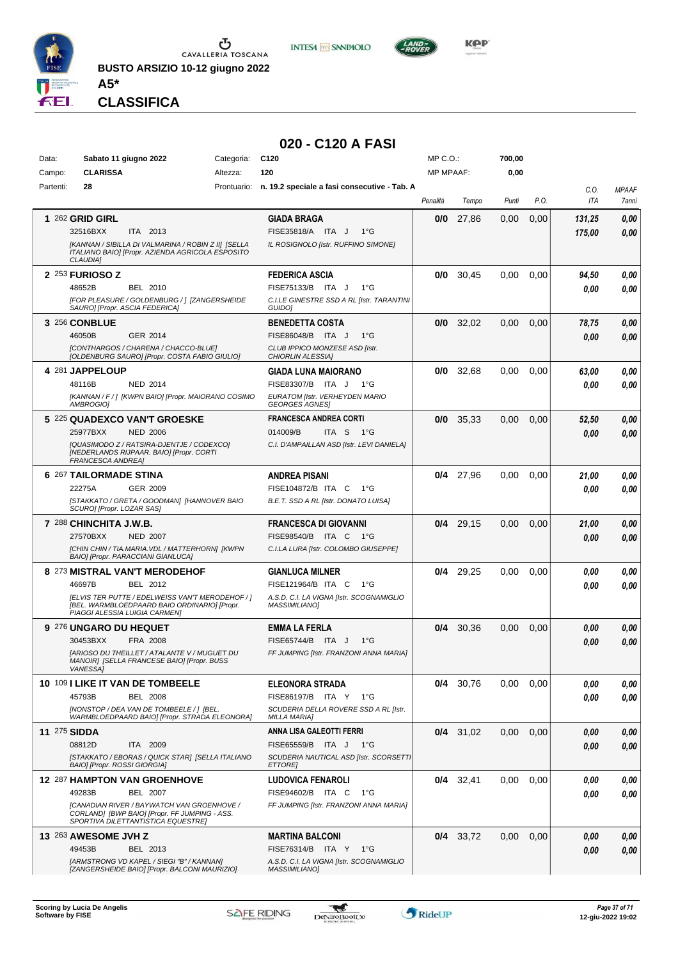

**INTESA M** SNNPAOLO



*Presidente MARINA SERAFINO GIADA IACOMELLI ELISABETTA NEGRI MARIA GIOVANNA VIGNATI VALENTINA ZUCCHINALI* **CLASSIFICA**

**A5\***

#### **020 - C120 A FASI**

| Data:     | Sabato 11 giugno 2022                                                                             | Categoria: | C <sub>120</sub>                                                 | $MP C. O.$ : |             | 700,00 |      |            |              |
|-----------|---------------------------------------------------------------------------------------------------|------------|------------------------------------------------------------------|--------------|-------------|--------|------|------------|--------------|
| Campo:    | <b>CLARISSA</b>                                                                                   | Altezza:   | 120                                                              | MP MPAAF:    |             | 0,00   |      |            |              |
| Partenti: | 28                                                                                                |            | Prontuario: n. 19.2 speciale a fasi consecutive - Tab. A         |              |             |        |      | C.O.       | <b>MPAAF</b> |
|           |                                                                                                   |            |                                                                  | Penalità     | Tempo       | Punti  | P.O. | <b>ITA</b> | 7anni        |
|           | 1 262 GRID GIRL                                                                                   |            | <b>GIADA BRAGA</b>                                               | 0/0          | 27,86       | 0,00   | 0,00 | 131,25     | 0,00         |
|           | 32516BXX<br>ITA 2013                                                                              |            | FISE35818/A ITA J<br>$1^{\circ}G$                                |              |             |        |      | 175,00     | 0.00         |
|           | [KANNAN / SIBILLA DI VALMARINA / ROBIN Z II] [SELLA                                               |            | IL ROSIGNOLO [Istr. RUFFINO SIMONE]                              |              |             |        |      |            |              |
|           | ITALIANO BAIO] [Propr. AZIENDA AGRICOLA ESPOSITO<br><b>CLAUDIA1</b>                               |            |                                                                  |              |             |        |      |            |              |
|           | 2 253 FURIOSO Z                                                                                   |            | <b>FEDERICA ASCIA</b>                                            | 0/0          | 30,45       | 0,00   | 0,00 | 94,50      | 0,00         |
|           | 48652B<br>BEL 2010                                                                                |            | FISE75133/B ITA J<br>$1^{\circ}G$                                |              |             |        |      | 0.00       | 0,00         |
|           | [FOR PLEASURE / GOLDENBURG / ] [ZANGERSHEIDE                                                      |            | C.I.LE GINESTRE SSD A RL [Istr. TARANTINI                        |              |             |        |      |            |              |
|           | SAURO] [Propr. ASCIA FEDERICA]                                                                    |            | <b>GUIDOI</b>                                                    |              |             |        |      |            |              |
|           | 3 256 CONBLUE                                                                                     |            | <b>BENEDETTA COSTA</b>                                           | 0/0          | 32,02       | 0,00   | 0,00 | 78,75      | 0,00         |
|           | 46050B<br>GER 2014                                                                                |            | FISE86048/B ITA J<br>$1^{\circ}G$                                |              |             |        |      | 0.00       | 0,00         |
|           | [CONTHARGOS / CHARENA / CHACCO-BLUE]<br>[OLDENBURG SAURO] [Propr. COSTA FABIO GIULIO]             |            | CLUB IPPICO MONZESE ASD [Istr.<br>CHIORLIN ALESSIA]              |              |             |        |      |            |              |
|           | 4 281 JAPPELOUP                                                                                   |            | <b>GIADA LUNA MAIORANO</b>                                       | 0/0          | 32,68       | 0,00   | 0,00 | 63,00      | 0,00         |
|           | 48116B<br><b>NED 2014</b>                                                                         |            | FISE83307/B ITA J<br>$1^{\circ}G$                                |              |             |        |      | 0.00       | 0,00         |
|           | [KANNAN / F / ] [KWPN BAIO] [Propr. MAIORANO COSIMO                                               |            | EURATOM [Istr. VERHEYDEN MARIO                                   |              |             |        |      |            |              |
|           | <b>AMBROGIOI</b>                                                                                  |            | <b>GEORGES AGNES]</b>                                            |              |             |        |      |            |              |
|           | 5 225 QUADEXCO VAN'T GROESKE                                                                      |            | <b>FRANCESCA ANDREA CORTI</b>                                    | 0/0          | 35,33       | 0,00   | 0,00 | 52,50      | 0,00         |
|           | <b>NED 2006</b><br>25977BXX                                                                       |            | 014009/B<br>ITA S<br>− 1°G                                       |              |             |        |      | 0.00       | 0.00         |
|           | [QUASIMODO Z / RATSIRA-DJENTJE / CODEXCO]<br>[NEDERLANDS RIJPAAR. BAIO] [Propr. CORTI             |            | C.I. D'AMPAILLAN ASD [Istr. LEVI DANIELA]                        |              |             |        |      |            |              |
|           | <b>FRANCESCA ANDREA]</b>                                                                          |            |                                                                  |              |             |        |      |            |              |
|           | 6 267 TAILORMADE STINA                                                                            |            | <b>ANDREA PISANI</b>                                             |              | $0/4$ 27,96 | 0,00   | 0,00 | 21,00      | 0,00         |
|           | 22275A<br>GER 2009                                                                                |            | FISE104872/B ITA C<br>1°G                                        |              |             |        |      | 0.00       | 0.00         |
|           | [STAKKATO / GRETA / GOODMAN] [HANNOVER BAIO<br>SCURO] [Propr. LOZAR SAS]                          |            | B.E.T. SSD A RL [Istr. DONATO LUISA]                             |              |             |        |      |            |              |
|           | 7 288 CHINCHITA J.W.B.                                                                            |            | <b>FRANCESCA DI GIOVANNI</b>                                     | 0/4          | 29,15       | 0.00   | 0,00 | 21,00      | 0,00         |
|           | 27570BXX<br><b>NED 2007</b>                                                                       |            | FISE98540/B ITA C<br>1°G                                         |              |             |        |      | 0.00       | 0,00         |
|           | [CHIN CHIN / TIA.MARIA.VDL / MATTERHORN] [KWPN                                                    |            | C.I.LA LURA [Istr. COLOMBO GIUSEPPE]                             |              |             |        |      |            |              |
|           | BAIO] [Propr. PARACCIANI GIANLUCA]                                                                |            |                                                                  |              |             |        |      |            |              |
|           | 8 273 MISTRAL VAN'T MERODEHOF                                                                     |            | <b>GIANLUCA MILNER</b>                                           | 0/4          | 29,25       | 0,00   | 0,00 | 0.00       | 0,00         |
|           | 46697B<br>BEL 2012                                                                                |            | FISE121964/B ITA C<br>1°G                                        |              |             |        |      | 0.00       | 0.00         |
|           | [ELVIS TER PUTTE / EDELWEISS VAN'T MERODEHOF / ]<br>[BEL. WARMBLOEDPAARD BAIO ORDINARIO] [Propr.  |            | A.S.D. C.I. LA VIGNA [Istr. SCOGNAMIGLIO<br><b>MASSIMILIANO]</b> |              |             |        |      |            |              |
|           | PIAGGI ALESSIA LUIGIA CARMENI                                                                     |            |                                                                  |              |             |        |      |            |              |
|           | 9 276 UNGARO DU HEQUET                                                                            |            | <b>EMMA LA FERLA</b>                                             | 0/4          | 30,36       | 0,00   | 0,00 | 0.00       | 0,00         |
|           | 30453BXX<br>FRA 2008                                                                              |            | <b>FISE65744/B</b><br>ITA J<br>$1^{\circ}G$                      |              |             |        |      | 0.00       | 0.00         |
|           | <b>IARIOSO DU THEILLET / ATALANTE V / MUGUET DU</b><br>MANOIR] [SELLA FRANCESE BAIO] [Propr. BUSS |            | FF JUMPING [Istr. FRANZONI ANNA MARIA]                           |              |             |        |      |            |              |
|           | <b>VANESSA1</b>                                                                                   |            |                                                                  |              |             |        |      |            |              |
|           | 10 109 I LIKE IT VAN DE TOMBEELE                                                                  |            | <b>ELEONORA STRADA</b>                                           |              | 0/4 30.76   | 0,00   | 0,00 | 0.00       | 0,00         |
|           | 45793B<br><b>BEL 2008</b>                                                                         |            | FISE86197/B ITA Y 1°G                                            |              |             |        |      | 0.00       | 0.00         |
|           | [NONSTOP / DEA VAN DE TOMBEELE / ] [BEL.<br>WARMBLOEDPAARD BAIO] [Propr. STRADA ELEONORA]         |            | SCUDERIA DELLA ROVERE SSD A RL [Istr.<br><b>MILLA MARIA]</b>     |              |             |        |      |            |              |
|           | <b>11 275 SIDDA</b>                                                                               |            | ANNA LISA GALEOTTI FERRI                                         |              | $0/4$ 31,02 | 0,00   | 0,00 | 0.00       | 0,00         |
|           | 08812D<br>ITA 2009                                                                                |            | FISE65559/B ITA J<br>− 1°G                                       |              |             |        |      | 0.00       | 0.00         |
|           | [STAKKATO / EBORAS / QUICK STAR] [SELLA ITALIANO                                                  |            | SCUDERIA NAUTICAL ASD [Istr. SCORSETTI                           |              |             |        |      |            |              |
|           | BAIO] [Propr. ROSSI GIORGIA]                                                                      |            | <b>ETTORE</b>                                                    |              |             |        |      |            |              |
|           | 12 287 HAMPTON VAN GROENHOVE<br>49283B<br>BEL 2007                                                |            | <b>LUDOVICA FENAROLI</b><br>FISE94602/B ITA C<br>1°G             |              | $0/4$ 32,41 | 0,00   | 0,00 | 0.00       | 0,00         |
|           | [CANADIAN RIVER / BAYWATCH VAN GROENHOVE /                                                        |            | FF JUMPING [Istr. FRANZONI ANNA MARIA]                           |              |             |        |      | 0.00       | 0.00         |
|           | CORLAND] [BWP BAIO] [Propr. FF JUMPING - ASS.<br>SPORTIVA DILETTANTISTICA EQUESTRE]               |            |                                                                  |              |             |        |      |            |              |
|           |                                                                                                   |            |                                                                  |              |             |        |      |            |              |
|           | 13 263 AWESOME JVH Z<br>49453B<br>BEL 2013                                                        |            | <b>MARTINA BALCONI</b><br>FISE76314/B ITA Y<br>1°G               |              | $0/4$ 33,72 | 0,00   | 0,00 | 0,00       | 0,00         |
|           | [ARMSTRONG VD KAPEL / SIEGI "B" / KANNAN]                                                         |            | A.S.D. C.I. LA VIGNA [Istr. SCOGNAMIGLIO                         |              |             |        |      | 0.00       | 0,00         |
|           | [ZANGERSHEIDE BAIO] [Propr. BALCONI MAURIZIO]                                                     |            | <b>MASSIMILIANO]</b>                                             |              |             |        |      |            |              |

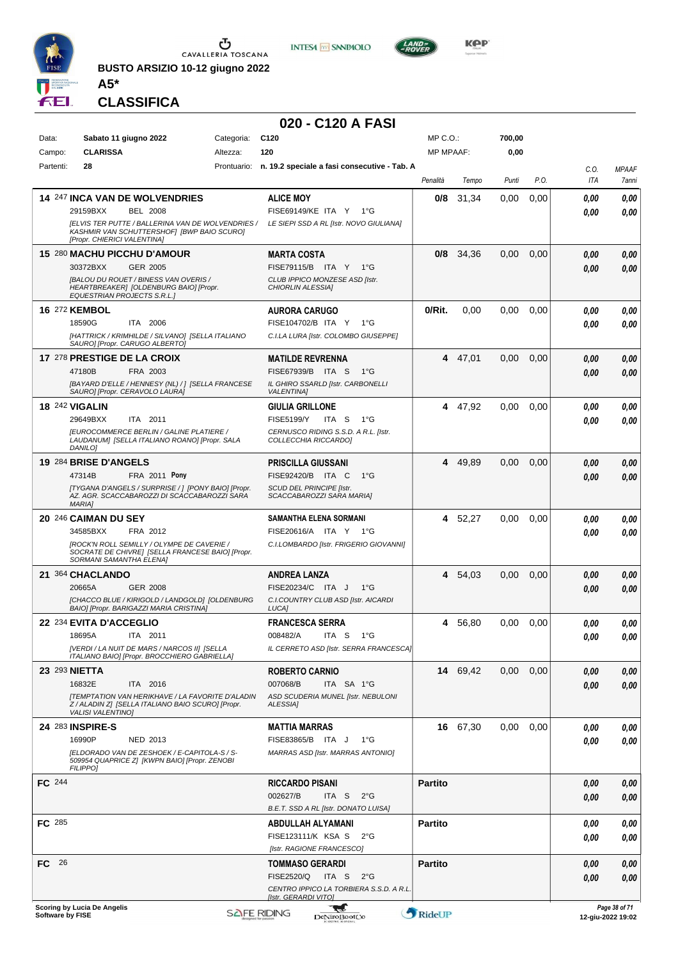

**BUSTO ARSIZIO 10-12 giugno 2022 A5\***





**KOP** 

**CLASSIFICA**

|                     |                                                                                                                                       |                         | 020 - C120 A FASI                                                                    |                                  |          |                |      |                    |                                    |
|---------------------|---------------------------------------------------------------------------------------------------------------------------------------|-------------------------|--------------------------------------------------------------------------------------|----------------------------------|----------|----------------|------|--------------------|------------------------------------|
| Data:               | Sabato 11 giugno 2022<br><b>CLARISSA</b>                                                                                              | Categoria:              | C <sub>120</sub><br>120                                                              | $MP C. O.$ :<br><b>MP MPAAF:</b> |          | 700,00<br>0,00 |      |                    |                                    |
| Campo:<br>Partenti: | 28                                                                                                                                    | Altezza:<br>Prontuario: | n. 19.2 speciale a fasi consecutive - Tab. A                                         |                                  |          |                |      |                    |                                    |
|                     |                                                                                                                                       |                         |                                                                                      | Penalità                         | Tempo    | Punti          | P.O. | C.O.<br><b>ITA</b> | <b>MPAAF</b><br>7ann               |
|                     | <b>14 247 INCA VAN DE WOLVENDRIES</b>                                                                                                 |                         | <b>ALICE MOY</b>                                                                     | 0/8                              | 31,34    | 0.00           | 0,00 | 0,00               | 0.00                               |
|                     | 29159BXX<br><b>BEL 2008</b>                                                                                                           |                         | FISE69149/KE ITA Y 1°G                                                               |                                  |          |                |      | 0,00               | 0.00                               |
|                     | <b>JELVIS TER PUTTE / BALLERINA VAN DE WOLVENDRIES /</b><br>KASHMIR VAN SCHUTTERSHOF] [BWP BAIO SCURO]<br>[Propr. CHIERICI VALENTINA] |                         | LE SIEPI SSD A RL [Istr. NOVO GIULIANA]                                              |                                  |          |                |      |                    |                                    |
|                     | 15 280 MACHU PICCHU D'AMOUR                                                                                                           |                         | <b>MARTA COSTA</b>                                                                   | 0/8                              | 34,36    | 0,00           | 0,00 | 0,00               | 0.00                               |
|                     | 30372BXX<br><b>GER 2005</b>                                                                                                           |                         | FISE79115/B ITA Y 1°G                                                                |                                  |          |                |      | 0,00               | 0.00                               |
|                     | [BALOU DU ROUET / BINESS VAN OVERIS /<br>HEARTBREAKER] [OLDENBURG BAIO] [Propr.<br><b>EQUESTRIAN PROJECTS S.R.L.]</b>                 |                         | CLUB IPPICO MONZESE ASD [Istr.<br>CHIORLIN ALESSIA]                                  |                                  |          |                |      |                    |                                    |
|                     | 16 272 KEMBOL                                                                                                                         |                         | <b>AURORA CARUGO</b>                                                                 | 0/Rit.                           | 0,00     | 0.00           | 0,00 | 0,00               | 0.00                               |
|                     | 18590G<br>ITA 2006                                                                                                                    |                         | FISE104702/B ITA Y<br>$1^{\circ}G$                                                   |                                  |          |                |      | 0,00               | 0.00                               |
|                     | [HATTRICK / KRIMHILDE / SILVANO] [SELLA ITALIANO<br>SAURO] [Propr. CARUGO ALBERTO]                                                    |                         | C.I.LA LURA [Istr. COLOMBO GIUSEPPE]                                                 |                                  |          |                |      |                    |                                    |
|                     | 17 278 PRESTIGE DE LA CROIX                                                                                                           |                         | <b>MATILDE REVRENNA</b>                                                              | 4                                | 47,01    | 0,00           | 0,00 | 0,00               | 0.00                               |
|                     | 47180B<br>FRA 2003<br>[BAYARD D'ELLE / HENNESY (NL) / 1 [SELLA FRANCESE                                                               |                         | FISE67939/B ITA S<br>1°G<br>IL GHIRO SSARLD [Istr. CARBONELLI                        |                                  |          |                |      | 0,00               | 0.00                               |
|                     | SAURO] [Propr. CERAVOLO LAURA]                                                                                                        |                         | <b>VALENTINA1</b>                                                                    |                                  |          |                |      |                    |                                    |
|                     | <b>18 242 VIGALIN</b>                                                                                                                 |                         | <b>GIULIA GRILLONE</b>                                                               | 4                                | 47,92    | 0,00           | 0,00 | 0,00               | 0.00                               |
|                     | ITA 2011<br>29649BXX<br><b>IEUROCOMMERCE BERLIN / GALINE PLATIERE /</b>                                                               |                         | <b>FISE5199/Y</b><br>ITA <sub>S</sub><br>1°G<br>CERNUSCO RIDING S.S.D. A R.L. [Istr. |                                  |          |                |      | 0,00               | 0.00                               |
|                     | LAUDANUM] [SELLA ITALIANO ROANO] [Propr. SALA<br>DANILO]                                                                              |                         | COLLECCHIA RICCARDO]                                                                 |                                  |          |                |      |                    |                                    |
|                     | 19 284 BRISE D'ANGELS                                                                                                                 |                         | <b>PRISCILLA GIUSSANI</b>                                                            |                                  | 4 49,89  | 0,00           | 0,00 | 0,00               | 0.00                               |
|                     | FRA 2011 Pony<br>47314B                                                                                                               |                         | FISE92420/B ITA C<br>$1^{\circ}G$                                                    |                                  |          |                |      | 0.00               | 0.00                               |
|                     | [TYGANA D'ANGELS / SURPRISE / ] [PONY BAIO] [Propr.<br>AZ. AGR. SCACCABAROZZI DI SCACCABAROZZI SARA<br><b>MARIA]</b>                  |                         | SCUD DEL PRINCIPE [Istr.<br>SCACCABAROZZI SARA MARIA]                                |                                  |          |                |      |                    |                                    |
|                     | 20 246 CAIMAN DU SEY                                                                                                                  |                         | SAMANTHA ELENA SORMANI                                                               | 4                                | 52,27    | 0.00           | 0,00 | 0,00               | 0.00                               |
|                     | 34585BXX<br>FRA 2012<br><b>IROCK'N ROLL SEMILLY / OLYMPE DE CAVERIE /</b>                                                             |                         | FISE20616/A ITA Y 1°G                                                                |                                  |          |                |      | 0.00               | 0.00                               |
|                     | SOCRATE DE CHIVRE] [SELLA FRANCESE BAIO] [Propr.<br>SORMANI SAMANTHA ELENA]                                                           |                         | C.I.LOMBARDO [Istr. FRIGERIO GIOVANNI]                                               |                                  |          |                |      |                    |                                    |
|                     | 21 364 CHACLANDO                                                                                                                      |                         | ANDREA LANZA                                                                         | 4                                | 54,03    | 0,00           | 0,00 | 0,00               | 0.00                               |
|                     | 20665A<br>GER 2008                                                                                                                    |                         | FISE20234/C ITA J<br>1°G                                                             |                                  |          |                |      | 0.00               | 0.00                               |
|                     | [CHACCO BLUE / KIRIGOLD / LANDGOLD] [OLDENBURG<br>BAIO] [Propr. BARIGAZZI MARIA CRISTINA]                                             |                         | C.I.COUNTRY CLUB ASD [Istr. AICARDI<br>LUCA]                                         |                                  |          |                |      |                    |                                    |
|                     | 22 234 EVITA D'ACCEGLIO                                                                                                               |                         | <b>FRANCESCA SERRA</b>                                                               | 4                                | 56,80    | 0,00           | 0,00 | 0,00               | 0,00                               |
|                     | 18695A<br>ITA 2011<br>[VERDI / LA NUIT DE MARS / NARCOS II] [SELLA                                                                    |                         | 008482/A<br>ITA S<br>— 1°G<br>IL CERRETO ASD [Istr. SERRA FRANCESCA]                 |                                  |          |                |      | 0,00               | 0,00                               |
|                     | ITALIANO BAIO] [Propr. BROCCHIERO GABRIELLA]                                                                                          |                         |                                                                                      |                                  |          |                |      |                    |                                    |
|                     | <b>23 293 NIETTA</b>                                                                                                                  |                         | <b>ROBERTO CARNIO</b>                                                                |                                  | 14 69,42 | 0,00           | 0,00 | 0,00               | 0,00                               |
|                     | 16832E<br>ITA 2016<br><b>[TEMPTATION VAN HERIKHAVE / LA FAVORITE D'ALADIN</b>                                                         |                         | 007068/B<br>ITA SA 1°G<br>ASD SCUDERIA MUNEL [Istr. NEBULONI                         |                                  |          |                |      | 0,00               | 0,00                               |
|                     | Z / ALADIN Z] [SELLA ITALIANO BAIO SCURO] [Propr.<br><b>VALISI VALENTINO]</b>                                                         |                         | ALESSIA]                                                                             |                                  |          |                |      |                    |                                    |
|                     | 24 283 INSPIRE-S                                                                                                                      |                         | <b>MATTIA MARRAS</b>                                                                 |                                  | 16 67,30 | 0,00           | 0,00 | 0,00               | 0,00                               |
|                     | 16990P<br><b>NED 2013</b>                                                                                                             |                         | FISE83865/B ITA J<br>1°G                                                             |                                  |          |                |      | 0,00               | 0,00                               |
|                     | [ELDORADO VAN DE ZESHOEK / E-CAPITOLA-S / S-<br>509954 QUAPRICE Z] [KWPN BAIO] [Propr. ZENOBI<br><b>FILIPPO1</b>                      |                         | MARRAS ASD [Istr. MARRAS ANTONIO]                                                    |                                  |          |                |      |                    |                                    |
| FC 244              |                                                                                                                                       |                         | <b>RICCARDO PISANI</b>                                                               | <b>Partito</b>                   |          |                |      | 0,00               | 0,00                               |
|                     |                                                                                                                                       |                         | 002627/B<br>2°G<br>ITA S<br>B.E.T. SSD A RL [Istr. DONATO LUISA]                     |                                  |          |                |      | 0,00               | 0,00                               |
| <b>FC</b> 285       |                                                                                                                                       |                         | ABDULLAH ALYAMANI                                                                    | <b>Partito</b>                   |          |                |      | 0,00               | 0,00                               |
|                     |                                                                                                                                       |                         | FISE123111/K KSA S<br>$2^{\circ}$ G                                                  |                                  |          |                |      | 0,00               | 0,00                               |
| FC 26               |                                                                                                                                       |                         | [Istr. RAGIONE FRANCESCO]<br><b>TOMMASO GERARDI</b>                                  | <b>Partito</b>                   |          |                |      | 0,00               | 0,00                               |
|                     |                                                                                                                                       |                         | FISE2520/Q<br>ITA S<br>$2^{\circ}$ G                                                 |                                  |          |                |      | 0,00               | 0,00                               |
|                     |                                                                                                                                       |                         | CENTRO IPPICO LA TORBIERA S.S.D. A R.L.<br>[Istr. GERARDI VITO]                      |                                  |          |                |      |                    |                                    |
| Software by FISE    | Scoring by Lucia De Angelis                                                                                                           |                         | W<br><b>SAFE RIDING</b><br>DeNiroBootCo                                              | RideUP                           |          |                |      |                    | Page 38 of 71<br>12-giu-2022 19:02 |
|                     |                                                                                                                                       |                         |                                                                                      |                                  |          |                |      |                    |                                    |

*MPAAF 7anni*

*0,00*

*0,00*

*0,00*

*0,00*

*0,00*

*0,00*

*0,00*

*0,00*

*0,00*

*0,00*

*0,00*

*0,00*

*0,00*

*0,00*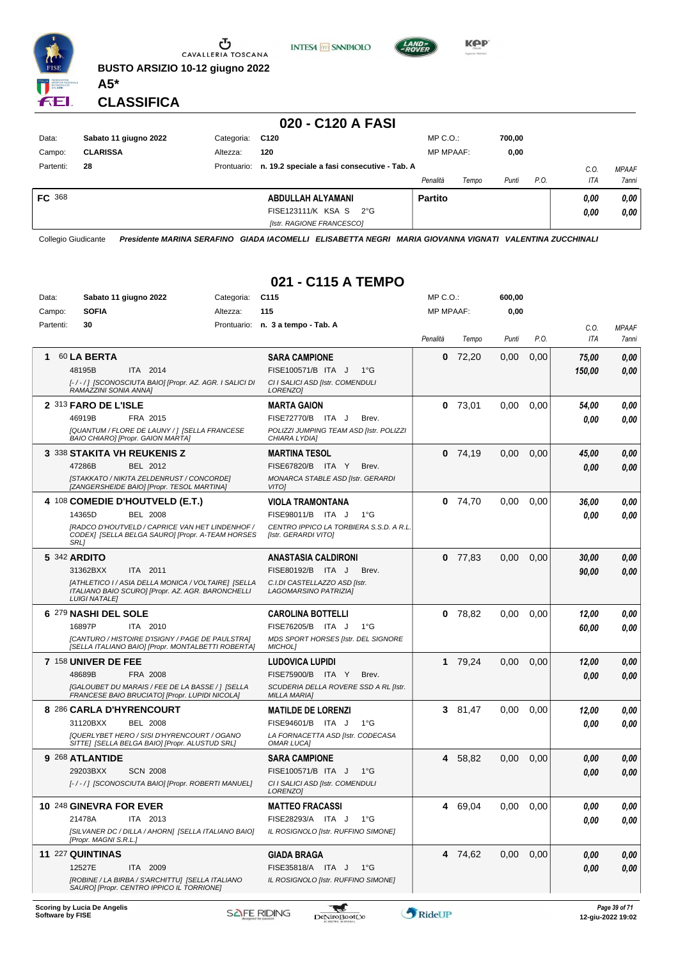

Ⴠ CAVALLERIA TOSCANA **BUSTO ARSIZIO 10-12 giugno 2022**

**INTESA** M SANPAOLO



**KPP** 

**CLASSIFICA**

**A5\***

#### **020 - C120 A FASI**

| Data:         | Sabato 11 giugno 2022 | Categoria: | C120                                                     | $MP C. O.$ :     |       | 700,00 |      |      |              |
|---------------|-----------------------|------------|----------------------------------------------------------|------------------|-------|--------|------|------|--------------|
| Campo:        | <b>CLARISSA</b>       | Altezza:   | 120                                                      | <b>MP MPAAF:</b> |       | 0,00   |      |      |              |
| Partenti:     | 28                    |            | Prontuario: n. 19.2 speciale a fasi consecutive - Tab. A |                  |       |        |      | C.O. | <b>MPAAF</b> |
|               |                       |            |                                                          | Penalità         | Tempo | Punti  | P.O. | ITA  | <b>7anni</b> |
| <b>FC</b> 368 |                       |            | ABDULLAH ALYAMANI                                        | <b>Partito</b>   |       |        |      | 0,00 | 0,00         |
|               |                       |            | FISE123111/K KSA S<br>$2^{\circ}G$                       |                  |       |        |      | 0,00 | 0,00         |
|               |                       |            | [Istr. RAGIONE FRANCESCO]                                |                  |       |        |      |      |              |

Collegio Giudicante *Presidente MARINA SERAFINO GIADA IACOMELLI ELISABETTA NEGRI MARIA GIOVANNA VIGNATI VALENTINA ZUCCHINALI*

## **021 - C115 A TEMPO**

| Data:     | Sabato 11 giugno 2022                                                                                                           | Categoria: | C <sub>115</sub>                                                       | MP C.O.:         |           | 600,00 |      |             |                       |
|-----------|---------------------------------------------------------------------------------------------------------------------------------|------------|------------------------------------------------------------------------|------------------|-----------|--------|------|-------------|-----------------------|
| Campo:    | <b>SOFIA</b>                                                                                                                    | Altezza:   | 115                                                                    | <b>MP MPAAF:</b> |           | 0,00   |      |             |                       |
| Partenti: | 30                                                                                                                              |            | Prontuario: n. 3 a tempo - Tab. A                                      | Penalità         | Tempo     | Punti  | P.O. | C.O.<br>ITA | <b>MPAAF</b><br>7anni |
| 1         | 60 LA BERTA                                                                                                                     |            | <b>SARA CAMPIONE</b>                                                   | 0                | 72,20     | 0,00   | 0,00 | 75,00       | 0,00                  |
|           | ITA 2014<br>48195B                                                                                                              |            | FISE100571/B ITA J<br>$1^{\circ}G$                                     |                  |           |        |      | 150,00      | 0,00                  |
|           | [-/-/] [SCONOSCIUTA BAIO] [Propr. AZ. AGR. I SALICI DI<br>RAMAZZINI SONIA ANNA]                                                 |            | CI I SALICI ASD [Istr. COMENDULI<br>LORENZO]                           |                  |           |        |      |             |                       |
|           | 2 313 FARO DE L'ISLE                                                                                                            |            | <b>MARTA GAION</b>                                                     | 0                | 73,01     | 0,00   | 0,00 | 54,00       | 0,00                  |
|           | 46919B<br>FRA 2015                                                                                                              |            | FISE72770/B ITA J<br>Brev.                                             |                  |           |        |      | 0.00        | 0,00                  |
|           | [QUANTUM / FLORE DE LAUNY / ] [SELLA FRANCESE<br>BAIO CHIARO] [Propr. GAION MARTA]                                              |            | POLIZZI JUMPING TEAM ASD [Istr. POLIZZI<br>CHIARA LYDIA]               |                  |           |        |      |             |                       |
|           | <b>3 338 STAKITA VH REUKENIS Z</b>                                                                                              |            | <b>MARTINA TESOL</b>                                                   | 0                | 74,19     | 0,00   | 0,00 | 45,00       | 0,00                  |
|           | 47286B<br>BEL 2012                                                                                                              |            | FISE67820/B ITA Y<br>Brev.                                             |                  |           |        |      | 0,00        | 0,00                  |
|           | [STAKKATO / NIKITA ZELDENRUST / CONCORDE]<br>[ZANGERSHEIDE BAIO] [Propr. TESOL MARTINA]                                         |            | MONARCA STABLE ASD [Istr. GERARDI<br><b>VITOI</b>                      |                  |           |        |      |             |                       |
|           | 4 108 COMEDIE D'HOUTVELD (E.T.)                                                                                                 |            | <b>VIOLA TRAMONTANA</b>                                                | 0                | 74,70     | 0.00   | 0.00 | 36,00       | 0,00                  |
|           | 14365D<br><b>BEL 2008</b>                                                                                                       |            | FISE98011/B ITA J<br>$1^{\circ}G$                                      |                  |           |        |      | 0.00        | 0,00                  |
|           | [RADCO D'HOUTVELD / CAPRICE VAN HET LINDENHOF /<br>CODEX] [SELLA BELGA SAURO] [Propr. A-TEAM HORSES<br>SRL]                     |            | CENTRO IPPICO LA TORBIERA S.S.D. A R.L.<br><b>Ilstr. GERARDI VITOI</b> |                  |           |        |      |             |                       |
|           | 5 342 ARDITO                                                                                                                    |            | <b>ANASTASIA CALDIRONI</b>                                             |                  | $0$ 77,83 | 0,00   | 0,00 | 30,00       | 0,00                  |
|           | 31362BXX<br>ITA 2011                                                                                                            |            | FISE80192/B ITA J<br>Brev.                                             |                  |           |        |      | 90,00       | 0,00                  |
|           | [ATHLETICO I / ASIA DELLA MONICA / VOLTAIRE] [SELLA<br>ITALIANO BAIO SCURO] [Propr. AZ. AGR. BARONCHELLI<br><b>LUIGI NATALE</b> |            | C.I.DI CASTELLAZZO ASD [Istr.<br>LAGOMARSINO PATRIZIA]                 |                  |           |        |      |             |                       |
|           | 6 279 NASHI DEL SOLE                                                                                                            |            | <b>CAROLINA BOTTELLI</b>                                               | 0                | 78,82     | 0,00   | 0.00 | 12,00       | 0,00                  |
|           | 16897P<br>ITA 2010                                                                                                              |            | FISE76205/B ITA J<br>1°G                                               |                  |           |        |      | 60,00       | 0,00                  |
|           | [CANTURO / HISTOIRE D'ISIGNY / PAGE DE PAULSTRA]<br>[SELLA ITALIANO BAIO] [Propr. MONTALBETTI ROBERTA]                          |            | MDS SPORT HORSES [Istr. DEL SIGNORE<br><b>MICHOLI</b>                  |                  |           |        |      |             |                       |
|           | <b>7 <math>158</math> UNIVER DE FEE</b>                                                                                         |            | <b>LUDOVICA LUPIDI</b>                                                 | 1                | 79,24     | 0,00   | 0,00 | 12,00       | 0,00                  |
|           | 48689B<br>FRA 2008                                                                                                              |            | FISE75900/B ITA Y<br>Brev.                                             |                  |           |        |      | 0,00        | 0,00                  |
|           | [GALOUBET DU MARAIS / FEE DE LA BASSE / ] [SELLA<br>FRANCESE BAIO BRUCIATO] [Propr. LUPIDI NICOLA]                              |            | SCUDERIA DELLA ROVERE SSD A RL [Istr.<br><b>MILLA MARIA]</b>           |                  |           |        |      |             |                       |
|           | 8 286 CARLA D'HYRENCOURT                                                                                                        |            | <b>MATILDE DE LORENZI</b>                                              |                  | 381,47    | 0.00   | 0.00 | 12,00       | 0,00                  |
|           | 31120BXX<br><b>BEL 2008</b>                                                                                                     |            | FISE94601/B ITA J<br>$1^{\circ}G$                                      |                  |           |        |      | 0.00        | 0,00                  |
|           | [QUERLYBET HERO / SISI D'HYRENCOURT / OGANO<br>SITTE] [SELLA BELGA BAIO] [Propr. ALUSTUD SRL]                                   |            | LA FORNACETTA ASD [Istr. CODECASA<br><b>OMAR LUCA]</b>                 |                  |           |        |      |             |                       |
|           | 9 268 ATLANTIDE                                                                                                                 |            | <b>SARA CAMPIONE</b>                                                   | 4                | 58,82     | 0,00   | 0,00 | 0,00        | 0,00                  |
|           | 29203BXX<br><b>SCN 2008</b>                                                                                                     |            | FISE100571/B ITA J<br>$1^{\circ}$ G                                    |                  |           |        |      | 0,00        | 0,00                  |
|           | [-/-/] [SCONOSCIUTA BAIO] [Propr. ROBERTI MANUEL]                                                                               |            | CI I SALICI ASD [Istr. COMENDULI<br>LORENZOI                           |                  |           |        |      |             |                       |
|           | 10 248 GINEVRA FOR EVER                                                                                                         |            | <b>MATTEO FRACASSI</b>                                                 | 4                | 69,04     | 0,00   | 0,00 | 0,00        | 0,00                  |
|           | 21478A<br>ITA 2013                                                                                                              |            | FISE28293/A ITA J<br>1°G                                               |                  |           |        |      | 0,00        | 0,00                  |
|           | [SILVANER DC / DILLA / AHORN] [SELLA ITALIANO BAIO]<br>[Propr. MAGNI S.R.L.]                                                    |            | IL ROSIGNOLO [Istr. RUFFINO SIMONE]                                    |                  |           |        |      |             |                       |
|           | 11 227 QUINTINAS                                                                                                                |            | GIADA BRAGA                                                            |                  | 4 74,62   | 0,00   | 0,00 | 0,00        | 0,00                  |
|           | 12527E<br>ITA 2009                                                                                                              |            | FISE35818/A ITA J 1°G                                                  |                  |           |        |      | 0,00        | 0,00                  |
|           | [ROBINE / LA BIRBA / S'ARCHITTU] [SELLA ITALIANO<br>SAURO] [Propr. CENTRO IPPICO IL TORRIONE]                                   |            | IL ROSIGNOLO [Istr. RUFFINO SIMONE]                                    |                  |           |        |      |             |                       |



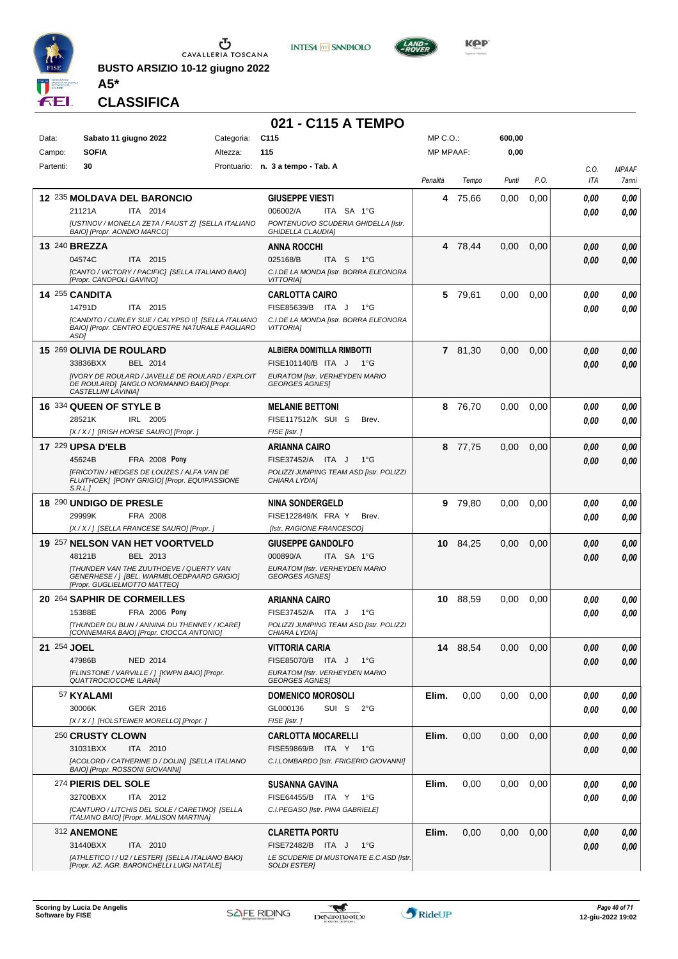

**BUSTO ARSIZIO 10-12 giugno 2022 A5\***





**KOP** 

#### **CLASSIFICA**

|             |                                                    |                                                                                                        |            | 021 - C115 A TEMPO                                                   |                  |          |        |      |              |                       |
|-------------|----------------------------------------------------|--------------------------------------------------------------------------------------------------------|------------|----------------------------------------------------------------------|------------------|----------|--------|------|--------------|-----------------------|
| Data:       | Sabato 11 giugno 2022                              |                                                                                                        | Categoria: | C <sub>115</sub>                                                     | $MP C. O.$ :     |          | 600,00 |      |              |                       |
| Campo:      | <b>SOFIA</b>                                       |                                                                                                        | Altezza:   | 115                                                                  | <b>MP MPAAF:</b> |          | 0,00   |      |              |                       |
| Partenti:   | 30                                                 |                                                                                                        |            | Prontuario: n. 3 a tempo - Tab. A                                    | Penalità         | Tempo    | Punti  | P.O. | C.O.<br>ITA  | <b>MPAAF</b><br>7anni |
|             | <b>12 235 MOLDAVA DEL BARONCIO</b>                 |                                                                                                        |            | <b>GIUSEPPE VIESTI</b>                                               | 4                | 75,66    | 0,00   | 0,00 | 0,00         | 0,00                  |
|             | 21121A                                             | ITA 2014                                                                                               |            | 006002/A<br>ITA SA 1°G                                               |                  |          |        |      | 0.00         | 0,00                  |
|             | BAIO] [Propr. AONDIO MARCO]                        | [USTINOV / MONELLA ZETA / FAUST Z] [SELLA ITALIANO                                                     |            | PONTENUOVO SCUDERIA GHIDELLA [Istr.<br><b>GHIDELLA CLAUDIA]</b>      |                  |          |        |      |              |                       |
|             | 13 240 BREZZA                                      |                                                                                                        |            | <b>ANNA ROCCHI</b>                                                   |                  | 4 78,44  | 0,00   | 0,00 | 0,00         | 0,00                  |
|             | 04574C                                             | ITA 2015<br>[CANTO / VICTORY / PACIFIC] [SELLA ITALIANO BAIO]                                          |            | 025168/B<br>ITA S<br>− 1°G<br>C.I.DE LA MONDA [Istr. BORRA ELEONORA  |                  |          |        |      | 0.00         | 0,00                  |
|             | [Propr. CANOPOLI GAVINO]                           |                                                                                                        |            | <b>VITTORIAI</b>                                                     |                  |          |        |      |              |                       |
|             | 14 255 CANDITA<br>14791D                           | ITA 2015                                                                                               |            | <b>CARLOTTA CAIRO</b><br>FISE85639/B ITA J<br>$1^{\circ}$ G          | 5.               | 79,61    | 0.00   | 0,00 | 0.00<br>0.00 | 0,00<br>0,00          |
|             |                                                    | [CANDITO / CURLEY SUE / CALYPSO II] [SELLA ITALIANO<br>BAIO] [Propr. CENTRO EQUESTRE NATURALE PAGLIARO |            | C.I.DE LA MONDA [Istr. BORRA ELEONORA                                |                  |          |        |      |              |                       |
|             | ASD1                                               |                                                                                                        |            | <b>VITTORIAI</b>                                                     |                  |          |        |      |              |                       |
|             | 15 269 OLIVIA DE ROULARD                           |                                                                                                        |            | ALBIERA DOMITILLA RIMBOTTI                                           |                  | 7 81,30  | 0,00   | 0,00 | 0.00         | 0,00                  |
|             | 33836BXX                                           | BEL 2014<br><b>IIVORY DE ROULARD / JAVELLE DE ROULARD / EXPLOIT</b>                                    |            | FISE101140/B ITA J<br>$1^{\circ}G$<br>EURATOM [Istr. VERHEYDEN MARIO |                  |          |        |      | 0,00         | 0,00                  |
|             | CASTELLINI LAVINIA]                                | DE ROULARD] [ANGLO NORMANNO BAIO] [Propr.                                                              |            | <b>GEORGES AGNES!</b>                                                |                  |          |        |      |              |                       |
|             | 16 334 QUEEN OF STYLE B                            |                                                                                                        |            | <b>MELANIE BETTONI</b>                                               |                  | 8 76,70  | 0,00   | 0.00 | 0.00         | 0,00                  |
|             | 28521K<br>[X / X / ] [IRISH HORSE SAURO] [Propr. ] | IRL 2005                                                                                               |            | FISE117512/K SUI S<br>Brev.<br>FISE [Istr.]                          |                  |          |        |      | 0.00         | 0.00                  |
|             | <b>17 229 UPSA D'ELB</b>                           |                                                                                                        |            | <b>ARIANNA CAIRO</b>                                                 |                  | 8 77,75  | 0,00   | 0,00 | 0,00         | 0,00                  |
|             | 45624B                                             | <b>FRA 2008 Pony</b>                                                                                   |            | FISE37452/A ITA J<br>$1^{\circ}G$                                    |                  |          |        |      | 0.00         | 0,00                  |
|             |                                                    | [FRICOTIN / HEDGES DE LOUZES / ALFA VAN DE<br>FLUITHOEK] [PONY GRIGIO] [Propr. EQUIPASSIONE            |            | POLIZZI JUMPING TEAM ASD [Istr. POLIZZI<br>CHIARA LYDIA]             |                  |          |        |      |              |                       |
|             | S.R.L.<br>18 290 UNDIGO DE PRESLE                  |                                                                                                        |            |                                                                      |                  | 9 79,80  | 0,00   | 0,00 |              |                       |
|             | 29999K                                             | FRA 2008                                                                                               |            | <b>NINA SONDERGELD</b><br>FISE122849/K FRA Y<br>Brev.                |                  |          |        |      | 0.00<br>0.00 | 0,00<br>0.00          |
|             |                                                    | [X / X / ] [SELLA FRANCESE SAURO] [Propr. ]                                                            |            | [Istr. RAGIONE FRANCESCO]                                            |                  |          |        |      |              |                       |
|             |                                                    | 19 257 NELSON VAN HET VOORTVELD                                                                        |            | <b>GIUSEPPE GANDOLFO</b>                                             |                  | 10 84,25 | 0,00   | 0,00 | 0,00         | 0,00                  |
|             | 48121B                                             | BEL 2013<br>ITHUNDER VAN THE ZUUTHOEVE / QUERTY VAN                                                    |            | 000890/A<br>ITA SA 1°G<br>EURATOM [Istr. VERHEYDEN MARIO             |                  |          |        |      | 0.00         | 0,00                  |
|             | [Propr. GUGLIELMOTTO MATTEO]                       | GENERHESE /   [BEL. WARMBLOEDPAARD GRIGIO]                                                             |            | <b>GEORGES AGNES</b>                                                 |                  |          |        |      |              |                       |
|             | 20 264 SAPHIR DE CORMEILLES                        |                                                                                                        |            | <b>ARIANNA CAIRO</b>                                                 |                  | 10 88,59 | 0,00   | 0,00 | 0.00         | 0,00                  |
|             | 15388E                                             | FRA 2006 Pony<br>[THUNDER DU BLIN / ANNINA DU THENNEY / ICARE]                                         |            | FISE37452/A ITA J<br>1°G<br>POLIZZI JUMPING TEAM ASD [Istr. POLIZZI  |                  |          |        |      | 0.00         | 0.00                  |
|             |                                                    | [CONNEMARA BAIO] [Propr. CIOCCA ANTONIO]                                                               |            | CHIARA LYDIA]                                                        |                  |          |        |      |              |                       |
| 21 254 JOEL | 47986B                                             | <b>NED 2014</b>                                                                                        |            | VITTORIA CARIA<br>FISE85070/B ITA J<br>$1^{\circ}G$                  |                  | 14 88,54 | 0,00   | 0,00 | 0,00         | 0,00                  |
|             |                                                    | [FLINSTONE / VARVILLE / ] [KWPN BAIO] [Propr.                                                          |            | EURATOM [Istr. VERHEYDEN MARIO                                       |                  |          |        |      | 0,00         | 0,00                  |
|             | <b>QUATTROCIOCCHE ILARIAI</b><br>57 KYALAMI        |                                                                                                        |            | <b>GEORGES AGNES</b><br><b>DOMENICO MOROSOLI</b>                     | Elim.            | 0,00     | 0,00   | 0,00 | 0.00         | 0,00                  |
|             | 30006K                                             | GER 2016                                                                                               |            | GL000136<br>SUI S<br>$2^{\circ}$ G                                   |                  |          |        |      | 0,00         | 0,00                  |
|             | [X / X / ] [HOLSTEINER MORELLO] [Propr. ]          |                                                                                                        |            | FISE [Istr.]                                                         |                  |          |        |      |              |                       |
|             | 250 CRUSTY CLOWN                                   |                                                                                                        |            | <b>CARLOTTA MOCARELLI</b>                                            | Elim.            | 0,00     | 0,00   | 0,00 | 0.00         | 0,00                  |
|             | 31031BXX                                           | ITA 2010<br>[ACOLORD / CATHERINE D / DOLIN] [SELLA ITALIANO                                            |            | FISE59869/B ITA Y 1°G<br>C.I.LOMBARDO [Istr. FRIGERIO GIOVANNI]      |                  |          |        |      | 0,00         | 0,00                  |
|             | BAIO] [Propr. ROSSONI GIOVANNI]                    |                                                                                                        |            |                                                                      |                  |          |        |      |              |                       |
|             | 274 PIERIS DEL SOLE<br>32700BXX                    | ITA 2012                                                                                               |            | <b>SUSANNA GAVINA</b><br>FISE64455/B ITA Y<br>1°G                    | Elim.            | 0,00     | 0,00   | 0,00 | 0,00<br>0,00 | 0,00<br>0,00          |
|             |                                                    | [CANTURO / LITCHIS DEL SOLE / CARETINO] [SELLA<br>ITALIANO BAIO] [Propr. MALISON MARTINA]              |            | C.I.PEGASO [Istr. PINA GABRIELE]                                     |                  |          |        |      |              |                       |
|             | 312 ANEMONE                                        |                                                                                                        |            | <b>CLARETTA PORTU</b>                                                | Elim.            | 0,00     | 0,00   | 0,00 | 0.00         | 0,00                  |
|             | 31440BXX                                           | ITA 2010                                                                                               |            | FISE72482/B ITA J<br>$1^{\circ}G$                                    |                  |          |        |      | 0,00         | 0,00                  |
|             |                                                    | [ATHLETICO I / U2 / LESTER] [SELLA ITALIANO BAIO]<br>[Propr. AZ. AGR. BARONCHELLI LUIGI NATALE]        |            | LE SCUDERIE DI MUSTONATE E.C.ASD [Istr.<br><b>SOLDI ESTERI</b>       |                  |          |        |      |              |                       |

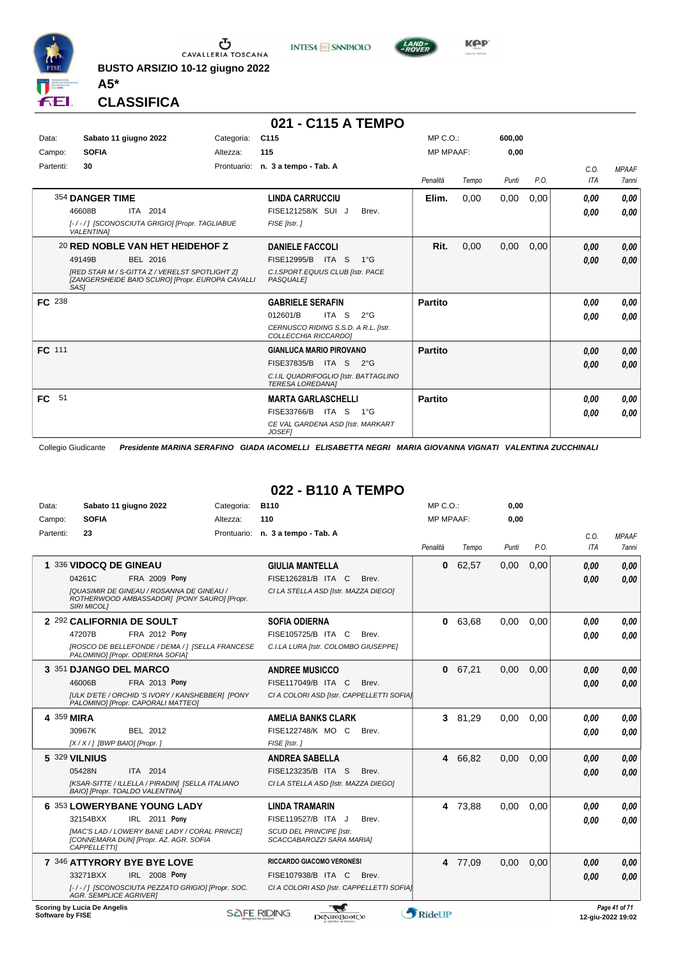

**BUSTO ARSIZIO 10-12 giugno 2022 A5\***





**CLASSIFICA**

|           |                                                                                                            |            | 021 - C115 A TEMPO                                               |                  |       |        |      |            |              |
|-----------|------------------------------------------------------------------------------------------------------------|------------|------------------------------------------------------------------|------------------|-------|--------|------|------------|--------------|
| Data:     | Sabato 11 giugno 2022                                                                                      | Categoria: | C115                                                             | $MP C. O.$ :     |       | 600.00 |      |            |              |
| Campo:    | <b>SOFIA</b>                                                                                               | Altezza:   | 115                                                              | <b>MP MPAAF:</b> |       | 0,00   |      |            |              |
| Partenti: | 30                                                                                                         |            | Prontuario: n. 3 a tempo - Tab. A                                |                  |       |        |      | C.O.       | <b>MPAAF</b> |
|           |                                                                                                            |            |                                                                  | Penalità         | Tempo | Punti  | P.O. | <b>ITA</b> | <b>7anni</b> |
|           | 354 DANGER TIME                                                                                            |            | <b>LINDA CARRUCCIU</b>                                           | Elim.            | 0.00  | 0,00   | 0,00 | 0.00       | 0,00         |
|           | 46608B<br>ITA 2014                                                                                         |            | FISE121258/K SUI J<br>Brev.                                      |                  |       |        |      | 0,00       | 0,00         |
|           | [-/-/] [SCONOSCIUTA GRIGIO] [Propr. TAGLIABUE<br><b>VALENTINA1</b>                                         |            | FISE [Istr.]                                                     |                  |       |        |      |            |              |
|           | 20 RED NOBLE VAN HET HEIDEHOF Z                                                                            |            | <b>DANIELE FACCOLI</b>                                           | Rit.             | 0,00  | 0,00   | 0.00 | 0,00       | 0,00         |
|           | 49149B<br>BEL 2016                                                                                         |            | FISE12995/B ITA S<br>$1^{\circ}G$                                |                  |       |        |      | 0,00       | 0,00         |
|           | [RED STAR M / S-GITTA Z / VERELST SPOTLIGHT Z]<br>[ZANGERSHEIDE BAIO SCURO] [Propr. EUROPA CAVALLI<br>SAS1 |            | C.I.SPORT.EQUUS CLUB [Istr. PACE<br><b>PASQUALEI</b>             |                  |       |        |      |            |              |
| FC 238    |                                                                                                            |            | <b>GABRIELE SERAFIN</b>                                          | <b>Partito</b>   |       |        |      | 0.00       | 0,00         |
|           |                                                                                                            |            | ITA S<br>012601/B<br>$2^{\circ}$ G                               |                  |       |        |      | 0,00       | 0,00         |
|           |                                                                                                            |            | CERNUSCO RIDING S.S.D. A R.L. [Istr.<br>COLLECCHIA RICCARDO]     |                  |       |        |      |            |              |
| FC 111    |                                                                                                            |            | <b>GIANLUCA MARIO PIROVANO</b>                                   | <b>Partito</b>   |       |        |      | 0,00       | 0,00         |
|           |                                                                                                            |            | FISE37835/B ITA S<br>$2^{\circ}G$                                |                  |       |        |      | 0,00       | 0,00         |
|           |                                                                                                            |            | C.I.IL QUADRIFOGLIO [Istr. BATTAGLINO<br><b>TERESA LOREDANA1</b> |                  |       |        |      |            |              |
| FC<br>51  |                                                                                                            |            | <b>MARTA GARLASCHELLI</b>                                        | Partito          |       |        |      | 0,00       | 0,00         |
|           |                                                                                                            |            | FISE33766/B ITA S<br>1°G                                         |                  |       |        |      | 0,00       | 0,00         |
|           |                                                                                                            |            | CE VAL GARDENA ASD [Istr. MARKART<br><b>JOSEF1</b>               |                  |       |        |      |            |              |

Collegio Giudicante *Presidente MARINA SERAFINO GIADA IACOMELLI ELISABETTA NEGRI MARIA GIOVANNA VIGNATI VALENTINA ZUCCHINALI*

#### **022 - B110 A TEMPO**

| Data:                  | Sabato 11 giugno 2022                                                                           | Categoria: | <b>B110</b>                                                  | $MP C. O.$ :     |         | 0,00  |      |      |              |
|------------------------|-------------------------------------------------------------------------------------------------|------------|--------------------------------------------------------------|------------------|---------|-------|------|------|--------------|
| <b>SOFIA</b><br>Campo: |                                                                                                 | Altezza:   | 110                                                          | <b>MP MPAAF:</b> |         | 0,00  |      |      |              |
| 23<br>Partenti:        |                                                                                                 |            | Prontuario: n. 3 a tempo - Tab. A                            |                  |         |       |      | C.O. | <b>MPAAF</b> |
|                        |                                                                                                 |            |                                                              | Penalità         | Tempo   | Punti | P.O. | ITA  | <b>7anni</b> |
|                        | 1 336 VIDOCQ DE GINEAU                                                                          |            | <b>GIULIA MANTELLA</b>                                       | $\bf{0}$         | 62,57   | 0,00  | 0,00 | 0,00 | 0.00         |
| 04261C                 | <b>FRA 2009 Pony</b>                                                                            |            | FISE126281/B ITA C<br>Brev.                                  |                  |         |       |      | 0.00 | 0.00         |
| <b>SIRI MICOLI</b>     | <b>IQUASIMIR DE GINEAU / ROSANNA DE GINEAU /</b><br>ROTHERWOOD AMBASSADOR] [PONY SAURO] [Propr. |            | CI LA STELLA ASD [Istr. MAZZA DIEGO]                         |                  |         |       |      |      |              |
|                        | 2 292 CALIFORNIA DE SOULT                                                                       |            | <b>SOFIA ODIERNA</b>                                         | $\mathbf{0}$     | 63,68   | 0.00  | 0,00 | 0.00 | 0.00         |
| 47207B                 | <b>FRA 2012 Pony</b>                                                                            |            | FISE105725/B ITA C<br>Brev.                                  |                  |         |       |      | 0.00 | 0.00         |
|                        | [ROSCO DE BELLEFONDE / DEMA / ] [SELLA FRANCESE<br>PALOMINO] [Propr. ODIERNA SOFIA]             |            | C.I.LA LURA [Istr. COLOMBO GIUSEPPE]                         |                  |         |       |      |      |              |
|                        | 3 351 DJANGO DEL MARCO                                                                          |            | <b>ANDREE MUSICCO</b>                                        | $\mathbf{0}$     | 67,21   | 0,00  | 0,00 | 0,00 | 0.00         |
| 46006B                 | <b>FRA 2013 Pony</b>                                                                            |            | FISE117049/B ITA C<br>Brev.                                  |                  |         |       |      | 0.00 | 0,00         |
|                        | [ULK D'ETE / ORCHID 'S IVORY / KANSHEBBER] [PONY<br>PALOMINO] [Propr. CAPORALI MATTEO]          |            | CI A COLORI ASD [Istr. CAPPELLETTI SOFIA]                    |                  |         |       |      |      |              |
| 4 359 MIRA             |                                                                                                 |            | <b>AMELIA BANKS CLARK</b>                                    | 3                | 81.29   | 0.00  | 0.00 | 0.00 | 0.00         |
| 30967K                 | BEL 2012                                                                                        |            | FISE122748/K MO C<br>Brev.                                   |                  |         |       |      | 0.00 | 0.00         |
|                        | $[X/X/]$ [BWP BAIO] [Propr.]                                                                    |            | FISE [Istr.]                                                 |                  |         |       |      |      |              |
| 5 329 VILNIUS          |                                                                                                 |            | <b>ANDREA SABELLA</b>                                        |                  | 4 66.82 | 0.00  | 0.00 | 0.00 | 0,00         |
| 05428N                 | ITA 2014                                                                                        |            | FISE123235/B ITA S<br>Brev.                                  |                  |         |       |      | 0.00 | 0.00         |
|                        | [KSAR-SITTE / ILLELLA / PIRADIN] [SELLA ITALIANO<br>BAIO] [Propr. TOALDO VALENTINA]             |            | CI LA STELLA ASD [Istr. MAZZA DIEGO]                         |                  |         |       |      |      |              |
|                        | 6 353 LOWERYBANE YOUNG LADY                                                                     |            | <b>LINDA TRAMARIN</b>                                        | 4                | 73,88   | 0,00  | 0,00 | 0.00 | 0.00         |
| 32154BXX               | IRL 2011 Pony                                                                                   |            | FISE119527/B ITA J<br>Brev.                                  |                  |         |       |      | 0.00 | 0.00         |
| <b>CAPPELLETTI</b>     | [MAC'S LAD / LOWERY BANE LADY / CORAL PRINCE]<br>[CONNEMARA DUN] [Propr. AZ. AGR. SOFIA         |            | <b>SCUD DEL PRINCIPE IIstr.</b><br>SCACCABAROZZI SARA MARIAJ |                  |         |       |      |      |              |
|                        | 7 346 ATTYRORY BYE BYE LOVE                                                                     |            | <b>RICCARDO GIACOMO VERONESI</b>                             |                  | 4 77,09 | 0,00  | 0,00 | 0,00 | 0,00         |
| 33271BXX               | IRL 2008 Pony                                                                                   |            | FISE107938/B ITA C<br>Brev.                                  |                  |         |       |      | 0.00 | 0.00         |
|                        | [-/-/] [SCONOSCIUTA PEZZATO GRIGIO] [Propr. SOC.<br><b>AGR. SEMPLICE AGRIVER1</b>               |            | CI A COLORI ASD [Istr. CAPPELLETTI SOFIA]                    |                  |         |       |      |      |              |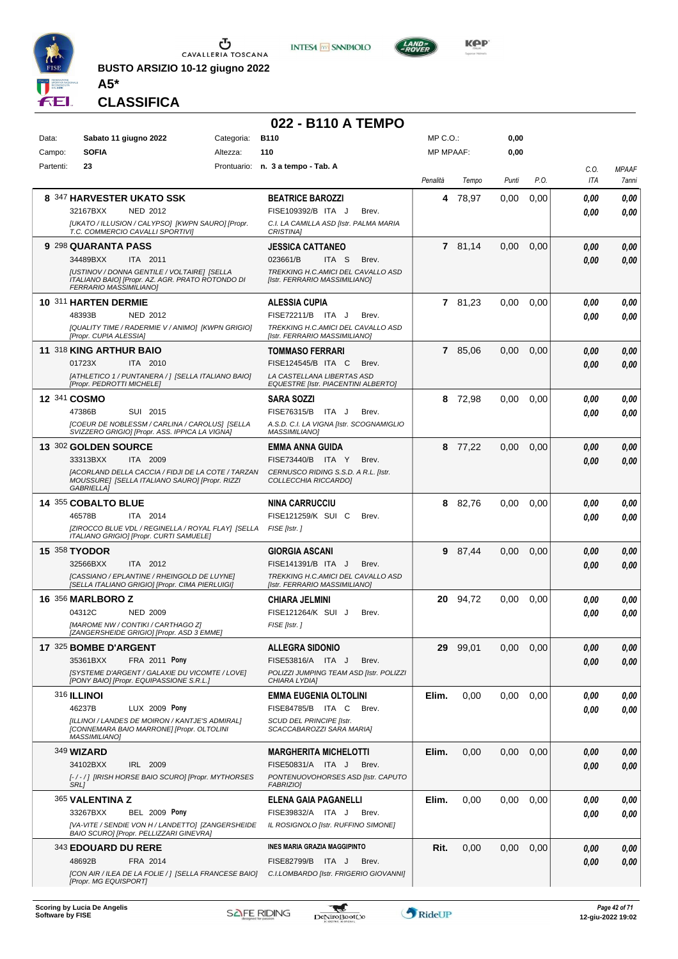

**BUSTO ARSIZIO 10-12 giugno 2022 A5\***





**KOP** 

**CLASSIFICA**

|           |                                                                                                                                         |            | 022 - B110 A TEMPO                                                        |                  |          |       |      |              |                       |
|-----------|-----------------------------------------------------------------------------------------------------------------------------------------|------------|---------------------------------------------------------------------------|------------------|----------|-------|------|--------------|-----------------------|
| Data:     | Sabato 11 giugno 2022                                                                                                                   | Categoria: | <b>B110</b>                                                               | MP C.O.:         |          | 0,00  |      |              |                       |
| Campo:    | <b>SOFIA</b>                                                                                                                            | Altezza:   | 110                                                                       | <b>MP MPAAF:</b> |          | 0,00  |      |              |                       |
| Partenti: | 23                                                                                                                                      |            | Prontuario: n. 3 a tempo - Tab. A                                         | Penalità         | Tempo    | Punti | P.O. | C.O.<br>ITA  | <b>MPAAF</b><br>7anni |
|           | 8 347 HARVESTER UKATO SSK                                                                                                               |            | <b>BEATRICE BAROZZI</b>                                                   | 4                | 78,97    | 0,00  | 0,00 | 0.00         | 0,00                  |
|           | 32167BXX<br><b>NED 2012</b><br>[UKATO / ILLUSION / CALYPSO] [KWPN SAURO] [Propr.                                                        |            | FISE109392/B ITA J<br>Brev.<br>C.I. LA CAMILLA ASD [Istr. PALMA MARIA     |                  |          |       |      | 0.00         | 0.00                  |
|           | T.C. COMMERCIO CAVALLI SPORTIVI]                                                                                                        |            | <b>CRISTINAI</b>                                                          |                  |          |       |      |              |                       |
|           | 9 298 QUARANTA PASS<br>34489BXX<br>ITA 2011                                                                                             |            | <b>JESSICA CATTANEO</b><br>023661/B<br>ITA <sub>S</sub><br>Brev.          |                  | 7 81,14  | 0,00  | 0,00 | 0.00<br>0.00 | 0,00<br>0.00          |
|           | <b>IUSTINOV / DONNA GENTILE / VOLTAIRE] [SELLA</b><br>ITALIANO BAIO] [Propr. AZ. AGR. PRATO ROTONDO DI<br><b>FERRARIO MASSIMILIANO]</b> |            | TREKKING H.C.AMICI DEL CAVALLO ASD<br>[Istr. FERRARIO MASSIMILIANO]       |                  |          |       |      |              |                       |
|           | 10 311 HARTEN DERMIE                                                                                                                    |            | <b>ALESSIA CUPIA</b>                                                      |                  | 7 81,23  | 0,00  | 0,00 | 0,00         | 0,00                  |
|           | 48393B<br>NED 2012                                                                                                                      |            | FISE72211/B ITA J<br>Brev.                                                |                  |          |       |      | 0.00         | 0.00                  |
|           | [QUALITY TIME / RADERMIE V / ANIMO] [KWPN GRIGIO]<br>[Propr. CUPIA ALESSIA]                                                             |            | TREKKING H.C.AMICI DEL CAVALLO ASD<br>[Istr. FERRARIO MASSIMILIANO]       |                  |          |       |      |              |                       |
|           | 11 318 KING ARTHUR BAIO                                                                                                                 |            | <b>TOMMASO FERRARI</b>                                                    |                  | 7 85,06  | 0,00  | 0,00 | 0,00         | 0,00                  |
|           | 01723X<br>ITA 2010<br>[ATHLETICO 1 / PUNTANERA / ] [SELLA ITALIANO BAIO]                                                                |            | FISE124545/B ITA C<br>Brev.<br>LA CASTELLANA LIBERTAS ASD                 |                  |          |       |      | 0.00         | 0.00                  |
|           | [Propr. PEDROTTI MICHELE]                                                                                                               |            | EQUESTRE [Istr. PIACENTINI ALBERTO]                                       |                  |          |       |      |              |                       |
|           | 12 341 COSMO                                                                                                                            |            | <b>SARA SOZZI</b>                                                         |                  | 8 72,98  | 0,00  | 0,00 | 0.00         | 0,00                  |
|           | 47386B<br>SUI 2015<br>[COEUR DE NOBLESSM / CARLINA / CAROLUS] [SELLA                                                                    |            | FISE76315/B<br>ITA J<br>Brev.<br>A.S.D. C.I. LA VIGNA [Istr. SCOGNAMIGLIO |                  |          |       |      | 0.00         | 0.00                  |
|           | SVIZZERO GRIGIO] [Propr. ASS. IPPICA LA VIGNA]                                                                                          |            | <b>MASSIMILIANOI</b>                                                      |                  |          |       |      |              |                       |
|           | 13 302 GOLDEN SOURCE<br>33313BXX<br>ITA 2009                                                                                            |            | <b>EMMA ANNA GUIDA</b><br>FISE73440/B ITA Y<br>Brev.                      |                  | 8 77,22  | 0,00  | 0,00 | 0.00         | 0,00                  |
|           | [ACORLAND DELLA CACCIA / FIDJI DE LA COTE / TARZAN                                                                                      |            | CERNUSCO RIDING S.S.D. A R.L. [Istr.                                      |                  |          |       |      | 0.00         | 0.00                  |
|           | MOUSSURE] [SELLA ITALIANO SAURO] [Propr. RIZZI<br><b>GABRIELLA]</b>                                                                     |            | COLLECCHIA RICCARDOI                                                      |                  |          |       |      |              |                       |
|           | 14 355 COBALTO BLUE                                                                                                                     |            | <b>NINA CARRUCCIU</b>                                                     |                  | 8 82,76  | 0,00  | 0,00 | 0.00         | 0,00                  |
|           | 46578B<br>ITA 2014                                                                                                                      |            | FISE121259/K SUI C<br>Brev.                                               |                  |          |       |      | 0.00         | 0.00                  |
|           | [ZIROCCO BLUE VDL / REGINELLA / ROYAL FLAY] [SELLA<br>ITALIANO GRIGIO] [Propr. CURTI SAMUELE]                                           |            | FISE [Istr.]                                                              |                  |          |       |      |              |                       |
|           | <b>15 358 TYODOR</b>                                                                                                                    |            | <b>GIORGIA ASCANI</b>                                                     | 9                | 87,44    | 0,00  | 0,00 | 0.00         | 0,00                  |
|           | 32566BXX<br>ITA 2012<br>[CASSIANO / EPLANTINE / RHEINGOLD DE LUYNE]                                                                     |            | FISE141391/B ITA J<br>Brev.<br>TREKKING H.C.AMICI DEL CAVALLO ASD         |                  |          |       |      | 0.00         | 0.00                  |
|           | [SELLA ITALIANO GRIGIO] [Propr. CIMA PIERLUIGI]                                                                                         |            | [Istr. FERRARIO MASSIMILIANO]                                             |                  |          |       |      |              |                       |
|           | <b>16 356 MARLBORO Z</b>                                                                                                                |            | <b>CHIARA JELMINI</b>                                                     |                  | 20 94,72 | 0,00  | 0,00 | 0.00         | 0,00                  |
|           | 04312C<br><b>NED 2009</b><br>[MAROME NW / CONTIKI / CARTHAGO Z]                                                                         |            | FISE121264/K SUI J<br>Brev.<br>FISE [Istr. ]                              |                  |          |       |      | 0.00         | 0.00                  |
|           | [ZANGERSHEIDE GRIGIO] [Propr. ASD 3 EMME]                                                                                               |            |                                                                           |                  |          |       |      |              |                       |
|           | 17 325 BOMBE D'ARGENT<br>35361BXX<br><b>FRA 2011 Pony</b>                                                                               |            | <b>ALLEGRA SIDONIO</b><br>FISE53816/A ITA J<br>Brev.                      |                  | 29 99,01 | 0,00  | 0,00 | 0,00         | 0,00                  |
|           | [SYSTEME D'ARGENT / GALAXIE DU VICOMTE / LOVE]                                                                                          |            | POLIZZI JUMPING TEAM ASD [Istr. POLIZZI                                   |                  |          |       |      | 0,00         | 0,00                  |
|           | [PONY BAIO] [Propr. EQUIPASSIONE S.R.L.]                                                                                                |            | CHIARA LYDIA]                                                             |                  |          |       |      |              |                       |
|           | <b>316 ILLINOI</b><br>46237B<br>LUX 2009 Pony                                                                                           |            | <b>EMMA EUGENIA OLTOLINI</b><br>FISE84785/B ITA C<br>Brev.                | Elim.            | 0,00     | 0,00  | 0.00 | 0.00<br>0.00 | 0,00<br>0,00          |
|           | [ILLINOI / LANDES DE MOIRON / KANTJE'S ADMIRAL]                                                                                         |            | SCUD DEL PRINCIPE [Istr.                                                  |                  |          |       |      |              |                       |
|           | <b>[CONNEMARA BAIO MARRONE] [Propr. OLTOLINI</b><br><b>MASSIMILIANO]</b>                                                                |            | SCACCABAROZZI SARA MARIA]                                                 |                  |          |       |      |              |                       |
|           | 349 <b>WIZARD</b>                                                                                                                       |            | <b>MARGHERITA MICHELOTTI</b>                                              | Elim.            | 0,00     | 0,00  | 0,00 | 0,00         | 0,00                  |
|           | 34102BXX<br>IRL 2009<br>[-/-/] [IRISH HORSE BAIO SCURO] [Propr. MYTHORSES                                                               |            | FISE50831/A ITA J<br>Brev.<br>PONTENUOVOHORSES ASD [Istr. CAPUTO          |                  |          |       |      | 0.00         | 0,00                  |
|           | SRL]                                                                                                                                    |            | <b>FABRIZIO]</b>                                                          |                  |          |       |      |              |                       |
|           | 365 VALENTINA Z                                                                                                                         |            | ELENA GAIA PAGANELLI                                                      | Elim.            | 0,00     | 0,00  | 0,00 | 0.00         | 0,00                  |
|           | 33267BXX<br><b>BEL 2009 Pony</b><br>[VA-VITE / SENDIE VON H / LANDETTO] [ZANGERSHEIDE                                                   |            | FISE39832/A ITA J<br>Brev.<br>IL ROSIGNOLO [Istr. RUFFINO SIMONE]         |                  |          |       |      | 0.00         | 0,00                  |
|           | BAIO SCURO] [Propr. PELLIZZARI GINEVRA]                                                                                                 |            |                                                                           |                  |          |       |      |              |                       |
|           | <b>343 EDOUARD DU RERE</b><br>48692B<br>FRA 2014                                                                                        |            | INES MARIA GRAZIA MAGGIPINTO<br>FISE82799/B ITA J                         | Rit.             | 0,00     | 0,00  | 0,00 | 0.00         | 0,00                  |
|           | [CON AIR / ILEA DE LA FOLIE / ] [SELLA FRANCESE BAIO]                                                                                   |            | Brev.<br>C.I.LOMBARDO [Istr. FRIGERIO GIOVANNI]                           |                  |          |       |      | 0,00         | 0,00                  |
|           | [Propr. MG EQUISPORT]                                                                                                                   |            |                                                                           |                  |          |       |      |              |                       |

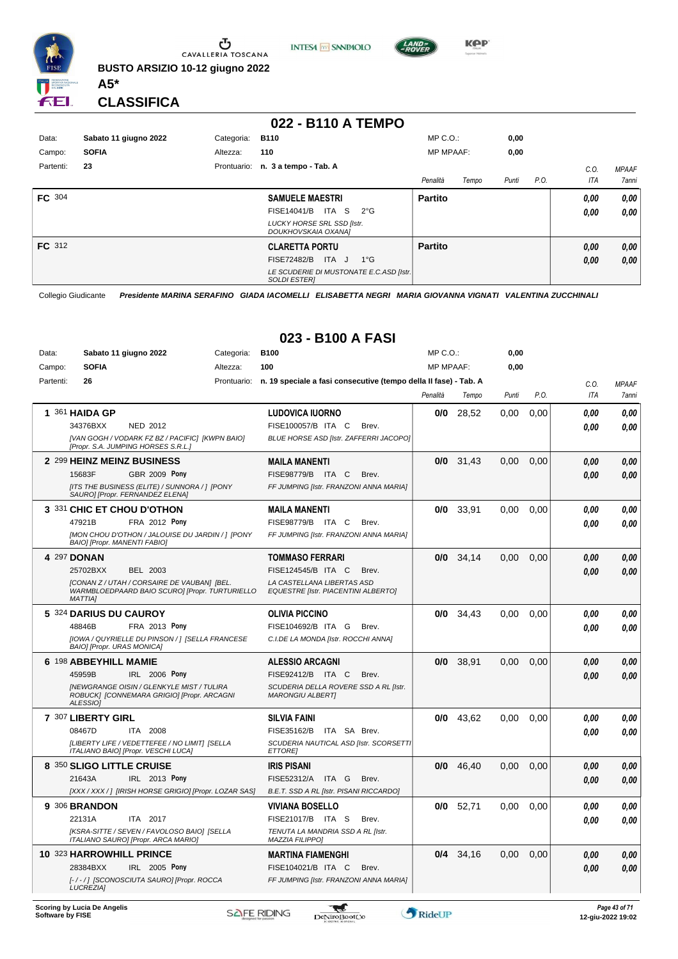

**INTESA M** SANPAOLO



**KPP** 

**CLASSIFICA**

**A5\***

#### **022 - B110 A TEMPO**

| Data:         | Sabato 11 giugno 2022 | Categoria: | <b>B110</b>                                                     | $MP C. O.$ :     |       | 0,00  |      |      |              |
|---------------|-----------------------|------------|-----------------------------------------------------------------|------------------|-------|-------|------|------|--------------|
| Campo:        | <b>SOFIA</b>          | Altezza:   | 110                                                             | <b>MP MPAAF:</b> |       | 0,00  |      |      |              |
| Partenti:     | 23                    |            | Prontuario: n. 3 a tempo - Tab. A                               |                  |       |       |      | C.0  | <b>MPAAF</b> |
|               |                       |            |                                                                 | Penalità         | Tempo | Punti | P.O. | ITA  | 7anni        |
| <b>FC</b> 304 |                       |            | <b>SAMUELE MAESTRI</b>                                          | <b>Partito</b>   |       |       |      | 0,00 | 0,00         |
|               |                       |            | ITA S<br>FISE14041/B<br>$2^{\circ}G$                            |                  |       |       |      | 0.00 | 0,00         |
|               |                       |            | <b>LUCKY HORSE SRL SSD [Istr.</b><br>DOUKHOVSKAIA OXANA]        |                  |       |       |      |      |              |
| FC 312        |                       |            | <b>CLARETTA PORTU</b>                                           | <b>Partito</b>   |       |       |      | 0,00 | 0,00         |
|               |                       |            | <b>FISE72482/B</b><br>ITA J<br>$1^{\circ}$ G                    |                  |       |       |      | 0,00 | 0,00         |
|               |                       |            | LE SCUDERIE DI MUSTONATE E.C.ASD [Istr.]<br><b>SOLDI ESTERI</b> |                  |       |       |      |      |              |

Collegio Giudicante *Presidente MARINA SERAFINO GIADA IACOMELLI ELISABETTA NEGRI MARIA GIOVANNA VIGNATI VALENTINA ZUCCHINALI*

|           |                                     |                                                                                                |             | UZJ - DIUU A FAJI                                                        |                  |             |       |      |            |              |
|-----------|-------------------------------------|------------------------------------------------------------------------------------------------|-------------|--------------------------------------------------------------------------|------------------|-------------|-------|------|------------|--------------|
| Data:     |                                     | Sabato 11 giugno 2022                                                                          | Categoria:  | <b>B100</b>                                                              | MP C.O.          |             | 0,00  |      |            |              |
| Campo:    | <b>SOFIA</b>                        |                                                                                                | Altezza:    | 100                                                                      | <b>MP MPAAF:</b> |             | 0,00  |      |            |              |
| Partenti: | 26                                  |                                                                                                | Prontuario: | n. 19 speciale a fasi consecutive (tempo della II fase) - Tab. A         |                  |             |       |      | C.O.       | <b>MPAAF</b> |
|           |                                     |                                                                                                |             |                                                                          | Penalità         | Tempo       | Punti | P.O. | <b>ITA</b> | 7anni        |
|           | 1 361 HAIDA GP                      |                                                                                                |             | <b>LUDOVICA IUORNO</b>                                                   | 0/0              | 28,52       | 0,00  | 0,00 | 0.00       | 0,00         |
|           | 34376BXX                            | NED 2012                                                                                       |             | FISE100057/B ITA C<br>Brev.                                              |                  |             |       |      | 0.00       | 0.00         |
|           |                                     | [VAN GOGH / VODARK FZ BZ / PACIFIC] [KWPN BAIO]<br>[Propr. S.A. JUMPING HORSES S.R.L.]         |             | BLUE HORSE ASD [Istr. ZAFFERRI JACOPO]                                   |                  |             |       |      |            |              |
|           |                                     | 2 299 HEINZ MEINZ BUSINESS                                                                     |             | <b>MAILA MANENTI</b>                                                     | 0/0              | 31.43       | 0.00  | 0.00 | 0.00       | 0,00         |
|           | 15683F                              | <b>GBR 2009 Pony</b>                                                                           |             | FISE98779/B ITA C<br>Brev.                                               |                  |             |       |      | 0.00       | 0.00         |
|           |                                     | [ITS THE BUSINESS (ELITE) / SUNNORA / ] [PONY<br>SAURO] [Propr. FERNANDEZ ELENA]               |             | FF JUMPING [Istr. FRANZONI ANNA MARIA]                                   |                  |             |       |      |            |              |
|           |                                     | 3 331 CHIC ET CHOU D'OTHON                                                                     |             | <b>MAILA MANENTI</b>                                                     | 0/0              | 33,91       | 0,00  | 0,00 | 0.00       | 0,00         |
|           | 47921B                              | FRA 2012 Pony                                                                                  |             | FISE98779/B ITA C<br>Brev.                                               |                  |             |       |      | 0.00       | 0.00         |
|           | <b>BAIOI [Propr. MANENTI FABIO]</b> | [MON CHOU D'OTHON / JALOUISE DU JARDIN / ] [PONY                                               |             | FF JUMPING [Istr. FRANZONI ANNA MARIA]                                   |                  |             |       |      |            |              |
|           | 4 297 DONAN                         |                                                                                                |             | <b>TOMMASO FERRARI</b>                                                   | 0/0              | 34,14       | 0.00  | 0.00 | 0.00       | 0,00         |
|           | 25702BXX                            | BEL 2003                                                                                       |             | FISE124545/B ITA C<br>Brev.                                              |                  |             |       |      | 0.00       | 0.00         |
|           | <b>MATTIAI</b>                      | [CONAN Z / UTAH / CORSAIRE DE VAUBAN] [BEL.<br>WARMBLOEDPAARD BAIO SCUROI IPropr. TURTURIELLO  |             | LA CASTELLANA LIBERTAS ASD<br><b>EQUESTRE [Istr. PIACENTINI ALBERTO]</b> |                  |             |       |      |            |              |
|           | 5 324 DARIUS DU CAUROY              |                                                                                                |             | <b>OLIVIA PICCINO</b>                                                    | 0/0              | 34.43       | 0.00  | 0.00 | 0.00       | 0,00         |
|           | 48846B                              | FRA 2013 Pony                                                                                  |             | FISE104692/B ITA G<br>Brev.                                              |                  |             |       |      | 0.00       | 0.00         |
|           | <b>BAIO] [Propr. URAS MONICA]</b>   | [IOWA / QUYRIELLE DU PINSON / ] [SELLA FRANCESE                                                |             | C.I.DE LA MONDA [Istr. ROCCHI ANNA]                                      |                  |             |       |      |            |              |
|           | 6 198 ABBEYHILL MAMIE               |                                                                                                |             | <b>ALESSIO ARCAGNI</b>                                                   | 0/0              | 38,91       | 0,00  | 0,00 | 0.00       | 0,00         |
|           | 45959B                              | IRL 2006 Pony                                                                                  |             | FISE92412/B ITA C<br>Brev.                                               |                  |             |       |      | 0.00       | 0.00         |
|           | <b>ALESSIOI</b>                     | <b>INEWGRANGE OISIN / GLENKYLE MIST / TULIRA</b><br>ROBUCK] [CONNEMARA GRIGIO] [Propr. ARCAGNI |             | SCUDERIA DELLA ROVERE SSD A RL [Istr.<br><b>MARONGIU ALBERTI</b>         |                  |             |       |      |            |              |
|           | 7 307 LIBERTY GIRL                  |                                                                                                |             | <b>SILVIA FAINI</b>                                                      | 0/0              | 43,62       | 0.00  | 0.00 | 0.00       | 0.00         |
|           | 08467D                              | ITA 2008                                                                                       |             | FISE35162/B<br>ITA SA Brev.                                              |                  |             |       |      | 0.00       | 0.00         |
|           |                                     | [LIBERTY LIFE / VEDETTEFEE / NO LIMIT] [SELLA<br>ITALIANO BAIO] [Propr. VESCHI LUCA]           |             | SCUDERIA NAUTICAL ASD [Istr. SCORSETTI<br><b>ETTOREI</b>                 |                  |             |       |      |            |              |
|           | 8 350 SLIGO LITTLE CRUISE           |                                                                                                |             | <b>IRIS PISANI</b>                                                       |                  | $0/0$ 46,40 | 0,00  | 0,00 | 0.00       | 0,00         |
|           | 21643A                              | IRL 2013 Pony                                                                                  |             | FISE52312/A<br>ITA G<br>Brev.                                            |                  |             |       |      | 0.00       | 0.00         |
|           |                                     | [XXX / XXX /] [IRISH HORSE GRIGIO] [Propr. LOZAR SAS]                                          |             | B.E.T. SSD A RL [Istr. PISANI RICCARDO]                                  |                  |             |       |      |            |              |
|           | 9 306 BRANDON                       |                                                                                                |             | <b>VIVIANA BOSELLO</b>                                                   | 0/0              | 52.71       | 0.00  | 0.00 | 0.00       | 0,00         |
|           | 22131A                              | ITA 2017                                                                                       |             | FISE21017/B ITA S<br>Brev.                                               |                  |             |       |      | 0.00       | 0.00         |
|           |                                     | [KSRA-SITTE / SEVEN / FAVOLOSO BAIO] [SELLA<br>ITALIANO SAURO] [Propr. ARCA MARIO]             |             | TENUTA LA MANDRIA SSD A RL [Istr.<br><b>MAZZIA FILIPPO]</b>              |                  |             |       |      |            |              |
|           | 10 323 HARROWHILL PRINCE            |                                                                                                |             | <b>MARTINA FIAMENGHI</b>                                                 | 0/4              | 34,16       | 0,00  | 0,00 | 0.00       | 0,00         |
|           | 28384BXX                            | IRL 2005 Pony                                                                                  |             | FISE104021/B ITA C<br>Brev.                                              |                  |             |       |      | 0.00       | 0.00         |
|           | <b>LUCREZIA1</b>                    | [-/-/] [SCONOSCIUTA SAURO] [Propr. ROCCA                                                       |             | FF JUMPING [Istr. FRANZONI ANNA MARIA]                                   |                  |             |       |      |            |              |

### **023 - B100 A FASI**

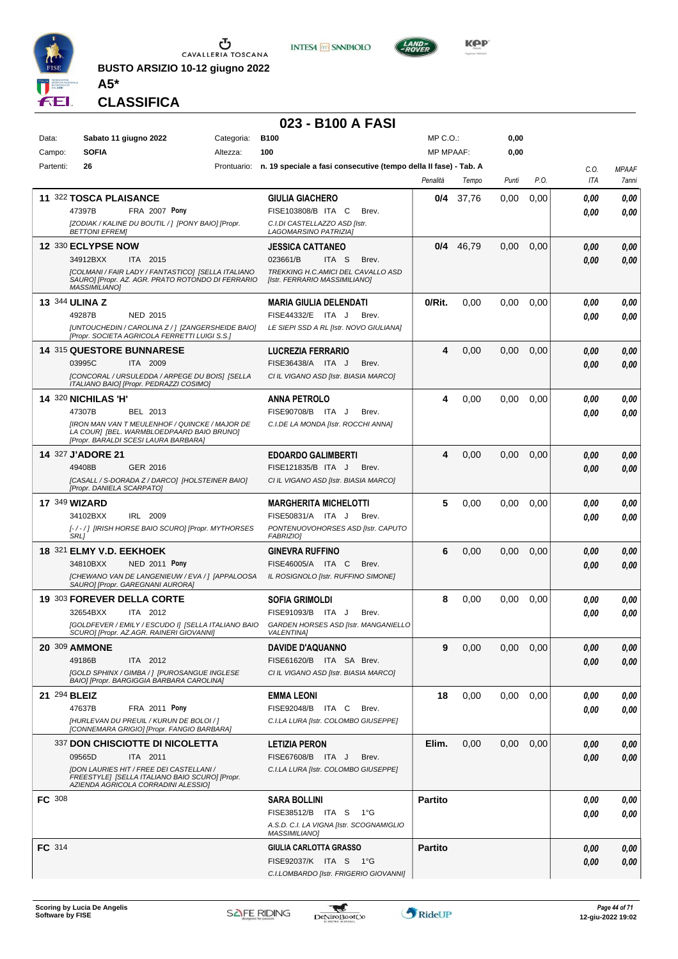

**INTESA M** SNNPAOLO



**KOP** 

**CLASSIFICA**

**A5\***

#### **023 - B100 A FASI**

| Data:         | Sabato 11 giugno 2022                                                                                                                    | Categoria:  | <b>B100</b>                                                      | MP C.O.:         |       | 0,00  |      |              |              |
|---------------|------------------------------------------------------------------------------------------------------------------------------------------|-------------|------------------------------------------------------------------|------------------|-------|-------|------|--------------|--------------|
| Campo:        | <b>SOFIA</b>                                                                                                                             | Altezza:    | 100                                                              | <b>MP MPAAF:</b> |       | 0,00  |      |              |              |
| Partenti:     | 26                                                                                                                                       | Prontuario: | n. 19 speciale a fasi consecutive (tempo della II fase) - Tab. A |                  |       |       |      | C.O.         | <b>MPAAF</b> |
|               |                                                                                                                                          |             |                                                                  | Penalità         | Tempo | Punti | P.O. | <b>ITA</b>   | 7anni        |
|               | 11 322 TOSCA PLAISANCE                                                                                                                   |             | <b>GIULIA GIACHERO</b>                                           | 0/4              | 37,76 | 0.00  | 0,00 | 0.00         | 0,00         |
|               | 47397B<br><b>FRA 2007 Pony</b>                                                                                                           |             | FISE103808/B ITA C<br>Brev.                                      |                  |       |       |      | 0.00         | 0,00         |
|               | [ZODIAK / KALINE DU BOUTIL / ] [PONY BAIO] [Propr.<br><b>BETTONI EFREMI</b>                                                              |             | C.I.DI CASTELLAZZO ASD [Istr.<br>LAGOMARSINO PATRIZIA]           |                  |       |       |      |              |              |
|               | 12 330 ECLYPSE NOW                                                                                                                       |             | JESSICA CATTANEO                                                 | 0/4              | 46,79 | 0,00  | 0,00 | 0.00         | 0,00         |
|               | ITA 2015<br>34912BXX                                                                                                                     |             | 023661/B<br>ITA <sub>S</sub><br>Brev.                            |                  |       |       |      | 0.00         | 0,00         |
|               | [COLMANI / FAIR LADY / FANTASTICO] [SELLA ITALIANO                                                                                       |             | TREKKING H.C.AMICI DEL CAVALLO ASD                               |                  |       |       |      |              |              |
|               | SAURO] [Propr. AZ. AGR. PRATO ROTONDO DI FERRARIO<br><b>MASSIMILIANO1</b>                                                                |             | [Istr. FERRARIO MASSIMILIANO]                                    |                  |       |       |      |              |              |
|               | <b>13 344 ULINA Z</b>                                                                                                                    |             | <b>MARIA GIULIA DELENDATI</b>                                    | 0/Rit.           | 0,00  | 0,00  | 0,00 | 0.00         | 0,00         |
|               | 49287B<br><b>NED 2015</b>                                                                                                                |             | FISE44332/E ITA J<br>Brev.                                       |                  |       |       |      | 0.00         | 0.00         |
|               | [UNTOUCHEDIN / CAROLINA Z / ] [ZANGERSHEIDE BAIO]<br>[Propr. SOCIETA AGRICOLA FERRETTI LUIGI S.S.]                                       |             | LE SIEPI SSD A RL [Istr. NOVO GIULIANA]                          |                  |       |       |      |              |              |
|               | <b>14 315 QUESTORE BUNNARESE</b>                                                                                                         |             | LUCREZIA FERRARIO                                                | 4                | 0,00  | 0,00  | 0,00 | 0.00         | 0,00         |
|               | 03995C<br>ITA 2009                                                                                                                       |             | FISE36438/A ITA J<br>Brev.                                       |                  |       |       |      | 0.00         | 0,00         |
|               | [CONCORAL / URSULEDDA / ARPEGE DU BOIS] [SELLA                                                                                           |             | CI IL VIGANO ASD [Istr. BIASIA MARCO]                            |                  |       |       |      |              |              |
|               | ITALIANO BAIOI [Propr. PEDRAZZI COSIMO]                                                                                                  |             |                                                                  |                  |       |       |      |              |              |
|               | <b>14 320 NICHILAS 'H'</b><br>47307B<br>BEL 2013                                                                                         |             | <b>ANNA PETROLO</b><br>FISE90708/B ITA J<br>Brev.                | 4                | 0,00  | 0,00  | 0,00 | 0.00<br>0.00 | 0,00<br>0.00 |
|               | [IRON MAN VAN T MEULENHOF / QUINCKE / MAJOR DE                                                                                           |             | C.I.DE LA MONDA [Istr. ROCCHI ANNA]                              |                  |       |       |      |              |              |
|               | LA COUR] [BEL. WARMBLOEDPAARD BAIO BRUNO]<br>[Propr. BARALDI SCESI LAURA BARBARA]                                                        |             |                                                                  |                  |       |       |      |              |              |
|               | 14 327 J'ADORE 21                                                                                                                        |             | <b>EDOARDO GALIMBERTI</b>                                        | 4                | 0,00  | 0,00  | 0,00 | 0.00         | 0,00         |
|               | 49408B<br>GER 2016                                                                                                                       |             | FISE121835/B ITA J<br>Brev.                                      |                  |       |       |      | 0.00         | 0,00         |
|               | [CASALL / S-DORADA Z / DARCO] [HOLSTEINER BAIO]<br>[Propr. DANIELA SCARPATO]                                                             |             | CI IL VIGANO ASD [Istr. BIASIA MARCO]                            |                  |       |       |      |              |              |
|               | <b>17 349 WIZARD</b>                                                                                                                     |             | <b>MARGHERITA MICHELOTTI</b>                                     | 5                | 0,00  | 0,00  | 0,00 | 0.00         | 0,00         |
|               | 34102BXX<br>IRL 2009                                                                                                                     |             | FISE50831/A ITA J<br>Brev.                                       |                  |       |       |      | 0.00         | 0.00         |
|               | [-/-/] [IRISH HORSE BAIO SCURO] [Propr. MYTHORSES<br>SRL]                                                                                |             | PONTENUOVOHORSES ASD [Istr. CAPUTO<br><b>FABRIZIO]</b>           |                  |       |       |      |              |              |
|               | 18 321 ELMY V.D. EEKHOEK                                                                                                                 |             | <b>GINEVRA RUFFINO</b>                                           | 6                | 0,00  | 0,00  | 0,00 | 0.00         | 0,00         |
|               | 34810BXX<br><b>NED 2011 Pony</b>                                                                                                         |             | FISE46005/A ITA C<br>Brev.                                       |                  |       |       |      | 0.00         | 0.00         |
|               | [CHEWANO VAN DE LANGENIEUW / EVA / ] [APPALOOSA<br>SAURO] [Propr. GAREGNANI AURORA]                                                      |             | IL ROSIGNOLO [Istr. RUFFINO SIMONE]                              |                  |       |       |      |              |              |
|               | 19 303 FOREVER DELLA CORTE                                                                                                               |             | <b>SOFIA GRIMOLDI</b>                                            | 8                | 0,00  | 0,00  | 0,00 | 0.00         | 0,00         |
|               | 32654BXX<br>ITA 2012                                                                                                                     |             | FISE91093/B ITA J<br>Brev.                                       |                  |       |       |      | 0.00         | 0.00         |
|               | [GOLDFEVER / EMILY / ESCUDO I] [SELLA ITALIANO BAIO                                                                                      |             | GARDEN HORSES ASD [Istr. MANGANIELLO                             |                  |       |       |      |              |              |
|               | SCURO] [Propr. AZ.AGR. RAINERI GIOVANNI]                                                                                                 |             | <b>VALENTINA1</b>                                                |                  |       |       |      |              |              |
|               | <b>20 309 AMMONE</b><br>49186B<br>ITA 2012                                                                                               |             | <b>DAVIDE D'AQUANNO</b><br>FISE61620/B ITA SA Brev.              | 9                | 0,00  | 0,00  | 0,00 | 0,00         | 0,00         |
|               | [GOLD SPHINX / GIMBA / ] [PUROSANGUE INGLESE                                                                                             |             | CI IL VIGANO ASD [Istr. BIASIA MARCO]                            |                  |       |       |      | 0.00         | 0.00         |
|               | BAIO] [Propr. BARGIGGIA BARBARA CAROLINA]                                                                                                |             |                                                                  |                  |       |       |      |              |              |
|               | 21 294 BLEIZ                                                                                                                             |             | <b>EMMA LEONI</b>                                                | 18               | 0,00  | 0,00  | 0,00 | 0.00         | 0,00         |
|               | 47637B<br>FRA 2011 Pony                                                                                                                  |             | FISE92048/B ITA C<br>Brev.                                       |                  |       |       |      | 0.00         | 0.00         |
|               | [HURLEVAN DU PREUIL / KURUN DE BOLOI / ]<br>[CONNEMARA GRIGIO] [Propr. FANGIO BARBARA]                                                   |             | C.I.LA LURA [Istr. COLOMBO GIUSEPPE]                             |                  |       |       |      |              |              |
|               | 337 DON CHISCIOTTE DI NICOLETTA                                                                                                          |             | <b>LETIZIA PERON</b>                                             | Elim.            | 0,00  | 0,00  | 0,00 | 0.00         | 0,00         |
|               | 09565D<br>ITA 2011                                                                                                                       |             | FISE67608/B ITA J<br>Brev.                                       |                  |       |       |      | 0.00         | 0,00         |
|               | <b>IDON LAURIES HIT / FREE DEI CASTELLANI /</b><br>FREESTYLE] [SELLA ITALIANO BAIO SCURO] [Propr.<br>AZIENDA AGRICOLA CORRADINI ALESSIO] |             | C.I.LA LURA [Istr. COLOMBO GIUSEPPE]                             |                  |       |       |      |              |              |
| <b>FC</b> 308 |                                                                                                                                          |             | <b>SARA BOLLINI</b>                                              | <b>Partito</b>   |       |       |      | 0,00         | 0,00         |
|               |                                                                                                                                          |             | FISE38512/B ITA S<br>1°G                                         |                  |       |       |      | 0,00         | 0,00         |
|               |                                                                                                                                          |             | A.S.D. C.I. LA VIGNA [Istr. SCOGNAMIGLIO<br><b>MASSIMILIANO]</b> |                  |       |       |      |              |              |
| FC 314        |                                                                                                                                          |             | GIULIA CARLOTTA GRASSO                                           | <b>Partito</b>   |       |       |      | 0,00         | 0,00         |
|               |                                                                                                                                          |             | FISE92037/K ITA S 1°G                                            |                  |       |       |      | 0.00         | 0,00         |
|               |                                                                                                                                          |             | C.I.LOMBARDO [Istr. FRIGERIO GIOVANNI]                           |                  |       |       |      |              |              |

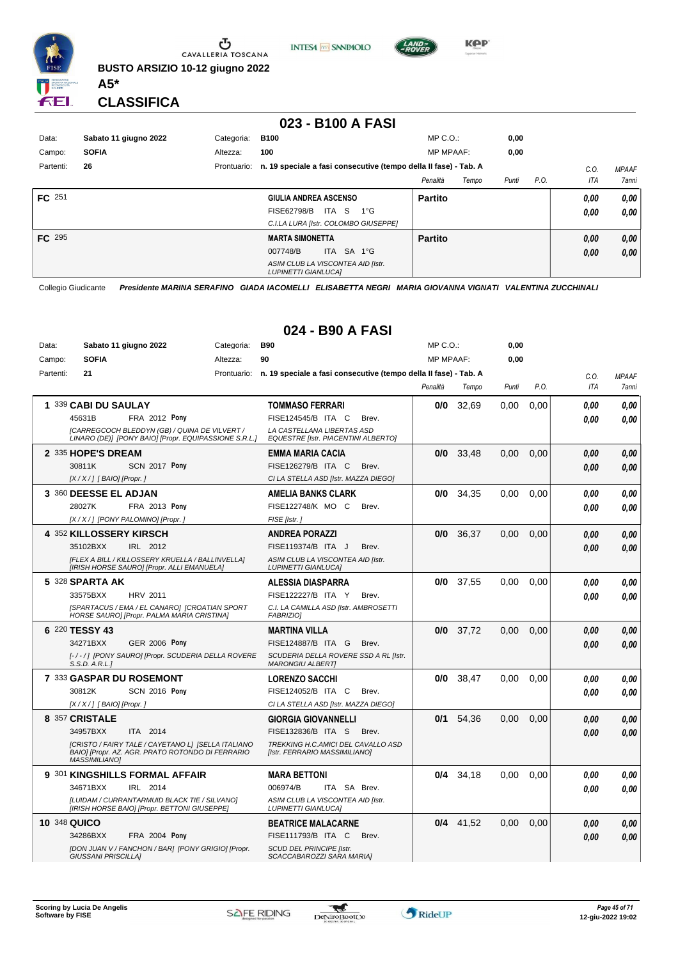

**INTESA** M SANPAOLO



**KPP** 

**CLASSIFICA**

**A5\***

#### **023 - B100 A FASI**

| Data:     | Sabato 11 giugno 2022 | Categoria:  | <b>B100</b>                                                      | $MP C. O.$ :      | 0,00  |      |      |              |
|-----------|-----------------------|-------------|------------------------------------------------------------------|-------------------|-------|------|------|--------------|
| Campo:    | <b>SOFIA</b>          | Altezza:    | 100                                                              | <b>MP MPAAF:</b>  | 0,00  |      |      |              |
| Partenti: | 26                    | Prontuario: | n. 19 speciale a fasi consecutive (tempo della II fase) - Tab. A |                   |       |      | C.0  | <b>MPAAF</b> |
|           |                       |             |                                                                  | Penalità<br>Tempo | Punti | P.O. | ITA  | <b>7anni</b> |
| FC 251    |                       |             | GIULIA ANDREA ASCENSO                                            | <b>Partito</b>    |       |      | 0.00 | 0,00         |
|           |                       |             | <b>FISE62798/B</b><br>ITA S<br>1°G                               |                   |       |      | 0.00 | 0,00         |
|           |                       |             | C.I.LA LURA [Istr. COLOMBO GIUSEPPE]                             |                   |       |      |      |              |
| FC 295    |                       |             | <b>MARTA SIMONETTA</b>                                           | <b>Partito</b>    |       |      | 0,00 | 0,00         |
|           |                       |             | ITA SA 1°G<br>007748/B                                           |                   |       |      | 0,00 | 0,00         |
|           |                       |             | ASIM CLUB LA VISCONTEA AID [Istr.<br><b>LUPINETTI GIANLUCAI</b>  |                   |       |      |      |              |

Collegio Giudicante *Presidente MARINA SERAFINO GIADA IACOMELLI ELISABETTA NEGRI MARIA GIOVANNA VIGNATI VALENTINA ZUCCHINALI*

#### **024 - B90 A FASI**

| Data:        | Sabato 11 giugno 2022                                                                                                          | Categoria: | <b>B90</b>                                                                   | MP C. O.         |             | 0,00  |      |            |              |
|--------------|--------------------------------------------------------------------------------------------------------------------------------|------------|------------------------------------------------------------------------------|------------------|-------------|-------|------|------------|--------------|
| Campo:       | <b>SOFIA</b>                                                                                                                   | Altezza:   | 90                                                                           | <b>MP MPAAF:</b> |             | 0,00  |      |            |              |
| Partenti:    | 21                                                                                                                             |            | Prontuario: n. 19 speciale a fasi consecutive (tempo della II fase) - Tab. A |                  |             |       |      | C.O.       | <b>MPAAF</b> |
|              |                                                                                                                                |            |                                                                              | Penalità         | Tempo       | Punti | P.O. | <b>ITA</b> | 7anni        |
|              | 1 339 CABI DU SAULAY                                                                                                           |            | <b>TOMMASO FERRARI</b>                                                       | 0/0              | 32,69       | 0,00  | 0,00 | 0.00       | 0,00         |
|              | FRA 2012 Pony<br>45631B                                                                                                        |            | FISE124545/B ITA C<br>Brev.                                                  |                  |             |       |      | 0.00       | 0.00         |
|              | ICARREGCOCH BLEDDYN (GB) / QUINA DE VILVERT /<br>LINARO (DE)] [PONY BAIO] [Propr. EQUIPASSIONE S.R.L.]                         |            | LA CASTELLANA LIBERTAS ASD<br>EQUESTRE [Istr. PIACENTINI ALBERTO]            |                  |             |       |      |            |              |
|              | 2 335 HOPE'S DREAM                                                                                                             |            | <b>EMMA MARIA CACIA</b>                                                      |                  | $0/0$ 33,48 | 0.00  | 0,00 | 0.00       | 0.00         |
|              | 30811K<br><b>SCN 2017 Pony</b>                                                                                                 |            | FISE126279/B ITA C<br>Brev.                                                  |                  |             |       |      | 0.00       | 0.00         |
|              | $[X/X/]$ [BAIO] [Propr.]                                                                                                       |            | CI LA STELLA ASD [Istr. MAZZA DIEGO]                                         |                  |             |       |      |            |              |
|              | 3 360 DEESSE EL ADJAN                                                                                                          |            | <b>AMELIA BANKS CLARK</b>                                                    |                  | $0/0$ 34.35 | 0.00  | 0.00 | 0.00       | 0.00         |
|              | 28027K<br><b>FRA 2013 Pony</b>                                                                                                 |            | FISE122748/K MO C<br>Brev.                                                   |                  |             |       |      | 0.00       | 0.00         |
|              | [X / X / ] [PONY PALOMINO] [Propr.]                                                                                            |            | FISE [Istr.]                                                                 |                  |             |       |      |            |              |
|              | 4 352 KILLOSSERY KIRSCH                                                                                                        |            | <b>ANDREA PORAZZI</b>                                                        |                  | 0/0 36,37   | 0,00  | 0,00 | 0,00       | 0,00         |
|              | 35102BXX<br>IRL 2012                                                                                                           |            | FISE119374/B ITA J<br>Brev.                                                  |                  |             |       |      | 0.00       | 0.00         |
|              | [FLEX A BILL / KILLOSSERY KRUELLA / BALLINVELLA]<br>[IRISH HORSE SAURO] [Propr. ALLI EMANUELA]                                 |            | ASIM CLUB LA VISCONTEA AID [Istr.<br><b>LUPINETTI GIANLUCA]</b>              |                  |             |       |      |            |              |
|              | 5 328 SPARTA AK                                                                                                                |            | ALESSIA DIASPARRA                                                            |                  | $0/0$ 37,55 | 0.00  | 0.00 | 0.00       | 0.00         |
|              | 33575BXX<br><b>HRV 2011</b>                                                                                                    |            | FISE122227/B ITA Y<br>Brev.                                                  |                  |             |       |      | 0.00       | 0.00         |
|              | [SPARTACUS / EMA / EL CANARO] [CROATIAN SPORT<br>HORSE SAURO] [Propr. PALMA MARIA CRISTINA]                                    |            | C.I. LA CAMILLA ASD [Istr. AMBROSETTI<br><b>FABRIZIOI</b>                    |                  |             |       |      |            |              |
|              | 6 220 TESSY 43                                                                                                                 |            | <b>MARTINA VILLA</b>                                                         |                  | $0/0$ 37,72 | 0,00  | 0,00 | 0.00       | 0,00         |
|              | 34271BXX<br><b>GER 2006 Pony</b>                                                                                               |            | FISE124887/B ITA G<br>Brev.                                                  |                  |             |       |      | 0.00       | 0.00         |
|              | [-/-/] [PONY SAURO] [Propr. SCUDERIA DELLA ROVERE<br>S.S.D. A.R.L.]                                                            |            | SCUDERIA DELLA ROVERE SSD A RL [Istr.<br><b>MARONGIU ALBERTI</b>             |                  |             |       |      |            |              |
|              | 7 333 GASPAR DU ROSEMONT                                                                                                       |            | <b>LORENZO SACCHI</b>                                                        |                  | $0/0$ 38,47 | 0.00  | 0.00 | 0.00       | 0.00         |
|              | 30812K<br><b>SCN 2016 Pony</b>                                                                                                 |            | FISE124052/B ITA C<br>Brev.                                                  |                  |             |       |      | 0.00       | 0.00         |
|              | $[X/X/]$ [BAIO] [Propr.]                                                                                                       |            | CI LA STELLA ASD [Istr. MAZZA DIEGO]                                         |                  |             |       |      |            |              |
|              | 8 357 CRISTALE                                                                                                                 |            | <b>GIORGIA GIOVANNELLI</b>                                                   | 0/1              | 54.36       | 0.00  | 0.00 | 0.00       | 0.00         |
|              | 34957BXX<br>ITA 2014                                                                                                           |            | FISE132836/B ITA S<br>Brev.                                                  |                  |             |       |      | 0.00       | 0,00         |
|              | [CRISTO / FAIRY TALE / CAYETANO L] [SELLA ITALIANO<br>BAIO] [Propr. AZ. AGR. PRATO ROTONDO DI FERRARIO<br><b>MASSIMILIANO]</b> |            | TREKKING H.C.AMICI DEL CAVALLO ASD<br>[Istr. FERRARIO MASSIMILIANO]          |                  |             |       |      |            |              |
|              | 9 301 KINGSHILLS FORMAL AFFAIR                                                                                                 |            | <b>MARA BETTONI</b>                                                          |                  | $0/4$ 34,18 | 0.00  | 0.00 | 0.00       | 0.00         |
|              | 34671BXX<br>IRL 2014                                                                                                           |            | 006974/B<br>ITA SA Brev.                                                     |                  |             |       |      | 0.00       | 0.00         |
|              | [LUIDAM / CURRANTARMUID BLACK TIE / SILVANO]<br>[IRISH HORSE BAIO] [Propr. BETTONI GIUSEPPE]                                   |            | ASIM CLUB LA VISCONTEA AID [Istr.<br><b>LUPINETTI GIANLUCA]</b>              |                  |             |       |      |            |              |
| 10 348 QUICO |                                                                                                                                |            | <b>BEATRICE MALACARNE</b>                                                    |                  | $0/4$ 41.52 | 0.00  | 0.00 | 0,00       | 0,00         |
|              | 34286BXX<br><b>FRA 2004 Pony</b>                                                                                               |            | FISE111793/B ITA C<br>Brev.                                                  |                  |             |       |      | 0.00       | 0,00         |
|              | [DON JUAN V / FANCHON / BAR] [PONY GRIGIO] [Propr.<br><b>GIUSSANI PRISCILLAI</b>                                               |            | <b>SCUD DEL PRINCIPE [Istr.</b><br>SCACCABAROZZI SARA MARIAI                 |                  |             |       |      |            |              |

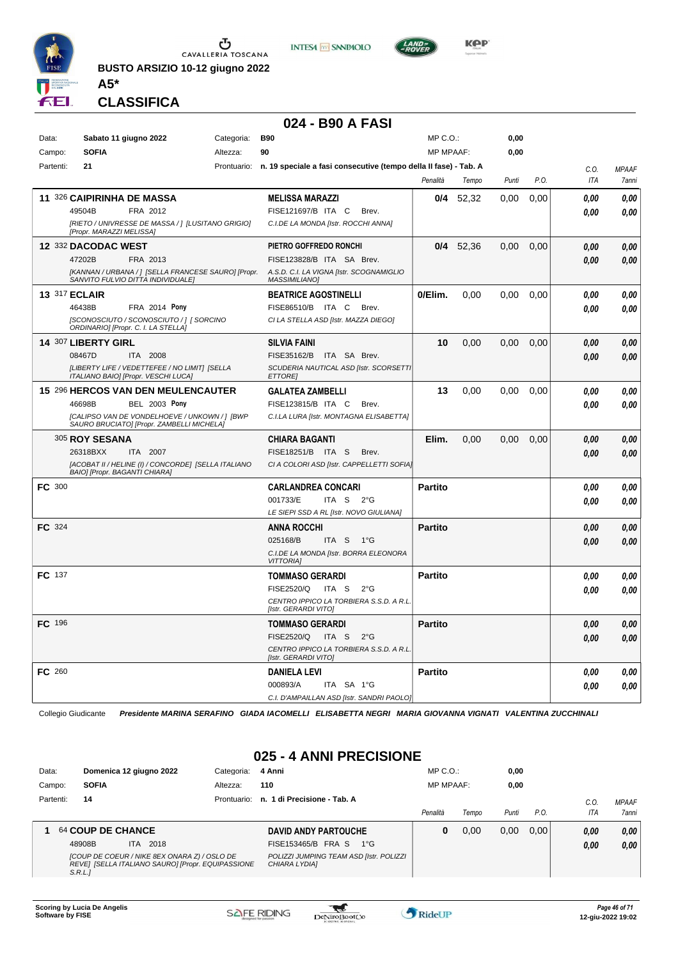

**BUSTO ARSIZIO 10-12 giugno 2022 A5\***





**CLASSIFICA**

#### **024 - B90 A FASI**

| Data:         | Sabato 11 giugno 2022                                                                       | Categoria: | <b>B90</b>                                                                   | MP C.O.:         |             | 0,00  |      |            |              |
|---------------|---------------------------------------------------------------------------------------------|------------|------------------------------------------------------------------------------|------------------|-------------|-------|------|------------|--------------|
| Campo:        | <b>SOFIA</b>                                                                                | Altezza:   | 90                                                                           | <b>MP MPAAF:</b> |             | 0,00  |      |            |              |
| Partenti:     | 21                                                                                          |            | Prontuario: n. 19 speciale a fasi consecutive (tempo della II fase) - Tab. A |                  |             |       |      | C.0.       | <b>MPAAF</b> |
|               |                                                                                             |            |                                                                              | Penalità         | Tempo       | Punti | P.O. | <b>ITA</b> | 7anni        |
|               | 11 326 CAIPIRINHA DE MASSA                                                                  |            | <b>MELISSA MARAZZI</b>                                                       | 0/4              | 52,32       | 0.00  | 0,00 | 0.00       | 0,00         |
|               | 49504B<br>FRA 2012                                                                          |            | FISE121697/B ITA C<br>Brev.                                                  |                  |             |       |      | 0.00       | 0.00         |
|               | [RIETO / UNIVRESSE DE MASSA / ] [LUSITANO GRIGIO]<br>[Propr. MARAZZI MELISSA]               |            | C.I.DE LA MONDA [Istr. ROCCHI ANNA]                                          |                  |             |       |      |            |              |
|               | 12 332 DACODAC WEST                                                                         |            | PIETRO GOFFREDO RONCHI                                                       |                  | $0/4$ 52,36 | 0.00  | 0,00 | 0.00       | 0.00         |
|               | 47202B<br>FRA 2013                                                                          |            | FISE123828/B ITA SA Brev.                                                    |                  |             |       |      | 0.00       | 0,00         |
|               | [KANNAN / URBANA / ] [SELLA FRANCESE SAURO] [Propr.<br>SANVITO FULVIO DITTA INDIVIDUALEI    |            | A.S.D. C.I. LA VIGNA [Istr. SCOGNAMIGLIO<br><b>MASSIMILIANO1</b>             |                  |             |       |      |            |              |
|               | <b>13 317 ECLAIR</b>                                                                        |            | <b>BEATRICE AGOSTINELLI</b>                                                  | 0/Elim.          | 0.00        | 0,00  | 0,00 | 0.00       | $\it 0,00$   |
|               | 46438B<br>FRA 2014 Pony                                                                     |            | FISE86510/B ITA C<br>Brev.                                                   |                  |             |       |      | 0.00       | 0.00         |
|               | [SCONOSCIUTO / SCONOSCIUTO / ] [ SORCINO<br>ORDINARIO] [Propr. C. I. LA STELLA]             |            | CI LA STELLA ASD [Istr. MAZZA DIEGO]                                         |                  |             |       |      |            |              |
|               | 14 307 LIBERTY GIRL                                                                         |            | <b>SILVIA FAINI</b>                                                          | 10               | 0,00        | 0,00  | 0,00 | 0.00       | 0,00         |
|               | 08467D<br>ITA 2008                                                                          |            | FISE35162/B<br>ITA SA Brev.                                                  |                  |             |       |      | 0,00       | 0.00         |
|               | [LIBERTY LIFE / VEDETTEFEE / NO LIMIT] [SELLA<br>ITALIANO BAIO] [Propr. VESCHI LUCA]        |            | SCUDERIA NAUTICAL ASD [Istr. SCORSETTI<br><b>ETTORE</b>                      |                  |             |       |      |            |              |
|               | <b>15 296 HERCOS VAN DEN MEULENCAUTER</b>                                                   |            | <b>GALATEA ZAMBELLI</b>                                                      | 13               | 0.00        | 0.00  | 0.00 | 0.00       | 0,00         |
|               | 46698B<br><b>BEL 2003 Pony</b>                                                              |            | FISE123815/B ITA C<br>Brev.                                                  |                  |             |       |      | 0.00       | 0.00         |
|               | [CALIPSO VAN DE VONDELHOEVE / UNKOWN / ] [BWP<br>SAURO BRUCIATO] [Propr. ZAMBELLI MICHELA]  |            | C.I.LA LURA [Istr. MONTAGNA ELISABETTA]                                      |                  |             |       |      |            |              |
|               | 305 ROY SESANA                                                                              |            | <b>CHIARA BAGANTI</b>                                                        | Elim.            | 0.00        | 0.00  | 0,00 | 0.00       | 0.00         |
|               | 26318BXX<br>ITA 2007                                                                        |            | FISE18251/B ITA S<br>Brev.                                                   |                  |             |       |      | 0.00       | 0.00         |
|               | [ACOBAT II / HELINE (I) / CONCORDE] [SELLA ITALIANO<br><b>BAIOI [Propr. BAGANTI CHIARA]</b> |            | CI A COLORI ASD [Istr. CAPPELLETTI SOFIA]                                    |                  |             |       |      |            |              |
| FC 300        |                                                                                             |            | <b>CARLANDREA CONCARI</b>                                                    | <b>Partito</b>   |             |       |      | 0.00       | 0.00         |
|               |                                                                                             |            | 001733/E<br>ITA S<br>2°G                                                     |                  |             |       |      | 0.00       | 0.00         |
|               |                                                                                             |            | LE SIEPI SSD A RL [Istr. NOVO GIULIANA]                                      |                  |             |       |      |            |              |
| FC 324        |                                                                                             |            | <b>ANNA ROCCHI</b>                                                           | <b>Partito</b>   |             |       |      | 0.00       | 0,00         |
|               |                                                                                             |            | 025168/B<br>ITA S 1°G                                                        |                  |             |       |      | 0.00       | 0,00         |
|               |                                                                                             |            | C.I.DE LA MONDA [Istr. BORRA ELEONORA<br><b>VITTORIA]</b>                    |                  |             |       |      |            |              |
| FC 137        |                                                                                             |            | <b>TOMMASO GERARDI</b>                                                       | <b>Partito</b>   |             |       |      | 0.00       | 0,00         |
|               |                                                                                             |            | FISE2520/Q<br>ITA S<br>$2^{\circ}$ G                                         |                  |             |       |      | 0.00       | 0.00         |
|               |                                                                                             |            | CENTRO IPPICO LA TORBIERA S.S.D. A R.L<br>[Istr. GERARDI VITO]               |                  |             |       |      |            |              |
| <b>FC</b> 196 |                                                                                             |            | <b>TOMMASO GERARDI</b>                                                       | <b>Partito</b>   |             |       |      | 0.00       | 0,00         |
|               |                                                                                             |            | FISE2520/Q<br>ITA S<br>$2^{\circ}$ G                                         |                  |             |       |      | 0.00       | 0.00         |
|               |                                                                                             |            | CENTRO IPPICO LA TORBIERA S.S.D. A R.L.<br>[Istr. GERARDI VITO]              |                  |             |       |      |            |              |
| FC 260        |                                                                                             |            | <b>DANIELA LEVI</b>                                                          | <b>Partito</b>   |             |       |      | 0.00       | 0,00         |
|               |                                                                                             |            | 000893/A<br>ITA SA 1°G                                                       |                  |             |       |      | 0.00       | 0.00         |
|               |                                                                                             |            | C.I. D'AMPAILLAN ASD [Istr. SANDRI PAOLO]                                    |                  |             |       |      |            |              |

Collegio Giudicante *Presidente MARINA SERAFINO GIADA IACOMELLI ELISABETTA NEGRI MARIA GIOVANNA VIGNATI VALENTINA ZUCCHINALI*

#### **025 - 4 ANNI PRECISIONE**

| Data:     | Domenica 12 giugno 2022                                                                                     | Categoria: | 4 Anni                                                   | $MP C. O.$ :     |       | 0,00  |      |      |              |
|-----------|-------------------------------------------------------------------------------------------------------------|------------|----------------------------------------------------------|------------------|-------|-------|------|------|--------------|
| Campo:    | <b>SOFIA</b>                                                                                                | Altezza:   | 110                                                      | <b>MP MPAAF:</b> |       | 0,00  |      |      |              |
| Partenti: | 14                                                                                                          |            | Prontuario: n. 1 di Precisione - Tab. A                  |                  |       |       |      | C.O. | <b>MPAAF</b> |
|           |                                                                                                             |            |                                                          | Penalità         | Tempo | Punti | P.O. | ITA  | 7anni        |
|           | 64 COUP DE CHANCE                                                                                           |            | <b>DAVID ANDY PARTOUCHE</b>                              | 0                | 0.00  | 0.00  | 0.00 | 0.00 | 0,00         |
|           | 2018<br>48908B<br>ITA.                                                                                      |            | FISE153465/B FRA S<br>1°G                                |                  |       |       |      | 0.00 | 0,00         |
|           | [COUP DE COEUR / NIKE 8EX ONARA Z) / OSLO DE<br>REVE] [SELLA ITALIANO SAURO] [Propr. EQUIPASSIONE<br>S.R.L. |            | POLIZZI JUMPING TEAM ASD [Istr. POLIZZI<br>CHIARA LYDIA] |                  |       |       |      |      |              |

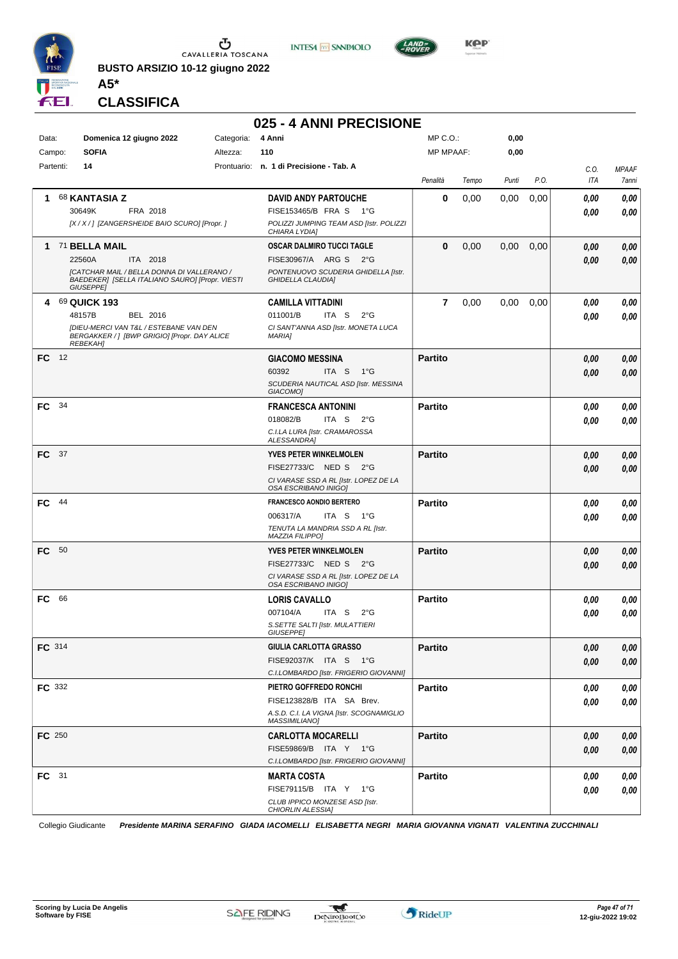

**INTESA M** SANPAOLO



**Kep** 

**CLASSIFICA**

**A5\***

## **025 - 4 ANNI PRECISIONE**

| Data:         |      | Domenica 12 giugno 2022                                                                                           | Categoria: | 4 Anni                                                          | MP C.O.:       |       | 0,00  |      |             |                       |
|---------------|------|-------------------------------------------------------------------------------------------------------------------|------------|-----------------------------------------------------------------|----------------|-------|-------|------|-------------|-----------------------|
| Campo:        |      | <b>SOFIA</b>                                                                                                      | Altezza:   | 110                                                             | MP MPAAF:      |       | 0,00  |      |             |                       |
| Partenti:     |      | 14                                                                                                                |            | Prontuario: n. 1 di Precisione - Tab. A                         | Penalità       | Tempo | Punti | P.O. | C.O.<br>ITA | <b>MPAAF</b><br>7anni |
| 1.            |      | <b>68 KANTASIA Z</b>                                                                                              |            | <b>DAVID ANDY PARTOUCHE</b>                                     | 0              | 0,00  | 0,00  | 0,00 | 0.00        | 0,00                  |
|               |      | 30649K<br>FRA 2018                                                                                                |            | FISE153465/B FRA S 1°G                                          |                |       |       |      | 0.00        | 0.00                  |
|               |      | [X / X / ] [ZANGERSHEIDE BAIO SCURO] [Propr.]                                                                     |            | POLIZZI JUMPING TEAM ASD [Istr. POLIZZI<br>CHIARA LYDIA]        |                |       |       |      |             |                       |
|               |      | 1 71 BELLA MAIL                                                                                                   |            | OSCAR DALMIRO TUCCI TAGLE                                       | 0              | 0,00  | 0,00  | 0,00 | 0,00        | 0,00                  |
|               |      | 22560A<br>ITA 2018                                                                                                |            | FISE30967/A ARG S 2°G                                           |                |       |       |      | 0.00        | 0,00                  |
|               |      | [CATCHAR MAIL / BELLA DONNA DI VALLERANO /<br>BAEDEKER] [SELLA ITALIANO SAURO] [Propr. VIESTI<br><b>GIUSEPPE]</b> |            | PONTENUOVO SCUDERIA GHIDELLA [Istr.<br><b>GHIDELLA CLAUDIAI</b> |                |       |       |      |             |                       |
|               |      | 4 69 QUICK 193                                                                                                    |            | <b>CAMILLA VITTADINI</b>                                        | $\overline{7}$ | 0,00  | 0,00  | 0,00 | 0,00        | 0,00                  |
|               |      | 48157B<br>BEL 2016                                                                                                |            | 011001/B<br>ITA S<br>$2^{\circ}$ G                              |                |       |       |      | 0,00        | 0,00                  |
|               |      | [DIEU-MERCI VAN T&L / ESTEBANE VAN DEN<br>BERGAKKER /   [BWP GRIGIO] [Propr. DAY ALICE<br><b>REBEKAH]</b>         |            | CI SANT'ANNA ASD [Istr. MONETA LUCA<br><b>MARIA]</b>            |                |       |       |      |             |                       |
| FC 12         |      |                                                                                                                   |            | <b>GIACOMO MESSINA</b>                                          | <b>Partito</b> |       |       |      | 0,00        | 0,00                  |
|               |      |                                                                                                                   |            | 60392<br>ITA S<br>$1^{\circ}G$                                  |                |       |       |      | 0.00        | 0,00                  |
|               |      |                                                                                                                   |            | SCUDERIA NAUTICAL ASD [Istr. MESSINA<br>GIACOMO]                |                |       |       |      |             |                       |
| FC.           | -34  |                                                                                                                   |            | <b>FRANCESCA ANTONINI</b>                                       | <b>Partito</b> |       |       |      | 0,00        | 0,00                  |
|               |      |                                                                                                                   |            | 018082/B<br>ITA <sub>S</sub><br>$2^{\circ}$ G                   |                |       |       |      | 0.00        | 0.00                  |
|               |      |                                                                                                                   |            | C.I.LA LURA [Istr. CRAMAROSSA<br><b>ALESSANDRAI</b>             |                |       |       |      |             |                       |
| FC 37         |      |                                                                                                                   |            | <b>YVES PETER WINKELMOLEN</b>                                   | <b>Partito</b> |       |       |      | 0,00        | 0,00                  |
|               |      |                                                                                                                   |            | FISE27733/C NED S<br>$2^{\circ}G$                               |                |       |       |      | 0,00        | 0,00                  |
|               |      |                                                                                                                   |            | CI VARASE SSD A RL [Istr. LOPEZ DE LA<br>OSA ESCRIBANO INIGO]   |                |       |       |      |             |                       |
| FC.           | - 44 |                                                                                                                   |            | <b>FRANCESCO AONDIO BERTERO</b>                                 | <b>Partito</b> |       |       |      | 0,00        | 0,00                  |
|               |      |                                                                                                                   |            | 006317/A<br>ITA S<br>1°G                                        |                |       |       |      | 0,00        | 0.00                  |
|               |      |                                                                                                                   |            | TENUTA LA MANDRIA SSD A RL [Istr.<br><b>MAZZIA FILIPPO]</b>     |                |       |       |      |             |                       |
| FC.           | - 50 |                                                                                                                   |            | <b>YVES PETER WINKELMOLEN</b>                                   | <b>Partito</b> |       |       |      | 0,00        | 0,00                  |
|               |      |                                                                                                                   |            | FISE27733/C NED S 2°G                                           |                |       |       |      | 0,00        | 0,00                  |
|               |      |                                                                                                                   |            | CI VARASE SSD A RL [Istr. LOPEZ DE LA<br>OSA ESCRIBANO INIGO]   |                |       |       |      |             |                       |
| FC.           | 66   |                                                                                                                   |            | <b>LORIS CAVALLO</b>                                            | <b>Partito</b> |       |       |      | 0,00        | 0,00                  |
|               |      |                                                                                                                   |            | 007104/A<br>ITA S<br>$2^{\circ}$ G                              |                |       |       |      | 0,00        | 0.00                  |
|               |      |                                                                                                                   |            | S. SETTE SALTI [Istr. MULATTIERI<br><b>GIUSEPPEI</b>            |                |       |       |      |             |                       |
| FC 314        |      |                                                                                                                   |            | GIULIA CARLOTTA GRASSO                                          | <b>Partito</b> |       |       |      | 0,00        | 0,00                  |
|               |      |                                                                                                                   |            | FISE92037/K ITA S 1°G                                           |                |       |       |      | 0,00        | 0,00                  |
|               |      |                                                                                                                   |            | C.I.LOMBARDO [Istr. FRIGERIO GIOVANNI]                          |                |       |       |      |             |                       |
| <b>FC</b> 332 |      |                                                                                                                   |            | PIETRO GOFFREDO RONCHI                                          | <b>Partito</b> |       |       |      | 0,00        | 0,00                  |
|               |      |                                                                                                                   |            | FISE123828/B ITA SA Brev.                                       |                |       |       |      | 0,00        | 0,00                  |
|               |      |                                                                                                                   |            | A.S.D. C.I. LA VIGNA [Istr. SCOGNAMIGLIO                        |                |       |       |      |             |                       |
| FC 250        |      |                                                                                                                   |            | <b>MASSIMILIANO]</b><br><b>CARLOTTA MOCARELLI</b>               | <b>Partito</b> |       |       |      | 0,00        | 0,00                  |
|               |      |                                                                                                                   |            | FISE59869/B ITA Y 1°G                                           |                |       |       |      |             | 0,00                  |
|               |      |                                                                                                                   |            | C.I.LOMBARDO [Istr. FRIGERIO GIOVANNI]                          |                |       |       |      | 0,00        |                       |
| FC 31         |      |                                                                                                                   |            | <b>MARTA COSTA</b>                                              | <b>Partito</b> |       |       |      | 0,00        | 0,00                  |
|               |      |                                                                                                                   |            | FISE79115/B ITA Y 1°G                                           |                |       |       |      | 0,00        | 0,00                  |
|               |      |                                                                                                                   |            | CLUB IPPICO MONZESE ASD [Istr.                                  |                |       |       |      |             |                       |
|               |      |                                                                                                                   |            | CHIORLIN ALESSIA]                                               |                |       |       |      |             |                       |

Collegio Giudicante *Presidente MARINA SERAFINO GIADA IACOMELLI ELISABETTA NEGRI MARIA GIOVANNA VIGNATI VALENTINA ZUCCHINALI*

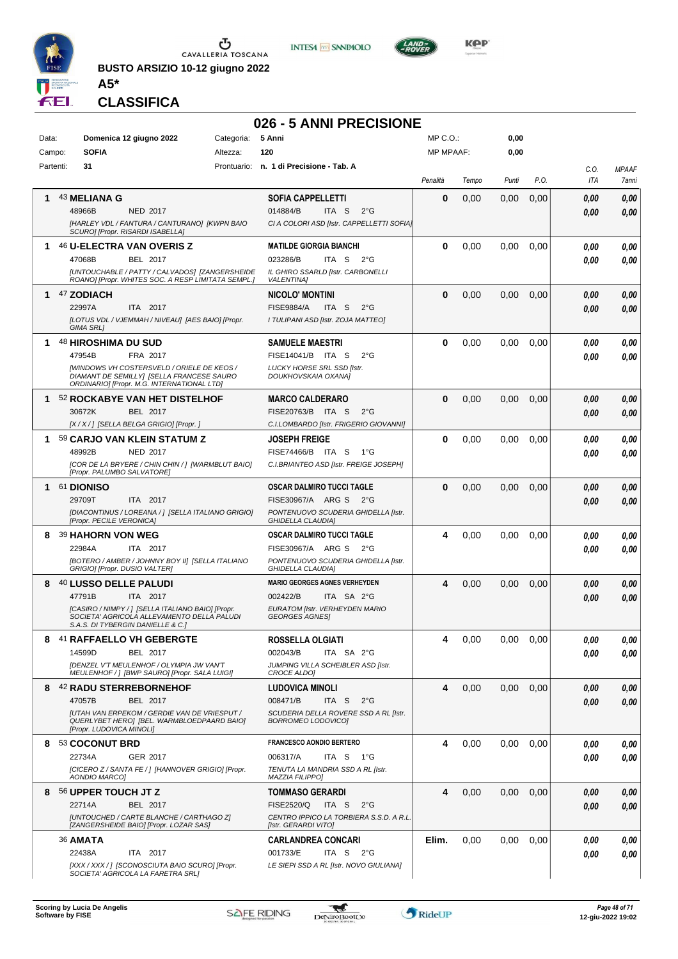

**BUSTO ARSIZIO 10-12 giugno 2022 A5\***





**CLASSIFICA**

### **026 - 5 ANNI PRECISIONE**

| Data:<br>Campo: | Domenica 12 giugno 2022<br><b>SOFIA</b>                                                                                                                                             | Categoria: 5 Anni<br>Altezza: | 120                                                                                                                               | MP C. O.<br><b>MP MPAAF:</b> |       | 0,00<br>0,00  |      |              |                       |
|-----------------|-------------------------------------------------------------------------------------------------------------------------------------------------------------------------------------|-------------------------------|-----------------------------------------------------------------------------------------------------------------------------------|------------------------------|-------|---------------|------|--------------|-----------------------|
| Partenti:       | 31                                                                                                                                                                                  |                               | Prontuario: n. 1 di Precisione - Tab. A                                                                                           |                              |       |               |      |              |                       |
|                 |                                                                                                                                                                                     |                               |                                                                                                                                   | Penalità                     | Tempo | Punti         | P.O. | C.O.<br>ITA  | <b>MPAAF</b><br>7anni |
| 1               | 43 MELIANA G<br>48966B<br>NED 2017<br>[HARLEY VDL / FANTURA / CANTURANO] [KWPN BAIO<br>SCURO] [Propr. RISARDI ISABELLA]                                                             |                               | <b>SOFIA CAPPELLETTI</b><br>014884/B<br>ITA S<br>$2^{\circ}$ G<br>CI A COLORI ASD [Istr. CAPPELLETTI SOFIA]                       | 0                            | 0,00  | 0,00          | 0,00 | 0.00<br>0.00 | 0,00<br>0,00          |
| 1               | 46 U-ELECTRA VAN OVERIS Z<br>47068B<br><b>BEL 2017</b><br>[UNTOUCHABLE / PATTY / CALVADOS] [ZANGERSHEIDE<br>ROANO] [Propr. WHITES SOC. A RESP LIMITATA SEMPL.]                      |                               | <b>MATILDE GIORGIA BIANCHI</b><br>023286/B<br>ITA S<br>$2^{\circ}G$<br>IL GHIRO SSARLD [Istr. CARBONELLI<br><b>VALENTINA1</b>     | 0                            | 0,00  | 0,00          | 0,00 | 0.00<br>0.00 | 0,00<br>0,00          |
| 1               | 47 ZODIACH<br>22997A<br>ITA 2017<br>[LOTUS VDL / VJEMMAH / NIVEAU] [AES BAIO] [Propr.<br>GIMA SRL1                                                                                  |                               | <b>NICOLO' MONTINI</b><br><b>FISE9884/A</b><br>ITA <sub>S</sub><br>$2^{\circ}$ G<br>I TULIPANI ASD [Istr. ZOJA MATTEO]            | $\bf{0}$                     | 0,00  | 0,00          | 0,00 | 0.00<br>0.00 | 0,00<br>0,00          |
|                 | 48 HIROSHIMA DU SUD<br>47954B<br>FRA 2017<br>[WINDOWS VH COSTERSVELD / ORIELE DE KEOS /<br>DIAMANT DE SEMILLY] [SELLA FRANCESE SAURO<br>ORDINARIO] [Propr. M.G. INTERNATIONAL LTD]  |                               | <b>SAMUELE MAESTRI</b><br>FISE14041/B ITA S<br>$2^{\circ}$ G<br>LUCKY HORSE SRL SSD [Istr.<br>DOUKHOVSKAIA OXANA]                 | 0                            | 0,00  | 0,00          | 0,00 | 0.00<br>0.00 | 0,00<br>0,00          |
| 1.              | 52 ROCKABYE VAN HET DISTELHOF<br><b>BEL 2017</b><br>30672K<br>[X / X / ] [SELLA BELGA GRIGIO] [Propr. ]                                                                             |                               | <b>MARCO CALDERARO</b><br>FISE20763/B ITA S<br>$2^{\circ}$ G<br>C.I.LOMBARDO [Istr. FRIGERIO GIOVANNI]                            | $\bf{0}$                     | 0,00  | 0,00          | 0,00 | 0.00<br>0.00 | 0,00<br>0,00          |
|                 | 59 CARJO VAN KLEIN STATUM Z<br>48992B<br>NED 2017<br>[COR DE LA BRYERE / CHIN CHIN / ] [WARMBLUT BAIO]<br>[Propr. PALUMBO SALVATORE]                                                |                               | <b>JOSEPH FREIGE</b><br>FISE74466/B ITA S<br>1°G<br>C.I.BRIANTEO ASD [Istr. FREIGE JOSEPH]                                        | 0                            | 0,00  | 0.00          | 0,00 | 0.00<br>0.00 | 0,00<br>0,00          |
|                 | 1 61 DIONISO<br>29709T<br>ITA 2017<br>[DIACONTINUS / LOREANA / ] [SELLA ITALIANO GRIGIO]<br>[Propr. PECILE VERONICA]                                                                |                               | OSCAR DALMIRO TUCCI TAGLE<br>FISE30967/A ARG S<br>$2^{\circ}G$<br>PONTENUOVO SCUDERIA GHIDELLA [Istr.<br><b>GHIDELLA CLAUDIA]</b> | $\bf{0}$                     | 0,00  | 0,00          | 0,00 | 0.00<br>0.00 | 0,00<br>0,00          |
| 8               | 39 HAHORN VON WEG<br>22984A<br>ITA 2017<br>[BOTERO / AMBER / JOHNNY BOY II] [SELLA ITALIANO<br>GRIGIO] [Propr. DUSIO VALTER]                                                        |                               | OSCAR DALMIRO TUCCI TAGLE<br>FISE30967/A ARG S<br>$2^{\circ}G$<br>PONTENUOVO SCUDERIA GHIDELLA [Istr.<br><b>GHIDELLA CLAUDIA1</b> | 4                            | 0,00  | 0,00          | 0,00 | 0.00<br>0.00 | 0,00<br>0,00          |
| 8               | 40 LUSSO DELLE PALUDI<br>47791B<br>ITA 2017<br>[CASIRO / NIMPY / ] [SELLA ITALIANO BAIO] [Propr.<br>SOCIETA' AGRICOLA ALLEVAMENTO DELLA PALUDI<br>S.A.S. DI TYBERGIN DANIELLE & C.1 |                               | <b>MARIO GEORGES AGNES VERHEYDEN</b><br>002422/B<br>ITA SA 2°G<br>EURATOM [Istr. VERHEYDEN MARIO<br><b>GEORGES AGNES</b>          | 4                            | 0,00  | 0,00          | 0,00 | 0.00<br>0.00 | 0,00<br>0,00          |
|                 | 8 41 RAFFAELLO VH GEBERGTE<br>14599D<br>BEL 2017<br>[DENZEL V'T MEULENHOF / OLYMPIA JW VAN'T<br>MEULENHOF / ] [BWP SAURO] [Propr. SALA LUIGI]                                       |                               | ROSSELLA OLGIATI<br>002043/B<br>ITA SA 2°G<br>JUMPING VILLA SCHEIBLER ASD [Istr.<br><b>CROCE ALDOI</b>                            | $\overline{ }$               | 0,00  | $0,00$ $0,00$ |      | 0,00<br>0,00 | 0,00<br>0,00          |
|                 | 8 42 RADU STERREBORNEHOF<br>47057B<br>BEL 2017<br>[UTAH VAN ERPEKOM / GERDIE VAN DE VRIESPUT /<br>QUERLYBET HERO] [BEL. WARMBLOEDPAARD BAIO]<br>[Propr. LUDOVICA MINOLI]            |                               | <b>LUDOVICA MINOLI</b><br>008471/B<br>ITA S<br>$2^{\circ}$ G<br>SCUDERIA DELLA ROVERE SSD A RL [Istr.<br>BORROMEO LODOVICO]       | 4                            | 0,00  | 0,00          | 0,00 | 0,00<br>0.00 | 0,00<br>0,00          |
| 8.              | 53 COCONUT BRD<br>22734A<br>GER 2017<br>[CICERO Z / SANTA FE / ] [HANNOVER GRIGIO] [Propr.<br>AONDIO MARCO]                                                                         |                               | <b>FRANCESCO AONDIO BERTERO</b><br>006317/A<br>ITA S<br>1°G<br>TENUTA LA MANDRIA SSD A RL [Istr.<br><b>MAZZIA FILIPPO]</b>        | 4                            | 0,00  | 0,00          | 0,00 | 0.00<br>0.00 | 0,00<br>0,00          |
| 8               | 56 UPPER TOUCH JT Z<br>22714A<br>BEL 2017<br>[UNTOUCHED / CARTE BLANCHE / CARTHAGO Z]<br>[ZANGERSHEIDE BAIO] [Propr. LOZAR SAS]                                                     |                               | <b>TOMMASO GERARDI</b><br>FISE2520/Q<br>ITA S<br>$2^{\circ}$ G<br>CENTRO IPPICO LA TORBIERA S.S.D. A R.L.<br>[Istr. GERARDI VITO] | 4                            | 0,00  | 0,00          | 0,00 | 0,00<br>0,00 | 0,00<br>0,00          |
|                 | <b>36 AMATA</b><br>22438A<br>ITA 2017<br>[XXX / XXX /] [SCONOSCIUTA BAIO SCURO] [Propr.<br>SOCIETA' AGRICOLA LA FARETRA SRL]                                                        |                               | <b>CARLANDREA CONCARI</b><br>001733/E<br>ITA S 2°G<br>LE SIEPI SSD A RL [Istr. NOVO GIULIANA]                                     | Elim.                        | 0,00  | 0,00          | 0,00 | 0.00<br>0.00 | 0,00<br>0,00          |

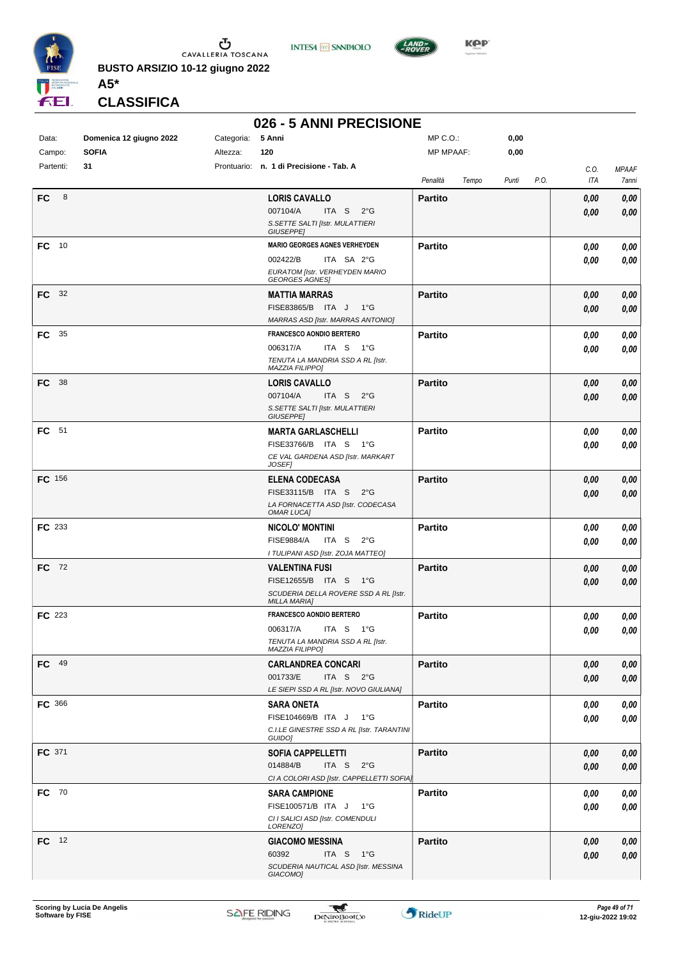

**INTESA M** SANPAOLO



**Kep** 

**CLASSIFICA**

**A5\***

#### **026 - 5 ANNI PRECISIONE**

| Data:          | Domenica 12 giugno 2022 | Categoria: | 5 Anni                                                 | MP C.O.:          | 0,00          |             |                                     |
|----------------|-------------------------|------------|--------------------------------------------------------|-------------------|---------------|-------------|-------------------------------------|
| Campo:         | <b>SOFIA</b>            | Altezza:   | 120                                                    | <b>MP MPAAF:</b>  | 0,00          |             |                                     |
| Partenti:      | 31                      |            | Prontuario: n. 1 di Precisione - Tab. A                | Penalità<br>Tempo | P.O.<br>Punti | C.O.<br>ITA | <b>MPAAF</b><br><i><b>7anni</b></i> |
| <b>FC</b><br>8 |                         |            | <b>LORIS CAVALLO</b>                                   | <b>Partito</b>    |               | 0,00        | 0,00                                |
|                |                         |            | 007104/A<br>ITA S<br>$2^{\circ}$ G                     |                   |               | 0,00        | 0,00                                |
|                |                         |            | S. SETTE SALTI [Istr. MULATTIERI                       |                   |               |             |                                     |
|                |                         |            | <b>GIUSEPPE]</b>                                       |                   |               |             |                                     |
| FC 10          |                         |            | <b>MARIO GEORGES AGNES VERHEYDEN</b>                   | <b>Partito</b>    |               | 0,00        | 0,00                                |
|                |                         |            | 002422/B<br>ITA SA 2°G                                 |                   |               | 0,00        | 0,00                                |
|                |                         |            | EURATOM [Istr. VERHEYDEN MARIO                         |                   |               |             |                                     |
|                |                         |            | <b>GEORGES AGNES</b>                                   |                   |               |             |                                     |
| FC 32          |                         |            | <b>MATTIA MARRAS</b>                                   | <b>Partito</b>    |               | 0,00        | 0,00                                |
|                |                         |            | FISE83865/B ITA J<br>− 1°G                             |                   |               | 0,00        | 0,00                                |
|                |                         |            | MARRAS ASD [Istr. MARRAS ANTONIO]                      |                   |               |             |                                     |
| FC 35          |                         |            | <b>FRANCESCO AONDIO BERTERO</b>                        | <b>Partito</b>    |               | 0,00        | 0,00                                |
|                |                         |            | 006317/A<br>ITA S 1°G                                  |                   |               | 0,00        | 0,00                                |
|                |                         |            | TENUTA LA MANDRIA SSD A RL [Istr.<br>MAZZIA FILIPPO]   |                   |               |             |                                     |
| FC 38          |                         |            | <b>LORIS CAVALLO</b>                                   | <b>Partito</b>    |               | 0,00        | 0,00                                |
|                |                         |            | 007104/A<br>ITA S<br>$2^{\circ}$ G                     |                   |               | 0,00        | 0,00                                |
|                |                         |            | S. SETTE SALTI [Istr. MULATTIERI                       |                   |               |             |                                     |
|                |                         |            | <b>GIUSEPPE</b>                                        |                   |               |             |                                     |
| FC 51          |                         |            | <b>MARTA GARLASCHELLI</b>                              | <b>Partito</b>    |               | 0,00        | 0,00                                |
|                |                         |            | FISE33766/B ITA S 1°G                                  |                   |               | 0,00        | 0,00                                |
|                |                         |            | CE VAL GARDENA ASD [Istr. MARKART                      |                   |               |             |                                     |
|                |                         |            | JOSEF1                                                 |                   |               |             |                                     |
| FC 156         |                         |            | <b>ELENA CODECASA</b>                                  | <b>Partito</b>    |               | 0,00        | 0,00                                |
|                |                         |            | FISE33115/B ITA S<br>$2^{\circ}$ G                     |                   |               | 0,00        | 0,00                                |
|                |                         |            | LA FORNACETTA ASD [Istr. CODECASA<br><b>OMAR LUCA]</b> |                   |               |             |                                     |
| <b>FC</b> 233  |                         |            | <b>NICOLO' MONTINI</b>                                 | <b>Partito</b>    |               | 0,00        | 0,00                                |
|                |                         |            | <b>FISE9884/A</b><br>ITA S $2^{\circ}$ G               |                   |               | 0,00        | 0,00                                |
|                |                         |            | I TULIPANI ASD [Istr. ZOJA MATTEO]                     |                   |               |             |                                     |
| FC 72          |                         |            | <b>VALENTINA FUSI</b>                                  | <b>Partito</b>    |               | 0,00        | 0,00                                |
|                |                         |            | FISE12655/B ITA S 1°G                                  |                   |               | 0,00        | 0,00                                |
|                |                         |            | SCUDERIA DELLA ROVERE SSD A RL [Istr.                  |                   |               |             |                                     |
|                |                         |            | <b>MILLA MARIA]</b>                                    |                   |               |             |                                     |
| FC 223         |                         |            | <b>FRANCESCO AONDIO BERTERO</b>                        | <b>Partito</b>    |               | 0,00        | 0,00                                |
|                |                         |            | 006317/A<br>ITA S 1°G                                  |                   |               | 0,00        | 0,00                                |
|                |                         |            | TENUTA LA MANDRIA SSD A RL [Istr.<br>MAZZIA FILIPPOJ   |                   |               |             |                                     |
| FC 49          |                         |            | <b>CARLANDREA CONCARI</b>                              | <b>Partito</b>    |               | 0,00        | 0,00                                |
|                |                         |            | 001733/E<br>ITA S $2^{\circ}G$                         |                   |               | 0,00        | 0,00                                |
|                |                         |            | LE SIEPI SSD A RL [Istr. NOVO GIULIANA]                |                   |               |             |                                     |
| <b>FC</b> 366  |                         |            | <b>SARA ONETA</b>                                      | <b>Partito</b>    |               | 0,00        | 0,00                                |
|                |                         |            | FISE104669/B ITA J 1°G                                 |                   |               | 0,00        | 0,00                                |
|                |                         |            | C.I.LE GINESTRE SSD A RL [Istr. TARANTINI              |                   |               |             |                                     |
|                |                         |            | GUIDO]                                                 |                   |               |             |                                     |
| FC 371         |                         |            | <b>SOFIA CAPPELLETTI</b>                               | <b>Partito</b>    |               | 0,00        | 0,00                                |
|                |                         |            | 014884/B<br>ITA S 2°G                                  |                   |               | 0,00        | 0,00                                |
|                |                         |            | CI A COLORI ASD [Istr. CAPPELLETTI SOFIA]              |                   |               |             |                                     |
| <b>FC</b> 70   |                         |            | <b>SARA CAMPIONE</b>                                   | <b>Partito</b>    |               | 0,00        | 0,00                                |
|                |                         |            | FISE100571/B ITA J 1°G                                 |                   |               | 0,00        | 0,00                                |
|                |                         |            | CI I SALICI ASD [Istr. COMENDULI<br>LORENZO]           |                   |               |             |                                     |
| $FC$ 12        |                         |            |                                                        | <b>Partito</b>    |               |             |                                     |
|                |                         |            | <b>GIACOMO MESSINA</b><br>60392<br>ITA S 1°G           |                   |               | 0,00        | 0,00                                |
|                |                         |            | SCUDERIA NAUTICAL ASD [Istr. MESSINA                   |                   |               | 0,00        | 0,00                                |
|                |                         |            | GIACOMO]                                               |                   |               |             |                                     |

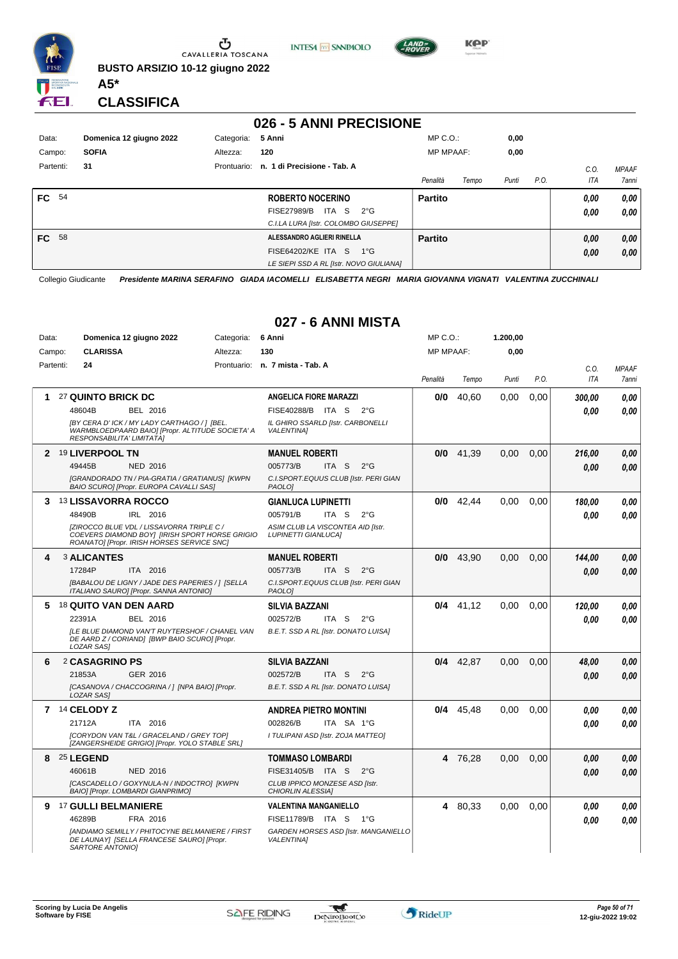

Ⴠ CAVALLERIA TOSCANA **BUSTO ARSIZIO 10-12 giugno 2022**

**INTESA** M SANPAOLO



MP C.O.:

**1.200,00**

**KPP** 

#### **CLASSIFICA**

**A5\***

Data: **Domenica 12 giugno 2022** Categoria: 6 Anni

#### **026 - 5 ANNI PRECISIONE**

| Data:        | Domenica 12 giugno 2022 | 5 Anni<br>Categoria: |                                             | $MP C. O.$ :     |       | 0,00  |      |            |              |
|--------------|-------------------------|----------------------|---------------------------------------------|------------------|-------|-------|------|------------|--------------|
| Campo:       | <b>SOFIA</b>            | Altezza:             | 120                                         | <b>MP MPAAF:</b> |       | 0,00  |      |            |              |
| Partenti:    | 31                      | Prontuario:          | n. 1 di Precisione - Tab. A                 |                  |       |       |      | C.0        | <b>MPAAF</b> |
|              |                         |                      |                                             | Penalità         | Tempo | Punti | P.O. | <b>ITA</b> | 7anni        |
| <b>FC</b> 54 |                         |                      | <b>ROBERTO NOCERINO</b>                     | <b>Partito</b>   |       |       |      | 0,00       | 0,00         |
|              |                         |                      | ITA S<br>$2^{\circ}G$<br><b>FISE27989/B</b> |                  |       |       |      | 0,00       | 0.00         |
|              |                         |                      | C.I.LA LURA [Istr. COLOMBO GIUSEPPE]        |                  |       |       |      |            |              |
| <b>FC</b> 58 |                         |                      | ALESSANDRO AGLIERI RINELLA                  | <b>Partito</b>   |       |       |      | 0,00       | 0,00         |
|              |                         |                      | FISE64202/KE ITA S<br>$1^{\circ}G$          |                  |       |       |      | 0,00       | 0,00         |
|              |                         |                      | LE SIEPI SSD A RL [Istr. NOVO GIULIANA]     |                  |       |       |      |            |              |

Collegio Giudicante *Presidente MARINA SERAFINO GIADA IACOMELLI ELISABETTA NEGRI MARIA GIOVANNA VIGNATI VALENTINA ZUCCHINALI*

#### **027 - 6 ANNI MISTA**

| Campo:    | <b>CLARISSA</b>                  | Altezza:                                                                                                                                         | 130                                                             | <b>MP MPAAF:</b> |             | 0.00  |      |            |              |
|-----------|----------------------------------|--------------------------------------------------------------------------------------------------------------------------------------------------|-----------------------------------------------------------------|------------------|-------------|-------|------|------------|--------------|
| Partenti: | 24                               |                                                                                                                                                  | Prontuario: n. 7 mista - Tab. A                                 |                  |             |       |      | C.0.       | <b>MPAAF</b> |
|           |                                  |                                                                                                                                                  |                                                                 | Penalità         | Tempo       | Punti | P.O. | <b>ITA</b> | <b>7anni</b> |
| 1.        | 27 QUINTO BRICK DC               |                                                                                                                                                  | <b>ANGELICA FIORE MARAZZI</b>                                   | 0/0              | 40.60       | 0,00  | 0.00 | 300,00     | 0.00         |
|           | 48604B                           | BEL 2016                                                                                                                                         | FISE40288/B ITA S<br>$2^{\circ}$ G                              |                  |             |       |      | 0.00       | 0.00         |
|           | RESPONSABILITA' LIMITATA]        | [BY CERA D' ICK / MY LADY CARTHAGO / ] [BEL.<br>WARMBLOEDPAARD BAIO] [Propr. ALTITUDE SOCIETA' A                                                 | IL GHIRO SSARLD [Istr. CARBONELLI<br><b>VALENTINA1</b>          |                  |             |       |      |            |              |
|           | 2 <sup>19</sup> LIVERPOOL TN     |                                                                                                                                                  | <b>MANUEL ROBERTI</b>                                           |                  | $0/0$ 41.39 | 0,00  | 0.00 | 216,00     | 0,00         |
|           | 49445B                           | <b>NED 2016</b>                                                                                                                                  | 005773/B<br>ITA S<br>$2^{\circ}$ G                              |                  |             |       |      | 0.00       | 0.00         |
|           |                                  | [GRANDORADO TN / PIA-GRATIA / GRATIANUS] [KWPN<br>BAIO SCURO] [Propr. EUROPA CAVALLI SAS]                                                        | C.I.SPORT.EQUUS CLUB [Istr. PERI GIAN<br>PAOLO <sub>1</sub>     |                  |             |       |      |            |              |
|           | 3 13 LISSAVORRA ROCCO            |                                                                                                                                                  | <b>GIANLUCA LUPINETTI</b>                                       | 0/0              | 42,44       | 0.00  | 0.00 | 180,00     | 0.00         |
|           | 48490B                           | IRL 2016                                                                                                                                         | ITA S<br>005791/B<br>$2^{\circ}$ G                              |                  |             |       |      | 0.00       | 0.00         |
|           |                                  | <b>[ZIROCCO BLUE VDL / LISSAVORRA TRIPLE C /</b><br>COEVERS DIAMOND BOYI [IRISH SPORT HORSE GRIGIO<br>ROANATO] [Propr. IRISH HORSES SERVICE SNC] | ASIM CLUB LA VISCONTEA AID [Istr.<br><b>LUPINETTI GIANLUCAI</b> |                  |             |       |      |            |              |
| 4         | <b>3 ALICANTES</b>               |                                                                                                                                                  | <b>MANUEL ROBERTI</b>                                           |                  | $0/0$ 43,90 | 0.00  | 0.00 | 144,00     | 0.00         |
|           | 17284P                           | ITA 2016                                                                                                                                         | 005773/B<br>ITA S<br>$2^{\circ}$ G                              |                  |             |       |      | 0.00       | 0.00         |
|           |                                  | [BABALOU DE LIGNY / JADE DES PAPERIES / ] [SELLA<br>ITALIANO SAURO] [Propr. SANNA ANTONIO]                                                       | C.I.SPORT.EQUUS CLUB [Istr. PERI GIAN<br>PAOLO1                 |                  |             |       |      |            |              |
| 5.        | <sup>18</sup> QUITO VAN DEN AARD |                                                                                                                                                  | <b>SILVIA BAZZANI</b>                                           |                  | $0/4$ 41,12 | 0,00  | 0,00 | 120,00     | 0.00         |
|           | 22391A                           | BEL 2016                                                                                                                                         | 002572/B<br>ITA S<br>$2^{\circ}$ G                              |                  |             |       |      | 0.00       | 0.00         |
|           | <b>LOZAR SASI</b>                | <b>ILE BLUE DIAMOND VAN'T RUYTERSHOF / CHANEL VAN</b><br>DE AARD Z / CORIAND] [BWP BAIO SCURO] [Propr.                                           | B.E.T. SSD A RL [Istr. DONATO LUISA]                            |                  |             |       |      |            |              |
| 6         | 2 CASAGRINO PS                   |                                                                                                                                                  | <b>SILVIA BAZZANI</b>                                           |                  | $0/4$ 42,87 | 0,00  | 0.00 | 48,00      | 0,00         |
|           | 21853A                           | GER 2016                                                                                                                                         | 002572/B<br>ITA S<br>$2^{\circ}$ G                              |                  |             |       |      | 0.00       | 0,00         |
|           | <b>LOZAR SASI</b>                | [CASANOVA / CHACCOGRINA / 1 [NPA BAIO] [Propr.                                                                                                   | B.E.T. SSD A RL [Istr. DONATO LUISA]                            |                  |             |       |      |            |              |
|           | 7 14 CELODY Z                    |                                                                                                                                                  | <b>ANDREA PIETRO MONTINI</b>                                    |                  | $0/4$ 45.48 | 0.00  | 0.00 | 0.00       | 0.00         |
|           | 21712A                           | ITA 2016                                                                                                                                         | 002826/B<br>ITA SA 1°G                                          |                  |             |       |      | 0.00       | 0.00         |
|           |                                  | [CORYDON VAN T&L / GRACELAND / GREY TOP]<br>[ZANGERSHEIDE GRIGIO] [Propr. YOLO STABLE SRL]                                                       | I TULIPANI ASD [Istr. ZOJA MATTEO]                              |                  |             |       |      |            |              |
|           | 8 25 LEGEND                      |                                                                                                                                                  | <b>TOMMASO LOMBARDI</b>                                         | 4                | 76,28       | 0,00  | 0.00 | 0.00       | 0,00         |
|           | 46061B                           | <b>NED 2016</b>                                                                                                                                  | FISE31405/B ITA S<br>$2^{\circ}$ G                              |                  |             |       |      | 0.00       | 0.00         |
|           |                                  | [CASCADELLO / GOXYNULA-N / INDOCTRO] [KWPN<br>BAIO] [Propr. LOMBARDI GIANPRIMO]                                                                  | CLUB IPPICO MONZESE ASD [Istr.<br>CHIORLIN ALESSIA]             |                  |             |       |      |            |              |
|           | 9 17 GULLI BELMANIERE            |                                                                                                                                                  | <b>VALENTINA MANGANIELLO</b>                                    |                  | 4 80,33     | 0.00  | 0,00 | 0.00       | 0,00         |
|           | 46289B                           | FRA 2016                                                                                                                                         | FISE11789/B ITA S<br>1°G                                        |                  |             |       |      | 0.00       | 0.00         |
|           | SARTORE ANTONIO]                 | [ANDIAMO SEMILLY / PHITOCYNE BELMANIERE / FIRST<br>DE LAUNAY] [SELLA FRANCESE SAURO] [Propr.                                                     | GARDEN HORSES ASD [Istr. MANGANIELLO<br><b>VALENTINA1</b>       |                  |             |       |      |            |              |

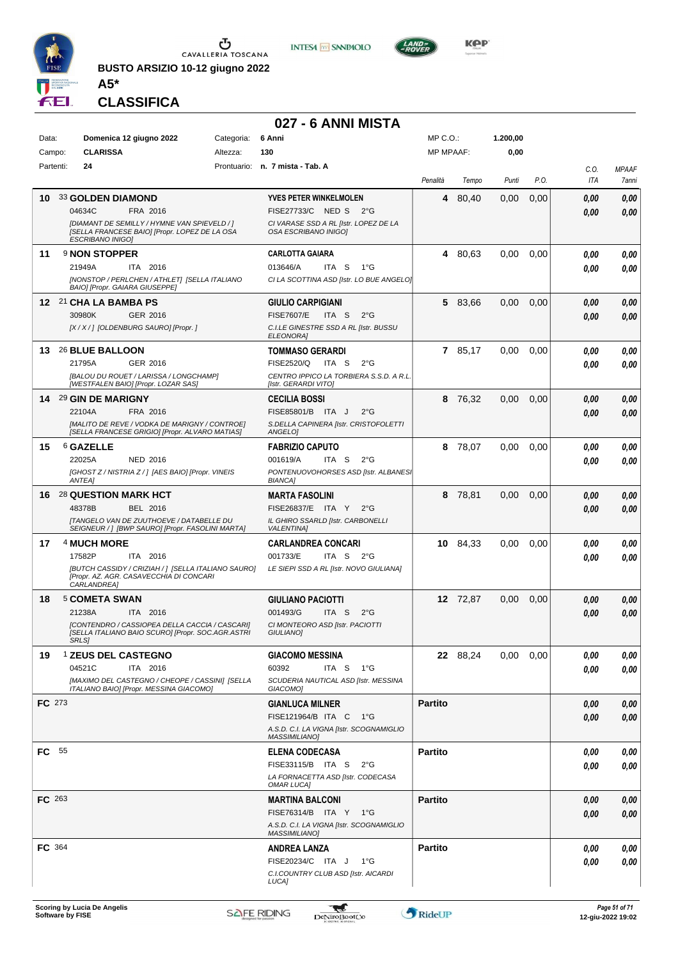

**BUSTO ARSIZIO 10-12 giugno 2022 A5\***





**CLASSIFICA**

#### **027 - 6 ANNI MISTA**

| Data:         |                                 | Domenica 12 giugno 2022        |                                                                                                     | Categoria: | 6 Anni                                                           | $MP C. O.$ :   |                  | 1.200,00 |      |             |                       |
|---------------|---------------------------------|--------------------------------|-----------------------------------------------------------------------------------------------------|------------|------------------------------------------------------------------|----------------|------------------|----------|------|-------------|-----------------------|
| Campo:        | <b>CLARISSA</b>                 |                                |                                                                                                     | Altezza:   | 130                                                              |                | <b>MP MPAAF:</b> | 0,00     |      |             |                       |
| Partenti:     | 24                              |                                |                                                                                                     |            | Prontuario: n. 7 mista - Tab. A                                  | Penalità       | Tempo            | Punti    | P.O. | C.O.<br>ITA | <b>MPAAF</b><br>7anni |
| 10            | <b>33 GOLDEN DIAMOND</b>        |                                |                                                                                                     |            | YVES PETER WINKELMOLEN                                           |                | 80,40<br>4       | 0,00     | 0,00 | 0,00        | 0,00                  |
|               | 04634C                          | FRA 2016                       |                                                                                                     |            | FISE27733/C NED S 2°G                                            |                |                  |          |      | 0,00        | 0,00                  |
|               | <b>ESCRIBANO INIGO)</b>         |                                | [DIAMANT DE SEMILLY / HYMNE VAN SPIEVELD / ]<br>[SELLA FRANCESE BAIO] [Propr. LOPEZ DE LA OSA       |            | CI VARASE SSD A RL [Istr. LOPEZ DE LA<br>OSA ESCRIBANO INIGOI    |                |                  |          |      |             |                       |
| 11            | 9 NON STOPPER                   |                                |                                                                                                     |            | <b>CARLOTTA GAIARA</b>                                           |                | 4 80,63          | 0,00     | 0,00 | 0,00        | 0,00                  |
|               | 21949A                          | ITA 2016                       |                                                                                                     |            | 013646/A<br>ITA S<br>$1^{\circ}G$                                |                |                  |          |      | 0.00        | 0,00                  |
|               |                                 | BAIO] [Propr. GAIARA GIUSEPPE] | <b>INONSTOP / PERLCHEN / ATHLET] ISELLA ITALIANO</b>                                                |            | CI LA SCOTTINA ASD [Istr. LO BUE ANGELO]                         |                |                  |          |      |             |                       |
|               | 12 21 CHA LA BAMBA PS           |                                |                                                                                                     |            | GIULIO CARPIGIANI                                                |                | 5 83,66          | 0,00     | 0,00 | 0,00        | 0,00                  |
|               | 30980K                          | GER 2016                       |                                                                                                     |            | <b>FISE7607/E</b><br>ITA S<br>$2^{\circ}$ G                      |                |                  |          |      | 0.00        | 0,00                  |
|               |                                 |                                | [X / X / ] [OLDENBURG SAURO] [Propr. ]                                                              |            | C.I.LE GINESTRE SSD A RL [Istr. BUSSU<br>ELEONORA]               |                |                  |          |      |             |                       |
|               | 13 26 BLUE BALLOON              |                                |                                                                                                     |            | <b>TOMMASO GERARDI</b>                                           |                | 7 85,17          | 0,00     | 0,00 | 0.00        | 0,00                  |
|               | 21795A                          | GER 2016                       |                                                                                                     |            | FISE2520/Q<br>ITA S<br>$2^{\circ}G$                              |                |                  |          |      | 0.00        | 0,00                  |
|               |                                 |                                | [BALOU DU ROUET / LARISSA / LONGCHAMP]<br>[WESTFALEN BAIO] [Propr. LOZAR SAS]                       |            | CENTRO IPPICO LA TORBIERA S.S.D. A R.L.<br>[Istr. GERARDI VITO]  |                |                  |          |      |             |                       |
|               | 14 <sup>29</sup> GIN DE MARIGNY |                                |                                                                                                     |            | <b>CECILIA BOSSI</b>                                             |                | 8 76,32          | 0,00     | 0,00 | 0.00        | 0,00                  |
|               | 22104A                          | FRA 2016                       |                                                                                                     |            | FISE85801/B ITA J<br>$2^{\circ}$ G                               |                |                  |          |      | 0,00        | 0,00                  |
|               |                                 |                                | [MALITO DE REVE / VODKA DE MARIGNY / CONTROE]                                                       |            | S.DELLA CAPINERA [Istr. CRISTOFOLETTI                            |                |                  |          |      |             |                       |
|               |                                 |                                | ISELLA FRANCESE GRIGIO] [Propr. ALVARO MATIAS]                                                      |            | ANGELO]                                                          |                |                  |          |      |             |                       |
| 15            | 6 GAZELLE<br>22025A             | <b>NED 2016</b>                |                                                                                                     |            | <b>FABRIZIO CAPUTO</b><br>ITA S<br>001619/A<br>$2^{\circ}G$      |                | 78,07<br>8       | 0,00     | 0,00 | 0.00        | 0,00                  |
|               |                                 |                                | [GHOST Z / NISTRIA Z / ] [AES BAIO] [Propr. VINEIS                                                  |            | PONTENUOVOHORSES ASD [Istr. ALBANES]                             |                |                  |          |      | 0.00        | 0,00                  |
|               | ANTEA]                          |                                |                                                                                                     |            | <b>BIANCA]</b>                                                   |                |                  |          |      |             |                       |
| 16            | <b>28 QUESTION MARK HCT</b>     |                                |                                                                                                     |            | <b>MARTA FASOLINI</b>                                            |                | 78,81<br>8       | 0,00     | 0,00 | 0,00        | 0,00                  |
|               | 48378B                          | BEL 2016                       | <b>ITANGELO VAN DE ZUUTHOEVE / DATABELLE DU</b>                                                     |            | FISE26837/E ITA Y 2°G<br>IL GHIRO SSARLD [Istr. CARBONELLI       |                |                  |          |      | 0.00        | 0,00                  |
|               |                                 |                                | SEIGNEUR / ] [BWP SAURO] [Propr. FASOLINI MARTA]                                                    |            | <b>VALENTINA1</b>                                                |                |                  |          |      |             |                       |
| 17            | 4 MUCH MORE                     |                                |                                                                                                     |            | <b>CARLANDREA CONCARI</b>                                        |                | 10 84,33         | 0,00     | 0,00 | 0.00        | 0,00                  |
|               | 17582P                          | ITA 2016                       |                                                                                                     |            | 001733/E<br>ITA S<br>$2^{\circ}G$                                |                |                  |          |      | 0.00        | 0.00                  |
|               | CARLANDREA]                     |                                | [BUTCH CASSIDY / CRIZIAH / ] [SELLA ITALIANO SAURO]<br>[Propr. AZ. AGR. CASAVECCHIA DI CONCARI      |            | LE SIEPI SSD A RL [Istr. NOVO GIULIANA]                          |                |                  |          |      |             |                       |
| 18            | 5 COMETA SWAN                   |                                |                                                                                                     |            | <b>GIULIANO PACIOTTI</b>                                         |                | 12 72,87         | 0,00     | 0,00 | 0,00        | 0,00                  |
|               | 21238A                          | ITA 2016                       |                                                                                                     |            | 001493/G<br>ITA S<br>$2^{\circ}$ G                               |                |                  |          |      | 0.00        | 0,00                  |
|               | <b>SRLS]</b>                    |                                | [CONTENDRO / CASSIOPEA DELLA CACCIA / CASCARI]<br>[SELLA ITALIANO BAIO SCURO] [Propr. SOC.AGR.ASTRI |            | CI MONTEORO ASD [Istr. PACIOTTI<br>GIULIANO]                     |                |                  |          |      |             |                       |
| 19            |                                 | 1 ZEUS DEL CASTEGNO            |                                                                                                     |            | <b>GIACOMO MESSINA</b>                                           |                | 22 88,24         | 0,00     | 0,00 | 0,00        | 0,00                  |
|               | 04521C                          | ITA 2016                       | [MAXIMO DEL CASTEGNO / CHEOPE / CASSINI] [SELLA                                                     |            | 60392<br>ITA S 1°G<br>SCUDERIA NAUTICAL ASD [Istr. MESSINA       |                |                  |          |      | 0,00        | 0,00                  |
|               |                                 |                                | ITALIANO BAIO] [Propr. MESSINA GIACOMO]                                                             |            | GIACOMO <sub>1</sub>                                             |                |                  |          |      |             |                       |
| <b>FC</b> 273 |                                 |                                |                                                                                                     |            | <b>GIANLUCA MILNER</b>                                           | <b>Partito</b> |                  |          |      | 0,00        | 0,00                  |
|               |                                 |                                |                                                                                                     |            | FISE121964/B ITA C 1°G                                           |                |                  |          |      | 0.00        | 0,00                  |
|               |                                 |                                |                                                                                                     |            | A.S.D. C.I. LA VIGNA [Istr. SCOGNAMIGLIO<br><b>MASSIMILIANO]</b> |                |                  |          |      |             |                       |
| <b>FC</b> 55  |                                 |                                |                                                                                                     |            | <b>ELENA CODECASA</b>                                            | <b>Partito</b> |                  |          |      | 0,00        | 0,00                  |
|               |                                 |                                |                                                                                                     |            | FISE33115/B ITA S<br>$2^{\circ}$ G                               |                |                  |          |      | 0.00        | 0,00                  |
|               |                                 |                                |                                                                                                     |            | LA FORNACETTA ASD [Istr. CODECASA<br><b>OMAR LUCAI</b>           |                |                  |          |      |             |                       |
| <b>FC</b> 263 |                                 |                                |                                                                                                     |            | <b>MARTINA BALCONI</b>                                           | <b>Partito</b> |                  |          |      | 0,00        | 0,00                  |
|               |                                 |                                |                                                                                                     |            | FISE76314/B ITA Y 1°G                                            |                |                  |          |      | 0,00        | 0,00                  |
|               |                                 |                                |                                                                                                     |            | A.S.D. C.I. LA VIGNA [Istr. SCOGNAMIGLIO<br><b>MASSIMILIANO]</b> |                |                  |          |      |             |                       |
| FC 364        |                                 |                                |                                                                                                     |            | <b>ANDREA LANZA</b>                                              | <b>Partito</b> |                  |          |      | 0,00        | 0,00                  |
|               |                                 |                                |                                                                                                     |            | FISE20234/C ITA J<br>1°G                                         |                |                  |          |      | 0,00        | 0,00                  |
|               |                                 |                                |                                                                                                     |            | C.I.COUNTRY CLUB ASD [Istr. AICARDI<br>LUCA]                     |                |                  |          |      |             |                       |
|               |                                 |                                |                                                                                                     |            |                                                                  |                |                  |          |      |             |                       |

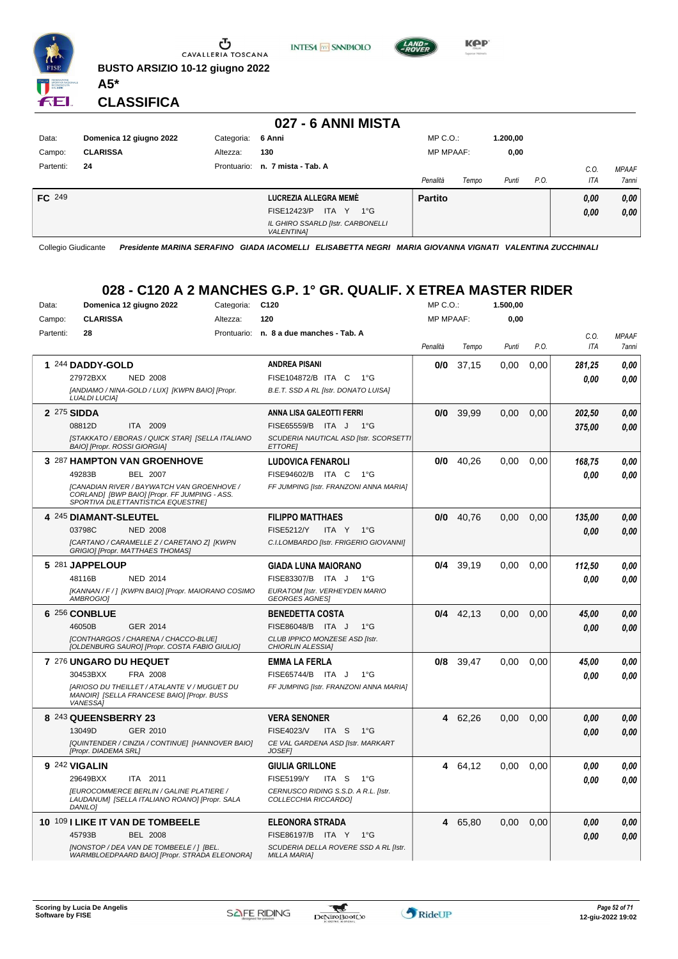

**BUSTO ARSIZIO 10-12 giugno 2022**





**CLASSIFICA**

**A5\***

ÆL.

|               |                         |                   | 027 - 6 ANNI MISTA                                     |                  |       |          |      |            |              |
|---------------|-------------------------|-------------------|--------------------------------------------------------|------------------|-------|----------|------|------------|--------------|
| Data:         | Domenica 12 giugno 2022 | Categoria: 6 Anni |                                                        | $MP C. O.$ :     |       | 1.200,00 |      |            |              |
| Campo:        | <b>CLARISSA</b>         | Altezza:          | 130                                                    | <b>MP MPAAF:</b> |       | 0,00     |      |            |              |
| Partenti:     | 24                      | Prontuario:       | n. 7 mista - Tab. A                                    |                  |       |          |      | $C_{0}$    | <b>MPAAF</b> |
|               |                         |                   |                                                        | Penalità         | Tempo | Punti    | P.O. | <b>ITA</b> | <b>7anni</b> |
| <b>FC</b> 249 |                         |                   | LUCREZIA ALLEGRA MEMÈ                                  | <b>Partito</b>   |       |          |      | 0.00       | 0,00         |
|               |                         |                   | ITA Y<br>FISE12423/P<br>$1^{\circ}G$                   |                  |       |          |      | 0.00       | 0,00         |
|               |                         |                   | IL GHIRO SSARLD [Istr. CARBONELLI<br><b>VALENTINA1</b> |                  |       |          |      |            |              |

Collegio Giudicante *Presidente MARINA SERAFINO GIADA IACOMELLI ELISABETTA NEGRI MARIA GIOVANNA VIGNATI VALENTINA ZUCCHINALI*

#### **028 - C120 A 2 MANCHES G.P. 1° GR. QUALIF. X ETREA MASTER RIDER**

| Data:     | Domenica 12 giugno 2022                                                                                                           | Categoria:  | C <sub>120</sub>                                             | MP C. O.         |             | 1.500,00 |      |        |              |
|-----------|-----------------------------------------------------------------------------------------------------------------------------------|-------------|--------------------------------------------------------------|------------------|-------------|----------|------|--------|--------------|
| Campo:    | <b>CLARISSA</b>                                                                                                                   | Altezza:    | 120                                                          | <b>MP MPAAF:</b> |             | 0,00     |      |        |              |
| Partenti: | 28                                                                                                                                | Prontuario: | n. 8 a due manches - Tab. A                                  |                  |             |          |      | C.0.   | <b>MPAAF</b> |
|           |                                                                                                                                   |             |                                                              | Penalità         | Tempo       | Punti    | P.O. | ITA    | 7anni        |
|           | 1 244 DADDY-GOLD                                                                                                                  |             | <b>ANDREA PISANI</b>                                         | 0/0              | 37,15       | 0,00     | 0,00 | 281,25 | 0.00         |
|           | 27972BXX<br><b>NED 2008</b>                                                                                                       |             | FISE104872/B ITA C<br>$1^{\circ}G$                           |                  |             |          |      | 0.00   | 0.00         |
|           | [ANDIAMO / NINA-GOLD / LUX] [KWPN BAIO] [Propr.<br><b>LUALDI LUCIA]</b>                                                           |             | B.E.T. SSD A RL [Istr. DONATO LUISA]                         |                  |             |          |      |        |              |
|           | 2 275 SIDDA                                                                                                                       |             | ANNA LISA GALEOTTI FERRI                                     | 0/0              | 39,99       | 0,00     | 0,00 | 202,50 | 0,00         |
|           | 08812D<br>ITA 2009                                                                                                                |             | FISE65559/B ITA J<br>$1^{\circ}G$                            |                  |             |          |      | 375,00 | 0.00         |
|           | [STAKKATO / EBORAS / QUICK STAR] [SELLA ITALIANO<br><b>BAIO] [Propr. ROSSI GIORGIA]</b>                                           |             | SCUDERIA NAUTICAL ASD [Istr. SCORSETTI<br><b>ETTOREI</b>     |                  |             |          |      |        |              |
|           | <b>3 287 HAMPTON VAN GROENHOVE</b>                                                                                                |             | <b>LUDOVICA FENAROLI</b>                                     | 0/0              | 40.26       | 0.00     | 0.00 | 168,75 | 0,00         |
|           | 49283B<br><b>BEL 2007</b>                                                                                                         |             | FISE94602/B ITA C<br>$1^{\circ}G$                            |                  |             |          |      | 0.00   | 0.00         |
|           | [CANADIAN RIVER / BAYWATCH VAN GROENHOVE /<br>CORLAND] [BWP BAIO] [Propr. FF JUMPING - ASS.<br>SPORTIVA DILETTANTISTICA EQUESTREI |             | FF JUMPING [Istr. FRANZONI ANNA MARIA]                       |                  |             |          |      |        |              |
|           | 4 245 DIAMANT-SLEUTEL                                                                                                             |             | <b>FILIPPO MATTHAES</b>                                      | 0/0              | 40,76       | 0,00     | 0,00 | 135,00 | 0,00         |
|           | 03798C<br><b>NED 2008</b>                                                                                                         |             | <b>FISE5212/Y</b><br>ITA Y 1°G                               |                  |             |          |      | 0.00   | 0.00         |
|           | [CARTANO / CARAMELLE Z / CARETANO Z] [KWPN<br>GRIGIO] [Propr. MATTHAES THOMAS]                                                    |             | C.I.LOMBARDO [Istr. FRIGERIO GIOVANNI]                       |                  |             |          |      |        |              |
|           | 5 281 JAPPELOUP                                                                                                                   |             | <b>GIADA LUNA MAIORANO</b>                                   | 0/4              | 39.19       | 0.00     | 0.00 | 112,50 | 0,00         |
|           | 48116B<br><b>NED 2014</b>                                                                                                         |             | FISE83307/B ITA J<br>− 1°G                                   |                  |             |          |      | 0.00   | 0.00         |
|           | [KANNAN / F / ] [KWPN BAIO] [Propr. MAIORANO COSIMO<br>AMBROGIO]                                                                  |             | EURATOM IIstr. VERHEYDEN MARIO<br><b>GEORGES AGNES!</b>      |                  |             |          |      |        |              |
|           | 6 256 CONBLUE                                                                                                                     |             | <b>BENEDETTA COSTA</b>                                       |                  | $0/4$ 42,13 | 0.00     | 0.00 | 45,00  | 0.00         |
|           | 46050B<br>GER 2014                                                                                                                |             | FISE86048/B ITA J<br>$1^{\circ}G$                            |                  |             |          |      | 0.00   | 0.00         |
|           | [CONTHARGOS / CHARENA / CHACCO-BLUE]<br>[OLDENBURG SAURO] [Propr. COSTA FABIO GIULIO]                                             |             | CLUB IPPICO MONZESE ASD [Istr.<br>CHIORLIN ALESSIA]          |                  |             |          |      |        |              |
|           | 7 276 UNGARO DU HEQUET                                                                                                            |             | <b>EMMA LA FERLA</b>                                         | 0/8              | 39,47       | 0.00     | 0.00 | 45,00  | 0.00         |
|           | 30453BXX<br>FRA 2008                                                                                                              |             | FISE65744/B ITA J<br>$1^{\circ}G$                            |                  |             |          |      | 0.00   | 0.00         |
|           | [ARIOSO DU THEILLET / ATALANTE V / MUGUET DU<br>MANOIR] [SELLA FRANCESE BAIO] [Propr. BUSS<br><b>VANESSAI</b>                     |             | FF JUMPING [Istr. FRANZONI ANNA MARIA]                       |                  |             |          |      |        |              |
|           | 8 243 QUEENSBERRY 23                                                                                                              |             | <b>VERA SENONER</b>                                          | 4                | 62,26       | 0.00     | 0.00 | 0.00   | 0.00         |
|           | 13049D<br>GER 2010                                                                                                                |             | FISE4023/V<br>ITA S<br>$1^{\circ}G$                          |                  |             |          |      | 0.00   | 0.00         |
|           | [QUINTENDER / CINZIA / CONTINUE] [HANNOVER BAIO]<br>[Propr. DIADEMA SRL]                                                          |             | CE VAL GARDENA ASD [Istr. MARKART<br><b>JOSEF1</b>           |                  |             |          |      |        |              |
|           | 9 242 VIGALIN                                                                                                                     |             | <b>GIULIA GRILLONE</b>                                       | 4                | 64,12       | 0.00     | 0.00 | 0.00   | 0.00         |
|           | 29649BXX<br>ITA 2011                                                                                                              |             | <b>FISE5199/Y</b><br>ITA S<br>$1^{\circ}G$                   |                  |             |          |      | 0.00   | 0.00         |
|           | <b>IEUROCOMMERCE BERLIN / GALINE PLATIERE /</b><br>LAUDANUM] [SELLA ITALIANO ROANO] [Propr. SALA<br>DANILO1                       |             | CERNUSCO RIDING S.S.D. A R.L. [Istr.<br>COLLECCHIA RICCARDO] |                  |             |          |      |        |              |
|           | 10 109 I LIKE IT VAN DE TOMBEELE                                                                                                  |             | <b>ELEONORA STRADA</b>                                       | 4                | 65,80       | 0.00     | 0.00 | 0.00   | 0.00         |
|           | 45793B<br><b>BEL 2008</b>                                                                                                         |             | FISE86197/B ITA Y 1°G                                        |                  |             |          |      | 0.00   | 0.00         |
|           | [NONSTOP / DEA VAN DE TOMBEELE / ] [BEL.<br>WARMBLOEDPAARD BAIO] [Propr. STRADA ELEONORA]                                         |             | SCUDERIA DELLA ROVERE SSD A RL [Istr.<br><b>MILLA MARIA]</b> |                  |             |          |      |        |              |

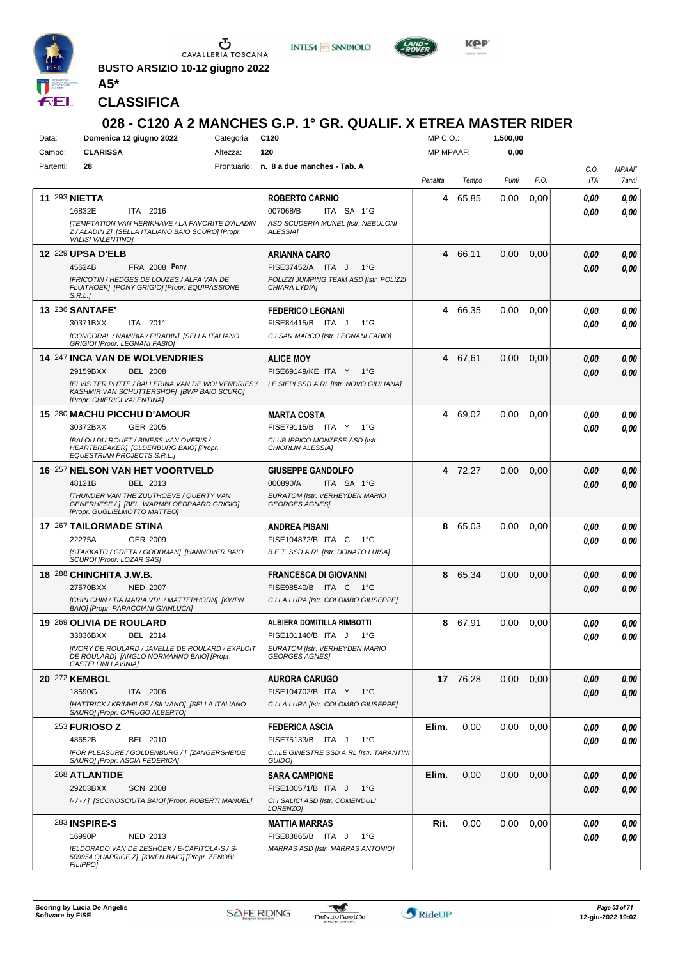

**BUSTO ARSIZIO 10-12 giugno 2022 A5\***



**KOP** 

**CLASSIFICA**

|                      |                                                                                                                                       |            | 028 - C120 A 2 MANCHES G.P. 1° GR. QUALIF. X ETREA MASTER RIDER |                  |          |          |      |             |                       |
|----------------------|---------------------------------------------------------------------------------------------------------------------------------------|------------|-----------------------------------------------------------------|------------------|----------|----------|------|-------------|-----------------------|
| Data:                | Domenica 12 giugno 2022                                                                                                               | Categoria: | C120                                                            | MP C.O.:         |          | 1.500.00 |      |             |                       |
| Campo:               | <b>CLARISSA</b>                                                                                                                       | Altezza:   | 120                                                             | <b>MP MPAAF:</b> |          | 0,00     |      |             |                       |
| Partenti:            | 28                                                                                                                                    |            | Prontuario: n. 8 a due manches - Tab. A                         | Penalità         | Tempo    | Punti    | P.O. | C.O.<br>ITA | <b>MPAAF</b><br>7anni |
| <b>11 293 NIETTA</b> |                                                                                                                                       |            | <b>ROBERTO CARNIO</b>                                           | 4                | 65,85    | 0.00     | 0,00 | 0.00        | 0,00                  |
|                      | 16832E<br>ITA 2016                                                                                                                    |            | 007068/B<br>ITA SA 1°G                                          |                  |          |          |      | 0.00        | 0,00                  |
|                      | [TEMPTATION VAN HERIKHAVE / LA FAVORITE D'ALADIN<br>Z / ALADIN Z] [SELLA ITALIANO BAIO SCURO] [Propr.<br><b>VALISI VALENTINO)</b>     |            | ASD SCUDERIA MUNEL [Istr. NEBULONI<br>ALESSIA]                  |                  |          |          |      |             |                       |
|                      | <b>12 229 UPSA D'ELB</b>                                                                                                              |            | <b>ARIANNA CAIRO</b>                                            |                  | 4 66,11  | 0,00     | 0,00 | 0.00        | 0,00                  |
|                      | 45624B<br><b>FRA 2008 Pony</b>                                                                                                        |            | FISE37452/A ITA J<br>1°G                                        |                  |          |          |      | 0.00        | 0,00                  |
|                      | [FRICOTIN / HEDGES DE LOUZES / ALFA VAN DE<br>FLUITHOEK] [PONY GRIGIO] [Propr. EQUIPASSIONE<br>S.R.L.                                 |            | POLIZZI JUMPING TEAM ASD [Istr. POLIZZI<br>CHIARA LYDIA]        |                  |          |          |      |             |                       |
|                      | <b>13 236 SANTAFE'</b>                                                                                                                |            | <b>FEDERICO LEGNANI</b>                                         |                  | 4 66,35  | 0,00     | 0,00 | 0.00        | 0,00                  |
|                      | ITA 2011<br>30371BXX                                                                                                                  |            | FISE84415/B ITA J<br>$1^{\circ}G$                               |                  |          |          |      | 0.00        | 0,00                  |
|                      | [CONCORAL / NAMIBIA / PIRADIN] [SELLA ITALIANO<br>GRIGIO] [Propr. LEGNANI FABIO]                                                      |            | C.I.SAN MARCO [Istr. LEGNANI FABIO]                             |                  |          |          |      |             |                       |
|                      | <b>14 247 INCA VAN DE WOLVENDRIES</b>                                                                                                 |            | <b>ALICE MOY</b>                                                |                  | 4 67,61  | 0,00     | 0,00 | 0.00        | 0,00                  |
|                      | 29159BXX<br><b>BEL 2008</b>                                                                                                           |            | FISE69149/KE ITA Y 1°G                                          |                  |          |          |      | 0.00        | 0,00                  |
|                      | <b>JELVIS TER PUTTE / BALLERINA VAN DE WOLVENDRIES /</b><br>KASHMIR VAN SCHUTTERSHOF] [BWP BAIO SCURO]<br>[Propr. CHIERICI VALENTINA] |            | LE SIEPI SSD A RL [Istr. NOVO GIULIANA]                         |                  |          |          |      |             |                       |
|                      | 15 280 MACHU PICCHU D'AMOUR                                                                                                           |            | <b>MARTA COSTA</b>                                              |                  | 4 69,02  | 0,00     | 0,00 | 0.00        | 0,00                  |
|                      | GER 2005<br>30372BXX                                                                                                                  |            | FISE79115/B ITA Y 1°G                                           |                  |          |          |      | 0.00        | 0,00                  |
|                      | <b>IBALOU DU ROUET / BINESS VAN OVERIS /</b><br>HEARTBREAKER] [OLDENBURG BAIO] [Propr.<br>EQUESTRIAN PROJECTS S.R.L.J                 |            | CLUB IPPICO MONZESE ASD [Istr.<br>CHIORLIN ALESSIA]             |                  |          |          |      |             |                       |
|                      | 16 257 NELSON VAN HET VOORTVELD                                                                                                       |            | <b>GIUSEPPE GANDOLFO</b>                                        |                  | 4 72,27  | 0,00     | 0,00 | 0.00        | 0,00                  |
|                      | 48121B<br>BEL 2013                                                                                                                    |            | 000890/A<br>ITA SA 1°G                                          |                  |          |          |      | 0.00        | 0,00                  |
|                      | <b>ITHUNDER VAN THE ZUUTHOEVE / QUERTY VAN</b><br>GENERHESE /   [BEL. WARMBLOEDPAARD GRIGIO]<br>[Propr. GUGLIELMOTTO MATTEO]          |            | EURATOM [Istr. VERHEYDEN MARIO<br><b>GEORGES AGNES</b>          |                  |          |          |      |             |                       |
|                      | 17 267 TAILORMADE STINA                                                                                                               |            | ANDREA PISANI                                                   | 8                | 65,03    | 0,00     | 0,00 | 0.00        | 0,00                  |
|                      | 22275A<br>GER 2009                                                                                                                    |            | FISE104872/B ITA C<br>1°G                                       |                  |          |          |      | 0.00        | 0,00                  |
|                      | ISTAKKATO / GRETA / GOODMAN] [HANNOVER BAIO<br>SCURO] [Propr. LOZAR SAS]                                                              |            | B.E.T. SSD A RL [Istr. DONATO LUISA]                            |                  |          |          |      |             |                       |
|                      | 18 288 CHINCHITA J.W.B.                                                                                                               |            | <b>FRANCESCA DI GIOVANNI</b>                                    | 8                | 65,34    | 0,00     | 0,00 | 0.00        | 0,00                  |
|                      | <b>NED 2007</b><br>27570BXX                                                                                                           |            | FISE98540/B ITA C<br>1°G                                        |                  |          |          |      | 0.00        | 0,00                  |
|                      | [CHIN CHIN / TIA.MARIA.VDL / MATTERHORN] [KWPN<br>BAIO] [Propr. PARACCIANI GIANLUCA]                                                  |            | C.I.LA LURA [Istr. COLOMBO GIUSEPPE]                            |                  |          |          |      |             |                       |
|                      | 19 269 OLIVIA DE ROULARD                                                                                                              |            | ALBIERA DOMITILLA RIMBOTTI                                      |                  | 8 67,91  | 0.00     | 0.00 | 0.00        | 0.00                  |
|                      | 33836BXX<br>BEL 2014                                                                                                                  |            | FISE101140/B ITA J 1°G                                          |                  |          |          |      | 0,00        | 0,00                  |
|                      | [IVORY DE ROULARD / JAVELLE DE ROULARD / EXPLOIT<br>DE ROULARD] [ANGLO NORMANNO BAIO] [Propr.<br>CASTELLINI LAVINIA]                  |            | EURATOM [Istr. VERHEYDEN MARIO<br><b>GEORGES AGNES</b>          |                  |          |          |      |             |                       |
|                      | 20 272 KEMBOL                                                                                                                         |            | <b>AURORA CARUGO</b>                                            |                  | 17 76,28 | 0,00     | 0,00 | 0.00        | 0,00                  |
|                      | 18590G<br>ITA 2006                                                                                                                    |            | FISE104702/B ITA Y 1°G                                          |                  |          |          |      | 0.00        | 0,00                  |
|                      | [HATTRICK / KRIMHILDE / SILVANO] [SELLA ITALIANO<br>SAURO] [Propr. CARUGO ALBERTO]                                                    |            | C.I.LA LURA [Istr. COLOMBO GIUSEPPE]                            |                  |          |          |      |             |                       |
|                      | <b>253 FURIOSO Z</b>                                                                                                                  |            | <b>FEDERICA ASCIA</b>                                           | Elim.            | 0,00     | 0,00     | 0,00 | 0.00        | 0,00                  |
|                      | 48652B<br>BEL 2010                                                                                                                    |            | FISE75133/B ITA J<br>1°G                                        |                  |          |          |      | 0.00        | 0,00                  |
|                      | [FOR PLEASURE / GOLDENBURG / ] [ZANGERSHEIDE<br>SAURO] [Propr. ASCIA FEDERICA]                                                        |            | C.I.LE GINESTRE SSD A RL [Istr. TARANTINI<br>GUIDO]             |                  |          |          |      |             |                       |
|                      | 268 ATLANTIDE                                                                                                                         |            | <b>SARA CAMPIONE</b>                                            | Elim.            | 0,00     | 0,00     | 0,00 | 0.00        | 0,00                  |
|                      | 29203BXX<br><b>SCN 2008</b>                                                                                                           |            | FISE100571/B ITA J<br>1°G                                       |                  |          |          |      | 0,00        | 0,00                  |
|                      | [-/-/] [SCONOSCIUTA BAIO] [Propr. ROBERTI MANUEL]                                                                                     |            | CI I SALICI ASD [Istr. COMENDULI<br>LORENZO]                    |                  |          |          |      |             |                       |
|                      | <b>283 INSPIRE-S</b>                                                                                                                  |            | <b>MATTIA MARRAS</b>                                            | Rit.             | 0,00     | 0,00     | 0,00 | 0.00        | 0,00                  |
|                      | 16990P<br>NED 2013                                                                                                                    |            | FISE83865/B ITA J<br>1°G                                        |                  |          |          |      | 0.00        | 0,00                  |
|                      | [ELDORADO VAN DE ZESHOEK / E-CAPITOLA-S / S-<br>509954 QUAPRICE ZJ [KWPN BAIO] [Propr. ZENOBI<br><b>FILIPPO]</b>                      |            | MARRAS ASD [Istr. MARRAS ANTONIO]                               |                  |          |          |      |             |                       |

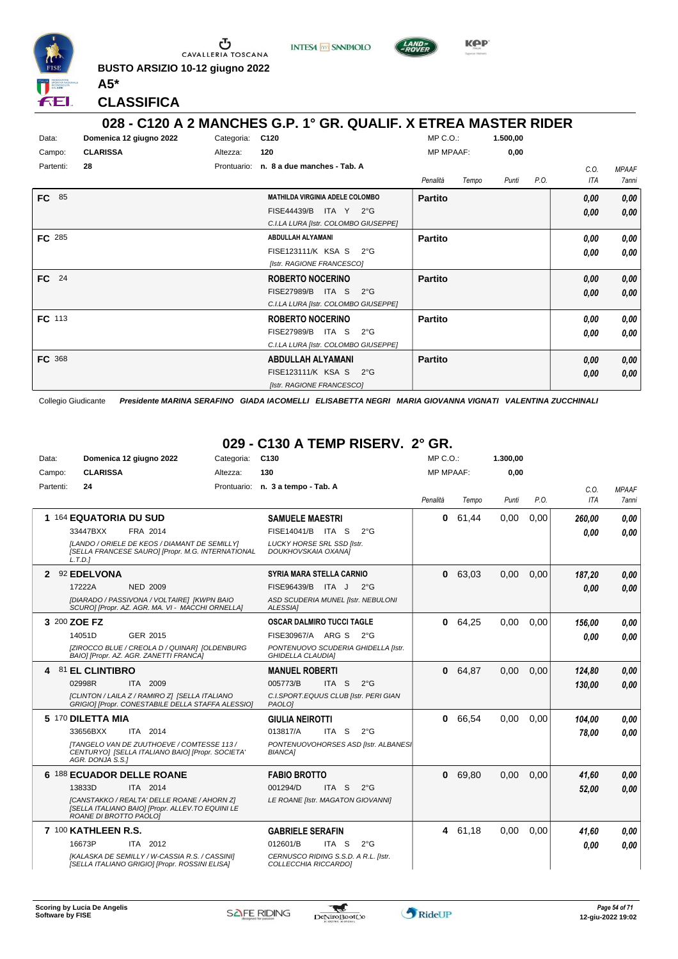

**BUSTO ARSIZIO 10-12 giugno 2022 A5\***





**CLASSIFICA**

#### **028 - C120 A 2 MANCHES G.P. 1° GR. QUALIF. X ETREA MASTER RIDER**

| Data:<br>Campo: | Domenica 12 giugno 2022<br><b>CLARISSA</b> | Categoria:<br>Altezza: | C120<br>120                                                                                                       | $MP C. O.$ :<br><b>MP MPAAF:</b> |       | 1.500,00<br>0,00 |      |                    |                              |
|-----------------|--------------------------------------------|------------------------|-------------------------------------------------------------------------------------------------------------------|----------------------------------|-------|------------------|------|--------------------|------------------------------|
| Partenti:       | 28                                         | Prontuario:            | n. 8 a due manches - Tab. A                                                                                       | Penalità                         | Tempo | Punti            | P.O. | C.O.<br><b>ITA</b> | <b>MPAAF</b><br><b>7anni</b> |
| FC  <br>85      |                                            |                        | <b>MATHILDA VIRGINIA ADELE COLOMBO</b><br><b>FISE44439/B</b><br>ITA Y 2°G<br>C.I.LA LURA [Istr. COLOMBO GIUSEPPE] | <b>Partito</b>                   |       |                  |      | 0,00<br>0,00       | 0,00<br>0,00                 |
| FC 285          |                                            |                        | ABDULLAH ALYAMANI<br>FISE123111/K KSA S<br>$2^{\circ}G$<br>[Istr. RAGIONE FRANCESCO]                              | <b>Partito</b>                   |       |                  |      | 0,00<br>0,00       | 0,00<br>0,00                 |
| 24<br><b>FC</b> |                                            |                        | <b>ROBERTO NOCERINO</b><br><b>FISE27989/B</b><br>ITA S<br>$2^{\circ}G$<br>C.I.LA LURA [Istr. COLOMBO GIUSEPPE]    | <b>Partito</b>                   |       |                  |      | 0,00<br>0,00       | 0,00<br>0,00                 |
| <b>FC</b> 113   |                                            |                        | <b>ROBERTO NOCERINO</b><br><b>FISE27989/B</b><br>ITA S 2°G<br>C.I.LA LURA [Istr. COLOMBO GIUSEPPE]                | <b>Partito</b>                   |       |                  |      | 0,00<br>0,00       | 0,00<br>0,00                 |
| FC 368          |                                            |                        | <b>ABDULLAH ALYAMANI</b><br>FISE123111/K KSA S<br>$2^{\circ}G$<br>[Istr. RAGIONE FRANCESCO]                       | <b>Partito</b>                   |       |                  |      | 0,00<br>0,00       | 0,00<br>0,00                 |

Collegio Giudicante *Presidente MARINA SERAFINO GIADA IACOMELLI ELISABETTA NEGRI MARIA GIOVANNA VIGNATI VALENTINA ZUCCHINALI*

## **029 - C130 A TEMP RISERV. 2° GR.**

| Data:     | Domenica 12 giugno 2022                                                                                                   | Categoria:  | C <sub>130</sub>                                                | $MP C. O.$ :     |         | 1.300,00 |      |            |              |
|-----------|---------------------------------------------------------------------------------------------------------------------------|-------------|-----------------------------------------------------------------|------------------|---------|----------|------|------------|--------------|
| Campo:    | <b>CLARISSA</b>                                                                                                           | Altezza:    | 130                                                             | <b>MP MPAAF:</b> |         | 0,00     |      |            |              |
| Partenti: | 24                                                                                                                        | Prontuario: | n. 3 a tempo - Tab. A                                           |                  |         |          |      | C.O.       | <b>MPAAF</b> |
|           |                                                                                                                           |             |                                                                 | Penalità         | Tempo   | Punti    | P.O. | <b>ITA</b> | 7 anni       |
|           | 1 164 EQUATORIA DU SUD                                                                                                    |             | <b>SAMUELE MAESTRI</b>                                          | 0                | 61.44   | 0.00     | 0.00 | 260,00     | 0,00         |
|           | 33447BXX<br>FRA 2014                                                                                                      |             | FISE14041/B ITA S<br>$2^{\circ}$ G                              |                  |         |          |      | 0.00       | 0.00         |
|           | [LANDO / ORIELE DE KEOS / DIAMANT DE SEMILLY]<br>[SELLA FRANCESE SAURO] [Propr. M.G. INTERNATIONAL<br>L.T.D.1             |             | <b>LUCKY HORSE SRL SSD [Istr.</b><br>DOUKHOVSKAIA OXANA]        |                  |         |          |      |            |              |
|           | 2 92 EDELVONA                                                                                                             |             | <b>SYRIA MARA STELLA CARNIO</b>                                 |                  | 0 63,03 | 0,00     | 0.00 | 187,20     | 0,00         |
|           | 17222A<br><b>NED 2009</b>                                                                                                 |             | FISE96439/B<br>ITA J<br>$2^{\circ}G$                            |                  |         |          |      | 0.00       | 0.00         |
|           | [DIARADO / PASSIVONA / VOLTAIRE] [KWPN BAIO<br>SCURO] [Propr. AZ. AGR. MA. VI - MACCHI ORNELLA]                           |             | ASD SCUDERIA MUNEL [Istr. NEBULONI<br>ALESSIA]                  |                  |         |          |      |            |              |
|           | 3 200 ZOE FZ                                                                                                              |             | <b>OSCAR DALMIRO TUCCI TAGLE</b>                                | 0                | 64.25   | 0.00     | 0.00 | 156.00     | 0.00         |
|           | GER 2015<br>14051D                                                                                                        |             | FISE30967/A ARG S<br>$2^{\circ}G$                               |                  |         |          |      | 0.00       | 0.00         |
|           | [ZIROCCO BLUE / CREOLA D / QUINAR] [OLDENBURG<br>BAIO] [Propr. AZ. AGR. ZANETTI FRANCA]                                   |             | PONTENUOVO SCUDERIA GHIDELLA [Istr.<br><b>GHIDELLA CLAUDIA1</b> |                  |         |          |      |            |              |
| 4         | <b>81 EL CLINTIBRO</b>                                                                                                    |             | <b>MANUEL ROBERTI</b>                                           | 0                | 64,87   | 0.00     | 0.00 | 124,80     | 0,00         |
|           | 02998R<br>ITA 2009                                                                                                        |             | 005773/B<br>ITA S<br>$2^{\circ}G$                               |                  |         |          |      | 130.00     | 0.00         |
|           | [CLINTON / LAILA Z / RAMIRO Z] [SELLA ITALIANO<br>GRIGIO] [Propr. CONESTABILE DELLA STAFFA ALESSIO]                       |             | C.I.SPORT.EQUUS CLUB [Istr. PERI GIAN<br>PAOLO1                 |                  |         |          |      |            |              |
|           | 5 170 DILETTA MIA                                                                                                         |             | <b>GIULIA NEIROTTI</b>                                          | 0                | 66,54   | 0.00     | 0.00 | 104.00     | 0.00         |
|           | ITA 2014<br>33656BXX                                                                                                      |             | 013817/A<br>ITA S<br>$2^{\circ}$ G                              |                  |         |          |      | 78.00      | 0.00         |
|           | <b>ITANGELO VAN DE ZUUTHOEVE / COMTESSE 113 /</b><br>CENTURYO] [SELLA ITALIANO BAIO] [Propr. SOCIETA'<br>AGR. DONJA S.S.] |             | PONTENUOVOHORSES ASD [Istr. ALBANES]<br><b>BIANCA1</b>          |                  |         |          |      |            |              |
|           | 6 188 ECUADOR DELLE ROANE                                                                                                 |             | <b>FABIO BROTTO</b>                                             | 0                | 69,80   | 0.00     | 0.00 | 41,60      | 0,00         |
|           | 13833D<br>ITA 2014                                                                                                        |             | 001294/D<br>ITA S<br>$2^{\circ}$ G                              |                  |         |          |      | 52,00      | 0.00         |
|           | [CANSTAKKO / REALTA' DELLE ROANE / AHORN Z]<br>[SELLA ITALIANO BAIO] [Propr. ALLEV.TO EQUINI LE<br>ROANE DI BROTTO PAOLOJ |             | LE ROANE [Istr. MAGATON GIOVANNI]                               |                  |         |          |      |            |              |
|           | 7 100 KATHLEEN R.S.                                                                                                       |             | <b>GABRIELE SERAFIN</b>                                         |                  | 4 61,18 | 0,00     | 0.00 | 41,60      | 0,00         |
|           | ITA 2012<br>16673P                                                                                                        |             | 012601/B<br>ITA S<br>$2^{\circ}$ G                              |                  |         |          |      | 0.00       | 0.00         |
|           | [KALASKA DE SEMILLY / W-CASSIA R.S. / CASSINI]<br>[SELLA ITALIANO GRIGIO] [Propr. ROSSINI ELISA]                          |             | CERNUSCO RIDING S.S.D. A R.L. [Istr.<br>COLLECCHIA RICCARDO]    |                  |         |          |      |            |              |

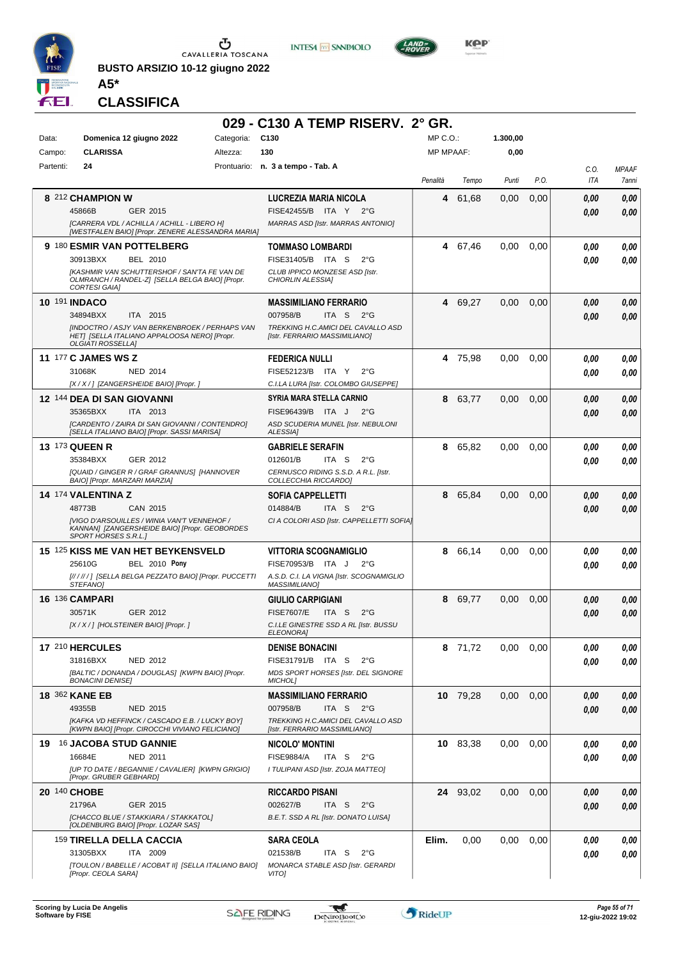

**BUSTO ARSIZIO 10-12 giugno 2022 A5\***





**KOP** 

#### **CLASSIFICA**

|              |                                                                                                                      |            | 029 - C130 A TEMP RISERV. 2° GR.                                    |                  |          |          |      |                    |                       |
|--------------|----------------------------------------------------------------------------------------------------------------------|------------|---------------------------------------------------------------------|------------------|----------|----------|------|--------------------|-----------------------|
| Data:        | Domenica 12 giugno 2022                                                                                              | Categoria: | C <sub>130</sub>                                                    | $MP C. O.$ :     |          | 1.300,00 |      |                    |                       |
| Campo:       | <b>CLARISSA</b>                                                                                                      | Altezza:   | 130                                                                 | <b>MP MPAAF:</b> |          | 0,00     |      |                    |                       |
| Partenti:    | 24                                                                                                                   |            | Prontuario: n. 3 a tempo - Tab. A                                   |                  |          |          |      |                    |                       |
|              |                                                                                                                      |            |                                                                     | Penalità         | Tempo    | Punti    | P.O. | C.O.<br><b>ITA</b> | <b>MPAAF</b><br>7anni |
|              | 8 212 CHAMPION W                                                                                                     |            | LUCREZIA MARIA NICOLA                                               |                  | 4 61,68  | 0,00     | 0,00 | 0.00               | 0,00                  |
|              | 45866B<br>GER 2015                                                                                                   |            | FISE42455/B ITA Y<br>$2^{\circ}G$                                   |                  |          |          |      | 0.00               | 0,00                  |
|              | [CARRERA VDL / ACHILLA / ACHILL - LIBERO H]<br>[WESTFALEN BAIO] [Propr. ZENERE ALESSANDRA MARIA]                     |            | MARRAS ASD [Istr. MARRAS ANTONIO]                                   |                  |          |          |      |                    |                       |
|              | 9 180 ESMIR VAN POTTELBERG                                                                                           |            | <b>TOMMASO LOMBARDI</b>                                             |                  | 4 67,46  | 0,00     | 0,00 | 0.00               | 0,00                  |
|              | 30913BXX<br>BEL 2010                                                                                                 |            | FISE31405/B ITA S<br>$2^{\circ}G$                                   |                  |          |          |      | 0.00               | 0.00                  |
|              | <b>IKASHMIR VAN SCHUTTERSHOF / SAN'TA FE VAN DE</b>                                                                  |            | CLUB IPPICO MONZESE ASD [Istr.                                      |                  |          |          |      |                    |                       |
|              | OLMRANCH / RANDEL-Z] [SELLA BELGA BAIO] [Propr.<br>CORTESI GAIA]                                                     |            | CHIORLIN ALESSIA]                                                   |                  |          |          |      |                    |                       |
|              | <b>10 191 INDACO</b>                                                                                                 |            | <b>MASSIMILIANO FERRARIO</b>                                        |                  | 4 69,27  | 0,00     | 0,00 | 0.00               | 0,00                  |
|              | 34894BXX<br>ITA 2015                                                                                                 |            | 007958/B<br>ITA S<br>$2^{\circ}$ G                                  |                  |          |          |      | 0.00               | 0.00                  |
|              | [INDOCTRO / ASJY VAN BERKENBROEK / PERHAPS VAN<br>HETI [SELLA ITALIANO APPALOOSA NERO] [Propr.                       |            | TREKKING H.C.AMICI DEL CAVALLO ASD<br>[Istr. FERRARIO MASSIMILIANO] |                  |          |          |      |                    |                       |
|              | <b>OLGIATI ROSSELLAI</b>                                                                                             |            |                                                                     |                  |          |          |      |                    |                       |
|              | <b>11 177 C JAMES WS Z</b>                                                                                           |            | <b>FEDERICA NULLI</b>                                               |                  | 4 75,98  | 0,00     | 0,00 | 0.00               | 0,00                  |
|              | 31068K<br><b>NED 2014</b>                                                                                            |            | FISE52123/B ITA Y<br>$2^{\circ}G$                                   |                  |          |          |      | 0.00               | 0.00                  |
|              | [X / X / ] [ZANGERSHEIDE BAIO] [Propr. ]                                                                             |            | C.I.LA LURA [Istr. COLOMBO GIUSEPPE]                                |                  |          |          |      |                    |                       |
|              | 12 144 DEA DI SAN GIOVANNI                                                                                           |            | <b>SYRIA MARA STELLA CARNIO</b>                                     | 8                | 63,77    | 0,00     | 0,00 | 0.00               | 0,00                  |
|              | 35365BXX<br>ITA 2013                                                                                                 |            | FISE96439/B ITA J<br>$2^{\circ}$ G                                  |                  |          |          |      | 0.00               | 0,00                  |
|              | [CARDENTO / ZAIRA DI SAN GIOVANNI / CONTENDRO]<br>[SELLA ITALIANO BAIO] [Propr. SASSI MARISA]                        |            | ASD SCUDERIA MUNEL [Istr. NEBULONI<br>ALESSIA]                      |                  |          |          |      |                    |                       |
|              | <b>13 173 QUEEN R</b>                                                                                                |            | <b>GABRIELE SERAFIN</b>                                             | 8                | 65,82    | 0,00     | 0,00 | 0.00               | 0,00                  |
|              | 35384BXX<br>GER 2012                                                                                                 |            | 012601/B<br>ITA S<br>$2^{\circ}$ G                                  |                  |          |          |      | 0.00               | 0.00                  |
|              | [QUAID / GINGER R / GRAF GRANNUS] [HANNOVER<br>BAIO] [Propr. MARZARI MARZIA]                                         |            | CERNUSCO RIDING S.S.D. A R.L. [Istr.<br>COLLECCHIA RICCARDO]        |                  |          |          |      |                    |                       |
|              | 14 174 VALENTINA Z                                                                                                   |            | SOFIA CAPPELLETTI                                                   | 8                | 65,84    | 0,00     | 0,00 | 0.00               | 0,00                  |
|              | 48773B<br>CAN 2015                                                                                                   |            | 014884/B<br>ITA S<br>$2^{\circ}$ G                                  |                  |          |          |      | 0.00               | 0.00                  |
|              | [VIGO D'ARSOUILLES / WINIA VAN'T VENNEHOF /<br>KANNAN] [ZANGERSHEIDE BAIO] [Propr. GEOBORDES<br>SPORT HORSES S.R.L.] |            | CI A COLORI ASD [Istr. CAPPELLETTI SOFIA]                           |                  |          |          |      |                    |                       |
|              | 15 125 KISS ME VAN HET BEYKENSVELD                                                                                   |            | <b>VITTORIA SCOGNAMIGLIO</b>                                        | 8                | 66,14    | 0,00     | 0,00 | 0.00               | 0,00                  |
|              | 25610G<br><b>BEL 2010 Pony</b>                                                                                       |            | FISE70953/B ITA J<br>$2^{\circ}G$                                   |                  |          |          |      | 0.00               | 0.00                  |
|              | [//////] [SELLA BELGA PEZZATO BAIO] [Propr. PUCCETTI<br>STEFANO]                                                     |            | A.S.D. C.I. LA VIGNA [Istr. SCOGNAMIGLIO<br><b>MASSIMILIANO1</b>    |                  |          |          |      |                    |                       |
|              | <b>16 136 CAMPARI</b>                                                                                                |            | <b>GIULIO CARPIGIANI</b>                                            | 8                | 69,77    | 0,00     | 0,00 | 0,00               | 0,00                  |
|              | 30571K<br>GER 2012                                                                                                   |            | <b>FISE7607/E</b><br>ITA S<br>$2^{\circ}$ G                         |                  |          |          |      | 0.00               | 0,00                  |
|              | [X / X / ] [HOLSTEINER BAIO] [Propr. ]                                                                               |            | C.I.LE GINESTRE SSD A RL [Istr. BUSSU                               |                  |          |          |      |                    |                       |
|              | 17 210 HERCULES                                                                                                      |            | <b>ELEONORA]</b><br><b>DENISE BONACINI</b>                          |                  | 8 71,72  | 0,00     | 0,00 | 0,00               | 0,00                  |
|              | 31816BXX<br>NED 2012                                                                                                 |            | FISE31791/B ITA S<br>$2^{\circ}G$                                   |                  |          |          |      | 0,00               | 0,00                  |
|              | [BALTIC / DONANDA / DOUGLAS] [KWPN BAIO] [Propr.                                                                     |            | MDS SPORT HORSES [Istr. DEL SIGNORE                                 |                  |          |          |      |                    |                       |
|              | <b>BONACINI DENISE]</b>                                                                                              |            | MICHOL]                                                             |                  |          |          |      |                    |                       |
|              | <b>18 362 KANE EB</b>                                                                                                |            | <b>MASSIMILIANO FERRARIO</b>                                        |                  | 10 79,28 | 0,00     | 0,00 | 0,00               | 0,00                  |
|              | 49355B<br>NED 2015                                                                                                   |            | ITA S<br>007958/B<br>$2^{\circ}G$                                   |                  |          |          |      | 0,00               | 0,00                  |
|              | [KAFKA VD HEFFINCK / CASCADO E.B. / LUCKY BOY]<br>[KWPN BAIO] [Propr. CIROCCHI VIVIANO FELICIANO]                    |            | TREKKING H.C.AMICI DEL CAVALLO ASD<br>[Istr. FERRARIO MASSIMILIANO] |                  |          |          |      |                    |                       |
|              | 19 16 JACOBA STUD GANNIE                                                                                             |            | <b>NICOLO' MONTINI</b>                                              |                  | 10 83,38 | 0,00     | 0.00 | 0,00               | 0,00                  |
|              | 16684E<br><b>NED 2011</b>                                                                                            |            | <b>FISE9884/A</b><br>ITA S<br>$2^{\circ}$ G                         |                  |          |          |      | 0.00               | 0,00                  |
|              | [UP TO DATE / BEGANNIE / CAVALIER] [KWPN GRIGIO]<br>[Propr. GRUBER GEBHARD]                                          |            | I TULIPANI ASD [Istr. ZOJA MATTEO]                                  |                  |          |          |      |                    |                       |
| 20 140 CHOBE |                                                                                                                      |            | <b>RICCARDO PISANI</b>                                              |                  | 24 93,02 | 0,00     | 0,00 | 0,00               | 0,00                  |
|              | 21796A<br>GER 2015                                                                                                   |            | 002627/B<br>ITA S<br>$2^{\circ}$ G                                  |                  |          |          |      | 0.00               | 0.00                  |
|              | [CHACCO BLUE / STAKKIARA / STAKKATOL]<br>[OLDENBURG BAIO] [Propr. LOZAR SAS]                                         |            | B.E.T. SSD A RL [Istr. DONATO LUISA]                                |                  |          |          |      |                    |                       |
|              | 159 TIRELLA DELLA CACCIA                                                                                             |            | <b>SARA CEOLA</b>                                                   | Elim.            | 0,00     | 0,00     | 0.00 | 0,00               | 0,00                  |
|              | 31305BXX<br>ITA 2009                                                                                                 |            | 021538/B<br>ITA S<br>$2^{\circ}G$                                   |                  |          |          |      | 0.00               | 0.00                  |
|              | [TOULON / BABELLE / ACOBAT II] [SELLA ITALIANO BAIO]                                                                 |            | MONARCA STABLE ASD [Istr. GERARDI                                   |                  |          |          |      |                    |                       |
|              | [Propr. CEOLA SARA]                                                                                                  |            | VITO]                                                               |                  |          |          |      |                    |                       |

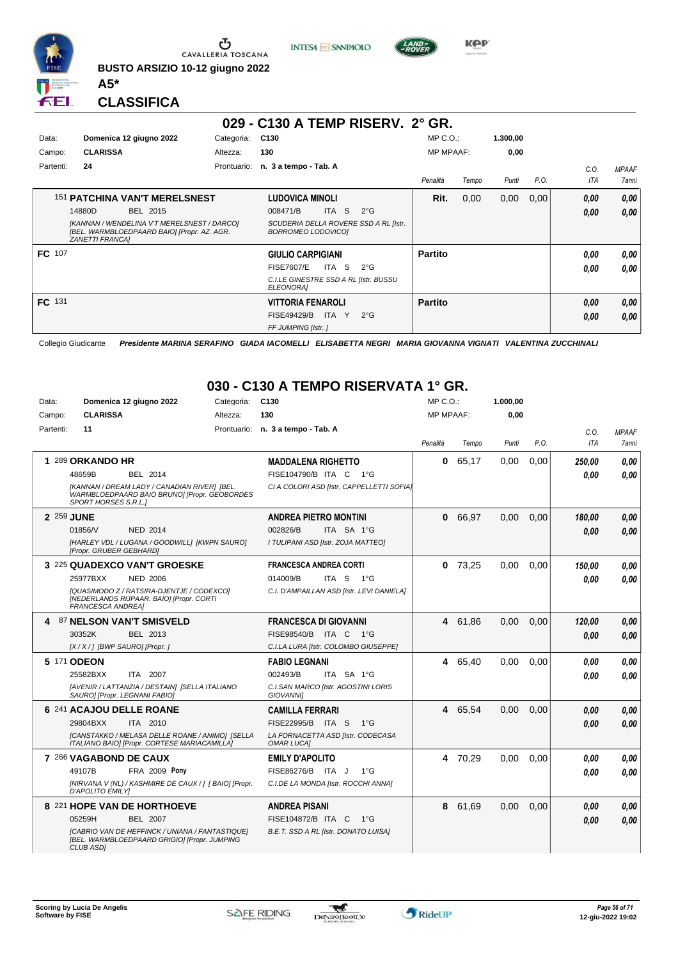

**BUSTO ARSIZIO 10-12 giugno 2022**





**KPP** 

#### **CLASSIFICA**

**A5\***

|           |                                                                                                               |             | 029 - C130 A TEMP RISERV. 2° GR.                            |                  |       |          |      |      |              |
|-----------|---------------------------------------------------------------------------------------------------------------|-------------|-------------------------------------------------------------|------------------|-------|----------|------|------|--------------|
| Data:     | Domenica 12 giugno 2022                                                                                       | Categoria:  | C130                                                        | $MP C. O.$ :     |       | 1.300,00 |      |      |              |
| Campo:    | <b>CLARISSA</b>                                                                                               | Altezza:    | 130                                                         | <b>MP MPAAF:</b> |       | 0,00     |      |      |              |
| Partenti: | 24                                                                                                            | Prontuario: | n. 3 a tempo - Tab. A                                       |                  |       |          |      | C.O. | <b>MPAAF</b> |
|           |                                                                                                               |             |                                                             | Penalità         | Tempo | Punti    | P.O. | ITA  | 7anni        |
|           | <b>151 PATCHINA VAN'T MERELSNEST</b>                                                                          |             | <b>LUDOVICA MINOLI</b>                                      | Rit.             | 0,00  | 0,00     | 0,00 | 0,00 | 0,00         |
|           | 14880D<br>BEL 2015                                                                                            |             | -S<br><b>ITA</b><br>$2^{\circ}$ G<br>008471/B               |                  |       |          |      | 0,00 | 0,00         |
|           | [KANNAN / WENDELINA V'T MERELSNEST / DARCO]<br>[BEL. WARMBLOEDPAARD BAIO] [Propr. AZ. AGR.<br>ZANETTI FRANCAI |             | SCUDERIA DELLA ROVERE SSD A RL [Istr.<br>BORROMEO LODOVICO] |                  |       |          |      |      |              |
| FC 107    |                                                                                                               |             | <b>GIULIO CARPIGIANI</b>                                    | <b>Partito</b>   |       |          |      | 0.00 | 0,00         |
|           |                                                                                                               |             | <b>FISE7607/E</b><br>ITA S<br>$2^{\circ}G$                  |                  |       |          |      | 0.00 | 0.00         |
|           |                                                                                                               |             | C.I.LE GINESTRE SSD A RL [Istr. BUSSU<br>ELEONORA]          |                  |       |          |      |      |              |
| FC 131    |                                                                                                               |             | <b>VITTORIA FENAROLI</b>                                    | <b>Partito</b>   |       |          |      | 0.00 | 0,00         |
|           |                                                                                                               |             | <b>FISE49429/B</b><br>ITA Y<br>$2^{\circ}G$                 |                  |       |          |      | 0,00 | 0.00         |
|           |                                                                                                               |             | FF JUMPING [Istr.]                                          |                  |       |          |      |      |              |

Collegio Giudicante *Presidente MARINA SERAFINO GIADA IACOMELLI ELISABETTA NEGRI MARIA GIOVANNA VIGNATI VALENTINA ZUCCHINALI*

#### **030 - C130 A TEMPO RISERVATA 1° GR.**

| Data:     |                                  | Domenica 12 giugno 2022                                                                         | Categoria: | C <sub>130</sub>                                       | $MP C. O.$ :     |         | 1.000,00 |      |        |              |
|-----------|----------------------------------|-------------------------------------------------------------------------------------------------|------------|--------------------------------------------------------|------------------|---------|----------|------|--------|--------------|
| Campo:    | <b>CLARISSA</b>                  |                                                                                                 | Altezza:   | 130                                                    | <b>MP MPAAF:</b> |         | 0,00     |      |        |              |
| Partenti: | 11                               |                                                                                                 |            | Prontuario: n. 3 a tempo - Tab. A                      |                  |         |          |      | C.O.   | <b>MPAAF</b> |
|           |                                  |                                                                                                 |            |                                                        | Penalità         | Tempo   | Punti    | P.O. | ITA    | 7anni        |
|           | 1 289 ORKANDO HR                 |                                                                                                 |            | <b>MADDALENA RIGHETTO</b>                              | 0                | 65,17   | 0,00     | 0.00 | 250,00 | 0.00         |
|           | 48659B                           | <b>BEL 2014</b>                                                                                 |            | FISE104790/B ITA C<br>$1^{\circ}G$                     |                  |         |          |      | 0.00   | 0.00         |
|           | SPORT HORSES S.R.L.1             | [KANNAN / DREAM LADY / CANADIAN RIVER] [BEL.<br>WARMBLOEDPAARD BAIO BRUNO] [Propr. GEOBORDES    |            | CI A COLORI ASD [Istr. CAPPELLETTI SOFIA]              |                  |         |          |      |        |              |
|           | 2 259 JUNE                       |                                                                                                 |            | <b>ANDREA PIETRO MONTINI</b>                           |                  | 0 66,97 | 0,00     | 0,00 | 180,00 | 0,00         |
|           | 01856/V                          | <b>NED 2014</b>                                                                                 |            | 002826/B<br>ITA SA 1°G                                 |                  |         |          |      | 0.00   | 0.00         |
|           | [Propr. GRUBER GEBHARD]          | [HARLEY VDL / LUGANA / GOODWILL] [KWPN SAURO]                                                   |            | I TULIPANI ASD [Istr. ZOJA MATTEO]                     |                  |         |          |      |        |              |
|           |                                  | 3 225 QUADEXCO VAN'T GROESKE                                                                    |            | <b>FRANCESCA ANDREA CORTI</b>                          | 0                | 73,25   | 0,00     | 0,00 | 150.00 | 0.00         |
|           | 25977BXX                         | <b>NED 2006</b>                                                                                 |            | 014009/B<br>ITA S<br>1°G                               |                  |         |          |      | 0.00   | 0.00         |
|           | <b>FRANCESCA ANDREA1</b>         | [QUASIMODO Z / RATSIRA-DJENTJE / CODEXCO]<br>[NEDERLANDS RIJPAAR. BAIO] [Propr. CORTI           |            | C.I. D'AMPAILLAN ASD [Istr. LEVI DANIELA]              |                  |         |          |      |        |              |
|           | 4 87 NELSON VAN'T SMISVELD       |                                                                                                 |            | <b>FRANCESCA DI GIOVANNI</b>                           |                  | 4 61,86 | 0.00     | 0.00 | 120,00 | 0.00         |
|           | 30352K                           | BEL 2013                                                                                        |            | FISE98540/B<br>ITA C 1°G                               |                  |         |          |      | 0.00   | 0.00         |
|           | [X / X / ] [BWP SAURO] [Propr. ] |                                                                                                 |            | C.I.LA LURA [Istr. COLOMBO GIUSEPPE]                   |                  |         |          |      |        |              |
|           | 5 171 ODEON                      |                                                                                                 |            | <b>FABIO LEGNANI</b>                                   |                  | 4 65,40 | 0.00     | 0.00 | 0.00   | 0,00         |
|           | 25582BXX                         | ITA 2007                                                                                        |            | 002493/B<br>ITA SA 1°G                                 |                  |         |          |      | 0.00   | 0.00         |
|           | SAURO] [Propr. LEGNANI FABIO]    | [AVENIR / LATTANZIA / DESTAIN] [SELLA ITALIANO                                                  |            | C.I.SAN MARCO [Istr. AGOSTINI LORIS<br>GIOVANNI]       |                  |         |          |      |        |              |
|           | 6 241 ACAJOU DELLE ROANE         |                                                                                                 |            | <b>CAMILLA FERRARI</b>                                 |                  | 4 65,54 | 0,00     | 0,00 | 0.00   | 0,00         |
|           | 29804BXX                         | ITA 2010                                                                                        |            | FISE22995/B ITA S<br>$1^{\circ}$ G                     |                  |         |          |      | 0.00   | 0.00         |
|           |                                  | [CANSTAKKO / MELASA DELLE ROANE / ANIMO] [SELLA<br>ITALIANO BAIO] [Propr. CORTESE MARIACAMILLA] |            | LA FORNACETTA ASD [Istr. CODECASA<br><b>OMAR LUCAI</b> |                  |         |          |      |        |              |
|           | 7 266 VAGABOND DE CAUX           |                                                                                                 |            | <b>EMILY D'APOLITO</b>                                 | 4                | 70,29   | 0,00     | 0,00 | 0.00   | 0,00         |
|           | 49107B                           | FRA 2009 Pony                                                                                   |            | FISE86276/B ITA J<br>$1^{\circ}G$                      |                  |         |          |      | 0.00   | 0.00         |
|           | D'APOLITO EMILY]                 | [NIRVANA V (NL) / KASHMIRE DE CAUX / ] [ BAIO] [Propr.                                          |            | C.I.DE LA MONDA [Istr. ROCCHI ANNA]                    |                  |         |          |      |        |              |
|           |                                  | 8 221 HOPE VAN DE HORTHOEVE                                                                     |            | <b>ANDREA PISANI</b>                                   | 8                | 61,69   | 0,00     | 0,00 | 0,00   | 0,00         |
|           | 05259H                           | <b>BEL 2007</b>                                                                                 |            | FISE104872/B ITA C<br>$1^{\circ}G$                     |                  |         |          |      | 0.00   | 0.00         |
|           | CLUB ASD]                        | [CABRIO VAN DE HEFFINCK / UNIANA / FANTASTIQUE]<br>[BEL. WARMBLOEDPAARD GRIGIO] [Propr. JUMPING |            | B.E.T. SSD A RL [Istr. DONATO LUISA]                   |                  |         |          |      |        |              |

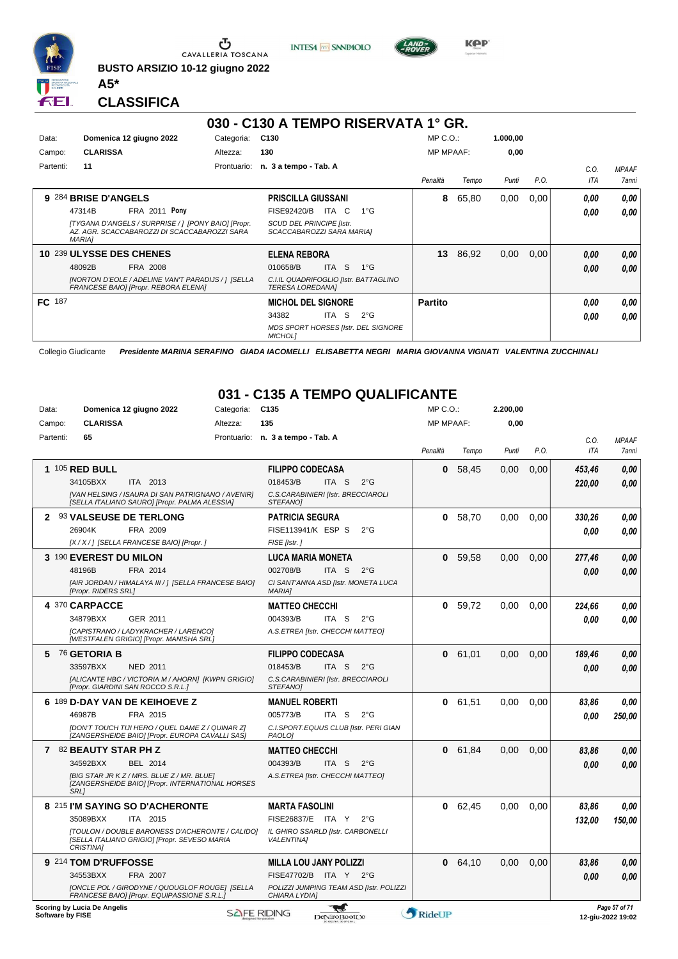

**BUSTO ARSIZIO 10-12 giugno 2022 A5\***





**Kep** 

#### **CLASSIFICA**

|               |                                                                                                                      |             | 030 - C130 A TEMPO RISERVATA 1° GR.                       |                  |                                            |                  |       |          |      |      |              |
|---------------|----------------------------------------------------------------------------------------------------------------------|-------------|-----------------------------------------------------------|------------------|--------------------------------------------|------------------|-------|----------|------|------|--------------|
| Data:         | Domenica 12 giugno 2022                                                                                              | Categoria:  | C130                                                      |                  |                                            | $MP C. O.$ :     |       | 1.000,00 |      |      |              |
| Campo:        | <b>CLARISSA</b>                                                                                                      | Altezza:    | 130                                                       |                  |                                            | <b>MP MPAAF:</b> |       | 0,00     |      |      |              |
| Partenti:     | 11                                                                                                                   | Prontuario: | n. 3 a tempo - Tab. A                                     |                  |                                            |                  |       |          |      | C.O. | <b>MPAAF</b> |
|               |                                                                                                                      |             |                                                           |                  |                                            | Penalità         | Tempo | Punti    | P.O. | ITA  | 7anni        |
|               | 9 284 BRISE D'ANGELS                                                                                                 |             | <b>PRISCILLA GIUSSANI</b>                                 |                  |                                            | 8                | 65,80 | 0,00     | 0,00 | 0.00 | 0,00         |
|               | <b>FRA 2011 Pony</b><br>47314B                                                                                       |             | FISE92420/B                                               | ITA C            | $1^{\circ}G$                               |                  |       |          |      | 0.00 | 0.00         |
|               | [TYGANA D'ANGELS / SURPRISE / ] [PONY BAIO] [Propr.<br>AZ. AGR. SCACCABAROZZI DI SCACCABAROZZI SARA<br><b>MARIA1</b> |             | SCUD DEL PRINCIPE [Istr.<br>SCACCABAROZZI SARA MARIA]     |                  |                                            |                  |       |          |      |      |              |
|               | 10 239 ULYSSE DES CHENES                                                                                             |             | <b>ELENA REBORA</b>                                       |                  |                                            | 13               | 86,92 | 0,00     | 0.00 | 0,00 | 0,00         |
|               | FRA 2008<br>48092B                                                                                                   |             | 010658/B                                                  | <b>ITA</b><br>-S | $1^{\circ}$ G                              |                  |       |          |      | 0.00 | 0.00         |
|               | [NORTON D'EOLE / ADELINE VAN'T PARADIJS / ] [SELLA<br>FRANCESE BAIO] [Propr. REBORA ELENA]                           |             | C.I.IL QUADRIFOGLIO [Istr. BATTAGLINO<br>TERESA LOREDANA] |                  |                                            |                  |       |          |      |      |              |
| <b>FC</b> 187 |                                                                                                                      |             | <b>MICHOL DEL SIGNORE</b>                                 |                  |                                            | <b>Partito</b>   |       |          |      | 0.00 | 0,00         |
|               |                                                                                                                      |             | 34382                                                     | -S<br>ITA        | $2^{\circ}$ G                              |                  |       |          |      | 0.00 | 0.00         |
|               |                                                                                                                      |             | <b>MICHOLI</b>                                            |                  | <b>MDS SPORT HORSES [Istr. DEL SIGNORE</b> |                  |       |          |      |      |              |

Collegio Giudicante *Presidente MARINA SERAFINO GIADA IACOMELLI ELISABETTA NEGRI MARIA GIOVANNA VIGNATI VALENTINA ZUCCHINALI*

#### **031 - C135 A TEMPO QUALIFICANTE**

| Data:            | Domenica 12 giugno 2022                                                                                                                                                 | Categoria: | C <sub>135</sub>                                                                                                                  | MP C.O.:         |           | 2.200,00 |      |                    |                                    |
|------------------|-------------------------------------------------------------------------------------------------------------------------------------------------------------------------|------------|-----------------------------------------------------------------------------------------------------------------------------------|------------------|-----------|----------|------|--------------------|------------------------------------|
| Campo:           | <b>CLARISSA</b>                                                                                                                                                         | Altezza:   | 135                                                                                                                               | <b>MP MPAAF:</b> |           | 0.00     |      |                    |                                    |
| Partenti:        | 65                                                                                                                                                                      |            | Prontuario: n. 3 a tempo - Tab. A                                                                                                 | Penalità         | Tempo     | Punti    | P.O. | C.O.<br><b>ITA</b> | <b>MPAAF</b><br>7anni              |
|                  | <b>1 105 RED BULL</b><br>34105BXX<br>ITA 2013<br>[VAN HELSING / ISAURA DI SAN PATRIGNANO / AVENIR]<br>[SELLA ITALIANO SAURO] [Propr. PALMA ALESSIA]                     |            | <b>FILIPPO CODECASA</b><br>018453/B<br>ITA S<br>$2^{\circ}$ G<br>C.S.CARABINIERI [Istr. BRECCIAROLI<br><b>STEFANOI</b>            | 0                | 58.45     | 0.00     | 0.00 | 453,46<br>220,00   | 0.00<br>0.00                       |
|                  | 2 93 VALSEUSE DE TERLONG<br>26904K<br>FRA 2009<br>[X / X / ] [SELLA FRANCESE BAIO] [Propr. ]                                                                            |            | <b>PATRICIA SEGURA</b><br>FISE113941/K ESP S<br>$2^{\circ}$ G<br>FISE [Istr.]                                                     | 0                | 58,70     | 0.00     | 0,00 | 330,26<br>0.00     | 0.00<br>0.00                       |
|                  | 3 190 EVEREST DU MILON<br>48196B<br>FRA 2014<br>[AIR JORDAN / HIMALAYA III / ] [SELLA FRANCESE BAIO]<br>[Propr. RIDERS SRL]                                             |            | <b>LUCA MARIA MONETA</b><br>002708/B<br>ITA <sub>S</sub><br>$2^{\circ}$ G<br>CI SANT'ANNA ASD [Istr. MONETA LUCA<br><b>MARIAI</b> | 0                | 59,58     | 0.00     | 0,00 | 277,46<br>0.00     | 0,00<br>0.00                       |
|                  | 4 370 CARPACCE<br>34879BXX<br>GER 2011<br>[CAPISTRANO / LADYKRACHER / LARENCO]<br>[WESTFALEN GRIGIO] [Propr. MANISHA SRL]                                               |            | <b>MATTEO CHECCHI</b><br>004393/B<br>ITA S<br>$2^{\circ}$ G<br>A.S.ETREA [Istr. CHECCHI MATTEO]                                   | 0                | 59,72     | 0.00     | 0.00 | 224,66<br>0.00     | 0.00<br>0.00                       |
|                  | 5 76 GETORIA B<br>33597BXX<br><b>NED 2011</b><br>[ALICANTE HBC / VICTORIA M / AHORN] [KWPN GRIGIO]<br>[Propr. GIARDINI SAN ROCCO S.R.L.]                                |            | <b>FILIPPO CODECASA</b><br>018453/B<br>ITA S<br>$2^{\circ}G$<br>C.S.CARABINIERI [Istr. BRECCIAROLI<br><b>STEFANOI</b>             | 0                | 61,01     | 0.00     | 0.00 | 189,46<br>0.00     | 0.00<br>0.00                       |
|                  | 6 189 D-DAY VAN DE KEIHOEVE Z<br>46987B<br>FRA 2015<br>IDON'T TOUCH TIJI HERO / QUEL DAME Z / QUINAR ZI<br>[ZANGERSHEIDE BAIO] [Propr. EUROPA CAVALLI SAS]              |            | <b>MANUEL ROBERTI</b><br>005773/B<br>ITA S<br>$2^{\circ}G$<br>C.I.SPORT.EQUUS CLUB [Istr. PERI GIAN<br>PAOLO]                     | 0                | 61,51     | 0,00     | 0,00 | 83,86<br>0.00      | 0.00<br>250,00                     |
|                  | 7 82 BEAUTY STAR PH Z<br>34592BXX<br>BEL 2014<br>[BIG STAR JR KZ / MRS. BLUE Z / MR. BLUE]<br>[ZANGERSHEIDE BAIO] [Propr. INTERNATIONAL HORSES<br><b>SRL1</b>           |            | <b>MATTEO CHECCHI</b><br>004393/B<br>ITA S<br>$2^{\circ}$ G<br>A.S.ETREA [Istr. CHECCHI MATTEO]                                   | 0                | 61,84     | 0.00     | 0.00 | 83,86<br>0.00      | 0.00<br>0.00                       |
|                  | 8 215 I'M SAYING SO D'ACHERONTE<br>35089BXX<br>ITA 2015<br>ITOULON / DOUBLE BARONESS D'ACHERONTE / CALIDO]<br>[SELLA ITALIANO GRIGIO] [Propr. SEVESO MARIA<br>CRISTINA] |            | <b>MARTA FASOLINI</b><br>FISE26837/E ITA Y<br>$2^{\circ}$ G<br>IL GHIRO SSARLD [Istr. CARBONELLI<br><b>VALENTINA1</b>             | 0                | 62.45     | 0.00     | 0.00 | 83,86<br>132,00    | 0,00<br>150,00                     |
|                  | 9 214 TOM D'RUFFOSSE<br>34553BXX<br>FRA 2007<br>[ONCLE POL / GIRODYNE / QUOUGLOF ROUGE] [SELLA<br>FRANCESE BAIO] [Propr. EQUIPASSIONE S.R.L.]                           |            | <b>MILLA LOU JANY POLIZZI</b><br>FISE47702/B ITA Y<br>$2^{\circ}G$<br>POLIZZI JUMPING TEAM ASD [Istr. POLIZZI<br>CHIARA LYDIA]    |                  | 0, 64, 10 | 0,00     | 0,00 | 83,86<br>0.00      | 0,00<br>0.00                       |
| Software by FISE | Scoring by Lucia De Angelis                                                                                                                                             |            | ليب<br><b>SAFE RIDING</b><br>DeNiroBootCo                                                                                         | RideUP           |           |          |      |                    | Page 57 of 71<br>12-giu-2022 19:02 |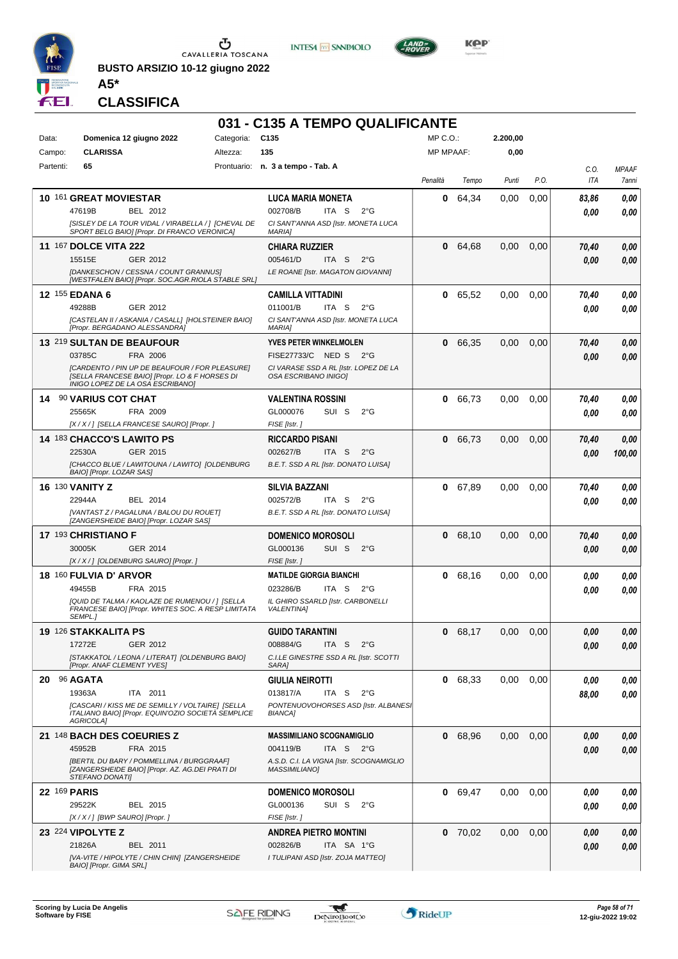

**BUSTO ARSIZIO 10-12 giugno 2022 A5\***





 $LAND =$ 

**CLASSIFICA**

|           |                                                                                                      |            | 031 - C135 A TEMPO QUALIFICANTE                                  |                  |           |          |      |       |              |
|-----------|------------------------------------------------------------------------------------------------------|------------|------------------------------------------------------------------|------------------|-----------|----------|------|-------|--------------|
| Data:     | Domenica 12 giugno 2022                                                                              | Categoria: | C <sub>135</sub>                                                 | $MP C. O.$ :     |           | 2.200,00 |      |       |              |
| Campo:    | <b>CLARISSA</b>                                                                                      | Altezza:   | 135                                                              | <b>MP MPAAF:</b> |           | 0,00     |      |       |              |
| Partenti: | 65                                                                                                   |            | Prontuario: n. 3 a tempo - Tab. A                                |                  |           |          |      | C.O.  | <b>MPAAF</b> |
|           |                                                                                                      |            |                                                                  | Penalità         | Tempo     | Punti    | P.O. | ITA   | 7anni        |
|           | 10 161 GREAT MOVIESTAR                                                                               |            | <b>LUCA MARIA MONETA</b>                                         | 0                | 64,34     | 0.00     | 0,00 | 83,86 | 0,00         |
|           | 47619B<br>BEL 2012                                                                                   |            | 002708/B<br>ITA S<br>$2^{\circ}$ G                               |                  |           |          |      | 0.00  | 0.00         |
|           | [SISLEY DE LA TOUR VIDAL / VIRABELLA / ] [CHEVAL DE                                                  |            | CI SANT'ANNA ASD [Istr. MONETA LUCA                              |                  |           |          |      |       |              |
|           | SPORT BELG BAIO  [Propr. DI FRANCO VERONICA]                                                         |            | <b>MARIA]</b>                                                    |                  |           |          |      |       |              |
|           | <b>11 167 DOLCE VITA 222</b>                                                                         |            | <b>CHIARA RUZZIER</b>                                            | 0                | 64,68     | 0,00     | 0,00 | 70,40 | 0,00         |
|           | 15515E<br>GER 2012                                                                                   |            | 005461/D<br>ITA <sub>S</sub><br>$2^{\circ}$ G                    |                  |           |          |      | 0.00  | 0.00         |
|           | <b>IDANKESCHON / CESSNA / COUNT GRANNUSI</b><br>[WESTFALEN BAIO] [Propr. SOC.AGR.RIOLA STABLE SRL]   |            | LE ROANE [Istr. MAGATON GIOVANNI]                                |                  |           |          |      |       |              |
|           | <b>12 155 EDANA 6</b>                                                                                |            | <b>CAMILLA VITTADINI</b>                                         |                  | 0 65,52   | 0.00     | 0,00 | 70,40 | 0,00         |
|           | 49288B<br>GER 2012                                                                                   |            | 011001/B<br>ITA S<br>$2^{\circ}$ G                               |                  |           |          |      | 0.00  | 0.00         |
|           | [CASTELAN II / ASKANIA / CASALL] [HOLSTEINER BAIO]                                                   |            | CI SANT'ANNA ASD [Istr. MONETA LUCA                              |                  |           |          |      |       |              |
|           | [Propr. BERGADANO ALESSANDRA]                                                                        |            | <b>MARIAI</b>                                                    |                  |           |          |      |       |              |
|           | 13 219 SULTAN DE BEAUFOUR                                                                            |            | <b>YVES PETER WINKELMOLEN</b>                                    | 0                | 66,35     | 0.00     | 0.00 | 70,40 | 0,00         |
|           | 03785C<br>FRA 2006<br>[CARDENTO / PIN UP DE BEAUFOUR / FOR PLEASURE]                                 |            | FISE27733/C NED S<br>$2^{\circ}G$                                |                  |           |          |      | 0.00  | 0.00         |
|           | [SELLA FRANCESE BAIO] [Propr. LO & F HORSES DI<br>INIGO LOPEZ DE LA OSA ESCRIBANO]                   |            | CI VARASE SSD A RL [Istr. LOPEZ DE LA<br>OSA ESCRIBANO INIGOI    |                  |           |          |      |       |              |
|           | 14 90 VARIUS COT CHAT                                                                                |            | <b>VALENTINA ROSSINI</b>                                         | 0                | 66,73     | 0.00     | 0,00 | 70,40 | 0,00         |
|           | 25565K<br>FRA 2009                                                                                   |            | GL000076<br>SUI S<br>$2^{\circ}$ G                               |                  |           |          |      | 0.00  | 0.00         |
|           | [X / X / ] [SELLA FRANCESE SAURO] [Propr. ]                                                          |            | FISE [Istr.]                                                     |                  |           |          |      |       |              |
|           | 14 183 CHACCO'S LAWITO PS                                                                            |            | <b>RICCARDO PISANI</b>                                           | 0                | 66,73     | 0,00     | 0.00 | 70,40 | 0,00         |
|           | 22530A<br>GER 2015                                                                                   |            | 002627/B<br>ITA S<br>$2^{\circ}G$                                |                  |           |          |      | 0.00  | 100,00       |
|           | [CHACCO BLUE / LAWITOUNA / LAWITO] [OLDENBURG<br>BAIO] [Propr. LOZAR SAS]                            |            | B.E.T. SSD A RL [Istr. DONATO LUISA]                             |                  |           |          |      |       |              |
|           | <b>16 130 VANITY Z</b>                                                                               |            | <b>SILVIA BAZZANI</b>                                            | 0                | 67,89     | 0,00     | 0,00 | 70,40 | 0,00         |
|           | 22944A<br>BEL 2014                                                                                   |            | 002572/B<br>ITA S<br>$2^{\circ}$ G                               |                  |           |          |      | 0.00  | 0.00         |
|           | [VANTAST Z / PAGALUNA / BALOU DU ROUET]<br>[ZANGERSHEIDE BAIO] [Propr. LOZAR SAS]                    |            | B.E.T. SSD A RL [Istr. DONATO LUISA]                             |                  |           |          |      |       |              |
|           | 17 193 CHRISTIANO F                                                                                  |            | <b>DOMENICO MOROSOLI</b>                                         | 0                | 68,10     | 0.00     | 0,00 | 70,40 | 0,00         |
|           | 30005K<br>GER 2014                                                                                   |            | GL000136<br>SUI S<br>$2^{\circ}G$                                |                  |           |          |      | 0.00  | 0.00         |
|           | [X / X / ] [OLDENBURG SAURO] [Propr. ]                                                               |            | FISE [Istr.]                                                     |                  |           |          |      |       |              |
|           | <b>18 160 FULVIA D' ARVOR</b>                                                                        |            | <b>MATILDE GIORGIA BIANCHI</b>                                   | 0                | 68,16     | 0,00     | 0.00 | 0.00  | 0,00         |
|           | 49455B<br>FRA 2015                                                                                   |            | 023286/B<br>ITA S<br>$2^{\circ}$ G                               |                  |           |          |      | 0.00  | 0.00         |
|           | [QUID DE TALMA / KAOLAZE DE RUMENOU / ] [SELLA<br>FRANCESE BAIO] [Propr. WHITES SOC. A RESP LIMITATA |            | IL GHIRO SSARLD [Istr. CARBONELLI<br><b>VALENTINA1</b>           |                  |           |          |      |       |              |
|           | SEMPL.]                                                                                              |            |                                                                  |                  |           |          |      |       |              |
|           | 19 126 STAKKALITA PS                                                                                 |            | <b>GUIDO TARANTINI</b>                                           |                  | 0 68,17   | 0,00     | 0,00 | 0,00  | 0,00         |
|           | 17272E<br>GER 2012                                                                                   |            | 008884/G<br>ITA S<br>$2^{\circ}$ G                               |                  |           |          |      | 0,00  | 0,00         |
|           | [STAKKATOL / LEONA / LITERAT] [OLDENBURG BAIO]<br>[Propr. ANAF CLEMENT YVES]                         |            | C.I.LE GINESTRE SSD A RL [Istr. SCOTTI<br>SARA]                  |                  |           |          |      |       |              |
|           | 20 96 AGATA                                                                                          |            | <b>GIULIA NEIROTTI</b>                                           |                  | 0 68,33   | 0,00     | 0,00 | 0,00  | 0,00         |
|           | ITA 2011<br>19363A                                                                                   |            | 013817/A<br>ITA S<br>$2^{\circ}$ G                               |                  |           |          |      | 88,00 | 0,00         |
|           | [CASCARI / KISS ME DE SEMILLY / VOLTAIRE] [SELLA                                                     |            | PONTENUOVOHORSES ASD [Istr. ALBANES]                             |                  |           |          |      |       |              |
|           | ITALIANO BAIO] [Propr. EQUIN'OZIO SOCIETÀ SEMPLICE<br>AGRICOLA]                                      |            | <b>BIANCA]</b>                                                   |                  |           |          |      |       |              |
|           | 21 148 BACH DES COEURIES Z                                                                           |            | <b>MASSIMILIANO SCOGNAMIGLIO</b>                                 | 0                | 68,96     | 0,00     | 0,00 | 0,00  | 0,00         |
|           | FRA 2015<br>45952B                                                                                   |            | 004119/B<br>ITA S $2^{\circ}G$                                   |                  |           |          |      | 0,00  | 0,00         |
|           | [BERTIL DU BARY / POMMELLINA / BURGGRAAF]<br>[ZANGERSHEIDE BAIO] [Propr. AZ. AG.DEI PRATI DI         |            | A.S.D. C.I. LA VIGNA [Istr. SCOGNAMIGLIO<br><b>MASSIMILIANO]</b> |                  |           |          |      |       |              |
|           | STEFANO DONATI]<br>22 169 PARIS                                                                      |            | <b>DOMENICO MOROSOLI</b>                                         |                  | 0 69,47   | 0,00     | 0,00 | 0,00  | 0,00         |
|           | 29522K<br>BEL 2015                                                                                   |            | GL000136<br>SUI S<br>$2^{\circ}$ G                               |                  |           |          |      | 0,00  | 0,00         |
|           | [X / X / ] [BWP SAURO] [Propr. ]                                                                     |            | FISE [Istr.]                                                     |                  |           |          |      |       |              |
|           | 23 224 VIPOLYTE Z                                                                                    |            | <b>ANDREA PIETRO MONTINI</b>                                     |                  | $0$ 70,02 | 0,00     | 0,00 | 0,00  | 0,00         |
|           | 21826A<br>BEL 2011                                                                                   |            | 002826/B<br>ITA SA 1°G                                           |                  |           |          |      | 0,00  | 0,00         |
|           | [VA-VITE / HIPOLYTE / CHIN CHIN] [ZANGERSHEIDE                                                       |            | I TULIPANI ASD [Istr. ZOJA MATTEO]                               |                  |           |          |      |       |              |
|           | BAIO] [Propr. GIMA SRL]                                                                              |            |                                                                  |                  |           |          |      |       |              |

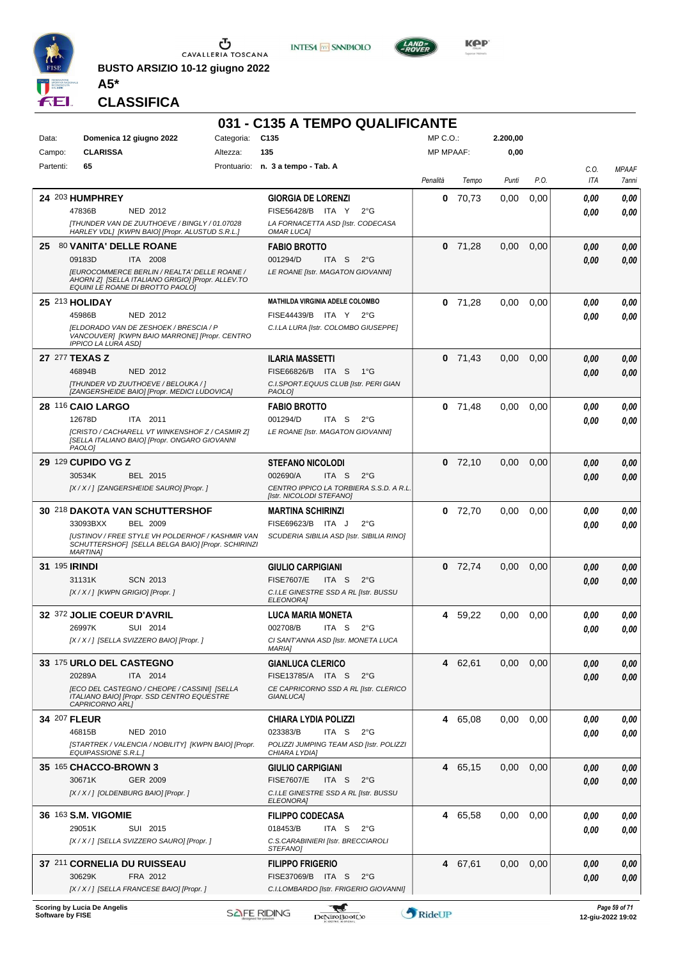

**BUSTO ARSIZIO 10-12 giugno 2022 A5\***





**KOP** 

**CLASSIFICA**

|                      |                                                                                                          |            | 031 - C135 A TEMPO QUALIFICANTE                               |                  |           |          |      |                |              |
|----------------------|----------------------------------------------------------------------------------------------------------|------------|---------------------------------------------------------------|------------------|-----------|----------|------|----------------|--------------|
| Data:                | Domenica 12 giugno 2022                                                                                  | Categoria: | C <sub>135</sub>                                              | MP C.O.:         |           | 2.200,00 |      |                |              |
| Campo:               | <b>CLARISSA</b>                                                                                          | Altezza:   | 135                                                           | <b>MP MPAAF:</b> |           | 0,00     |      |                |              |
| Partenti:            | 65                                                                                                       |            | Prontuario: n. 3 a tempo - Tab. A                             |                  |           |          |      | C.O.           | <b>MPAAF</b> |
|                      |                                                                                                          |            |                                                               | Penalità         | Tempo     | Punti    | P.O. | ITA            | 7anni        |
|                      | 24 203 HUMPHREY                                                                                          |            | <b>GIORGIA DE LORENZI</b>                                     | 0                | 70,73     | 0.00     | 0,00 | 0,00           | 0,00         |
|                      | 47836B<br>NED 2012                                                                                       |            | FISE56428/B ITA Y<br>$2^{\circ}G$                             |                  |           |          |      | 0,00           | 0,00         |
|                      | [THUNDER VAN DE ZUUTHOEVE / BINGLY / 01.07028                                                            |            | LA FORNACETTA ASD [Istr. CODECASA                             |                  |           |          |      |                |              |
|                      | HARLEY VDLJ [KWPN BAIO] [Propr. ALUSTUD S.R.L.]                                                          |            | OMAR LUCA]                                                    |                  |           |          |      |                |              |
|                      | 25 80 VANITA' DELLE ROANE                                                                                |            | <b>FABIO BROTTO</b>                                           |                  | $0$ 71,28 | 0,00     | 0,00 | 0,00           | 0,00         |
|                      | 09183D<br>ITA 2008                                                                                       |            | 001294/D<br>ITA <sub>S</sub><br>$2^{\circ}G$                  |                  |           |          |      | 0,00           | 0,00         |
|                      | <b>[EUROCOMMERCE BERLIN / REALTA' DELLE ROANE /</b><br>AHORN Z] [SELLA ITALIANO GRIGIO] [Propr. ALLEV.TO |            | LE ROANE [Istr. MAGATON GIOVANNI]                             |                  |           |          |      |                |              |
|                      | EQUINI LE ROANE DI BROTTO PAOLO]                                                                         |            |                                                               |                  |           |          |      |                |              |
| 25 213 HOLIDAY       |                                                                                                          |            | <b>MATHILDA VIRGINIA ADELE COLOMBO</b>                        | 0                | 71,28     | 0.00     | 0.00 | 0,00           | 0,00         |
|                      | 45986B<br>NED 2012                                                                                       |            | FISE44439/B ITA Y 2°G                                         |                  |           |          |      | 0,00           | 0,00         |
|                      | [ELDORADO VAN DE ZESHOEK / BRESCIA / P<br>VANCOUVER] [KWPN BAIO MARRONE] [Propr. CENTRO                  |            | C.I.LA LURA [Istr. COLOMBO GIUSEPPE]                          |                  |           |          |      |                |              |
|                      | <b>IPPICO LA LURA ASDI</b>                                                                               |            |                                                               |                  |           |          |      |                |              |
| 27 277 TEXAS Z       |                                                                                                          |            | <b>ILARIA MASSETTI</b>                                        |                  | $0$ 71,43 | 0,00     | 0,00 | 0,00           | 0,00         |
|                      | 46894B<br>NED 2012                                                                                       |            | FISE66826/B ITA S 1°G                                         |                  |           |          |      | 0,00           | 0,00         |
|                      | [THUNDER VD ZUUTHOEVE / BELOUKA / ]<br>[ZANGERSHEIDE BAIO] [Propr. MEDICI LUDOVICA]                      |            | C.I.SPORT.EQUUS CLUB [Istr. PERI GIAN<br>PAOLO1               |                  |           |          |      |                |              |
|                      | 28 116 CAIO LARGO                                                                                        |            | <b>FABIO BROTTO</b>                                           | 0                | 71,48     | 0,00     | 0.00 | 0,00           | 0,00         |
|                      | 12678D<br>ITA 2011                                                                                       |            | 001294/D<br>ITA S<br>$2^{\circ}G$                             |                  |           |          |      | 0,00           | 0,00         |
|                      | [CRISTO / CACHARELL VT WINKENSHOF Z / CASMIR Z]                                                          |            | LE ROANE [Istr. MAGATON GIOVANNI]                             |                  |           |          |      |                |              |
|                      | [SELLA ITALIANO BAIO] [Propr. ONGARO GIOVANNI<br>PAOLO1                                                  |            |                                                               |                  |           |          |      |                |              |
|                      | <b>29 129 CUPIDO VG Z</b>                                                                                |            | <b>STEFANO NICOLODI</b>                                       |                  | $0$ 72,10 | 0,00     | 0,00 | 0,00           | 0,00         |
|                      | 30534K<br><b>BEL 2015</b>                                                                                |            | 002690/A<br>ITA S<br>$2^{\circ}G$                             |                  |           |          |      | 0.00           | 0,00         |
|                      | [X / X / ] [ZANGERSHEIDE SAURO] [Propr. ]                                                                |            | CENTRO IPPICO LA TORBIERA S.S.D. A R.L.                       |                  |           |          |      |                |              |
|                      |                                                                                                          |            | [Istr. NICOLODI STEFANO]                                      |                  |           |          |      |                |              |
|                      | 30 218 DAKOTA VAN SCHUTTERSHOF<br>33093BXX<br><b>BEL 2009</b>                                            |            | <b>MARTINA SCHIRINZI</b><br>FISE69623/B ITA J<br>$2^{\circ}G$ |                  | $0$ 72,70 | 0,00     | 0,00 | 0.00           | 0,00         |
|                      | <b>JUSTINOV / FREE STYLE VH POLDERHOF / KASHMIR VAN</b>                                                  |            | SCUDERIA SIBILIA ASD [Istr. SIBILIA RINO]                     |                  |           |          |      | 0.00           | 0,00         |
|                      | SCHUTTERSHOF  [SELLA BELGA BAIO] [Propr. SCHIRINZI<br><b>MARTINAI</b>                                    |            |                                                               |                  |           |          |      |                |              |
| <b>31 195 IRINDI</b> |                                                                                                          |            | <b>GIULIO CARPIGIANI</b>                                      | 0                | 72,74     | 0,00     |      |                |              |
|                      | <b>SCN 2013</b><br>31131K                                                                                |            | <b>FISE7607/E</b><br>ITA S<br>$2^{\circ}$ G                   |                  |           |          | 0,00 | 0,00           | 0,00         |
|                      | $[X/X']$ [KWPN GRIGIO] [Propr.]                                                                          |            | C.I.LE GINESTRE SSD A RL [Istr. BUSSU                         |                  |           |          |      | 0,00           | 0,00         |
|                      |                                                                                                          |            | ELEONORA]                                                     |                  |           |          |      |                |              |
|                      | 32 372 JOLIE COEUR D'AVRIL                                                                               |            | <b>LUCA MARIA MONETA</b>                                      |                  | 4 59,22   | 0.00     | 0.00 | 0,00           | 0,00         |
|                      | 26997K<br>SUI 2014                                                                                       |            | 002708/B<br>ITA S<br>$2^{\circ}$ G                            |                  |           |          |      | $\pmb{0,\!00}$ | $\it 0,00$   |
|                      | [X / X / ] [SELLA SVIZZERO BAIO] [Propr. ]                                                               |            | CI SANT'ANNA ASD [Istr. MONETA LUCA<br><b>MARIA1</b>          |                  |           |          |      |                |              |
|                      | 33 175 URLO DEL CASTEGNO                                                                                 |            | <b>GIANLUCA CLERICO</b>                                       |                  | 4 62,61   | 0,00     | 0,00 | 0,00           | 0,00         |
|                      | 20289A<br>ITA 2014                                                                                       |            | FISE13785/A ITA S<br>$2^{\circ}$ G                            |                  |           |          |      | 0,00           | 0,00         |
|                      | [ECO DEL CASTEGNO / CHEOPE / CASSINI] [SELLA                                                             |            | CE CAPRICORNO SSD A RL [Istr. CLERICO                         |                  |           |          |      |                |              |
|                      | ITALIANO BAIO] [Propr. SSD CENTRO EQUESTRE<br>CAPRICORNO ARLI                                            |            | GIANLUCA]                                                     |                  |           |          |      |                |              |
| 34 207 FLEUR         |                                                                                                          |            | <b>CHIARA LYDIA POLIZZI</b>                                   |                  | 4 65,08   | 0,00     | 0,00 | 0,00           | 0,00         |
|                      | 46815B<br>NED 2010                                                                                       |            | 023383/B<br>ITA S<br>$2^{\circ}$ G                            |                  |           |          |      | 0,00           | 0,00         |
|                      | [STARTREK / VALENCIA / NOBILITY] [KWPN BAIO] [Propr.<br>EQUIPASSIONE S.R.L.J                             |            | POLIZZI JUMPING TEAM ASD [Istr. POLIZZI<br>CHIARA LYDIA]      |                  |           |          |      |                |              |
|                      | 35 165 CHACCO-BROWN 3                                                                                    |            | <b>GIULIO CARPIGIANI</b>                                      |                  | 4 65,15   | 0,00     | 0,00 | 0,00           | 0,00         |
|                      | 30671K<br>GER 2009                                                                                       |            | <b>FISE7607/E</b><br>ITA S<br>$2^{\circ}$ G                   |                  |           |          |      | 0,00           | 0,00         |
|                      | [X / X / ] [OLDENBURG BAIO] [Propr. ]                                                                    |            | C.I.LE GINESTRE SSD A RL [Istr. BUSSU                         |                  |           |          |      |                |              |
|                      |                                                                                                          |            | ELEONORA]                                                     |                  |           |          |      |                |              |
|                      | 36 163 S.M. VIGOMIE                                                                                      |            | <b>FILIPPO CODECASA</b>                                       |                  | 4 65,58   | 0,00     | 0,00 | 0,00           | 0,00         |
|                      | 29051K<br>SUI 2015                                                                                       |            | 018453/B<br>ITA S<br>$2^{\circ}$ G                            |                  |           |          |      | 0,00           | 0,00         |
|                      | [X / X / ] [SELLA SVIZZERO SAURO] [Propr. ]                                                              |            | C.S.CARABINIERI [Istr. BRECCIAROLI<br>STEFANO]                |                  |           |          |      |                |              |
|                      | 37 211 CORNELIA DU RUISSEAU                                                                              |            | <b>FILIPPO FRIGERIO</b>                                       |                  | 4 67,61   | 0,00     | 0,00 | 0,00           | 0,00         |
|                      | 30629K<br>FRA 2012                                                                                       |            | FISE37069/B ITA S<br>$2^{\circ}G$                             |                  |           |          |      | 0,00           | 0,00         |
|                      | [X / X / ] [SELLA FRANCESE BAIO] [Propr. ]                                                               |            | C.I.LOMBARDO [Istr. FRIGERIO GIOVANNI]                        |                  |           |          |      |                |              |
|                      |                                                                                                          |            |                                                               |                  |           |          |      |                |              |

**Scoring by Lucia De Angelis Software by FISE 12-giu-2022 19:02**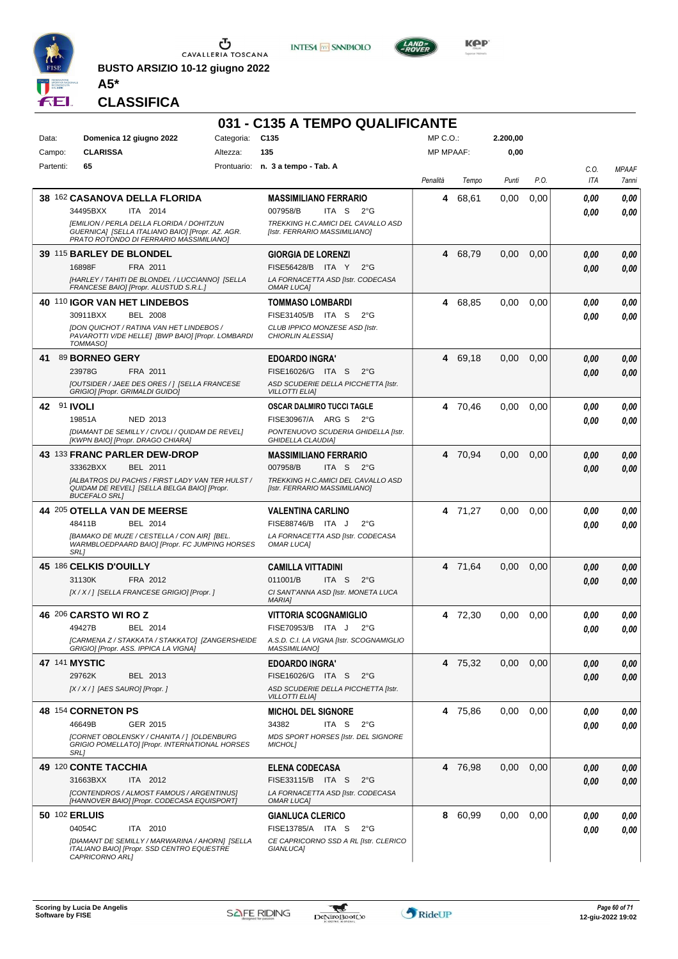

**BUSTO ARSIZIO 10-12 giugno 2022**





 $LAND =$ 

**CLASSIFICA**

**A5\***

|           |                                                                                                                                          |            | 031 - C135 A TEMPO QUALIFICANTE                                                              |                  |         |          |      |                |                       |
|-----------|------------------------------------------------------------------------------------------------------------------------------------------|------------|----------------------------------------------------------------------------------------------|------------------|---------|----------|------|----------------|-----------------------|
| Data:     | Domenica 12 giugno 2022                                                                                                                  | Categoria: | C <sub>135</sub>                                                                             | MP C. O.         |         | 2.200,00 |      |                |                       |
| Campo:    | <b>CLARISSA</b>                                                                                                                          | Altezza:   | 135                                                                                          | <b>MP MPAAF:</b> |         | 0,00     |      |                |                       |
| Partenti: | 65                                                                                                                                       |            | Prontuario: n. 3 a tempo - Tab. A                                                            | Penalità         | Tempo   | Punti    | P.O. | C.O.<br>ITA    | <b>MPAAF</b><br>7anni |
|           | <b>38 162 CASANOVA DELLA FLORIDA</b><br>ITA 2014<br>34495BXX                                                                             |            | <b>MASSIMILIANO FERRARIO</b><br>007958/B<br>ITA S<br>$2^{\circ}$ G                           | 4                | 68,61   | 0,00     | 0,00 | 0.00<br>0.00   | 0,00<br>0,00          |
|           | [EMILION / PERLA DELLA FLORIDA / DOHITZUN<br>GUERNICA] [SELLA ITALIANO BAIO] [Propr. AZ. AGR.<br>PRATO ROTONDO DI FERRARIO MASSIMILIANO] |            | TREKKING H.C.AMICI DEL CAVALLO ASD<br>[Istr. FERRARIO MASSIMILIANO]                          |                  |         |          |      |                |                       |
|           | 39 115 BARLEY DE BLONDEL                                                                                                                 |            | <b>GIORGIA DE LORENZI</b>                                                                    |                  | 4 68,79 | 0,00     | 0,00 | 0,00           | 0,00                  |
|           | 16898F<br>FRA 2011<br>[HARLEY / TAHITI DE BLONDEL / LUCCIANNO] [SELLA<br>FRANCESE BAIO] [Propr. ALUSTUD S.R.L.]                          |            | FISE56428/B ITA Y<br>$2^{\circ}$ G<br>LA FORNACETTA ASD [Istr. CODECASA<br><b>OMAR LUCAI</b> |                  |         |          |      | 0.00           | 0,00                  |
|           | 40 110 IGOR VAN HET LINDEBOS                                                                                                             |            | TOMMASO LOMBARDI                                                                             |                  | 4 68,85 | 0,00     | 0.00 | 0.00           | 0,00                  |
|           | 30911BXX<br><b>BEL 2008</b>                                                                                                              |            | FISE31405/B ITA S<br>$2^{\circ}$ G                                                           |                  |         |          |      | 0.00           | 0.00                  |
|           | [DON QUICHOT / RATINA VAN HET LINDEBOS /<br>PAVAROTTI V/DE HELLE] [BWP BAIO] [Propr. LOMBARDI<br><b>TOMMASOI</b>                         |            | CLUB IPPICO MONZESE ASD [Istr.<br>CHIORLIN ALESSIA]                                          |                  |         |          |      |                |                       |
| 41        | 89 BORNEO GERY                                                                                                                           |            | <b>EDOARDO INGRA'</b>                                                                        |                  | 4 69,18 | 0,00     | 0,00 | 0,00           | 0,00                  |
|           | 23978G<br>FRA 2011<br>[OUTSIDER / JAEE DES ORES / ] [SELLA FRANCESE                                                                      |            | FISE16026/G ITA S<br>$2^{\circ}G$<br>ASD SCUDERIE DELLA PICCHETTA [Istr.                     |                  |         |          |      | 0.00           | 0,00                  |
|           | GRIGIO] [Propr. GRIMALDI GUIDO]                                                                                                          |            | <b>VILLOTTI ELIA]</b>                                                                        |                  |         |          |      |                |                       |
|           | 42 91 IVOLI                                                                                                                              |            | OSCAR DALMIRO TUCCI TAGLE                                                                    | 4                | 70,46   | 0.00     | 0,00 | 0.00           | 0,00                  |
|           | 19851A<br>NED 2013<br>[DIAMANT DE SEMILLY / CIVOLI / QUIDAM DE REVEL]                                                                    |            | FISE30967/A ARG S<br>$2^{\circ}G$<br>PONTENUOVO SCUDERIA GHIDELLA [Istr.                     |                  |         |          |      | 0.00           | 0,00                  |
|           | [KWPN BAIO] [Propr. DRAGO CHIARA]                                                                                                        |            | <b>GHIDELLA CLAUDIA1</b>                                                                     |                  |         |          |      |                |                       |
|           | 43 133 FRANC PARLER DEW-DROP                                                                                                             |            | <b>MASSIMILIANO FERRARIO</b>                                                                 |                  | 4 70,94 | 0,00     | 0,00 | 0,00           | 0,00                  |
|           | 33362BXX<br>BEL 2011                                                                                                                     |            | 007958/B<br>ITA S<br>$2^{\circ}$ G                                                           |                  |         |          |      | 0,00           | 0,00                  |
|           | [ALBATROS DU PACHIS / FIRST LADY VAN TER HULST /<br>QUIDAM DE REVEL] [SELLA BELGA BAIO] [Propr.<br><b>BUCEFALO SRL1</b>                  |            | TREKKING H.C.AMICI DEL CAVALLO ASD<br>[Istr. FERRARIO MASSIMILIANO]                          |                  |         |          |      |                |                       |
|           | 44 205 OTELLA VAN DE MEERSE                                                                                                              |            | <b>VALENTINA CARLINO</b>                                                                     |                  | 4 71,27 | 0,00     | 0,00 | 0.00           | 0,00                  |
|           | BEL 2014<br>48411B<br>[BAMAKO DE MUZE / CESTELLA / CON AIR] [BEL.                                                                        |            | FISE88746/B ITA J<br>$2^{\circ}G$<br>LA FORNACETTA ASD [Istr. CODECASA                       |                  |         |          |      | 0.00           | 0.00                  |
|           | WARMBLOEDPAARD BAIO] [Propr. FC JUMPING HORSES<br><b>SRL1</b>                                                                            |            | OMAR LUCA]                                                                                   |                  |         |          |      |                |                       |
|           | 45 186 CELKIS D'OUILLY                                                                                                                   |            | <b>CAMILLA VITTADINI</b>                                                                     | 4                | 71,64   | 0.00     | 0,00 | 0,00           | 0,00                  |
|           | 31130K<br>FRA 2012<br>[X / X / ] [SELLA FRANCESE GRIGIO] [Propr. ]                                                                       |            | 011001/B<br>ITA <sub>S</sub><br>$2^{\circ}$ G<br>CI SANT'ANNA ASD [Istr. MONETA LUCA         |                  |         |          |      | 0,00           | 0,00                  |
|           |                                                                                                                                          |            | <b>MARIAI</b>                                                                                |                  |         |          |      |                |                       |
|           | <b>46 206 CARSTO WI RO Z</b>                                                                                                             |            | <b>VITTORIA SCOGNAMIGLIO</b>                                                                 | 4                | 72,30   | 0,00     | 0.00 | 0,00           | 0,00                  |
|           | 49427B<br>BEL 2014<br>[CARMENA Z / STAKKATA / STAKKATO] [ZANGERSHEIDE                                                                    |            | FISE70953/B ITA J 2°G<br>A.S.D. C.I. LA VIGNA [Istr. SCOGNAMIGLIO                            |                  |         |          |      | $\pmb{0,\!00}$ | $\it 0,00$            |
|           | GRIGIO] [Propr. ASS. IPPICA LA VIGNA]                                                                                                    |            | <b>MASSIMILIANO]</b>                                                                         |                  |         |          |      |                |                       |
|           | 47 141 MYSTIC                                                                                                                            |            | <b>EDOARDO INGRA'</b>                                                                        |                  | 4 75,32 | 0,00     | 0,00 | 0,00           | 0,00                  |
|           | 29762K<br>BEL 2013                                                                                                                       |            | FISE16026/G ITA S<br>$2^{\circ}$ G                                                           |                  |         |          |      | 0.00           | 0,00                  |
|           | $[X/X/$ ] [AES SAURO] [Propr.]                                                                                                           |            | ASD SCUDERIE DELLA PICCHETTA [Istr.<br><b>VILLOTTI ELIA]</b>                                 |                  |         |          |      |                |                       |
|           | 48 154 CORNETON PS                                                                                                                       |            | <b>MICHOL DEL SIGNORE</b>                                                                    |                  | 4 75,86 | 0.00     | 0,00 | 0.00           | 0,00                  |
|           | 46649B<br>GER 2015                                                                                                                       |            | 34382<br>ITA S<br>$2^{\circ}$ G                                                              |                  |         |          |      | 0.00           | 0,00                  |
|           | [CORNET OBOLENSKY / CHANITA / 1 [OLDENBURG<br>GRIGIO POMELLATO] [Propr. INTERNATIONAL HORSES<br>SRL]                                     |            | MDS SPORT HORSES [Istr. DEL SIGNORE<br><b>MICHOLI</b>                                        |                  |         |          |      |                |                       |
|           | 49 120 CONTE TACCHIA                                                                                                                     |            | <b>ELENA CODECASA</b>                                                                        |                  | 4 76,98 | 0,00     | 0,00 | 0.00           | 0,00                  |
|           | 31663BXX<br>ITA 2012                                                                                                                     |            | FISE33115/B ITA S<br>$2^{\circ}$ G                                                           |                  |         |          |      | 0,00           | 0,00                  |
|           | [CONTENDROS / ALMOST FAMOUS / ARGENTINUS]<br>[HANNOVER BAIO] [Propr. CODECASA EQUISPORT]                                                 |            | LA FORNACETTA ASD [Istr. CODECASA<br>OMAR LUCA]                                              |                  |         |          |      |                |                       |
|           | 50 102 ERLUIS                                                                                                                            |            | <b>GIANLUCA CLERICO</b>                                                                      |                  | 8 60,99 | 0,00     | 0.00 | 0.00           | 0,00                  |
|           | 04054C<br>ITA 2010                                                                                                                       |            | FISE13785/A ITA S<br>$2^{\circ}$ G                                                           |                  |         |          |      | 0.00           | 0.00                  |
|           | [DIAMANT DE SEMILLY / MARWARINA / AHORN] [SELLA<br>ITALIANO BAIO] [Propr. SSD CENTRO EQUESTRE<br>CAPRICORNO ARL1                         |            | CE CAPRICORNO SSD A RL [Istr. CLERICO<br>GIANLUCA]                                           |                  |         |          |      |                |                       |

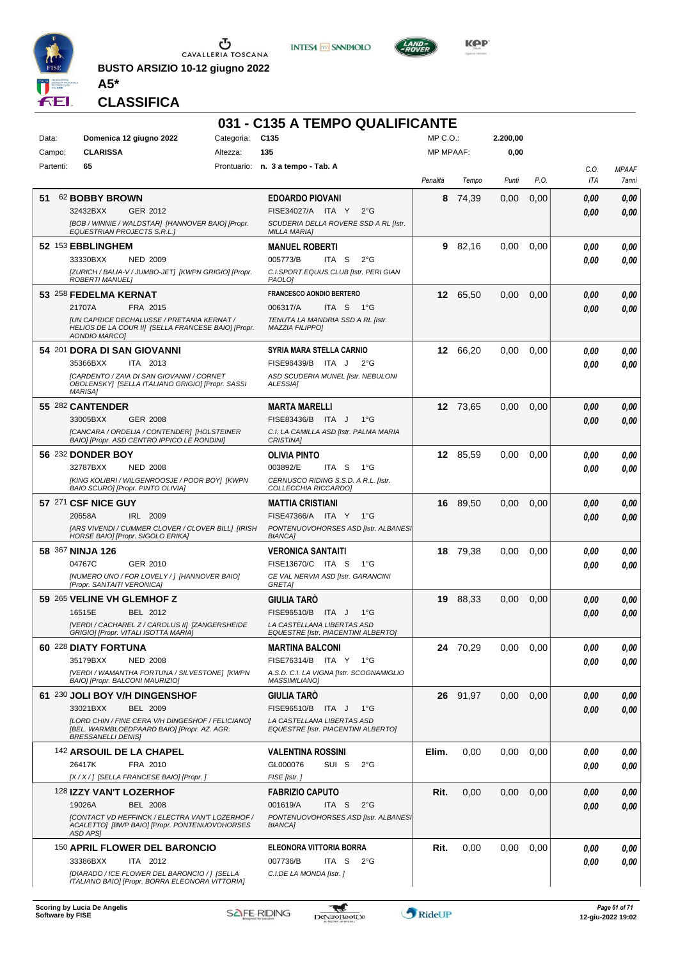

**BUSTO ARSIZIO 10-12 giugno 2022**





**KOP** 

**A5\* CLASSIFICA**

|           |                                                                                                                                                                                                |            | 031 - C135 A TEMPO QUALIFICANTE                                                                                               |                  |          |          |      |                    |                       |
|-----------|------------------------------------------------------------------------------------------------------------------------------------------------------------------------------------------------|------------|-------------------------------------------------------------------------------------------------------------------------------|------------------|----------|----------|------|--------------------|-----------------------|
| Data:     | Domenica 12 giugno 2022                                                                                                                                                                        | Categoria: | C <sub>135</sub>                                                                                                              | MP C.O.          |          | 2.200,00 |      |                    |                       |
| Campo:    | <b>CLARISSA</b>                                                                                                                                                                                | Altezza:   | 135                                                                                                                           | <b>MP MPAAF:</b> |          | 0,00     |      |                    |                       |
| Partenti: | 65                                                                                                                                                                                             |            | Prontuario: n. 3 a tempo - Tab. A                                                                                             | Penalità         | Tempo    | Punti    | P.O. | C.O.<br><b>ITA</b> | <b>MPAAF</b><br>7anni |
| 51        | 62 BOBBY BROWN<br>32432BXX<br>GER 2012<br>[BOB / WINNIE / WALDSTAR] [HANNOVER BAIO] [Propr.<br><b>EQUESTRIAN PROJECTS S.R.L.1</b>                                                              |            | <b>EDOARDO PIOVANI</b><br>FISE34027/A ITA Y<br>$2^{\circ}G$<br>SCUDERIA DELLA ROVERE SSD A RL [Istr.<br><b>MILLA MARIA]</b>   | 8                | 74,39    | 0,00     | 0,00 | 0,00<br>0.00       | 0,00<br>0.00          |
|           | 52 153 EBBLINGHEM<br>33330BXX<br><b>NED 2009</b><br>[ZURICH / BALIA-V / JUMBO-JET] [KWPN GRIGIO] [Propr.<br><b>ROBERTI MANUELI</b>                                                             |            | <b>MANUEL ROBERTI</b><br>005773/B<br>ITA S<br>$2^{\circ}$ G<br>C.I.SPORT.EQUUS CLUB [Istr. PERI GIAN<br>PAOLO]                | 9                | 82,16    | 0.00     | 0,00 | 0,00<br>0.00       | 0,00<br>0.00          |
|           | 53 258 FEDELMA KERNAT<br>21707A<br>FRA 2015<br><b>JUN CAPRICE DECHALUSSE / PRETANIA KERNAT /</b><br>HELIOS DE LA COUR II] [SELLA FRANCESE BAIO] [Propr.<br><b>AONDIO MARCO]</b>                |            | <b>FRANCESCO AONDIO BERTERO</b><br>006317/A<br>ITA S<br>− 1°G<br>TENUTA LA MANDRIA SSD A RL [Istr.<br><b>MAZZIA FILIPPO]</b>  |                  | 12 65,50 | 0,00     | 0,00 | 0.00<br>0.00       | 0,00<br>0,00          |
|           | 54 201 DORA DI SAN GIOVANNI<br>35366BXX<br>ITA 2013<br>[CARDENTO / ZAIA DI SAN GIOVANNI / CORNET<br>OBOLENSKY] [SELLA ITALIANO GRIGIO] [Propr. SASSI<br><b>MARISA1</b>                         |            | <b>SYRIA MARA STELLA CARNIO</b><br>FISE96439/B ITA J<br>$2^{\circ}G$<br>ASD SCUDERIA MUNEL [Istr. NEBULONI<br>ALESSIA]        | 12               | 66,20    | 0.00     | 0,00 | 0.00<br>0.00       | 0,00<br>0.00          |
|           | 55 282 CANTENDER<br>33005BXX<br>GER 2008<br>[CANCARA / ORDELIA / CONTENDER] [HOLSTEINER<br>BAIO] [Propr. ASD CENTRO IPPICO LE RONDINI]                                                         |            | <b>MARTA MARELLI</b><br>FISE83436/B ITA J<br>$1^{\circ}G$<br>C.I. LA CAMILLA ASD [Istr. PALMA MARIA<br><b>CRISTINA1</b>       |                  | 12 73,65 | 0,00     | 0,00 | 0,00<br>0.00       | 0,00<br>0,00          |
|           | 56 232 DONDER BOY<br>32787BXX<br><b>NED 2008</b><br>[KING KOLIBRI / WILGENROOSJE / POOR BOY] [KWPN<br>BAIO SCURO] [Propr. PINTO OLIVIA]                                                        |            | <b>OLIVIA PINTO</b><br>003892/E<br>ITA S<br>1°G<br>CERNUSCO RIDING S.S.D. A R.L. [Istr.<br>COLLECCHIA RICCARDO]               |                  | 12 85,59 | 0,00     | 0,00 | 0.00<br>0.00       | 0,00<br>0.00          |
|           | 57 271 CSF NICE GUY<br>20658A<br>IRL 2009<br>[ARS VIVENDI / CUMMER CLOVER / CLOVER BILL] [IRISH<br>HORSE BAIO] [Propr. SIGOLO ERIKA]                                                           |            | <b>MATTIA CRISTIANI</b><br>FISE47366/A ITA Y 1°G<br>PONTENUOVOHORSES ASD [Istr. ALBANES]<br><b>BIANCA]</b>                    |                  | 16 89,50 | 0,00     | 0,00 | 0.00<br>0.00       | 0,00<br>0.00          |
|           | 58 367 NINJA 126<br>04767C<br>GER 2010<br>[NUMERO UNO / FOR LOVELY / ] [HANNOVER BAIO]<br>[Propr. SANTAITI VERONICA]                                                                           |            | <b>VERONICA SANTAITI</b><br>FISE13670/C ITA S<br>1°G<br>CE VAL NERVIA ASD [Istr. GARANCINI<br><b>GRETAI</b>                   | 18               | 79.38    | 0.00     | 0,00 | 0.00<br>0.00       | 0,00<br>0.00          |
|           | 59 265 VELINE VH GLEMHOF Z<br>16515E<br>BEL 2012<br>[VERDI / CACHAREL Z / CAROLUS II] [ZANGERSHEIDE<br>GRIGIO] [Propr. VITALI ISOTTA MARIA]                                                    |            | <b>GIULIA TARÓ</b><br>FISE96510/B<br>ITA J<br>1°G<br>LA CASTELLANA LIBERTAS ASD<br><b>EQUESTRE [Istr. PIACENTINI ALBERTO]</b> | 19               | 88,33    | 0,00     | 0,00 | 0,00<br>0.00       | 0,00<br>0.00          |
|           | 60 228 DIATY FORTUNA<br>35179BXX<br><b>NED 2008</b><br>[VERDI / WAMANTHA FORTUNA / SILVESTONE] [KWPN<br>BAIO] [Propr. BALCONI MAURIZIO]                                                        |            | <b>MARTINA BALCONI</b><br>FISE76314/B ITA Y 1°G<br>A.S.D. C.I. LA VIGNA [Istr. SCOGNAMIGLIO<br><b>MASSIMILIANO]</b>           |                  | 24 70.29 | 0,00     | 0,00 | 0,00<br>0.00       | 0,00<br>0,00          |
|           | 61 230 JOLI BOY V/H DINGENSHOF<br><b>BEL 2009</b><br>33021BXX<br>[LORD CHIN / FINE CERA V/H DINGESHOF / FELICIANO]<br>[BEL. WARMBLOEDPAARD BAIO] [Propr. AZ. AGR.<br><b>BRESSANELLI DENIS]</b> |            | <b>GIULIA TARÓ</b><br>FISE96510/B ITA J<br>1°G<br>LA CASTELLANA LIBERTAS ASD<br><b>EQUESTRE [Istr. PIACENTINI ALBERTO]</b>    | 26               | 91,97    | 0,00     | 0,00 | 0,00<br>0.00       | 0,00<br>0,00          |
|           | 142 ARSOUIL DE LA CHAPEL<br>26417K<br>FRA 2010<br>[X / X / ] [SELLA FRANCESE BAIO] [Propr. ]                                                                                                   |            | <b>VALENTINA ROSSINI</b><br>GL000076<br>SUI S<br>$2^{\circ}$ G<br>FISE [Istr.]                                                | Elim.            | 0,00     | 0,00     | 0,00 | 0,00<br>0.00       | 0,00<br>0,00          |
|           | 128 IZZY VAN'T LOZERHOF<br><b>BEL 2008</b><br>19026A<br>[CONTACT VD HEFFINCK / ELECTRA VAN'T LOZERHOF /<br>ACALETTO] [BWP BAIO] [Propr. PONTENUOVOHORSES<br>ASD APS]                           |            | <b>FABRIZIO CAPUTO</b><br>001619/A<br>ITA S<br>$2^{\circ}$ G<br>PONTENUOVOHORSES ASD [Istr. ALBANES]<br><b>BIANCA]</b>        | Rit.             | 0.00     | 0,00     | 0,00 | 0,00<br>0,00       | 0,00<br>0.00          |
|           | 150 APRIL FLOWER DEL BARONCIO<br>ITA 2012<br>33386BXX<br>[DIARADO / ICE FLOWER DEL BARONCIO / ] [SELLA<br>ITALIANO BAIO] [Propr. BORRA ELEONORA VITTORIA]                                      |            | <b>ELEONORA VITTORIA BORRA</b><br>007736/B<br>ITA S<br>$2^{\circ}$ G<br>C.I.DE LA MONDA [Istr.]                               | Rit.             | 0,00     | 0,00     | 0,00 | 0.00<br>0.00       | 0,00<br>0,00          |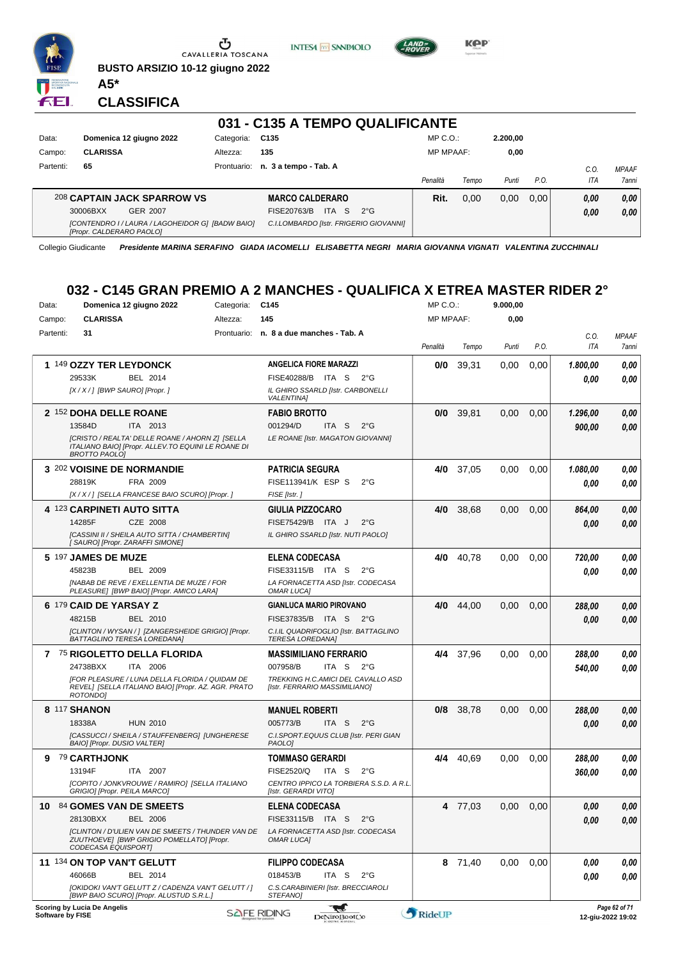

**BUSTO ARSIZIO 10-12 giugno 2022**



**KPP** 

#### **CLASSIFICA**

**A5\***

FEI.

|           |                                                                              |             | 031 - C135 A TEMPO QUALIFICANTE        |              |                  |       |          |      |            |              |
|-----------|------------------------------------------------------------------------------|-------------|----------------------------------------|--------------|------------------|-------|----------|------|------------|--------------|
| Data:     | Domenica 12 giugno 2022                                                      | Categoria:  | C135                                   |              | $MP C. O.$ :     |       | 2.200.00 |      |            |              |
| Campo:    | <b>CLARISSA</b>                                                              | Altezza:    | 135                                    |              | <b>MP MPAAF:</b> |       | 0,00     |      |            |              |
| Partenti: | 65                                                                           | Prontuario: | n. 3 a tempo - Tab. A                  |              |                  |       |          |      | C.O.       | <b>MPAAF</b> |
|           |                                                                              |             |                                        |              | Penalità         | Tempo | Punti    | P.O. | <b>ITA</b> | <b>7anni</b> |
|           | 208 CAPTAIN JACK SPARROW VS                                                  |             | <b>MARCO CALDERARO</b>                 |              | Rit.             | 0.00  | 0.00     | 0.00 | 0.00       | 0,00         |
|           | 30006BXX<br>GER 2007                                                         |             | <b>ITA</b><br>FISE20763/B<br>-S        | $2^{\circ}G$ |                  |       |          |      | 0,00       | 0,00         |
|           | [CONTENDRO I / LAURA / LAGOHEIDOR G] [BADW BAIO]<br>[Propr. CALDERARO PAOLO] |             | C.I.LOMBARDO [Istr. FRIGERIO GIOVANNI] |              |                  |       |          |      |            |              |

Collegio Giudicante *Presidente MARINA SERAFINO GIADA IACOMELLI ELISABETTA NEGRI MARIA GIOVANNA VIGNATI VALENTINA ZUCCHINALI*

#### **032 - C145 GRAN PREMIO A 2 MANCHES - QUALIFICA X ETREA MASTER RIDER 2°**

| Data:            | Domenica 12 giugno 2022                                                                                                       | Categoria:  | C <sub>145</sub>                                                 | MP C. O.         |           | 9.000,00 |      |          |                                    |
|------------------|-------------------------------------------------------------------------------------------------------------------------------|-------------|------------------------------------------------------------------|------------------|-----------|----------|------|----------|------------------------------------|
| Campo:           | <b>CLARISSA</b>                                                                                                               | Altezza:    | 145                                                              | <b>MP MPAAF:</b> |           | 0,00     |      |          |                                    |
| Partenti:        | 31                                                                                                                            | Prontuario: | n. 8 a due manches - Tab. A                                      |                  |           |          |      | C.O.     | <b>MPAAF</b>                       |
|                  |                                                                                                                               |             |                                                                  | Penalità         | Tempo     | Punti    | P.O. | ITA      | 7anni                              |
|                  | 1 149 OZZY TER LEYDONCK                                                                                                       |             | <b>ANGELICA FIORE MARAZZI</b>                                    | 0/0              | 39,31     | 0.00     | 0,00 | 1.800.00 | 0,00                               |
|                  | BEL 2014<br>29533K                                                                                                            |             | <b>FISE40288/B</b><br>ITA S<br>2°G                               |                  |           |          |      | 0.00     | 0.00                               |
|                  | [X / X / ] [BWP SAURO] [Propr. ]                                                                                              |             | IL GHIRO SSARLD [Istr. CARBONELLI<br><b>VALENTINA]</b>           |                  |           |          |      |          |                                    |
|                  | 2 152 DOHA DELLE ROANE                                                                                                        |             | <b>FABIO BROTTO</b>                                              | 0/0              | 39,81     | 0,00     | 0,00 | 1.296,00 | 0,00                               |
|                  | 13584D<br>ITA 2013                                                                                                            |             | 001294/D<br>ITA S<br>$2^{\circ}$ G                               |                  |           |          |      | 900,00   | 0,00                               |
|                  | [CRISTO / REALTA' DELLE ROANE / AHORN Z] [SELLA<br>ITALIANO BAIO] [Propr. ALLEV.TO EQUINI LE ROANE DI<br><b>BROTTO PAOLO]</b> |             | LE ROANE [Istr. MAGATON GIOVANNI]                                |                  |           |          |      |          |                                    |
|                  | 3 202 VOISINE DE NORMANDIE                                                                                                    |             | <b>PATRICIA SEGURA</b>                                           | 4/0              | 37,05     | 0,00     | 0,00 | 1.080,00 | 0,00                               |
|                  | 28819K<br>FRA 2009                                                                                                            |             | FISE113941/K ESP S<br>$2^{\circ}$ G                              |                  |           |          |      | 0.00     | 0,00                               |
|                  | [X / X / ] [SELLA FRANCESE BAIO SCURO] [Propr. ]                                                                              |             | FISE [Istr.]                                                     |                  |           |          |      |          |                                    |
|                  | 4 123 CARPINETI AUTO SITTA                                                                                                    |             | GIULIA PIZZOCARO                                                 | 4/0              | 38,68     | 0,00     | 0,00 | 864,00   | 0,00                               |
|                  | CZE 2008<br>14285F                                                                                                            |             | FISE75429/B ITA J<br>$2^{\circ}$ G                               |                  |           |          |      | 0.00     | 0,00                               |
|                  | [CASSINI II / SHEILA AUTO SITTA / CHAMBERTIN]<br>[ SAURO] [Propr. ZARAFFI SIMONE]                                             |             | IL GHIRO SSARLD [Istr. NUTI PAOLO]                               |                  |           |          |      |          |                                    |
|                  | 5 197 JAMES DE MUZE                                                                                                           |             | ELENA CODECASA                                                   | 4/0              | 40,78     | 0,00     | 0,00 | 720,00   | 0,00                               |
|                  | 45823B<br>BEL 2009                                                                                                            |             | FISE33115/B ITA S<br>$2^{\circ}G$                                |                  |           |          |      | 0.00     | 0,00                               |
|                  | [NABAB DE REVE / EXELLENTIA DE MUZE / FOR<br>PLEASURE] [BWP BAIO] [Propr. AMICO LARA]                                         |             | LA FORNACETTA ASD [Istr. CODECASA<br><b>OMAR LUCA]</b>           |                  |           |          |      |          |                                    |
|                  | 6 179 CAID DE YARSAY Z                                                                                                        |             | <b>GIANLUCA MARIO PIROVANO</b>                                   | 4/0              | 44,00     | 0,00     | 0,00 | 288,00   | 0,00                               |
|                  | 48215B<br><b>BEL 2010</b>                                                                                                     |             | FISE37835/B ITA S<br>$2^{\circ}G$                                |                  |           |          |      | 0.00     | 0.00                               |
|                  | [CLINTON / WYSAN / ] [ZANGERSHEIDE GRIGIO] [Propr.<br>BATTAGLINO TERESA LOREDANA]                                             |             | C.I.IL QUADRIFOGLIO [Istr. BATTAGLINO<br><b>TERESA LOREDANA]</b> |                  |           |          |      |          |                                    |
|                  | 7 75 RIGOLETTO DELLA FLORIDA                                                                                                  |             | MASSIMILIANO FERRARIO                                            | 4/4              | 37,96     | 0,00     | 0,00 | 288,00   | 0,00                               |
|                  | ITA 2006<br>24738BXX                                                                                                          |             | 007958/B<br>ITA S 2°G                                            |                  |           |          |      | 540,00   | 0.00                               |
|                  | [FOR PLEASURE / LUNA DELLA FLORIDA / QUIDAM DE                                                                                |             | TREKKING H.C.AMICI DEL CAVALLO ASD                               |                  |           |          |      |          |                                    |
|                  | REVEL] [SELLA ITALIANO BAIO] [Propr. AZ. AGR. PRATO<br>ROTONDO]                                                               |             | [Istr. FERRARIO MASSIMILIANO]                                    |                  |           |          |      |          |                                    |
|                  | 8 117 SHANON                                                                                                                  |             | <b>MANUEL ROBERTI</b>                                            |                  | 0/8 38,78 | 0,00     | 0,00 | 288,00   | 0,00                               |
|                  | 18338A<br><b>HUN 2010</b>                                                                                                     |             | 005773/B<br>ITA S<br>$2^{\circ}$ G                               |                  |           |          |      | 0,00     | 0,00                               |
|                  | [CASSUCCI / SHEILA / STAUFFENBERG] [UNGHERESE<br>BAIO] [Propr. DUSIO VALTER]                                                  |             | C.I.SPORT.EQUUS CLUB [Istr. PERI GIAN<br><b>PAOLOI</b>           |                  |           |          |      |          |                                    |
|                  | 9 79 CARTHJONK                                                                                                                |             | <b>TOMMASO GERARDI</b>                                           |                  | 4/4 40,69 | 0,00     | 0,00 | 288,00   | 0,00                               |
|                  | 13194F<br>ITA 2007                                                                                                            |             | FISE2520/Q<br>ITA S<br>$2^{\circ}$ G                             |                  |           |          |      | 360,00   | 0.00                               |
|                  | [COPITO / JONKVROUWE / RAMIRO] [SELLA ITALIANO<br>GRIGIO] [Propr. PEILA MARCO]                                                |             | CENTRO IPPICO LA TORBIERA S.S.D. A R.L.<br>[Istr. GERARDI VITO]  |                  |           |          |      |          |                                    |
| 10               | <b>84 GOMES VAN DE SMEETS</b>                                                                                                 |             | <b>ELENA CODECASA</b>                                            |                  | 4 77,03   | 0,00     | 0,00 | 0.00     | 0.00                               |
|                  | 28130BXX<br>BEL 2006                                                                                                          |             | FISE33115/B ITA S<br>$2^{\circ}$ G                               |                  |           |          |      | 0,00     | 0,00                               |
|                  | [CLINTON / D'ULIEN VAN DE SMEETS / THUNDER VAN DE<br>ZUUTHOEVE] [BWP GRIGIO POMELLATO] [Propr.<br>CODECASA EQUISPORT]         |             | LA FORNACETTA ASD [Istr. CODECASA<br>OMAR LUCA]                  |                  |           |          |      |          |                                    |
|                  | 11 134 ON TOP VAN'T GELUTT                                                                                                    |             | <b>FILIPPO CODECASA</b>                                          |                  | 8 71,40   | 0.00     | 0,00 | 0,00     | 0,00                               |
|                  | 46066B<br>BEL 2014                                                                                                            |             | 018453/B<br>ITA S<br>$2^{\circ}$ G                               |                  |           |          |      | 0.00     | 0.00                               |
|                  | [OKIDOKI VAN'T GELUTT Z / CADENZA VAN'T GELUTT / ]<br>[BWP BAIO SCURO] [Propr. ALUSTUD S.R.L.]                                |             | C.S.CARABINIERI [Istr. BRECCIAROLI<br>STEFANO]                   |                  |           |          |      |          |                                    |
| Software by FISE | Scoring by Lucia De Angelis                                                                                                   |             | ₩<br><b>SAFE RIDING</b><br>DeNiroBootCo                          | RideUP           |           |          |      |          | Page 62 of 71<br>12-giu-2022 19:02 |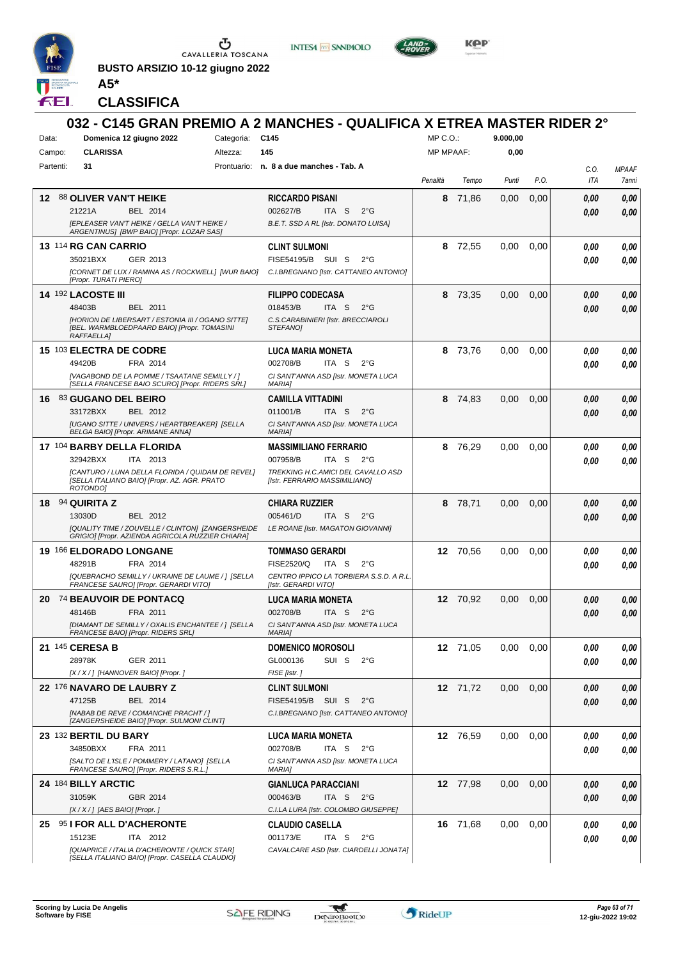

**BUSTO ARSIZIO 10-12 giugno 2022 A5\***





**CLASSIFICA**

| Data:     | Domenica 12 giugno 2022                                                                                               | Categoria:                                       | 032 - C145 GRAN PREMIO A 2 MANCHES - QUALIFICA X ETREA MASTER RIDER 2°<br>C145 |                  |          | 9.000,00 |      |              |              |
|-----------|-----------------------------------------------------------------------------------------------------------------------|--------------------------------------------------|--------------------------------------------------------------------------------|------------------|----------|----------|------|--------------|--------------|
| Campo:    | <b>CLARISSA</b>                                                                                                       | Altezza:                                         | 145                                                                            | <b>MP MPAAF:</b> |          | 0,00     |      |              |              |
| Partenti: | 31                                                                                                                    |                                                  | Prontuario: n. 8 a due manches - Tab. A                                        |                  |          |          |      | C.O.         | <b>MPAAF</b> |
|           |                                                                                                                       |                                                  |                                                                                | Penalità         | Tempo    | Punti    | P.O. | ITA          | 7anni        |
|           | 12 88 OLIVER VAN'T HEIKE                                                                                              |                                                  | <b>RICCARDO PISANI</b>                                                         | 8                | 71,86    | 0,00     | 0,00 | 0.00         | 0,00         |
|           | 21221A<br>BEL 2014                                                                                                    |                                                  | 002627/B<br>ITA S<br>$2^{\circ}$ G                                             |                  |          |          |      | 0.00         | 0.00         |
|           | <b>IEPLEASER VAN'T HEIKE / GELLA VAN'T HEIKE /</b><br>ARGENTINUS] [BWP BAIO] [Propr. LOZAR SAS]                       |                                                  | B.E.T. SSD A RL [Istr. DONATO LUISA]                                           |                  |          |          |      |              |              |
|           | 13 114 RG CAN CARRIO                                                                                                  |                                                  | <b>CLINT SULMONI</b>                                                           | 8                | 72.55    | 0,00     | 0,00 | 0.00         | 0,00         |
|           | 35021BXX<br>GER 2013                                                                                                  |                                                  | FISE54195/B SUI S<br>$2^{\circ}$ G                                             |                  |          |          |      | 0.00         | 0.00         |
|           | [CORNET DE LUX / RAMINA AS / ROCKWELL] [WUR BAIO]<br>[Propr. TURATI PIERO]                                            |                                                  | C.I.BREGNANO [Istr. CATTANEO ANTONIO]                                          |                  |          |          |      |              |              |
|           | <b>14 192 LACOSTE III</b>                                                                                             |                                                  | <b>FILIPPO CODECASA</b>                                                        | 8                | 73,35    | 0.00     | 0,00 | 0.00         | 0,00         |
|           | 48403B<br>BEL 2011                                                                                                    |                                                  | 018453/B<br>ITA S<br>$2^{\circ}$ G                                             |                  |          |          |      | 0.00         | 0.00         |
|           | [HORION DE LIBERSART / ESTONIA III / OGANO SITTE]<br>[BEL. WARMBLOEDPAARD BAIO] [Propr. TOMASINI<br><b>RAFFAELLA1</b> |                                                  | C.S.CARABINIERI [Istr. BRECCIAROLI<br>STEFANO]                                 |                  |          |          |      |              |              |
|           | 15 103 ELECTRA DE CODRE                                                                                               |                                                  | <b>LUCA MARIA MONETA</b>                                                       | 8                | 73,76    | 0.00     | 0,00 | 0.00         | 0,00         |
|           | 49420B<br>FRA 2014                                                                                                    |                                                  | 002708/B<br>ITA S<br>$2^{\circ}$ G                                             |                  |          |          |      | 0.00         | 0.00         |
|           | [VAGABOND DE LA POMME / TSAATANE SEMILLY / ]<br>[SELLA FRANCESE BAIO SCURO] [Propr. RIDERS SRL]                       |                                                  | CI SANT'ANNA ASD [Istr. MONETA LUCA<br><b>MARIAI</b>                           |                  |          |          |      |              |              |
| 16        | 83 GUGANO DEL BEIRO                                                                                                   |                                                  | <b>CAMILLA VITTADINI</b>                                                       | 8                | 74,83    | 0,00     | 0,00 | 0.00         | 0,00         |
|           | 33172BXX<br>BEL 2012                                                                                                  |                                                  | 011001/B<br>ITA S<br>$2^{\circ}$ G                                             |                  |          |          |      | 0.00         | 0.00         |
|           | <b>IUGANO SITTE / UNIVERS / HEARTBREAKERI ISELLA</b><br>BELGA BAIO] [Propr. ARIMANE ANNA]                             |                                                  | CI SANT'ANNA ASD [Istr. MONETA LUCA<br><b>MARIA]</b>                           |                  |          |          |      |              |              |
|           | 17 104 BARBY DELLA FLORIDA                                                                                            |                                                  | <b>MASSIMILIANO FERRARIO</b>                                                   | 8                | 76,29    | 0,00     | 0,00 | 0.00         | 0,00         |
|           | 32942BXX<br>ITA 2013                                                                                                  |                                                  | 007958/B<br>ITA S<br>$2^{\circ}G$                                              |                  |          |          |      | 0.00         | 0.00         |
|           | [CANTURO / LUNA DELLA FLORIDA / QUIDAM DE REVEL]<br>[SELLA ITALIANO BAIO] [Propr. AZ. AGR. PRATO                      |                                                  | TREKKING H.C.AMICI DEL CAVALLO ASD<br>[Istr. FERRARIO MASSIMILIANO]            |                  |          |          |      |              |              |
|           | ROTONDO1                                                                                                              |                                                  |                                                                                |                  |          |          |      |              |              |
| 18.       | 94 QUIRITA Z                                                                                                          |                                                  | CHIARA RUZZIER                                                                 | 8                | 78,71    | 0.00     | 0.00 | 0.00         | 0,00         |
|           | 13030D<br>BEL 2012<br>[QUALITY TIME / ZOUVELLE / CLINTON] [ZANGERSHEIDE                                               |                                                  | 005461/D<br>ITA S<br>$2^{\circ}$ G<br>LE ROANE [Istr. MAGATON GIOVANNI]        |                  |          |          |      | 0.00         | 0.00         |
|           | GRIGIO] [Propr. AZIENDA AGRICOLA RUZZIER CHIARA]                                                                      |                                                  |                                                                                |                  |          |          |      |              |              |
|           | 19 166 ELDORADO LONGANE                                                                                               |                                                  | <b>TOMMASO GERARDI</b>                                                         |                  | 12 70.56 | 0,00     | 0,00 | 0.00         | 0,00         |
|           | 48291B<br>FRA 2014                                                                                                    |                                                  | FISE2520/Q<br>ITA S<br>$2^{\circ}$ G                                           |                  |          |          |      |              |              |
|           |                                                                                                                       |                                                  |                                                                                |                  |          |          |      | 0.00         | 0.00         |
|           | FRANCESE SAURO] [Propr. GERARDI VITO]                                                                                 | [QUEBRACHO SEMILLY / UKRAINE DE LAUME / ] [SELLA | CENTRO IPPICO LA TORBIERA S.S.D. A R.L.<br>[Istr. GERARDI VITO]                |                  |          |          |      |              |              |
|           | 20 74 BEAUVOIR DE PONTACQ                                                                                             |                                                  | <b>LUCA MARIA MONETA</b>                                                       |                  | 12 70.92 | 0,00     | 0,00 | 0.00         | 0,00         |
|           | 48146B<br>FRA 2011                                                                                                    |                                                  | 002708/B<br>ITA S<br>$2^{\circ}$ G                                             |                  |          |          |      | 0.00         | 0.00         |
|           | [DIAMANT DE SEMILLY / OXALIS ENCHANTEE / ] [SELLA<br>FRANCESE BAIO] [Propr. RIDERS SRL]                               |                                                  | CI SANT'ANNA ASD [Istr. MONETA LUCA<br><b>MARIA]</b>                           |                  |          |          |      |              |              |
|           | 21 145 CERESA B                                                                                                       |                                                  | <b>DOMENICO MOROSOLI</b>                                                       |                  | 12 71,05 | 0,00     | 0,00 | 0,00         | 0,00         |
|           | 28978K<br>GER 2011                                                                                                    |                                                  | SUI S<br>GL000136<br>$2^{\circ}$ G                                             |                  |          |          |      | 0,00         | 0,00         |
|           | [X / X / ] [HANNOVER BAIO] [Propr. ]                                                                                  |                                                  | FISE [Istr.]                                                                   |                  |          |          |      |              |              |
|           | 22 176 NAVARO DE LAUBRY Z                                                                                             |                                                  | <b>CLINT SULMONI</b>                                                           |                  | 12 71,72 | 0,00     | 0,00 | 0,00         | 0,00         |
|           | 47125B<br>BEL 2014<br><b>INABAB DE REVE / COMANCHE PRACHT / 1</b>                                                     |                                                  | FISE54195/B SUI S<br>$2^{\circ}G$<br>C.I.BREGNANO [Istr. CATTANEO ANTONIO]     |                  |          |          |      | 0.00         | 0,00         |
|           | [ZANGERSHEIDE BAIO] [Propr. SULMONI CLINT]                                                                            |                                                  |                                                                                |                  |          |          |      |              |              |
|           | 23 <sup>132</sup> BERTIL DU BARY                                                                                      |                                                  | <b>LUCA MARIA MONETA</b>                                                       |                  | 12 76,59 | 0,00     | 0,00 | 0.00         | 0,00         |
|           | 34850BXX<br>FRA 2011                                                                                                  |                                                  | 002708/B<br>ITA S<br>$2^{\circ}$ G                                             |                  |          |          |      | 0,00         | 0,00         |
|           | [SALTO DE L'ISLE / POMMERY / LATANO] [SELLA<br>FRANCESE SAURO] [Propr. RIDERS S.R.L.]                                 |                                                  | CI SANT'ANNA ASD [Istr. MONETA LUCA<br><b>MARIA]</b>                           |                  |          |          |      |              |              |
|           | 24 184 BILLY ARCTIC                                                                                                   |                                                  | <b>GIANLUCA PARACCIANI</b>                                                     |                  | 12 77,98 | 0,00     | 0,00 | 0,00         | 0,00         |
|           | 31059K<br>GBR 2014                                                                                                    |                                                  | ITA S<br>000463/B<br>$2^{\circ}$ G                                             |                  |          |          |      | 0,00         | 0,00         |
|           | $[X/X/$ ] [AES BAIO] [Propr.]                                                                                         |                                                  | C.I.LA LURA [Istr. COLOMBO GIUSEPPE]                                           |                  |          |          |      |              |              |
|           | 25 95 I FOR ALL D'ACHERONTE<br>15123E<br>ITA 2012                                                                     |                                                  | <b>CLAUDIO CASELLA</b><br>001173/E<br>ITA S<br>$2^{\circ}G$                    |                  | 16 71,68 | 0,00     | 0,00 | 0.00<br>0.00 | 0,00<br>0,00 |

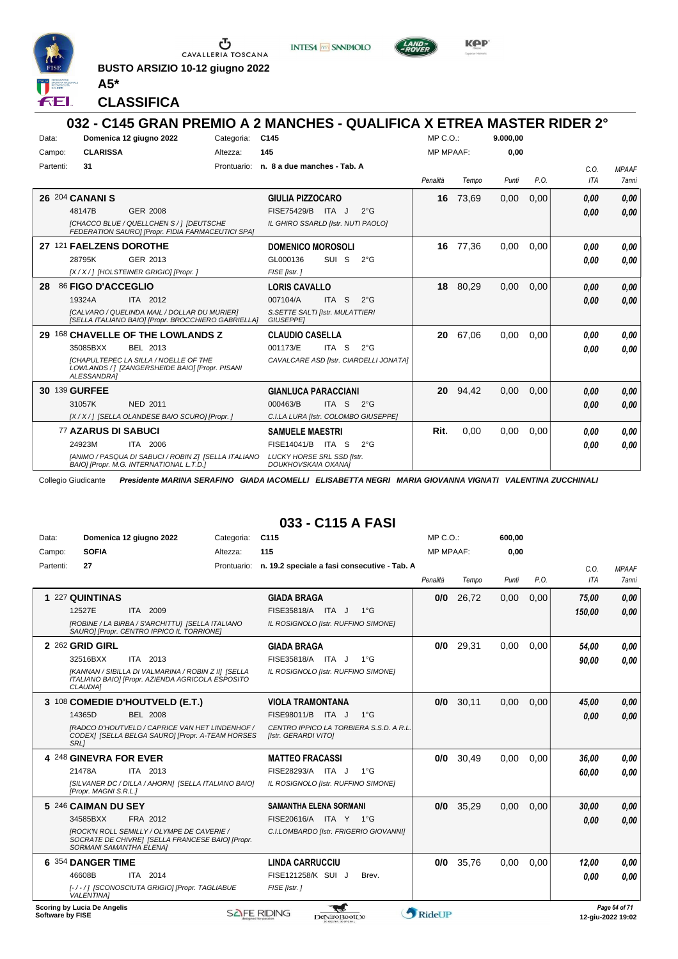

CAVALLERIA TOSCANA

**BUSTO ARSIZIO 10-12 giugno 2022**





**CLASSIFICA**

**A5\***

#### **032 - C145 GRAN PREMIO A 2 MANCHES - QUALIFICA X ETREA MASTER RIDER 2°** Data: **Domenica 12 giugno 2022** Categoria: C145 Prontuario: **n. 8 a due manches - Tab. A** Campo: **CLARISSA** Partenti: **31** Altezza: **145** MP C.O.: MP MPAAF: **9.000,00 0,00** *Penalità Tempo Punti P.O. C.O. ITA MPAAF 7anni* **26** 204 **CANANI S** GER 2008 **GIULIA PIZZOCARO** *[CHACCO BLUE / QUELLCHEN S / ] [DEUTSCHE FEDERATION SAURO] [Propr. FIDIA FARMACEUTICI SPA] IL GHIRO SSARLD [Istr. NUTI PAOLO]* 48147B GER 2008 FISE75429/B ITA J 2°G **0,00 0,00 16** 73,69 0,00 0,00 *0,00 0,00 0,00* **27** 121 **FAELZENS DOROTHE** GER 2013 **DOMENICO MOROSOLI** *[X / X / ] [HOLSTEINER GRIGIO] [Propr. ] FISE [Istr. ]* SUI S 2°G **16** 77,36 0,00 0,00 *0,00 0,00 0,00* 28795K GER\_2013 GL000136 SUI S 2°G *0,00 0,00* **28** 86 **FIGO D'ACCEGLIO** ITA 2012 **LORIS CAVALLO** *[CALVARO / QUELINDA MAIL / DOLLAR DU MURIER] [SELLA ITALIANO BAIO] [Propr. BROCCHIERO GABRIELLA] S.SETTE SALTI [Istr. MULATTIERI* ITA S 2°G **18** 80,29 0,00 0,00 *0,00 0,00* 19324A 007104/A *0,00*

#### *GIUSEPPE]* **29** 168 **CHAVELLE OF THE LOWLANDS Z** BEL 2013 **CLAUDIO CASELLA** *[CHAPULTEPEC LA SILLA / NOELLE OF THE LOWLANDS / ] [ZANGERSHEIDE BAIO] [Propr. PISANI ALESSANDRA] CAVALCARE ASD [Istr. CIARDELLI JONATA]* ITA S 2°G **20** 67,06 0,00 0,00 *0,00 0,00 0,00* 35085BXX BEL 2013 001173/E ITA S 2°G **0,00 0,00 30** 139 **GURFEE** NED 2011 **GIANLUCA PARACCIANI** *[X / X / ] [SELLA OLANDESE BAIO SCURO] [Propr. ] C.I.LA LURA [Istr. COLOMBO GIUSEPPE]* ITA S 2°G **20** 94,42 0,00 0,00 *0,00 0,00 0,00* 31057K NED 2011 000463/B ITA S 2°G <mark> 0,00 0,00</mark> 77 **AZARUS DI SABUCI** ITA 2006 **SAMUELE MAESTRI** *[ANIMO / PASQUA DI SABUCI / ROBIN Z] [SELLA ITALIANO BAIO] [Propr. M.G. INTERNATIONAL L.T.D.] LUCKY HORSE SRL SSD [Istr. DOUKHOVSKAIA OXANA]* ITA S 2°G 24923M FISE14041/B *0,00* **Rit.** 0,00 0,00 0,00 *0,00 0,00 0,00*

Collegio Giudicante *Presidente MARINA SERAFINO GIADA IACOMELLI ELISABETTA NEGRI MARIA GIOVANNA VIGNATI VALENTINA ZUCCHINALI*

#### **033 - C115 A FASI**

| Data:            | Domenica 12 giugno 2022                                                                                                          | Categoria:  | C <sub>115</sub>                                                | $MP C. O.$ :     |       | 600.00 |      |            |                                    |
|------------------|----------------------------------------------------------------------------------------------------------------------------------|-------------|-----------------------------------------------------------------|------------------|-------|--------|------|------------|------------------------------------|
| Campo:           | <b>SOFIA</b>                                                                                                                     | Altezza:    | 115                                                             | <b>MP MPAAF:</b> |       | 0,00   |      |            |                                    |
| Partenti:        | 27                                                                                                                               | Prontuario: | n. 19.2 speciale a fasi consecutive - Tab. A                    |                  |       |        |      | C.O.       | <b>MPAAF</b>                       |
|                  |                                                                                                                                  |             |                                                                 | Penalità         | Tempo | Punti  | P.O. | <b>ITA</b> | <b>7anni</b>                       |
|                  | 1 227 QUINTINAS                                                                                                                  |             | <b>GIADA BRAGA</b>                                              | 0/0              | 26,72 | 0,00   | 0,00 | 75,00      | 0,00                               |
|                  | 12527E<br>ITA 2009                                                                                                               |             | FISE35818/A ITA J<br>$1^{\circ}G$                               |                  |       |        |      | 150.00     | 0.00                               |
|                  | [ROBINE / LA BIRBA / S'ARCHITTU] [SELLA ITALIANO<br>SAURO] [Propr. CENTRO IPPICO IL TORRIONE]                                    |             | IL ROSIGNOLO [Istr. RUFFINO SIMONE]                             |                  |       |        |      |            |                                    |
|                  | 2 262 GRID GIRL                                                                                                                  |             | <b>GIADA BRAGA</b>                                              | 0/0              | 29,31 | 0,00   | 0,00 | 54.00      | 0.00                               |
|                  | ITA 2013<br>32516BXX                                                                                                             |             | FISE35818/A ITA J<br>$1^{\circ}G$                               |                  |       |        |      | 90.00      | 0.00                               |
|                  | [KANNAN / SIBILLA DI VALMARINA / ROBIN Z II] [SELLA<br>ITALIANO BAIO] [Propr. AZIENDA AGRICOLA ESPOSITO<br><b>CLAUDIAI</b>       |             | IL ROSIGNOLO [Istr. RUFFINO SIMONE]                             |                  |       |        |      |            |                                    |
|                  | 3 108 COMEDIE D'HOUTVELD (E.T.)                                                                                                  |             | <b>VIOLA TRAMONTANA</b>                                         | 0/0              | 30,11 | 0.00   | 0.00 | 45,00      | 0.00                               |
|                  | 14365D<br><b>BEL 2008</b>                                                                                                        |             | FISE98011/B<br>$1^{\circ}$ G<br>ITA J                           |                  |       |        |      | 0.00       | 0.00                               |
|                  | IRADCO D'HOUTVELD / CAPRICE VAN HET LINDENHOF /<br>CODEX] [SELLA BELGA SAURO] [Propr. A-TEAM HORSES<br><b>SRL1</b>               |             | CENTRO IPPICO LA TORBIERA S.S.D. A R.L.<br>[Istr. GERARDI VITO] |                  |       |        |      |            |                                    |
|                  | 4 248 GINEVRA FOR EVER                                                                                                           |             | <b>MATTEO FRACASSI</b>                                          | 0/0              | 30,49 | 0,00   | 0,00 | 36,00      | 0.00                               |
|                  | 21478A<br>ITA 2013                                                                                                               |             | FISE28293/A ITA J<br>$1^{\circ}$ G                              |                  |       |        |      | 60.00      | 0.00                               |
|                  | [SILVANER DC / DILLA / AHORN] [SELLA ITALIANO BAIO]<br>[Propr. MAGNI S.R.L.]                                                     |             | IL ROSIGNOLO [Istr. RUFFINO SIMONE]                             |                  |       |        |      |            |                                    |
|                  | 5 246 CAIMAN DU SEY                                                                                                              |             | <b>SAMANTHA ELENA SORMANI</b>                                   | 0/0              | 35,29 | 0,00   | 0,00 | 30.00      | 0,00                               |
|                  | FRA 2012<br>34585BXX                                                                                                             |             | FISE20616/A ITA Y 1°G                                           |                  |       |        |      | 0.00       | 0,00                               |
|                  | <b>IROCK'N ROLL SEMILLY / OLYMPE DE CAVERIE /</b><br>SOCRATE DE CHIVRE] [SELLA FRANCESE BAIO] [Propr.<br>SORMANI SAMANTHA ELENA] |             | C.I.LOMBARDO [Istr. FRIGERIO GIOVANNI]                          |                  |       |        |      |            |                                    |
|                  | 6 354 DANGER TIME                                                                                                                |             | <b>LINDA CARRUCCIU</b>                                          | 0/0              | 35.76 | 0.00   | 0.00 | 12.00      | 0.00                               |
|                  | 46608B<br>ITA 2014                                                                                                               |             | FISE121258/K SUI J<br>Brev.                                     |                  |       |        |      | 0.00       | 0.00                               |
|                  | [-/-/] [SCONOSCIUTA GRIGIO] [Propr. TAGLIABUE<br><b>VALENTINA1</b>                                                               |             | FISE [Istr.]                                                    |                  |       |        |      |            |                                    |
| Software by FISE | Scoring by Lucia De Angelis                                                                                                      |             | <b>SAFE RIDING</b><br>DeNiroBootCo                              | RideUP           |       |        |      |            | Page 64 of 71<br>12-aiu-2022 19:02 |

*0,00*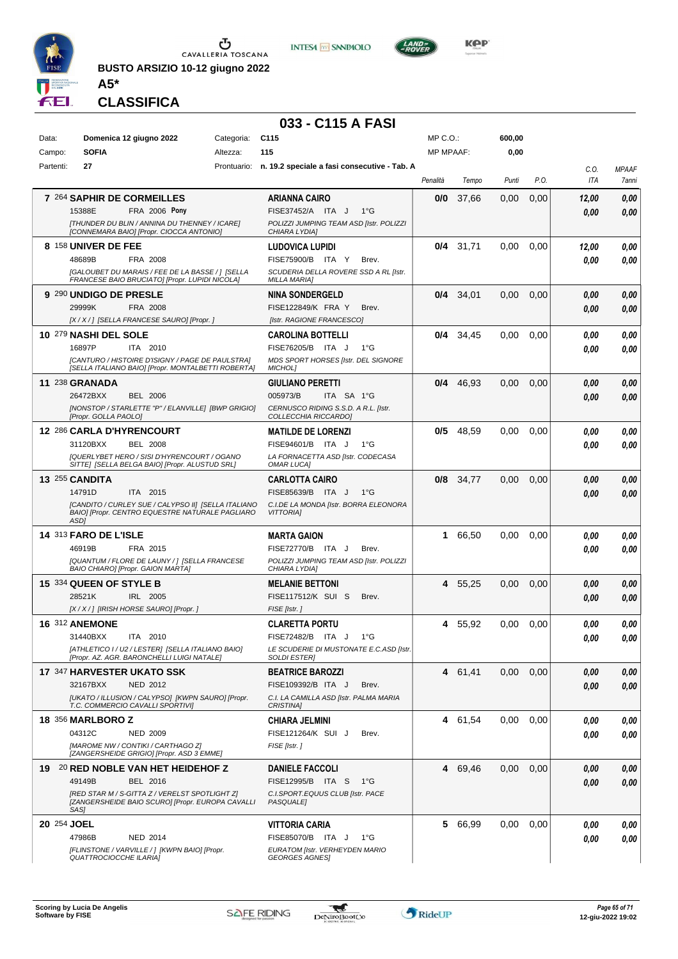

**BUSTO ARSIZIO 10-12 giugno 2022 A5\***





#### **CLASSIFICA**

#### **033 - C115 A FASI**

| Data:       | Domenica 12 giugno 2022                                                                   | Categoria: | C <sub>115</sub>                                              | $MP C. O.$ :     |             | 600,00 |      |       |              |
|-------------|-------------------------------------------------------------------------------------------|------------|---------------------------------------------------------------|------------------|-------------|--------|------|-------|--------------|
| Campo:      | <b>SOFIA</b>                                                                              | Altezza:   | 115                                                           | <b>MP MPAAF:</b> |             | 0,00   |      |       |              |
| Partenti:   | 27                                                                                        |            | Prontuario: n. 19.2 speciale a fasi consecutive - Tab. A      |                  |             |        |      | C.O.  | <b>MPAAF</b> |
|             |                                                                                           |            |                                                               | Penalità         | Tempo       | Punti  | P.O. | ITA   | 7anni        |
|             | 7 264 SAPHIR DE CORMEILLES                                                                |            | <b>ARIANNA CAIRO</b>                                          | 0/0              | 37,66       | 0,00   | 0,00 | 12,00 | 0,00         |
|             | FRA 2006 Pony<br>15388E                                                                   |            | FISE37452/A ITA J<br>$1^{\circ}G$                             |                  |             |        |      | 0,00  | 0,00         |
|             | [THUNDER DU BLIN / ANNINA DU THENNEY / ICARE]<br>[CONNEMARA BAIO] [Propr. CIOCCA ANTONIO] |            | POLIZZI JUMPING TEAM ASD [Istr. POLIZZI<br>CHIARA LYDIA]      |                  |             |        |      |       |              |
|             | 8 158 UNIVER DE FEE                                                                       |            | LUDOVICA LUPIDI                                               | 0/4              | 31,71       | 0.00   | 0,00 | 12,00 | 0,00         |
|             | 48689B<br>FRA 2008                                                                        |            | FISE75900/B ITA Y<br>Brev.                                    |                  |             |        |      | 0.00  | 0.00         |
|             | [GALOUBET DU MARAIS / FEE DE LA BASSE / ] [SELLA                                          |            | SCUDERIA DELLA ROVERE SSD A RL [Istr.                         |                  |             |        |      |       |              |
|             | FRANCESE BAIO BRUCIATO] [Propr. LUPIDI NICOLA]                                            |            | <b>MILLA MARIA]</b>                                           |                  |             |        |      |       |              |
|             | 9 290 UNDIGO DE PRESLE                                                                    |            | <b>NINA SONDERGELD</b>                                        |                  | $0/4$ 34,01 | 0,00   | 0,00 | 0,00  | 0,00         |
|             | 29999K<br>FRA 2008                                                                        |            | <b>FISE122849/K FRA Y</b><br>Brev.                            |                  |             |        |      | 0,00  | 0,00         |
|             | [X / X / ] [SELLA FRANCESE SAURO] [Propr. ]                                               |            | [Istr. RAGIONE FRANCESCO]                                     |                  |             |        |      |       |              |
|             | 10 279 NASHI DEL SOLE<br>16897P<br>ITA 2010                                               |            | <b>CAROLINA BOTTELLI</b><br>FISE76205/B ITA J<br>$1^{\circ}G$ | 0/4              | 34,45       | 0,00   | 0,00 | 0.00  | 0,00         |
|             | <b>ICANTURO / HISTOIRE D'ISIGNY / PAGE DE PAULSTRAI</b>                                   |            | MDS SPORT HORSES [Istr. DEL SIGNORE                           |                  |             |        |      | 0.00  | 0,00         |
|             | [SELLA ITALIANO BAIO] [Propr. MONTALBETTI ROBERTA]                                        |            | MICHOL]                                                       |                  |             |        |      |       |              |
|             | 11 238 GRANADA                                                                            |            | <b>GIULIANO PERETTI</b>                                       | 0/4              | 46,93       | 0,00   | 0,00 | 0,00  | 0,00         |
|             | 26472BXX<br><b>BEL 2006</b>                                                               |            | 005973/B<br>ITA SA 1°G                                        |                  |             |        |      | 0,00  | 0,00         |
|             | [NONSTOP / STARLETTE "P" / ELANVILLE] [BWP GRIGIO]<br>[Propr. GOLLA PAOLO]                |            | CERNUSCO RIDING S.S.D. A R.L. [Istr.<br>COLLECCHIA RICCARDO]  |                  |             |        |      |       |              |
|             | 12 286 CARLA D'HYRENCOURT                                                                 |            | <b>MATILDE DE LORENZI</b>                                     | 0/5              | 48,59       | 0.00   | 0,00 | 0.00  | 0,00         |
|             | 31120BXX<br><b>BEL 2008</b>                                                               |            | FISE94601/B ITA J<br>$1^{\circ}G$                             |                  |             |        |      | 0.00  | 0.00         |
|             | [QUERLYBET HERO / SISI D'HYRENCOURT / OGANO                                               |            | LA FORNACETTA ASD [Istr. CODECASA                             |                  |             |        |      |       |              |
|             | SITTE] [SELLA BELGA BAIO] [Propr. ALUSTUD SRL]                                            |            | <b>OMAR LUCA]</b>                                             |                  |             |        |      |       |              |
|             | 13 255 CANDITA<br>ITA 2015<br>14791D                                                      |            | <b>CARLOTTA CAIRO</b><br>FISE85639/B ITA J<br>1°G             | 0/8              | 34,77       | 0.00   | 0,00 | 0,00  | 0,00         |
|             | [CANDITO / CURLEY SUE / CALYPSO II] [SELLA ITALIANO                                       |            | C.I.DE LA MONDA [Istr. BORRA ELEONORA                         |                  |             |        |      | 0.00  | 0.00         |
|             | BAIO] [Propr. CENTRO EQUESTRE NATURALE PAGLIARO<br>ASD1                                   |            | <b>VITTORIAI</b>                                              |                  |             |        |      |       |              |
|             | <b>14 313 FARO DE L'ISLE</b>                                                              |            | <b>MARTA GAION</b>                                            | 1.               | 66,50       | 0.00   | 0,00 | 0.00  | 0,00         |
|             | 46919B<br>FRA 2015                                                                        |            | FISE72770/B ITA J<br>Brev.                                    |                  |             |        |      | 0.00  | 0.00         |
|             | [QUANTUM / FLORE DE LAUNY / ] [SELLA FRANCESE                                             |            | POLIZZI JUMPING TEAM ASD [Istr. POLIZZI                       |                  |             |        |      |       |              |
|             | BAIO CHIARO] [Propr. GAION MARTA]                                                         |            | CHIARA LYDIA]                                                 |                  |             |        |      |       |              |
|             | 15 334 QUEEN OF STYLE B                                                                   |            | <b>MELANIE BETTONI</b>                                        | 4                | 55.25       | 0,00   | 0,00 | 0,00  | 0,00         |
|             | 28521K<br>IRL 2005<br>[X / X / ] [IRISH HORSE SAURO] [Propr. ]                            |            | FISE117512/K SUI S<br>Brev.<br>FISE [Istr.]                   |                  |             |        |      | 0,00  | 0,00         |
|             | <b>16 312 ANEMONE</b>                                                                     |            | <b>CLARETTA PORTU</b>                                         | 4                | 55,92       | 0.00   | 0,00 | 0.00  | 0,00         |
|             | 31440BXX<br>ITA 2010                                                                      |            | FISE72482/B ITA J<br>$1^{\circ}G$                             |                  |             |        |      | 0.00  | 0.00         |
|             | [ATHLETICO I / U2 / LESTER] [SELLA ITALIANO BAIO]                                         |            | LE SCUDERIE DI MUSTONATE E.C.ASD [Istr.                       |                  |             |        |      |       |              |
|             | [Propr. AZ. AGR. BARONCHELLI LUIGI NATALE]                                                |            | <b>SOLDI ESTERI</b>                                           |                  |             |        |      |       |              |
|             | 17 347 HARVESTER UKATO SSK                                                                |            | <b>BEATRICE BAROZZI</b>                                       |                  | 4 61,41     | 0,00   | 0,00 | 0.00  | 0,00         |
|             | 32167BXX<br><b>NED 2012</b>                                                               |            | FISE109392/B ITA J<br>Brev.                                   |                  |             |        |      | 0,00  | 0,00         |
|             | [UKATO / ILLUSION / CALYPSO] [KWPN SAURO] [Propr.<br>T.C. COMMERCIO CAVALLI SPORTIVII     |            | C.I. LA CAMILLA ASD [Istr. PALMA MARIA<br><b>CRISTINA1</b>    |                  |             |        |      |       |              |
|             | <b>18 356 MARLBORO Z</b>                                                                  |            | <b>CHIARA JELMINI</b>                                         |                  | 4 61,54     | 0,00   | 0,00 | 0.00  | 0,00         |
|             | 04312C<br><b>NED 2009</b>                                                                 |            | FISE121264/K SUI J<br>Brev.                                   |                  |             |        |      | 0.00  | 0.00         |
|             | [MAROME NW / CONTIKI / CARTHAGO Z]<br>[ZANGERSHEIDE GRIGIO] [Propr. ASD 3 EMME]           |            | FISE [Istr.]                                                  |                  |             |        |      |       |              |
|             | 19 20 RED NOBLE VAN HET HEIDEHOF Z                                                        |            | <b>DANIELE FACCOLI</b>                                        | 4                | 69,46       | 0,00   | 0,00 | 0.00  | 0,00         |
|             | 49149B<br>BEL 2016                                                                        |            | FISE12995/B ITA S<br>1°G                                      |                  |             |        |      | 0,00  | 0,00         |
|             | [RED STAR M / S-GITTA Z / VERELST SPOTLIGHT Z]                                            |            | C.I.SPORT.EQUUS CLUB [Istr. PACE                              |                  |             |        |      |       |              |
|             | [ZANGERSHEIDE BAIO SCURO] [Propr. EUROPA CAVALLI<br>SAS]                                  |            | <b>PASQUALE</b>                                               |                  |             |        |      |       |              |
| 20 254 JOEL |                                                                                           |            | <b>VITTORIA CARIA</b>                                         | 5                | 66,99       | 0,00   | 0,00 | 0.00  | 0,00         |
|             | <b>NED 2014</b><br>47986B                                                                 |            | FISE85070/B ITA J<br>$1^{\circ}G$                             |                  |             |        |      | 0.00  | 0,00         |
|             | [FLINSTONE / VARVILLE / ] [KWPN BAIO] [Propr.                                             |            | EURATOM [Istr. VERHEYDEN MARIO                                |                  |             |        |      |       |              |
|             | <b>QUATTROCIOCCHE ILARIA]</b>                                                             |            | <b>GEORGES AGNES</b>                                          |                  |             |        |      |       |              |

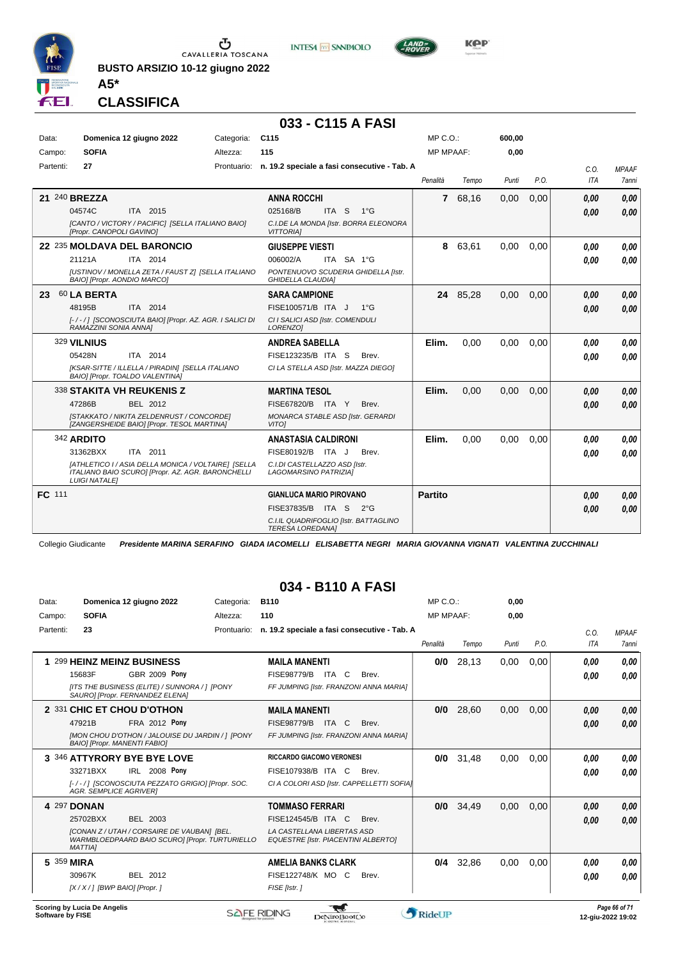

**BUSTO ARSIZIO 10-12 giugno 2022 A5\***





**Kep** 

#### **CLASSIFICA**

#### **033 - C115 A FASI**

| Data:<br>Campo: | <b>SOFIA</b>                                        | Domenica 12 giugno 2022                                                                                                          | Categoria:<br>Altezza: | C <sub>115</sub><br>115                                                                                                                 | $MP C. O.$ :<br><b>MP MPAAF:</b> |          | 600.00<br>0,00 |      |              |                              |
|-----------------|-----------------------------------------------------|----------------------------------------------------------------------------------------------------------------------------------|------------------------|-----------------------------------------------------------------------------------------------------------------------------------------|----------------------------------|----------|----------------|------|--------------|------------------------------|
| Partenti:       | 27                                                  |                                                                                                                                  | Prontuario:            | n. 19.2 speciale a fasi consecutive - Tab. A                                                                                            | Penalità                         | Tempo    | Punti          | P.O. | C.O.<br>ITA  | <b>MPAAF</b><br><b>7anni</b> |
|                 | 21 240 BREZZA<br>04574C<br>[Propr. CANOPOLI GAVINO] | ITA 2015<br>[CANTO / VICTORY / PACIFIC] [SELLA ITALIANO BAIO]                                                                    |                        | <b>ANNA ROCCHI</b><br>025168/B<br>ITA S<br>$1^{\circ}G$<br>C.I.DE LA MONDA [Istr. BORRA ELEONORA<br><b>VITTORIAI</b>                    | $\mathbf{7}$                     | 68,16    | 0,00           | 0,00 | 0,00<br>0.00 | 0.00<br>0,00                 |
|                 | 21121A<br>BAIO] [Propr. AONDIO MARCO]               | 22 235 MOLDAVA DEL BARONCIO<br>ITA 2014<br>[USTINOV / MONELLA ZETA / FAUST Z] [SELLA ITALIANO                                    |                        | <b>GIUSEPPE VIESTI</b><br>006002/A<br>ITA SA 1°G<br>PONTENUOVO SCUDERIA GHIDELLA [Istr.<br><b>GHIDELLA CLAUDIA]</b>                     | 8                                | 63,61    | 0,00           | 0,00 | 0,00<br>0.00 | 0,00<br>0.00                 |
| 23              | 60 LA BERTA<br>48195B<br>RAMAZZINI SONIA ANNAI      | ITA 2014<br>[-/-/] [SCONOSCIUTA BAIO] [Propr. AZ. AGR. I SALICI DI                                                               |                        | <b>SARA CAMPIONE</b><br>FISE100571/B ITA J<br>$1^{\circ}$ G<br>CI I SALICI ASD [Istr. COMENDULI<br>LORENZO1                             |                                  | 24 85.28 | 0.00           | 0.00 | 0,00<br>0.00 | 0,00<br>0.00                 |
|                 | 329 VILNIUS<br>05428N                               | ITA 2014<br>[KSAR-SITTE / ILLELLA / PIRADIN] [SELLA ITALIANO<br>BAIO] [Propr. TOALDO VALENTINA]                                  |                        | <b>ANDREA SABELLA</b><br>FISE123235/B ITA S<br>Brev.<br>CI LA STELLA ASD [Istr. MAZZA DIEGO]                                            | Elim.                            | 0.00     | 0,00           | 0.00 | 0.00<br>0.00 | 0.00<br>0.00                 |
|                 | 47286B                                              | 338 STAKITA VH REUKENIS Z<br>BEL 2012<br>[STAKKATO / NIKITA ZELDENRUST / CONCORDE]<br>[ZANGERSHEIDE BAIO] [Propr. TESOL MARTINA] |                        | <b>MARTINA TESOL</b><br>FISE67820/B ITA Y<br>Brev.<br>MONARCA STABLE ASD [Istr. GERARDI<br><b>VITOI</b>                                 | Elim.                            | 0.00     | 0,00           | 0.00 | 0.00<br>0.00 | 0.00<br>0.00                 |
|                 | 342 ARDITO<br>31362BXX<br><b>LUIGI NATALEI</b>      | ITA 2011<br>[ATHLETICO I / ASIA DELLA MONICA / VOLTAIRE] [SELLA<br>ITALIANO BAIO SCUROI [Propr. AZ. AGR. BARONCHELLI             |                        | <b>ANASTASIA CALDIRONI</b><br>FISE80192/B ITA J<br>Brev.<br>C.I.DI CASTELLAZZO ASD Ilstr.<br>LAGOMARSINO PATRIZIAI                      | Elim.                            | 0.00     | 0,00           | 0.00 | 0,00<br>0,00 | 0.00<br>0.00                 |
| <b>FC</b> 111   |                                                     |                                                                                                                                  |                        | <b>GIANLUCA MARIO PIROVANO</b><br>FISE37835/B ITA S<br>$2^{\circ}G$<br>C.I.IL QUADRIFOGLIO [Istr. BATTAGLINO<br><b>TERESA LOREDANA1</b> | <b>Partito</b>                   |          |                |      | 0.00<br>0.00 | 0,00<br>0,00                 |

Collegio Giudicante *Presidente MARINA SERAFINO GIADA IACOMELLI ELISABETTA NEGRI MARIA GIOVANNA VIGNATI VALENTINA ZUCCHINALI*

#### **034 - B110 A FASI**

| Data:     | Domenica 12 giugno 2022             |                                                                                               | Categoria:  | <b>B110</b>                                                              | MP C. O.         |       | 0,00  |      |      |              |
|-----------|-------------------------------------|-----------------------------------------------------------------------------------------------|-------------|--------------------------------------------------------------------------|------------------|-------|-------|------|------|--------------|
| Campo:    | <b>SOFIA</b>                        |                                                                                               | Altezza:    | 110                                                                      | <b>MP MPAAF:</b> |       | 0.00  |      |      |              |
| Partenti: | 23                                  |                                                                                               | Prontuario: | n. 19.2 speciale a fasi consecutive - Tab. A                             |                  |       |       |      | C.0. | <b>MPAAF</b> |
|           |                                     |                                                                                               |             |                                                                          | Penalità         | Tempo | Punti | P.O. | ITA  | <b>7anni</b> |
|           |                                     | 1 299 HEINZ MEINZ BUSINESS                                                                    |             | <b>MAILA MANENTI</b>                                                     | 0/0              | 28,13 | 0,00  | 0,00 | 0.00 | 0,00         |
|           | 15683F                              | <b>GBR 2009 Pony</b>                                                                          |             | <b>FISE98779/B</b><br>ITA<br>C<br>Brev.                                  |                  |       |       |      | 0,00 | 0,00         |
|           |                                     | [ITS THE BUSINESS (ELITE) / SUNNORA / 1 [PONY<br>SAURO] [Propr. FERNANDEZ ELENA]              |             | FF JUMPING [Istr. FRANZONI ANNA MARIA]                                   |                  |       |       |      |      |              |
|           |                                     | 2 331 CHIC ET CHOU D'OTHON                                                                    |             | <b>MAILA MANENTI</b>                                                     | 0/0              | 28,60 | 0,00  | 0,00 | 0,00 | 0,00         |
|           | 47921B                              | FRA 2012 Pony                                                                                 |             | <b>FISE98779/B</b><br><b>ITA</b><br><sup>C</sup><br>Brev.                |                  |       |       |      | 0.00 | 0,00         |
|           | <b>BAIO] [Propr. MANENTI FABIO]</b> | [MON CHOU D'OTHON / JALOUISE DU JARDIN / ] [PONY                                              |             | FF JUMPING [Istr. FRANZONI ANNA MARIA]                                   |                  |       |       |      |      |              |
|           |                                     | 3 346 ATTYRORY BYE BYE LOVE                                                                   |             | <b>RICCARDO GIACOMO VERONESI</b>                                         | 0/0              | 31,48 | 0,00  | 0,00 | 0,00 | 0,00         |
|           | 33271BXX                            | <b>IRL 2008 Pony</b>                                                                          |             | FISE107938/B ITA<br>C<br>Brev.                                           |                  |       |       |      | 0,00 | 0,00         |
|           | <b>AGR. SEMPLICE AGRIVER1</b>       | [-/-/] ISCONOSCIUTA PEZZATO GRIGIO] [Propr. SOC.                                              |             | CI A COLORI ASD [Istr. CAPPELLETTI SOFIA]                                |                  |       |       |      |      |              |
|           | 4 297 DONAN                         |                                                                                               |             | <b>TOMMASO FERRARI</b>                                                   | 0/0              | 34,49 | 0,00  | 0.00 | 0,00 | 0,00         |
|           | 25702BXX                            | BEL 2003                                                                                      |             | FISE124545/B ITA C<br>Brev.                                              |                  |       |       |      | 0,00 | 0,00         |
|           | <b>MATTIAI</b>                      | [CONAN Z / UTAH / CORSAIRE DE VAUBAN] [BEL.<br>WARMBLOEDPAARD BAIO SCURO] [Propr. TURTURIELLO |             | LA CASTELLANA LIBERTAS ASD<br><b>EQUESTRE [Istr. PIACENTINI ALBERTO]</b> |                  |       |       |      |      |              |
|           | 5 359 MIRA                          |                                                                                               |             | <b>AMELIA BANKS CLARK</b>                                                | 0/4              | 32,86 | 0,00  | 0.00 | 0.00 | 0.00         |
|           | 30967K                              | BEL 2012                                                                                      |             | FISE122748/K MO C<br>Brev.                                               |                  |       |       |      | 0.00 | 0,00         |
|           | [X / X / 1 [BWP BAIO] [Propr. ]     |                                                                                               |             | FISE [Istr.]                                                             |                  |       |       |      |      |              |
|           |                                     |                                                                                               |             |                                                                          |                  |       |       |      |      |              |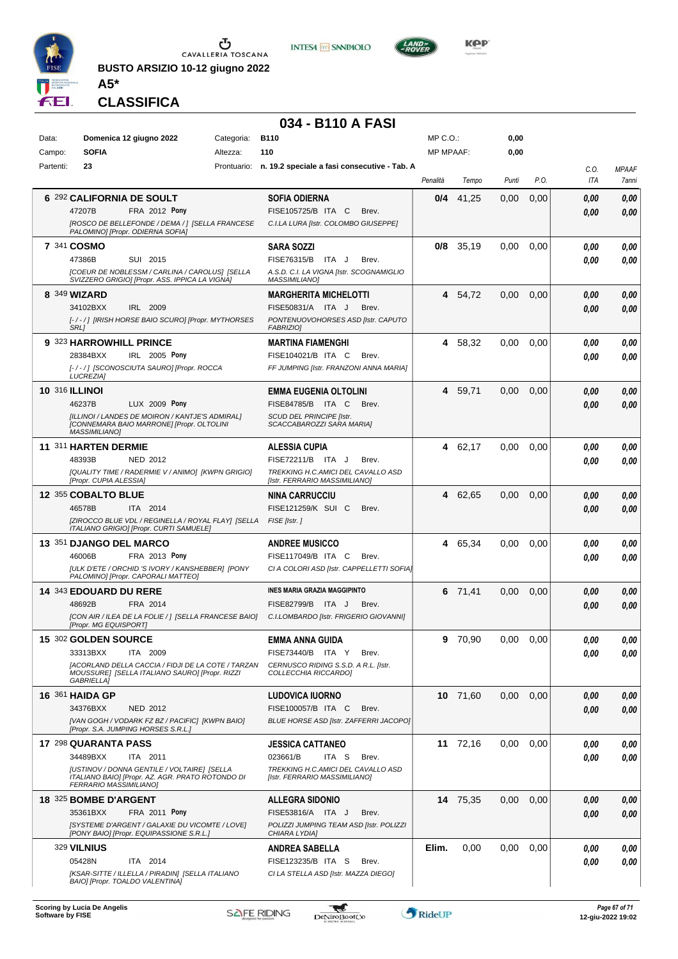

**BUSTO ARSIZIO 10-12 giugno 2022 A5\***





**KOP** 

**CLASSIFICA**

#### **034 - B110 A FASI**

| Data:     | Domenica 12 giugno 2022                                                                              | Categoria:  | <b>B110</b>                                                       | $MP C. O.$ :     |          | 0,00  |      |                    |                       |
|-----------|------------------------------------------------------------------------------------------------------|-------------|-------------------------------------------------------------------|------------------|----------|-------|------|--------------------|-----------------------|
| Campo:    | <b>SOFIA</b>                                                                                         | Altezza:    | 110                                                               | <b>MP MPAAF:</b> |          | 0,00  |      |                    |                       |
| Partenti: | 23                                                                                                   | Prontuario: | n. 19.2 speciale a fasi consecutive - Tab. A                      | Penalità         | Tempo    | Punti | P.O. | C.0.<br><b>ITA</b> | <b>MPAAF</b><br>7anni |
|           |                                                                                                      |             |                                                                   |                  |          |       |      |                    |                       |
|           | 6 292 CALIFORNIA DE SOULT                                                                            |             | SOFIA ODIERNA                                                     | 0/4              | 41,25    | 0.00  | 0,00 | 0.00               | 0,00                  |
|           | FRA 2012 Pony<br>47207B                                                                              |             | FISE105725/B ITA C<br>Brev.                                       |                  |          |       |      | 0.00               | 0,00                  |
|           | [ROSCO DE BELLEFONDE / DEMA / ] [SELLA FRANCESE<br>PALOMINO] [Propr. ODIERNA SOFIA]                  |             | C.I.LA LURA [Istr. COLOMBO GIUSEPPE]                              |                  |          |       |      |                    |                       |
|           | 7 341 COSMO                                                                                          |             | <b>SARA SOZZI</b>                                                 | 0/8              | 35,19    | 0,00  | 0,00 | 0.00               | 0,00                  |
|           | 47386B<br>SUI 2015                                                                                   |             | FISE76315/B<br>ITA J<br>Brev.                                     |                  |          |       |      | 0.00               | 0,00                  |
|           | <b>[COEUR DE NOBLESSM / CARLINA / CAROLUS] [SELLA</b>                                                |             | A.S.D. C.I. LA VIGNA [Istr. SCOGNAMIGLIO                          |                  |          |       |      |                    |                       |
|           | SVIZZERO GRIGIO] [Propr. ASS. IPPICA LA VIGNA]                                                       |             | <b>MASSIMILIANO]</b>                                              |                  |          |       |      |                    |                       |
|           | 8 349 WIZARD                                                                                         |             | <b>MARGHERITA MICHELOTTI</b>                                      |                  | 4 54,72  | 0,00  | 0,00 | 0.00               | 0,00                  |
|           | IRL 2009<br>34102BXX                                                                                 |             | FISE50831/A ITA J<br>Brev.                                        |                  |          |       |      | 0.00               | 0,00                  |
|           | [-/-/] [IRISH HORSE BAIO SCURO] [Propr. MYTHORSES<br>SRL]                                            |             | PONTENUOVOHORSES ASD [Istr. CAPUTO<br>FABRIZIO]                   |                  |          |       |      |                    |                       |
|           | 9 323 HARROWHILL PRINCE                                                                              |             | <b>MARTINA FIAMENGHI</b>                                          |                  | 4 58,32  | 0.00  | 0,00 | 0.00               | 0,00                  |
|           | 28384BXX<br>IRL 2005 Pony                                                                            |             | FISE104021/B ITA C<br>Brev.                                       |                  |          |       |      | 0.00               | 0,00                  |
|           | [-/-/] [SCONOSCIUTA SAURO] [Propr. ROCCA<br>LUCREZIA]                                                |             | FF JUMPING [Istr. FRANZONI ANNA MARIA]                            |                  |          |       |      |                    |                       |
|           | <b>10 316 ILLINOI</b>                                                                                |             | EMMA EUGENIA OLTOLINI                                             |                  | 4 59,71  | 0,00  | 0,00 | 0.00               | 0,00                  |
|           | 46237B<br>LUX 2009 Pony                                                                              |             | FISE84785/B ITA C<br>Brev.                                        |                  |          |       |      | 0.00               | 0,00                  |
|           | [ILLINOI / LANDES DE MOIRON / KANTJE'S ADMIRAL]                                                      |             | SCUD DEL PRINCIPE [Istr.                                          |                  |          |       |      |                    |                       |
|           | [CONNEMARA BAIO MARRONE] [Propr. OLTOLINI<br><b>MASSIMILIANO]</b>                                    |             | SCACCABAROZZI SARA MARIA]                                         |                  |          |       |      |                    |                       |
|           | 11 311 HARTEN DERMIE                                                                                 |             | <b>ALESSIA CUPIA</b>                                              |                  | 4 62,17  | 0.00  | 0,00 | 0.00               | 0,00                  |
|           | 48393B<br><b>NED 2012</b>                                                                            |             | FISE72211/B ITA J<br>Brev.                                        |                  |          |       |      | 0.00               | 0,00                  |
|           | [QUALITY TIME / RADERMIE V / ANIMO] [KWPN GRIGIO]                                                    |             | TREKKING H.C.AMICI DEL CAVALLO ASD                                |                  |          |       |      |                    |                       |
|           | [Propr. CUPIA ALESSIA]                                                                               |             | [Istr. FERRARIO MASSIMILIANO]                                     |                  |          |       |      |                    |                       |
|           | 12 355 COBALTO BLUE                                                                                  |             | <b>NINA CARRUCCIU</b>                                             |                  | 4 62,65  | 0,00  | 0,00 | 0,00               | 0,00                  |
|           | 46578B<br>ITA 2014                                                                                   |             | FISE121259/K SUI C<br>Brev.                                       |                  |          |       |      | 0.00               | 0,00                  |
|           | [ZIROCCO BLUE VDL / REGINELLA / ROYAL FLAY] [SELLA<br>ITALIANO GRIGIO] [Propr. CURTI SAMUELE]        |             | FISE [Istr.]                                                      |                  |          |       |      |                    |                       |
|           | 13 351 DJANGO DEL MARCO                                                                              |             | <b>ANDREE MUSICCO</b>                                             |                  | 4 65,34  | 0,00  | 0,00 | 0,00               | 0,00                  |
|           | 46006B<br>FRA 2013 Pony                                                                              |             | FISE117049/B ITA C<br>Brev.                                       |                  |          |       |      | 0.00               | 0,00                  |
|           | [ULK D'ETE / ORCHID 'S IVORY / KANSHEBBER] [PONY                                                     |             | CI A COLORI ASD [Istr. CAPPELLETTI SOFIA]                         |                  |          |       |      |                    |                       |
|           | PALOMINO] [Propr. CAPORALI MATTEO]                                                                   |             |                                                                   |                  |          |       |      |                    |                       |
|           | 14 343 EDOUARD DU RERE<br>FRA 2014<br>48692B                                                         |             | <b>INES MARIA GRAZIA MAGGIPINTO</b><br>FISE82799/B ITA J<br>Brev. |                  | 6 71,41  | 0,00  | 0,00 | 0,00               | 0,00                  |
|           | [CON AIR / ILEA DE LA FOLIE / ] [SELLA FRANCESE BAIO]                                                |             | C.I.LOMBARDO [Istr. FRIGERIO GIOVANNI]                            |                  |          |       |      | 0.00               | 0,00                  |
|           | [Propr. MG EQUISPORT]                                                                                |             |                                                                   |                  |          |       |      |                    |                       |
|           | 15 302 GOLDEN SOURCE                                                                                 |             | <b>EMMA ANNA GUIDA</b>                                            |                  | 9 70,90  | 0.00  | 0,00 | 0,00               | 0.00                  |
|           | ITA 2009<br>33313BXX                                                                                 |             | FISE73440/B ITA Y<br>Brev.                                        |                  |          |       |      | 0,00               | 0,00                  |
|           | [ACORLAND DELLA CACCIA / FIDJI DE LA COTE / TARZAN<br>MOUSSURE] [SELLA ITALIANO SAURO] [Propr. RIZZI |             | CERNUSCO RIDING S.S.D. A R.L. [Istr.<br>COLLECCHIA RICCARDO]      |                  |          |       |      |                    |                       |
|           | GABRIELLA]                                                                                           |             |                                                                   |                  |          |       |      |                    |                       |
|           | <b>16 361 HAIDA GP</b>                                                                               |             | <b>LUDOVICA IUORNO</b>                                            |                  | 10 71,60 | 0,00  | 0,00 | 0,00               | 0,00                  |
|           | 34376BXX<br>NED 2012                                                                                 |             | FISE100057/B ITA C<br>Brev.                                       |                  |          |       |      | 0.00               | 0,00                  |
|           | [VAN GOGH / VODARK FZ BZ / PACIFIC] [KWPN BAIO]<br>[Propr. S.A. JUMPING HORSES S.R.L.]               |             | BLUE HORSE ASD [Istr. ZAFFERRI JACOPO]                            |                  |          |       |      |                    |                       |
|           | 17 298 QUARANTA PASS                                                                                 |             | <b>JESSICA CATTANEO</b>                                           |                  | 11 72,16 | 0,00  | 0,00 | 0.00               | 0,00                  |
|           | 34489BXX<br>ITA 2011                                                                                 |             | 023661/B<br>ITA S<br>Brev.                                        |                  |          |       |      | 0.00               | 0,00                  |
|           | <b>IUSTINOV / DONNA GENTILE / VOLTAIRE] [SELLA</b>                                                   |             | TREKKING H.C.AMICI DEL CAVALLO ASD                                |                  |          |       |      |                    |                       |
|           | ITALIANO BAIO] [Propr. AZ. AGR. PRATO ROTONDO DI<br>FERRARIO MASSIMILIANO]                           |             | [Istr. FERRARIO MASSIMILIANO]                                     |                  |          |       |      |                    |                       |
|           | 18 325 BOMBE D'ARGENT                                                                                |             | <b>ALLEGRA SIDONIO</b>                                            |                  | 14 75,35 | 0,00  | 0,00 | 0.00               | 0,00                  |
|           | 35361BXX<br><b>FRA 2011 Pony</b>                                                                     |             | FISE53816/A ITA J<br>Brev.                                        |                  |          |       |      | 0.00               | 0,00                  |
|           | [SYSTEME D'ARGENT / GALAXIE DU VICOMTE / LOVE]                                                       |             | POLIZZI JUMPING TEAM ASD [Istr. POLIZZI                           |                  |          |       |      |                    |                       |
|           | [PONY BAIO] [Propr. EQUIPASSIONE S.R.L.]                                                             |             | CHIARA LYDIA]                                                     |                  |          |       |      |                    |                       |
|           | <b>329 VILNIUS</b><br>05428N<br>ITA 2014                                                             |             | <b>ANDREA SABELLA</b><br>FISE123235/B ITA S<br>Brev.              | Elim.            | 0,00     | 0.00  | 0,00 | 0.00               | 0,00                  |
|           | [KSAR-SITTE / ILLELLA / PIRADIN] [SELLA ITALIANO                                                     |             | CI LA STELLA ASD [Istr. MAZZA DIEGO]                              |                  |          |       |      | 0.00               | 0,00                  |
|           | BAIO] [Propr. TOALDO VALENTINA]                                                                      |             |                                                                   |                  |          |       |      |                    |                       |

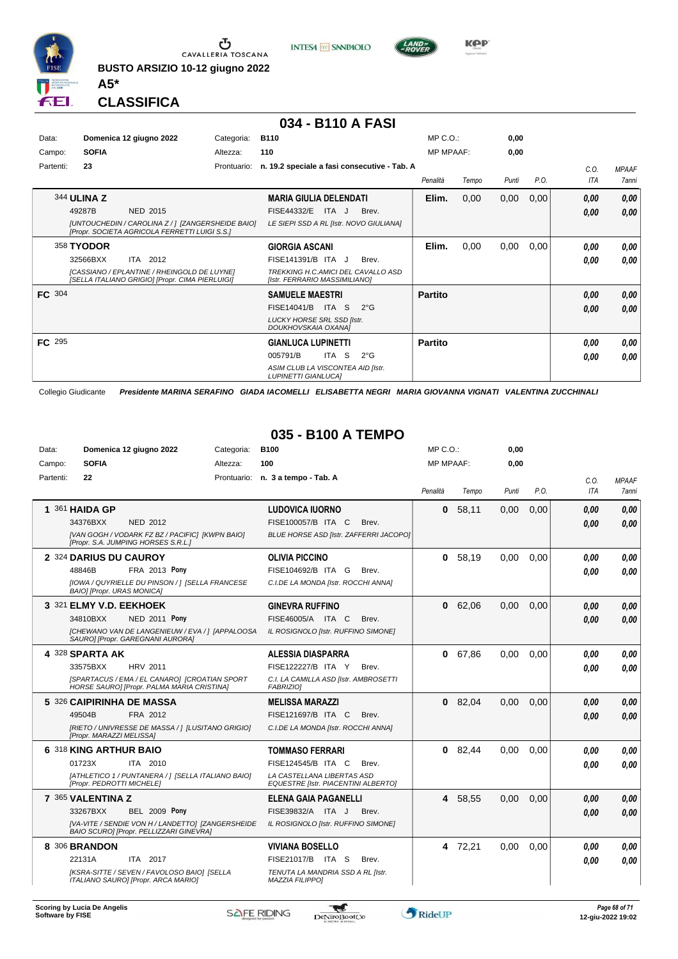

**INTESA** M SANPAOLO



**KPP** 

**CLASSIFICA**

**A5\***

#### **034 - B110 A FASI**

| Data:         |              | Domenica 12 giugno 2022                                                                               | Categoria:  | <b>B110</b>                                                          | $MP C. O.$ :     |       | 0,00  |      |      |              |
|---------------|--------------|-------------------------------------------------------------------------------------------------------|-------------|----------------------------------------------------------------------|------------------|-------|-------|------|------|--------------|
| Campo:        | <b>SOFIA</b> |                                                                                                       | Altezza:    | 110                                                                  | <b>MP MPAAF:</b> |       | 0,00  |      |      |              |
| Partenti:     | 23           |                                                                                                       | Prontuario: | n. 19.2 speciale a fasi consecutive - Tab. A                         |                  |       |       |      | C.O. | <b>MPAAF</b> |
|               |              |                                                                                                       |             |                                                                      | Penalità         | Tempo | Punti | P.O. | ITA  | 7anni        |
|               | 344 ULINA Z  |                                                                                                       |             | <b>MARIA GIULIA DELENDATI</b>                                        | Elim.            | 0,00  | 0,00  | 0,00 | 0,00 | 0,00         |
|               | 49287B       | <b>NED 2015</b>                                                                                       |             | <b>FISE44332/E</b><br>ITA J<br>Brev.                                 |                  |       |       |      | 0,00 | 0,00         |
|               |              | [UNTOUCHEDIN / CAROLINA Z / ] [ZANGERSHEIDE BAIO]<br>[Propr. SOCIETA AGRICOLA FERRETTI LUIGI S.S.]    |             | LE SIEPI SSD A RL [Istr. NOVO GIULIANA]                              |                  |       |       |      |      |              |
|               | 358 TYODOR   |                                                                                                       |             | <b>GIORGIA ASCANI</b>                                                | Elim.            | 0,00  | 0,00  | 0,00 | 0.00 | 0,00         |
|               | 32566BXX     | ITA 2012                                                                                              |             | FISE141391/B ITA J<br>Brev.                                          |                  |       |       |      | 0.00 | 0.00         |
|               |              | <b>ICASSIANO / EPLANTINE / RHEINGOLD DE LUYNET</b><br>[SELLA ITALIANO GRIGIO] [Propr. CIMA PIERLUIGI] |             | TREKKING H.C. AMICI DEL CAVALLO ASD<br>[Istr. FERRARIO MASSIMILIANO] |                  |       |       |      |      |              |
| <b>FC</b> 304 |              |                                                                                                       |             | <b>SAMUELE MAESTRI</b>                                               | <b>Partito</b>   |       |       |      | 0,00 | 0,00         |
|               |              |                                                                                                       |             | FISE14041/B<br>ITA S<br>$2^{\circ}G$                                 |                  |       |       |      | 0,00 | 0,00         |
|               |              |                                                                                                       |             | <b>LUCKY HORSE SRL SSD Ilstr.</b><br>DOUKHOVSKAIA OXANAI             |                  |       |       |      |      |              |
| <b>FC</b> 295 |              |                                                                                                       |             | <b>GIANLUCA LUPINETTI</b>                                            | <b>Partito</b>   |       |       |      | 0.00 | 0,00         |
|               |              |                                                                                                       |             | ITA S<br>005791/B<br>$2^{\circ}$ G                                   |                  |       |       |      | 0.00 | 0.00         |
|               |              |                                                                                                       |             | ASIM CLUB LA VISCONTEA AID [Istr.<br><b>LUPINETTI GIANLUCAI</b>      |                  |       |       |      |      |              |

Collegio Giudicante *Presidente MARINA SERAFINO GIADA IACOMELLI ELISABETTA NEGRI MARIA GIOVANNA VIGNATI VALENTINA ZUCCHINALI*

#### **035 - B100 A TEMPO**

| Data:     | Domenica 12 giugno 2022                                                                      | Categoria: | <b>B100</b>                                                              | $MP C. O.$ :     |           | 0,00  |      |            |              |
|-----------|----------------------------------------------------------------------------------------------|------------|--------------------------------------------------------------------------|------------------|-----------|-------|------|------------|--------------|
| Campo:    | <b>SOFIA</b>                                                                                 | Altezza:   | 100                                                                      | <b>MP MPAAF:</b> |           | 0,00  |      |            |              |
| Partenti: | 22                                                                                           |            | Prontuario: n. 3 a tempo - Tab. A                                        |                  |           |       |      | C.O.       | <b>MPAAF</b> |
|           |                                                                                              |            |                                                                          | Penalità         | Tempo     | Punti | P.O. | <b>ITA</b> | <b>7anni</b> |
|           | 1 361 HAIDA GP                                                                               |            | <b>LUDOVICA IUORNO</b>                                                   | 0                | 58,11     | 0,00  | 0,00 | 0.00       | 0,00         |
|           | 34376BXX<br><b>NED 2012</b>                                                                  |            | FISE100057/B ITA C<br>Brev.                                              |                  |           |       |      | 0.00       | 0.00         |
|           | [VAN GOGH / VODARK FZ BZ / PACIFIC] [KWPN BAIO]<br>[Propr. S.A. JUMPING HORSES S.R.L.]       |            | <b>BLUE HORSE ASD [Istr. ZAFFERRI JACOPO]</b>                            |                  |           |       |      |            |              |
|           | 2 324 DARIUS DU CAUROY                                                                       |            | <b>OLIVIA PICCINO</b>                                                    | 0                | 58.19     | 0.00  | 0.00 | 0.00       | 0.00         |
|           | <b>FRA 2013 Pony</b><br>48846B                                                               |            | FISE104692/B ITA G<br>Brev.                                              |                  |           |       |      | 0.00       | 0.00         |
|           | [IOWA / QUYRIELLE DU PINSON / ] [SELLA FRANCESE<br><b>BAIOI [Propr. URAS MONICA]</b>         |            | C.I.DE LA MONDA [Istr. ROCCHI ANNA]                                      |                  |           |       |      |            |              |
|           | 3 321 ELMY V.D. EEKHOEK                                                                      |            | <b>GINEVRA RUFFINO</b>                                                   | 0                | 62,06     | 0.00  | 0,00 | 0.00       | 0,00         |
|           | 34810BXX<br><b>NED 2011 Pony</b>                                                             |            | FISE46005/A ITA C<br>Brev.                                               |                  |           |       |      | 0.00       | 0.00         |
|           | [CHEWANO VAN DE LANGENIEUW / EVA / ] [APPALOOSA<br>SAURO] [Propr. GAREGNANI AURORA]          |            | IL ROSIGNOLO [Istr. RUFFINO SIMONE]                                      |                  |           |       |      |            |              |
|           | 4 328 SPARTA AK                                                                              |            | <b>ALESSIA DIASPARRA</b>                                                 | 0                | 67,86     | 0,00  | 0,00 | 0.00       | 0.00         |
|           | <b>HRV 2011</b><br>33575BXX                                                                  |            | FISE122227/B ITA Y<br>Brev.                                              |                  |           |       |      | 0.00       | 0.00         |
|           | [SPARTACUS / EMA / EL CANARO] [CROATIAN SPORT<br>HORSE SAURO] [Propr. PALMA MARIA CRISTINA]  |            | C.I. LA CAMILLA ASD [Istr. AMBROSETTI<br><b>FABRIZIOI</b>                |                  |           |       |      |            |              |
|           | 5 326 CAIPIRINHA DE MASSA                                                                    |            | <b>MELISSA MARAZZI</b>                                                   |                  | $0$ 82,04 | 0.00  | 0.00 | 0.00       | 0,00         |
|           | 49504B<br>FRA 2012                                                                           |            | FISE121697/B ITA C<br>Brev.                                              |                  |           |       |      | 0.00       | 0.00         |
|           | [RIETO / UNIVRESSE DE MASSA / ] [LUSITANO GRIGIO]<br>[Propr. MARAZZI MELISSA]                |            | C.I.DE LA MONDA [Istr. ROCCHI ANNA]                                      |                  |           |       |      |            |              |
|           | 6 318 KING ARTHUR BAIO                                                                       |            | <b>TOMMASO FERRARI</b>                                                   |                  | $0$ 82,44 | 0.00  | 0.00 | 0.00       | 0.00         |
|           | 01723X<br>ITA 2010                                                                           |            | FISE124545/B ITA C<br>Brev.                                              |                  |           |       |      | 0.00       | 0.00         |
|           | [ATHLETICO 1 / PUNTANERA / 1 [SELLA ITALIANO BAIO]<br>[Propr. PEDROTTI MICHELE]              |            | LA CASTELLANA LIBERTAS ASD<br><b>EQUESTRE [Istr. PIACENTINI ALBERTO]</b> |                  |           |       |      |            |              |
|           | 7 365 VALENTINA Z                                                                            |            | <b>ELENA GAIA PAGANELLI</b>                                              |                  | 4 58.55   | 0.00  | 0.00 | 0.00       | 0,00         |
|           | 33267BXX<br><b>BEL 2009 Pony</b>                                                             |            | FISE39832/A ITA J<br>Brev.                                               |                  |           |       |      | 0.00       | 0,00         |
|           | [VA-VITE / SENDIE VON H / LANDETTO] [ZANGERSHEIDE<br>BAIO SCURO] [Propr. PELLIZZARI GINEVRA] |            | IL ROSIGNOLO [Istr. RUFFINO SIMONE]                                      |                  |           |       |      |            |              |
|           | 8 306 BRANDON                                                                                |            | <b>VIVIANA BOSELLO</b>                                                   |                  | 4 72,21   | 0,00  | 0.00 | 0.00       | 0.00         |
|           | 22131A<br>ITA 2017                                                                           |            | FISE21017/B ITA S<br>Brev.                                               |                  |           |       |      | 0.00       | 0,00         |
|           | [KSRA-SITTE / SEVEN / FAVOLOSO BAIO] [SELLA<br>ITALIANO SAURO] [Propr. ARCA MARIO]           |            | TENUTA LA MANDRIA SSD A RL [Istr.<br><b>MAZZIA FILIPPOI</b>              |                  |           |       |      |            |              |

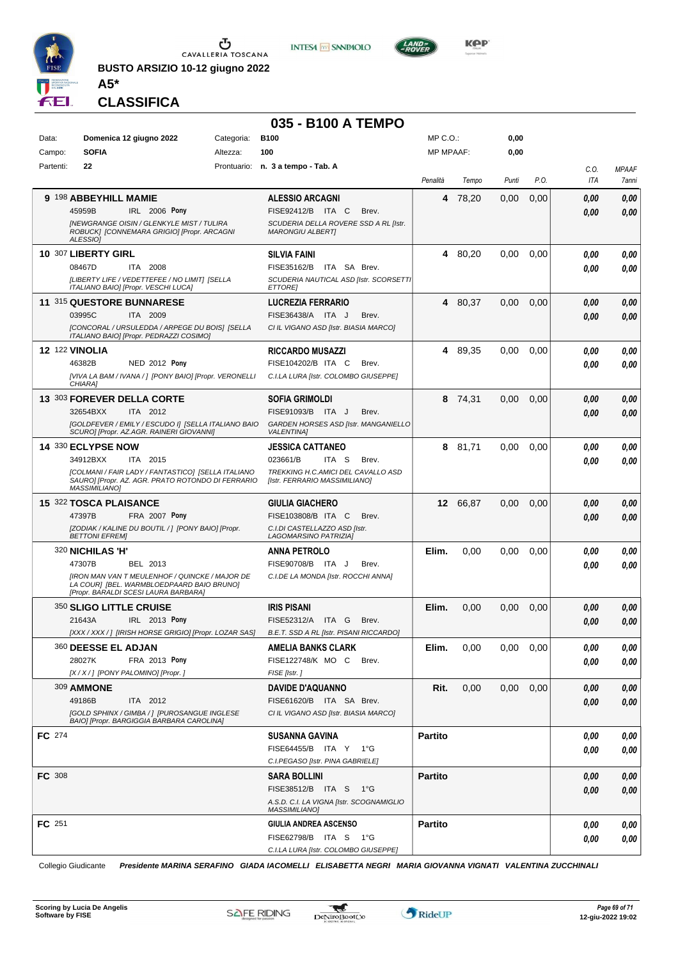

Campo: **SOFIA** Partenti: **22**

Ⴠ CAVALLERIA TOSCANA

**BUSTO ARSIZIO 10-12 giugno 2022**





**KPP** 

**0,00 0,00**

> *C.O. ITA*

*0,00*

*MPAAF 7anni*

*0,00*

#### **CLASSIFICA**

**A5\***

#### **035 - B100 A TEMPO**<br>Categoria: B100 Data: **Domenica 12 giugno 2022** Categoria: B100 Prontuario: **n. 3 a tempo - Tab. A** Altezza: **100** MP C.O.: MP MPAAF: *Penalità Tempo Punti P.O.* **9** 198 **ABBEYHILL MAMIE IRL** 2006 Pony **ALESSIO ARCAGNI** *[NEWGRANGE OISIN / GLENKYLE MIST / TULIRA SCUDERIA DELLA ROVERE SSD A RL [Istr. MARONGIU ALBERT]* ITA C Brev. 45959B FISE92412/B *0,00* **Pony 4** 78,20 0,00 0,00 *0,00*

|               | ROBUCK] [CONNEMARA GRIGIO] [Propr. ARCAGNI<br>ALESSIO]                                                                              | <b>MARONGIU ALBERTI</b>                                             |                |          |      |      |      |      |
|---------------|-------------------------------------------------------------------------------------------------------------------------------------|---------------------------------------------------------------------|----------------|----------|------|------|------|------|
|               | 10 307 LIBERTY GIRL                                                                                                                 | <b>SILVIA FAINI</b>                                                 |                | 4 80,20  | 0,00 | 0,00 | 0.00 | 0,00 |
|               | 08467D<br>ITA 2008                                                                                                                  | FISE35162/B<br>ITA SA Brev.                                         |                |          |      |      | 0.00 | 0.00 |
|               | [LIBERTY LIFE / VEDETTEFEE / NO LIMIT] [SELLA<br>ITALIANO BAIO] [Propr. VESCHI LUCA]                                                | SCUDERIA NAUTICAL ASD [Istr. SCORSETTI<br><b>ETTORE</b>             |                |          |      |      |      |      |
|               | 11 315 QUESTORE BUNNARESE                                                                                                           | <b>LUCREZIA FERRARIO</b>                                            |                | 4 80,37  | 0,00 | 0,00 | 0.00 | 0,00 |
|               | 03995C<br>ITA 2009                                                                                                                  | FISE36438/A ITA J<br>Brev.                                          |                |          |      |      | 0.00 | 0,00 |
|               | [CONCORAL / URSULEDDA / ARPEGE DU BOIS] [SELLA<br>ITALIANO BAIO] [Propr. PEDRAZZI COSIMO]                                           | CI IL VIGANO ASD [Istr. BIASIA MARCO]                               |                |          |      |      |      |      |
|               | <b>12 122 VINOLIA</b>                                                                                                               | <b>RICCARDO MUSAZZI</b>                                             | 4              | 89,35    | 0,00 | 0,00 | 0,00 | 0,00 |
|               | <b>NED 2012 Pony</b><br>46382B                                                                                                      | FISE104202/B ITA C<br>Brev.                                         |                |          |      |      | 0.00 | 0,00 |
|               | [VIVA LA BAM / IVANA / ] [PONY BAIO] [Propr. VERONELLI<br>CHIARA]                                                                   | C.I.LA LURA [Istr. COLOMBO GIUSEPPE]                                |                |          |      |      |      |      |
|               | 13 303 FOREVER DELLA CORTE                                                                                                          | <b>SOFIA GRIMOLDI</b>                                               | 8              | 74,31    | 0,00 | 0,00 | 0,00 | 0,00 |
|               | 32654BXX<br>ITA 2012                                                                                                                | FISE91093/B<br>ITA J<br>Brev.                                       |                |          |      |      | 0.00 | 0,00 |
|               | [GOLDFEVER / EMILY / ESCUDO I] [SELLA ITALIANO BAIO<br>SCURO] [Propr. AZ.AGR. RAINERI GIOVANNI]                                     | GARDEN HORSES ASD [Istr. MANGANIELLO<br><b>VALENTINA1</b>           |                |          |      |      |      |      |
|               | 14 330 ECLYPSE NOW                                                                                                                  | <b>JESSICA CATTANEO</b>                                             |                | 8 81,71  | 0,00 | 0,00 | 0,00 | 0,00 |
|               | 34912BXX<br>ITA 2015                                                                                                                | 023661/B<br>ITA S<br>Brev.                                          |                |          |      |      | 0.00 | 0.00 |
|               | [COLMANI / FAIR LADY / FANTASTICO] [SELLA ITALIANO<br>SAURO] [Propr. AZ. AGR. PRATO ROTONDO DI FERRARIO<br><b>MASSIMILIANO]</b>     | TREKKING H.C.AMICI DEL CAVALLO ASD<br>[Istr. FERRARIO MASSIMILIANO] |                |          |      |      |      |      |
|               | 15 322 TOSCA PLAISANCE                                                                                                              | <b>GIULIA GIACHERO</b>                                              |                | 12 66,87 | 0,00 | 0,00 | 0.00 | 0,00 |
|               | 47397B<br><b>FRA 2007 Pony</b>                                                                                                      | FISE103808/B ITA C<br>Brev.                                         |                |          |      |      | 0.00 | 0.00 |
|               | [ZODIAK / KALINE DU BOUTIL / ] [PONY BAIO] [Propr.<br><b>BETTONI EFREMI</b>                                                         | C.I.DI CASTELLAZZO ASD [Istr.<br>LAGOMARSINO PATRIZIA]              |                |          |      |      |      |      |
|               |                                                                                                                                     |                                                                     |                |          |      |      |      |      |
|               | 320 NICHILAS 'H'                                                                                                                    | <b>ANNA PETROLO</b>                                                 | Elim.          | 0,00     | 0,00 | 0,00 | 0.00 | 0,00 |
|               | 47307B<br>BEL 2013                                                                                                                  | FISE90708/B ITA J<br>Brev.                                          |                |          |      |      | 0.00 | 0.00 |
|               | [IRON MAN VAN T MEULENHOF / QUINCKE / MAJOR DE<br>LA COURI [BEL. WARMBLOEDPAARD BAIO BRUNO]<br>[Propr. BARALDI SCESI LAURA BARBARA] | C.I.DE LA MONDA [Istr. ROCCHI ANNA]                                 |                |          |      |      |      |      |
|               | 350 SLIGO LITTLE CRUISE                                                                                                             | <b>IRIS PISANI</b>                                                  | Elim.          | 0,00     | 0,00 | 0,00 | 0.00 | 0,00 |
|               | 21643A<br>IRL 2013 Pony                                                                                                             | FISE52312/A ITA G<br>Brev.                                          |                |          |      |      | 0.00 | 0,00 |
|               | [XXX / XXX / ] [IRISH HORSE GRIGIO] [Propr. LOZAR SAS]                                                                              | B.E.T. SSD A RL [Istr. PISANI RICCARDO]                             |                |          |      |      |      |      |
|               | 360 DEESSE EL ADJAN                                                                                                                 | AMELIA BANKS CLARK                                                  | Elim.          | 0,00     | 0,00 | 0,00 | 0.00 | 0,00 |
|               | 28027K<br>FRA 2013 Pony                                                                                                             | FISE122748/K MO C<br>Brev.                                          |                |          |      |      | 0,00 | 0.00 |
|               | [X / X / ] [PONY PALOMINO] [Propr. ]                                                                                                | FISE [Istr.]                                                        |                |          |      |      |      |      |
|               | <b>309 AMMONE</b>                                                                                                                   | <b>DAVIDE D'AQUANNO</b>                                             | Rit.           | 0,00     | 0,00 | 0,00 | 0.00 | 0,00 |
|               | 49186B<br>ITA 2012                                                                                                                  | FISE61620/B ITA SA Brev.                                            |                |          |      |      | 0.00 | 0.00 |
|               | [GOLD SPHINX / GIMBA / ] [PUROSANGUE INGLESE<br>BAIO] [Propr. BARGIGGIA BARBARA CAROLINA]                                           | CI IL VIGANO ASD [Istr. BIASIA MARCO]                               |                |          |      |      |      |      |
| <b>FC</b> 274 |                                                                                                                                     | <b>SUSANNA GAVINA</b>                                               | <b>Partito</b> |          |      |      | 0.00 | 0.00 |
|               |                                                                                                                                     | FISE64455/B ITA Y 1°G                                               |                |          |      |      | 0,00 | 0,00 |
|               |                                                                                                                                     | C.I.PEGASO [Istr. PINA GABRIELE]                                    |                |          |      |      |      |      |
| <b>FC</b> 308 |                                                                                                                                     | <b>SARA BOLLINI</b>                                                 | <b>Partito</b> |          |      |      | 0,00 | 0,00 |
|               |                                                                                                                                     | FISE38512/B ITA S 1°G                                               |                |          |      |      | 0,00 | 0,00 |
|               |                                                                                                                                     | A.S.D. C.I. LA VIGNA [Istr. SCOGNAMIGLIO<br><i>MASSIMILIANO]</i>    |                |          |      |      |      |      |
| FC 251        |                                                                                                                                     | GIULIA ANDREA ASCENSO                                               | <b>Partito</b> |          |      |      | 0.00 | 0,00 |
|               |                                                                                                                                     | FISE62798/B ITA S 1°G<br>C.I.LA LURA [Istr. COLOMBO GIUSEPPE]       |                |          |      |      | 0,00 | 0,00 |

Collegio Giudicante *Presidente MARINA SERAFINO GIADA IACOMELLI ELISABETTA NEGRI MARIA GIOVANNA VIGNATI VALENTINA ZUCCHINALI*

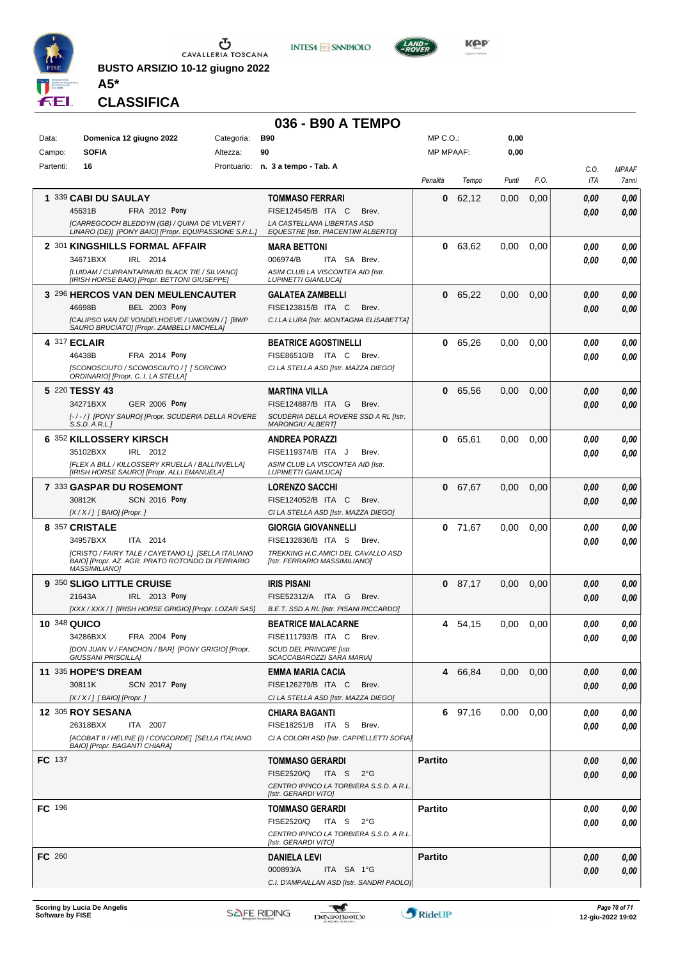

**BUSTO ARSIZIO 10-12 giugno 2022 A5\***



## **036 - B90 A TEMPO**

**INTESA M** SANPAOLO

| Data:               | Domenica 12 giugno 2022                                                                        | Categoria: | <b>B90</b>                                                          | MP C.O.:         |           | 0,00     |      |             |                                     |
|---------------------|------------------------------------------------------------------------------------------------|------------|---------------------------------------------------------------------|------------------|-----------|----------|------|-------------|-------------------------------------|
| Campo:<br>Partenti: | <b>SOFIA</b><br>16                                                                             | Altezza:   | 90<br>Prontuario: n. 3 a tempo - Tab. A                             | <b>MP MPAAF:</b> |           | 0,00     |      |             |                                     |
|                     |                                                                                                |            |                                                                     | Penalità         | Tempo     | Punti    | P.O. | C.O.<br>ITA | <b>MPAAF</b><br><i><b>7anni</b></i> |
|                     | 1 339 CABI DU SAULAY                                                                           |            | <b>TOMMASO FERRARI</b>                                              | 0                | 62,12     | 0,00     | 0,00 | 0.00        | 0,00                                |
|                     | <b>FRA 2012 Pony</b><br>45631B                                                                 |            | FISE124545/B ITA C<br>Brev.                                         |                  |           |          |      | 0.00        | 0.00                                |
|                     | [CARREGCOCH BLEDDYN (GB) / QUINA DE VILVERT /                                                  |            | LA CASTELLANA LIBERTAS ASD                                          |                  |           |          |      |             |                                     |
|                     | LINARO (DE)] [PONY BAIO] [Propr. EQUIPASSIONE S.R.L.]<br>2 301 KINGSHILLS FORMAL AFFAIR        |            | <b>EQUESTRE [Istr. PIACENTINI ALBERTO]</b><br><b>MARA BETTONI</b>   | 0                | 63,62     | 0.00     | 0,00 | 0.00        | 0,00                                |
|                     | 34671BXX<br>IRL 2014                                                                           |            | 006974/B<br>ITA SA Brev.                                            |                  |           |          |      | 0.00        | 0.00                                |
|                     | [LUIDAM / CURRANTARMUID BLACK TIE / SILVANO]                                                   |            | ASIM CLUB LA VISCONTEA AID [Istr.                                   |                  |           |          |      |             |                                     |
|                     | [IRISH HORSE BAIO] [Propr. BETTONI GIUSEPPE]                                                   |            | LUPINETTI GIANLUCAJ                                                 |                  |           |          |      |             |                                     |
|                     | 3 296 HERCOS VAN DEN MEULENCAUTER<br>46698B<br><b>BEL 2003 Pony</b>                            |            | <b>GALATEA ZAMBELLI</b><br>FISE123815/B ITA C<br>Brev.              |                  | 0 65,22   | 0,00     | 0,00 | 0.00        | 0,00<br>0,00                        |
|                     | [CALIPSO VAN DE VONDELHOEVE / UNKOWN / ] [BWP                                                  |            | C.I.LA LURA [Istr. MONTAGNA ELISABETTA]                             |                  |           |          |      | 0.00        |                                     |
|                     | SAURO BRUCIATO] [Propr. ZAMBELLI MICHELA]                                                      |            |                                                                     |                  |           |          |      |             |                                     |
|                     | 4 317 ECLAIR                                                                                   |            | <b>BEATRICE AGOSTINELLI</b>                                         |                  | 0 65,26   | 0.00     | 0,00 | 0.00        | 0,00                                |
|                     | <b>FRA 2014 Pony</b><br>46438B<br>[SCONOSCIUTO / SCONOSCIUTO / ] [ SORCINO                     |            | FISE86510/B ITA C<br>Brev.<br>CI LA STELLA ASD [Istr. MAZZA DIEGO]  |                  |           |          |      | 0.00        | 0.00                                |
|                     | ORDINARIO] [Propr. C. I. LA STELLA]                                                            |            |                                                                     |                  |           |          |      |             |                                     |
|                     | 5 220 TESSY 43                                                                                 |            | <b>MARTINA VILLA</b>                                                |                  | 0 65,56   | 0,00     | 0,00 | 0.00        | 0,00                                |
|                     | 34271BXX<br><b>GER 2006 Pony</b>                                                               |            | FISE124887/B ITA G<br>Brev.                                         |                  |           |          |      | 0.00        | 0.00                                |
|                     | [-/-/] [PONY SAURO] [Propr. SCUDERIA DELLA ROVERE<br>S.S.D. A.R.L.                             |            | SCUDERIA DELLA ROVERE SSD A RL [Istr.<br><b>MARONGIU ALBERTI</b>    |                  |           |          |      |             |                                     |
|                     | 6 352 KILLOSSERY KIRSCH                                                                        |            | <b>ANDREA PORAZZI</b>                                               |                  | 0 65,61   | 0.00     | 0,00 | 0.00        | 0,00                                |
|                     | IRL 2012<br>35102BXX                                                                           |            | FISE119374/B ITA J<br>Brev.                                         |                  |           |          |      | 0.00        | 0.00                                |
|                     | [FLEX A BILL / KILLOSSERY KRUELLA / BALLINVELLA]<br>[IRISH HORSE SAURO] [Propr. ALLI EMANUELA] |            | ASIM CLUB LA VISCONTEA AID [Istr.<br><b>LUPINETTI GIANLUCA]</b>     |                  |           |          |      |             |                                     |
|                     | 7 333 GASPAR DU ROSEMONT                                                                       |            | <b>LORENZO SACCHI</b>                                               |                  | 0 67,67   | 0,00     | 0,00 | 0.00        | 0,00                                |
|                     | <b>SCN 2016 Pony</b><br>30812K                                                                 |            | FISE124052/B ITA C<br>Brev.                                         |                  |           |          |      | 0.00        | 0.00                                |
|                     | [X / X / ] [ BAIO] [Propr. ]                                                                   |            | CI LA STELLA ASD [Istr. MAZZA DIEGO]                                |                  |           |          |      |             |                                     |
|                     | 8 357 CRISTALE<br>34957BXX<br>ITA 2014                                                         |            | <b>GIORGIA GIOVANNELLI</b><br>FISE132836/B ITA S<br>Brev.           |                  | $0$ 71,67 | 0.00     | 0,00 | 0.00        | 0.00                                |
|                     | [CRISTO / FAIRY TALE / CAYETANO L] [SELLA ITALIANO                                             |            | TREKKING H.C.AMICI DEL CAVALLO ASD                                  |                  |           |          |      | 0.00        | 0.00                                |
|                     | BAIO] [Propr. AZ. AGR. PRATO ROTONDO DI FERRARIO<br><b>MASSIMILIANO]</b>                       |            | [Istr. FERRARIO MASSIMILIANO]                                       |                  |           |          |      |             |                                     |
|                     | 9 350 SLIGO LITTLE CRUISE                                                                      |            | <b>IRIS PISANI</b>                                                  |                  | $0$ 87,17 | 0.00     | 0,00 | 0.00        | 0,00                                |
|                     | 21643A<br>IRL 2013 Pony                                                                        |            | FISE52312/A<br>ITA G<br>Brev.                                       |                  |           |          |      | 0.00        | 0.00                                |
|                     | [XXX / XXX /] [IRISH HORSE GRIGIO] [Propr. LOZAR SAS]                                          |            | B.E.T. SSD A RL [Istr. PISANI RICCARDO]                             |                  |           |          |      |             |                                     |
| <b>10 348 QUICO</b> | FRA 2004 Pony<br>34286BXX                                                                      |            | <b>BEATRICE MALACARNE</b><br>FISE111793/B ITA C<br>Brev.            | 4                | 54,15     | 0.00     | 0,00 | 0.00        | 0.00                                |
|                     | [DON JUAN V / FANCHON / BAR] [PONY GRIGIO] [Propr.                                             |            | <b>SCUD DEL PRINCIPE [Istr.</b>                                     |                  |           |          |      | 0,00        | 0,00                                |
|                     | <b>GIUSSANI PRISCILLA]</b>                                                                     |            | SCACCABAROZZI SARA MARIAI                                           |                  |           |          |      |             |                                     |
|                     | <b>11 335 HOPE'S DREAM</b>                                                                     |            | <b>EMMA MARIA CACIA</b>                                             |                  | 4 66,84   | $0.00\,$ | 0,00 | 0.00        | 0,00                                |
|                     | 30811K<br><b>SCN 2017 Pony</b><br>[X / X / ] [ BAIO] [Propr. ]                                 |            | FISE126279/B ITA C<br>Brev.<br>CI LA STELLA ASD [Istr. MAZZA DIEGO] |                  |           |          |      | 0.00        | 0,00                                |
|                     | <b>12 305 ROY SESANA</b>                                                                       |            | <b>CHIARA BAGANTI</b>                                               |                  | 6 97,16   | $0.00\,$ | 0,00 | 0.00        | 0,00                                |
|                     | 26318BXX<br>ITA 2007                                                                           |            | FISE18251/B ITA S<br>Brev.                                          |                  |           |          |      | 0.00        | 0,00                                |
|                     | [ACOBAT II / HELINE (I) / CONCORDE] [SELLA ITALIANO<br>BAIO] [Propr. BAGANTI CHIARA]           |            | CI A COLORI ASD [Istr. CAPPELLETTI SOFIA]                           |                  |           |          |      |             |                                     |
| <b>FC</b> 137       |                                                                                                |            | <b>TOMMASO GERARDI</b>                                              | <b>Partito</b>   |           |          |      | 0.00        | 0,00                                |
|                     |                                                                                                |            | FISE2520/Q<br>ITA S<br>$2^{\circ}$ G                                |                  |           |          |      | 0.00        | 0,00                                |
|                     |                                                                                                |            | CENTRO IPPICO LA TORBIERA S.S.D. A R.L.                             |                  |           |          |      |             |                                     |
|                     |                                                                                                |            | [Istr. GERARDI VITO]                                                |                  |           |          |      |             |                                     |
| FC 196              |                                                                                                |            | <b>TOMMASO GERARDI</b><br>FISE2520/Q<br>ITA S<br>$2^{\circ}G$       | <b>Partito</b>   |           |          |      | 0.00        | 0,00                                |
|                     |                                                                                                |            | CENTRO IPPICO LA TORBIERA S.S.D. A R.L.                             |                  |           |          |      | 0.00        | 0,00                                |
|                     |                                                                                                |            | [Istr. GERARDI VITO]                                                |                  |           |          |      |             |                                     |
| FC 260              |                                                                                                |            | <b>DANIELA LEVI</b>                                                 | <b>Partito</b>   |           |          |      | 0.00        | 0,00                                |
|                     |                                                                                                |            | 000893/A<br>ITA SA 1°G<br>C.I. D'AMPAILLAN ASD [Istr. SANDRI PAOLO] |                  |           |          |      | 0.00        | 0,00                                |
|                     |                                                                                                |            |                                                                     |                  |           |          |      |             |                                     |

$$
\sum_{\text{irro} \text{foot} \cup \text{co}}
$$